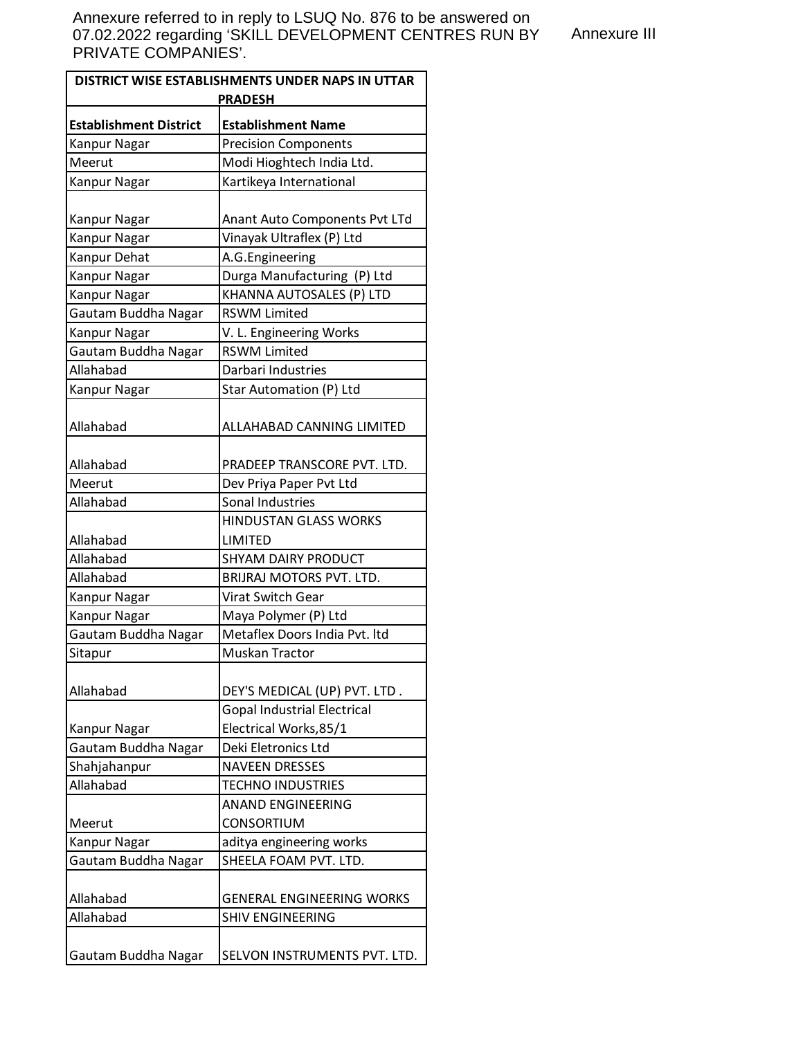Annexure III

| DISTRICT WISE ESTABLISHMENTS UNDER NAPS IN UTTAR<br><b>PRADESH</b> |                                                          |
|--------------------------------------------------------------------|----------------------------------------------------------|
| <b>Establishment District</b>                                      |                                                          |
| Kanpur Nagar                                                       | <b>Establishment Name</b><br><b>Precision Components</b> |
| Meerut                                                             | Modi Hioghtech India Ltd.                                |
| <b>Kanpur Nagar</b>                                                | Kartikeya International                                  |
|                                                                    |                                                          |
| Kanpur Nagar                                                       | Anant Auto Components Pvt LTd                            |
| Kanpur Nagar                                                       | Vinayak Ultraflex (P) Ltd                                |
| Kanpur Dehat                                                       | A.G.Engineering                                          |
| Kanpur Nagar                                                       | Durga Manufacturing (P) Ltd                              |
| Kanpur Nagar                                                       | KHANNA AUTOSALES (P) LTD                                 |
| Gautam Buddha Nagar                                                | <b>RSWM Limited</b>                                      |
| Kanpur Nagar                                                       | V. L. Engineering Works                                  |
| Gautam Buddha Nagar                                                | <b>RSWM Limited</b>                                      |
| Allahabad                                                          | Darbari Industries                                       |
| Kanpur Nagar                                                       | Star Automation (P) Ltd                                  |
| Allahabad                                                          | ALLAHABAD CANNING LIMITED                                |
|                                                                    |                                                          |
| Allahabad                                                          | PRADEEP TRANSCORE PVT. LTD.                              |
| Meerut                                                             | Dev Priya Paper Pvt Ltd                                  |
| Allahabad                                                          | Sonal Industries                                         |
|                                                                    | <b>HINDUSTAN GLASS WORKS</b>                             |
| Allahabad                                                          | LIMITED                                                  |
| Allahabad                                                          | <b>SHYAM DAIRY PRODUCT</b>                               |
| Allahabad                                                          | BRIJRAJ MOTORS PVT. LTD.                                 |
| Kanpur Nagar                                                       | Virat Switch Gear                                        |
| Kanpur Nagar                                                       | Maya Polymer (P) Ltd                                     |
| Gautam Buddha Nagar                                                | Metaflex Doors India Pvt. Itd                            |
| Sitapur                                                            | Muskan Tractor                                           |
|                                                                    |                                                          |
| Allahabad                                                          | DEY'S MEDICAL (UP) PVT. LTD.                             |
|                                                                    | <b>Gopal Industrial Electrical</b>                       |
| Kanpur Nagar                                                       | Electrical Works, 85/1                                   |
| Gautam Buddha Nagar                                                | Deki Eletronics Ltd                                      |
| Shahjahanpur                                                       | <b>NAVEEN DRESSES</b>                                    |
| Allahabad                                                          | <b>TECHNO INDUSTRIES</b>                                 |
|                                                                    | <b>ANAND ENGINEERING</b>                                 |
| Meerut                                                             | <b>CONSORTIUM</b>                                        |
| Kanpur Nagar                                                       | aditya engineering works                                 |
| Gautam Buddha Nagar                                                | SHEELA FOAM PVT. LTD.                                    |
| Allahabad                                                          | <b>GENERAL ENGINEERING WORKS</b>                         |
| Allahabad                                                          | <b>SHIV ENGINEERING</b>                                  |
|                                                                    |                                                          |
| Gautam Buddha Nagar                                                | SELVON INSTRUMENTS PVT. LTD.                             |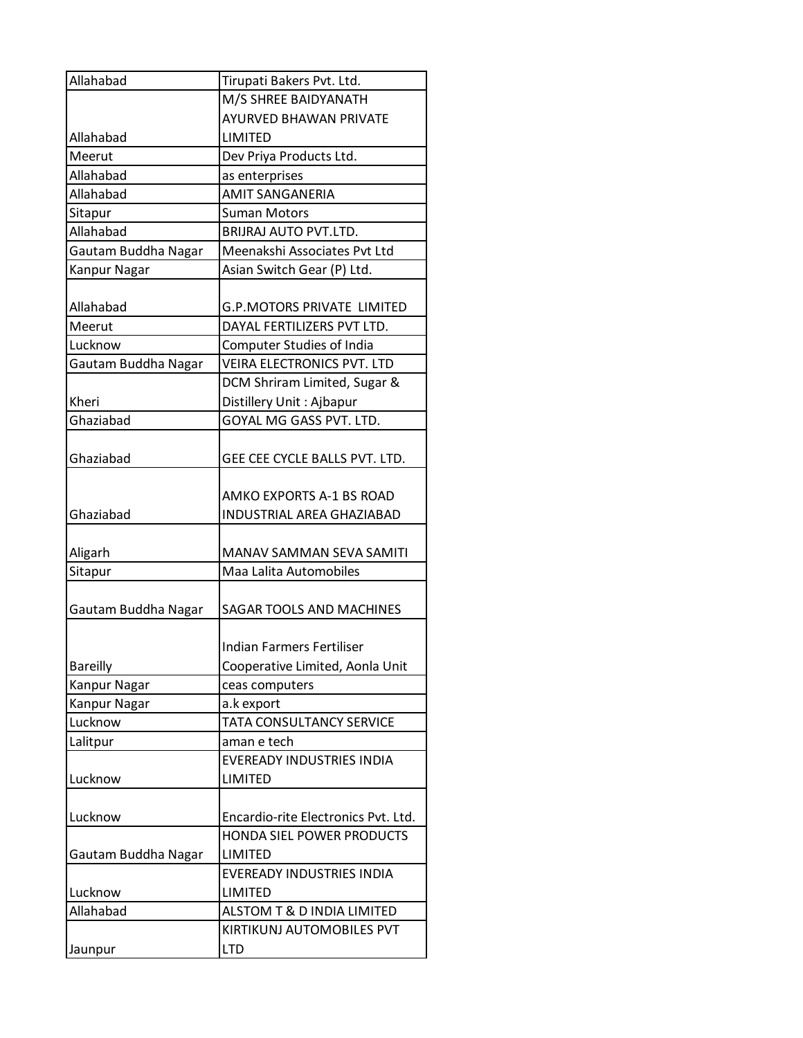| Allahabad           | Tirupati Bakers Pvt. Ltd.           |
|---------------------|-------------------------------------|
|                     | M/S SHREE BAIDYANATH                |
|                     | <b>AYURVED BHAWAN PRIVATE</b>       |
| Allahabad           | <b>LIMITED</b>                      |
| Meerut              | Dev Priya Products Ltd.             |
| Allahabad           | as enterprises                      |
| Allahabad           | <b>AMIT SANGANERIA</b>              |
| Sitapur             | <b>Suman Motors</b>                 |
| Allahabad           | <b>BRIJRAJ AUTO PVT.LTD.</b>        |
| Gautam Buddha Nagar | Meenakshi Associates Pvt Ltd        |
| Kanpur Nagar        | Asian Switch Gear (P) Ltd.          |
|                     |                                     |
| Allahabad           | <b>G.P.MOTORS PRIVATE LIMITED</b>   |
| Meerut              | DAYAL FERTILIZERS PVT LTD.          |
| Lucknow             | Computer Studies of India           |
| Gautam Buddha Nagar | <b>VEIRA ELECTRONICS PVT. LTD</b>   |
|                     | DCM Shriram Limited, Sugar &        |
| Kheri               | Distillery Unit: Ajbapur            |
| Ghaziabad           | GOYAL MG GASS PVT. LTD.             |
|                     |                                     |
| Ghaziabad           | GEE CEE CYCLE BALLS PVT. LTD.       |
|                     |                                     |
|                     | AMKO EXPORTS A-1 BS ROAD            |
| Ghaziabad           | <b>INDUSTRIAL AREA GHAZIABAD</b>    |
| Aligarh             | MANAV SAMMAN SEVA SAMITI            |
| Sitapur             | Maa Lalita Automobiles              |
|                     |                                     |
| Gautam Buddha Nagar | <b>SAGAR TOOLS AND MACHINES</b>     |
|                     |                                     |
|                     | <b>Indian Farmers Fertiliser</b>    |
| <b>Bareilly</b>     | Cooperative Limited, Aonla Unit     |
| Kanpur Nagar        | ceas computers                      |
| Kanpur Nagar        | a.k export                          |
| Lucknow             | TATA CONSULTANCY SERVICE            |
| Lalitpur            | aman e tech                         |
|                     | <b>EVEREADY INDUSTRIES INDIA</b>    |
| Lucknow             | LIMITED                             |
|                     |                                     |
| Lucknow             | Encardio-rite Electronics Pvt. Ltd. |
|                     | HONDA SIEL POWER PRODUCTS           |
| Gautam Buddha Nagar | LIMITED                             |
|                     | EVEREADY INDUSTRIES INDIA           |
| Lucknow             | LIMITED                             |
| Allahabad           | ALSTOM T & D INDIA LIMITED          |
|                     | KIRTIKUNJ AUTOMOBILES PVT           |
| Jaunpur             | <b>LTD</b>                          |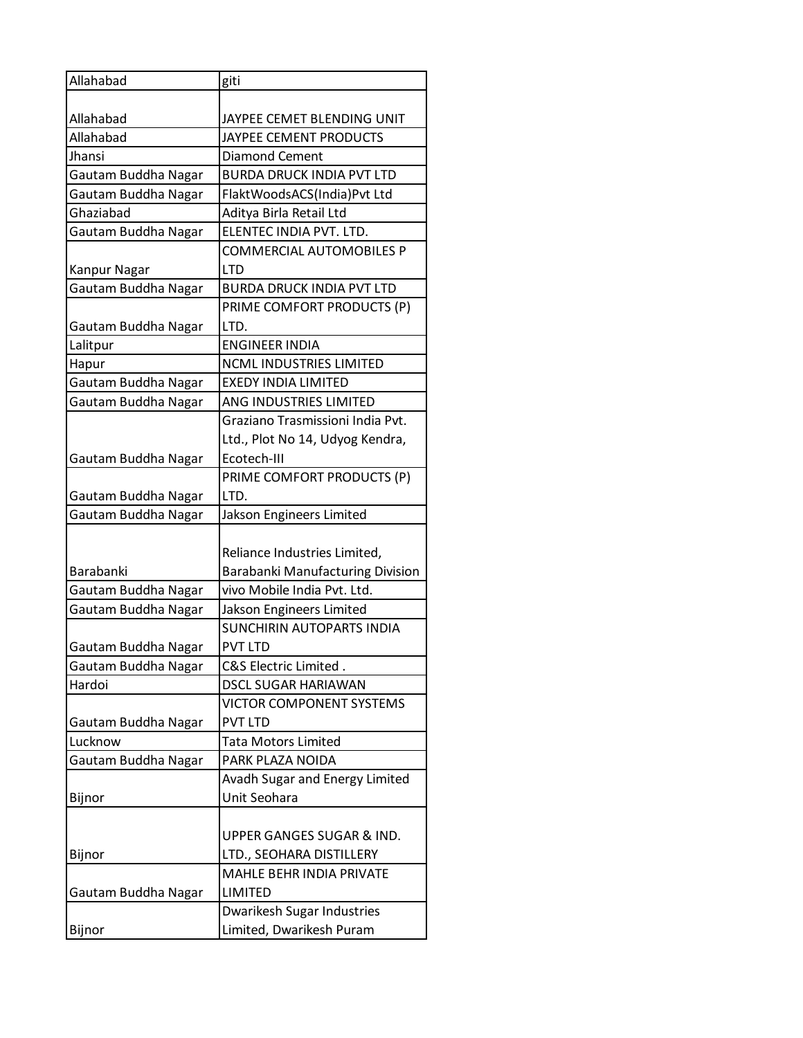| Allahabad           | giti                                                        |
|---------------------|-------------------------------------------------------------|
|                     |                                                             |
| Allahabad           | JAYPEE CEMET BLENDING UNIT                                  |
| Allahabad           | JAYPEE CEMENT PRODUCTS                                      |
| Jhansi              | <b>Diamond Cement</b>                                       |
| Gautam Buddha Nagar | <b>BURDA DRUCK INDIA PVT LTD</b>                            |
| Gautam Buddha Nagar | FlaktWoodsACS(India)Pvt Ltd                                 |
| Ghaziabad           | Aditya Birla Retail Ltd                                     |
| Gautam Buddha Nagar | ELENTEC INDIA PVT. LTD.                                     |
|                     | COMMERCIAL AUTOMOBILES P                                    |
| Kanpur Nagar        | <b>LTD</b>                                                  |
| Gautam Buddha Nagar | <b>BURDA DRUCK INDIA PVT LTD</b>                            |
|                     | PRIME COMFORT PRODUCTS (P)                                  |
| Gautam Buddha Nagar | LTD.                                                        |
| Lalitpur            | ENGINEER INDIA                                              |
| Hapur               | <b>NCML INDUSTRIES LIMITED</b>                              |
| Gautam Buddha Nagar | <b>EXEDY INDIA LIMITED</b>                                  |
| Gautam Buddha Nagar | ANG INDUSTRIES LIMITED                                      |
|                     | Graziano Trasmissioni India Pvt.                            |
|                     | Ltd., Plot No 14, Udyog Kendra,                             |
| Gautam Buddha Nagar | Ecotech-III                                                 |
|                     | PRIME COMFORT PRODUCTS (P)                                  |
| Gautam Buddha Nagar | LTD.                                                        |
| Gautam Buddha Nagar | Jakson Engineers Limited                                    |
|                     |                                                             |
|                     |                                                             |
|                     | Reliance Industries Limited,                                |
| Barabanki           | <b>Barabanki Manufacturing Division</b>                     |
| Gautam Buddha Nagar | vivo Mobile India Pvt. Ltd.                                 |
| Gautam Buddha Nagar | Jakson Engineers Limited                                    |
|                     | <b>SUNCHIRIN AUTOPARTS INDIA</b>                            |
| Gautam Buddha Nagar | <b>PVT LTD</b>                                              |
| Gautam Buddha Nagar | C&S Electric Limited.                                       |
| Hardoi              | <b>DSCL SUGAR HARIAWAN</b>                                  |
|                     | <b>VICTOR COMPONENT SYSTEMS</b>                             |
| Gautam Buddha Nagar | <b>PVT LTD</b>                                              |
| Lucknow             | <b>Tata Motors Limited</b>                                  |
|                     | PARK PLAZA NOIDA                                            |
| Gautam Buddha Nagar |                                                             |
|                     | Avadh Sugar and Energy Limited<br>Unit Seohara              |
| Bijnor              |                                                             |
|                     | UPPER GANGES SUGAR & IND.                                   |
|                     |                                                             |
| Bijnor              | LTD., SEOHARA DISTILLERY<br><b>MAHLE BEHR INDIA PRIVATE</b> |
|                     | LIMITED                                                     |
| Gautam Buddha Nagar |                                                             |
| Bijnor              | Dwarikesh Sugar Industries<br>Limited, Dwarikesh Puram      |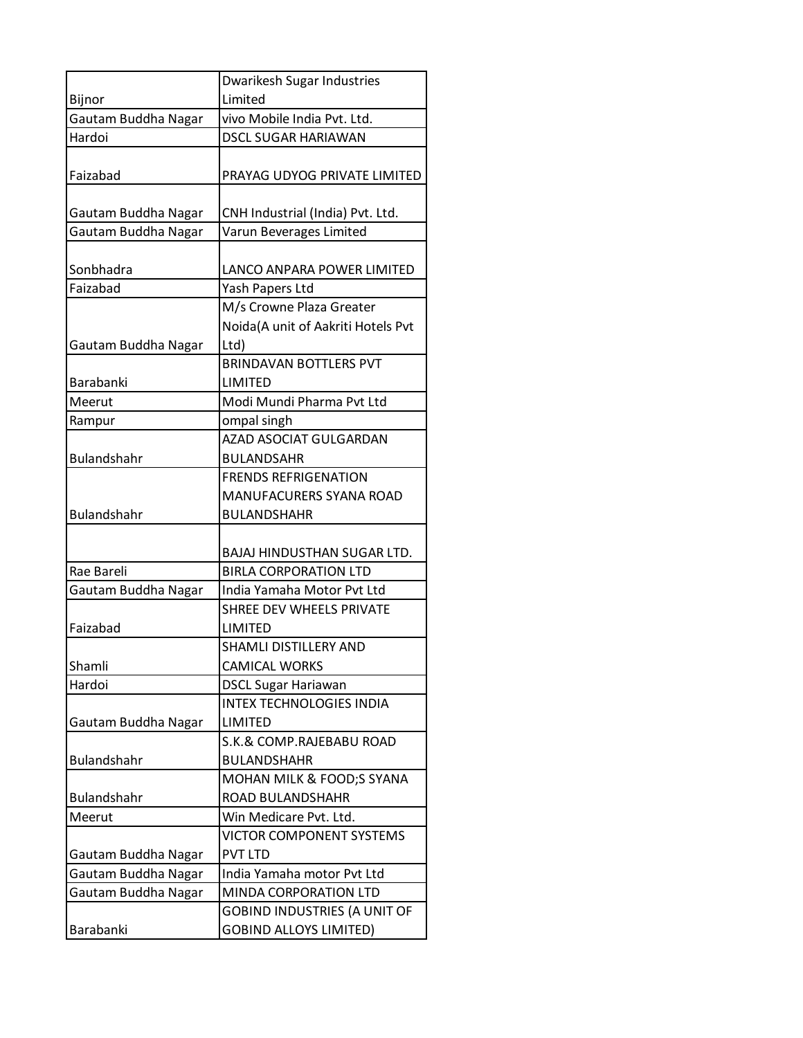|                     | Dwarikesh Sugar Industries          |
|---------------------|-------------------------------------|
| Bijnor              | Limited                             |
| Gautam Buddha Nagar | vivo Mobile India Pvt. Ltd.         |
| Hardoi              | <b>DSCL SUGAR HARIAWAN</b>          |
|                     |                                     |
| Faizabad            | PRAYAG UDYOG PRIVATE LIMITED        |
|                     |                                     |
| Gautam Buddha Nagar | CNH Industrial (India) Pvt. Ltd.    |
| Gautam Buddha Nagar | Varun Beverages Limited             |
|                     |                                     |
| Sonbhadra           | LANCO ANPARA POWER LIMITED          |
| Faizabad            | Yash Papers Ltd                     |
|                     | M/s Crowne Plaza Greater            |
|                     | Noida(A unit of Aakriti Hotels Pvt  |
| Gautam Buddha Nagar | Ltd)                                |
|                     | <b>BRINDAVAN BOTTLERS PVT</b>       |
| <b>Barabanki</b>    | LIMITED                             |
| Meerut              | Modi Mundi Pharma Pvt Ltd           |
| Rampur              | ompal singh                         |
|                     | AZAD ASOCIAT GULGARDAN              |
| <b>Bulandshahr</b>  | <b>BULANDSAHR</b>                   |
|                     | <b>FRENDS REFRIGENATION</b>         |
|                     | MANUFACURERS SYANA ROAD             |
| <b>Bulandshahr</b>  | <b>BULANDSHAHR</b>                  |
|                     |                                     |
|                     | <b>BAJAJ HINDUSTHAN SUGAR LTD.</b>  |
| Rae Bareli          | <b>BIRLA CORPORATION LTD</b>        |
| Gautam Buddha Nagar | India Yamaha Motor Pvt Ltd          |
|                     | SHREE DEV WHEELS PRIVATE            |
| Faizabad            | LIMITED                             |
|                     | <b>SHAMLI DISTILLERY AND</b>        |
| Shamli              | <b>CAMICAL WORKS</b>                |
| Hardoi              | <b>DSCL Sugar Hariawan</b>          |
|                     | <b>INTEX TECHNOLOGIES INDIA</b>     |
| Gautam Buddha Nagar | LIMITED                             |
|                     | S.K.& COMP.RAJEBABU ROAD            |
| <b>Bulandshahr</b>  | <b>BULANDSHAHR</b>                  |
|                     | MOHAN MILK & FOOD;S SYANA           |
| Bulandshahr         | ROAD BULANDSHAHR                    |
| Meerut              | Win Medicare Pvt. Ltd.              |
|                     | <b>VICTOR COMPONENT SYSTEMS</b>     |
| Gautam Buddha Nagar | <b>PVT LTD</b>                      |
| Gautam Buddha Nagar | India Yamaha motor Pvt Ltd          |
| Gautam Buddha Nagar | MINDA CORPORATION LTD               |
|                     | <b>GOBIND INDUSTRIES (A UNIT OF</b> |
| Barabanki           | <b>GOBIND ALLOYS LIMITED)</b>       |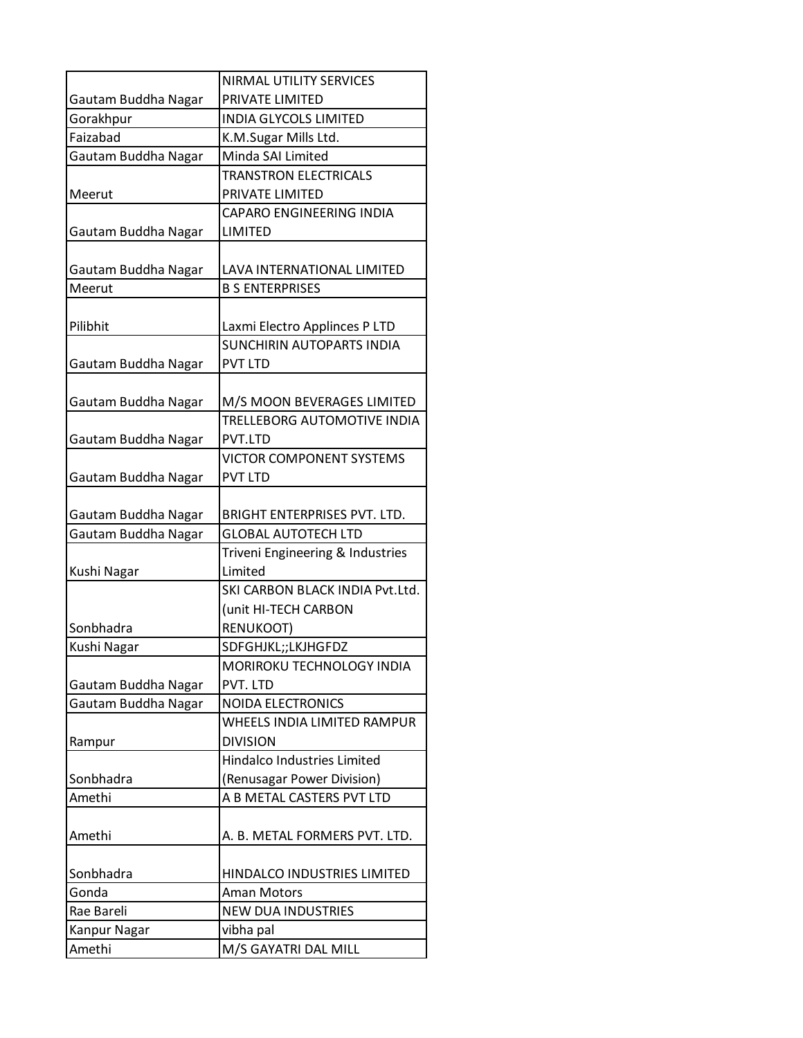|                     | <b>NIRMAL UTILITY SERVICES</b>                             |
|---------------------|------------------------------------------------------------|
| Gautam Buddha Nagar | PRIVATE LIMITED                                            |
| Gorakhpur           | <b>INDIA GLYCOLS LIMITED</b>                               |
| Faizabad            | K.M.Sugar Mills Ltd.                                       |
| Gautam Buddha Nagar | Minda SAI Limited                                          |
|                     | <b>TRANSTRON ELECTRICALS</b>                               |
| Meerut              | PRIVATE LIMITED                                            |
|                     | CAPARO ENGINEERING INDIA                                   |
| Gautam Buddha Nagar | LIMITED                                                    |
|                     |                                                            |
| Gautam Buddha Nagar | LAVA INTERNATIONAL LIMITED                                 |
| Meerut              | <b>B S ENTERPRISES</b>                                     |
|                     |                                                            |
| Pilibhit            | Laxmi Electro Applinces P LTD                              |
|                     | <b>SUNCHIRIN AUTOPARTS INDIA</b>                           |
| Gautam Buddha Nagar | <b>PVT LTD</b>                                             |
|                     |                                                            |
| Gautam Buddha Nagar | M/S MOON BEVERAGES LIMITED                                 |
|                     | TRELLEBORG AUTOMOTIVE INDIA                                |
| Gautam Buddha Nagar | PVT.LTD                                                    |
|                     | VICTOR COMPONENT SYSTEMS                                   |
| Gautam Buddha Nagar | <b>PVT LTD</b>                                             |
|                     |                                                            |
| Gautam Buddha Nagar | BRIGHT ENTERPRISES PVT. LTD.<br><b>GLOBAL AUTOTECH LTD</b> |
| Gautam Buddha Nagar | Triveni Engineering & Industries                           |
| Kushi Nagar         | Limited                                                    |
|                     | SKI CARBON BLACK INDIA Pvt.Ltd.                            |
|                     | (unit HI-TECH CARBON                                       |
| Sonbhadra           | RENUKOOT)                                                  |
| Kushi Nagar         | SDFGHJKL;;LKJHGFDZ                                         |
|                     | MORIROKU TECHNOLOGY INDIA                                  |
| Gautam Buddha Nagar | PVT. LTD                                                   |
| Gautam Buddha Nagar | <b>NOIDA ELECTRONICS</b>                                   |
|                     | WHEELS INDIA LIMITED RAMPUR                                |
| Rampur              | <b>DIVISION</b>                                            |
|                     | <b>Hindalco Industries Limited</b>                         |
| Sonbhadra           | (Renusagar Power Division)                                 |
| Amethi              | A B METAL CASTERS PVT LTD                                  |
|                     |                                                            |
| Amethi              | A. B. METAL FORMERS PVT. LTD.                              |
|                     |                                                            |
| Sonbhadra           | HINDALCO INDUSTRIES LIMITED                                |
| Gonda               | <b>Aman Motors</b>                                         |
| Rae Bareli          | <b>NEW DUA INDUSTRIES</b>                                  |
| Kanpur Nagar        | vibha pal                                                  |
| Amethi              | M/S GAYATRI DAL MILL                                       |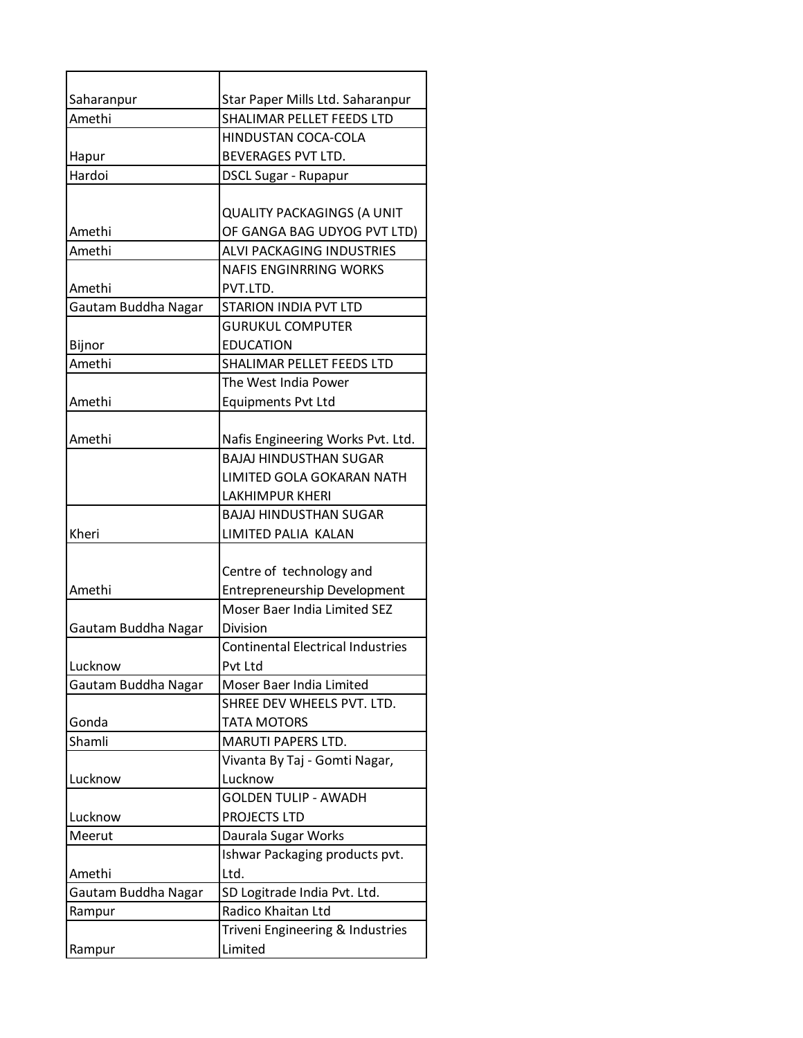| Saharanpur          | Star Paper Mills Ltd. Saharanpur         |
|---------------------|------------------------------------------|
| Amethi              | SHALIMAR PELLET FEEDS LTD                |
|                     | HINDUSTAN COCA-COLA                      |
| Hapur               | <b>BEVERAGES PVT LTD.</b>                |
| Hardoi              | <b>DSCL Sugar - Rupapur</b>              |
|                     |                                          |
|                     | <b>QUALITY PACKAGINGS (A UNIT</b>        |
| Amethi              | OF GANGA BAG UDYOG PVT LTD)              |
| Amethi              | ALVI PACKAGING INDUSTRIES                |
|                     | <b>NAFIS ENGINRRING WORKS</b>            |
| Amethi              | PVT.LTD.                                 |
| Gautam Buddha Nagar | <b>STARION INDIA PVT LTD</b>             |
|                     | <b>GURUKUL COMPUTER</b>                  |
| Bijnor              | <b>EDUCATION</b>                         |
| Amethi              | SHALIMAR PELLET FEEDS LTD                |
|                     | The West India Power                     |
| Amethi              | <b>Equipments Pvt Ltd</b>                |
|                     |                                          |
| Amethi              | Nafis Engineering Works Pvt. Ltd.        |
|                     | <b>BAJAJ HINDUSTHAN SUGAR</b>            |
|                     | LIMITED GOLA GOKARAN NATH                |
|                     | <b>LAKHIMPUR KHERI</b>                   |
|                     | <b>BAJAJ HINDUSTHAN SUGAR</b>            |
| Kheri               | LIMITED PALIA KALAN                      |
|                     |                                          |
|                     | Centre of technology and                 |
| Amethi              | <b>Entrepreneurship Development</b>      |
|                     | Moser Baer India Limited SEZ             |
| Gautam Buddha Nagar | <b>Division</b>                          |
|                     | <b>Continental Electrical Industries</b> |
| Lucknow             | Pvt Ltd                                  |
| Gautam Buddha Nagar | Moser Baer India Limited                 |
|                     | SHREE DEV WHEELS PVT. LTD.               |
| Gonda               | <b>TATA MOTORS</b>                       |
| Shamli              | MARUTI PAPERS LTD.                       |
|                     | Vivanta By Taj - Gomti Nagar,            |
| Lucknow             | Lucknow                                  |
|                     | <b>GOLDEN TULIP - AWADH</b>              |
| Lucknow             | PROJECTS LTD                             |
| Meerut              | Daurala Sugar Works                      |
|                     | Ishwar Packaging products pvt.           |
| Amethi              | Ltd.                                     |
| Gautam Buddha Nagar | SD Logitrade India Pvt. Ltd.             |
| Rampur              | Radico Khaitan Ltd                       |
|                     | Triveni Engineering & Industries         |
| Rampur              | Limited                                  |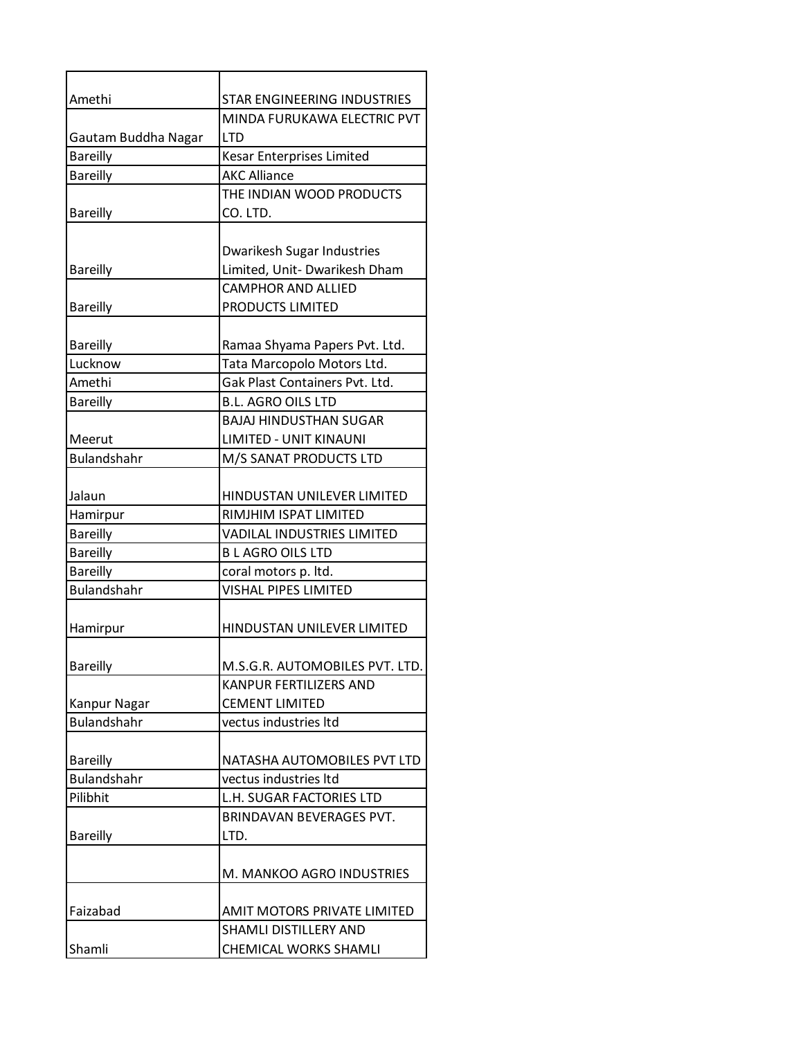| Amethi              | STAR ENGINEERING INDUSTRIES       |
|---------------------|-----------------------------------|
|                     | MINDA FURUKAWA ELECTRIC PVT       |
| Gautam Buddha Nagar | <b>LTD</b>                        |
| <b>Bareilly</b>     | Kesar Enterprises Limited         |
| <b>Bareilly</b>     | <b>AKC Alliance</b>               |
|                     | THE INDIAN WOOD PRODUCTS          |
| <b>Bareilly</b>     | CO. LTD.                          |
|                     |                                   |
|                     | Dwarikesh Sugar Industries        |
| <b>Bareilly</b>     | Limited, Unit- Dwarikesh Dham     |
|                     | <b>CAMPHOR AND ALLIED</b>         |
| <b>Bareilly</b>     | PRODUCTS LIMITED                  |
|                     |                                   |
| <b>Bareilly</b>     | Ramaa Shyama Papers Pvt. Ltd.     |
| Lucknow             | Tata Marcopolo Motors Ltd.        |
| Amethi              | Gak Plast Containers Pvt. Ltd.    |
| <b>Bareilly</b>     | <b>B.L. AGRO OILS LTD</b>         |
|                     | <b>BAJAJ HINDUSTHAN SUGAR</b>     |
| Meerut              | LIMITED - UNIT KINAUNI            |
| <b>Bulandshahr</b>  | M/S SANAT PRODUCTS LTD            |
|                     |                                   |
| Jalaun              | HINDUSTAN UNILEVER LIMITED        |
| Hamirpur            | RIMJHIM ISPAT LIMITED             |
| <b>Bareilly</b>     | <b>VADILAL INDUSTRIES LIMITED</b> |
| <b>Bareilly</b>     | <b>BLAGRO OILS LTD</b>            |
| <b>Bareilly</b>     | coral motors p. ltd.              |
| <b>Bulandshahr</b>  | <b>VISHAL PIPES LIMITED</b>       |
|                     |                                   |
| Hamirpur            | HINDUSTAN UNILEVER LIMITED        |
|                     |                                   |
| <b>Bareilly</b>     | M.S.G.R. AUTOMOBILES PVT. LTD.    |
|                     | KANPUR FERTILIZERS AND            |
| Kanpur Nagar        | <b>CEMENT LIMITED</b>             |
| <b>Bulandshahr</b>  | vectus industries Itd             |
|                     |                                   |
| <b>Bareilly</b>     | NATASHA AUTOMOBILES PVT LTD       |
| Bulandshahr         | vectus industries Itd             |
| Pilibhit            | L.H. SUGAR FACTORIES LTD          |
|                     | <b>BRINDAVAN BEVERAGES PVT.</b>   |
| <b>Bareilly</b>     | LTD.                              |
|                     |                                   |
|                     | M. MANKOO AGRO INDUSTRIES         |
|                     |                                   |
| Faizabad            | AMIT MOTORS PRIVATE LIMITED       |
|                     | SHAMLI DISTILLERY AND             |
| Shamli              | CHEMICAL WORKS SHAMLI             |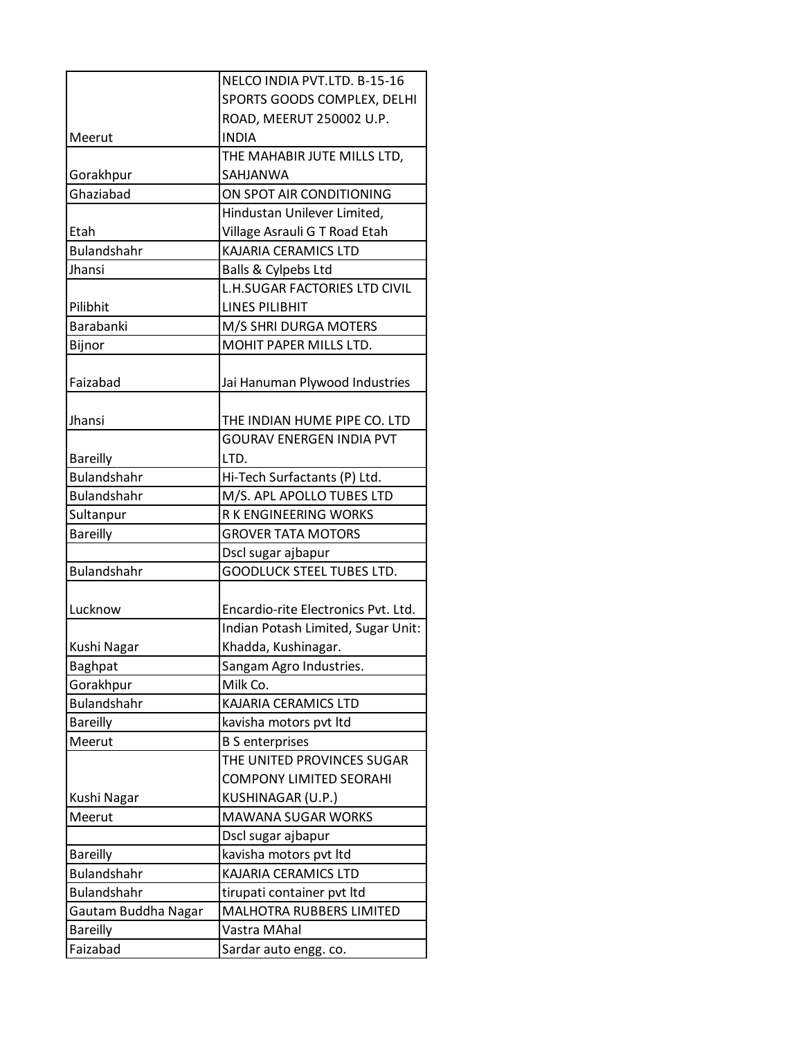|                     | NELCO INDIA PVT.LTD. B-15-16         |
|---------------------|--------------------------------------|
|                     | SPORTS GOODS COMPLEX, DELHI          |
|                     | ROAD, MEERUT 250002 U.P.             |
| Meerut              | <b>INDIA</b>                         |
|                     | THE MAHABIR JUTE MILLS LTD,          |
| Gorakhpur           | SAHJANWA                             |
| Ghaziabad           | ON SPOT AIR CONDITIONING             |
|                     | Hindustan Unilever Limited,          |
| Etah                | Village Asrauli G T Road Etah        |
| <b>Bulandshahr</b>  | <b>KAJARIA CERAMICS LTD</b>          |
| Jhansi              | Balls & Cylpebs Ltd                  |
|                     | <b>L.H.SUGAR FACTORIES LTD CIVIL</b> |
| Pilibhit            | <b>LINES PILIBHIT</b>                |
| Barabanki           | M/S SHRI DURGA MOTERS                |
| Bijnor              | MOHIT PAPER MILLS LTD.               |
|                     |                                      |
| Faizabad            | Jai Hanuman Plywood Industries       |
|                     |                                      |
| Jhansi              | THE INDIAN HUME PIPE CO. LTD         |
|                     | <b>GOURAV ENERGEN INDIA PVT</b>      |
| <b>Bareilly</b>     | LTD.                                 |
| <b>Bulandshahr</b>  | Hi-Tech Surfactants (P) Ltd.         |
| Bulandshahr         | M/S. APL APOLLO TUBES LTD            |
| Sultanpur           | R K ENGINEERING WORKS                |
| <b>Bareilly</b>     | <b>GROVER TATA MOTORS</b>            |
|                     | Dscl sugar ajbapur                   |
| Bulandshahr         | <b>GOODLUCK STEEL TUBES LTD.</b>     |
|                     |                                      |
| Lucknow             | Encardio-rite Electronics Pvt. Ltd.  |
|                     | Indian Potash Limited, Sugar Unit:   |
| Kushi Nagar         | Khadda, Kushinagar.                  |
| <b>Baghpat</b>      | Sangam Agro Industries.              |
| Gorakhpur           | Milk Co.                             |
| <b>Bulandshahr</b>  | KAJARIA CERAMICS LTD                 |
| <b>Bareilly</b>     | kavisha motors pvt ltd               |
| Meerut              | <b>B S enterprises</b>               |
|                     | THE UNITED PROVINCES SUGAR           |
|                     | <b>COMPONY LIMITED SEORAHI</b>       |
| Kushi Nagar         | KUSHINAGAR (U.P.)                    |
| Meerut              | <b>MAWANA SUGAR WORKS</b>            |
|                     | Dscl sugar ajbapur                   |
| <b>Bareilly</b>     | kavisha motors pvt ltd               |
| <b>Bulandshahr</b>  | KAJARIA CERAMICS LTD                 |
| <b>Bulandshahr</b>  | tirupati container pvt ltd           |
| Gautam Buddha Nagar | MALHOTRA RUBBERS LIMITED             |
| <b>Bareilly</b>     | Vastra MAhal                         |
| Faizabad            | Sardar auto engg. co.                |
|                     |                                      |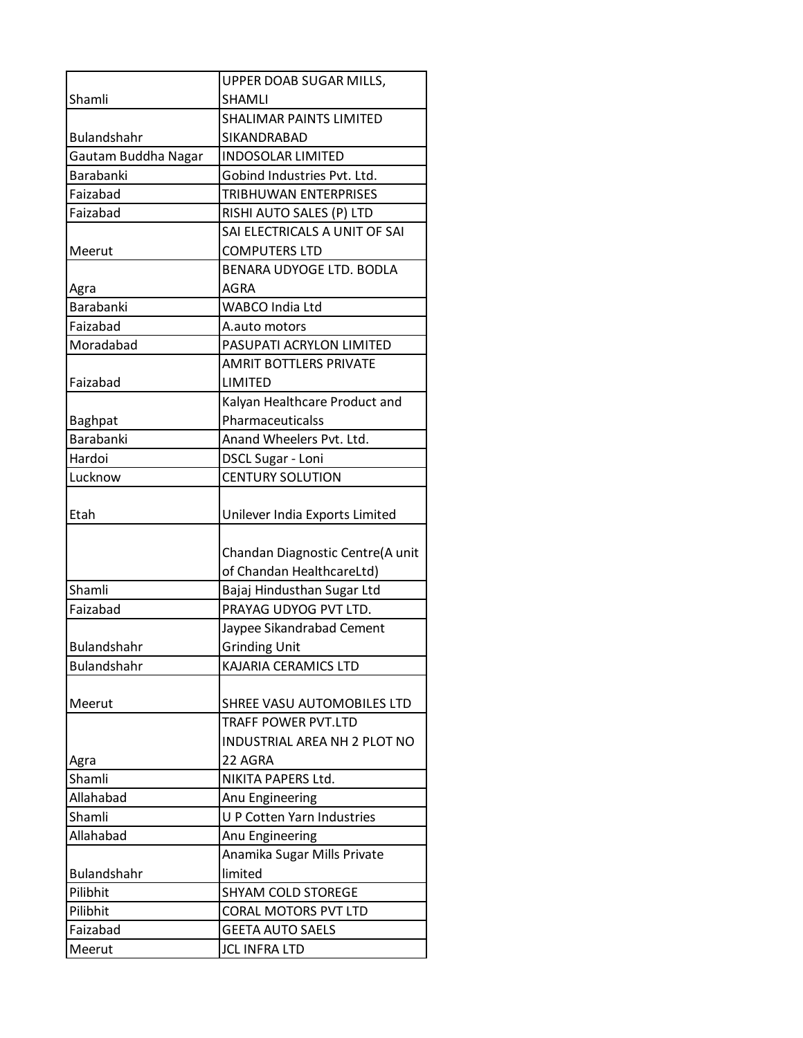|                     | UPPER DOAB SUGAR MILLS,             |
|---------------------|-------------------------------------|
| Shamli              | SHAMLI                              |
|                     | <b>SHALIMAR PAINTS LIMITED</b>      |
| <b>Bulandshahr</b>  | SIKANDRABAD                         |
| Gautam Buddha Nagar | <b>INDOSOLAR LIMITED</b>            |
| <b>Barabanki</b>    | Gobind Industries Pvt. Ltd.         |
| Faizabad            | TRIBHUWAN ENTERPRISES               |
| Faizabad            | RISHI AUTO SALES (P) LTD            |
|                     | SAI ELECTRICALS A UNIT OF SAI       |
| Meerut              | <b>COMPUTERS LTD</b>                |
|                     | BENARA UDYOGE LTD. BODLA            |
| Agra                | AGRA                                |
| <b>Barabanki</b>    | <b>WABCO India Ltd</b>              |
| Faizabad            | A.auto motors                       |
| Moradabad           | PASUPATI ACRYLON LIMITED            |
|                     | <b>AMRIT BOTTLERS PRIVATE</b>       |
| Faizabad            | LIMITED                             |
|                     | Kalyan Healthcare Product and       |
| <b>Baghpat</b>      | Pharmaceuticalss                    |
| Barabanki           | Anand Wheelers Pvt. Ltd.            |
| Hardoi              | <b>DSCL Sugar - Loni</b>            |
| Lucknow             | <b>CENTURY SOLUTION</b>             |
| Etah                | Unilever India Exports Limited      |
|                     |                                     |
|                     | Chandan Diagnostic Centre(A unit    |
|                     | of Chandan HealthcareLtd)           |
| Shamli              | Bajaj Hindusthan Sugar Ltd          |
| Faizabad            | PRAYAG UDYOG PVT LTD.               |
|                     | Jaypee Sikandrabad Cement           |
| Bulandshahr         | <b>Grinding Unit</b>                |
| <b>Bulandshahr</b>  | KAJARIA CERAMICS LTD                |
|                     |                                     |
| Meerut              | SHREE VASU AUTOMOBILES LTD          |
|                     | TRAFF POWER PVT.LTD                 |
|                     | <b>INDUSTRIAL AREA NH 2 PLOT NO</b> |
| Agra                | 22 AGRA                             |
| Shamli              | NIKITA PAPERS Ltd.                  |
| Allahabad           | Anu Engineering                     |
| Shamli              | <b>U P Cotten Yarn Industries</b>   |
| Allahabad           | Anu Engineering                     |
|                     | Anamika Sugar Mills Private         |
| Bulandshahr         | limited                             |
| Pilibhit            | <b>SHYAM COLD STOREGE</b>           |
| Pilibhit            | CORAL MOTORS PVT LTD                |
| Faizabad            | <b>GEETA AUTO SAELS</b>             |
| Meerut              | <b>JCL INFRA LTD</b>                |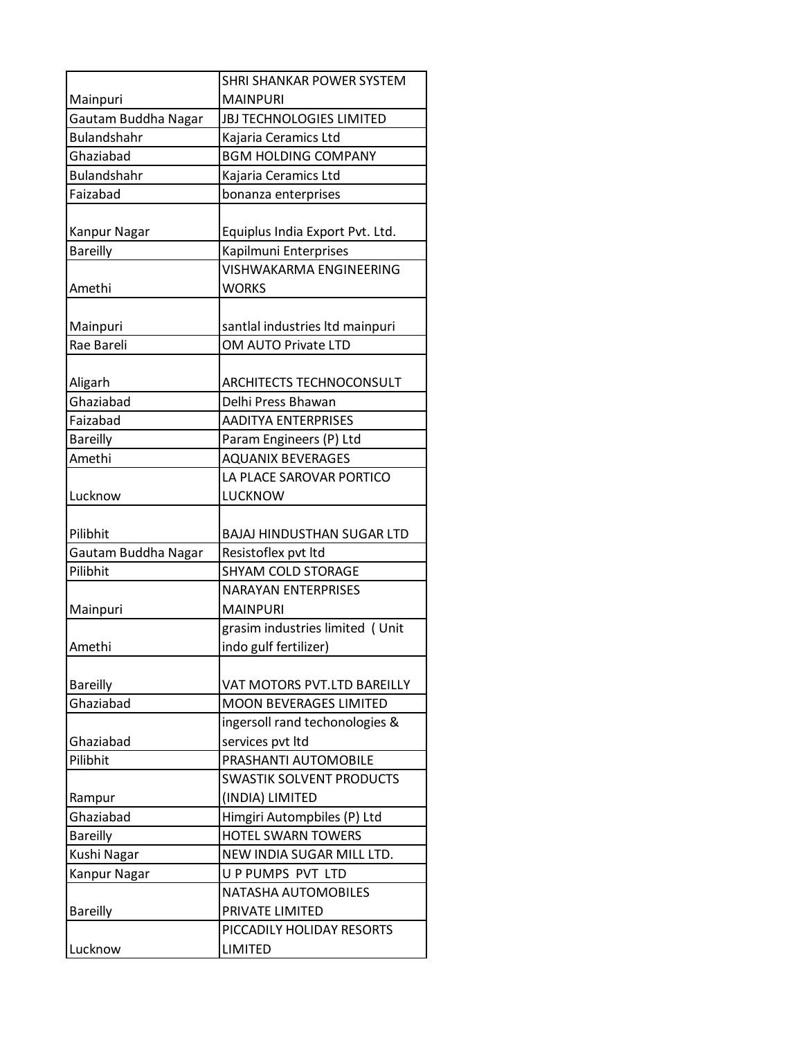|                     | SHRI SHANKAR POWER SYSTEM       |
|---------------------|---------------------------------|
| Mainpuri            | <b>MAINPURI</b>                 |
| Gautam Buddha Nagar | JBJ TECHNOLOGIES LIMITED        |
| <b>Bulandshahr</b>  | Kajaria Ceramics Ltd            |
| Ghaziabad           | <b>BGM HOLDING COMPANY</b>      |
| <b>Bulandshahr</b>  | Kajaria Ceramics Ltd            |
| Faizabad            | bonanza enterprises             |
|                     |                                 |
| Kanpur Nagar        | Equiplus India Export Pvt. Ltd. |
| <b>Bareilly</b>     | Kapilmuni Enterprises           |
|                     | <b>VISHWAKARMA ENGINEERING</b>  |
| Amethi              | <b>WORKS</b>                    |
|                     |                                 |
| Mainpuri            | santlal industries Itd mainpuri |
| Rae Bareli          | OM AUTO Private LTD             |
|                     |                                 |
| Aligarh             | ARCHITECTS TECHNOCONSULT        |
| Ghaziabad           | Delhi Press Bhawan              |
| Faizabad            | <b>AADITYA ENTERPRISES</b>      |
| <b>Bareilly</b>     | Param Engineers (P) Ltd         |
| Amethi              | <b>AQUANIX BEVERAGES</b>        |
|                     | LA PLACE SAROVAR PORTICO        |
| Lucknow             | LUCKNOW                         |
|                     |                                 |
| Pilibhit            | BAJAJ HINDUSTHAN SUGAR LTD      |
| Gautam Buddha Nagar | Resistoflex pvt ltd             |
| Pilibhit            | <b>SHYAM COLD STORAGE</b>       |
|                     | <b>NARAYAN ENTERPRISES</b>      |
| Mainpuri            | <b>MAINPURI</b>                 |
|                     | grasim industries limited (Unit |
| Amethi              | indo gulf fertilizer)           |
|                     |                                 |
| <b>Bareilly</b>     | VAT MOTORS PVT.LTD BAREILLY     |
| Ghaziabad           | <b>MOON BEVERAGES LIMITED</b>   |
|                     | ingersoll rand techonologies &  |
| Ghaziabad           | services pvt Itd                |
| Pilibhit            | PRASHANTI AUTOMOBILE            |
|                     | <b>SWASTIK SOLVENT PRODUCTS</b> |
| Rampur              | (INDIA) LIMITED                 |
| Ghaziabad           | Himgiri Autompbiles (P) Ltd     |
| <b>Bareilly</b>     | HOTEL SWARN TOWERS              |
| Kushi Nagar         | NEW INDIA SUGAR MILL LTD.       |
| Kanpur Nagar        | U P PUMPS PVT LTD               |
|                     | NATASHA AUTOMOBILES             |
| <b>Bareilly</b>     | PRIVATE LIMITED                 |
|                     | PICCADILY HOLIDAY RESORTS       |
| Lucknow             | <b>LIMITED</b>                  |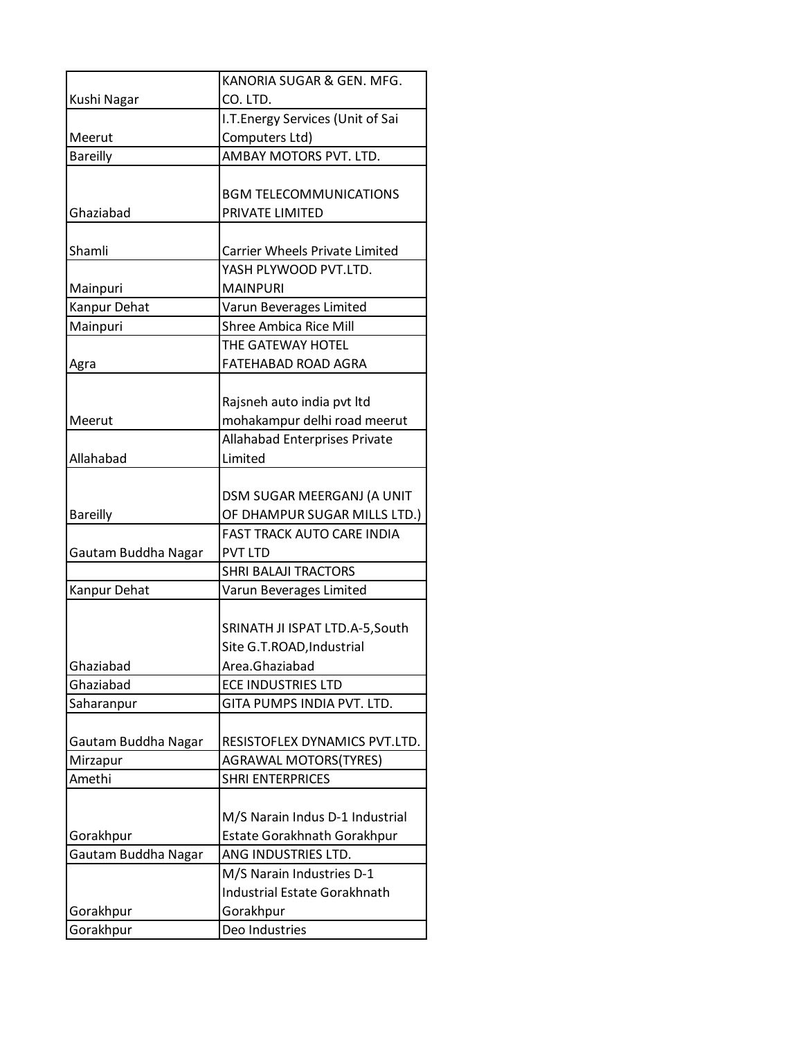|                     | KANORIA SUGAR & GEN. MFG.           |
|---------------------|-------------------------------------|
| Kushi Nagar         | CO. LTD.                            |
|                     | I.T. Energy Services (Unit of Sai   |
| Meerut              | Computers Ltd)                      |
| <b>Bareilly</b>     | AMBAY MOTORS PVT. LTD.              |
|                     |                                     |
|                     | <b>BGM TELECOMMUNICATIONS</b>       |
| Ghaziabad           | PRIVATE LIMITED                     |
|                     |                                     |
| Shamli              | Carrier Wheels Private Limited      |
|                     | YASH PLYWOOD PVT.LTD.               |
| Mainpuri            | <b>MAINPURI</b>                     |
| Kanpur Dehat        | Varun Beverages Limited             |
| Mainpuri            | <b>Shree Ambica Rice Mill</b>       |
|                     | THE GATEWAY HOTEL                   |
| Agra                | FATEHABAD ROAD AGRA                 |
|                     |                                     |
|                     | Rajsneh auto india pvt ltd          |
| Meerut              | mohakampur delhi road meerut        |
|                     | Allahabad Enterprises Private       |
| Allahabad           | Limited                             |
|                     |                                     |
|                     | DSM SUGAR MEERGANJ (A UNIT          |
| <b>Bareilly</b>     | OF DHAMPUR SUGAR MILLS LTD.)        |
|                     | <b>FAST TRACK AUTO CARE INDIA</b>   |
| Gautam Buddha Nagar | <b>PVT LTD</b>                      |
|                     | <b>SHRI BALAJI TRACTORS</b>         |
| Kanpur Dehat        | Varun Beverages Limited             |
|                     |                                     |
|                     | SRINATH JI ISPAT LTD.A-5, South     |
|                     | Site G.T.ROAD, Industrial           |
| Ghaziabad           | Area.Ghaziabad                      |
| Ghaziabad           | <b>ECE INDUSTRIES LTD</b>           |
| Saharanpur          | GITA PUMPS INDIA PVT. LTD.          |
|                     |                                     |
| Gautam Buddha Nagar | RESISTOFLEX DYNAMICS PVT.LTD.       |
| Mirzapur            | AGRAWAL MOTORS(TYRES)               |
| Amethi              | <b>SHRI ENTERPRICES</b>             |
|                     |                                     |
|                     | M/S Narain Indus D-1 Industrial     |
| Gorakhpur           | Estate Gorakhnath Gorakhpur         |
| Gautam Buddha Nagar | ANG INDUSTRIES LTD.                 |
|                     | M/S Narain Industries D-1           |
|                     | <b>Industrial Estate Gorakhnath</b> |
| Gorakhpur           | Gorakhpur                           |
| Gorakhpur           | Deo Industries                      |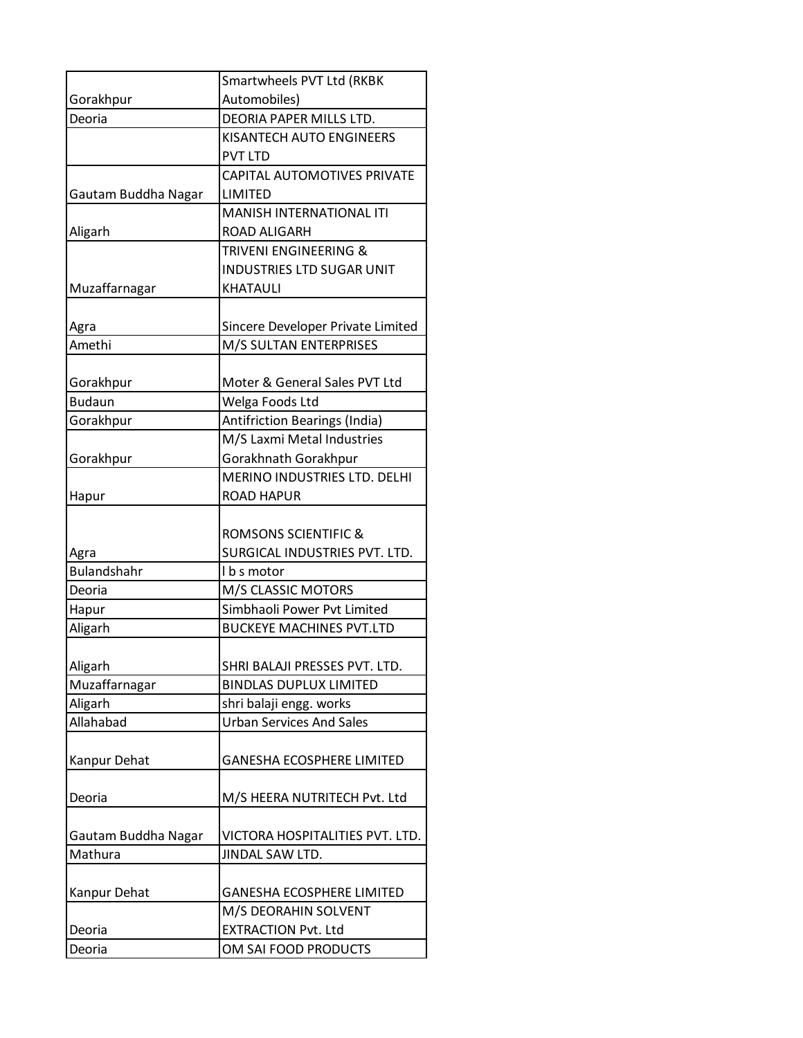|                            | Smartwheels PVT Ltd (RKBK                         |
|----------------------------|---------------------------------------------------|
| Gorakhpur                  | Automobiles)                                      |
| Deoria                     | DEORIA PAPER MILLS LTD.                           |
|                            | KISANTECH AUTO ENGINEERS                          |
|                            | <b>PVT LTD</b>                                    |
|                            | <b>CAPITAL AUTOMOTIVES PRIVATE</b>                |
| Gautam Buddha Nagar        | LIMITED                                           |
|                            | MANISH INTERNATIONAL ITI                          |
| Aligarh                    | <b>ROAD ALIGARH</b>                               |
|                            | TRIVENI ENGINEERING &                             |
|                            | INDUSTRIES LTD SUGAR UNIT                         |
| Muzaffarnagar              | KHATAULI                                          |
|                            |                                                   |
| Agra                       | Sincere Developer Private Limited                 |
| Amethi                     | M/S SULTAN ENTERPRISES                            |
|                            |                                                   |
| Gorakhpur                  | Moter & General Sales PVT Ltd                     |
| <b>Budaun</b>              | Welga Foods Ltd                                   |
| Gorakhpur                  | Antifriction Bearings (India)                     |
|                            | M/S Laxmi Metal Industries                        |
| Gorakhpur                  | Gorakhnath Gorakhpur                              |
|                            | MERINO INDUSTRIES LTD. DELHI                      |
| Hapur                      | <b>ROAD HAPUR</b>                                 |
|                            |                                                   |
|                            | <b>ROMSONS SCIENTIFIC &amp;</b>                   |
| Agra<br><b>Bulandshahr</b> | SURGICAL INDUSTRIES PVT. LTD.                     |
|                            | I b s motor                                       |
| Deoria                     | M/S CLASSIC MOTORS<br>Simbhaoli Power Pvt Limited |
| Hapur<br>Aligarh           |                                                   |
|                            | <b>BUCKEYE MACHINES PVT.LTD</b>                   |
| Aligarh                    | SHRI BALAJI PRESSES PVT. LTD.                     |
| Muzaffarnagar              | <b>BINDLAS DUPLUX LIMITED</b>                     |
| Aligarh                    | shri balaji engg. works                           |
| Allahabad                  | <b>Urban Services And Sales</b>                   |
|                            |                                                   |
| Kanpur Dehat               | <b>GANESHA ECOSPHERE LIMITED</b>                  |
|                            |                                                   |
| Deoria                     | M/S HEERA NUTRITECH Pvt. Ltd                      |
|                            |                                                   |
| Gautam Buddha Nagar        | VICTORA HOSPITALITIES PVT. LTD.                   |
| Mathura                    | JINDAL SAW LTD.                                   |
|                            |                                                   |
| Kanpur Dehat               | <b>GANESHA ECOSPHERE LIMITED</b>                  |
|                            | M/S DEORAHIN SOLVENT                              |
| Deoria                     | <b>EXTRACTION Pvt. Ltd</b>                        |
|                            |                                                   |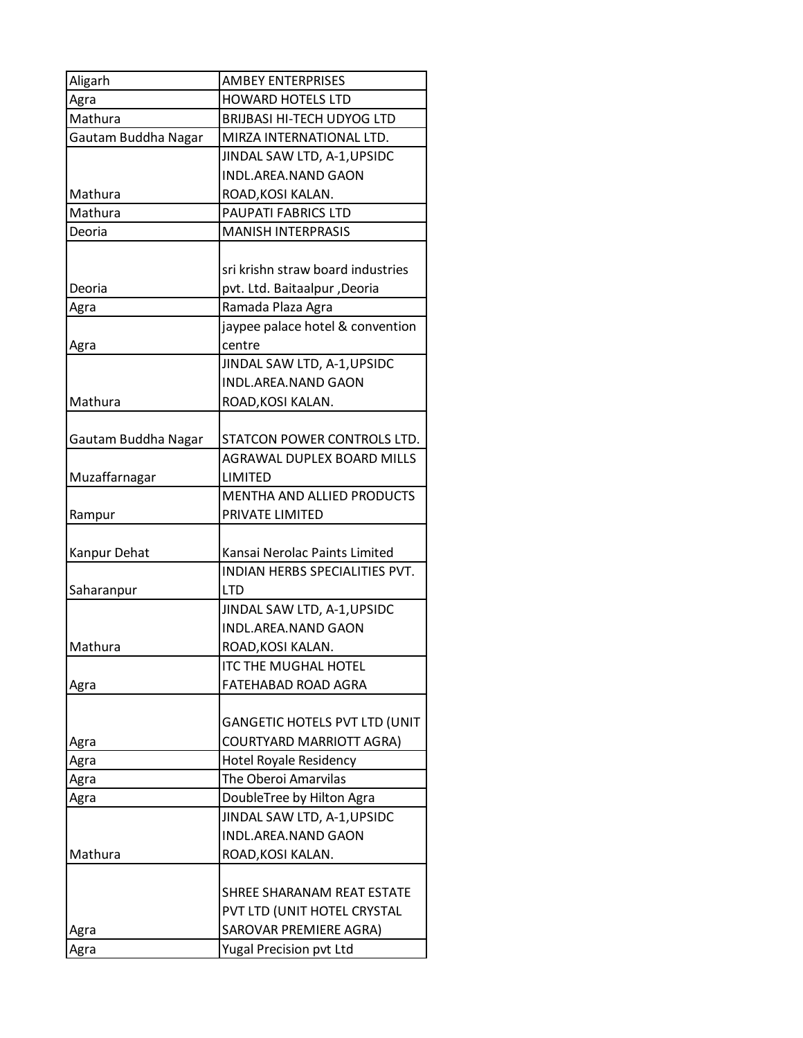| Aligarh             | <b>AMBEY ENTERPRISES</b>             |
|---------------------|--------------------------------------|
| Agra                | <b>HOWARD HOTELS LTD</b>             |
| Mathura             | <b>BRIJBASI HI-TECH UDYOG LTD</b>    |
| Gautam Buddha Nagar | MIRZA INTERNATIONAL LTD.             |
|                     | JINDAL SAW LTD, A-1, UPSIDC          |
|                     | INDL.AREA.NAND GAON                  |
| Mathura             | ROAD, KOSI KALAN.                    |
| Mathura             | PAUPATI FABRICS LTD                  |
| Deoria              | <b>MANISH INTERPRASIS</b>            |
|                     |                                      |
|                     | sri krishn straw board industries    |
| Deoria              | pvt. Ltd. Baitaalpur ,Deoria         |
| Agra                | Ramada Plaza Agra                    |
|                     | jaypee palace hotel & convention     |
| Agra                | centre                               |
|                     | JINDAL SAW LTD, A-1, UPSIDC          |
|                     | <b>INDL.AREA.NAND GAON</b>           |
| Mathura             | ROAD, KOSI KALAN.                    |
|                     |                                      |
| Gautam Buddha Nagar | STATCON POWER CONTROLS LTD.          |
|                     | AGRAWAL DUPLEX BOARD MILLS           |
| Muzaffarnagar       | LIMITED                              |
|                     | <b>MENTHA AND ALLIED PRODUCTS</b>    |
| Rampur              | PRIVATE LIMITED                      |
|                     |                                      |
| Kanpur Dehat        | Kansai Nerolac Paints Limited        |
|                     | INDIAN HERBS SPECIALITIES PVT.       |
| Saharanpur          | <b>LTD</b>                           |
|                     | JINDAL SAW LTD, A-1, UPSIDC          |
|                     | <b>INDL.AREA.NAND GAON</b>           |
| Mathura             | ROAD, KOSI KALAN.                    |
|                     | <b>ITC THE MUGHAL HOTEL</b>          |
| Agra                | <b>FATEHABAD ROAD AGRA</b>           |
|                     |                                      |
|                     | <b>GANGETIC HOTELS PVT LTD (UNIT</b> |
| Agra                | COURTYARD MARRIOTT AGRA)             |
| Agra                | Hotel Royale Residency               |
| Agra                | The Oberoi Amarvilas                 |
| Agra                | DoubleTree by Hilton Agra            |
|                     | JINDAL SAW LTD, A-1, UPSIDC          |
|                     | <b>INDL.AREA.NAND GAON</b>           |
| Mathura             | ROAD, KOSI KALAN.                    |
|                     |                                      |
|                     | SHREE SHARANAM REAT ESTATE           |
|                     | PVT LTD (UNIT HOTEL CRYSTAL          |
| Agra                | SAROVAR PREMIERE AGRA)               |
| Agra                | Yugal Precision pvt Ltd              |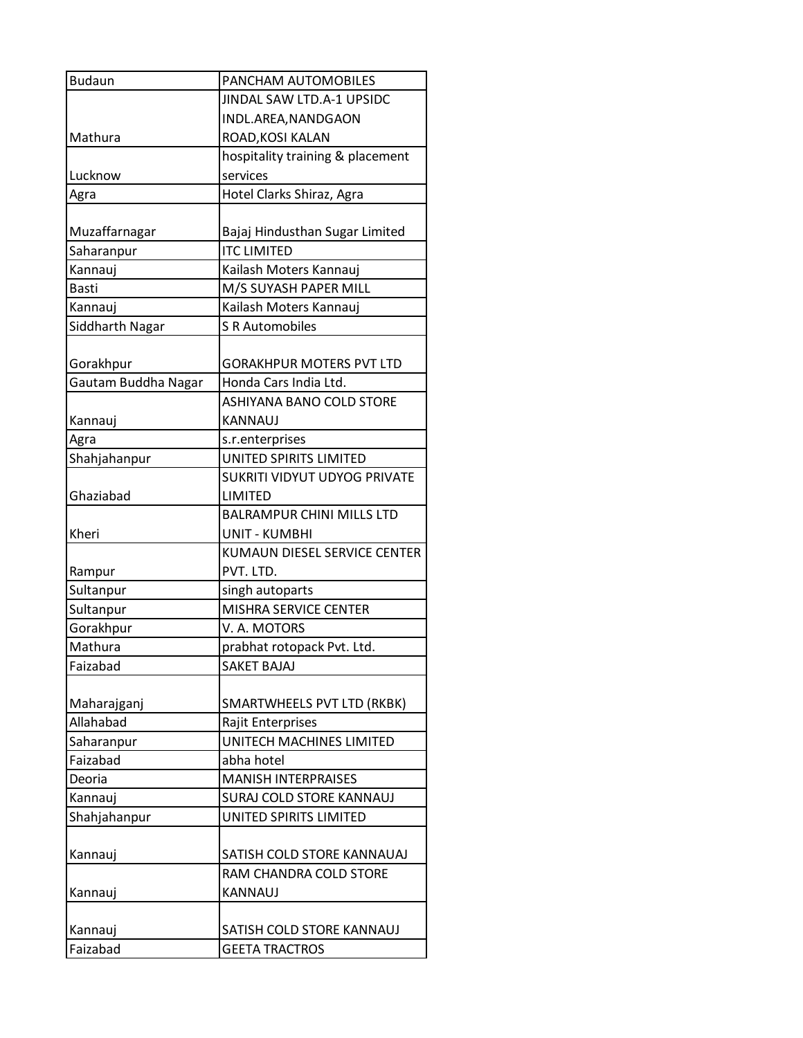| <b>Budaun</b>       | PANCHAM AUTOMOBILES                 |
|---------------------|-------------------------------------|
|                     | JINDAL SAW LTD.A-1 UPSIDC           |
|                     | INDL.AREA, NANDGAON                 |
| Mathura             | ROAD, KOSI KALAN                    |
|                     | hospitality training & placement    |
| Lucknow             | services                            |
| Agra                | Hotel Clarks Shiraz, Agra           |
|                     |                                     |
| Muzaffarnagar       | Bajaj Hindusthan Sugar Limited      |
| Saharanpur          | <b>ITC LIMITED</b>                  |
| Kannauj             | Kailash Moters Kannauj              |
| <b>Basti</b>        | M/S SUYASH PAPER MILL               |
| Kannauj             | Kailash Moters Kannauj              |
| Siddharth Nagar     | <b>S R Automobiles</b>              |
|                     |                                     |
| Gorakhpur           | <b>GORAKHPUR MOTERS PVT LTD</b>     |
| Gautam Buddha Nagar | Honda Cars India Ltd.               |
|                     | <b>ASHIYANA BANO COLD STORE</b>     |
| Kannauj             | <b>KANNAUJ</b>                      |
| Agra                | s.r.enterprises                     |
| Shahjahanpur        | UNITED SPIRITS LIMITED              |
|                     | <b>SUKRITI VIDYUT UDYOG PRIVATE</b> |
| Ghaziabad           | LIMITED                             |
|                     | <b>BALRAMPUR CHINI MILLS LTD</b>    |
| Kheri               | <b>UNIT - KUMBHI</b>                |
|                     | KUMAUN DIESEL SERVICE CENTER        |
| Rampur              | PVT. LTD.                           |
| Sultanpur           | singh autoparts                     |
| Sultanpur           | MISHRA SERVICE CENTER               |
| Gorakhpur           | V. A. MOTORS                        |
| Mathura             | prabhat rotopack Pvt. Ltd.          |
| Faizabad            | <b>SAKET BAJAJ</b>                  |
|                     |                                     |
| Maharajganj         | SMARTWHEELS PVT LTD (RKBK)          |
| Allahabad           | Rajit Enterprises                   |
| Saharanpur          | UNITECH MACHINES LIMITED            |
| Faizabad            | abha hotel                          |
| Deoria              | <b>MANISH INTERPRAISES</b>          |
| Kannauj             | SURAJ COLD STORE KANNAUJ            |
| Shahjahanpur        | UNITED SPIRITS LIMITED              |
|                     |                                     |
| Kannauj             | SATISH COLD STORE KANNAUAJ          |
|                     | RAM CHANDRA COLD STORE              |
| Kannauj             | KANNAUJ                             |
|                     |                                     |
| Kannauj             | SATISH COLD STORE KANNAUJ           |
| Faizabad            | <b>GEETA TRACTROS</b>               |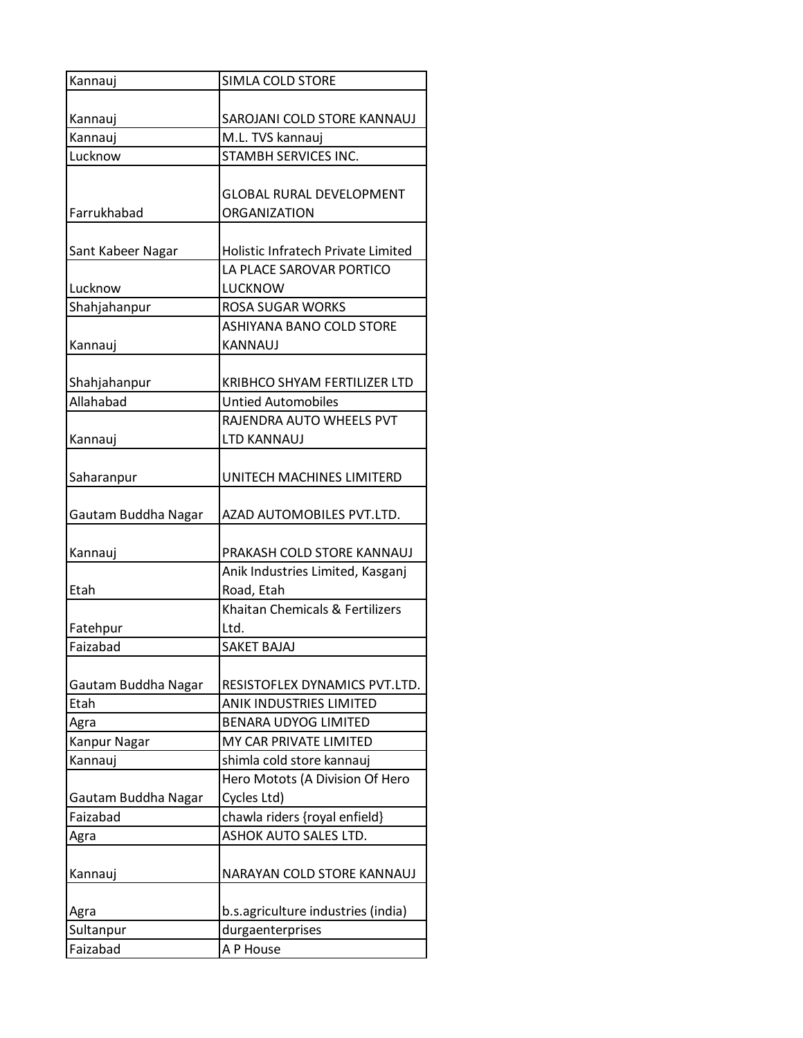| Kannauj             | SIMLA COLD STORE                   |
|---------------------|------------------------------------|
|                     |                                    |
| Kannauj             | SAROJANI COLD STORE KANNAUJ        |
| Kannauj             | M.L. TVS kannauj                   |
| Lucknow             | STAMBH SERVICES INC.               |
|                     |                                    |
|                     | <b>GLOBAL RURAL DEVELOPMENT</b>    |
| Farrukhabad         | <b>ORGANIZATION</b>                |
|                     |                                    |
| Sant Kabeer Nagar   | Holistic Infratech Private Limited |
|                     | LA PLACE SAROVAR PORTICO           |
| Lucknow             | LUCKNOW                            |
| Shahjahanpur        | <b>ROSA SUGAR WORKS</b>            |
|                     | ASHIYANA BANO COLD STORE           |
| Kannauj             | <b>KANNAUJ</b>                     |
|                     |                                    |
| Shahjahanpur        | KRIBHCO SHYAM FERTILIZER LTD       |
| Allahabad           | <b>Untied Automobiles</b>          |
|                     | RAJENDRA AUTO WHEELS PVT           |
| Kannauj             | <b>LTD KANNAUJ</b>                 |
|                     |                                    |
| Saharanpur          | UNITECH MACHINES LIMITERD          |
|                     |                                    |
| Gautam Buddha Nagar | AZAD AUTOMOBILES PVT.LTD.          |
| Kannauj             | PRAKASH COLD STORE KANNAUJ         |
|                     | Anik Industries Limited, Kasganj   |
| Etah                | Road, Etah                         |
|                     | Khaitan Chemicals & Fertilizers    |
| Fatehpur            | Ltd.                               |
| Faizabad            | <b>SAKET BAJAJ</b>                 |
|                     |                                    |
| Gautam Buddha Nagar | RESISTOFLEX DYNAMICS PVT.LTD.      |
| Etah                | <b>ANIK INDUSTRIES LIMITED</b>     |
| Agra                | <b>BENARA UDYOG LIMITED</b>        |
| Kanpur Nagar        | MY CAR PRIVATE LIMITED             |
| Kannauj             | shimla cold store kannauj          |
|                     | Hero Motots (A Division Of Hero    |
| Gautam Buddha Nagar | Cycles Ltd)                        |
| Faizabad            | chawla riders {royal enfield}      |
| Agra                | ASHOK AUTO SALES LTD.              |
|                     |                                    |
| Kannauj             | NARAYAN COLD STORE KANNAUJ         |
|                     |                                    |
| Agra                | b.s.agriculture industries (india) |
| Sultanpur           | durgaenterprises                   |
| Faizabad            | A P House                          |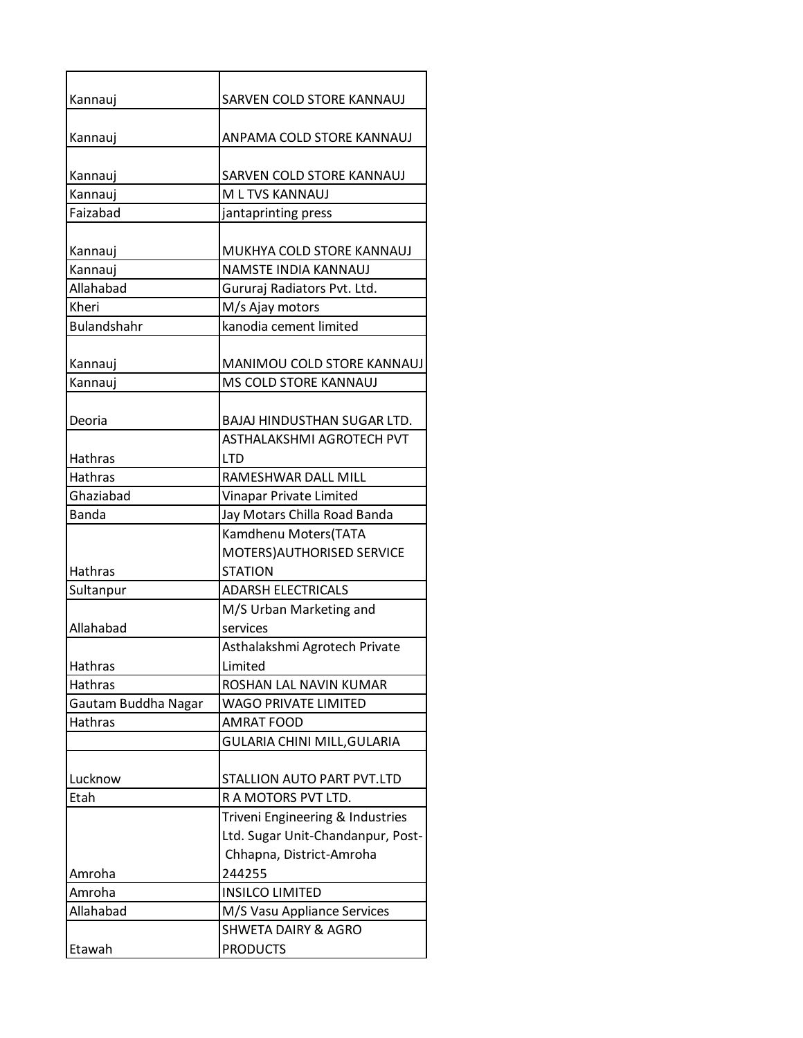| Kannauj             | SARVEN COLD STORE KANNAUJ                           |
|---------------------|-----------------------------------------------------|
| Kannauj             | ANPAMA COLD STORE KANNAUJ                           |
| Kannauj             | SARVEN COLD STORE KANNAUJ                           |
| Kannauj             | M L TVS KANNAUJ                                     |
| Faizabad            | jantaprinting press                                 |
| Kannauj             | MUKHYA COLD STORE KANNAUJ                           |
| Kannauj             | NAMSTE INDIA KANNAUJ                                |
| Allahabad           | Gururaj Radiators Pvt. Ltd.                         |
| Kheri               | M/s Ajay motors                                     |
| <b>Bulandshahr</b>  | kanodia cement limited                              |
| Kannauj<br>Kannauj  | MANIMOU COLD STORE KANNAUJ<br>MS COLD STORE KANNAUJ |
|                     |                                                     |
| Deoria              | BAJAJ HINDUSTHAN SUGAR LTD.                         |
|                     | ASTHALAKSHMI AGROTECH PVT                           |
| <b>Hathras</b>      | <b>LTD</b>                                          |
| <b>Hathras</b>      | RAMESHWAR DALL MILL                                 |
| Ghaziabad           | Vinapar Private Limited                             |
| <b>Banda</b>        | Jay Motars Chilla Road Banda                        |
|                     | Kamdhenu Moters(TATA                                |
|                     | MOTERS) AUTHORISED SERVICE                          |
| <b>Hathras</b>      | <b>STATION</b>                                      |
| Sultanpur           | <b>ADARSH ELECTRICALS</b>                           |
|                     | M/S Urban Marketing and                             |
| Allahabad           | services                                            |
|                     | Asthalakshmi Agrotech Private                       |
| <b>Hathras</b>      | Limited                                             |
| Hathras             | ROSHAN LAL NAVIN KUMAR                              |
| Gautam Buddha Nagar | <b>WAGO PRIVATE LIMITED</b>                         |
| Hathras             | <b>AMRAT FOOD</b>                                   |
|                     | GULARIA CHINI MILL, GULARIA                         |
|                     |                                                     |
| Lucknow             | STALLION AUTO PART PVT.LTD                          |
| Etah                | R A MOTORS PVT LTD.                                 |
|                     | Triveni Engineering & Industries                    |
|                     | Ltd. Sugar Unit-Chandanpur, Post-                   |
|                     | Chhapna, District-Amroha                            |
| Amroha              | 244255                                              |
| Amroha              | <b>INSILCO LIMITED</b>                              |
| Allahabad           | M/S Vasu Appliance Services                         |
|                     | <b>SHWETA DAIRY &amp; AGRO</b>                      |
| Etawah              | <b>PRODUCTS</b>                                     |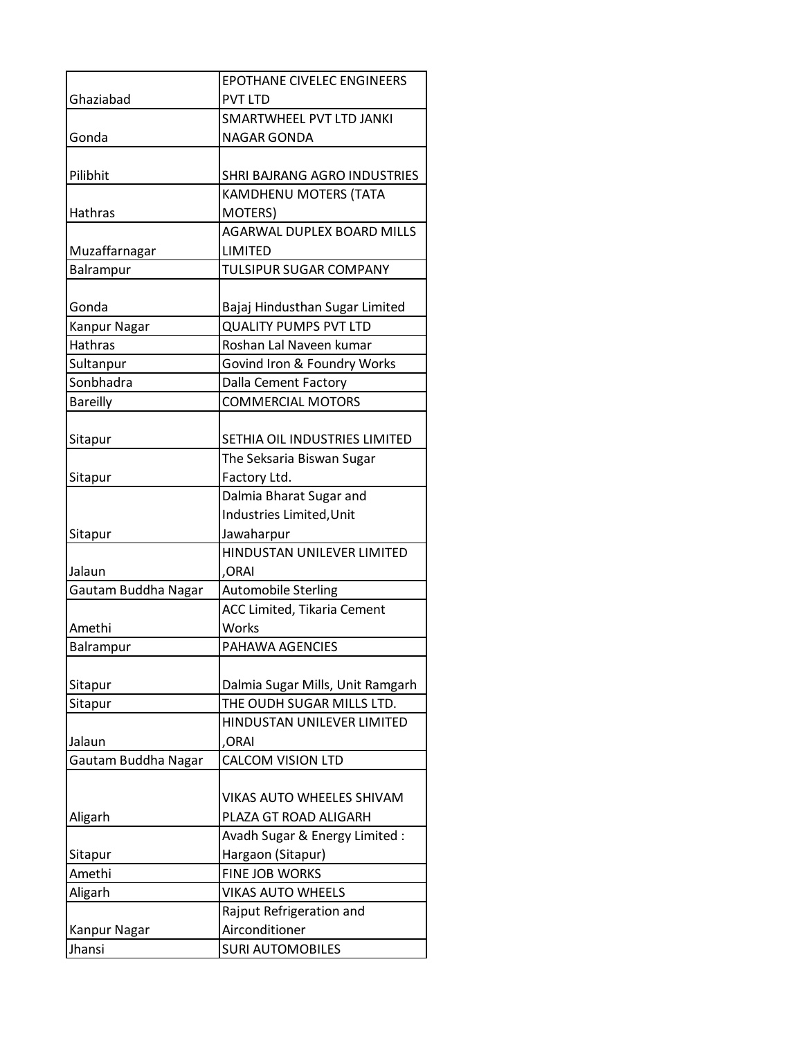|                     | <b>EPOTHANE CIVELEC ENGINEERS</b>  |
|---------------------|------------------------------------|
| Ghaziabad           | <b>PVT LTD</b>                     |
|                     | SMARTWHEEL PVT LTD JANKI           |
| Gonda               | <b>NAGAR GONDA</b>                 |
|                     |                                    |
| Pilibhit            | SHRI BAJRANG AGRO INDUSTRIES       |
|                     | KAMDHENU MOTERS (TATA              |
| Hathras             | <b>MOTERS)</b>                     |
|                     | AGARWAL DUPLEX BOARD MILLS         |
| Muzaffarnagar       | LIMITED                            |
| Balrampur           | <b>TULSIPUR SUGAR COMPANY</b>      |
|                     |                                    |
| Gonda               | Bajaj Hindusthan Sugar Limited     |
| Kanpur Nagar        | <b>QUALITY PUMPS PVT LTD</b>       |
| <b>Hathras</b>      | Roshan Lal Naveen kumar            |
| Sultanpur           | Govind Iron & Foundry Works        |
| Sonbhadra           | Dalla Cement Factory               |
| <b>Bareilly</b>     | <b>COMMERCIAL MOTORS</b>           |
|                     |                                    |
| Sitapur             | SETHIA OIL INDUSTRIES LIMITED      |
|                     | The Seksaria Biswan Sugar          |
| Sitapur             | Factory Ltd.                       |
|                     | Dalmia Bharat Sugar and            |
|                     | Industries Limited, Unit           |
| Sitapur             | Jawaharpur                         |
|                     | HINDUSTAN UNILEVER LIMITED         |
| Jalaun              | ,ORAI                              |
| Gautam Buddha Nagar | <b>Automobile Sterling</b>         |
|                     | <b>ACC Limited, Tikaria Cement</b> |
| Amethi              | Works<br>PAHAWA AGENCIES           |
| Balrampur           |                                    |
| Sitapur             | Dalmia Sugar Mills, Unit Ramgarh   |
| Sitapur             | THE OUDH SUGAR MILLS LTD.          |
|                     | HINDUSTAN UNILEVER LIMITED         |
| Jalaun              | ,ORAI                              |
| Gautam Buddha Nagar | <b>CALCOM VISION LTD</b>           |
|                     |                                    |
|                     | VIKAS AUTO WHEELES SHIVAM          |
| Aligarh             | PLAZA GT ROAD ALIGARH              |
|                     | Avadh Sugar & Energy Limited :     |
| Sitapur             | Hargaon (Sitapur)                  |
| Amethi              | <b>FINE JOB WORKS</b>              |
| Aligarh             | <b>VIKAS AUTO WHEELS</b>           |
|                     | Rajput Refrigeration and           |
| Kanpur Nagar        | Airconditioner                     |
| Jhansi              | <b>SURI AUTOMOBILES</b>            |
|                     |                                    |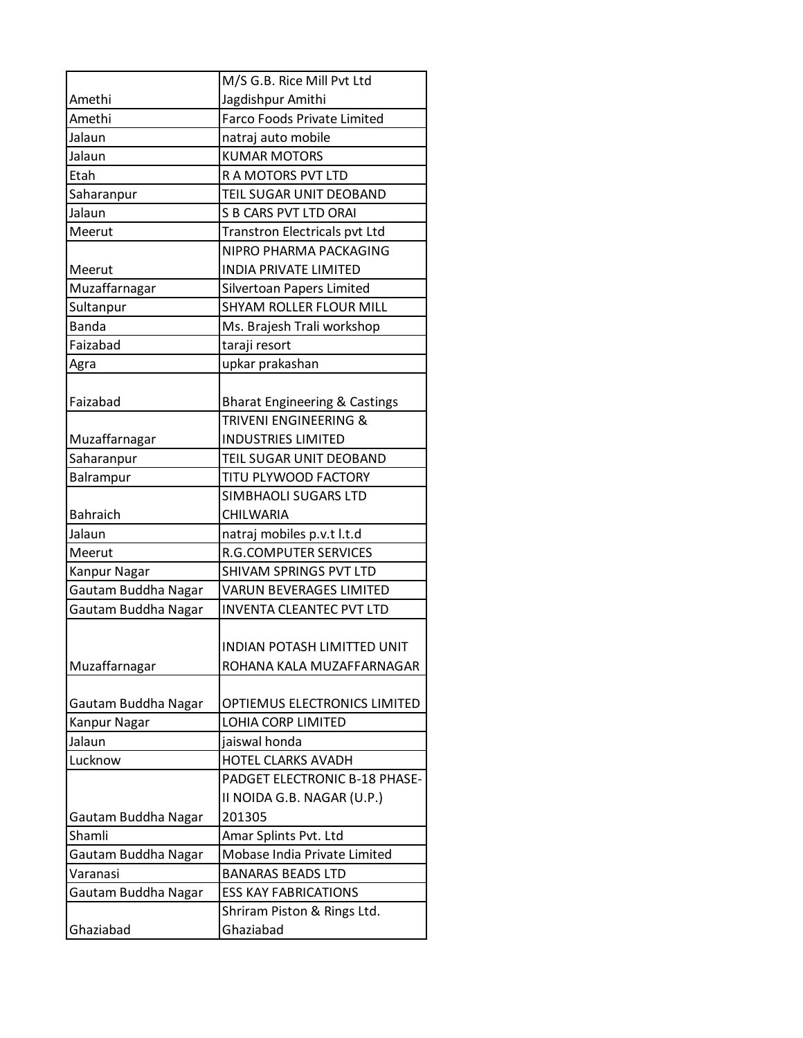|                     | M/S G.B. Rice Mill Pvt Ltd               |
|---------------------|------------------------------------------|
| Amethi              | Jagdishpur Amithi                        |
| Amethi              | <b>Farco Foods Private Limited</b>       |
| Jalaun              | natraj auto mobile                       |
| Jalaun              | <b>KUMAR MOTORS</b>                      |
| Etah                | R A MOTORS PVT LTD                       |
| Saharanpur          | TEIL SUGAR UNIT DEOBAND                  |
| Jalaun              | <b>S B CARS PVT LTD ORAI</b>             |
| Meerut              | Transtron Electricals pvt Ltd            |
|                     | NIPRO PHARMA PACKAGING                   |
| Meerut              | <b>INDIA PRIVATE LIMITED</b>             |
| Muzaffarnagar       | Silvertoan Papers Limited                |
| Sultanpur           | <b>SHYAM ROLLER FLOUR MILL</b>           |
| <b>Banda</b>        | Ms. Brajesh Trali workshop               |
| Faizabad            | taraji resort                            |
| Agra                | upkar prakashan                          |
|                     |                                          |
| Faizabad            | <b>Bharat Engineering &amp; Castings</b> |
|                     | TRIVENI ENGINEERING &                    |
| Muzaffarnagar       | <b>INDUSTRIES LIMITED</b>                |
| Saharanpur          | TEIL SUGAR UNIT DEOBAND                  |
| Balrampur           | TITU PLYWOOD FACTORY                     |
|                     | SIMBHAOLI SUGARS LTD                     |
| <b>Bahraich</b>     | CHILWARIA                                |
| Jalaun              | natraj mobiles p.v.t l.t.d               |
| Meerut              | <b>R.G.COMPUTER SERVICES</b>             |
| Kanpur Nagar        | SHIVAM SPRINGS PVT LTD                   |
| Gautam Buddha Nagar | VARUN BEVERAGES LIMITED                  |
| Gautam Buddha Nagar | <b>INVENTA CLEANTEC PVT LTD</b>          |
|                     |                                          |
|                     | <b>INDIAN POTASH LIMITTED UNIT</b>       |
| Muzaffarnagar       | ROHANA KALA MUZAFFARNAGAR                |
|                     |                                          |
| Gautam Buddha Nagar | OPTIEMUS ELECTRONICS LIMITED             |
| <b>Kanpur Nagar</b> | LOHIA CORP LIMITED                       |
| Jalaun              | jaiswal honda                            |
| Lucknow             | <b>HOTEL CLARKS AVADH</b>                |
|                     | PADGET ELECTRONIC B-18 PHASE-            |
|                     | II NOIDA G.B. NAGAR (U.P.)               |
| Gautam Buddha Nagar | 201305                                   |
| Shamli              | Amar Splints Pvt. Ltd                    |
| Gautam Buddha Nagar | Mobase India Private Limited             |
| Varanasi            | <b>BANARAS BEADS LTD</b>                 |
| Gautam Buddha Nagar | <b>ESS KAY FABRICATIONS</b>              |
|                     | Shriram Piston & Rings Ltd.              |
| Ghaziabad           | Ghaziabad                                |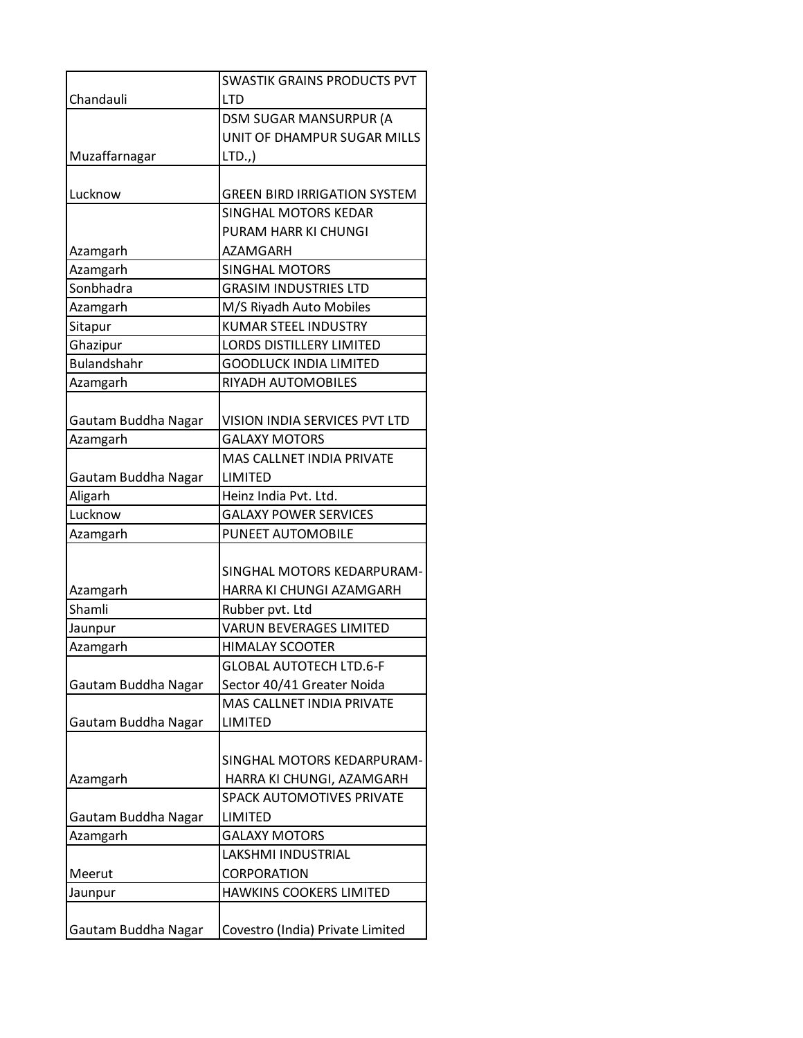|                     | <b>SWASTIK GRAINS PRODUCTS PVT</b>  |
|---------------------|-------------------------------------|
| Chandauli           | <b>LTD</b>                          |
|                     | <b>DSM SUGAR MANSURPUR (A</b>       |
|                     | UNIT OF DHAMPUR SUGAR MILLS         |
| Muzaffarnagar       | LTD.,                               |
|                     |                                     |
| Lucknow             | <b>GREEN BIRD IRRIGATION SYSTEM</b> |
|                     | SINGHAL MOTORS KEDAR                |
|                     | PURAM HARR KI CHUNGI                |
| Azamgarh            | <b>AZAMGARH</b>                     |
| Azamgarh            | <b>SINGHAL MOTORS</b>               |
| Sonbhadra           | <b>GRASIM INDUSTRIES LTD</b>        |
| Azamgarh            | M/S Riyadh Auto Mobiles             |
| Sitapur             | <b>KUMAR STEEL INDUSTRY</b>         |
| Ghazipur            | <b>LORDS DISTILLERY LIMITED</b>     |
| <b>Bulandshahr</b>  | <b>GOODLUCK INDIA LIMITED</b>       |
| Azamgarh            | RIYADH AUTOMOBILES                  |
|                     |                                     |
| Gautam Buddha Nagar | VISION INDIA SERVICES PVT LTD       |
| Azamgarh            | <b>GALAXY MOTORS</b>                |
|                     | MAS CALLNET INDIA PRIVATE           |
| Gautam Buddha Nagar | LIMITED                             |
| Aligarh             | Heinz India Pvt. Ltd.               |
| Lucknow             | <b>GALAXY POWER SERVICES</b>        |
| Azamgarh            | PUNEET AUTOMOBILE                   |
|                     |                                     |
|                     | SINGHAL MOTORS KEDARPURAM-          |
| Azamgarh            | HARRA KI CHUNGI AZAMGARH            |
| Shamli              | Rubber pvt. Ltd                     |
| Jaunpur             | <b>VARUN BEVERAGES LIMITED</b>      |
| Azamgarh            | <b>HIMALAY SCOOTER</b>              |
|                     | <b>GLOBAL AUTOTECH LTD.6-F</b>      |
| Gautam Buddha Nagar | Sector 40/41 Greater Noida          |
|                     | <b>MAS CALLNET INDIA PRIVATE</b>    |
| Gautam Buddha Nagar | LIMITED                             |
|                     |                                     |
|                     | SINGHAL MOTORS KEDARPURAM-          |
| Azamgarh            | HARRA KI CHUNGI, AZAMGARH           |
|                     | SPACK AUTOMOTIVES PRIVATE           |
| Gautam Buddha Nagar | LIMITED                             |
| Azamgarh            | <b>GALAXY MOTORS</b>                |
|                     | LAKSHMI INDUSTRIAL                  |
| Meerut              | <b>CORPORATION</b>                  |
| Jaunpur             | <b>HAWKINS COOKERS LIMITED</b>      |
|                     |                                     |
| Gautam Buddha Nagar | Covestro (India) Private Limited    |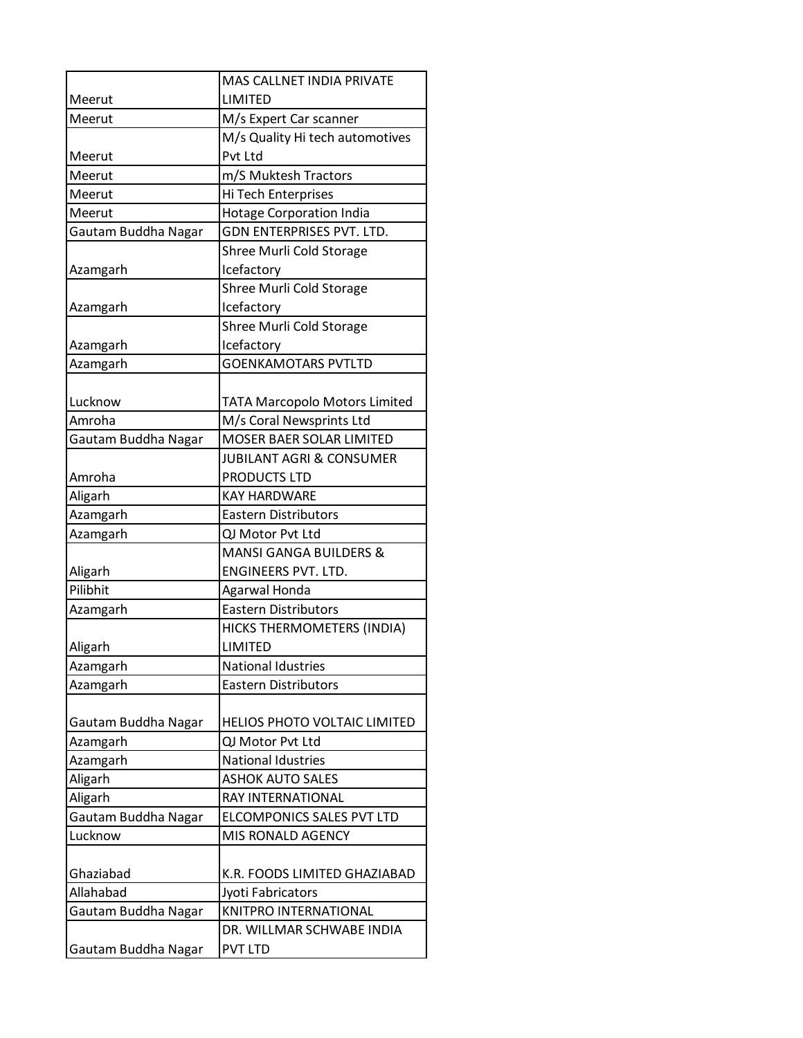|                     | <b>MAS CALLNET INDIA PRIVATE</b>     |
|---------------------|--------------------------------------|
| Meerut              | LIMITED                              |
| Meerut              | M/s Expert Car scanner               |
|                     | M/s Quality Hi tech automotives      |
| Meerut              | Pvt Ltd                              |
| Meerut              | m/S Muktesh Tractors                 |
| Meerut              | Hi Tech Enterprises                  |
| Meerut              | <b>Hotage Corporation India</b>      |
| Gautam Buddha Nagar | GDN ENTERPRISES PVT. LTD.            |
|                     | Shree Murli Cold Storage             |
| Azamgarh            | Icefactory                           |
|                     | Shree Murli Cold Storage             |
| Azamgarh            | Icefactory                           |
|                     | Shree Murli Cold Storage             |
| Azamgarh            | Icefactory                           |
| Azamgarh            | <b>GOENKAMOTARS PVTLTD</b>           |
| Lucknow             | <b>TATA Marcopolo Motors Limited</b> |
| Amroha              | M/s Coral Newsprints Ltd             |
| Gautam Buddha Nagar | MOSER BAER SOLAR LIMITED             |
|                     | <b>JUBILANT AGRI &amp; CONSUMER</b>  |
| Amroha              | PRODUCTS LTD                         |
| Aligarh             | <b>KAY HARDWARE</b>                  |
| Azamgarh            | <b>Eastern Distributors</b>          |
| Azamgarh            | QJ Motor Pvt Ltd                     |
|                     | <b>MANSI GANGA BUILDERS &amp;</b>    |
| Aligarh             | ENGINEERS PVT. LTD.                  |
| Pilibhit            | Agarwal Honda                        |
| Azamgarh            | <b>Eastern Distributors</b>          |
|                     | HICKS THERMOMETERS (INDIA)           |
| Aligarh             | <b>LIMITED</b>                       |
| Azamgarh            | <b>National Idustries</b>            |
| Azamgarh            | <b>Eastern Distributors</b>          |
|                     |                                      |
| Gautam Buddha Nagar | HELIOS PHOTO VOLTAIC LIMITED         |
| Azamgarh            | QJ Motor Pvt Ltd                     |
| Azamgarh            | <b>National Idustries</b>            |
| Aligarh             | <b>ASHOK AUTO SALES</b>              |
| Aligarh             | RAY INTERNATIONAL                    |
| Gautam Buddha Nagar | ELCOMPONICS SALES PVT LTD            |
| Lucknow             | MIS RONALD AGENCY                    |
|                     |                                      |
| Ghaziabad           | K.R. FOODS LIMITED GHAZIABAD         |
| Allahabad           | Jyoti Fabricators                    |
| Gautam Buddha Nagar | KNITPRO INTERNATIONAL                |
|                     | DR. WILLMAR SCHWABE INDIA            |
| Gautam Buddha Nagar | <b>PVT LTD</b>                       |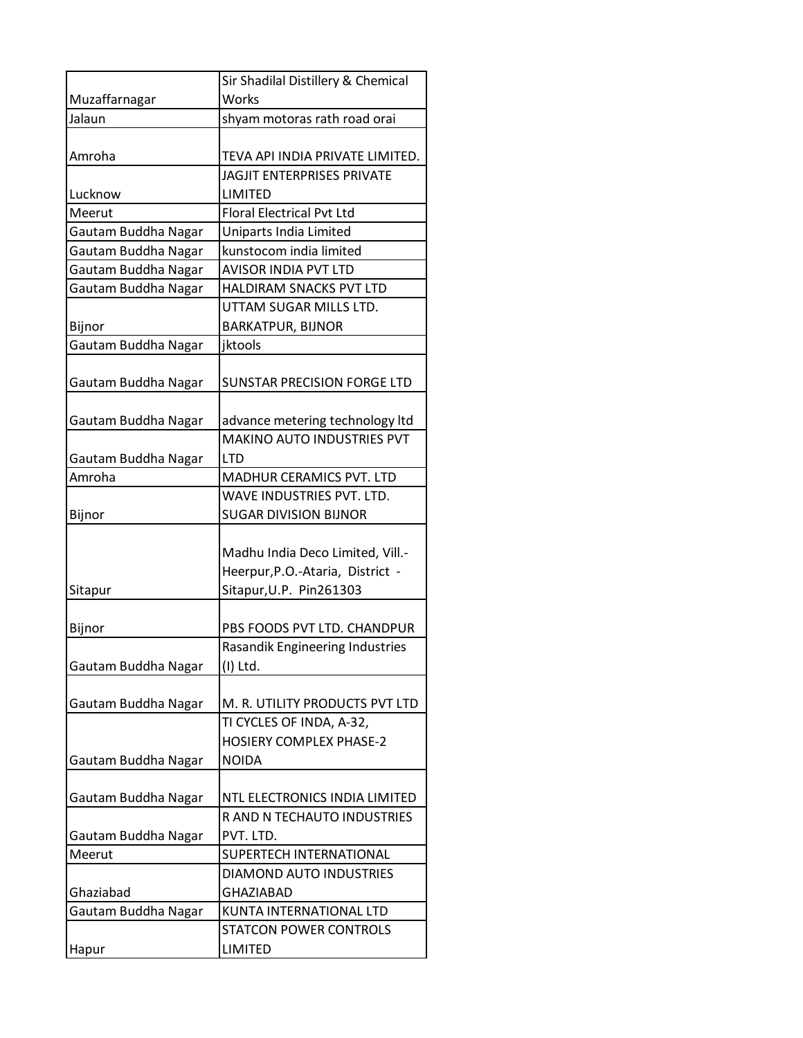|                     | Sir Shadilal Distillery & Chemical |
|---------------------|------------------------------------|
| Muzaffarnagar       | Works                              |
| Jalaun              | shyam motoras rath road orai       |
|                     |                                    |
| Amroha              | TEVA API INDIA PRIVATE LIMITED.    |
|                     | <b>JAGJIT ENTERPRISES PRIVATE</b>  |
| Lucknow             | LIMITED                            |
| Meerut              | <b>Floral Electrical Pvt Ltd</b>   |
| Gautam Buddha Nagar | Uniparts India Limited             |
| Gautam Buddha Nagar | kunstocom india limited            |
| Gautam Buddha Nagar | <b>AVISOR INDIA PVT LTD</b>        |
| Gautam Buddha Nagar | HALDIRAM SNACKS PVT LTD            |
|                     | UTTAM SUGAR MILLS LTD.             |
| Bijnor              | <b>BARKATPUR, BIJNOR</b>           |
| Gautam Buddha Nagar | jktools                            |
|                     |                                    |
| Gautam Buddha Nagar | <b>SUNSTAR PRECISION FORGE LTD</b> |
|                     |                                    |
| Gautam Buddha Nagar | advance metering technology Itd    |
|                     | MAKINO AUTO INDUSTRIES PVT         |
| Gautam Buddha Nagar | <b>LTD</b>                         |
| Amroha              | MADHUR CERAMICS PVT. LTD           |
|                     | WAVE INDUSTRIES PVT. LTD.          |
| Bijnor              | <b>SUGAR DIVISION BIJNOR</b>       |
|                     |                                    |
|                     | Madhu India Deco Limited, Vill .-  |
|                     | Heerpur, P.O.-Ataria, District -   |
| Sitapur             | Sitapur, U.P. Pin261303            |
|                     |                                    |
| Bijnor              | PBS FOODS PVT LTD. CHANDPUR        |
|                     | Rasandik Engineering Industries    |
| Gautam Buddha Nagar | (I) Ltd.                           |
|                     |                                    |
| Gautam Buddha Nagar | M. R. UTILITY PRODUCTS PVT LTD     |
|                     | TI CYCLES OF INDA, A-32,           |
|                     | <b>HOSIERY COMPLEX PHASE-2</b>     |
| Gautam Buddha Nagar | <b>NOIDA</b>                       |
|                     |                                    |
| Gautam Buddha Nagar | NTL ELECTRONICS INDIA LIMITED      |
|                     | R AND N TECHAUTO INDUSTRIES        |
| Gautam Buddha Nagar | PVT. LTD.                          |
| Meerut              | SUPERTECH INTERNATIONAL            |
|                     | <b>DIAMOND AUTO INDUSTRIES</b>     |
| Ghaziabad           | <b>GHAZIABAD</b>                   |
| Gautam Buddha Nagar | KUNTA INTERNATIONAL LTD            |
|                     | <b>STATCON POWER CONTROLS</b>      |
| Hapur               | <b>LIMITED</b>                     |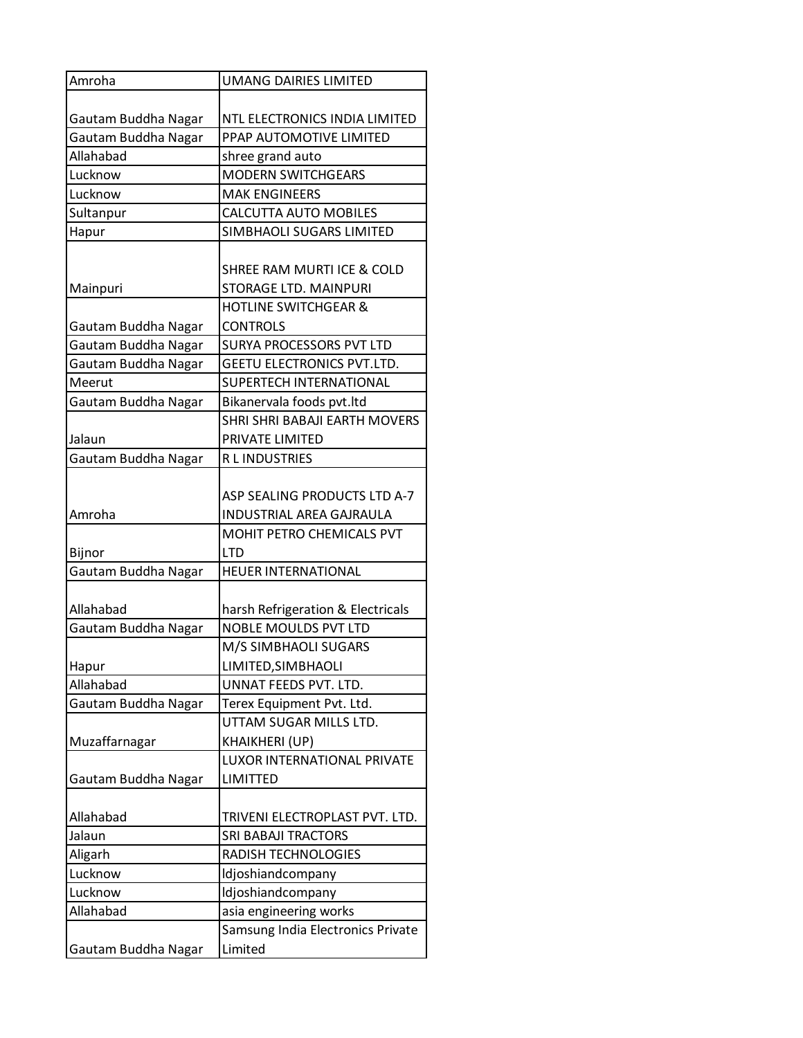| Amroha              | <b>UMANG DAIRIES LIMITED</b>      |
|---------------------|-----------------------------------|
|                     |                                   |
| Gautam Buddha Nagar | NTL ELECTRONICS INDIA LIMITED     |
| Gautam Buddha Nagar | PPAP AUTOMOTIVE LIMITED           |
| Allahabad           | shree grand auto                  |
| Lucknow             | <b>MODERN SWITCHGEARS</b>         |
| Lucknow             | <b>MAK ENGINEERS</b>              |
| Sultanpur           | <b>CALCUTTA AUTO MOBILES</b>      |
| Hapur               | SIMBHAOLI SUGARS LIMITED          |
|                     |                                   |
|                     | SHREE RAM MURTI ICE & COLD        |
| Mainpuri            | <b>STORAGE LTD. MAINPURI</b>      |
|                     | <b>HOTLINE SWITCHGEAR &amp;</b>   |
| Gautam Buddha Nagar | <b>CONTROLS</b>                   |
| Gautam Buddha Nagar | <b>SURYA PROCESSORS PVT LTD</b>   |
| Gautam Buddha Nagar | GEETU ELECTRONICS PVT.LTD.        |
| Meerut              | SUPERTECH INTERNATIONAL           |
| Gautam Buddha Nagar | Bikanervala foods pvt.ltd         |
|                     | SHRI SHRI BABAJI EARTH MOVERS     |
| Jalaun              | PRIVATE LIMITED                   |
| Gautam Buddha Nagar | R L INDUSTRIES                    |
|                     |                                   |
|                     | ASP SEALING PRODUCTS LTD A-7      |
| Amroha              | <b>INDUSTRIAL AREA GAJRAULA</b>   |
|                     | MOHIT PETRO CHEMICALS PVT         |
| Bijnor              | <b>LTD</b>                        |
| Gautam Buddha Nagar | <b>HEUER INTERNATIONAL</b>        |
|                     |                                   |
| Allahabad           | harsh Refrigeration & Electricals |
| Gautam Buddha Nagar | <b>NOBLE MOULDS PVT LTD</b>       |
|                     | M/S SIMBHAOLI SUGARS              |
| Hapur               | LIMITED, SIMBHAOLI                |
| Allahabad           | UNNAT FEEDS PVT. LTD.             |
| Gautam Buddha Nagar | Terex Equipment Pvt. Ltd.         |
|                     | UTTAM SUGAR MILLS LTD.            |
| Muzaffarnagar       | KHAIKHERI (UP)                    |
|                     | LUXOR INTERNATIONAL PRIVATE       |
| Gautam Buddha Nagar | <b>LIMITTED</b>                   |
|                     |                                   |
| Allahabad           | TRIVENI ELECTROPLAST PVT. LTD.    |
| Jalaun              | <b>SRI BABAJI TRACTORS</b>        |
| Aligarh             | RADISH TECHNOLOGIES               |
| Lucknow             | Idjoshiandcompany                 |
| Lucknow             | Idjoshiandcompany                 |
| Allahabad           | asia engineering works            |
|                     | Samsung India Electronics Private |
| Gautam Buddha Nagar | Limited                           |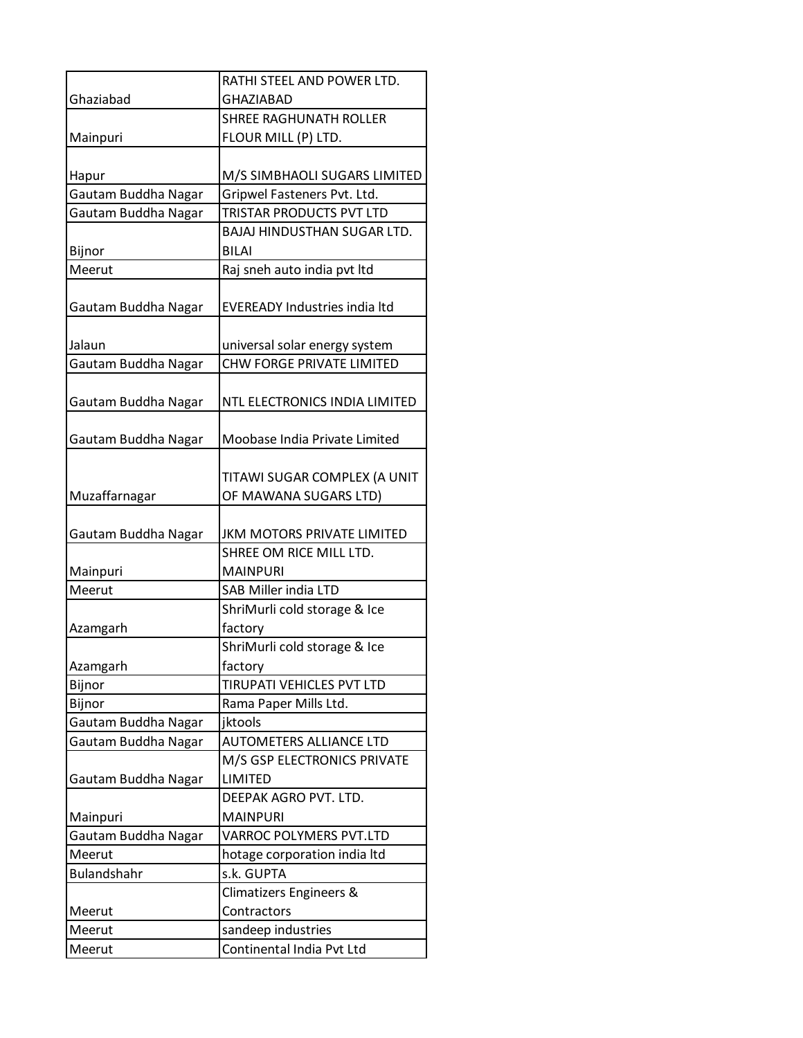|                     | RATHI STEEL AND POWER LTD.           |
|---------------------|--------------------------------------|
| Ghaziabad           | <b>GHAZIABAD</b>                     |
|                     | <b>SHREE RAGHUNATH ROLLER</b>        |
| Mainpuri            | FLOUR MILL (P) LTD.                  |
|                     |                                      |
| Hapur               | M/S SIMBHAOLI SUGARS LIMITED         |
| Gautam Buddha Nagar | Gripwel Fasteners Pvt. Ltd.          |
| Gautam Buddha Nagar | TRISTAR PRODUCTS PVT LTD             |
|                     | <b>BAJAJ HINDUSTHAN SUGAR LTD.</b>   |
| Bijnor              | <b>BILAI</b>                         |
| Meerut              | Raj sneh auto india pvt ltd          |
| Gautam Buddha Nagar | <b>EVEREADY Industries india ltd</b> |
| Jalaun              | universal solar energy system        |
| Gautam Buddha Nagar | <b>CHW FORGE PRIVATE LIMITED</b>     |
| Gautam Buddha Nagar | NTL ELECTRONICS INDIA LIMITED        |
| Gautam Buddha Nagar | Moobase India Private Limited        |
|                     | TITAWI SUGAR COMPLEX (A UNIT         |
| Muzaffarnagar       | OF MAWANA SUGARS LTD)                |
| Gautam Buddha Nagar | <b>JKM MOTORS PRIVATE LIMITED</b>    |
|                     | SHREE OM RICE MILL LTD.              |
| Mainpuri            | <b>MAINPURI</b>                      |
| Meerut              | <b>SAB Miller india LTD</b>          |
|                     | ShriMurli cold storage & Ice         |
| Azamgarh            | factory                              |
|                     | ShriMurli cold storage & Ice         |
| Azamgarh<br>Bijnor  | factory<br>TIRUPATI VEHICLES PVT LTD |
| Bijnor              | Rama Paper Mills Ltd.                |
| Gautam Buddha Nagar | jktools                              |
| Gautam Buddha Nagar | <b>AUTOMETERS ALLIANCE LTD</b>       |
|                     | M/S GSP ELECTRONICS PRIVATE          |
| Gautam Buddha Nagar | LIMITED                              |
|                     | DEEPAK AGRO PVT. LTD.                |
| Mainpuri            | <b>MAINPURI</b>                      |
| Gautam Buddha Nagar | VARROC POLYMERS PVT.LTD              |
| Meerut              | hotage corporation india ltd         |
| <b>Bulandshahr</b>  | s.k. GUPTA                           |
|                     | Climatizers Engineers &              |
| Meerut              | Contractors                          |
| Meerut              | sandeep industries                   |
| Meerut              | Continental India Pvt Ltd            |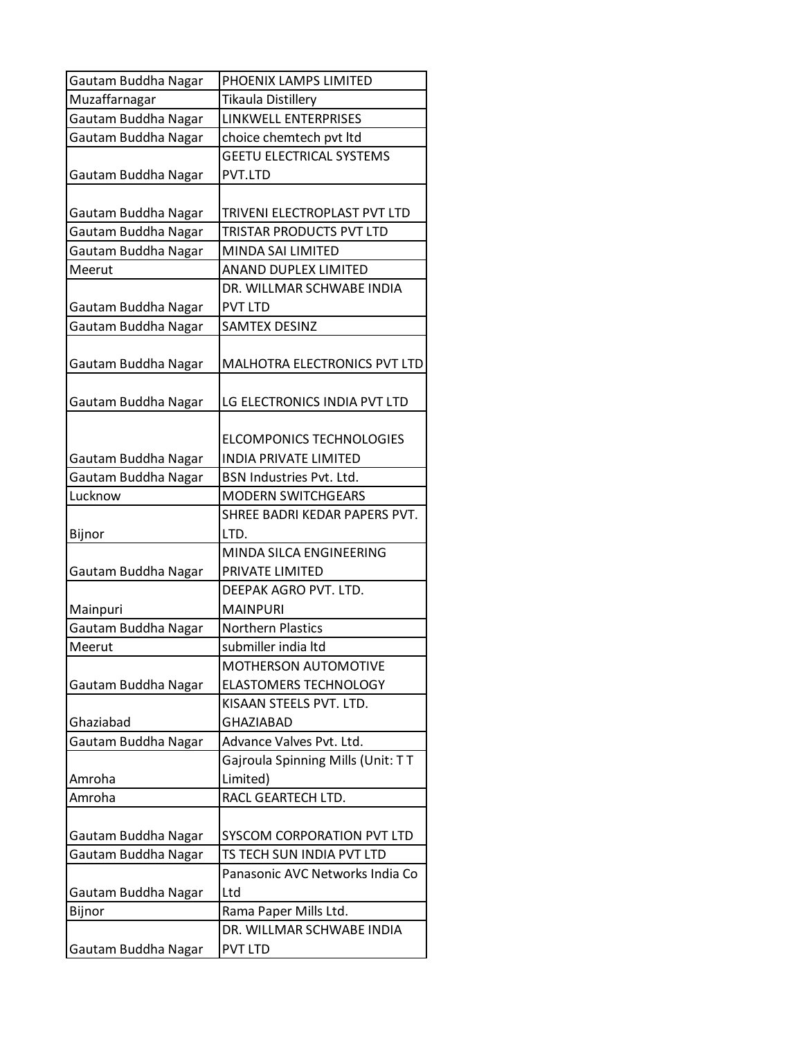| Gautam Buddha Nagar | PHOENIX LAMPS LIMITED             |
|---------------------|-----------------------------------|
| Muzaffarnagar       | Tikaula Distillery                |
| Gautam Buddha Nagar | LINKWELL ENTERPRISES              |
| Gautam Buddha Nagar | choice chemtech pvt ltd           |
|                     | <b>GEETU ELECTRICAL SYSTEMS</b>   |
| Gautam Buddha Nagar | PVT.LTD                           |
|                     |                                   |
| Gautam Buddha Nagar | TRIVENI ELECTROPLAST PVT LTD      |
| Gautam Buddha Nagar | TRISTAR PRODUCTS PVT LTD          |
| Gautam Buddha Nagar | MINDA SAI LIMITED                 |
| Meerut              | <b>ANAND DUPLEX LIMITED</b>       |
|                     | DR. WILLMAR SCHWABE INDIA         |
| Gautam Buddha Nagar | <b>PVT LTD</b>                    |
| Gautam Buddha Nagar | <b>SAMTEX DESINZ</b>              |
| Gautam Buddha Nagar | MALHOTRA ELECTRONICS PVT LTD      |
| Gautam Buddha Nagar | LG ELECTRONICS INDIA PVT LTD      |
|                     |                                   |
|                     | <b>ELCOMPONICS TECHNOLOGIES</b>   |
| Gautam Buddha Nagar | <b>INDIA PRIVATE LIMITED</b>      |
| Gautam Buddha Nagar | BSN Industries Pvt. Ltd.          |
| Lucknow             | <b>MODERN SWITCHGEARS</b>         |
|                     | SHREE BADRI KEDAR PAPERS PVT.     |
| Bijnor              | LTD.<br>MINDA SILCA ENGINEERING   |
|                     | PRIVATE LIMITED                   |
| Gautam Buddha Nagar | DEEPAK AGRO PVT. LTD.             |
| Mainpuri            | <b>MAINPURI</b>                   |
| Gautam Buddha Nagar | <b>Northern Plastics</b>          |
| Meerut              | submiller india Itd               |
|                     | MOTHERSON AUTOMOTIVE              |
| Gautam Buddha Nagar | <b>ELASTOMERS TECHNOLOGY</b>      |
|                     | KISAAN STEELS PVT. LTD.           |
| Ghaziabad           | <b>GHAZIABAD</b>                  |
| Gautam Buddha Nagar | Advance Valves Pvt. Ltd.          |
|                     | Gajroula Spinning Mills (Unit: TT |
| Amroha              | Limited)                          |
| Amroha              | RACL GEARTECH LTD.                |
|                     |                                   |
| Gautam Buddha Nagar | SYSCOM CORPORATION PVT LTD        |
| Gautam Buddha Nagar | TS TECH SUN INDIA PVT LTD         |
|                     | Panasonic AVC Networks India Co   |
| Gautam Buddha Nagar | Ltd                               |
| Bijnor              | Rama Paper Mills Ltd.             |
|                     | DR. WILLMAR SCHWABE INDIA         |
| Gautam Buddha Nagar | <b>PVT LTD</b>                    |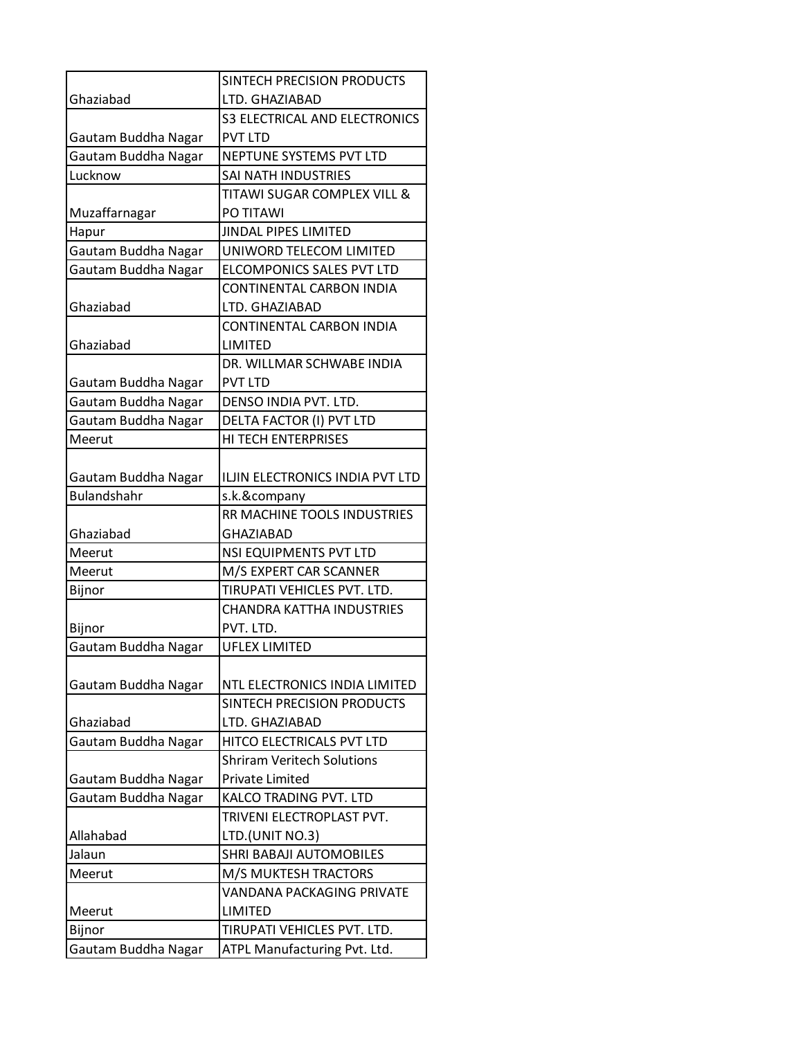|                     | SINTECH PRECISION PRODUCTS             |
|---------------------|----------------------------------------|
| Ghaziabad           | LTD. GHAZIABAD                         |
|                     | <b>S3 ELECTRICAL AND ELECTRONICS</b>   |
| Gautam Buddha Nagar | <b>PVT LTD</b>                         |
| Gautam Buddha Nagar | NEPTUNE SYSTEMS PVT LTD                |
| Lucknow             | SAI NATH INDUSTRIES                    |
|                     | <b>TITAWI SUGAR COMPLEX VILL &amp;</b> |
| Muzaffarnagar       | PO TITAWI                              |
| Hapur               | JINDAL PIPES LIMITED                   |
| Gautam Buddha Nagar | UNIWORD TELECOM LIMITED                |
| Gautam Buddha Nagar | ELCOMPONICS SALES PVT LTD              |
|                     | CONTINENTAL CARBON INDIA               |
| Ghaziabad           | LTD. GHAZIABAD                         |
|                     | <b>CONTINENTAL CARBON INDIA</b>        |
| Ghaziabad           | <b>LIMITED</b>                         |
|                     | DR. WILLMAR SCHWABE INDIA              |
| Gautam Buddha Nagar | <b>PVT LTD</b>                         |
| Gautam Buddha Nagar | DENSO INDIA PVT. LTD.                  |
| Gautam Buddha Nagar | DELTA FACTOR (I) PVT LTD               |
| Meerut              | <b>HI TECH ENTERPRISES</b>             |
|                     |                                        |
| Gautam Buddha Nagar | ILJIN ELECTRONICS INDIA PVT LTD        |
| <b>Bulandshahr</b>  | s.k.&company                           |
|                     | RR MACHINE TOOLS INDUSTRIES            |
| Ghaziabad           | <b>GHAZIABAD</b>                       |
| Meerut              | NSI EQUIPMENTS PVT LTD                 |
| Meerut              | M/S EXPERT CAR SCANNER                 |
| Bijnor              | TIRUPATI VEHICLES PVT. LTD.            |
|                     | <b>CHANDRA KATTHA INDUSTRIES</b>       |
| Bijnor              | PVT. LTD.                              |
| Gautam Buddha Nagar | UFLEX LIMITED                          |
|                     |                                        |
| Gautam Buddha Nagar | NTL ELECTRONICS INDIA LIMITED          |
|                     | SINTECH PRECISION PRODUCTS             |
| Ghaziabad           | LTD. GHAZIABAD                         |
| Gautam Buddha Nagar | HITCO ELECTRICALS PVT LTD              |
|                     | <b>Shriram Veritech Solutions</b>      |
| Gautam Buddha Nagar | <b>Private Limited</b>                 |
| Gautam Buddha Nagar | KALCO TRADING PVT. LTD                 |
|                     | TRIVENI ELECTROPLAST PVT.              |
| Allahabad           | LTD.(UNIT NO.3)                        |
| Jalaun              | <b>SHRI BABAJI AUTOMOBILES</b>         |
| Meerut              | M/S MUKTESH TRACTORS                   |
|                     | VANDANA PACKAGING PRIVATE              |
| Meerut              | <b>LIMITED</b>                         |
| Bijnor              | TIRUPATI VEHICLES PVT. LTD.            |
| Gautam Buddha Nagar | ATPL Manufacturing Pvt. Ltd.           |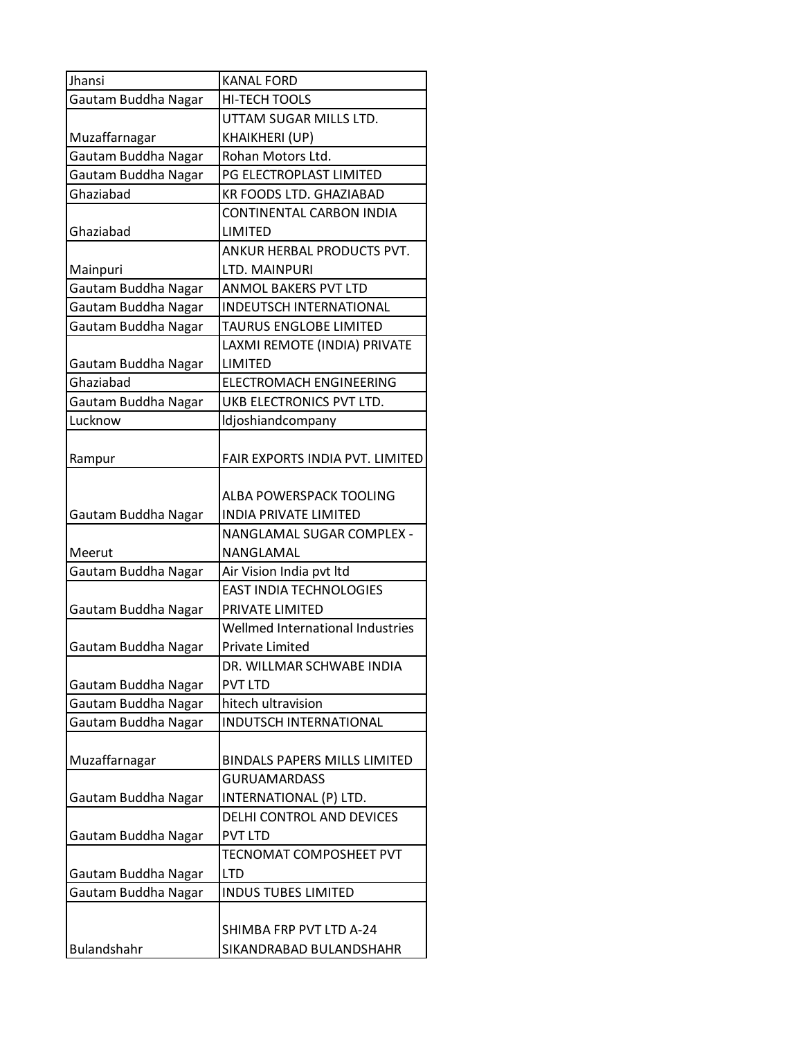| Jhansi              | <b>KANAL FORD</b>                |
|---------------------|----------------------------------|
| Gautam Buddha Nagar | HI-TECH TOOLS                    |
|                     | UTTAM SUGAR MILLS LTD.           |
| Muzaffarnagar       | KHAIKHERI (UP)                   |
| Gautam Buddha Nagar | Rohan Motors Ltd.                |
| Gautam Buddha Nagar | PG ELECTROPLAST LIMITED          |
| Ghaziabad           | <b>KR FOODS LTD. GHAZIABAD</b>   |
|                     | <b>CONTINENTAL CARBON INDIA</b>  |
| Ghaziabad           | LIMITED                          |
|                     | ANKUR HERBAL PRODUCTS PVT.       |
| Mainpuri            | LTD. MAINPURI                    |
| Gautam Buddha Nagar | <b>ANMOL BAKERS PVT LTD</b>      |
| Gautam Buddha Nagar | <b>INDEUTSCH INTERNATIONAL</b>   |
| Gautam Buddha Nagar | TAURUS ENGLOBE LIMITED           |
|                     | LAXMI REMOTE (INDIA) PRIVATE     |
| Gautam Buddha Nagar | LIMITED                          |
| Ghaziabad           | <b>ELECTROMACH ENGINEERING</b>   |
| Gautam Buddha Nagar | UKB ELECTRONICS PVT LTD.         |
| Lucknow             | Idjoshiandcompany                |
|                     |                                  |
| Rampur              | FAIR EXPORTS INDIA PVT. LIMITED  |
|                     |                                  |
|                     | ALBA POWERSPACK TOOLING          |
| Gautam Buddha Nagar | <b>INDIA PRIVATE LIMITED</b>     |
|                     | NANGLAMAL SUGAR COMPLEX -        |
| Meerut              | NANGLAMAL                        |
| Gautam Buddha Nagar | Air Vision India pvt Itd         |
|                     | <b>EAST INDIA TECHNOLOGIES</b>   |
| Gautam Buddha Nagar | PRIVATE LIMITED                  |
|                     | Wellmed International Industries |
| Gautam Buddha Nagar | <b>Private Limited</b>           |
|                     | DR. WILLMAR SCHWABE INDIA        |
| Gautam Buddha Nagar | <b>PVT LTD</b>                   |
| Gautam Buddha Nagar | hitech ultravision               |
| Gautam Buddha Nagar | INDUTSCH INTERNATIONAL           |
|                     |                                  |
| Muzaffarnagar       | BINDALS PAPERS MILLS LIMITED     |
|                     | <b>GURUAMARDASS</b>              |
| Gautam Buddha Nagar | INTERNATIONAL (P) LTD.           |
|                     | DELHI CONTROL AND DEVICES        |
| Gautam Buddha Nagar | <b>PVT LTD</b>                   |
|                     | TECNOMAT COMPOSHEET PVT          |
| Gautam Buddha Nagar | <b>LTD</b>                       |
| Gautam Buddha Nagar | <b>INDUS TUBES LIMITED</b>       |
|                     |                                  |
|                     | SHIMBA FRP PVT LTD A-24          |
| Bulandshahr         | SIKANDRABAD BULANDSHAHR          |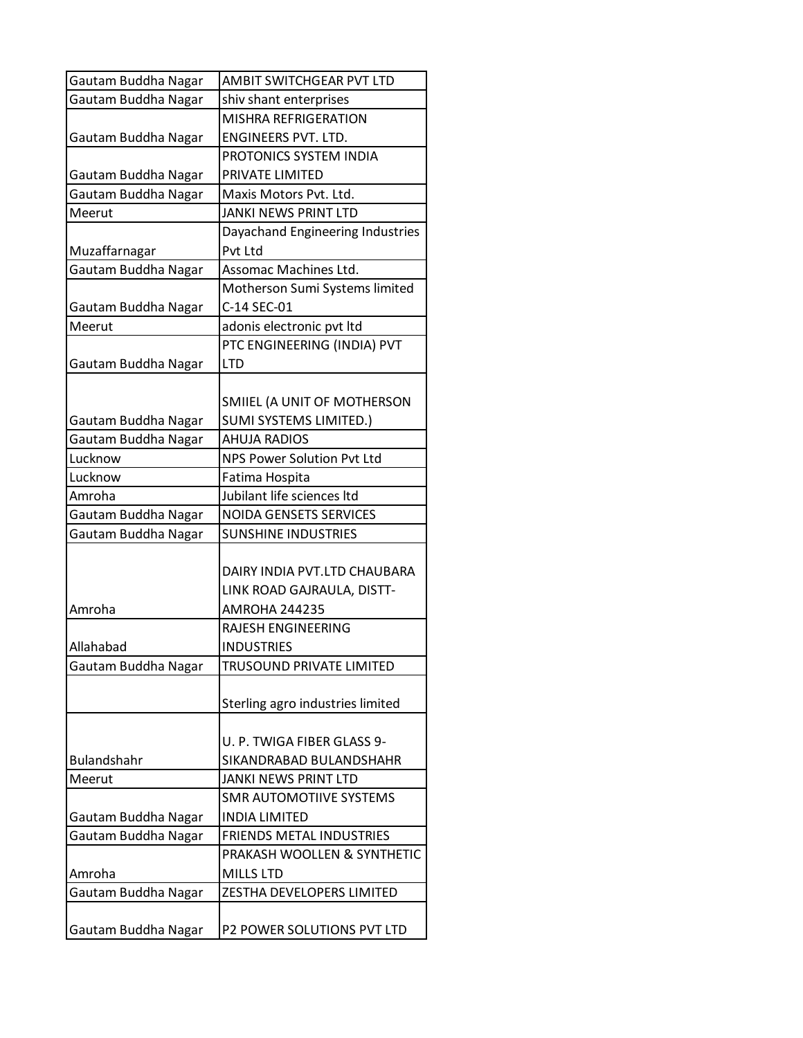| Gautam Buddha Nagar | AMBIT SWITCHGEAR PVT LTD         |
|---------------------|----------------------------------|
| Gautam Buddha Nagar | shiv shant enterprises           |
|                     | <b>MISHRA REFRIGERATION</b>      |
| Gautam Buddha Nagar | ENGINEERS PVT. LTD.              |
|                     | PROTONICS SYSTEM INDIA           |
| Gautam Buddha Nagar | PRIVATE LIMITED                  |
| Gautam Buddha Nagar | Maxis Motors Pvt. Ltd.           |
| Meerut              | <b>JANKI NEWS PRINT LTD</b>      |
|                     | Dayachand Engineering Industries |
| Muzaffarnagar       | Pvt Ltd                          |
| Gautam Buddha Nagar | Assomac Machines Ltd.            |
|                     | Motherson Sumi Systems limited   |
| Gautam Buddha Nagar | C-14 SEC-01                      |
| Meerut              | adonis electronic pvt ltd        |
|                     | PTC ENGINEERING (INDIA) PVT      |
| Gautam Buddha Nagar | <b>LTD</b>                       |
|                     |                                  |
|                     | SMIIEL (A UNIT OF MOTHERSON      |
| Gautam Buddha Nagar | SUMI SYSTEMS LIMITED.)           |
| Gautam Buddha Nagar | AHUJA RADIOS                     |
| Lucknow             | NPS Power Solution Pvt Ltd       |
| Lucknow             | Fatima Hospita                   |
| Amroha              | Jubilant life sciences Itd       |
| Gautam Buddha Nagar | <b>NOIDA GENSETS SERVICES</b>    |
| Gautam Buddha Nagar | <b>SUNSHINE INDUSTRIES</b>       |
|                     |                                  |
|                     | DAIRY INDIA PVT.LTD CHAUBARA     |
|                     | LINK ROAD GAJRAULA, DISTT-       |
| Amroha              | <b>AMROHA 244235</b>             |
|                     | RAJESH ENGINEERING               |
| Allahabad           | <b>INDUSTRIES</b>                |
| Gautam Buddha Nagar | TRUSOUND PRIVATE LIMITED         |
|                     |                                  |
|                     | Sterling agro industries limited |
|                     |                                  |
|                     | U. P. TWIGA FIBER GLASS 9-       |
| <b>Bulandshahr</b>  | SIKANDRABAD BULANDSHAHR          |
| Meerut              | <b>JANKI NEWS PRINT LTD</b>      |
|                     | <b>SMR AUTOMOTIIVE SYSTEMS</b>   |
| Gautam Buddha Nagar | <b>INDIA LIMITED</b>             |
| Gautam Buddha Nagar | <b>FRIENDS METAL INDUSTRIES</b>  |
|                     | PRAKASH WOOLLEN & SYNTHETIC      |
| Amroha              | <b>MILLS LTD</b>                 |
| Gautam Buddha Nagar | ZESTHA DEVELOPERS LIMITED        |
|                     |                                  |
| Gautam Buddha Nagar | P2 POWER SOLUTIONS PVT LTD       |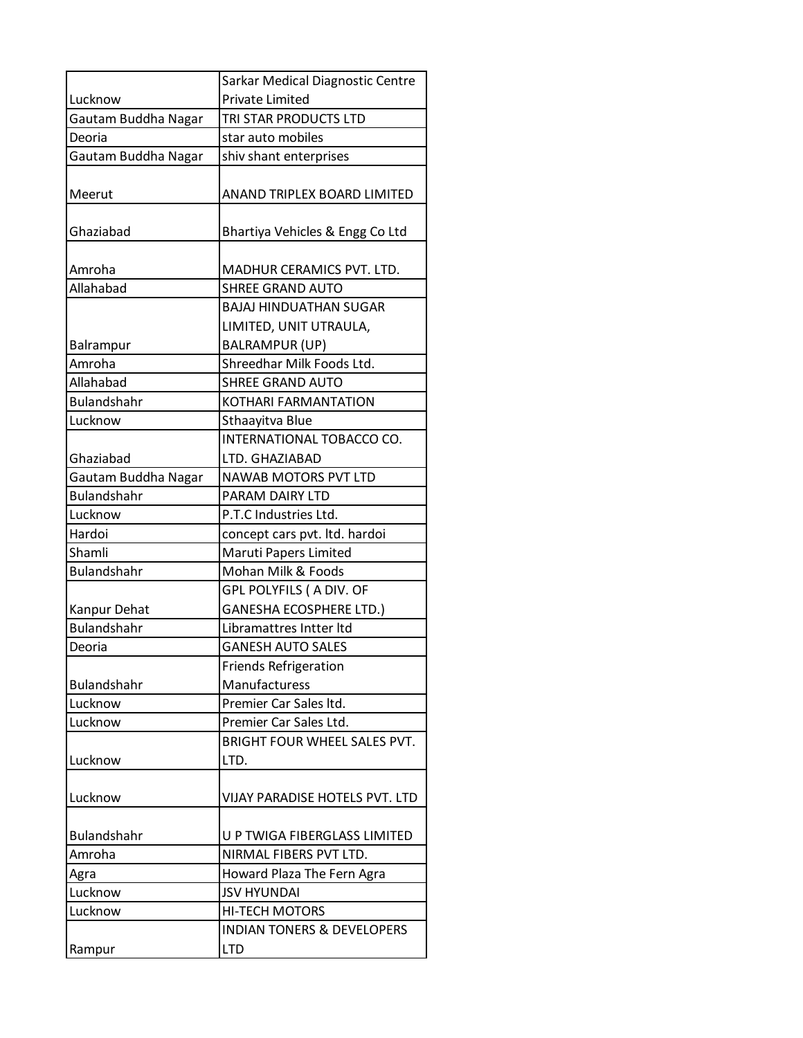|                               | Sarkar Medical Diagnostic Centre                       |
|-------------------------------|--------------------------------------------------------|
| Lucknow                       | Private Limited                                        |
| Gautam Buddha Nagar           | TRI STAR PRODUCTS LTD                                  |
| Deoria                        | star auto mobiles                                      |
| Gautam Buddha Nagar           | shiv shant enterprises                                 |
| Meerut                        | ANAND TRIPLEX BOARD LIMITED                            |
| Ghaziabad                     | Bhartiya Vehicles & Engg Co Ltd                        |
| Amroha                        | MADHUR CERAMICS PVT. LTD.                              |
| Allahabad                     | SHREE GRAND AUTO                                       |
|                               | <b>BAJAJ HINDUATHAN SUGAR</b>                          |
|                               | LIMITED, UNIT UTRAULA,                                 |
| Balrampur                     | <b>BALRAMPUR (UP)</b>                                  |
| Amroha                        | Shreedhar Milk Foods Ltd.                              |
| Allahabad                     | <b>SHREE GRAND AUTO</b>                                |
| <b>Bulandshahr</b>            | KOTHARI FARMANTATION                                   |
| Lucknow                       | Sthaayitva Blue                                        |
|                               | INTERNATIONAL TOBACCO CO.                              |
| Ghaziabad                     | LTD. GHAZIABAD                                         |
| Gautam Buddha Nagar           | NAWAB MOTORS PVT LTD                                   |
| <b>Bulandshahr</b><br>Lucknow | PARAM DAIRY LTD<br>P.T.C Industries Ltd.               |
| Hardoi                        |                                                        |
| Shamli                        | concept cars pvt. ltd. hardoi<br>Maruti Papers Limited |
| <b>Bulandshahr</b>            | Mohan Milk & Foods                                     |
|                               | GPL POLYFILS ( A DIV. OF                               |
| Kanpur Dehat                  | <b>GANESHA ECOSPHERE LTD.)</b>                         |
| <b>Bulandshahr</b>            | Libramattres Intter Itd                                |
| Deoria                        | <b>GANESH AUTO SALES</b>                               |
|                               | <b>Friends Refrigeration</b>                           |
| <b>Bulandshahr</b>            | Manufacturess                                          |
| Lucknow                       | Premier Car Sales Itd.                                 |
| Lucknow                       | Premier Car Sales Ltd.                                 |
|                               | BRIGHT FOUR WHEEL SALES PVT.                           |
| Lucknow                       | LTD.                                                   |
| Lucknow                       | VIJAY PARADISE HOTELS PVT. LTD                         |
| <b>Bulandshahr</b>            | U P TWIGA FIBERGLASS LIMITED                           |
| Amroha                        | NIRMAL FIBERS PVT LTD.                                 |
| Agra                          | Howard Plaza The Fern Agra                             |
| Lucknow                       | <b>JSV HYUNDAI</b>                                     |
| Lucknow                       | <b>HI-TECH MOTORS</b>                                  |
|                               | <b>INDIAN TONERS &amp; DEVELOPERS</b>                  |
| Rampur                        | <b>LTD</b>                                             |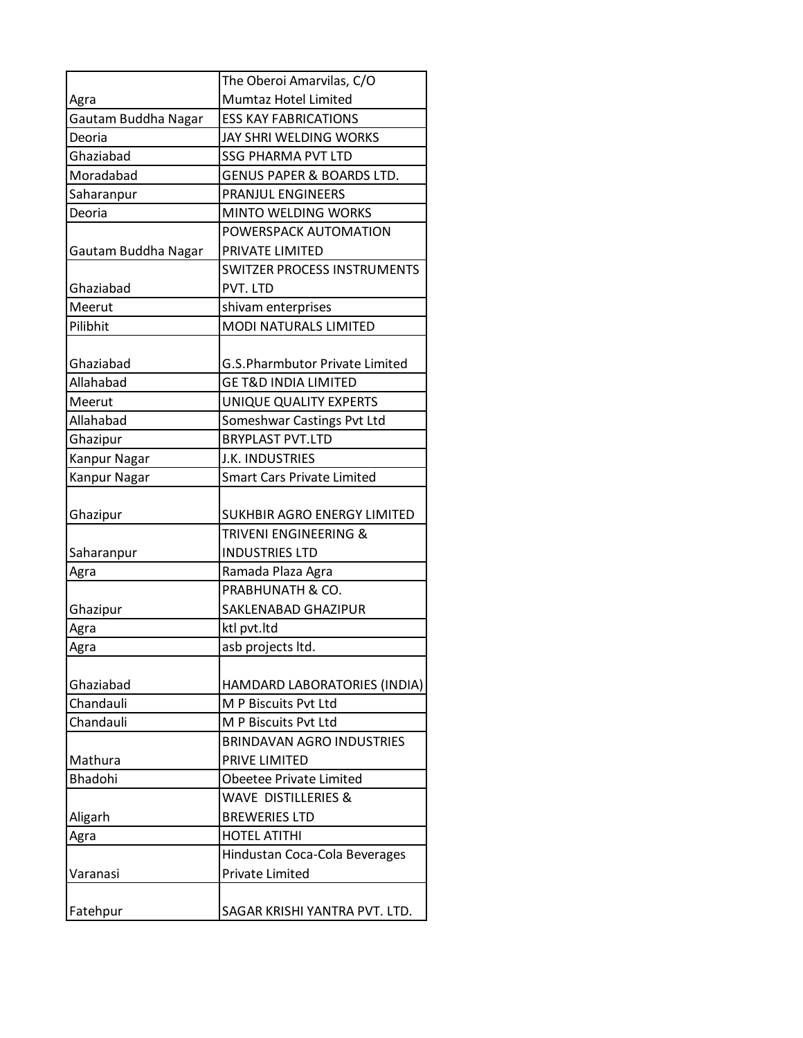|                     | The Oberoi Amarvilas, C/O             |
|---------------------|---------------------------------------|
| Agra                | Mumtaz Hotel Limited                  |
| Gautam Buddha Nagar | <b>ESS KAY FABRICATIONS</b>           |
| Deoria              | JAY SHRI WELDING WORKS                |
| Ghaziabad           | <b>SSG PHARMA PVT LTD</b>             |
| Moradabad           | <b>GENUS PAPER &amp; BOARDS LTD.</b>  |
| Saharanpur          | PRANJUL ENGINEERS                     |
| Deoria              | <b>MINTO WELDING WORKS</b>            |
|                     | POWERSPACK AUTOMATION                 |
| Gautam Buddha Nagar | PRIVATE LIMITED                       |
|                     | <b>SWITZER PROCESS INSTRUMENTS</b>    |
| Ghaziabad           | PVT. LTD                              |
| Meerut              | shivam enterprises                    |
| Pilibhit            | <b>MODI NATURALS LIMITED</b>          |
|                     |                                       |
| Ghaziabad           | <b>G.S.Pharmbutor Private Limited</b> |
| Allahabad           | <b>GE T&amp;D INDIA LIMITED</b>       |
| Meerut              | UNIQUE QUALITY EXPERTS                |
| Allahabad           | Someshwar Castings Pvt Ltd            |
| Ghazipur            | <b>BRYPLAST PVT.LTD</b>               |
| Kanpur Nagar        | J.K. INDUSTRIES                       |
| Kanpur Nagar        | <b>Smart Cars Private Limited</b>     |
|                     |                                       |
| Ghazipur            | SUKHBIR AGRO ENERGY LIMITED           |
|                     | TRIVENI ENGINEERING &                 |
| Saharanpur          | <b>INDUSTRIES LTD</b>                 |
| Agra                | Ramada Plaza Agra                     |
|                     | PRABHUNATH & CO.                      |
| Ghazipur            | SAKLENABAD GHAZIPUR                   |
| Agra                | ktl pvt.ltd                           |
| Agra                | asb projects ltd.                     |
|                     |                                       |
| Ghaziabad           | HAMDARD LABORATORIES (INDIA)          |
| Chandauli           | M P Biscuits Pvt Ltd                  |
| Chandauli           | M P Biscuits Pvt Ltd                  |
|                     | <b>BRINDAVAN AGRO INDUSTRIES</b>      |
| Mathura             | PRIVE LIMITED                         |
| <b>Bhadohi</b>      | Obeetee Private Limited               |
|                     | <b>WAVE DISTILLERIES &amp;</b>        |
| Aligarh             | <b>BREWERIES LTD</b>                  |
| Agra                | <b>HOTEL ATITHI</b>                   |
|                     | Hindustan Coca-Cola Beverages         |
| Varanasi            | <b>Private Limited</b>                |
|                     |                                       |
| Fatehpur            | SAGAR KRISHI YANTRA PVT. LTD.         |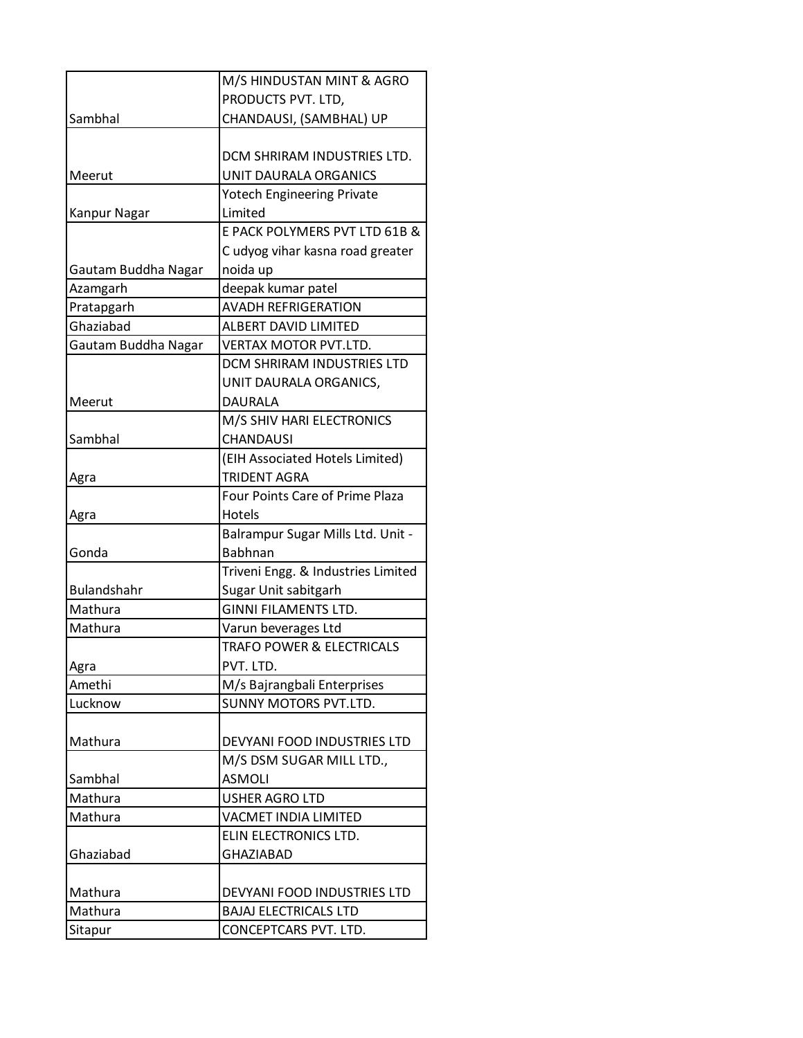|                     | M/S HINDUSTAN MINT & AGRO              |
|---------------------|----------------------------------------|
|                     | PRODUCTS PVT. LTD,                     |
| Sambhal             | CHANDAUSI, (SAMBHAL) UP                |
|                     |                                        |
|                     | DCM SHRIRAM INDUSTRIES LTD.            |
| Meerut              | UNIT DAURALA ORGANICS                  |
|                     | <b>Yotech Engineering Private</b>      |
| Kanpur Nagar        | Limited                                |
|                     | E PACK POLYMERS PVT LTD 61B &          |
|                     | Cudyog vihar kasna road greater        |
| Gautam Buddha Nagar | noida up                               |
| Azamgarh            | deepak kumar patel                     |
| Pratapgarh          | <b>AVADH REFRIGERATION</b>             |
| Ghaziabad           | <b>ALBERT DAVID LIMITED</b>            |
| Gautam Buddha Nagar | <b>VERTAX MOTOR PVT.LTD.</b>           |
|                     | DCM SHRIRAM INDUSTRIES LTD             |
|                     | UNIT DAURALA ORGANICS,                 |
| Meerut              | DAURALA                                |
|                     | M/S SHIV HARI ELECTRONICS              |
| Sambhal             | CHANDAUSI                              |
|                     | (EIH Associated Hotels Limited)        |
| Agra                | <b>TRIDENT AGRA</b>                    |
|                     | <b>Four Points Care of Prime Plaza</b> |
| Agra                | Hotels                                 |
|                     | Balrampur Sugar Mills Ltd. Unit -      |
| Gonda               | Babhnan                                |
|                     | Triveni Engg. & Industries Limited     |
| <b>Bulandshahr</b>  | Sugar Unit sabitgarh                   |
| Mathura             | <b>GINNI FILAMENTS LTD.</b>            |
| Mathura             | Varun beverages Ltd                    |
|                     | <b>TRAFO POWER &amp; ELECTRICALS</b>   |
| Agra                | PVT. LTD.                              |
| Amethi              | M/s Bajrangbali Enterprises            |
| Lucknow             | <b>SUNNY MOTORS PVT.LTD.</b>           |
|                     |                                        |
| Mathura             | DEVYANI FOOD INDUSTRIES LTD            |
|                     | M/S DSM SUGAR MILL LTD.,               |
| Sambhal             | <b>ASMOLI</b>                          |
| Mathura             | <b>USHER AGRO LTD</b>                  |
| Mathura             | <b>VACMET INDIA LIMITED</b>            |
|                     | ELIN ELECTRONICS LTD.                  |
| Ghaziabad           | <b>GHAZIABAD</b>                       |
|                     |                                        |
| Mathura             | DEVYANI FOOD INDUSTRIES LTD            |
| Mathura             | <b>BAJAJ ELECTRICALS LTD</b>           |
| Sitapur             | CONCEPTCARS PVT. LTD.                  |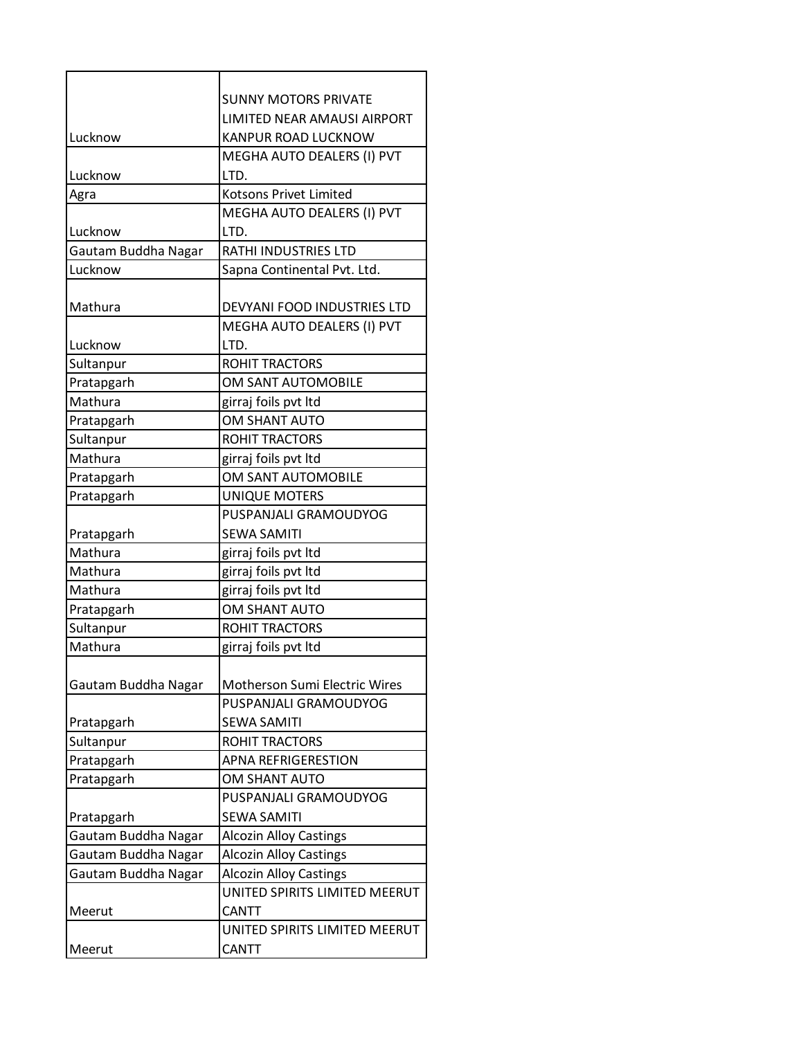|                     | <b>SUNNY MOTORS PRIVATE</b>   |
|---------------------|-------------------------------|
|                     | LIMITED NEAR AMAUSI AIRPORT   |
| Lucknow             | KANPUR ROAD LUCKNOW           |
|                     | MEGHA AUTO DEALERS (I) PVT    |
| Lucknow             | LTD.                          |
| Agra                | <b>Kotsons Privet Limited</b> |
|                     | MEGHA AUTO DEALERS (I) PVT    |
| Lucknow             | LTD.                          |
| Gautam Buddha Nagar | RATHI INDUSTRIES LTD          |
| Lucknow             | Sapna Continental Pvt. Ltd.   |
|                     |                               |
| Mathura             | DEVYANI FOOD INDUSTRIES LTD   |
|                     | MEGHA AUTO DEALERS (I) PVT    |
| Lucknow             | LTD.                          |
| Sultanpur           | ROHIT TRACTORS                |
| Pratapgarh          | OM SANT AUTOMOBILE            |
| Mathura             | girraj foils pvt ltd          |
| Pratapgarh          | OM SHANT AUTO                 |
| Sultanpur           | ROHIT TRACTORS                |
| Mathura             | girraj foils pvt ltd          |
| Pratapgarh          | OM SANT AUTOMOBILE            |
| Pratapgarh          | <b>UNIQUE MOTERS</b>          |
|                     | PUSPANJALI GRAMOUDYOG         |
| Pratapgarh          | <b>SEWA SAMITI</b>            |
| Mathura             | girraj foils pvt ltd          |
| Mathura             | girraj foils pvt ltd          |
| Mathura             | girraj foils pvt ltd          |
| Pratapgarh          | OM SHANT AUTO                 |
| Sultanpur           | <b>ROHIT TRACTORS</b>         |
| Mathura             | girraj foils pvt ltd          |
|                     |                               |
| Gautam Buddha Nagar | Motherson Sumi Electric Wires |
|                     | PUSPANJALI GRAMOUDYOG         |
| Pratapgarh          | <b>SEWA SAMITI</b>            |
| Sultanpur           | ROHIT TRACTORS                |
| Pratapgarh          | <b>APNA REFRIGERESTION</b>    |
| Pratapgarh          | OM SHANT AUTO                 |
|                     | PUSPANJALI GRAMOUDYOG         |
| Pratapgarh          | <b>SEWA SAMITI</b>            |
| Gautam Buddha Nagar | <b>Alcozin Alloy Castings</b> |
| Gautam Buddha Nagar | <b>Alcozin Alloy Castings</b> |
| Gautam Buddha Nagar | <b>Alcozin Alloy Castings</b> |
|                     | UNITED SPIRITS LIMITED MEERUT |
| Meerut              | <b>CANTT</b>                  |
|                     | UNITED SPIRITS LIMITED MEERUT |
| Meerut              | CANTT                         |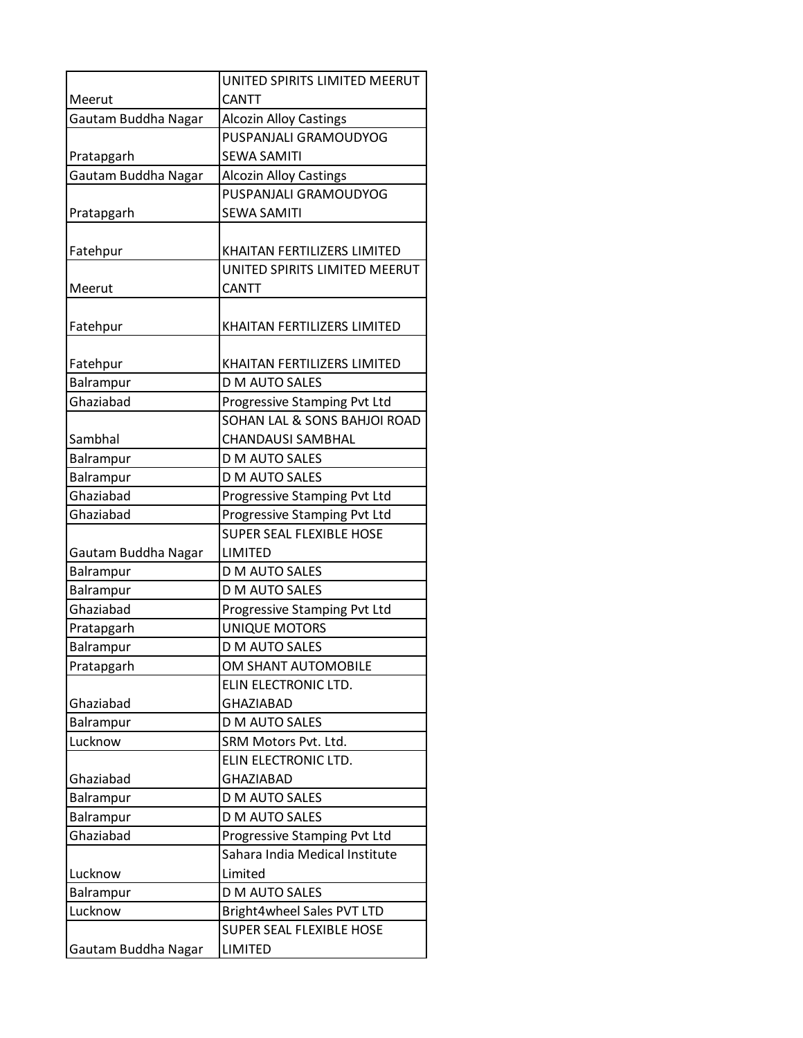|                     | UNITED SPIRITS LIMITED MEERUT   |
|---------------------|---------------------------------|
| Meerut              | <b>CANTT</b>                    |
| Gautam Buddha Nagar | <b>Alcozin Alloy Castings</b>   |
|                     | PUSPANJALI GRAMOUDYOG           |
| Pratapgarh          | <b>SEWA SAMITI</b>              |
| Gautam Buddha Nagar | <b>Alcozin Alloy Castings</b>   |
|                     | PUSPANJALI GRAMOUDYOG           |
| Pratapgarh          | <b>SEWA SAMITI</b>              |
|                     |                                 |
| Fatehpur            | KHAITAN FERTILIZERS LIMITED     |
|                     | UNITED SPIRITS LIMITED MEERUT   |
| Meerut              | <b>CANTT</b>                    |
|                     |                                 |
| Fatehpur            | KHAITAN FERTILIZERS LIMITED     |
|                     |                                 |
| Fatehpur            | KHAITAN FERTILIZERS LIMITED     |
| Balrampur           | <b>D M AUTO SALES</b>           |
| Ghaziabad           | Progressive Stamping Pvt Ltd    |
|                     | SOHAN LAL & SONS BAHJOI ROAD    |
| Sambhal             | CHANDAUSI SAMBHAL               |
| Balrampur           | D M AUTO SALES                  |
| Balrampur           | D M AUTO SALES                  |
| Ghaziabad           | Progressive Stamping Pvt Ltd    |
| Ghaziabad           | Progressive Stamping Pvt Ltd    |
|                     | <b>SUPER SEAL FLEXIBLE HOSE</b> |
| Gautam Buddha Nagar | LIMITED                         |
| <b>Balrampur</b>    | D M AUTO SALES                  |
| Balrampur           | D M AUTO SALES                  |
| Ghaziabad           | Progressive Stamping Pvt Ltd    |
| Pratapgarh          | <b>UNIQUE MOTORS</b>            |
| Balrampur           | D M AUTO SALES                  |
| Pratapgarh          | OM SHANT AUTOMOBILE             |
|                     | ELIN ELECTRONIC LTD.            |
| Ghaziabad           | <b>GHAZIABAD</b>                |
| Balrampur           | D M AUTO SALES                  |
| Lucknow             | SRM Motors Pvt. Ltd.            |
|                     | ELIN ELECTRONIC LTD.            |
| Ghaziabad           | <b>GHAZIABAD</b>                |
| <b>Balrampur</b>    | <b>D M AUTO SALES</b>           |
| Balrampur           | D M AUTO SALES                  |
| Ghaziabad           | Progressive Stamping Pvt Ltd    |
|                     | Sahara India Medical Institute  |
| Lucknow             | Limited                         |
| <b>Balrampur</b>    | <b>D M AUTO SALES</b>           |
| Lucknow             | Bright4wheel Sales PVT LTD      |
|                     | <b>SUPER SEAL FLEXIBLE HOSE</b> |
| Gautam Buddha Nagar | <b>LIMITED</b>                  |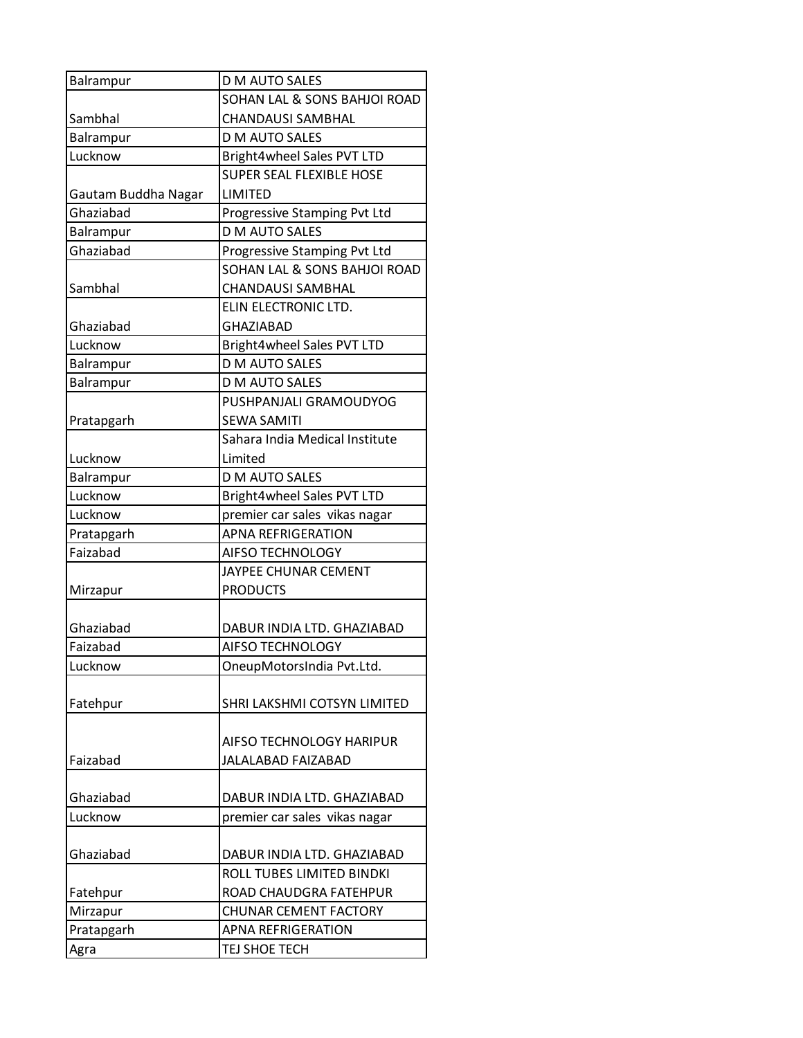| Balrampur           | D M AUTO SALES                                 |
|---------------------|------------------------------------------------|
|                     | SOHAN LAL & SONS BAHJOI ROAD                   |
| Sambhal             | <b>CHANDAUSI SAMBHAL</b>                       |
| Balrampur           | D M AUTO SALES                                 |
| Lucknow             | Bright4wheel Sales PVT LTD                     |
|                     | <b>SUPER SEAL FLEXIBLE HOSE</b>                |
| Gautam Buddha Nagar | LIMITED                                        |
| Ghaziahad           | Progressive Stamping Pvt Ltd                   |
| Balrampur           | D M AUTO SALES                                 |
| Ghaziabad           | Progressive Stamping Pvt Ltd                   |
|                     | SOHAN LAL & SONS BAHJOI ROAD                   |
| Sambhal             | <b>CHANDAUSI SAMBHAL</b>                       |
|                     | ELIN ELECTRONIC LTD.                           |
| Ghaziabad           | <b>GHAZIABAD</b>                               |
| Lucknow             | Bright4wheel Sales PVT LTD                     |
| Balrampur           | <b>D M AUTO SALES</b>                          |
| Balrampur           | <b>D M AUTO SALES</b>                          |
|                     | PUSHPANJALI GRAMOUDYOG                         |
| Pratapgarh          | <b>SEWA SAMITI</b>                             |
|                     | Sahara India Medical Institute                 |
| Lucknow             | Limited                                        |
| Balrampur           | <b>D M AUTO SALES</b>                          |
| Lucknow             | Bright4wheel Sales PVT LTD                     |
| Lucknow             | premier car sales vikas nagar                  |
| Pratapgarh          | <b>APNA REFRIGERATION</b>                      |
| Faizabad            | AIFSO TECHNOLOGY                               |
|                     | JAYPEE CHUNAR CEMENT                           |
| Mirzapur            | <b>PRODUCTS</b>                                |
| Ghaziabad           |                                                |
| Faizabad            | DABUR INDIA LTD. GHAZIABAD<br>AIFSO TECHNOLOGY |
| Lucknow             | OneupMotorsIndia Pvt.Ltd.                      |
|                     |                                                |
| Fatehpur            | SHRI LAKSHMI COTSYN LIMITED                    |
|                     |                                                |
|                     | AIFSO TECHNOLOGY HARIPUR                       |
| Faizabad            | <b>JALALABAD FAIZABAD</b>                      |
|                     |                                                |
| Ghaziabad           | DABUR INDIA LTD. GHAZIABAD                     |
| Lucknow             | premier car sales vikas nagar                  |
|                     |                                                |
| Ghaziabad           | DABUR INDIA LTD. GHAZIABAD                     |
|                     | ROLL TUBES LIMITED BINDKI                      |
| Fatehpur            | ROAD CHAUDGRA FATEHPUR                         |
| Mirzapur            | <b>CHUNAR CEMENT FACTORY</b>                   |
| Pratapgarh          | <b>APNA REFRIGERATION</b>                      |
| Agra                | TEJ SHOE TECH                                  |
|                     |                                                |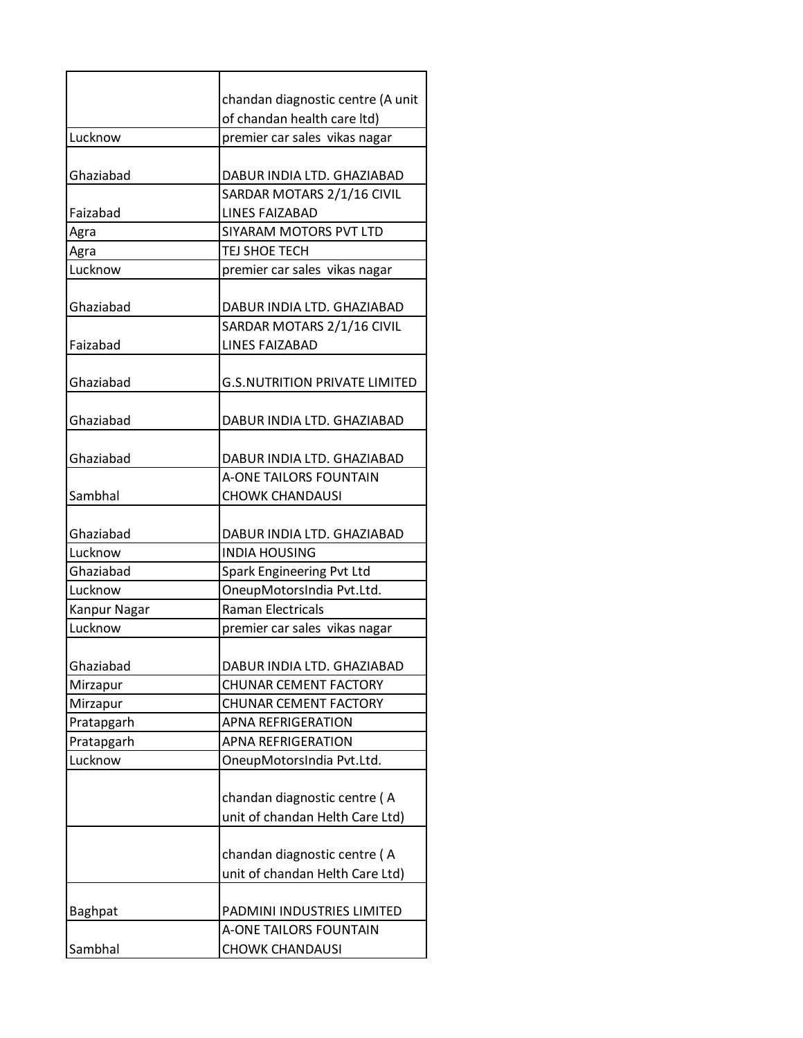|              | chandan diagnostic centre (A unit    |
|--------------|--------------------------------------|
|              | of chandan health care ltd)          |
| Lucknow      | premier car sales vikas nagar        |
|              |                                      |
| Ghaziabad    | DABUR INDIA LTD. GHAZIABAD           |
|              | SARDAR MOTARS 2/1/16 CIVIL           |
| Faizabad     | <b>LINES FAIZABAD</b>                |
| Agra         | SIYARAM MOTORS PVT LTD               |
| Agra         | TEJ SHOE TECH                        |
| Lucknow      | premier car sales vikas nagar        |
| Ghaziabad    | DABUR INDIA LTD. GHAZIABAD           |
|              | SARDAR MOTARS 2/1/16 CIVIL           |
| Faizabad     | <b>LINES FAIZABAD</b>                |
|              |                                      |
| Ghaziabad    | <b>G.S.NUTRITION PRIVATE LIMITED</b> |
| Ghaziabad    |                                      |
|              | DABUR INDIA LTD. GHAZIABAD           |
| Ghaziabad    | DABUR INDIA LTD. GHAZIABAD           |
|              | <b>A-ONE TAILORS FOUNTAIN</b>        |
| Sambhal      | <b>CHOWK CHANDAUSI</b>               |
|              |                                      |
| Ghaziabad    | DABUR INDIA LTD. GHAZIABAD           |
| Lucknow      | <b>INDIA HOUSING</b>                 |
| Ghaziabad    | Spark Engineering Pvt Ltd            |
| Lucknow      | OneupMotorsIndia Pvt.Ltd.            |
| Kanpur Nagar | <b>Raman Electricals</b>             |
| Lucknow      | premier car sales vikas nagar        |
|              |                                      |
| Ghaziabad    | DABUR INDIA LTD. GHAZIABAD           |
| Mirzapur     | <b>CHUNAR CEMENT FACTORY</b>         |
| Mirzapur     | <b>CHUNAR CEMENT FACTORY</b>         |
| Pratapgarh   | <b>APNA REFRIGERATION</b>            |
| Pratapgarh   | <b>APNA REFRIGERATION</b>            |
| Lucknow      | OneupMotorsIndia Pvt.Ltd.            |
|              |                                      |
|              | chandan diagnostic centre (A         |
|              | unit of chandan Helth Care Ltd)      |
|              | chandan diagnostic centre (A         |
|              | unit of chandan Helth Care Ltd)      |
|              |                                      |
| Baghpat      | PADMINI INDUSTRIES LIMITED           |
|              | A-ONE TAILORS FOUNTAIN               |
| Sambhal      | <b>CHOWK CHANDAUSI</b>               |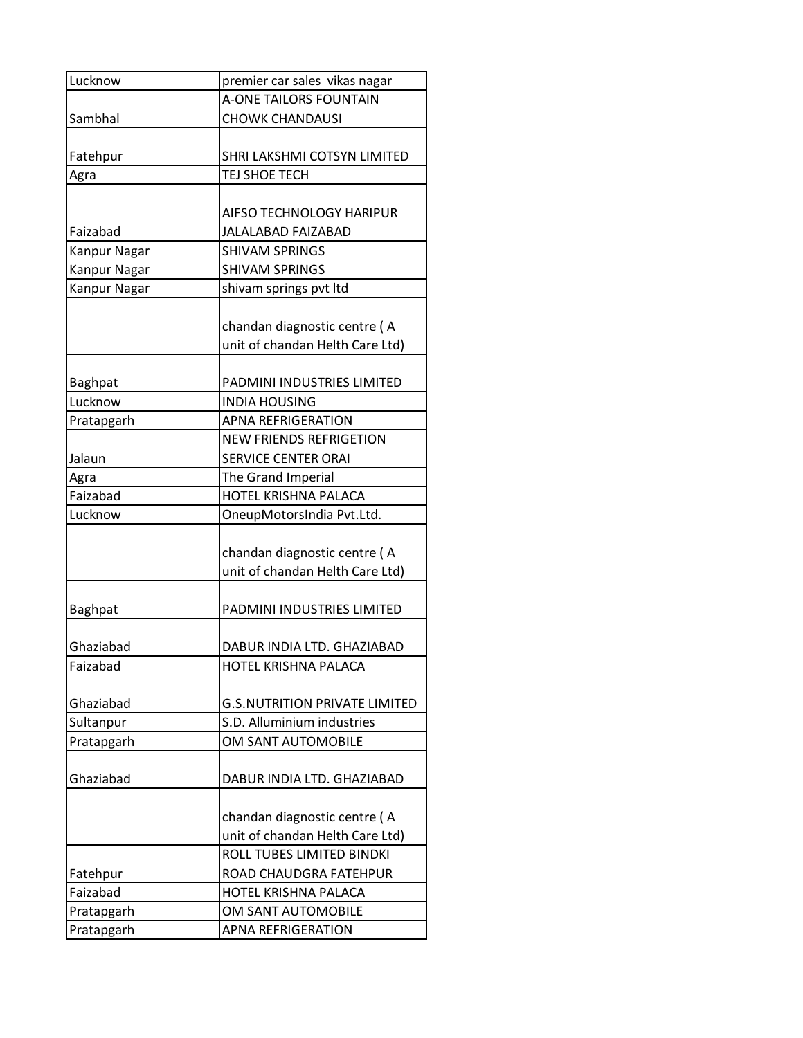| Lucknow             | premier car sales vikas nagar        |
|---------------------|--------------------------------------|
|                     | <b>A-ONE TAILORS FOUNTAIN</b>        |
| Sambhal             | <b>CHOWK CHANDAUSI</b>               |
|                     |                                      |
| Fatehpur            | SHRI LAKSHMI COTSYN LIMITED          |
| Agra                | TEJ SHOE TECH                        |
|                     |                                      |
|                     | AIFSO TECHNOLOGY HARIPUR             |
| Faizabad            | JALALABAD FAIZABAD                   |
| <b>Kanpur Nagar</b> | <b>SHIVAM SPRINGS</b>                |
| Kanpur Nagar        | <b>SHIVAM SPRINGS</b>                |
| Kanpur Nagar        | shivam springs pvt ltd               |
|                     |                                      |
|                     | chandan diagnostic centre (A         |
|                     | unit of chandan Helth Care Ltd)      |
|                     |                                      |
| <b>Baghpat</b>      | PADMINI INDUSTRIES LIMITED           |
| Lucknow             | <b>INDIA HOUSING</b>                 |
| Pratapgarh          | <b>APNA REFRIGERATION</b>            |
|                     | <b>NEW FRIENDS REFRIGETION</b>       |
| Jalaun              | <b>SERVICE CENTER ORAI</b>           |
| Agra                | The Grand Imperial                   |
| Faizabad            | HOTEL KRISHNA PALACA                 |
| Lucknow             | OneupMotorsIndia Pvt.Ltd.            |
|                     |                                      |
|                     | chandan diagnostic centre (A         |
|                     | unit of chandan Helth Care Ltd)      |
|                     |                                      |
| <b>Baghpat</b>      | PADMINI INDUSTRIES LIMITED           |
|                     |                                      |
| Ghaziabad           | DABUR INDIA LTD. GHAZIABAD           |
| Faizabad            | HOTEL KRISHNA PALACA                 |
|                     |                                      |
| Ghaziabad           | <b>G.S.NUTRITION PRIVATE LIMITED</b> |
| Sultanpur           | S.D. Alluminium industries           |
| Pratapgarh          | OM SANT AUTOMOBILE                   |
|                     |                                      |
| Ghaziabad           | DABUR INDIA LTD. GHAZIABAD           |
|                     |                                      |
|                     | chandan diagnostic centre (A         |
|                     | unit of chandan Helth Care Ltd)      |
|                     | ROLL TUBES LIMITED BINDKI            |
| Fatehpur            | ROAD CHAUDGRA FATEHPUR               |
| Faizabad            | HOTEL KRISHNA PALACA                 |
| Pratapgarh          | OM SANT AUTOMOBILE                   |
| Pratapgarh          | <b>APNA REFRIGERATION</b>            |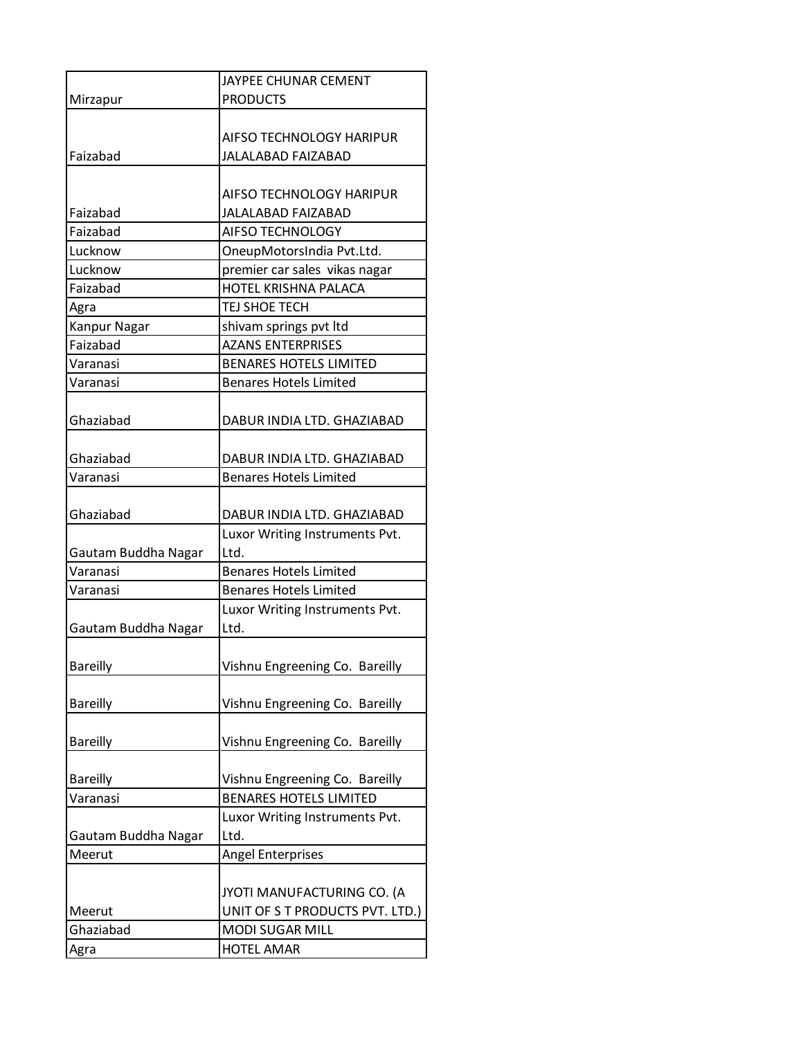|                       | <b>JAYPEE CHUNAR CEMENT</b>                                 |
|-----------------------|-------------------------------------------------------------|
| Mirzapur              | <b>PRODUCTS</b>                                             |
|                       |                                                             |
|                       | AIFSO TECHNOLOGY HARIPUR                                    |
| Faizabad              | <b>JALALABAD FAIZABAD</b>                                   |
|                       |                                                             |
|                       | AIFSO TECHNOLOGY HARIPUR                                    |
| Faizabad              | <b>JALALABAD FAIZABAD</b>                                   |
| Faizabad              | <b>AIFSO TECHNOLOGY</b>                                     |
| Lucknow               | OneupMotorsIndia Pvt.Ltd.                                   |
| Lucknow               | premier car sales vikas nagar                               |
| Faizabad              | HOTEL KRISHNA PALACA                                        |
| Agra                  | TEJ SHOE TECH                                               |
| <b>Kanpur Nagar</b>   | shivam springs pvt ltd                                      |
| Faizabad              | <b>AZANS ENTERPRISES</b>                                    |
| Varanasi              | <b>BENARES HOTELS LIMITED</b>                               |
| Varanasi              | <b>Benares Hotels Limited</b>                               |
|                       |                                                             |
| Ghaziabad             | DABUR INDIA LTD. GHAZIABAD                                  |
|                       |                                                             |
| Ghaziabad<br>Varanasi | DABUR INDIA LTD. GHAZIABAD<br><b>Benares Hotels Limited</b> |
|                       |                                                             |
| Ghaziabad             | DABUR INDIA LTD. GHAZIABAD                                  |
|                       | Luxor Writing Instruments Pvt.                              |
| Gautam Buddha Nagar   | Ltd.                                                        |
| Varanasi              | <b>Benares Hotels Limited</b>                               |
| Varanasi              | <b>Benares Hotels Limited</b>                               |
|                       | Luxor Writing Instruments Pvt.                              |
| Gautam Buddha Nagar   | Ltd.                                                        |
|                       | Vishnu Engreening Co. Bareilly                              |
| <b>Bareilly</b>       |                                                             |
|                       |                                                             |
| <b>Bareilly</b>       | Vishnu Engreening Co. Bareilly                              |
| <b>Bareilly</b>       | Vishnu Engreening Co. Bareilly                              |
|                       |                                                             |
| <b>Bareilly</b>       | Vishnu Engreening Co. Bareilly                              |
| Varanasi              | <b>BENARES HOTELS LIMITED</b>                               |
|                       | Luxor Writing Instruments Pvt.                              |
| Gautam Buddha Nagar   | Ltd.                                                        |
| Meerut                | Angel Enterprises                                           |
|                       |                                                             |
|                       | JYOTI MANUFACTURING CO. (A                                  |
| Meerut                | UNIT OF S T PRODUCTS PVT. LTD.)                             |
| Ghaziabad             | <b>MODI SUGAR MILL</b>                                      |
| Agra                  | <b>HOTEL AMAR</b>                                           |
|                       |                                                             |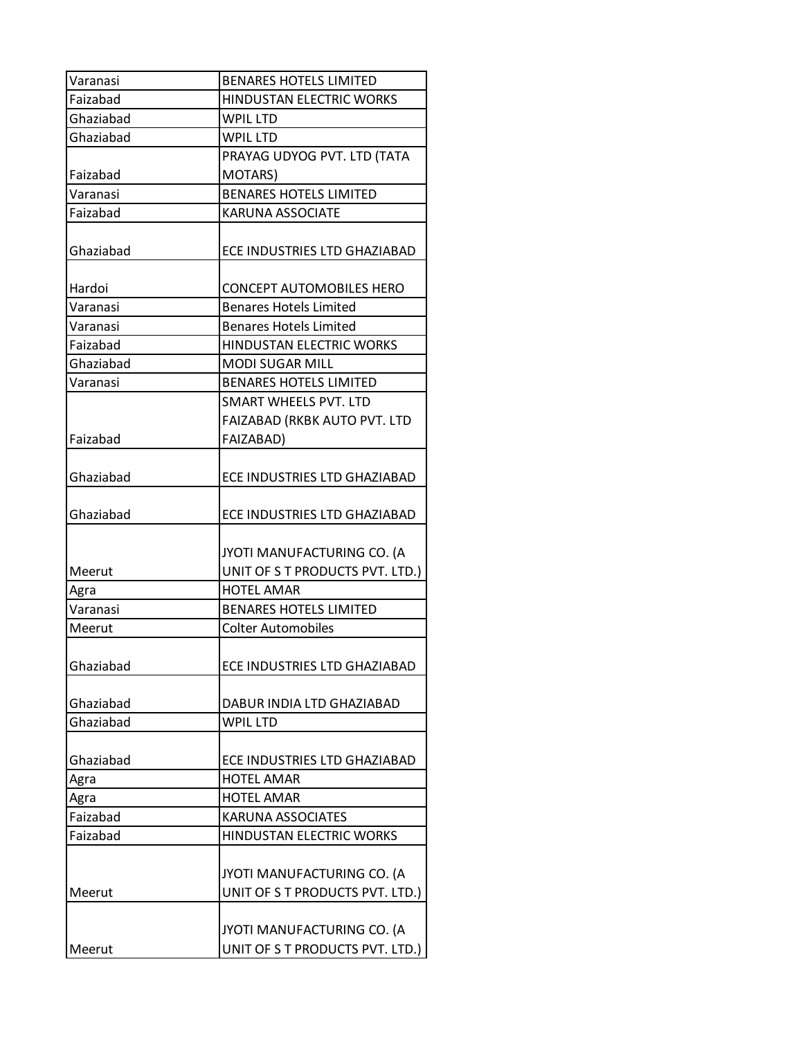| Varanasi  | <b>BENARES HOTELS LIMITED</b>   |
|-----------|---------------------------------|
| Faizabad  | HINDUSTAN ELECTRIC WORKS        |
| Ghaziabad | <b>WPIL LTD</b>                 |
| Ghaziabad | <b>WPIL LTD</b>                 |
|           | PRAYAG UDYOG PVT. LTD (TATA     |
| Faizabad  | MOTARS)                         |
| Varanasi  | <b>BENARES HOTELS LIMITED</b>   |
| Faizabad  | <b>KARUNA ASSOCIATE</b>         |
| Ghaziabad | ECE INDUSTRIES LTD GHAZIABAD    |
| Hardoi    | CONCEPT AUTOMOBILES HERO        |
| Varanasi  | <b>Benares Hotels Limited</b>   |
| Varanasi  | <b>Benares Hotels Limited</b>   |
| Faizabad  | <b>HINDUSTAN ELECTRIC WORKS</b> |
| Ghaziabad | <b>MODI SUGAR MILL</b>          |
| Varanasi  | <b>BENARES HOTELS LIMITED</b>   |
|           | <b>SMART WHEELS PVT. LTD</b>    |
|           | FAIZABAD (RKBK AUTO PVT. LTD    |
| Faizabad  | <b>FAIZABAD)</b>                |
| Ghaziabad | ECE INDUSTRIES LTD GHAZIABAD    |
| Ghaziabad | ECE INDUSTRIES LTD GHAZIABAD    |
|           | JYOTI MANUFACTURING CO. (A      |
| Meerut    | UNIT OF S T PRODUCTS PVT. LTD.) |
| Agra      | <b>HOTEL AMAR</b>               |
| Varanasi  | <b>BENARES HOTELS LIMITED</b>   |
| Meerut    | <b>Colter Automobiles</b>       |
| Ghaziabad | ECE INDUSTRIES LTD GHAZIABAD    |
| Ghaziabad | DABUR INDIA LTD GHAZIABAD       |
| Ghaziabad | <b>WPIL LTD</b>                 |
| Ghaziabad | ECE INDUSTRIES LTD GHAZIABAD    |
| Agra      | <b>HOTEL AMAR</b>               |
| Agra      | <b>HOTEL AMAR</b>               |
| Faizabad  | <b>KARUNA ASSOCIATES</b>        |
| Faizabad  | <b>HINDUSTAN ELECTRIC WORKS</b> |
|           |                                 |
|           | JYOTI MANUFACTURING CO. (A      |
| Meerut    | UNIT OF S T PRODUCTS PVT. LTD.) |
|           |                                 |
|           | JYOTI MANUFACTURING CO. (A      |
| Meerut    | UNIT OF S T PRODUCTS PVT. LTD.) |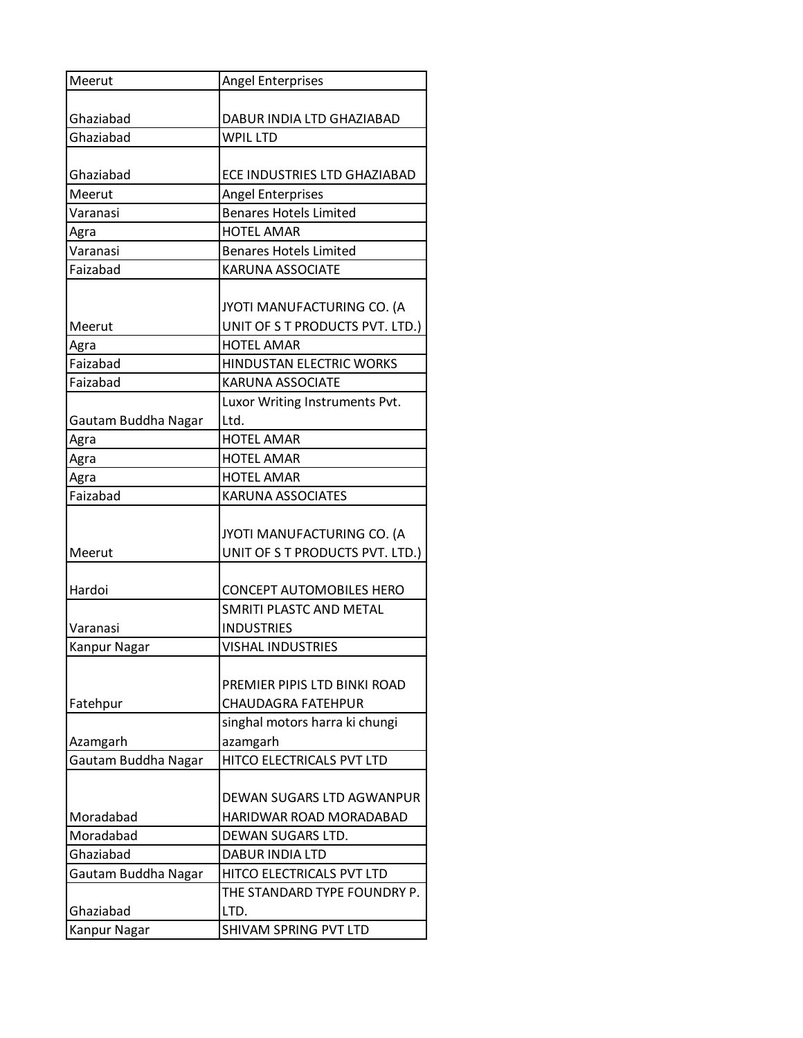| Meerut              | <b>Angel Enterprises</b>        |
|---------------------|---------------------------------|
|                     |                                 |
| Ghaziabad           | DABUR INDIA LTD GHAZIABAD       |
| Ghaziabad           | <b>WPIL LTD</b>                 |
|                     |                                 |
| Ghaziabad           | ECE INDUSTRIES LTD GHAZIABAD    |
| Meerut              | <b>Angel Enterprises</b>        |
| Varanasi            | <b>Benares Hotels Limited</b>   |
| Agra                | <b>HOTEL AMAR</b>               |
| Varanasi            | <b>Benares Hotels Limited</b>   |
| Faizabad            | <b>KARUNA ASSOCIATE</b>         |
|                     |                                 |
|                     | JYOTI MANUFACTURING CO. (A      |
| Meerut              | UNIT OF S T PRODUCTS PVT. LTD.) |
| Agra                | <b>HOTEL AMAR</b>               |
| Faizabad            | HINDUSTAN ELECTRIC WORKS        |
| Faizabad            | <b>KARUNA ASSOCIATE</b>         |
|                     | Luxor Writing Instruments Pvt.  |
| Gautam Buddha Nagar | Ltd.                            |
| Agra                | <b>HOTEL AMAR</b>               |
| Agra                | <b>HOTEL AMAR</b>               |
| Agra                | <b>HOTEL AMAR</b>               |
| Faizabad            | <b>KARUNA ASSOCIATES</b>        |
|                     |                                 |
|                     | JYOTI MANUFACTURING CO. (A      |
| Meerut              | UNIT OF S T PRODUCTS PVT. LTD.) |
|                     |                                 |
| Hardoi              | <b>CONCEPT AUTOMOBILES HERO</b> |
|                     | SMRITI PLASTC AND METAL         |
| Varanasi            | <b>INDUSTRIES</b>               |
| <b>Kanpur Nagar</b> | <b>VISHAL INDUSTRIES</b>        |
|                     |                                 |
|                     | PREMIER PIPIS LTD BINKI ROAD    |
| Fatehpur            | <b>CHAUDAGRA FATEHPUR</b>       |
|                     | singhal motors harra ki chungi  |
| Azamgarh            | azamgarh                        |
| Gautam Buddha Nagar | HITCO ELECTRICALS PVT LTD       |
|                     |                                 |
|                     | DEWAN SUGARS LTD AGWANPUR       |
| Moradabad           | HARIDWAR ROAD MORADABAD         |
| Moradabad           | DEWAN SUGARS LTD.               |
| Ghaziabad           | <b>DABUR INDIA LTD</b>          |
| Gautam Buddha Nagar | HITCO ELECTRICALS PVT LTD       |
|                     | THE STANDARD TYPE FOUNDRY P.    |
| Ghaziabad           | LTD.                            |
| Kanpur Nagar        | SHIVAM SPRING PVT LTD           |
|                     |                                 |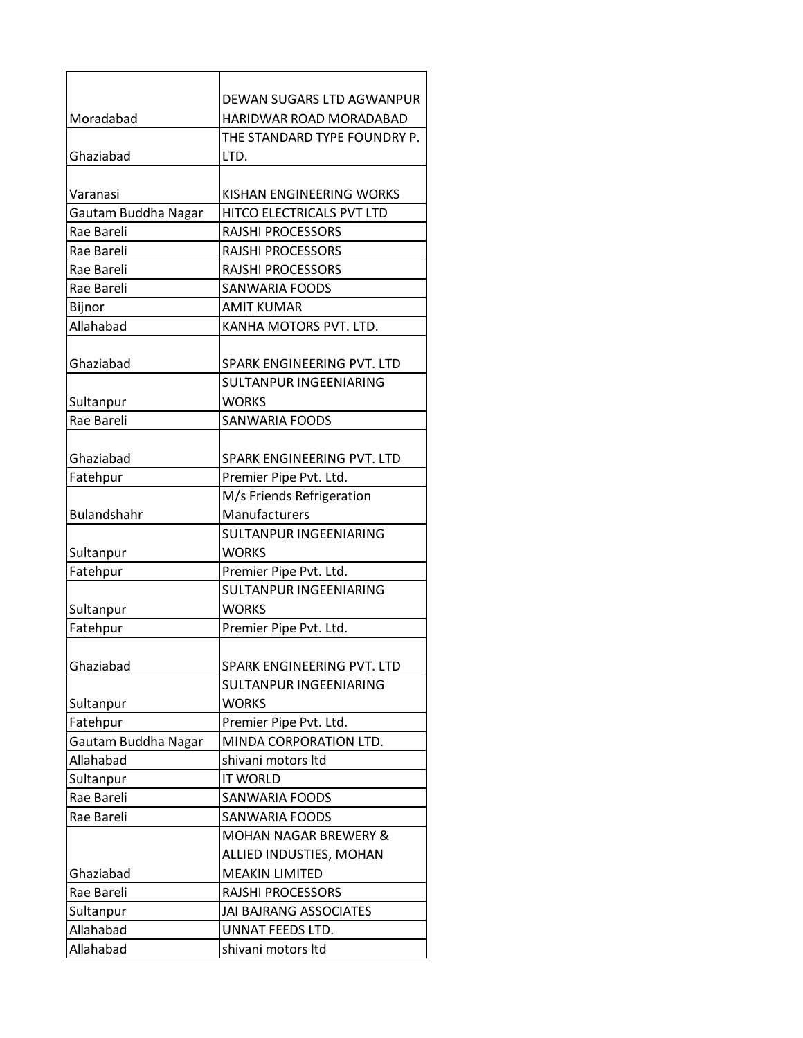|                     | DEWAN SUGARS LTD AGWANPUR        |
|---------------------|----------------------------------|
| Moradabad           | HARIDWAR ROAD MORADABAD          |
|                     | THE STANDARD TYPE FOUNDRY P.     |
| Ghaziabad           | LTD.                             |
| Varanasi            | KISHAN ENGINEERING WORKS         |
| Gautam Buddha Nagar | HITCO ELECTRICALS PVT LTD        |
| Rae Bareli          | <b>RAJSHI PROCESSORS</b>         |
| Rae Bareli          | <b>RAJSHI PROCESSORS</b>         |
| Rae Bareli          | RAJSHI PROCESSORS                |
| Rae Bareli          | <b>SANWARIA FOODS</b>            |
| Bijnor              | <b>AMIT KUMAR</b>                |
| Allahabad           | KANHA MOTORS PVT. LTD.           |
|                     |                                  |
| Ghaziabad           | SPARK ENGINEERING PVT. LTD       |
|                     | SULTANPUR INGEENIARING           |
| Sultanpur           | <b>WORKS</b>                     |
| Rae Bareli          | <b>SANWARIA FOODS</b>            |
|                     |                                  |
| Ghaziabad           | SPARK ENGINEERING PVT. LTD       |
| Fatehpur            | Premier Pipe Pvt. Ltd.           |
|                     | M/s Friends Refrigeration        |
| Bulandshahr         | Manufacturers                    |
|                     | <b>SULTANPUR INGEENIARING</b>    |
| Sultanpur           | <b>WORKS</b>                     |
| Fatehpur            | Premier Pipe Pvt. Ltd.           |
|                     | <b>SULTANPUR INGEENIARING</b>    |
| Sultanpur           | <b>WORKS</b>                     |
| Fatehpur            | Premier Pipe Pvt. Ltd.           |
|                     |                                  |
| Ghaziabad           | SPARK ENGINEERING PVT. LTD       |
|                     | SULTANPUR INGEENIARING           |
| Sultanpur           | <b>WORKS</b>                     |
| Fatehpur            | Premier Pipe Pvt. Ltd.           |
| Gautam Buddha Nagar | MINDA CORPORATION LTD.           |
| Allahabad           | shivani motors Itd               |
| Sultanpur           | <b>IT WORLD</b>                  |
| Rae Bareli          | <b>SANWARIA FOODS</b>            |
| Rae Bareli          | <b>SANWARIA FOODS</b>            |
|                     | <b>MOHAN NAGAR BREWERY &amp;</b> |
|                     | ALLIED INDUSTIES, MOHAN          |
| Ghaziabad           | <b>MEAKIN LIMITED</b>            |
| Rae Bareli          | RAJSHI PROCESSORS                |
| Sultanpur           | JAI BAJRANG ASSOCIATES           |
| Allahabad           | UNNAT FEEDS LTD.                 |
| Allahabad           | shivani motors Itd               |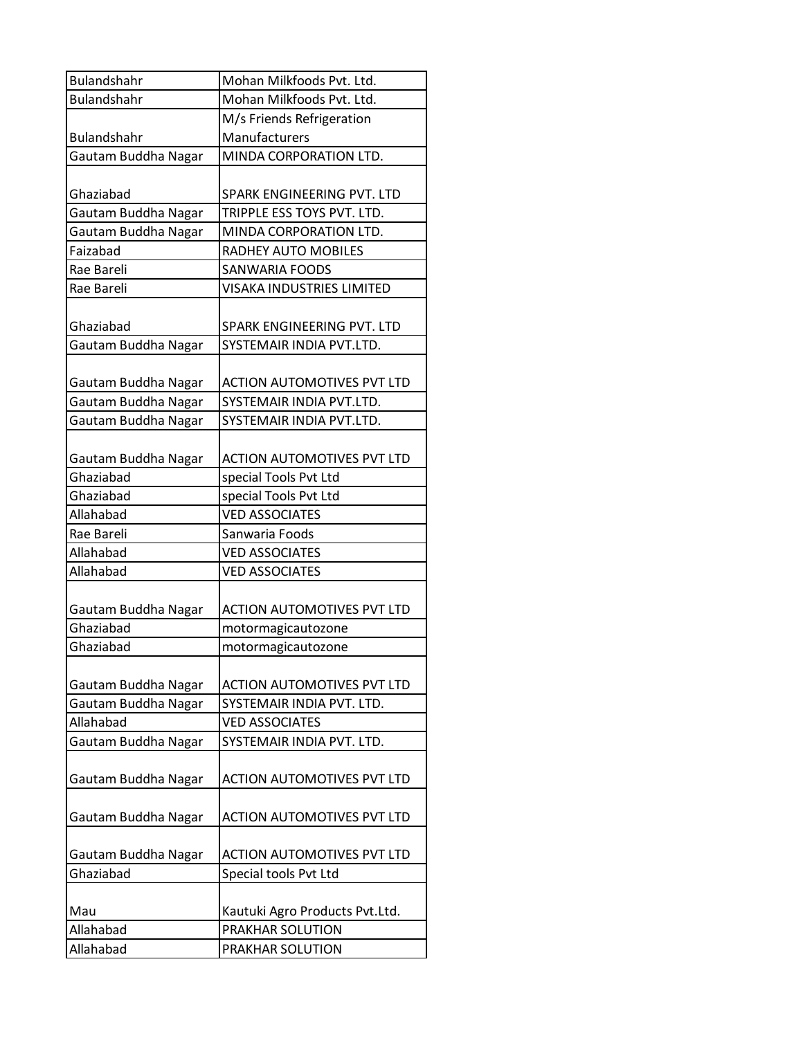| Bulandshahr         | Mohan Milkfoods Pvt. Ltd.         |
|---------------------|-----------------------------------|
| <b>Bulandshahr</b>  | Mohan Milkfoods Pvt. Ltd.         |
|                     | M/s Friends Refrigeration         |
| <b>Bulandshahr</b>  | Manufacturers                     |
| Gautam Buddha Nagar | MINDA CORPORATION LTD.            |
|                     |                                   |
| Ghaziabad           | SPARK ENGINEERING PVT. LTD        |
| Gautam Buddha Nagar | TRIPPLE ESS TOYS PVT. LTD.        |
| Gautam Buddha Nagar | MINDA CORPORATION LTD.            |
| Faizabad            | RADHEY AUTO MOBILES               |
| Rae Bareli          | <b>SANWARIA FOODS</b>             |
| Rae Bareli          | <b>VISAKA INDUSTRIES LIMITED</b>  |
| Ghaziabad           | SPARK ENGINEERING PVT. LTD        |
| Gautam Buddha Nagar | SYSTEMAIR INDIA PVT.LTD.          |
|                     |                                   |
| Gautam Buddha Nagar | <b>ACTION AUTOMOTIVES PVT LTD</b> |
| Gautam Buddha Nagar | SYSTEMAIR INDIA PVT.LTD.          |
| Gautam Buddha Nagar | SYSTEMAIR INDIA PVT.LTD.          |
|                     |                                   |
| Gautam Buddha Nagar | <b>ACTION AUTOMOTIVES PVT LTD</b> |
| Ghaziabad           | special Tools Pvt Ltd             |
| Ghaziabad           | special Tools Pvt Ltd             |
| Allahabad           | <b>VED ASSOCIATES</b>             |
| Rae Bareli          | Sanwaria Foods                    |
| Allahabad           | <b>VED ASSOCIATES</b>             |
| Allahabad           | <b>VED ASSOCIATES</b>             |
| Gautam Buddha Nagar | <b>ACTION AUTOMOTIVES PVT LTD</b> |
| Ghaziabad           | motormagicautozone                |
| Ghaziabad           | motormagicautozone                |
|                     |                                   |
| Gautam Buddha Nagar | <b>ACTION AUTOMOTIVES PVT LTD</b> |
| Gautam Buddha Nagar | SYSTEMAIR INDIA PVT. LTD.         |
| Allahabad           | <b>VED ASSOCIATES</b>             |
| Gautam Buddha Nagar | SYSTEMAIR INDIA PVT. LTD.         |
|                     |                                   |
| Gautam Buddha Nagar | <b>ACTION AUTOMOTIVES PVT LTD</b> |
|                     |                                   |
| Gautam Buddha Nagar | <b>ACTION AUTOMOTIVES PVT LTD</b> |
|                     |                                   |
| Gautam Buddha Nagar | <b>ACTION AUTOMOTIVES PVT LTD</b> |
| Ghaziabad           | Special tools Pvt Ltd             |
|                     |                                   |
| Mau                 | Kautuki Agro Products Pvt.Ltd.    |
| Allahabad           | PRAKHAR SOLUTION                  |
| Allahabad           | PRAKHAR SOLUTION                  |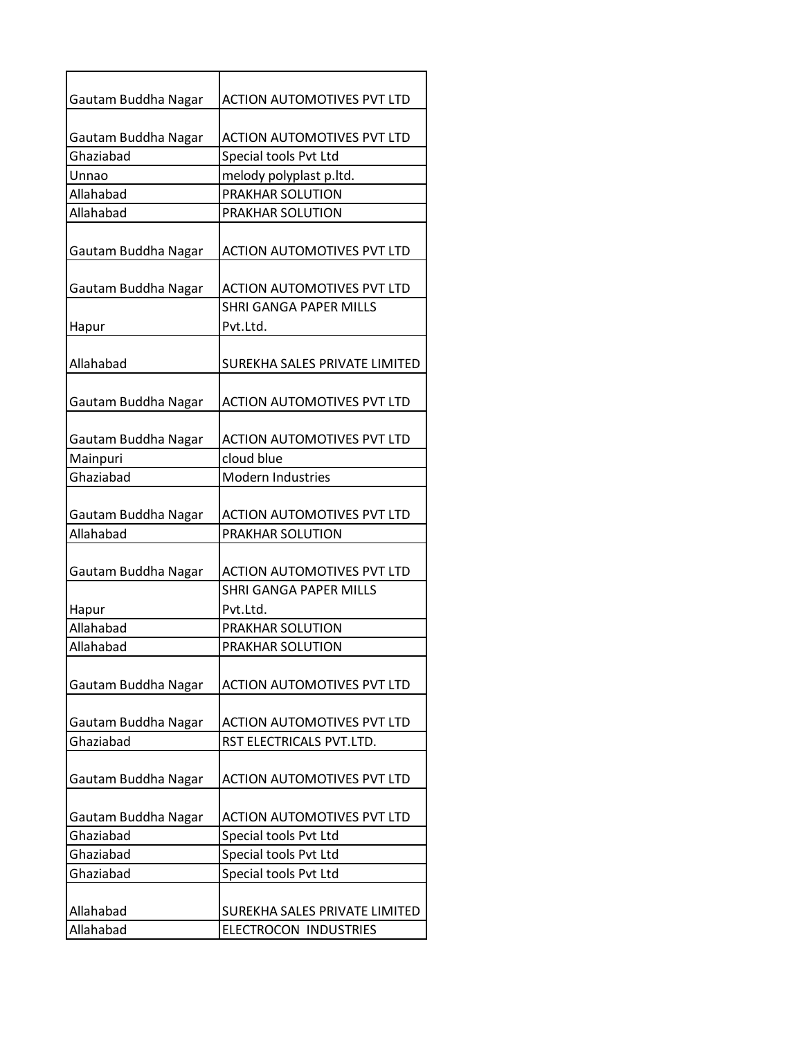| Gautam Buddha Nagar | <b>ACTION AUTOMOTIVES PVT LTD</b> |
|---------------------|-----------------------------------|
|                     |                                   |
| Gautam Buddha Nagar | <b>ACTION AUTOMOTIVES PVT LTD</b> |
| Ghaziabad           | Special tools Pvt Ltd             |
| Unnao               | melody polyplast p.ltd.           |
| Allahabad           | PRAKHAR SOLUTION                  |
| Allahabad           | PRAKHAR SOLUTION                  |
| Gautam Buddha Nagar | <b>ACTION AUTOMOTIVES PVT LTD</b> |
| Gautam Buddha Nagar | <b>ACTION AUTOMOTIVES PVT LTD</b> |
|                     | <b>SHRI GANGA PAPER MILLS</b>     |
| Hapur               | Pvt.Ltd.                          |
| Allahabad           | SUREKHA SALES PRIVATE LIMITED     |
| Gautam Buddha Nagar | <b>ACTION AUTOMOTIVES PVT LTD</b> |
| Gautam Buddha Nagar | <b>ACTION AUTOMOTIVES PVT LTD</b> |
| Mainpuri            | cloud blue                        |
| Ghaziabad           | Modern Industries                 |
|                     |                                   |
| Gautam Buddha Nagar | <b>ACTION AUTOMOTIVES PVT LTD</b> |
| Allahabad           | PRAKHAR SOLUTION                  |
|                     |                                   |
| Gautam Buddha Nagar | <b>ACTION AUTOMOTIVES PVT LTD</b> |
|                     | <b>SHRI GANGA PAPER MILLS</b>     |
| Hapur               | Pvt.Ltd.                          |
| Allahabad           | PRAKHAR SOLUTION                  |
| Allahabad           | <b>PRAKHAR SOLUTION</b>           |
| Gautam Buddha Nagar | <b>ACTION AUTOMOTIVES PVT LTD</b> |
| Gautam Buddha Nagar | <b>ACTION AUTOMOTIVES PVT LTD</b> |
| Ghaziabad           | RST ELECTRICALS PVT.LTD.          |
| Gautam Buddha Nagar | <b>ACTION AUTOMOTIVES PVT LTD</b> |
| Gautam Buddha Nagar | <b>ACTION AUTOMOTIVES PVT LTD</b> |
| Ghaziabad           | Special tools Pvt Ltd             |
| Ghaziabad           | Special tools Pvt Ltd             |
| Ghaziabad           | Special tools Pvt Ltd             |
|                     |                                   |
| Allahabad           | SUREKHA SALES PRIVATE LIMITED     |
| Allahabad           | ELECTROCON INDUSTRIES             |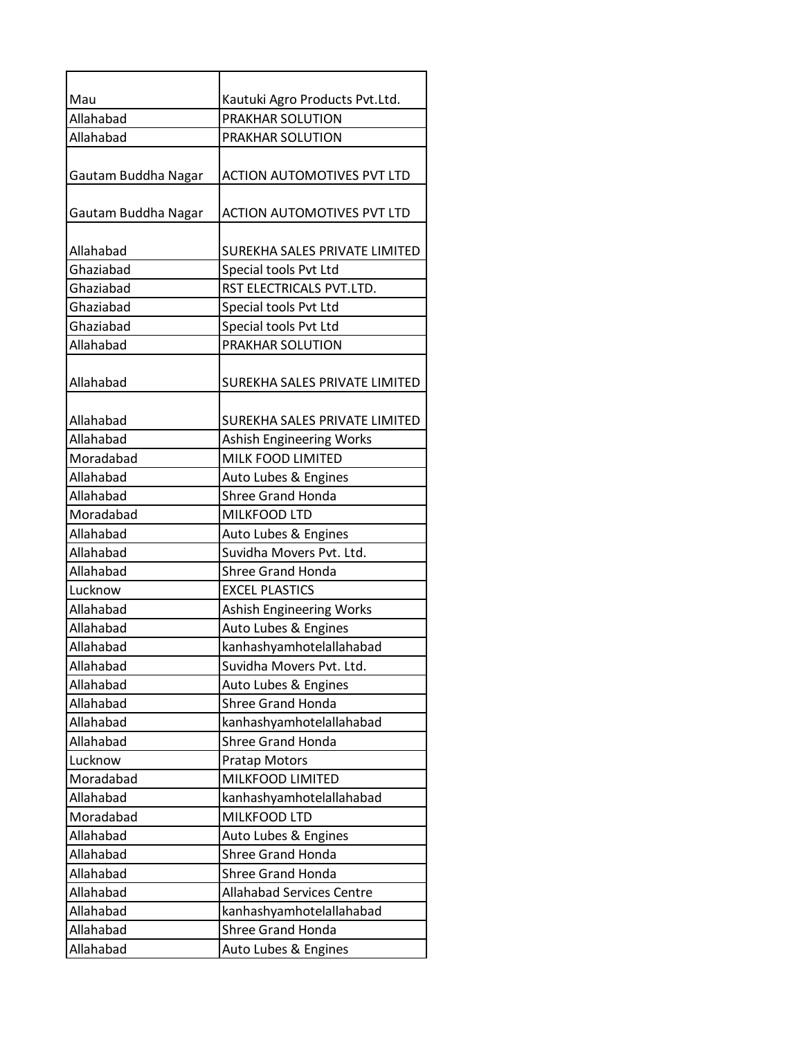| Mau                 | Kautuki Agro Products Pvt.Ltd.    |
|---------------------|-----------------------------------|
| Allahabad           | <b>PRAKHAR SOLUTION</b>           |
| Allahabad           | PRAKHAR SOLUTION                  |
| Gautam Buddha Nagar | <b>ACTION AUTOMOTIVES PVT LTD</b> |
| Gautam Buddha Nagar | <b>ACTION AUTOMOTIVES PVT LTD</b> |
| Allahabad           | SUREKHA SALES PRIVATE LIMITED     |
| Ghaziabad           | Special tools Pvt Ltd             |
| Ghaziabad           | RST ELECTRICALS PVT.LTD.          |
| Ghaziabad           | Special tools Pvt Ltd             |
| Ghaziabad           | Special tools Pvt Ltd             |
| Allahabad           | PRAKHAR SOLUTION                  |
| Allahabad           | SUREKHA SALES PRIVATE LIMITED     |
| Allahabad           | SUREKHA SALES PRIVATE LIMITED     |
| Allahabad           | <b>Ashish Engineering Works</b>   |
| Moradabad           | <b>MILK FOOD LIMITED</b>          |
| Allahabad           | Auto Lubes & Engines              |
| Allahabad           | <b>Shree Grand Honda</b>          |
| Moradabad           | MILKFOOD LTD                      |
| Allahabad           | Auto Lubes & Engines              |
| Allahabad           | Suvidha Movers Pvt. Ltd.          |
| Allahabad           | <b>Shree Grand Honda</b>          |
| Lucknow             | <b>EXCEL PLASTICS</b>             |
| Allahabad           | Ashish Engineering Works          |
| Allahabad           | Auto Lubes & Engines              |
| Allahabad           | kanhashyamhotelallahabad          |
| Allahabad           | Suvidha Movers Pvt. Ltd.          |
| Allahabad           | Auto Lubes & Engines              |
| Allahabad           | <b>Shree Grand Honda</b>          |
| Allahabad           | kanhashyamhotelallahabad          |
| Allahabad           | <b>Shree Grand Honda</b>          |
| Lucknow             | <b>Pratap Motors</b>              |
| Moradabad           | MILKFOOD LIMITED                  |
| Allahabad           | kanhashyamhotelallahabad          |
| Moradabad           | MILKFOOD LTD                      |
| Allahabad           | Auto Lubes & Engines              |
| Allahabad           | <b>Shree Grand Honda</b>          |
| Allahabad           | <b>Shree Grand Honda</b>          |
| Allahabad           | <b>Allahabad Services Centre</b>  |
| Allahabad           | kanhashyamhotelallahabad          |
| Allahabad           | <b>Shree Grand Honda</b>          |
| Allahabad           | Auto Lubes & Engines              |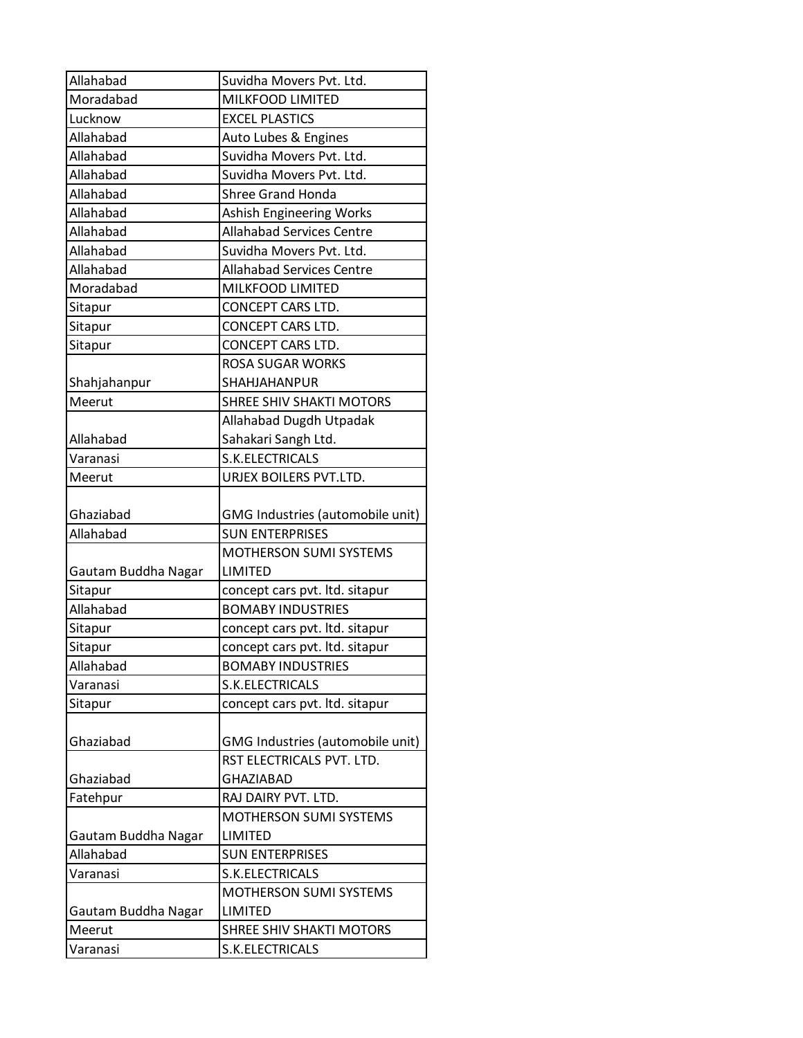| Allahabad           | Suvidha Movers Pvt. Ltd.         |
|---------------------|----------------------------------|
| Moradabad           | MILKFOOD LIMITED                 |
| Lucknow             | <b>EXCEL PLASTICS</b>            |
| Allahabad           | Auto Lubes & Engines             |
| Allahabad           | Suvidha Movers Pvt. Ltd.         |
| Allahabad           | Suvidha Movers Pvt. Ltd.         |
| Allahabad           | <b>Shree Grand Honda</b>         |
| Allahabad           | Ashish Engineering Works         |
| Allahabad           | <b>Allahabad Services Centre</b> |
| Allahabad           | Suvidha Movers Pvt. Ltd.         |
| Allahabad           | <b>Allahabad Services Centre</b> |
| Moradabad           | MILKFOOD LIMITED                 |
| Sitapur             | CONCEPT CARS LTD.                |
| Sitapur             | CONCEPT CARS LTD.                |
| Sitapur             | CONCEPT CARS LTD.                |
|                     | <b>ROSA SUGAR WORKS</b>          |
| Shahjahanpur        | <b>SHAHJAHANPUR</b>              |
| Meerut              | SHREE SHIV SHAKTI MOTORS         |
|                     | Allahabad Dugdh Utpadak          |
| Allahabad           | Sahakari Sangh Ltd.              |
| Varanasi            | S.K.ELECTRICALS                  |
| Meerut              | URJEX BOILERS PVT.LTD.           |
| Ghaziabad           | GMG Industries (automobile unit) |
| Allahabad           | <b>SUN ENTERPRISES</b>           |
|                     | MOTHERSON SUMI SYSTEMS           |
| Gautam Buddha Nagar | LIMITED                          |
| Sitapur             | concept cars pvt. Itd. sitapur   |
| Allahabad           | <b>BOMABY INDUSTRIES</b>         |
| Sitapur             | concept cars pvt. Itd. sitapur   |
| Sitapur             | concept cars pvt. Itd. sitapur   |
| Allahabad           | <b>BOMABY INDUSTRIES</b>         |
| Varanasi            | S.K.ELECTRICALS                  |
| Sitapur             | concept cars pvt. Itd. sitapur   |
|                     |                                  |
| Ghaziabad           | GMG Industries (automobile unit) |
|                     | RST ELECTRICALS PVT. LTD.        |
| Ghaziabad           | <b>GHAZIABAD</b>                 |
| Fatehpur            | RAJ DAIRY PVT. LTD.              |
|                     | MOTHERSON SUMI SYSTEMS           |
| Gautam Buddha Nagar | LIMITED                          |
| Allahabad           | <b>SUN ENTERPRISES</b>           |
| Varanasi            | S.K.ELECTRICALS                  |
|                     | MOTHERSON SUMI SYSTEMS           |
| Gautam Buddha Nagar | LIMITED                          |
| Meerut              | SHREE SHIV SHAKTI MOTORS         |
| Varanasi            | S.K.ELECTRICALS                  |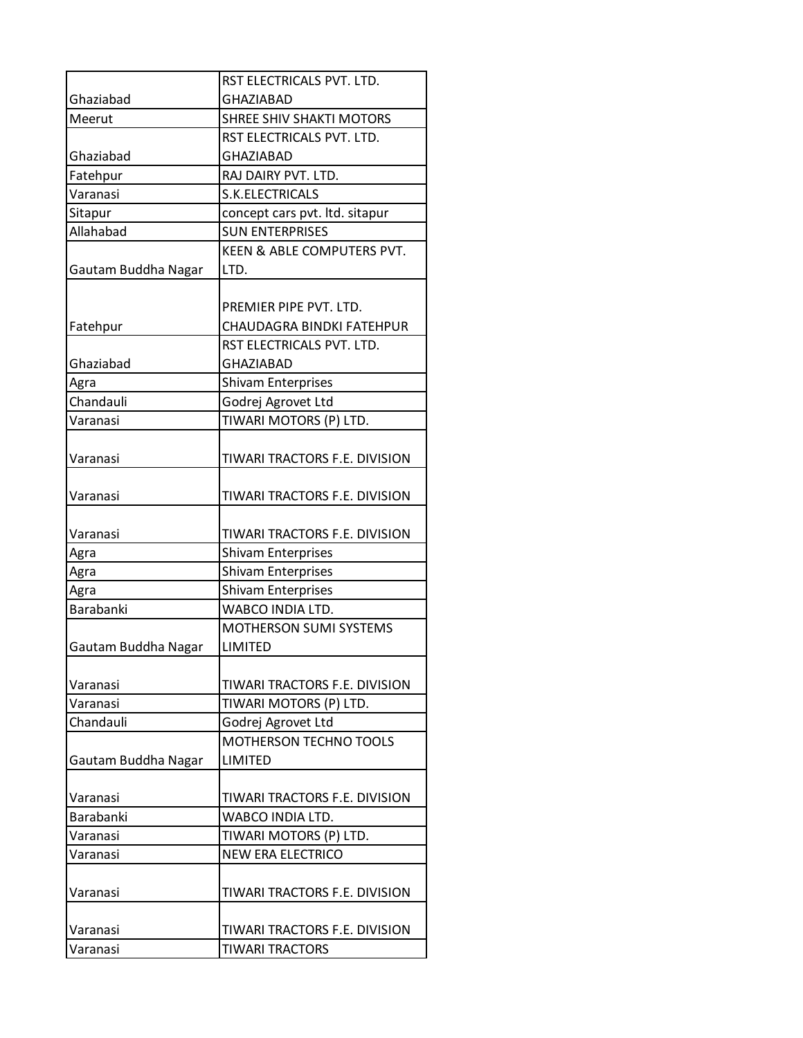|                     | RST ELECTRICALS PVT. LTD.       |
|---------------------|---------------------------------|
| Ghaziabad           | <b>GHAZIABAD</b>                |
| Meerut              | <b>SHREE SHIV SHAKTI MOTORS</b> |
|                     | RST ELECTRICALS PVT. LTD.       |
| Ghaziabad           | <b>GHAZIABAD</b>                |
| Fatehpur            | RAJ DAIRY PVT. LTD.             |
| Varanasi            | S.K.ELECTRICALS                 |
| Sitapur             | concept cars pvt. Itd. sitapur  |
| Allahabad           | <b>SUN ENTERPRISES</b>          |
|                     | KEEN & ABLE COMPUTERS PVT.      |
| Gautam Buddha Nagar | LTD.                            |
|                     |                                 |
|                     | PREMIER PIPE PVT. LTD.          |
| Fatehpur            | CHAUDAGRA BINDKI FATEHPUR       |
|                     | RST ELECTRICALS PVT. LTD.       |
| Ghaziabad           | <b>GHAZIABAD</b>                |
| Agra                | <b>Shivam Enterprises</b>       |
| Chandauli           | Godrej Agrovet Ltd              |
| Varanasi            | TIWARI MOTORS (P) LTD.          |
|                     |                                 |
| Varanasi            | TIWARI TRACTORS F.E. DIVISION   |
|                     |                                 |
| Varanasi            | TIWARI TRACTORS F.E. DIVISION   |
|                     |                                 |
| Varanasi            | TIWARI TRACTORS F.E. DIVISION   |
| Agra                | <b>Shivam Enterprises</b>       |
| Agra                | <b>Shivam Enterprises</b>       |
| Agra                | <b>Shivam Enterprises</b>       |
| Barabanki           | WABCO INDIA LTD.                |
|                     | <b>MOTHERSON SUMI SYSTEMS</b>   |
| Gautam Buddha Nagar | LIMITED                         |
|                     |                                 |
| Varanasi            | TIWARI TRACTORS F.E. DIVISION   |
| Varanasi            | TIWARI MOTORS (P) LTD.          |
| Chandauli           | Godrej Agrovet Ltd              |
|                     | <b>MOTHERSON TECHNO TOOLS</b>   |
| Gautam Buddha Nagar | <b>LIMITED</b>                  |
|                     |                                 |
| Varanasi            | TIWARI TRACTORS F.E. DIVISION   |
| Barabanki           | WABCO INDIA LTD.                |
| Varanasi            | TIWARI MOTORS (P) LTD.          |
| Varanasi            | <b>NEW ERA ELECTRICO</b>        |
|                     |                                 |
|                     |                                 |
| Varanasi            | TIWARI TRACTORS F.E. DIVISION   |
|                     |                                 |
| Varanasi            | TIWARI TRACTORS F.E. DIVISION   |
| Varanasi            | <b>TIWARI TRACTORS</b>          |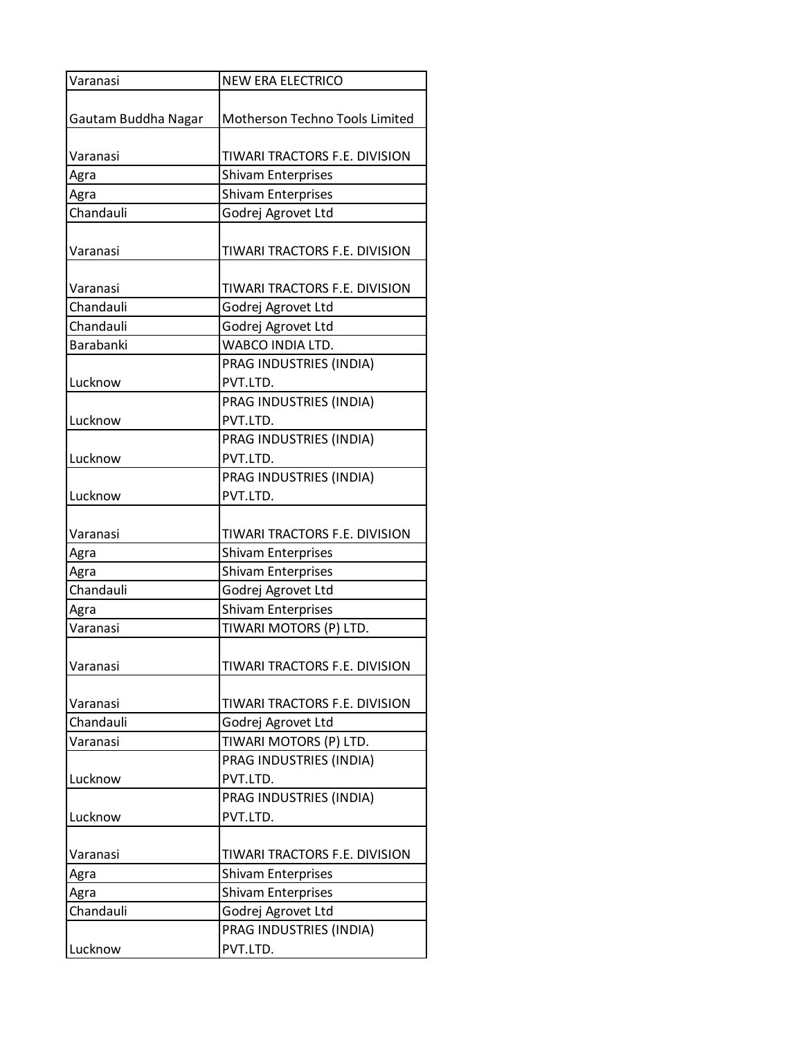| Varanasi            | <b>NEW ERA ELECTRICO</b>       |
|---------------------|--------------------------------|
|                     |                                |
| Gautam Buddha Nagar | Motherson Techno Tools Limited |
|                     |                                |
| Varanasi            | TIWARI TRACTORS F.E. DIVISION  |
| Agra                | <b>Shivam Enterprises</b>      |
| Agra                | <b>Shivam Enterprises</b>      |
| Chandauli           | Godrej Agrovet Ltd             |
|                     |                                |
| Varanasi            | TIWARI TRACTORS F.E. DIVISION  |
|                     |                                |
| Varanasi            | TIWARI TRACTORS F.E. DIVISION  |
| Chandauli           | Godrej Agrovet Ltd             |
| Chandauli           | Godrej Agrovet Ltd             |
| Barabanki           | WABCO INDIA LTD.               |
|                     | PRAG INDUSTRIES (INDIA)        |
| Lucknow             | PVT.LTD.                       |
|                     | PRAG INDUSTRIES (INDIA)        |
| Lucknow             | PVT.LTD.                       |
|                     | PRAG INDUSTRIES (INDIA)        |
| Lucknow             | PVT.LTD.                       |
|                     | PRAG INDUSTRIES (INDIA)        |
| Lucknow             | PVT.LTD.                       |
|                     |                                |
| Varanasi            | TIWARI TRACTORS F.E. DIVISION  |
| Agra                | <b>Shivam Enterprises</b>      |
| Agra                | <b>Shivam Enterprises</b>      |
| Chandauli           | Godrej Agrovet Ltd             |
| Agra                | <b>Shivam Enterprises</b>      |
| Varanasi            | TIWARI MOTORS (P) LTD.         |
|                     |                                |
| Varanasi            | TIWARI TRACTORS F.E. DIVISION  |
|                     |                                |
| Varanasi            | TIWARI TRACTORS F.E. DIVISION  |
| Chandauli           | Godrej Agrovet Ltd             |
| Varanasi            | TIWARI MOTORS (P) LTD.         |
|                     | PRAG INDUSTRIES (INDIA)        |
| Lucknow             | PVT.LTD.                       |
|                     | PRAG INDUSTRIES (INDIA)        |
| Lucknow             | PVT.LTD.                       |
|                     |                                |
| Varanasi            | TIWARI TRACTORS F.E. DIVISION  |
| Agra                | <b>Shivam Enterprises</b>      |
| Agra                | <b>Shivam Enterprises</b>      |
| Chandauli           | Godrej Agrovet Ltd             |
|                     | PRAG INDUSTRIES (INDIA)        |
| Lucknow             | PVT.LTD.                       |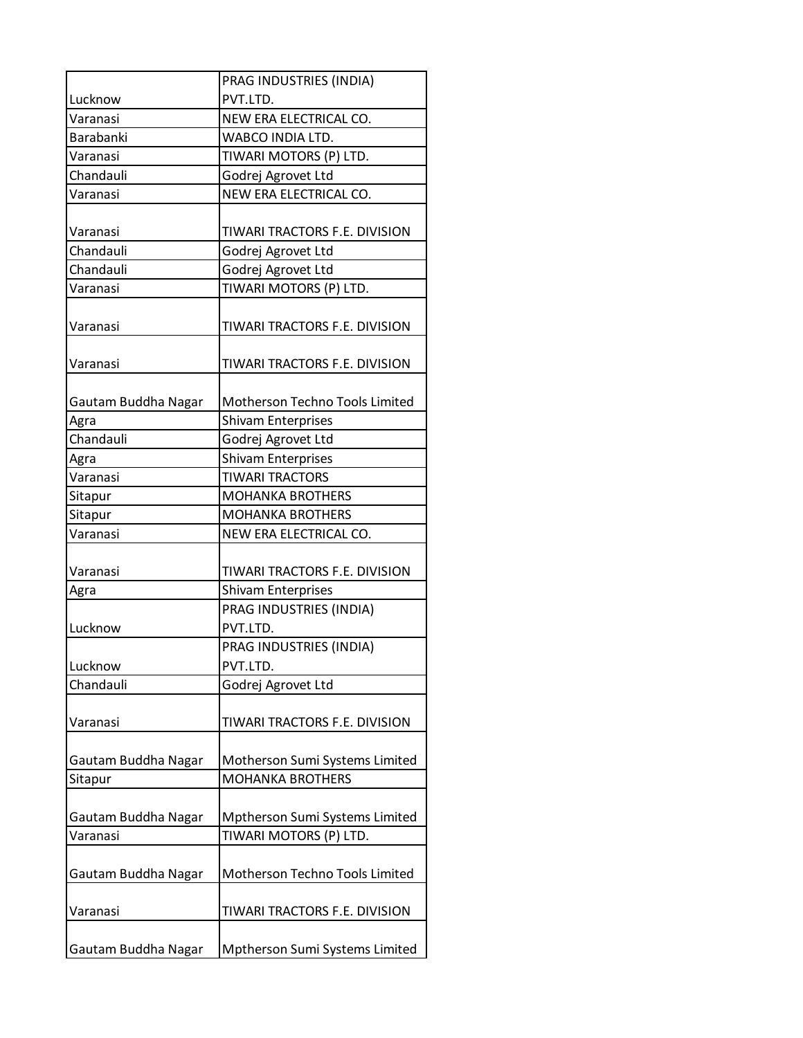|                     | PRAG INDUSTRIES (INDIA)        |
|---------------------|--------------------------------|
| Lucknow             | PVT.LTD.                       |
| Varanasi            | NEW ERA ELECTRICAL CO.         |
| Barabanki           | WABCO INDIA LTD.               |
| Varanasi            | TIWARI MOTORS (P) LTD.         |
| Chandauli           | Godrej Agrovet Ltd             |
| Varanasi            | NEW ERA ELECTRICAL CO.         |
|                     |                                |
| Varanasi            | TIWARI TRACTORS F.E. DIVISION  |
| Chandauli           | Godrej Agrovet Ltd             |
| Chandauli           | Godrej Agrovet Ltd             |
| Varanasi            | TIWARI MOTORS (P) LTD.         |
| Varanasi            | TIWARI TRACTORS F.E. DIVISION  |
| Varanasi            | TIWARI TRACTORS F.E. DIVISION  |
| Gautam Buddha Nagar | Motherson Techno Tools Limited |
| Agra                | <b>Shivam Enterprises</b>      |
| Chandauli           | Godrej Agrovet Ltd             |
| Agra                | <b>Shivam Enterprises</b>      |
| Varanasi            | <b>TIWARI TRACTORS</b>         |
| Sitapur             | <b>MOHANKA BROTHERS</b>        |
| Sitapur             | <b>MOHANKA BROTHERS</b>        |
| Varanasi            | NEW ERA ELECTRICAL CO.         |
|                     |                                |
| Varanasi            | TIWARI TRACTORS F.E. DIVISION  |
| Agra                | <b>Shivam Enterprises</b>      |
|                     | PRAG INDUSTRIES (INDIA)        |
| Lucknow             | PVT.LTD.                       |
|                     | PRAG INDUSTRIES (INDIA)        |
| Lucknow             | PVT.LTD.                       |
| Chandauli           | Godrej Agrovet Ltd             |
| Varanasi            | TIWARI TRACTORS F.E. DIVISION  |
|                     |                                |
| Gautam Buddha Nagar | Motherson Sumi Systems Limited |
| Sitapur             | <b>MOHANKA BROTHERS</b>        |
|                     |                                |
| Gautam Buddha Nagar | Mptherson Sumi Systems Limited |
| Varanasi            | TIWARI MOTORS (P) LTD.         |
|                     |                                |
| Gautam Buddha Nagar | Motherson Techno Tools Limited |
|                     |                                |
| Varanasi            | TIWARI TRACTORS F.E. DIVISION  |
|                     |                                |
| Gautam Buddha Nagar | Mptherson Sumi Systems Limited |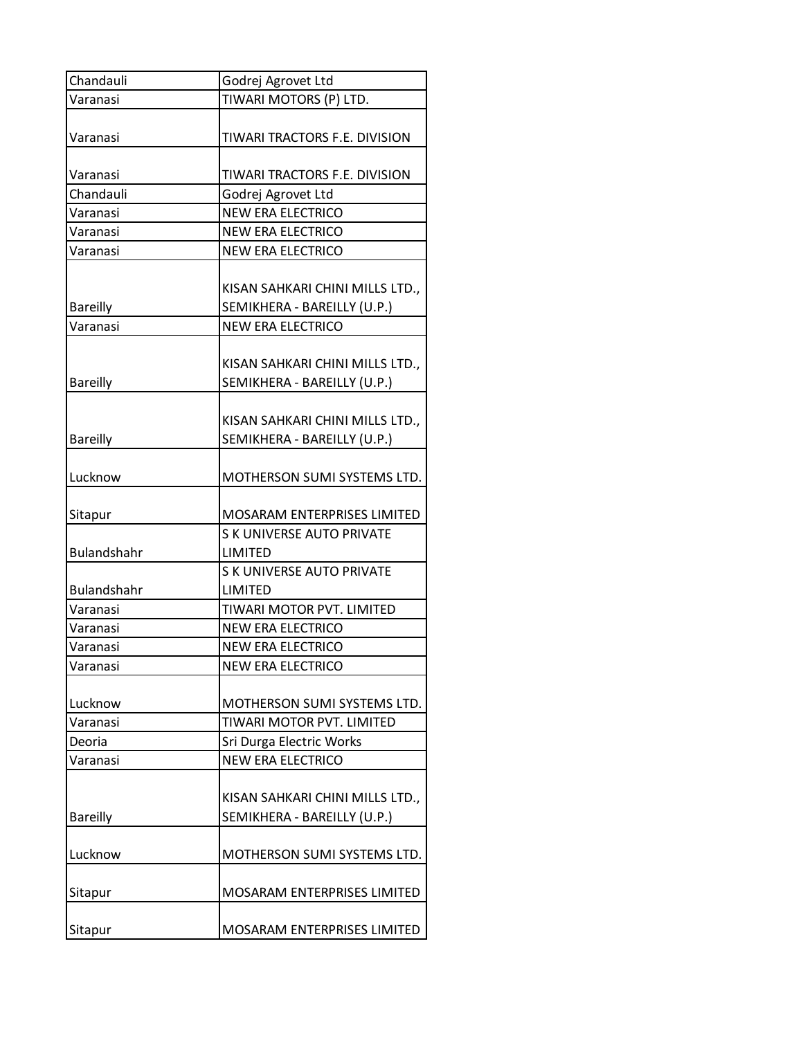| Chandauli          | Godrej Agrovet Ltd                                             |
|--------------------|----------------------------------------------------------------|
| Varanasi           | TIWARI MOTORS (P) LTD.                                         |
| Varanasi           | TIWARI TRACTORS F.E. DIVISION                                  |
| Varanasi           | TIWARI TRACTORS F.E. DIVISION                                  |
| Chandauli          | Godrej Agrovet Ltd                                             |
| Varanasi           | <b>NEW ERA ELECTRICO</b>                                       |
| Varanasi           | <b>NEW ERA ELECTRICO</b>                                       |
| Varanasi           | <b>NEW ERA ELECTRICO</b>                                       |
| <b>Bareilly</b>    | KISAN SAHKARI CHINI MILLS LTD.,<br>SEMIKHERA - BAREILLY (U.P.) |
| Varanasi           | <b>NEW ERA ELECTRICO</b>                                       |
| <b>Bareilly</b>    | KISAN SAHKARI CHINI MILLS LTD.,<br>SEMIKHERA - BAREILLY (U.P.) |
| <b>Bareilly</b>    | KISAN SAHKARI CHINI MILLS LTD.,<br>SEMIKHERA - BAREILLY (U.P.) |
| Lucknow            | MOTHERSON SUMI SYSTEMS LTD.                                    |
| Sitapur            | MOSARAM ENTERPRISES LIMITED                                    |
| <b>Bulandshahr</b> | S K UNIVERSE AUTO PRIVATE<br>LIMITED                           |
| <b>Bulandshahr</b> | S K UNIVERSE AUTO PRIVATE<br>LIMITED                           |
| Varanasi           | TIWARI MOTOR PVT. LIMITED                                      |
| Varanasi           | <b>NEW ERA ELECTRICO</b>                                       |
| Varanasi           | <b>NEW ERA ELECTRICO</b>                                       |
| Varanasi           | <b>NEW ERA ELECTRICO</b>                                       |
| Lucknow            | MOTHERSON SUMI SYSTEMS LTD.                                    |
| Varanasi           | TIWARI MOTOR PVT. LIMITED                                      |
| Deoria             | Sri Durga Electric Works                                       |
| Varanasi           | <b>NEW ERA ELECTRICO</b>                                       |
| <b>Bareilly</b>    | KISAN SAHKARI CHINI MILLS LTD.,<br>SEMIKHERA - BAREILLY (U.P.) |
| Lucknow            | MOTHERSON SUMI SYSTEMS LTD.                                    |
| Sitapur            | MOSARAM ENTERPRISES LIMITED                                    |
| Sitapur            | MOSARAM ENTERPRISES LIMITED                                    |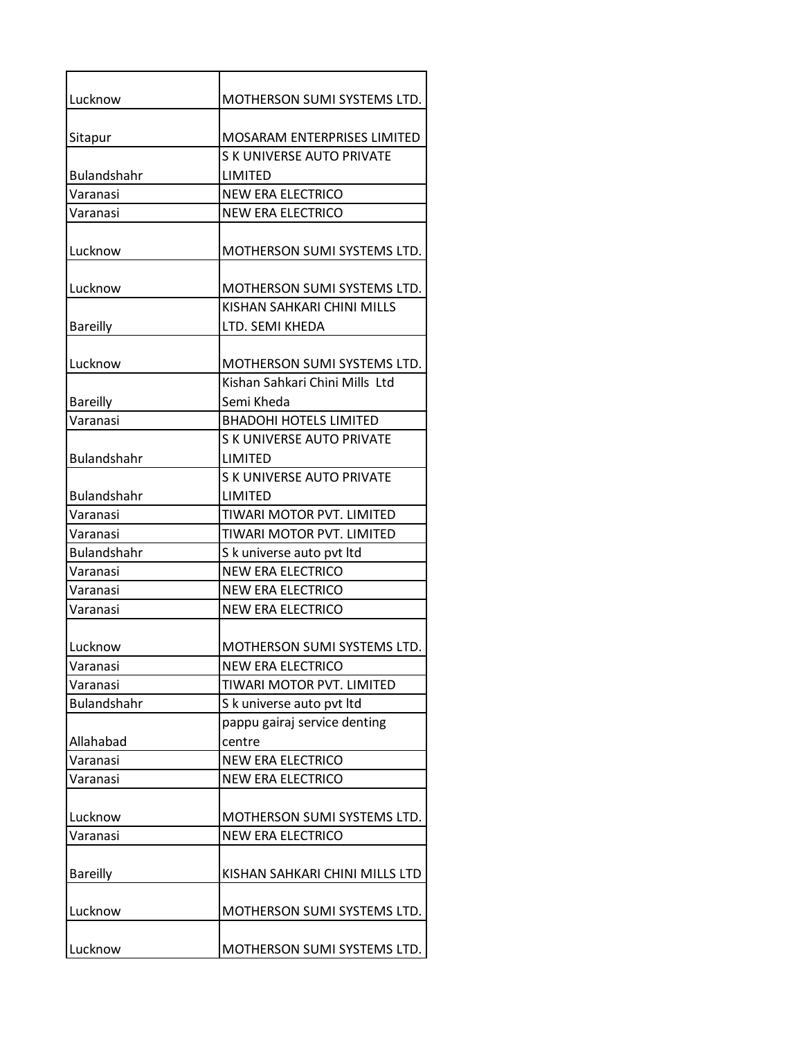| Lucknow            | <b>MOTHERSON SUMI SYSTEMS LTD.</b>            |
|--------------------|-----------------------------------------------|
|                    |                                               |
| Sitapur            | <b>MOSARAM ENTERPRISES LIMITED</b>            |
|                    | <b>S K UNIVERSE AUTO PRIVATE</b>              |
| <b>Bulandshahr</b> | LIMITED                                       |
| Varanasi           | <b>NEW ERA ELECTRICO</b>                      |
| Varanasi           | <b>NEW ERA ELECTRICO</b>                      |
| Lucknow            | <b>MOTHERSON SUMI SYSTEMS LTD.</b>            |
| Lucknow            | MOTHERSON SUMI SYSTEMS LTD.                   |
| <b>Bareilly</b>    | KISHAN SAHKARI CHINI MILLS<br>LTD. SEMI KHEDA |
| Lucknow            | MOTHERSON SUMI SYSTEMS LTD.                   |
|                    | Kishan Sahkari Chini Mills Ltd                |
| <b>Bareilly</b>    | Semi Kheda                                    |
| Varanasi           | <b>BHADOHI HOTELS LIMITED</b>                 |
|                    | <b>S K UNIVERSE AUTO PRIVATE</b>              |
| <b>Bulandshahr</b> | LIMITED                                       |
|                    | <b>S K UNIVERSE AUTO PRIVATE</b>              |
| <b>Bulandshahr</b> | LIMITED                                       |
| Varanasi           | TIWARI MOTOR PVT. LIMITED                     |
| Varanasi           | TIWARI MOTOR PVT. LIMITED                     |
| <b>Bulandshahr</b> | S k universe auto pvt ltd                     |
| Varanasi           | <b>NEW ERA ELECTRICO</b>                      |
| Varanasi           | <b>NEW ERA ELECTRICO</b>                      |
| Varanasi           | <b>NEW ERA ELECTRICO</b>                      |
| Lucknow            | MOTHERSON SUMI SYSTEMS LTD.                   |
| Varanasi           | <b>NEW ERA ELECTRICO</b>                      |
| Varanasi           | TIWARI MOTOR PVT. LIMITED                     |
| Bulandshahr        | S k universe auto pvt ltd                     |
|                    | pappu gairaj service denting                  |
| Allahabad          | centre                                        |
| Varanasi           | <b>NEW ERA ELECTRICO</b>                      |
| Varanasi           | <b>NEW ERA ELECTRICO</b>                      |
| Lucknow            | MOTHERSON SUMI SYSTEMS LTD.                   |
| Varanasi           | <b>NEW ERA ELECTRICO</b>                      |
|                    |                                               |
| <b>Bareilly</b>    | KISHAN SAHKARI CHINI MILLS LTD                |
| Lucknow            | MOTHERSON SUMI SYSTEMS LTD.                   |
| Lucknow            | MOTHERSON SUMI SYSTEMS LTD.                   |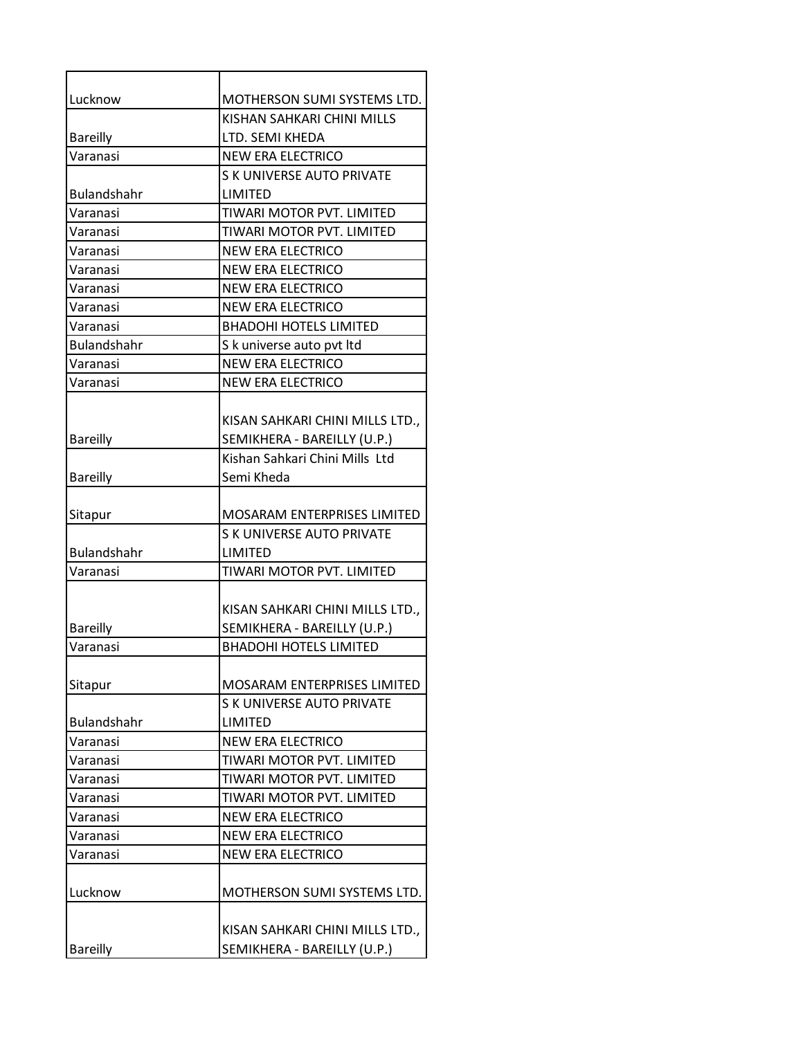| Lucknow            | MOTHERSON SUMI SYSTEMS LTD.        |
|--------------------|------------------------------------|
|                    | KISHAN SAHKARI CHINI MILLS         |
| <b>Bareilly</b>    | LTD. SEMI KHEDA                    |
| Varanasi           | <b>NEW ERA ELECTRICO</b>           |
|                    | S K UNIVERSE AUTO PRIVATE          |
| Bulandshahr        | LIMITED                            |
| Varanasi           | TIWARI MOTOR PVT. LIMITED          |
| Varanasi           | TIWARI MOTOR PVT. LIMITED          |
| Varanasi           | <b>NEW ERA ELECTRICO</b>           |
| Varanasi           | <b>NEW ERA ELECTRICO</b>           |
| Varanasi           | <b>NEW ERA ELECTRICO</b>           |
| Varanasi           | <b>NEW ERA ELECTRICO</b>           |
| Varanasi           | <b>BHADOHI HOTELS LIMITED</b>      |
| Bulandshahr        | S k universe auto pvt ltd          |
| Varanasi           | <b>NEW ERA ELECTRICO</b>           |
| Varanasi           | <b>NEW ERA ELECTRICO</b>           |
|                    |                                    |
|                    | KISAN SAHKARI CHINI MILLS LTD.,    |
| <b>Bareilly</b>    | SEMIKHERA - BAREILLY (U.P.)        |
|                    | Kishan Sahkari Chini Mills Ltd     |
| <b>Bareilly</b>    | Semi Kheda                         |
|                    |                                    |
| Sitapur            | <b>MOSARAM ENTERPRISES LIMITED</b> |
|                    | <b>S K UNIVERSE AUTO PRIVATE</b>   |
| <b>Bulandshahr</b> | LIMITED                            |
| Varanasi           | TIWARI MOTOR PVT. LIMITED          |
|                    |                                    |
|                    | KISAN SAHKARI CHINI MILLS LTD.,    |
| <b>Bareilly</b>    | SEMIKHERA - BAREILLY (U.P.)        |
| Varanasi           | BHADOHI HOTELS LIMITED             |
|                    |                                    |
| Sitapur            | <b>MOSARAM ENTERPRISES LIMITED</b> |
|                    | S K UNIVERSE AUTO PRIVATE          |
| <b>Bulandshahr</b> | LIMITED                            |
| Varanasi           | <b>NEW ERA ELECTRICO</b>           |
| Varanasi           | TIWARI MOTOR PVT. LIMITED          |
| Varanasi           | TIWARI MOTOR PVT. LIMITED          |
| Varanasi           | TIWARI MOTOR PVT. LIMITED          |
| Varanasi           | <b>NEW ERA ELECTRICO</b>           |
| Varanasi           | <b>NEW ERA ELECTRICO</b>           |
| Varanasi           | <b>NEW ERA ELECTRICO</b>           |
|                    |                                    |
| Lucknow            | <b>MOTHERSON SUMI SYSTEMS LTD.</b> |
|                    |                                    |
|                    | KISAN SAHKARI CHINI MILLS LTD.,    |
| <b>Bareilly</b>    | SEMIKHERA - BAREILLY (U.P.)        |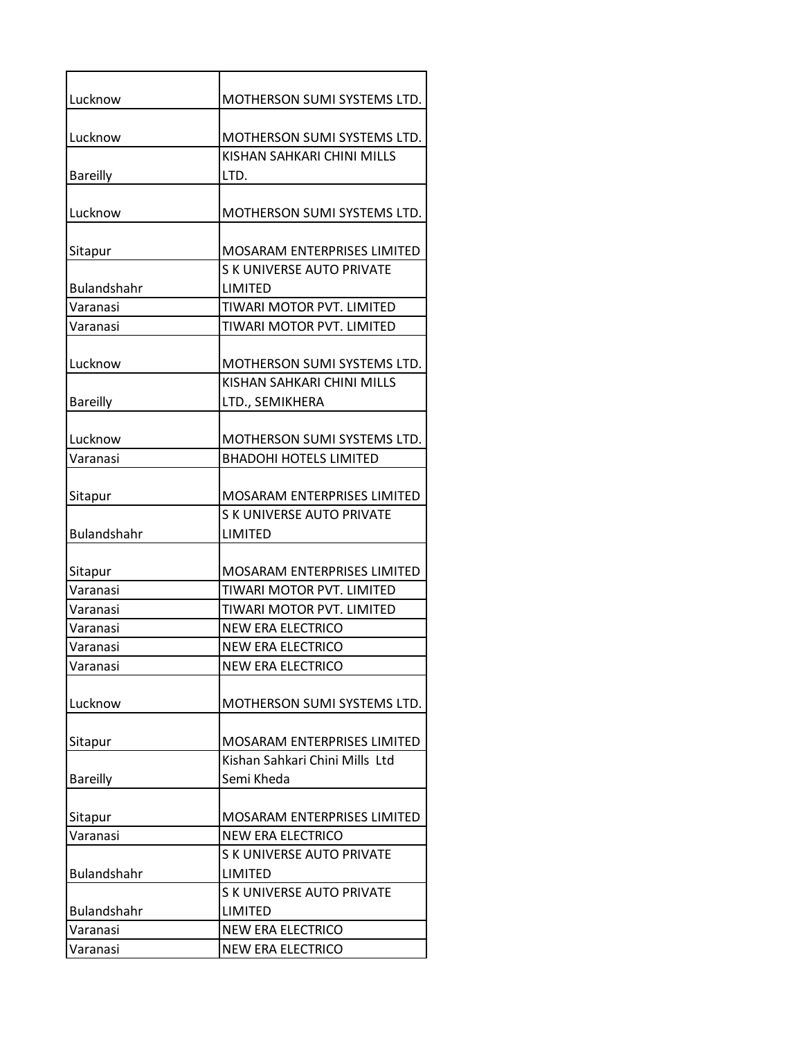| Lucknow            | MOTHERSON SUMI SYSTEMS LTD.        |
|--------------------|------------------------------------|
| Lucknow            | MOTHERSON SUMI SYSTEMS LTD.        |
|                    | KISHAN SAHKARI CHINI MILLS         |
| <b>Bareilly</b>    | LTD.                               |
| Lucknow            | <b>MOTHERSON SUMI SYSTEMS LTD.</b> |
| Sitapur            | <b>MOSARAM ENTERPRISES LIMITED</b> |
|                    | <b>S K UNIVERSE AUTO PRIVATE</b>   |
| <b>Bulandshahr</b> | LIMITED                            |
| Varanasi           | TIWARI MOTOR PVT. LIMITED          |
| Varanasi           | TIWARI MOTOR PVT. LIMITED          |
| Lucknow            | MOTHERSON SUMI SYSTEMS LTD.        |
|                    | KISHAN SAHKARI CHINI MILLS         |
| <b>Bareilly</b>    | LTD., SEMIKHERA                    |
| Lucknow            | MOTHERSON SUMI SYSTEMS LTD.        |
| Varanasi           | <b>BHADOHI HOTELS LIMITED</b>      |
|                    |                                    |
| Sitapur            | <b>MOSARAM ENTERPRISES LIMITED</b> |
|                    | <b>S K UNIVERSE AUTO PRIVATE</b>   |
| <b>Bulandshahr</b> | LIMITED                            |
| Sitapur            | <b>MOSARAM ENTERPRISES LIMITED</b> |
| Varanasi           | TIWARI MOTOR PVT. LIMITED          |
| Varanasi           | TIWARI MOTOR PVT. LIMITED          |
| Varanasi           | NEW ERA ELECTRICO                  |
| Varanasi           | <b>NEW ERA ELECTRICO</b>           |
| Varanasi           | <b>NEW ERA ELECTRICO</b>           |
|                    |                                    |
| Lucknow            | MOTHERSON SUMI SYSTEMS LTD.        |
| Sitapur            | MOSARAM ENTERPRISES LIMITED        |
|                    | Kishan Sahkari Chini Mills Ltd     |
| <b>Bareilly</b>    | Semi Kheda                         |
|                    |                                    |
| Sitapur            | MOSARAM ENTERPRISES LIMITED        |
| Varanasi           | <b>NEW ERA ELECTRICO</b>           |
|                    | <b>S K UNIVERSE AUTO PRIVATE</b>   |
| <b>Bulandshahr</b> | LIMITED                            |
|                    | <b>S K UNIVERSE AUTO PRIVATE</b>   |
| <b>Bulandshahr</b> | LIMITED                            |
| Varanasi           | <b>NEW ERA ELECTRICO</b>           |
| Varanasi           | <b>NEW ERA ELECTRICO</b>           |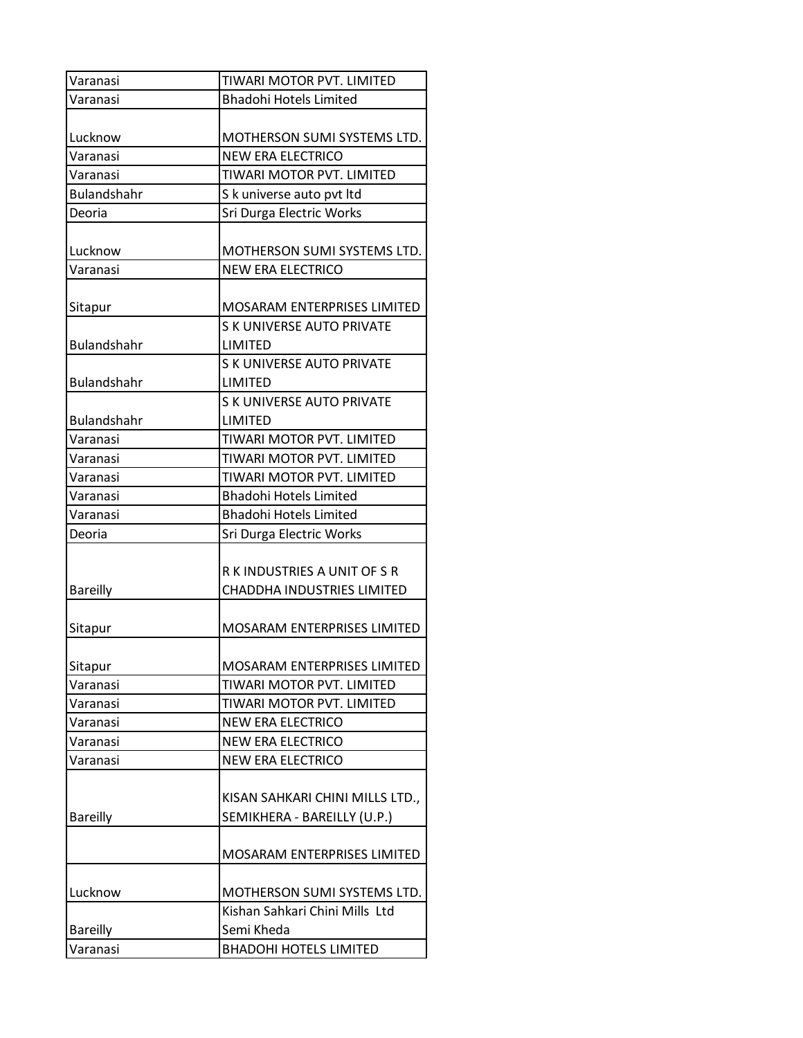| Varanasi           | TIWARI MOTOR PVT. LIMITED          |
|--------------------|------------------------------------|
| Varanasi           | <b>Bhadohi Hotels Limited</b>      |
|                    |                                    |
| Lucknow            | MOTHERSON SUMI SYSTEMS LTD.        |
| Varanasi           | <b>NEW ERA ELECTRICO</b>           |
| Varanasi           | TIWARI MOTOR PVT. LIMITED          |
| <b>Bulandshahr</b> | S k universe auto pvt ltd          |
| Deoria             | Sri Durga Electric Works           |
|                    |                                    |
| Lucknow            | MOTHERSON SUMI SYSTEMS LTD.        |
| Varanasi           | <b>NEW ERA ELECTRICO</b>           |
|                    |                                    |
| Sitapur            | MOSARAM ENTERPRISES LIMITED        |
|                    | <b>S K UNIVERSE AUTO PRIVATE</b>   |
| Bulandshahr        | LIMITED                            |
|                    | <b>S K UNIVERSE AUTO PRIVATE</b>   |
| <b>Bulandshahr</b> | LIMITED                            |
|                    | <b>S K UNIVERSE AUTO PRIVATE</b>   |
| Bulandshahr        | LIMITED                            |
| Varanasi           | TIWARI MOTOR PVT. LIMITED          |
| Varanasi           | TIWARI MOTOR PVT. LIMITED          |
| Varanasi           | TIWARI MOTOR PVT. LIMITED          |
| Varanasi           | <b>Bhadohi Hotels Limited</b>      |
| Varanasi           | <b>Bhadohi Hotels Limited</b>      |
| Deoria             | Sri Durga Electric Works           |
|                    |                                    |
|                    | R K INDUSTRIES A UNIT OF S R       |
| <b>Bareilly</b>    | CHADDHA INDUSTRIES LIMITED         |
|                    |                                    |
| Sitapur            | <b>MOSARAM ENTERPRISES LIMITED</b> |
|                    |                                    |
| Sitapur            | MOSARAM ENTERPRISES LIMITED        |
| Varanasi           | TIWARI MOTOR PVT. LIMITED          |
| Varanasi           | TIWARI MOTOR PVT. LIMITED          |
| Varanasi           | <b>NEW ERA ELECTRICO</b>           |
| Varanasi           | <b>NEW ERA ELECTRICO</b>           |
| Varanasi           | <b>NEW ERA ELECTRICO</b>           |
|                    |                                    |
|                    | KISAN SAHKARI CHINI MILLS LTD.,    |
| <b>Bareilly</b>    | SEMIKHERA - BAREILLY (U.P.)        |
|                    |                                    |
|                    | MOSARAM ENTERPRISES LIMITED        |
|                    |                                    |
| Lucknow            | MOTHERSON SUMI SYSTEMS LTD.        |
|                    | Kishan Sahkari Chini Mills Ltd     |
| <b>Bareilly</b>    | Semi Kheda                         |
| Varanasi           | <b>BHADOHI HOTELS LIMITED</b>      |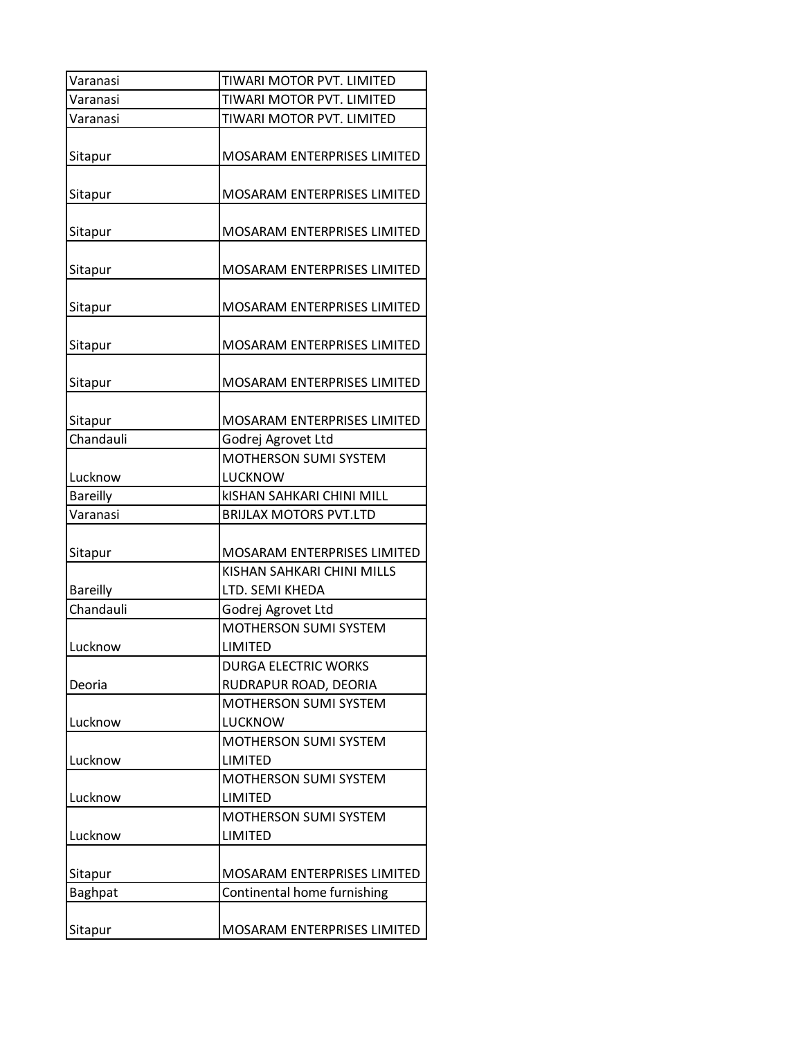| Varanasi        | TIWARI MOTOR PVT. LIMITED          |
|-----------------|------------------------------------|
| Varanasi        | TIWARI MOTOR PVT. LIMITED          |
| Varanasi        | TIWARI MOTOR PVT. LIMITED          |
| Sitapur         | MOSARAM ENTERPRISES LIMITED        |
| Sitapur         | <b>MOSARAM ENTERPRISES LIMITED</b> |
| Sitapur         | MOSARAM ENTERPRISES LIMITED        |
| Sitapur         | <b>MOSARAM ENTERPRISES LIMITED</b> |
| Sitapur         | <b>MOSARAM ENTERPRISES LIMITED</b> |
| Sitapur         | MOSARAM ENTERPRISES LIMITED        |
| Sitapur         | <b>MOSARAM ENTERPRISES LIMITED</b> |
| Sitapur         | MOSARAM ENTERPRISES LIMITED        |
| Chandauli       | Godrej Agrovet Ltd                 |
|                 | MOTHERSON SUMI SYSTEM              |
| Lucknow         | LUCKNOW                            |
|                 |                                    |
| <b>Bareilly</b> | <b>KISHAN SAHKARI CHINI MILL</b>   |
| Varanasi        | <b>BRIJLAX MOTORS PVT.LTD</b>      |
| Sitapur         | <b>MOSARAM ENTERPRISES LIMITED</b> |
|                 | KISHAN SAHKARI CHINI MILLS         |
| <b>Bareilly</b> | LTD. SEMI KHEDA                    |
| Chandauli       | Godrej Agrovet Ltd                 |
|                 | MOTHERSON SUMI SYSTEM              |
| Lucknow         | LIMITED                            |
|                 | <b>DURGA ELECTRIC WORKS</b>        |
| Deoria          | RUDRAPUR ROAD, DEORIA              |
|                 | MOTHERSON SUMI SYSTEM              |
| Lucknow         | LUCKNOW                            |
|                 | MOTHERSON SUMI SYSTEM              |
| Lucknow         | LIMITED                            |
|                 | <b>MOTHERSON SUMI SYSTEM</b>       |
| Lucknow         | LIMITED                            |
|                 | MOTHERSON SUMI SYSTEM              |
| Lucknow         | LIMITED                            |
|                 |                                    |
| Sitapur         | <b>MOSARAM ENTERPRISES LIMITED</b> |
| Baghpat         | Continental home furnishing        |
|                 |                                    |
| Sitapur         | MOSARAM ENTERPRISES LIMITED        |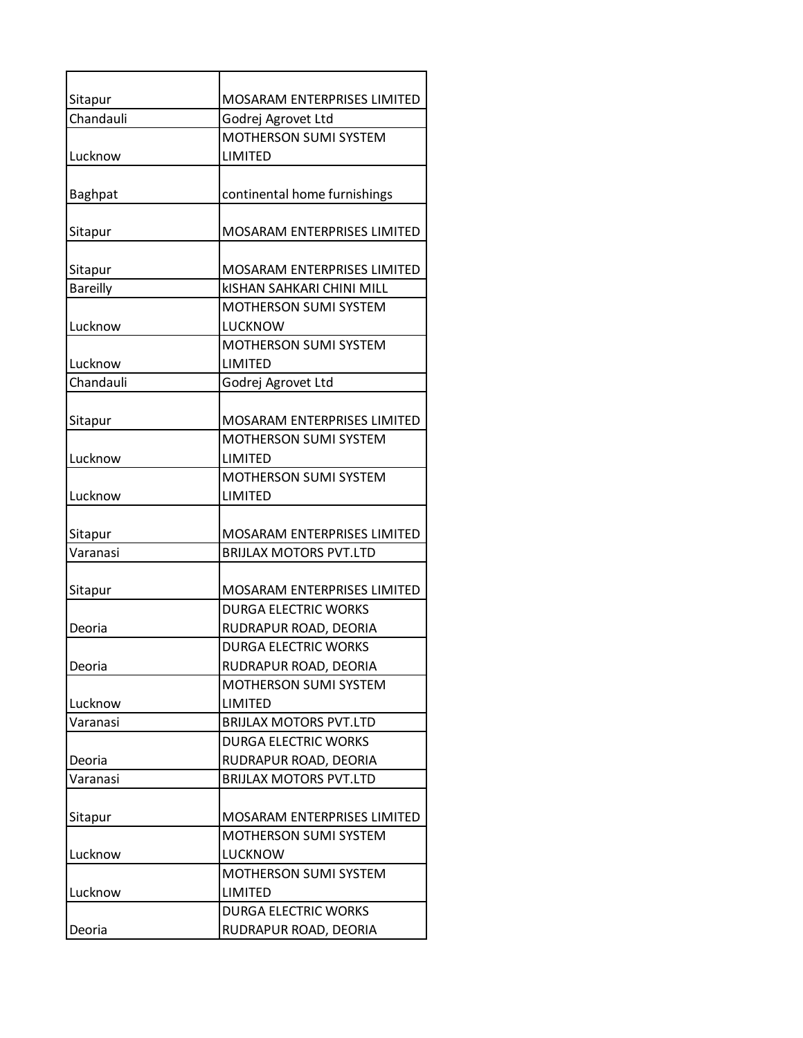| Sitapur         | MOSARAM ENTERPRISES LIMITED             |
|-----------------|-----------------------------------------|
| Chandauli       | Godrej Agrovet Ltd                      |
|                 | MOTHERSON SUMI SYSTEM                   |
| Lucknow         | LIMITED                                 |
| Baghpat         | continental home furnishings            |
| Sitapur         | MOSARAM ENTERPRISES LIMITED             |
| Sitapur         | MOSARAM ENTERPRISES LIMITED             |
| <b>Bareilly</b> | <b>kISHAN SAHKARI CHINI MILL</b>        |
|                 | <b>MOTHERSON SUMI SYSTEM</b>            |
| Lucknow         | LUCKNOW                                 |
|                 | MOTHERSON SUMI SYSTEM                   |
| Lucknow         | LIMITED                                 |
| Chandauli       | Godrej Agrovet Ltd                      |
|                 |                                         |
| Sitapur         | <b>MOSARAM ENTERPRISES LIMITED</b>      |
|                 | <b>MOTHERSON SUMI SYSTEM</b>            |
| Lucknow         | LIMITED<br><b>MOTHERSON SUMI SYSTEM</b> |
| Lucknow         | LIMITED                                 |
|                 |                                         |
| Sitapur         | MOSARAM ENTERPRISES LIMITED             |
| Varanasi        | <b>BRIJLAX MOTORS PVT.LTD</b>           |
|                 |                                         |
| Sitapur         | <b>MOSARAM ENTERPRISES LIMITED</b>      |
|                 | <b>DURGA ELECTRIC WORKS</b>             |
| Deoria          | RUDRAPUR ROAD, DEORIA                   |
|                 | <b>DURGA ELECTRIC WORKS</b>             |
| Deoria          | RUDRAPUR ROAD, DEORIA                   |
|                 | <b>MOTHERSON SUMI SYSTEM</b>            |
| Lucknow         | LIMITED                                 |
| Varanasi        | <b>BRIJLAX MOTORS PVT.LTD</b>           |
|                 | <b>DURGA ELECTRIC WORKS</b>             |
| Deoria          | RUDRAPUR ROAD, DEORIA                   |
| Varanasi        | <b>BRIJLAX MOTORS PVT.LTD</b>           |
|                 |                                         |
| Sitapur         | MOSARAM ENTERPRISES LIMITED             |
|                 | <b>MOTHERSON SUMI SYSTEM</b>            |
| Lucknow         | LUCKNOW                                 |
|                 | MOTHERSON SUMI SYSTEM                   |
| Lucknow         | LIMITED                                 |
|                 | <b>DURGA ELECTRIC WORKS</b>             |
| Deoria          | RUDRAPUR ROAD, DEORIA                   |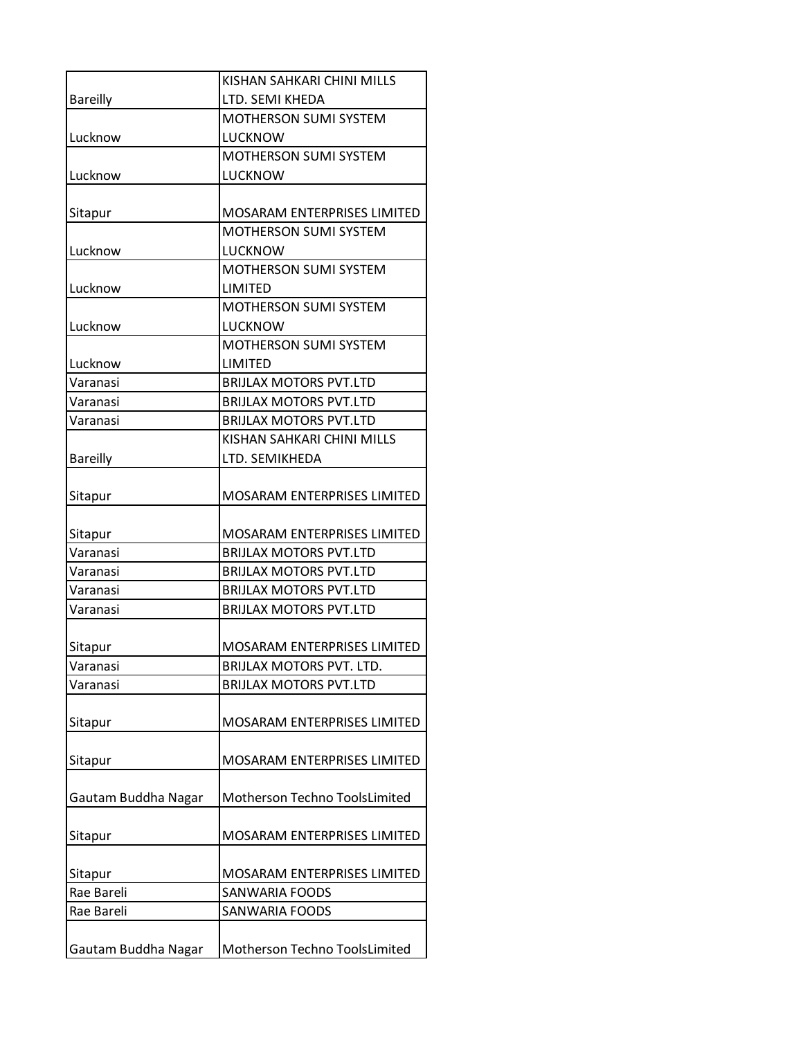|                     | KISHAN SAHKARI CHINI MILLS         |
|---------------------|------------------------------------|
| <b>Bareilly</b>     | LTD. SEMI KHEDA                    |
|                     | <b>MOTHERSON SUMI SYSTEM</b>       |
| Lucknow             | LUCKNOW                            |
|                     | <b>MOTHERSON SUMI SYSTEM</b>       |
| Lucknow             | LUCKNOW                            |
|                     |                                    |
| Sitapur             | <b>MOSARAM ENTERPRISES LIMITED</b> |
|                     | <b>MOTHERSON SUMI SYSTEM</b>       |
| Lucknow             | LUCKNOW                            |
|                     | <b>MOTHERSON SUMI SYSTEM</b>       |
| Lucknow             | LIMITED                            |
|                     | MOTHERSON SUMI SYSTEM              |
| Lucknow             | <b>LUCKNOW</b>                     |
|                     | <b>MOTHERSON SUMI SYSTEM</b>       |
| Lucknow             | LIMITED                            |
| Varanasi            | <b>BRIJLAX MOTORS PVT.LTD</b>      |
| Varanasi            | <b>BRIJLAX MOTORS PVT.LTD</b>      |
| Varanasi            | <b>BRIJLAX MOTORS PVT.LTD</b>      |
|                     | KISHAN SAHKARI CHINI MILLS         |
| <b>Bareilly</b>     | LTD. SEMIKHEDA                     |
|                     |                                    |
| Sitapur             | <b>MOSARAM ENTERPRISES LIMITED</b> |
| Sitapur             | MOSARAM ENTERPRISES LIMITED        |
| Varanasi            | <b>BRIJLAX MOTORS PVT.LTD</b>      |
| Varanasi            | <b>BRIJLAX MOTORS PVT.LTD</b>      |
| Varanasi            | <b>BRIJLAX MOTORS PVT.LTD</b>      |
| Varanasi            | <b>BRIJLAX MOTORS PVT.LTD</b>      |
|                     |                                    |
| Sitapur             | <b>MOSARAM ENTERPRISES LIMITED</b> |
| Varanasi            | <b>BRIJLAX MOTORS PVT. LTD.</b>    |
| Varanasi            | <b>BRIJLAX MOTORS PVT.LTD</b>      |
|                     |                                    |
| Sitapur             | MOSARAM ENTERPRISES LIMITED        |
|                     |                                    |
| Sitapur             | MOSARAM ENTERPRISES LIMITED        |
|                     |                                    |
| Gautam Buddha Nagar | Motherson Techno ToolsLimited      |
|                     |                                    |
| Sitapur             | <b>MOSARAM ENTERPRISES LIMITED</b> |
|                     |                                    |
| Sitapur             | <b>MOSARAM ENTERPRISES LIMITED</b> |
| Rae Bareli          | <b>SANWARIA FOODS</b>              |
| Rae Bareli          | <b>SANWARIA FOODS</b>              |
|                     |                                    |
| Gautam Buddha Nagar | Motherson Techno ToolsLimited      |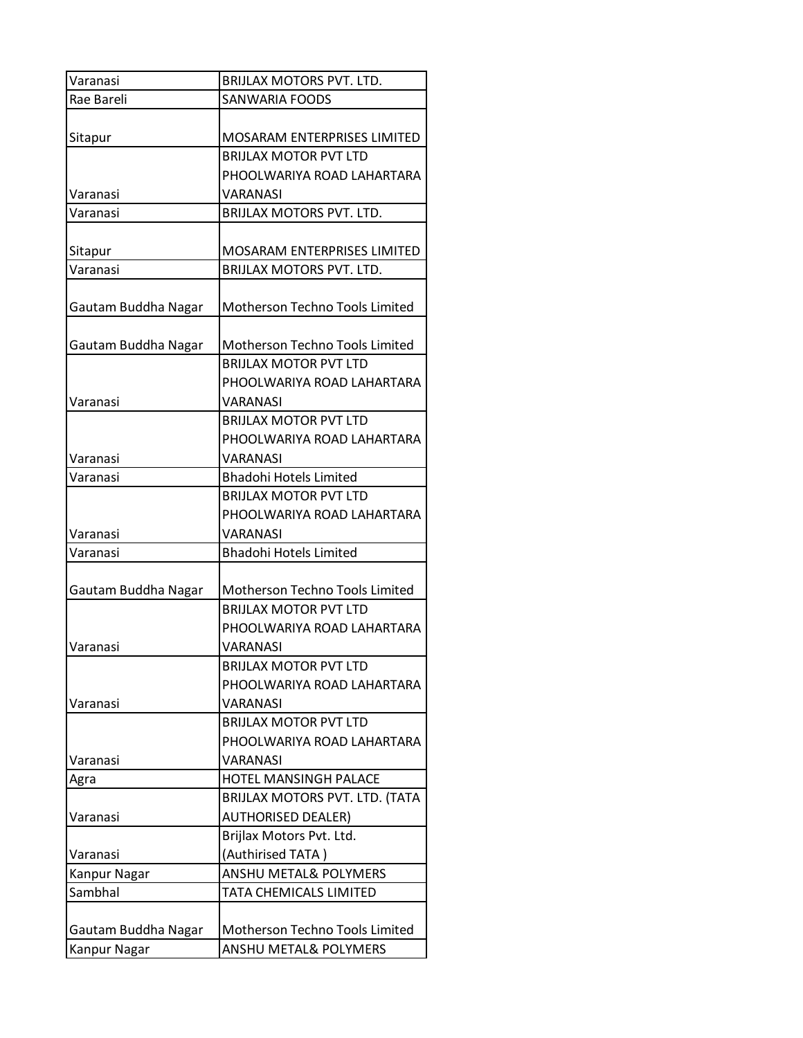| Varanasi            | <b>BRIJLAX MOTORS PVT. LTD.</b>    |
|---------------------|------------------------------------|
| Rae Bareli          | <b>SANWARIA FOODS</b>              |
|                     |                                    |
| Sitapur             | MOSARAM ENTERPRISES LIMITED        |
|                     | <b>BRIJLAX MOTOR PVT LTD</b>       |
|                     | PHOOLWARIYA ROAD LAHARTARA         |
| Varanasi            | VARANASI                           |
| Varanasi            | BRIJLAX MOTORS PVT. LTD.           |
|                     |                                    |
| Sitapur             | <b>MOSARAM ENTERPRISES LIMITED</b> |
| Varanasi            | BRIJLAX MOTORS PVT. LTD.           |
|                     |                                    |
| Gautam Buddha Nagar | Motherson Techno Tools Limited     |
|                     |                                    |
| Gautam Buddha Nagar | Motherson Techno Tools Limited     |
|                     | <b>BRIJLAX MOTOR PVT LTD</b>       |
|                     | PHOOLWARIYA ROAD LAHARTARA         |
| Varanasi            | VARANASI                           |
|                     | <b>BRIJLAX MOTOR PVT LTD</b>       |
|                     | PHOOLWARIYA ROAD LAHARTARA         |
| Varanasi            | VARANASI                           |
| Varanasi            | <b>Bhadohi Hotels Limited</b>      |
|                     | <b>BRIJLAX MOTOR PVT LTD</b>       |
|                     | PHOOLWARIYA ROAD LAHARTARA         |
| Varanasi            | VARANASI                           |
| Varanasi            | <b>Bhadohi Hotels Limited</b>      |
|                     |                                    |
| Gautam Buddha Nagar | Motherson Techno Tools Limited     |
|                     | <b>BRIJLAX MOTOR PVT LTD</b>       |
|                     | PHOOLWARIYA ROAD LAHARTARA         |
| Varanasi            | VARANASI                           |
|                     | <b>BRIJLAX MOTOR PVT LTD</b>       |
|                     | PHOOLWARIYA ROAD LAHARTARA         |
| Varanasi            | VARANASI                           |
|                     | <b>BRIJLAX MOTOR PVT LTD</b>       |
|                     | PHOOLWARIYA ROAD LAHARTARA         |
| Varanasi            | VARANASI                           |
| Agra                | HOTEL MANSINGH PALACE              |
|                     | BRIJLAX MOTORS PVT. LTD. (TATA     |
| Varanasi            | <b>AUTHORISED DEALER)</b>          |
|                     | Brijlax Motors Pvt. Ltd.           |
| Varanasi            | (Authirised TATA)                  |
| Kanpur Nagar        | <b>ANSHU METAL&amp; POLYMERS</b>   |
| Sambhal             | TATA CHEMICALS LIMITED             |
|                     |                                    |
| Gautam Buddha Nagar | Motherson Techno Tools Limited     |
| Kanpur Nagar        | <b>ANSHU METAL&amp; POLYMERS</b>   |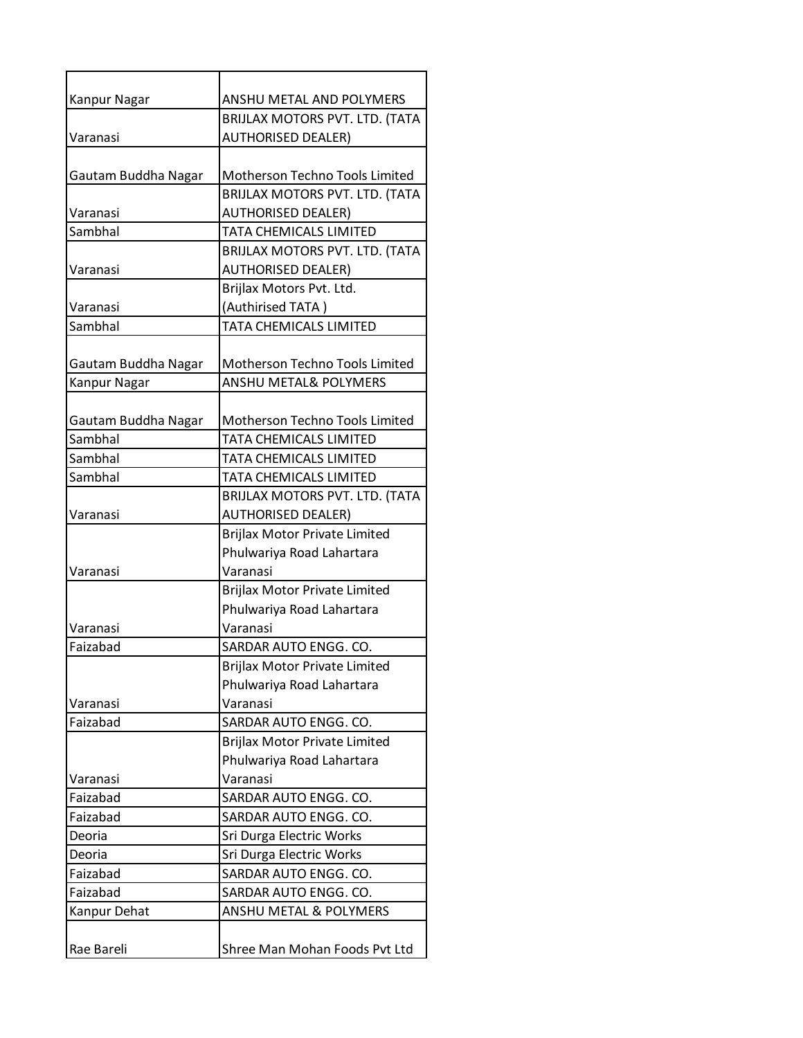| <b>Kanpur Nagar</b> | ANSHU METAL AND POLYMERS             |
|---------------------|--------------------------------------|
|                     | BRIJLAX MOTORS PVT. LTD. (TATA       |
| Varanasi            | <b>AUTHORISED DEALER)</b>            |
|                     |                                      |
| Gautam Buddha Nagar | Motherson Techno Tools Limited       |
|                     | BRIJLAX MOTORS PVT. LTD. (TATA       |
| Varanasi            | <b>AUTHORISED DEALER)</b>            |
| Sambhal             | <b>TATA CHEMICALS LIMITED</b>        |
|                     | BRIJLAX MOTORS PVT. LTD. (TATA       |
| Varanasi            | <b>AUTHORISED DEALER)</b>            |
|                     | Brijlax Motors Pvt. Ltd.             |
| Varanasi            | (Authirised TATA)                    |
| Sambhal             | TATA CHEMICALS LIMITED               |
|                     |                                      |
| Gautam Buddha Nagar | Motherson Techno Tools Limited       |
| <b>Kanpur Nagar</b> | <b>ANSHU METAL&amp; POLYMERS</b>     |
|                     |                                      |
| Gautam Buddha Nagar | Motherson Techno Tools Limited       |
| Sambhal             | TATA CHEMICALS LIMITED               |
| Sambhal             | TATA CHEMICALS LIMITED               |
| Sambhal             | TATA CHEMICALS LIMITED               |
|                     | BRIJLAX MOTORS PVT. LTD. (TATA       |
| Varanasi            | <b>AUTHORISED DEALER)</b>            |
|                     | Brijlax Motor Private Limited        |
|                     | Phulwariya Road Lahartara            |
| Varanasi            | Varanasi                             |
|                     | Brijlax Motor Private Limited        |
|                     | Phulwariya Road Lahartara            |
| Varanasi            | Varanasi                             |
| Faizabad            | SARDAR AUTO ENGG. CO.                |
|                     | <b>Brijlax Motor Private Limited</b> |
|                     | Phulwariya Road Lahartara            |
| Varanasi            | Varanasi                             |
| Faizabad            | SARDAR AUTO ENGG. CO.                |
|                     | Brijlax Motor Private Limited        |
|                     | Phulwariya Road Lahartara            |
| Varanasi            | Varanasi                             |
| Faizabad            | SARDAR AUTO ENGG. CO.                |
| Faizabad            | SARDAR AUTO ENGG. CO.                |
| Deoria              | Sri Durga Electric Works             |
| Deoria              | Sri Durga Electric Works             |
| Faizabad            | SARDAR AUTO ENGG. CO.                |
| Faizabad            | SARDAR AUTO ENGG. CO.                |
| Kanpur Dehat        | ANSHU METAL & POLYMERS               |
|                     |                                      |
| Rae Bareli          | Shree Man Mohan Foods Pvt Ltd        |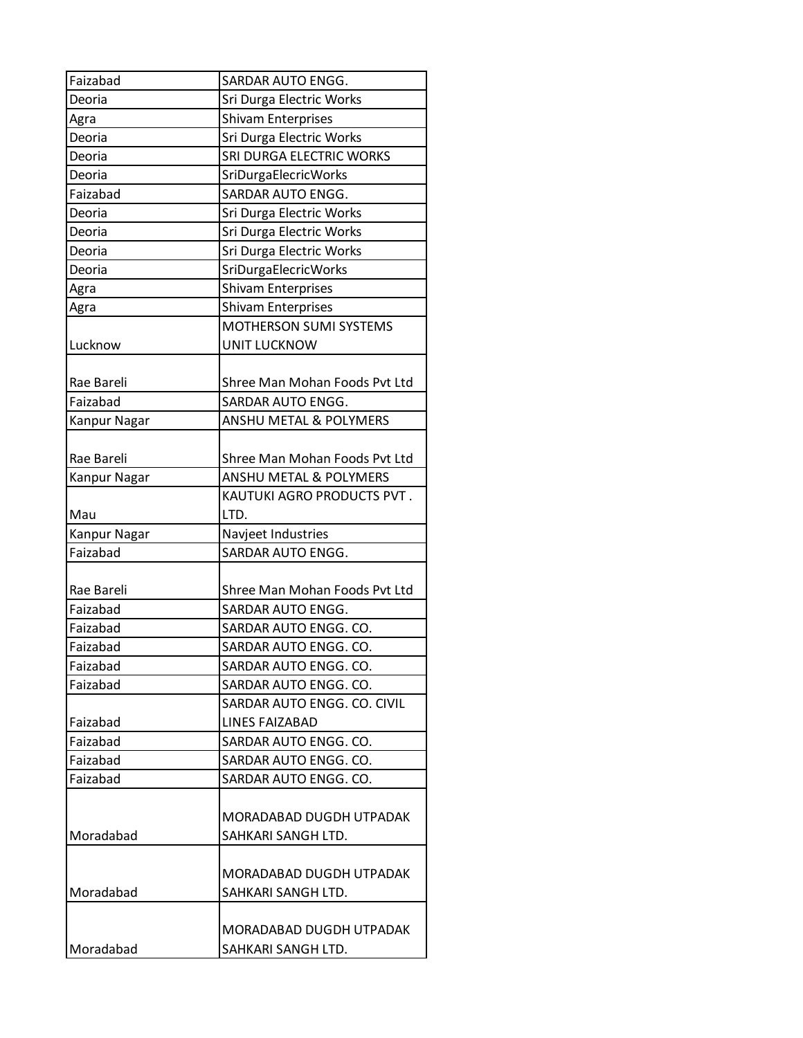| Faizabad     | SARDAR AUTO ENGG.                 |
|--------------|-----------------------------------|
| Deoria       | Sri Durga Electric Works          |
| Agra         | <b>Shivam Enterprises</b>         |
| Deoria       | Sri Durga Electric Works          |
| Deoria       | SRI DURGA ELECTRIC WORKS          |
| Deoria       | SriDurgaElecricWorks              |
| Faizabad     | SARDAR AUTO ENGG.                 |
| Deoria       | Sri Durga Electric Works          |
| Deoria       | Sri Durga Electric Works          |
| Deoria       | Sri Durga Electric Works          |
| Deoria       | SriDurgaElecricWorks              |
| Agra         | <b>Shivam Enterprises</b>         |
| Agra         | <b>Shivam Enterprises</b>         |
|              | MOTHERSON SUMI SYSTEMS            |
| Lucknow      | <b>UNIT LUCKNOW</b>               |
| Rae Bareli   | Shree Man Mohan Foods Pvt Ltd     |
| Faizabad     | SARDAR AUTO ENGG.                 |
| Kanpur Nagar | <b>ANSHU METAL &amp; POLYMERS</b> |
|              |                                   |
| Rae Bareli   | Shree Man Mohan Foods Pvt Ltd     |
| Kanpur Nagar | ANSHU METAL & POLYMERS            |
|              | KAUTUKI AGRO PRODUCTS PVT.        |
| Mau          | LTD.                              |
| Kanpur Nagar | Navjeet Industries                |
| Faizabad     | SARDAR AUTO ENGG.                 |
|              |                                   |
| Rae Bareli   | Shree Man Mohan Foods Pvt Ltd     |
| Faizabad     | SARDAR AUTO ENGG.                 |
| Faizabad     | SARDAR AUTO ENGG. CO.             |
| Faizabad     | SARDAR AUTO ENGG. CO.             |
| Faizabad     | SARDAR AUTO ENGG. CO.             |
| Faizabad     | SARDAR AUTO ENGG. CO.             |
|              | SARDAR AUTO ENGG. CO. CIVIL       |
| Faizabad     | LINES FAIZABAD                    |
| Faizabad     | SARDAR AUTO ENGG. CO.             |
| Faizabad     | SARDAR AUTO ENGG. CO.             |
| Faizabad     | SARDAR AUTO ENGG. CO.             |
|              |                                   |
|              | MORADABAD DUGDH UTPADAK           |
| Moradabad    | SAHKARI SANGH LTD.                |
|              |                                   |
|              | MORADABAD DUGDH UTPADAK           |
| Moradabad    | SAHKARI SANGH LTD.                |
|              |                                   |
|              | MORADABAD DUGDH UTPADAK           |
| Moradabad    | SAHKARI SANGH LTD.                |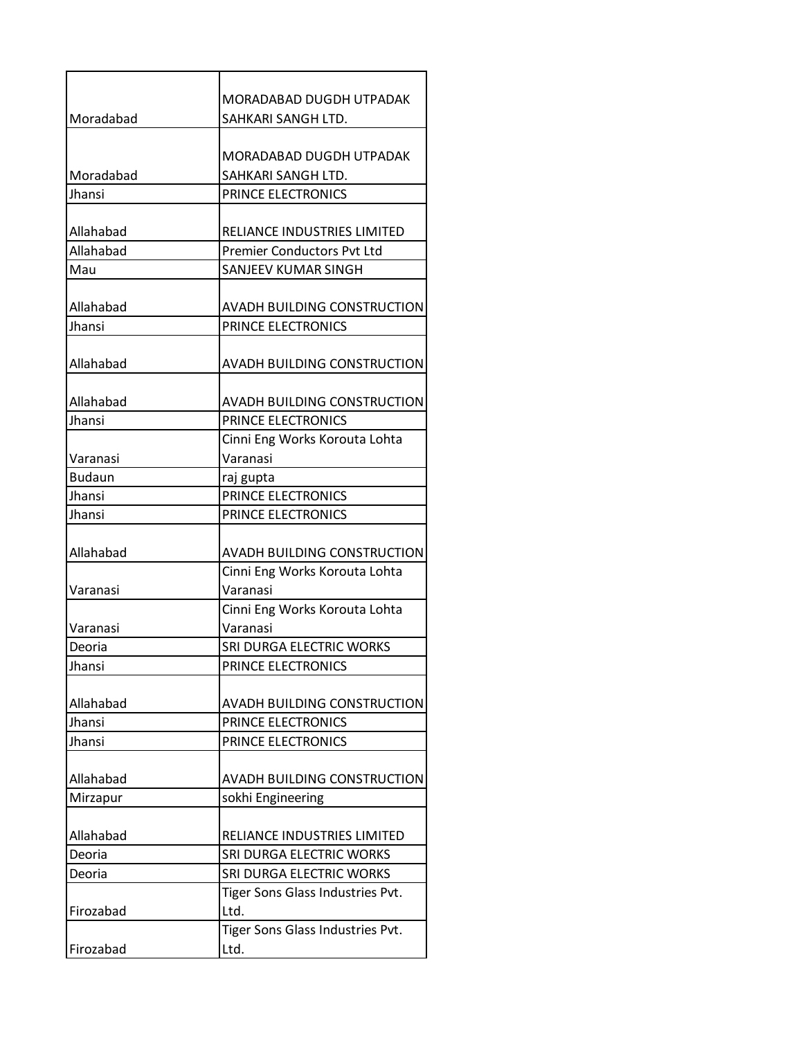|               | MORADABAD DUGDH UTPADAK            |
|---------------|------------------------------------|
| Moradabad     | SAHKARI SANGH LTD.                 |
|               |                                    |
|               | MORADABAD DUGDH UTPADAK            |
| Moradabad     | SAHKARI SANGH LTD.                 |
| Jhansi        | PRINCE ELECTRONICS                 |
|               |                                    |
| Allahabad     | RELIANCE INDUSTRIES LIMITED        |
| Allahabad     | <b>Premier Conductors Pvt Ltd</b>  |
| Mau           | SANJEEV KUMAR SINGH                |
|               |                                    |
| Allahabad     | AVADH BUILDING CONSTRUCTION        |
| Jhansi        | PRINCE ELECTRONICS                 |
| Allahabad     | <b>AVADH BUILDING CONSTRUCTION</b> |
| Allahabad     | AVADH BUILDING CONSTRUCTION        |
| Jhansi        | PRINCE ELECTRONICS                 |
|               | Cinni Eng Works Korouta Lohta      |
| Varanasi      | Varanasi                           |
| <b>Budaun</b> | raj gupta                          |
| Jhansi        | PRINCE ELECTRONICS                 |
| Jhansi        | PRINCE ELECTRONICS                 |
| Allahabad     | AVADH BUILDING CONSTRUCTION        |
|               | Cinni Eng Works Korouta Lohta      |
| Varanasi      | Varanasi                           |
|               | Cinni Eng Works Korouta Lohta      |
| Varanasi      | Varanasi                           |
| Deoria        | SRI DURGA ELECTRIC WORKS           |
| Jhansi        | PRINCE ELECTRONICS                 |
| Allahabad     | <b>AVADH BUILDING CONSTRUCTION</b> |
| Jhansi        | PRINCE ELECTRONICS                 |
| Jhansi        | PRINCE ELECTRONICS                 |
|               |                                    |
| Allahabad     | AVADH BUILDING CONSTRUCTION        |
| Mirzapur      | sokhi Engineering                  |
| Allahabad     | RELIANCE INDUSTRIES LIMITED        |
| Deoria        | SRI DURGA ELECTRIC WORKS           |
| Deoria        | SRI DURGA ELECTRIC WORKS           |
|               | Tiger Sons Glass Industries Pvt.   |
| Firozabad     | Ltd.                               |
|               | Tiger Sons Glass Industries Pvt.   |
| Firozabad     | Ltd.                               |
|               |                                    |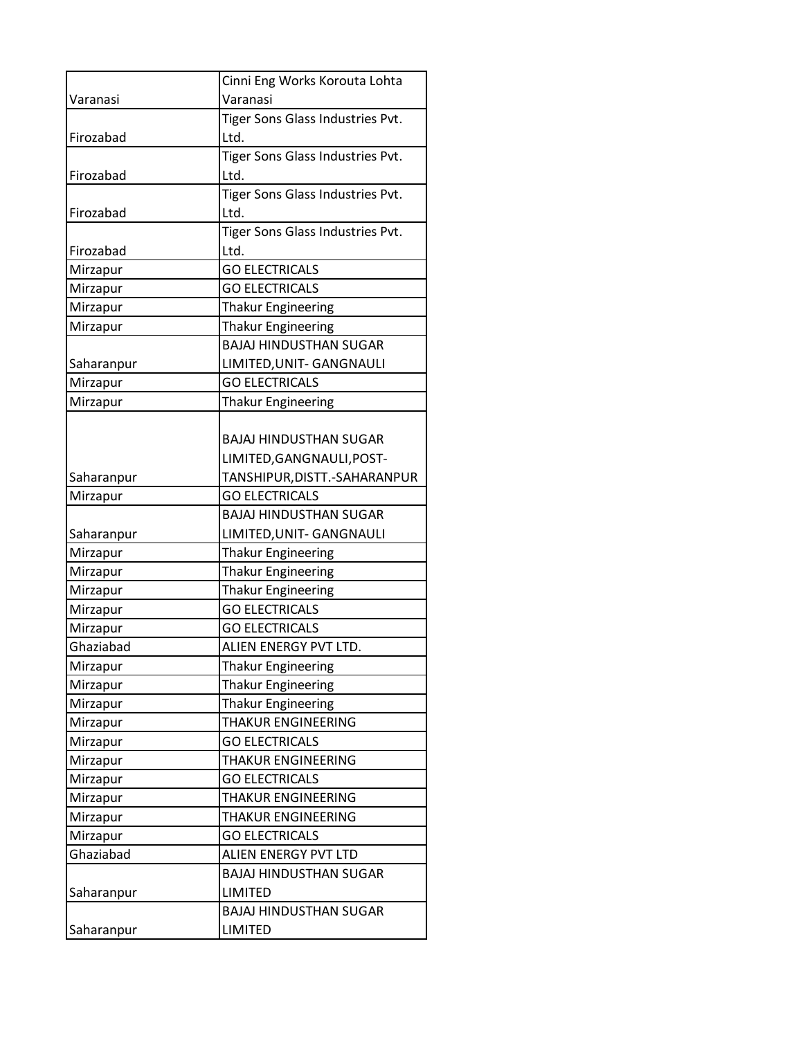|            | Cinni Eng Works Korouta Lohta    |
|------------|----------------------------------|
| Varanasi   | Varanasi                         |
|            | Tiger Sons Glass Industries Pvt. |
| Firozabad  | Ltd.                             |
|            | Tiger Sons Glass Industries Pvt. |
| Firozabad  | Ltd.                             |
|            | Tiger Sons Glass Industries Pvt. |
| Firozabad  | Ltd.                             |
|            | Tiger Sons Glass Industries Pvt. |
| Firozabad  | Ltd.                             |
| Mirzapur   | <b>GO ELECTRICALS</b>            |
| Mirzapur   | <b>GO ELECTRICALS</b>            |
| Mirzapur   | <b>Thakur Engineering</b>        |
| Mirzapur   | <b>Thakur Engineering</b>        |
|            | <b>BAJAJ HINDUSTHAN SUGAR</b>    |
| Saharanpur | LIMITED, UNIT- GANGNAULI         |
| Mirzapur   | <b>GO ELECTRICALS</b>            |
| Mirzapur   | <b>Thakur Engineering</b>        |
|            |                                  |
|            | <b>BAJAJ HINDUSTHAN SUGAR</b>    |
|            | LIMITED, GANGNAULI, POST-        |
| Saharanpur | TANSHIPUR, DISTT. - SAHARANPUR   |
| Mirzapur   | <b>GO ELECTRICALS</b>            |
|            | <b>BAJAJ HINDUSTHAN SUGAR</b>    |
| Saharanpur | LIMITED, UNIT- GANGNAULI         |
| Mirzapur   | <b>Thakur Engineering</b>        |
| Mirzapur   | <b>Thakur Engineering</b>        |
| Mirzapur   | <b>Thakur Engineering</b>        |
| Mirzapur   | <b>GO ELECTRICALS</b>            |
| Mirzapur   | <b>GO ELECTRICALS</b>            |
| Ghaziabad  | ALIEN ENERGY PVT LTD.            |
| Mirzapur   | <b>Thakur Engineering</b>        |
| Mirzapur   | <b>Thakur Engineering</b>        |
| Mirzapur   | <b>Thakur Engineering</b>        |
| Mirzapur   | <b>THAKUR ENGINEERING</b>        |
| Mirzapur   | <b>GO ELECTRICALS</b>            |
| Mirzapur   | <b>THAKUR ENGINEERING</b>        |
| Mirzapur   | <b>GO ELECTRICALS</b>            |
| Mirzapur   | <b>THAKUR ENGINEERING</b>        |
| Mirzapur   | <b>THAKUR ENGINEERING</b>        |
| Mirzapur   | <b>GO ELECTRICALS</b>            |
| Ghaziabad  | ALIEN ENERGY PVT LTD             |
|            | <b>BAJAJ HINDUSTHAN SUGAR</b>    |
| Saharanpur | <b>LIMITED</b>                   |
|            | <b>BAJAJ HINDUSTHAN SUGAR</b>    |
| Saharanpur | <b>LIMITED</b>                   |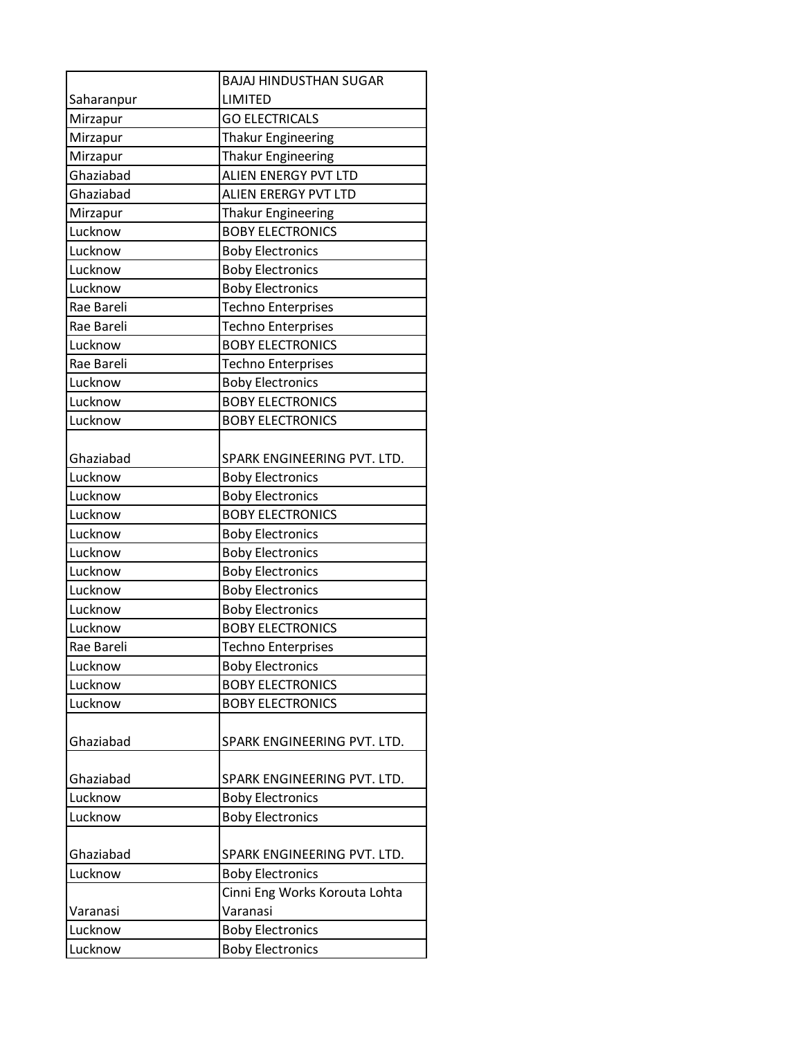|            | <b>BAJAJ HINDUSTHAN SUGAR</b> |
|------------|-------------------------------|
| Saharanpur | LIMITED                       |
| Mirzapur   | <b>GO ELECTRICALS</b>         |
| Mirzapur   | <b>Thakur Engineering</b>     |
| Mirzapur   | <b>Thakur Engineering</b>     |
| Ghaziabad  | ALIEN ENERGY PVT LTD          |
| Ghaziabad  | <b>ALIEN ERERGY PVT LTD</b>   |
| Mirzapur   | <b>Thakur Engineering</b>     |
| Lucknow    | <b>BOBY ELECTRONICS</b>       |
| Lucknow    | <b>Boby Electronics</b>       |
| Lucknow    | <b>Boby Electronics</b>       |
| Lucknow    | <b>Boby Electronics</b>       |
| Rae Bareli | <b>Techno Enterprises</b>     |
| Rae Bareli | <b>Techno Enterprises</b>     |
| Lucknow    | <b>BOBY ELECTRONICS</b>       |
| Rae Bareli | <b>Techno Enterprises</b>     |
| Lucknow    | <b>Boby Electronics</b>       |
| Lucknow    | <b>BOBY ELECTRONICS</b>       |
| Lucknow    | <b>BOBY ELECTRONICS</b>       |
|            |                               |
| Ghaziabad  | SPARK ENGINEERING PVT. LTD.   |
| Lucknow    | <b>Boby Electronics</b>       |
| Lucknow    | <b>Boby Electronics</b>       |
| Lucknow    | <b>BOBY ELECTRONICS</b>       |
| Lucknow    | <b>Boby Electronics</b>       |
| Lucknow    | <b>Boby Electronics</b>       |
| Lucknow    | <b>Boby Electronics</b>       |
| Lucknow    | <b>Boby Electronics</b>       |
| Lucknow    | <b>Boby Electronics</b>       |
| Lucknow    | <b>BOBY ELECTRONICS</b>       |
| Rae Bareli | <b>Techno Enterprises</b>     |
| Lucknow    | <b>Boby Electronics</b>       |
| Lucknow    | <b>BOBY ELECTRONICS</b>       |
| Lucknow    | <b>BOBY ELECTRONICS</b>       |
|            |                               |
| Ghaziabad  | SPARK ENGINEERING PVT. LTD.   |
|            |                               |
| Ghaziabad  | SPARK ENGINEERING PVT. LTD.   |
| Lucknow    | <b>Boby Electronics</b>       |
| Lucknow    | <b>Boby Electronics</b>       |
|            |                               |
| Ghaziabad  | SPARK ENGINEERING PVT. LTD.   |
| Lucknow    | <b>Boby Electronics</b>       |
|            | Cinni Eng Works Korouta Lohta |
| Varanasi   | Varanasi                      |
| Lucknow    | <b>Boby Electronics</b>       |
| Lucknow    | <b>Boby Electronics</b>       |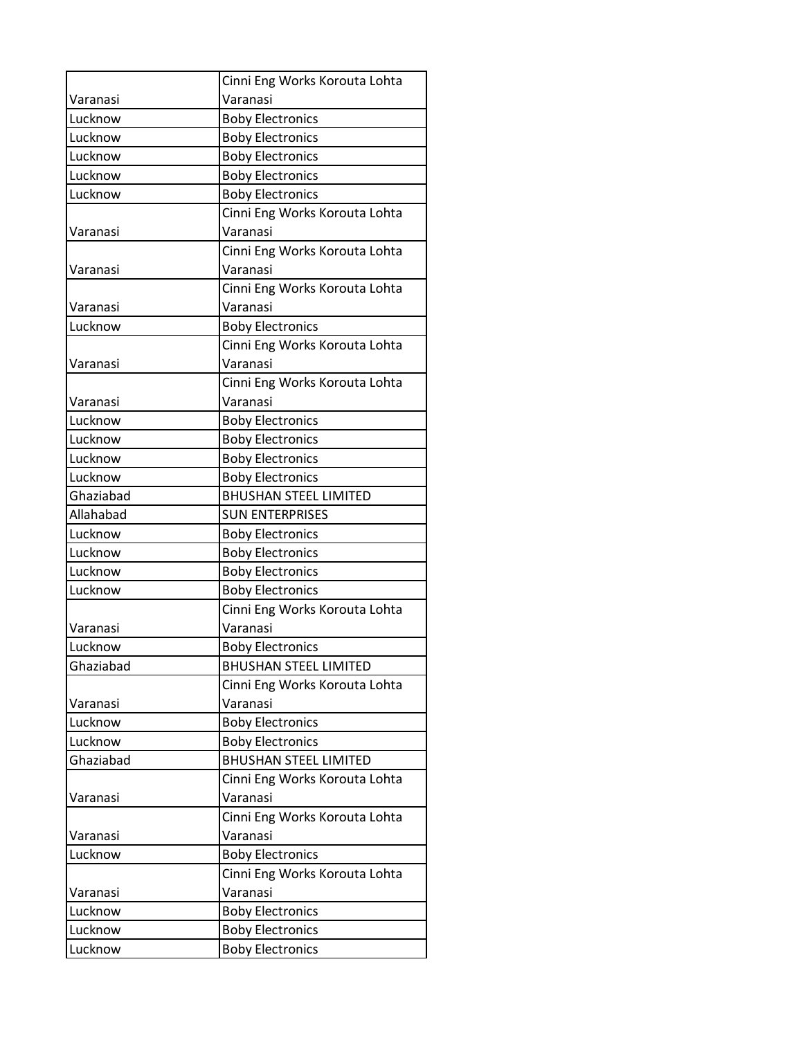|           | Cinni Eng Works Korouta Lohta |
|-----------|-------------------------------|
| Varanasi  | Varanasi                      |
| Lucknow   | <b>Boby Electronics</b>       |
| Lucknow   | <b>Boby Electronics</b>       |
| Lucknow   | <b>Boby Electronics</b>       |
| Lucknow   | <b>Boby Electronics</b>       |
| Lucknow   | <b>Boby Electronics</b>       |
|           | Cinni Eng Works Korouta Lohta |
| Varanasi  | Varanasi                      |
|           | Cinni Eng Works Korouta Lohta |
| Varanasi  | Varanasi                      |
|           | Cinni Eng Works Korouta Lohta |
| Varanasi  | Varanasi                      |
| Lucknow   | <b>Boby Electronics</b>       |
|           | Cinni Eng Works Korouta Lohta |
| Varanasi  | Varanasi                      |
|           | Cinni Eng Works Korouta Lohta |
| Varanasi  | Varanasi                      |
| Lucknow   | <b>Boby Electronics</b>       |
| Lucknow   | <b>Boby Electronics</b>       |
| Lucknow   | <b>Boby Electronics</b>       |
| Lucknow   | <b>Boby Electronics</b>       |
| Ghaziabad | <b>BHUSHAN STEEL LIMITED</b>  |
| Allahabad | <b>SUN ENTERPRISES</b>        |
| Lucknow   | <b>Boby Electronics</b>       |
| Lucknow   | <b>Boby Electronics</b>       |
| Lucknow   | <b>Boby Electronics</b>       |
| Lucknow   | <b>Boby Electronics</b>       |
|           | Cinni Eng Works Korouta Lohta |
| Varanasi  | Varanasi                      |
| Lucknow   | <b>Boby Electronics</b>       |
| Ghaziabad | <b>BHUSHAN STEEL LIMITED</b>  |
|           | Cinni Eng Works Korouta Lohta |
| Varanasi  | Varanasi                      |
| Lucknow   | <b>Boby Electronics</b>       |
| Lucknow   | <b>Boby Electronics</b>       |
| Ghaziabad | <b>BHUSHAN STEEL LIMITED</b>  |
|           | Cinni Eng Works Korouta Lohta |
| Varanasi  | Varanasi                      |
|           | Cinni Eng Works Korouta Lohta |
| Varanasi  | Varanasi                      |
| Lucknow   | <b>Boby Electronics</b>       |
|           | Cinni Eng Works Korouta Lohta |
| Varanasi  | Varanasi                      |
| Lucknow   | <b>Boby Electronics</b>       |
| Lucknow   | <b>Boby Electronics</b>       |
| Lucknow   | <b>Boby Electronics</b>       |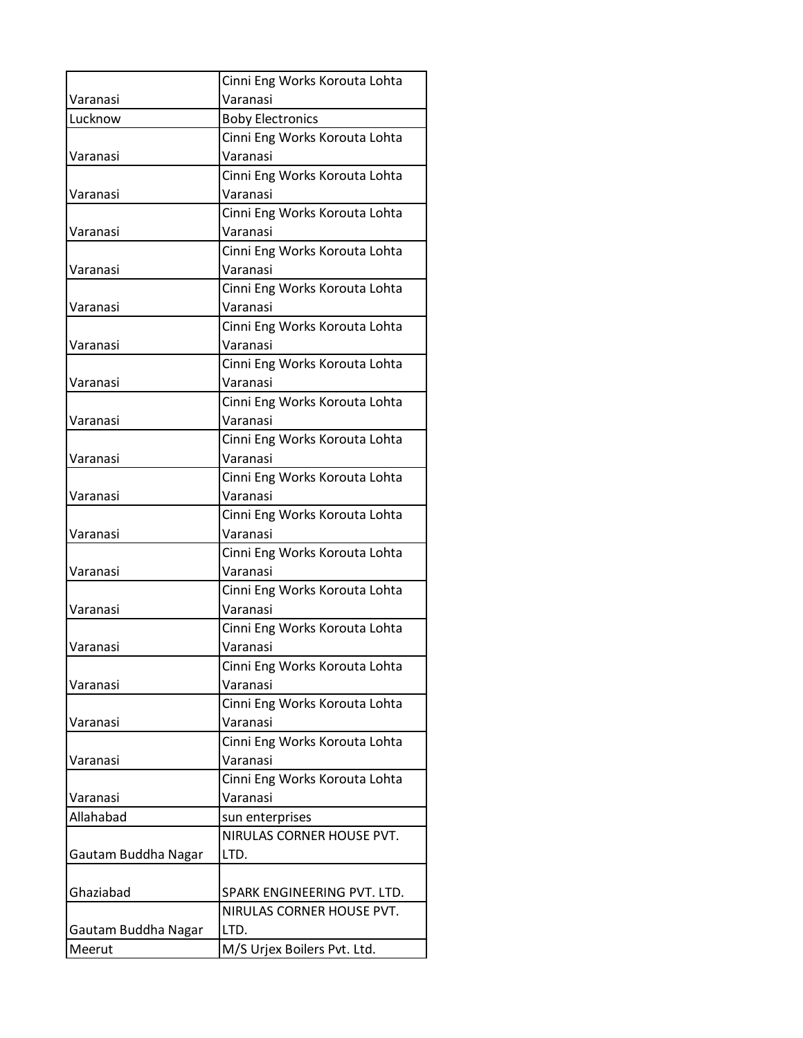|                     | Cinni Eng Works Korouta Lohta             |
|---------------------|-------------------------------------------|
| Varanasi            | Varanasi                                  |
| Lucknow             | <b>Boby Electronics</b>                   |
|                     | Cinni Eng Works Korouta Lohta             |
| Varanasi            | Varanasi                                  |
|                     | Cinni Eng Works Korouta Lohta             |
| Varanasi            | Varanasi                                  |
|                     | Cinni Eng Works Korouta Lohta             |
| Varanasi            | Varanasi                                  |
|                     | Cinni Eng Works Korouta Lohta             |
| Varanasi            | Varanasi                                  |
|                     | Cinni Eng Works Korouta Lohta             |
| Varanasi            | Varanasi                                  |
|                     | Cinni Eng Works Korouta Lohta             |
| Varanasi            | Varanasi                                  |
| Varanasi            | Cinni Eng Works Korouta Lohta<br>Varanasi |
|                     | Cinni Eng Works Korouta Lohta             |
| Varanasi            | Varanasi                                  |
|                     | Cinni Eng Works Korouta Lohta             |
| Varanasi            | Varanasi                                  |
|                     | Cinni Eng Works Korouta Lohta             |
| Varanasi            | Varanasi                                  |
|                     | Cinni Eng Works Korouta Lohta             |
| Varanasi            | Varanasi                                  |
|                     | Cinni Eng Works Korouta Lohta             |
| Varanasi            | Varanasi                                  |
|                     | Cinni Eng Works Korouta Lohta             |
| Varanasi            | Varanasi                                  |
|                     | Cinni Eng Works Korouta Lohta             |
| Varanasi            | Varanasi                                  |
|                     | Cinni Eng Works Korouta Lohta             |
| Varanasi            | Varanasi                                  |
|                     | Cinni Eng Works Korouta Lohta             |
| Varanasi            | Varanasi<br>Cinni Eng Works Korouta Lohta |
| Varanasi            | Varanasi                                  |
|                     | Cinni Eng Works Korouta Lohta             |
| Varanasi            | Varanasi                                  |
| Allahabad           | sun enterprises                           |
|                     | NIRULAS CORNER HOUSE PVT.                 |
| Gautam Buddha Nagar | LTD.                                      |
|                     |                                           |
| Ghaziabad           | SPARK ENGINEERING PVT. LTD.               |
|                     | NIRULAS CORNER HOUSE PVT.                 |
| Gautam Buddha Nagar | LTD.                                      |
| Meerut              | M/S Urjex Boilers Pvt. Ltd.               |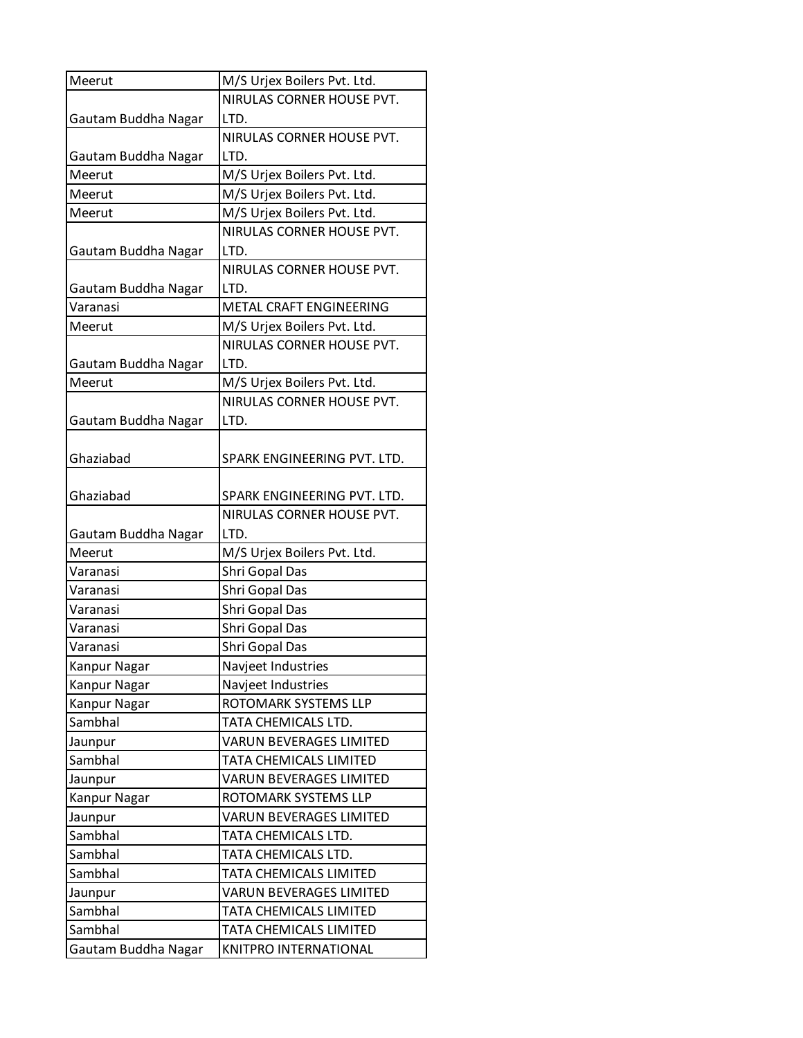| Meerut              | M/S Urjex Boilers Pvt. Ltd.    |
|---------------------|--------------------------------|
|                     | NIRULAS CORNER HOUSE PVT.      |
| Gautam Buddha Nagar | LTD.                           |
|                     | NIRULAS CORNER HOUSE PVT.      |
| Gautam Buddha Nagar | LTD.                           |
| Meerut              | M/S Urjex Boilers Pvt. Ltd.    |
| Meerut              | M/S Urjex Boilers Pvt. Ltd.    |
| Meerut              | M/S Urjex Boilers Pvt. Ltd.    |
|                     | NIRULAS CORNER HOUSE PVT.      |
| Gautam Buddha Nagar | LTD.                           |
|                     | NIRULAS CORNER HOUSE PVT.      |
| Gautam Buddha Nagar | LTD.                           |
| Varanasi            | <b>METAL CRAFT ENGINEERING</b> |
| Meerut              | M/S Urjex Boilers Pvt. Ltd.    |
|                     | NIRULAS CORNER HOUSE PVT.      |
| Gautam Buddha Nagar | LTD.                           |
| Meerut              | M/S Urjex Boilers Pvt. Ltd.    |
|                     | NIRULAS CORNER HOUSE PVT.      |
| Gautam Buddha Nagar | LTD.                           |
|                     |                                |
| Ghaziabad           | SPARK ENGINEERING PVT. LTD.    |
|                     |                                |
| Ghaziabad           | SPARK ENGINEERING PVT. LTD.    |
|                     | NIRULAS CORNER HOUSE PVT.      |
| Gautam Buddha Nagar | LTD.                           |
| Meerut              | M/S Urjex Boilers Pvt. Ltd.    |
| Varanasi            | Shri Gopal Das                 |
| Varanasi            | Shri Gopal Das                 |
| Varanasi            | Shri Gopal Das                 |
| Varanasi            | Shri Gopal Das                 |
| Varanasi            | Shri Gopal Das                 |
| Kanpur Nagar        | Navjeet Industries             |
| Kanpur Nagar        | Navjeet Industries             |
| Kanpur Nagar        | ROTOMARK SYSTEMS LLP           |
| Sambhal             | TATA CHEMICALS LTD.            |
| Jaunpur             | <b>VARUN BEVERAGES LIMITED</b> |
| Sambhal             | TATA CHEMICALS LIMITED         |
| Jaunpur             | <b>VARUN BEVERAGES LIMITED</b> |
| Kanpur Nagar        | ROTOMARK SYSTEMS LLP           |
| Jaunpur             | <b>VARUN BEVERAGES LIMITED</b> |
| Sambhal             | TATA CHEMICALS LTD.            |
| Sambhal             | TATA CHEMICALS LTD.            |
| Sambhal             | TATA CHEMICALS LIMITED         |
| Jaunpur             | <b>VARUN BEVERAGES LIMITED</b> |
| Sambhal             | TATA CHEMICALS LIMITED         |
| Sambhal             | TATA CHEMICALS LIMITED         |
| Gautam Buddha Nagar | KNITPRO INTERNATIONAL          |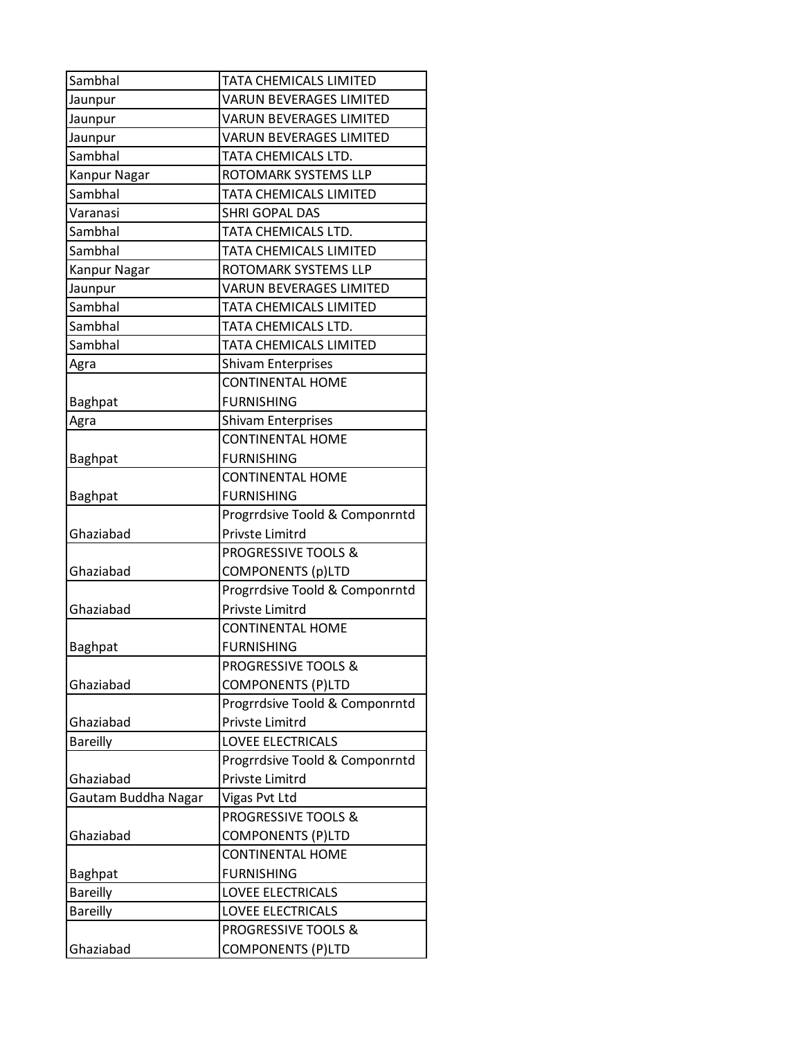| Sambhal             | TATA CHEMICALS LIMITED         |
|---------------------|--------------------------------|
| Jaunpur             | <b>VARUN BEVERAGES LIMITED</b> |
| Jaunpur             | <b>VARUN BEVERAGES LIMITED</b> |
| Jaunpur             | <b>VARUN BEVERAGES LIMITED</b> |
| Sambhal             | TATA CHEMICALS LTD.            |
| <b>Kanpur Nagar</b> | ROTOMARK SYSTEMS LLP           |
| Sambhal             | TATA CHEMICALS LIMITED         |
| Varanasi            | <b>SHRI GOPAL DAS</b>          |
| Sambhal             | TATA CHEMICALS LTD.            |
| Sambhal             | TATA CHEMICALS LIMITED         |
| Kanpur Nagar        | ROTOMARK SYSTEMS LLP           |
| Jaunpur             | <b>VARUN BEVERAGES LIMITED</b> |
| Sambhal             | TATA CHEMICALS LIMITED         |
| Sambhal             | TATA CHEMICALS LTD.            |
| Sambhal             | TATA CHEMICALS LIMITED         |
| Agra                | <b>Shivam Enterprises</b>      |
|                     | <b>CONTINENTAL HOME</b>        |
| Baghpat             | <b>FURNISHING</b>              |
| Agra                | <b>Shivam Enterprises</b>      |
|                     | <b>CONTINENTAL HOME</b>        |
| <b>Baghpat</b>      | <b>FURNISHING</b>              |
|                     | <b>CONTINENTAL HOME</b>        |
| <b>Baghpat</b>      | <b>FURNISHING</b>              |
|                     | Progrrdsive Toold & Componrntd |
| Ghaziabad           | Privste Limitrd                |
|                     | <b>PROGRESSIVE TOOLS &amp;</b> |
| Ghaziabad           | <b>COMPONENTS (p)LTD</b>       |
|                     | Progrrdsive Toold & Componrntd |
| Ghaziabad           | <b>Privste Limitrd</b>         |
|                     | <b>CONTINENTAL HOME</b>        |
| <b>Baghpat</b>      | <b>FURNISHING</b>              |
|                     | <b>PROGRESSIVE TOOLS &amp;</b> |
| Ghaziabad           | <b>COMPONENTS (P)LTD</b>       |
|                     | Progrrdsive Toold & Componrntd |
| Ghaziabad           | Privste Limitrd                |
| <b>Bareilly</b>     | <b>LOVEE ELECTRICALS</b>       |
|                     | Progrrdsive Toold & Componrntd |
| Ghaziabad           | Privste Limitrd                |
| Gautam Buddha Nagar | Vigas Pvt Ltd                  |
|                     | <b>PROGRESSIVE TOOLS &amp;</b> |
| Ghaziabad           | <b>COMPONENTS (P)LTD</b>       |
|                     | <b>CONTINENTAL HOME</b>        |
| <b>Baghpat</b>      | <b>FURNISHING</b>              |
| <b>Bareilly</b>     | LOVEE ELECTRICALS              |
| <b>Bareilly</b>     | LOVEE ELECTRICALS              |
|                     | <b>PROGRESSIVE TOOLS &amp;</b> |
| Ghaziabad           | <b>COMPONENTS (P)LTD</b>       |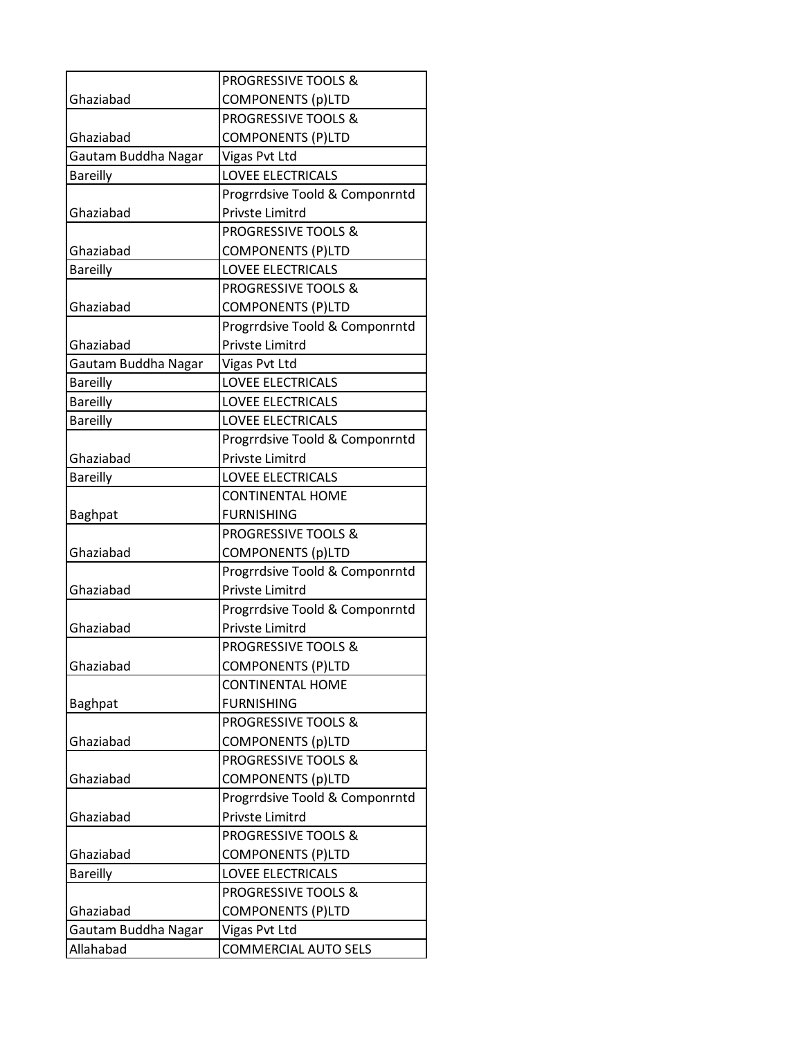|                     | <b>PROGRESSIVE TOOLS &amp;</b> |
|---------------------|--------------------------------|
| Ghaziabad           | <b>COMPONENTS (p)LTD</b>       |
|                     | <b>PROGRESSIVE TOOLS &amp;</b> |
| Ghaziabad           | <b>COMPONENTS (P)LTD</b>       |
| Gautam Buddha Nagar | Vigas Pvt Ltd                  |
| <b>Bareilly</b>     | <b>LOVEE ELECTRICALS</b>       |
|                     | Progrrdsive Toold & Componrntd |
| Ghaziabad           | Privste Limitrd                |
|                     | <b>PROGRESSIVE TOOLS &amp;</b> |
| Ghaziabad           | <b>COMPONENTS (P)LTD</b>       |
| <b>Bareilly</b>     | <b>LOVEE ELECTRICALS</b>       |
|                     | <b>PROGRESSIVE TOOLS &amp;</b> |
| Ghaziabad           | <b>COMPONENTS (P)LTD</b>       |
|                     | Progrrdsive Toold & Componrntd |
| Ghaziabad           | Privste Limitrd                |
| Gautam Buddha Nagar | Vigas Pvt Ltd                  |
| <b>Bareilly</b>     | <b>LOVEE ELECTRICALS</b>       |
| <b>Bareilly</b>     | <b>LOVEE ELECTRICALS</b>       |
| <b>Bareilly</b>     | <b>LOVEE ELECTRICALS</b>       |
|                     | Progrrdsive Toold & Componrntd |
| Ghaziabad           | Privste Limitrd                |
| <b>Bareilly</b>     | <b>LOVEE ELECTRICALS</b>       |
|                     | <b>CONTINENTAL HOME</b>        |
| <b>Baghpat</b>      | <b>FURNISHING</b>              |
|                     | <b>PROGRESSIVE TOOLS &amp;</b> |
| Ghaziabad           | COMPONENTS (p)LTD              |
|                     | Progrrdsive Toold & Componrntd |
| Ghaziabad           | Privste Limitrd                |
|                     | Progrrdsive Toold & Componrntd |
| Ghaziabad           | Privste Limitrd                |
|                     | PROGRESSIVE TOOLS &            |
| Ghaziabad           | <b>COMPONENTS (P)LTD</b>       |
|                     | <b>CONTINENTAL HOME</b>        |
| <b>Baghpat</b>      | <b>FURNISHING</b>              |
|                     | <b>PROGRESSIVE TOOLS &amp;</b> |
| Ghaziabad           | <b>COMPONENTS (p)LTD</b>       |
|                     | PROGRESSIVE TOOLS &            |
| Ghaziabad           | <b>COMPONENTS (p)LTD</b>       |
|                     | Progrrdsive Toold & Componrntd |
| Ghaziabad           | Privste Limitrd                |
|                     | <b>PROGRESSIVE TOOLS &amp;</b> |
| Ghaziabad           | <b>COMPONENTS (P)LTD</b>       |
| <b>Bareilly</b>     | LOVEE ELECTRICALS              |
|                     | <b>PROGRESSIVE TOOLS &amp;</b> |
| Ghaziabad           | <b>COMPONENTS (P)LTD</b>       |
| Gautam Buddha Nagar | Vigas Pvt Ltd                  |
| Allahabad           | <b>COMMERCIAL AUTO SELS</b>    |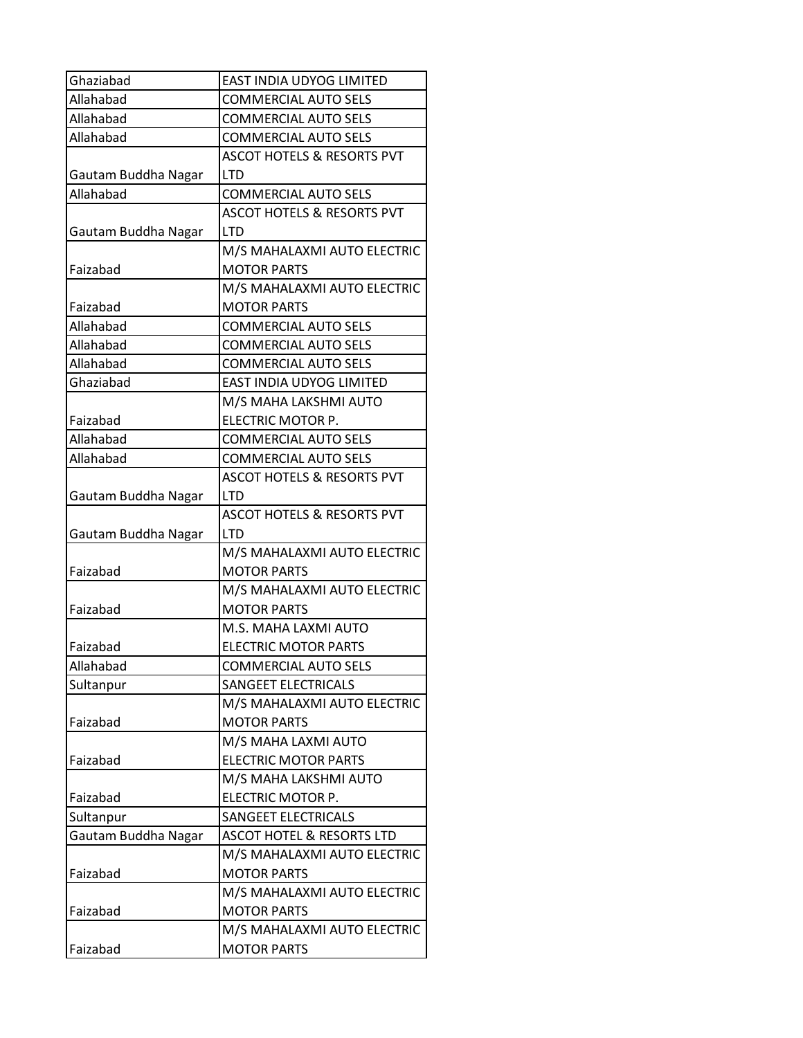| Ghaziabad           | <b>EAST INDIA UDYOG LIMITED</b>           |
|---------------------|-------------------------------------------|
| Allahabad           | <b>COMMERCIAL AUTO SELS</b>               |
| Allahabad           | <b>COMMERCIAL AUTO SELS</b>               |
| Allahabad           | <b>COMMERCIAL AUTO SELS</b>               |
|                     | <b>ASCOT HOTELS &amp; RESORTS PVT</b>     |
| Gautam Buddha Nagar | <b>LTD</b>                                |
| Allahabad           | <b>COMMERCIAL AUTO SELS</b>               |
|                     | <b>ASCOT HOTELS &amp; RESORTS PVT</b>     |
| Gautam Buddha Nagar | <b>LTD</b>                                |
|                     | M/S MAHALAXMI AUTO ELECTRIC               |
| Faizabad            | <b>MOTOR PARTS</b>                        |
|                     | M/S MAHALAXMI AUTO ELECTRIC               |
| Faizabad            | <b>MOTOR PARTS</b>                        |
| Allahabad           | <b>COMMERCIAL AUTO SELS</b>               |
| Allahabad           | <b>COMMERCIAL AUTO SELS</b>               |
| Allahabad           | <b>COMMERCIAL AUTO SELS</b>               |
| Ghaziabad           | EAST INDIA UDYOG LIMITED                  |
|                     | M/S MAHA LAKSHMI AUTO                     |
| Faizabad            | ELECTRIC MOTOR P.                         |
| Allahabad           | <b>COMMERCIAL AUTO SELS</b>               |
| Allahabad           | <b>COMMERCIAL AUTO SELS</b>               |
|                     | <b>ASCOT HOTELS &amp; RESORTS PVT</b>     |
| Gautam Buddha Nagar | <b>LTD</b>                                |
|                     | <b>ASCOT HOTELS &amp; RESORTS PVT</b>     |
| Gautam Buddha Nagar | <b>LTD</b><br>M/S MAHALAXMI AUTO ELECTRIC |
| Faizabad            | <b>MOTOR PARTS</b>                        |
|                     | M/S MAHALAXMI AUTO ELECTRIC               |
| Faizabad            | <b>MOTOR PARTS</b>                        |
|                     | M.S. MAHA LAXMI AUTO                      |
| Faizabad            | <b>ELECTRIC MOTOR PARTS</b>               |
| Allahabad           | <b>COMMERCIAL AUTO SELS</b>               |
| Sultanpur           | <b>SANGEET ELECTRICALS</b>                |
|                     | M/S MAHALAXMI AUTO ELECTRIC               |
| Faizabad            | <b>MOTOR PARTS</b>                        |
|                     | M/S MAHA LAXMI AUTO                       |
| Faizabad            | <b>ELECTRIC MOTOR PARTS</b>               |
|                     | M/S MAHA LAKSHMI AUTO                     |
| Faizabad            | ELECTRIC MOTOR P.                         |
| Sultanpur           | SANGEET ELECTRICALS                       |
| Gautam Buddha Nagar | ASCOT HOTEL & RESORTS LTD                 |
|                     | M/S MAHALAXMI AUTO ELECTRIC               |
| Faizabad            | <b>MOTOR PARTS</b>                        |
|                     | M/S MAHALAXMI AUTO ELECTRIC               |
| Faizabad            | <b>MOTOR PARTS</b>                        |
|                     | M/S MAHALAXMI AUTO ELECTRIC               |
| Faizabad            | <b>MOTOR PARTS</b>                        |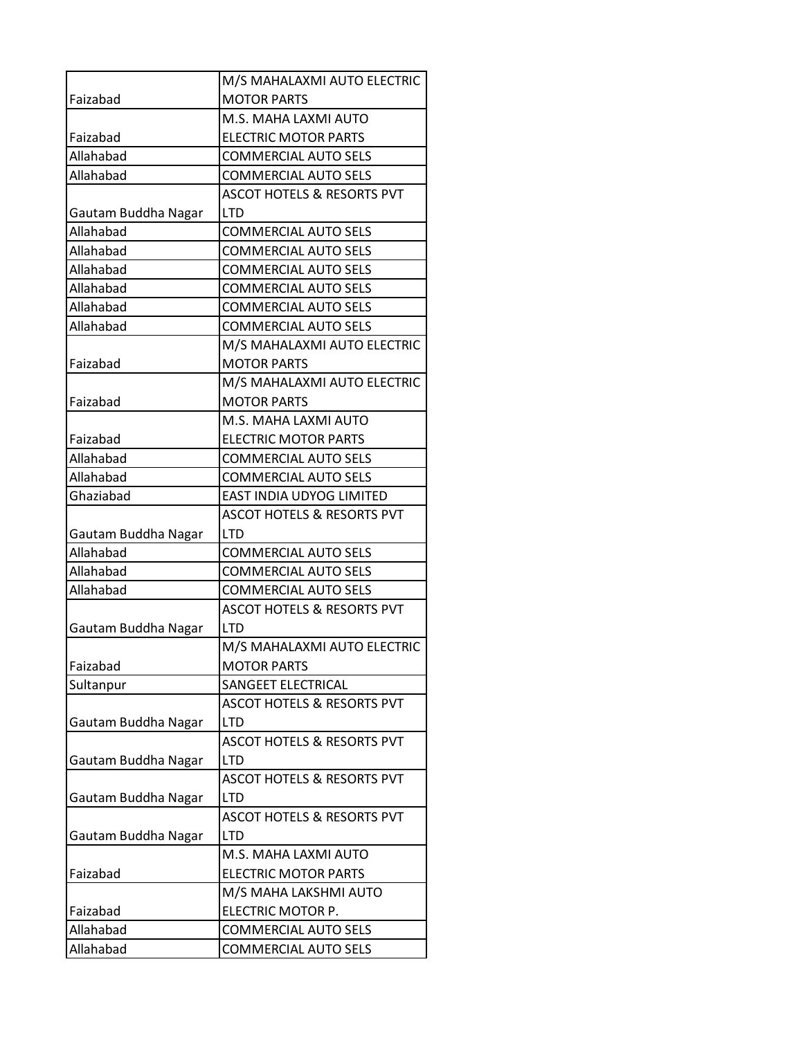|                     | M/S MAHALAXMI AUTO ELECTRIC           |
|---------------------|---------------------------------------|
| Faizabad            | <b>MOTOR PARTS</b>                    |
|                     | M.S. MAHA LAXMI AUTO                  |
| Faizabad            | <b>ELECTRIC MOTOR PARTS</b>           |
| Allahabad           | <b>COMMERCIAL AUTO SELS</b>           |
| Allahabad           | <b>COMMERCIAL AUTO SELS</b>           |
|                     | <b>ASCOT HOTELS &amp; RESORTS PVT</b> |
| Gautam Buddha Nagar | <b>LTD</b>                            |
| Allahabad           | <b>COMMERCIAL AUTO SELS</b>           |
| Allahabad           | <b>COMMERCIAL AUTO SELS</b>           |
| Allahabad           | <b>COMMERCIAL AUTO SELS</b>           |
| Allahabad           | <b>COMMERCIAL AUTO SELS</b>           |
| Allahabad           | <b>COMMERCIAL AUTO SELS</b>           |
| Allahabad           | <b>COMMERCIAL AUTO SELS</b>           |
|                     | M/S MAHALAXMI AUTO ELECTRIC           |
| Faizabad            | <b>MOTOR PARTS</b>                    |
|                     | M/S MAHALAXMI AUTO ELECTRIC           |
| Faizabad            | <b>MOTOR PARTS</b>                    |
|                     | M.S. MAHA LAXMI AUTO                  |
| Faizabad            | <b>ELECTRIC MOTOR PARTS</b>           |
| Allahabad           | <b>COMMERCIAL AUTO SELS</b>           |
| Allahabad           | <b>COMMERCIAL AUTO SELS</b>           |
| Ghaziabad           | EAST INDIA UDYOG LIMITED              |
|                     | <b>ASCOT HOTELS &amp; RESORTS PVT</b> |
| Gautam Buddha Nagar | LTD                                   |
| Allahabad           | <b>COMMERCIAL AUTO SELS</b>           |
| Allahabad           | <b>COMMERCIAL AUTO SELS</b>           |
| Allahabad           | <b>COMMERCIAL AUTO SELS</b>           |
|                     | <b>ASCOT HOTELS &amp; RESORTS PVT</b> |
| Gautam Buddha Nagar | <b>LTD</b>                            |
|                     | M/S MAHALAXMI AUTO ELECTRIC           |
| Faizabad            | <b>MOTOR PARTS</b>                    |
| Sultanpur           | <b>SANGEET ELECTRICAL</b>             |
|                     | <b>ASCOT HOTELS &amp; RESORTS PVT</b> |
| Gautam Buddha Nagar | <b>LTD</b>                            |
|                     | <b>ASCOT HOTELS &amp; RESORTS PVT</b> |
| Gautam Buddha Nagar | <b>LTD</b>                            |
|                     | <b>ASCOT HOTELS &amp; RESORTS PVT</b> |
| Gautam Buddha Nagar | <b>LTD</b>                            |
|                     | <b>ASCOT HOTELS &amp; RESORTS PVT</b> |
| Gautam Buddha Nagar | <b>LTD</b>                            |
|                     | M.S. MAHA LAXMI AUTO                  |
| Faizabad            | <b>ELECTRIC MOTOR PARTS</b>           |
|                     | M/S MAHA LAKSHMI AUTO                 |
| Faizabad            | ELECTRIC MOTOR P.                     |
| Allahabad           | <b>COMMERCIAL AUTO SELS</b>           |
| Allahabad           | <b>COMMERCIAL AUTO SELS</b>           |
|                     |                                       |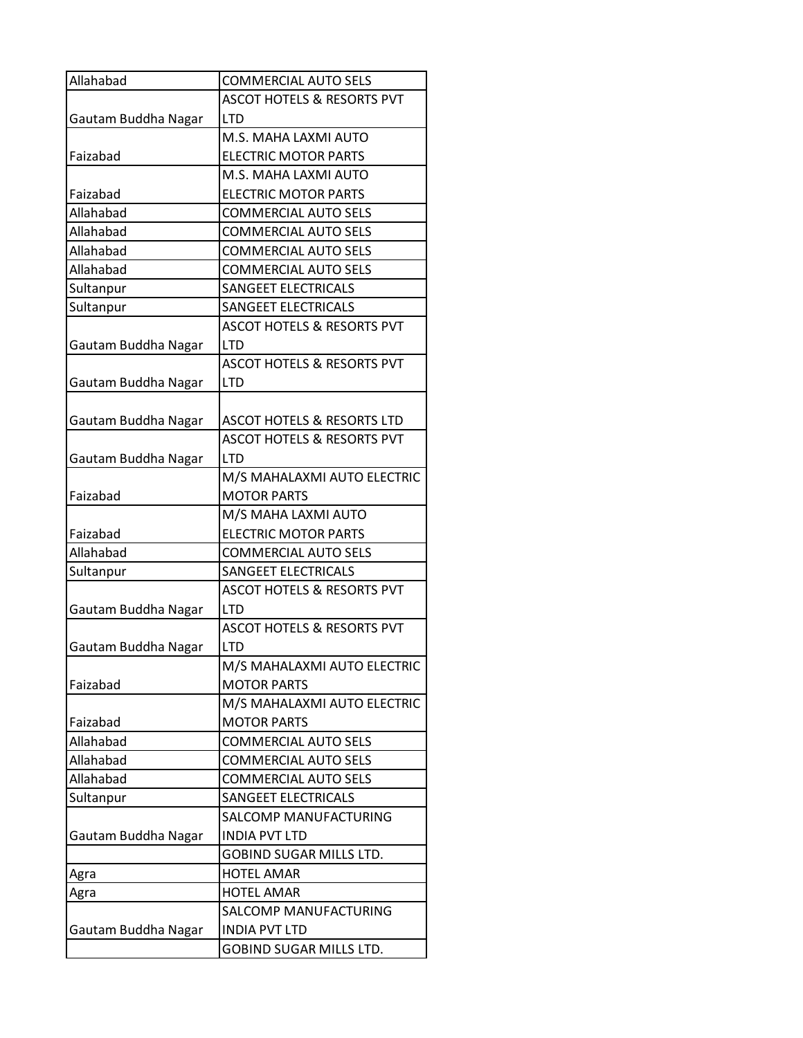| Allahabad           | <b>COMMERCIAL AUTO SELS</b>           |
|---------------------|---------------------------------------|
|                     | <b>ASCOT HOTELS &amp; RESORTS PVT</b> |
| Gautam Buddha Nagar | <b>LTD</b>                            |
|                     | M.S. MAHA LAXMI AUTO                  |
| Faizabad            | <b>ELECTRIC MOTOR PARTS</b>           |
|                     | M.S. MAHA LAXMI AUTO                  |
| Faizabad            | <b>ELECTRIC MOTOR PARTS</b>           |
| Allahabad           | <b>COMMERCIAL AUTO SELS</b>           |
| Allahabad           | <b>COMMERCIAL AUTO SELS</b>           |
| Allahabad           | <b>COMMERCIAL AUTO SELS</b>           |
| Allahabad           | <b>COMMERCIAL AUTO SELS</b>           |
| Sultanpur           | <b>SANGEET ELECTRICALS</b>            |
| Sultanpur           | SANGEET ELECTRICALS                   |
|                     | <b>ASCOT HOTELS &amp; RESORTS PVT</b> |
| Gautam Buddha Nagar | <b>LTD</b>                            |
|                     | <b>ASCOT HOTELS &amp; RESORTS PVT</b> |
| Gautam Buddha Nagar | <b>LTD</b>                            |
|                     |                                       |
| Gautam Buddha Nagar | <b>ASCOT HOTELS &amp; RESORTS LTD</b> |
|                     | <b>ASCOT HOTELS &amp; RESORTS PVT</b> |
| Gautam Buddha Nagar | <b>LTD</b>                            |
|                     | M/S MAHALAXMI AUTO ELECTRIC           |
| Faizabad            | <b>MOTOR PARTS</b>                    |
|                     | M/S MAHA LAXMI AUTO                   |
| Faizabad            | <b>ELECTRIC MOTOR PARTS</b>           |
| Allahabad           | <b>COMMERCIAL AUTO SELS</b>           |
| Sultanpur           | SANGEET ELECTRICALS                   |
|                     | <b>ASCOT HOTELS &amp; RESORTS PVT</b> |
| Gautam Buddha Nagar | <b>LTD</b>                            |
|                     | <b>ASCOT HOTELS &amp; RESORTS PVT</b> |
| Gautam Buddha Nagar | <b>LTD</b>                            |
|                     | M/S MAHALAXMI AUTO ELECTRIC           |
| Faizabad            | <b>MOTOR PARTS</b>                    |
|                     | M/S MAHALAXMI AUTO ELECTRIC           |
| Faizabad            | <b>MOTOR PARTS</b>                    |
| Allahabad           | <b>COMMERCIAL AUTO SELS</b>           |
| Allahabad           | <b>COMMERCIAL AUTO SELS</b>           |
| Allahabad           | <b>COMMERCIAL AUTO SELS</b>           |
| Sultanpur           | SANGEET ELECTRICALS                   |
|                     | SALCOMP MANUFACTURING                 |
| Gautam Buddha Nagar | <b>INDIA PVT LTD</b>                  |
|                     | GOBIND SUGAR MILLS LTD.               |
| Agra                | <b>HOTEL AMAR</b>                     |
| Agra                | <b>HOTEL AMAR</b>                     |
|                     | SALCOMP MANUFACTURING                 |
| Gautam Buddha Nagar | <b>INDIA PVT LTD</b>                  |
|                     | GOBIND SUGAR MILLS LTD.               |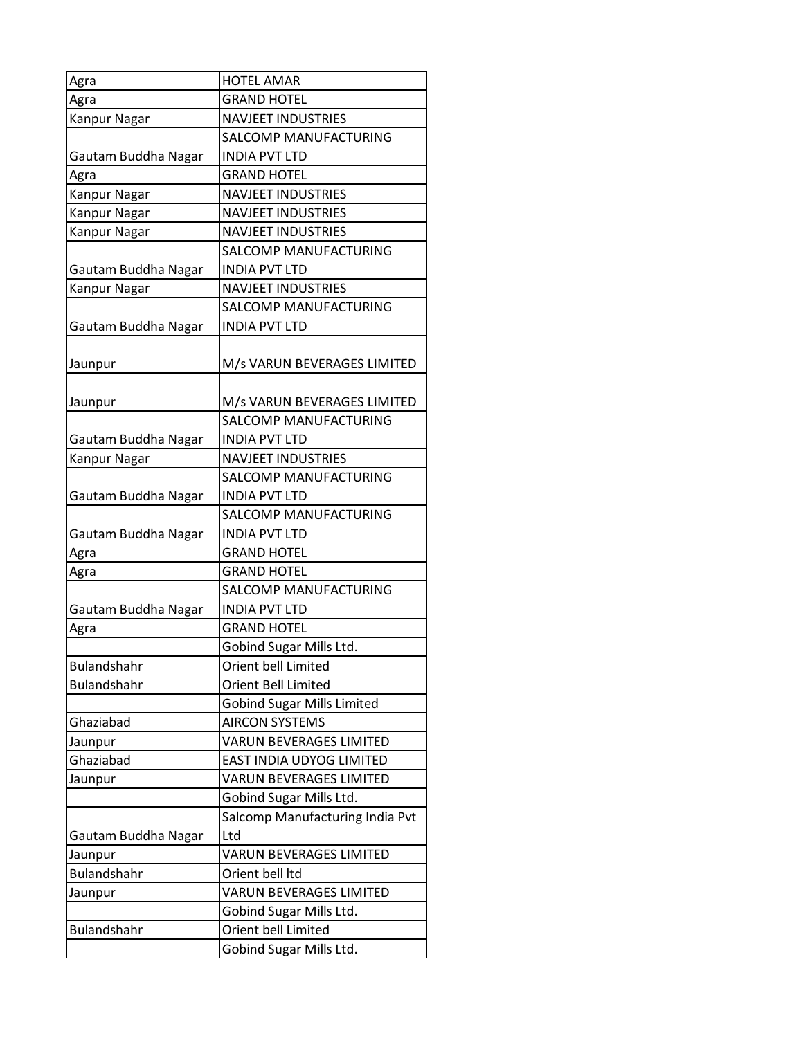| Agra                | <b>HOTEL AMAR</b>                 |
|---------------------|-----------------------------------|
| Agra                | <b>GRAND HOTEL</b>                |
| Kanpur Nagar        | <b>NAVJEET INDUSTRIES</b>         |
|                     | SALCOMP MANUFACTURING             |
| Gautam Buddha Nagar | <b>INDIA PVT LTD</b>              |
| Agra                | <b>GRAND HOTEL</b>                |
| Kanpur Nagar        | <b>NAVJEET INDUSTRIES</b>         |
| Kanpur Nagar        | <b>NAVJEET INDUSTRIES</b>         |
| Kanpur Nagar        | <b>NAVJEET INDUSTRIES</b>         |
|                     | SALCOMP MANUFACTURING             |
| Gautam Buddha Nagar | <b>INDIA PVT LTD</b>              |
| Kanpur Nagar        | <b>NAVJEET INDUSTRIES</b>         |
|                     | SALCOMP MANUFACTURING             |
| Gautam Buddha Nagar | <b>INDIA PVT LTD</b>              |
| Jaunpur             | M/s VARUN BEVERAGES LIMITED       |
| Jaunpur             | M/s VARUN BEVERAGES LIMITED       |
|                     | SALCOMP MANUFACTURING             |
| Gautam Buddha Nagar | <b>INDIA PVT LTD</b>              |
| Kanpur Nagar        | <b>NAVJEET INDUSTRIES</b>         |
|                     | SALCOMP MANUFACTURING             |
| Gautam Buddha Nagar | <b>INDIA PVT LTD</b>              |
|                     | SALCOMP MANUFACTURING             |
| Gautam Buddha Nagar | <b>INDIA PVT LTD</b>              |
| Agra                | <b>GRAND HOTEL</b>                |
| Agra                | <b>GRAND HOTEL</b>                |
|                     | SALCOMP MANUFACTURING             |
| Gautam Buddha Nagar | <b>INDIA PVT LTD</b>              |
| Agra                | <b>GRAND HOTEL</b>                |
|                     | Gobind Sugar Mills Ltd.           |
| Bulandshahr         | Orient bell Limited               |
| <b>Bulandshahr</b>  | Orient Bell Limited               |
|                     | <b>Gobind Sugar Mills Limited</b> |
| Ghaziabad           | <b>AIRCON SYSTEMS</b>             |
| Jaunpur             | <b>VARUN BEVERAGES LIMITED</b>    |
| Ghaziabad           | EAST INDIA UDYOG LIMITED          |
| Jaunpur             | VARUN BEVERAGES LIMITED           |
|                     | Gobind Sugar Mills Ltd.           |
|                     | Salcomp Manufacturing India Pvt   |
| Gautam Buddha Nagar | Ltd                               |
| Jaunpur             | <b>VARUN BEVERAGES LIMITED</b>    |
| Bulandshahr         | Orient bell Itd                   |
| Jaunpur             | <b>VARUN BEVERAGES LIMITED</b>    |
|                     | Gobind Sugar Mills Ltd.           |
| Bulandshahr         | Orient bell Limited               |
|                     | Gobind Sugar Mills Ltd.           |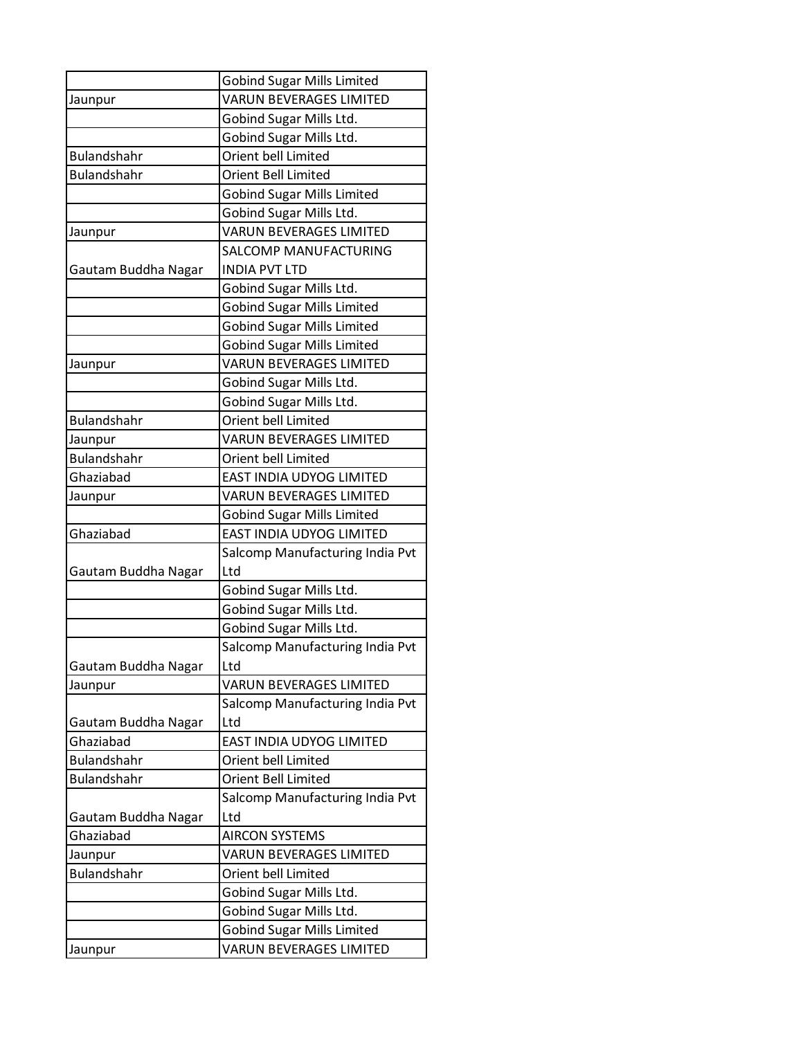|                               | <b>Gobind Sugar Mills Limited</b>                            |
|-------------------------------|--------------------------------------------------------------|
| Jaunpur                       | <b>VARUN BEVERAGES LIMITED</b>                               |
|                               | Gobind Sugar Mills Ltd.                                      |
|                               | Gobind Sugar Mills Ltd.                                      |
| <b>Bulandshahr</b>            | Orient bell Limited                                          |
| <b>Bulandshahr</b>            | <b>Orient Bell Limited</b>                                   |
|                               | <b>Gobind Sugar Mills Limited</b>                            |
|                               | Gobind Sugar Mills Ltd.                                      |
| Jaunpur                       | <b>VARUN BEVERAGES LIMITED</b>                               |
|                               | SALCOMP MANUFACTURING                                        |
| Gautam Buddha Nagar           | <b>INDIA PVT LTD</b>                                         |
|                               | Gobind Sugar Mills Ltd.                                      |
|                               | <b>Gobind Sugar Mills Limited</b>                            |
|                               | <b>Gobind Sugar Mills Limited</b>                            |
|                               | <b>Gobind Sugar Mills Limited</b>                            |
| Jaunpur                       | <b>VARUN BEVERAGES LIMITED</b>                               |
|                               | Gobind Sugar Mills Ltd.                                      |
|                               | Gobind Sugar Mills Ltd.                                      |
| <b>Bulandshahr</b>            | Orient bell Limited                                          |
| Jaunpur                       | VARUN BEVERAGES LIMITED                                      |
| <b>Bulandshahr</b>            | Orient bell Limited                                          |
| Ghaziabad                     | EAST INDIA UDYOG LIMITED                                     |
| Jaunpur                       | <b>VARUN BEVERAGES LIMITED</b>                               |
|                               | <b>Gobind Sugar Mills Limited</b>                            |
| Ghaziabad                     | EAST INDIA UDYOG LIMITED                                     |
|                               | Salcomp Manufacturing India Pvt                              |
| Gautam Buddha Nagar           | Ltd                                                          |
|                               | Gobind Sugar Mills Ltd.                                      |
|                               | Gobind Sugar Mills Ltd.                                      |
|                               | Gobind Sugar Mills Ltd.                                      |
|                               | Salcomp Manufacturing India Pvt                              |
| Gautam Buddha Nagar           | Ltd                                                          |
| Jaunpur                       | <b>VARUN BEVERAGES LIMITED</b>                               |
|                               | Salcomp Manufacturing India Pvt                              |
| Gautam Buddha Nagar           | Ltd                                                          |
| Ghaziabad                     | EAST INDIA UDYOG LIMITED                                     |
| <b>Bulandshahr</b>            | Orient bell Limited                                          |
| <b>Bulandshahr</b>            | <b>Orient Bell Limited</b>                                   |
|                               | Salcomp Manufacturing India Pvt                              |
| Gautam Buddha Nagar           | Ltd                                                          |
| Ghaziabad                     | <b>AIRCON SYSTEMS</b><br><b>VARUN BEVERAGES LIMITED</b>      |
| Jaunpur<br><b>Bulandshahr</b> |                                                              |
|                               | Orient bell Limited                                          |
|                               | Gobind Sugar Mills Ltd.                                      |
|                               | Gobind Sugar Mills Ltd.                                      |
|                               | <b>Gobind Sugar Mills Limited</b><br>VARUN BEVERAGES LIMITED |
| Jaunpur                       |                                                              |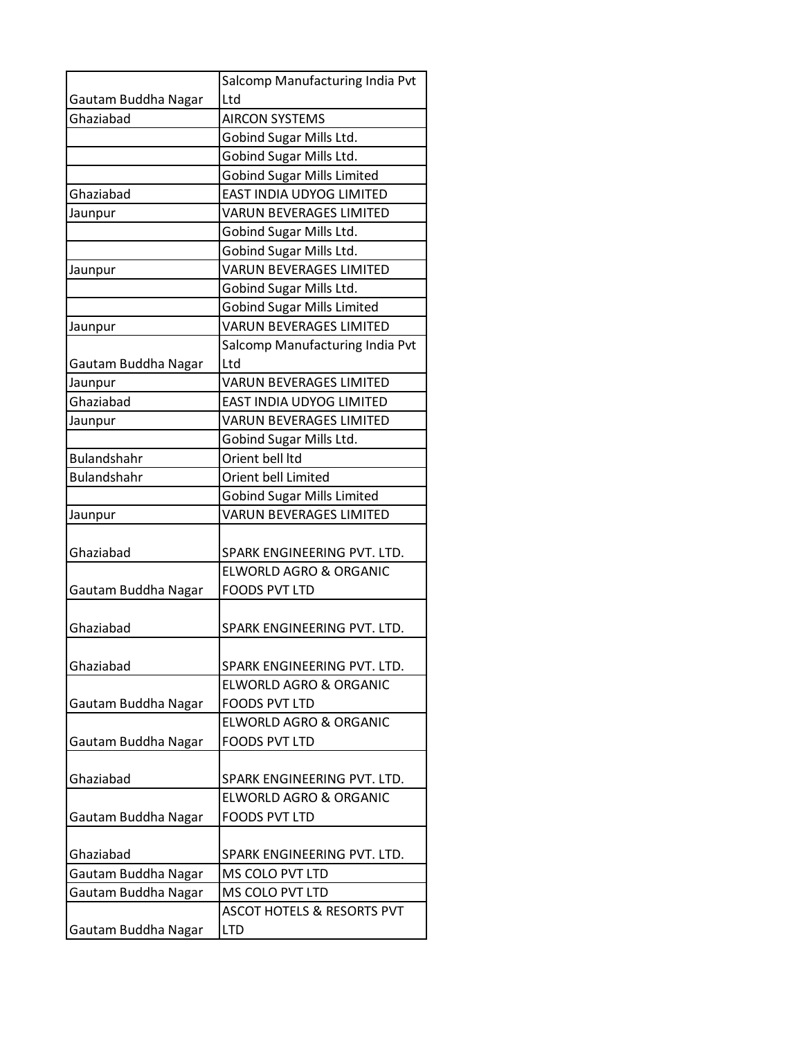|                     | Salcomp Manufacturing India Pvt       |
|---------------------|---------------------------------------|
| Gautam Buddha Nagar | Ltd                                   |
| Ghaziabad           | <b>AIRCON SYSTEMS</b>                 |
|                     | Gobind Sugar Mills Ltd.               |
|                     | Gobind Sugar Mills Ltd.               |
|                     | <b>Gobind Sugar Mills Limited</b>     |
| Ghaziabad           | <b>EAST INDIA UDYOG LIMITED</b>       |
| Jaunpur             | <b>VARUN BEVERAGES LIMITED</b>        |
|                     | Gobind Sugar Mills Ltd.               |
|                     | Gobind Sugar Mills Ltd.               |
| Jaunpur             | <b>VARUN BEVERAGES LIMITED</b>        |
|                     | Gobind Sugar Mills Ltd.               |
|                     | <b>Gobind Sugar Mills Limited</b>     |
| Jaunpur             | <b>VARUN BEVERAGES LIMITED</b>        |
|                     | Salcomp Manufacturing India Pvt       |
| Gautam Buddha Nagar | Ltd                                   |
| Jaunpur             | <b>VARUN BEVERAGES LIMITED</b>        |
| Ghaziabad           | EAST INDIA UDYOG LIMITED              |
| Jaunpur             | <b>VARUN BEVERAGES LIMITED</b>        |
|                     | Gobind Sugar Mills Ltd.               |
| <b>Bulandshahr</b>  | Orient bell Itd                       |
| <b>Bulandshahr</b>  | Orient bell Limited                   |
|                     | <b>Gobind Sugar Mills Limited</b>     |
| Jaunpur             | <b>VARUN BEVERAGES LIMITED</b>        |
|                     |                                       |
| Ghaziabad           | SPARK ENGINEERING PVT. LTD.           |
|                     | ELWORLD AGRO & ORGANIC                |
| Gautam Buddha Nagar | <b>FOODS PVT LTD</b>                  |
|                     |                                       |
| Ghaziabad           | SPARK ENGINEERING PVT. LTD.           |
|                     |                                       |
| Ghaziabad           | SPARK ENGINEERING PVT. LTD.           |
|                     | <b>ELWORLD AGRO &amp; ORGANIC</b>     |
| Gautam Buddha Nagar | <b>FOODS PVT LTD</b>                  |
|                     | <b>ELWORLD AGRO &amp; ORGANIC</b>     |
| Gautam Buddha Nagar | <b>FOODS PVT LTD</b>                  |
|                     |                                       |
| Ghaziabad           | SPARK ENGINEERING PVT. LTD.           |
|                     | <b>ELWORLD AGRO &amp; ORGANIC</b>     |
| Gautam Buddha Nagar | <b>FOODS PVT LTD</b>                  |
|                     |                                       |
| Ghaziabad           | SPARK ENGINEERING PVT. LTD.           |
| Gautam Buddha Nagar | MS COLO PVT LTD                       |
| Gautam Buddha Nagar | MS COLO PVT LTD                       |
|                     | <b>ASCOT HOTELS &amp; RESORTS PVT</b> |
| Gautam Buddha Nagar | <b>LTD</b>                            |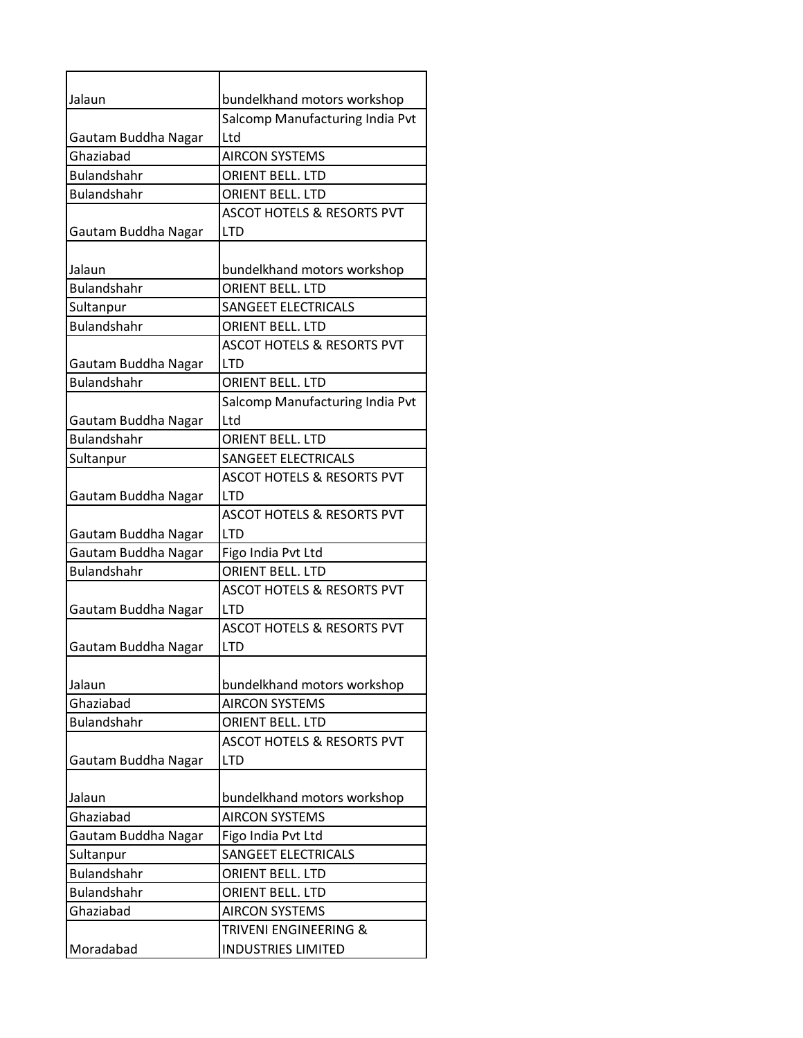| Jalaun              | bundelkhand motors workshop           |
|---------------------|---------------------------------------|
|                     | Salcomp Manufacturing India Pvt       |
| Gautam Buddha Nagar | Ltd                                   |
| Ghaziabad           | <b>AIRCON SYSTEMS</b>                 |
| <b>Bulandshahr</b>  | <b>ORIENT BELL. LTD</b>               |
| <b>Bulandshahr</b>  | <b>ORIENT BELL. LTD</b>               |
|                     | <b>ASCOT HOTELS &amp; RESORTS PVT</b> |
| Gautam Buddha Nagar | <b>LTD</b>                            |
|                     |                                       |
| Jalaun              | bundelkhand motors workshop           |
| <b>Bulandshahr</b>  | <b>ORIENT BELL, LTD</b>               |
| Sultanpur           | <b>SANGEET ELECTRICALS</b>            |
| <b>Bulandshahr</b>  | <b>ORIENT BELL, LTD</b>               |
|                     | <b>ASCOT HOTELS &amp; RESORTS PVT</b> |
| Gautam Buddha Nagar | I TD                                  |
| <b>Bulandshahr</b>  | <b>ORIENT BELL. LTD</b>               |
|                     | Salcomp Manufacturing India Pvt       |
| Gautam Buddha Nagar | Ltd                                   |
| <b>Bulandshahr</b>  | <b>ORIENT BELL. LTD</b>               |
| Sultanpur           | <b>SANGEET ELECTRICALS</b>            |
|                     | <b>ASCOT HOTELS &amp; RESORTS PVT</b> |
| Gautam Buddha Nagar | <b>LTD</b>                            |
|                     | <b>ASCOT HOTELS &amp; RESORTS PVT</b> |
| Gautam Buddha Nagar | <b>LTD</b>                            |
| Gautam Buddha Nagar | Figo India Pvt Ltd                    |
| <b>Bulandshahr</b>  | <b>ORIENT BELL. LTD</b>               |
|                     | <b>ASCOT HOTELS &amp; RESORTS PVT</b> |
| Gautam Buddha Nagar | <b>LTD</b>                            |
|                     | <b>ASCOT HOTELS &amp; RESORTS PVT</b> |
| Gautam Buddha Nagar | <b>LTD</b>                            |
|                     |                                       |
| Jalaun              | bundelkhand motors workshop           |
| Ghaziabad           | <b>AIRCON SYSTEMS</b>                 |
| <b>Bulandshahr</b>  | ORIENT BELL. LTD                      |
|                     | <b>ASCOT HOTELS &amp; RESORTS PVT</b> |
| Gautam Buddha Nagar | <b>LTD</b>                            |
|                     |                                       |
| Jalaun              | bundelkhand motors workshop           |
| Ghaziabad           | <b>AIRCON SYSTEMS</b>                 |
| Gautam Buddha Nagar | Figo India Pvt Ltd                    |
| Sultanpur           | <b>SANGEET ELECTRICALS</b>            |
| <b>Bulandshahr</b>  | <b>ORIENT BELL. LTD</b>               |
| <b>Bulandshahr</b>  | ORIENT BELL. LTD                      |
| Ghaziabad           | <b>AIRCON SYSTEMS</b>                 |
|                     | <b>TRIVENI ENGINEERING &amp;</b>      |
| Moradabad           | <b>INDUSTRIES LIMITED</b>             |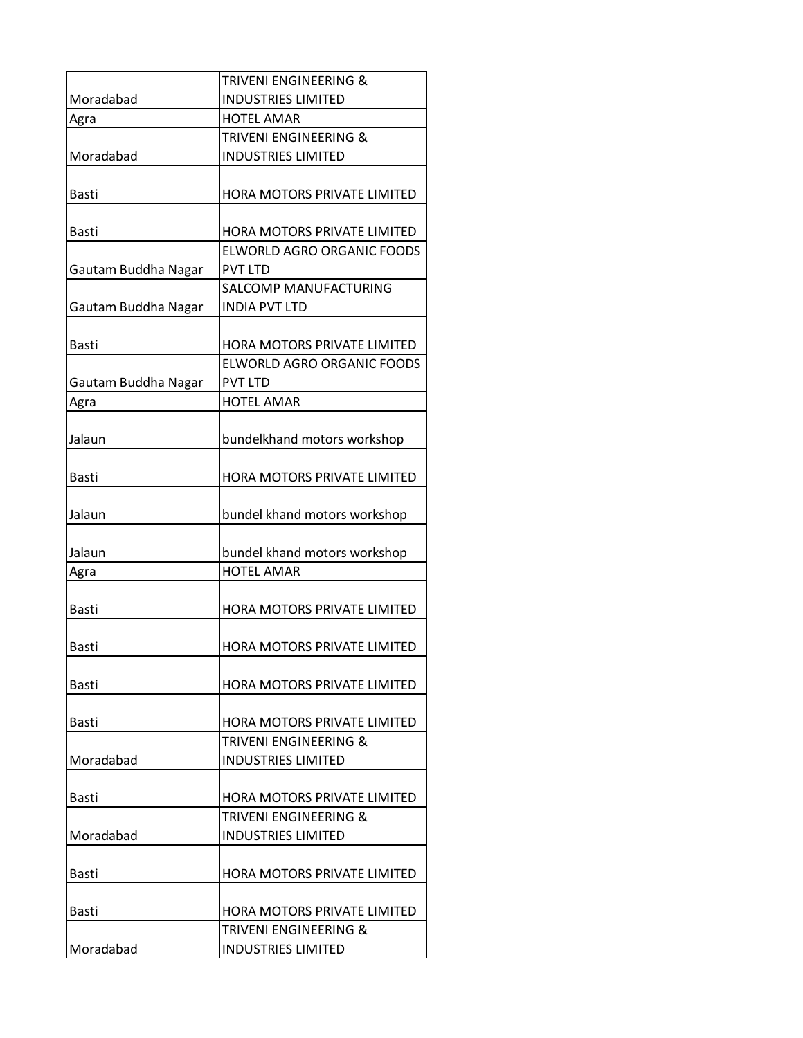|                     | TRIVENI ENGINEERING &                                |
|---------------------|------------------------------------------------------|
| Moradabad           | <b>INDUSTRIES LIMITED</b>                            |
| Agra                | <b>HOTEL AMAR</b>                                    |
|                     | <b>TRIVENI ENGINEERING &amp;</b>                     |
| Moradabad           | <b>INDUSTRIES LIMITED</b>                            |
| Basti               | HORA MOTORS PRIVATE LIMITED                          |
| <b>Basti</b>        | HORA MOTORS PRIVATE LIMITED                          |
| Gautam Buddha Nagar | ELWORLD AGRO ORGANIC FOODS<br><b>PVT LTD</b>         |
| Gautam Buddha Nagar | <b>SALCOMP MANUFACTURING</b><br><b>INDIA PVT LTD</b> |
| <b>Basti</b>        | HORA MOTORS PRIVATE LIMITED                          |
| Gautam Buddha Nagar | ELWORLD AGRO ORGANIC FOODS<br>PVT LTD                |
| Agra                | <b>HOTEL AMAR</b>                                    |
| Jalaun              | bundelkhand motors workshop                          |
| <b>Basti</b>        | HORA MOTORS PRIVATE LIMITED                          |
| Jalaun              | bundel khand motors workshop                         |
| Jalaun              | bundel khand motors workshop                         |
| Agra                | <b>HOTEL AMAR</b>                                    |
| <b>Basti</b>        | HORA MOTORS PRIVATE LIMITED                          |
| <b>Basti</b>        | HORA MOTORS PRIVATE LIMITED                          |
| Basti               | <b>HORA MOTORS PRIVATE LIMITED</b>                   |
| Basti               | HORA MOTORS PRIVATE LIMITED                          |
| Moradabad           | TRIVENI ENGINEERING &<br><b>INDUSTRIES LIMITED</b>   |
| <b>Basti</b>        | <b>HORA MOTORS PRIVATE LIMITED</b>                   |
|                     | TRIVENI ENGINEERING &                                |
| Moradabad           | <b>INDUSTRIES LIMITED</b>                            |
| Basti               | <b>HORA MOTORS PRIVATE LIMITED</b>                   |
| Basti               | <b>HORA MOTORS PRIVATE LIMITED</b>                   |
|                     | TRIVENI ENGINEERING &                                |
| Moradabad           | <b>INDUSTRIES LIMITED</b>                            |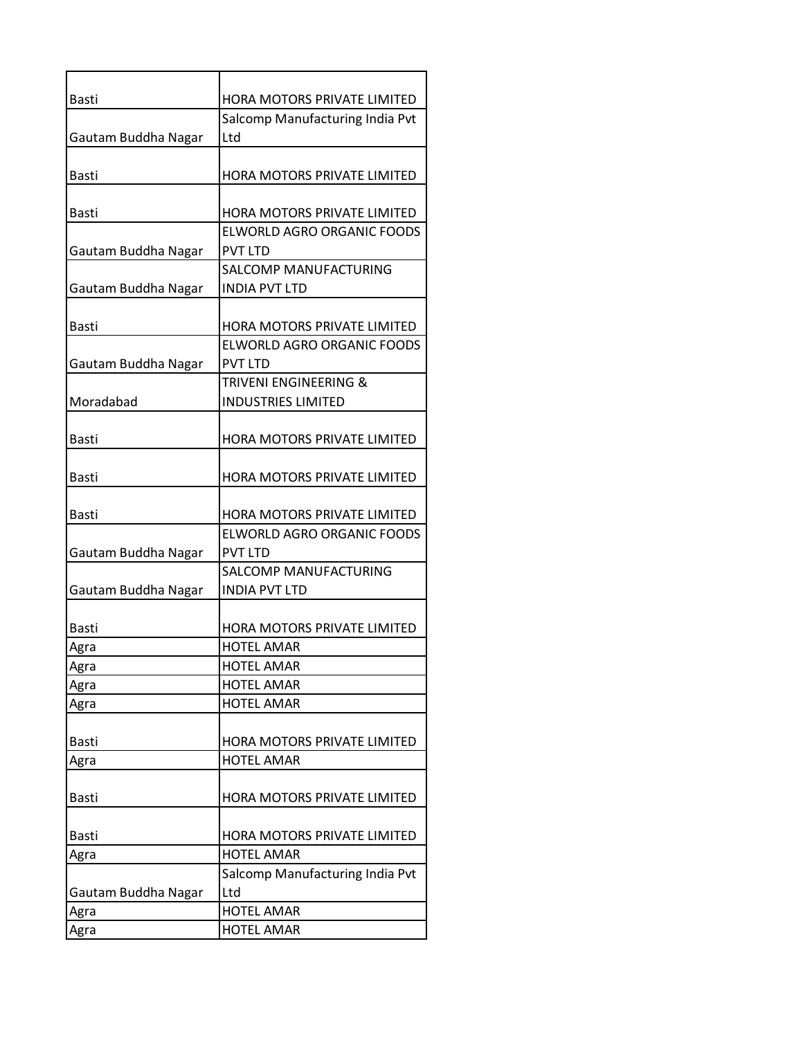| <b>Basti</b>        | HORA MOTORS PRIVATE LIMITED                      |
|---------------------|--------------------------------------------------|
|                     | Salcomp Manufacturing India Pvt                  |
| Gautam Buddha Nagar | Ltd                                              |
|                     |                                                  |
| <b>Basti</b>        | HORA MOTORS PRIVATE LIMITED                      |
|                     |                                                  |
| <b>Basti</b>        | HORA MOTORS PRIVATE LIMITED                      |
|                     | ELWORLD AGRO ORGANIC FOODS                       |
| Gautam Buddha Nagar | <b>PVT LTD</b>                                   |
|                     | SALCOMP MANUFACTURING                            |
| Gautam Buddha Nagar | <b>INDIA PVT LTD</b>                             |
|                     |                                                  |
| <b>Basti</b>        | <b>HORA MOTORS PRIVATE LIMITED</b>               |
|                     | ELWORLD AGRO ORGANIC FOODS                       |
| Gautam Buddha Nagar | <b>PVT LTD</b>                                   |
|                     | <b>TRIVENI ENGINEERING &amp;</b>                 |
| Moradabad           | <b>INDUSTRIES LIMITED</b>                        |
|                     |                                                  |
| <b>Basti</b>        | HORA MOTORS PRIVATE LIMITED                      |
|                     |                                                  |
| <b>Basti</b>        | HORA MOTORS PRIVATE LIMITED                      |
|                     |                                                  |
| <b>Basti</b>        | HORA MOTORS PRIVATE LIMITED                      |
|                     | ELWORLD AGRO ORGANIC FOODS                       |
| Gautam Buddha Nagar | <b>PVT LTD</b>                                   |
|                     | SALCOMP MANUFACTURING                            |
| Gautam Buddha Nagar | <b>INDIA PVT LTD</b>                             |
|                     |                                                  |
| Basti               | HORA MOTORS PRIVATE LIMITED<br><b>HOTEL AMAR</b> |
| Agra<br>Agra        | <b>HOTEL AMAR</b>                                |
| Agra                | <b>HOTEL AMAR</b>                                |
| Agra                | <b>HOTEL AMAR</b>                                |
|                     |                                                  |
| Basti               | HORA MOTORS PRIVATE LIMITED                      |
| Agra                | <b>HOTEL AMAR</b>                                |
|                     |                                                  |
| Basti               | HORA MOTORS PRIVATE LIMITED                      |
|                     |                                                  |
| Basti               | HORA MOTORS PRIVATE LIMITED                      |
| Agra                | <b>HOTEL AMAR</b>                                |
|                     | Salcomp Manufacturing India Pvt                  |
| Gautam Buddha Nagar | Ltd                                              |
| Agra                | <b>HOTEL AMAR</b>                                |
| Agra                | <b>HOTEL AMAR</b>                                |
|                     |                                                  |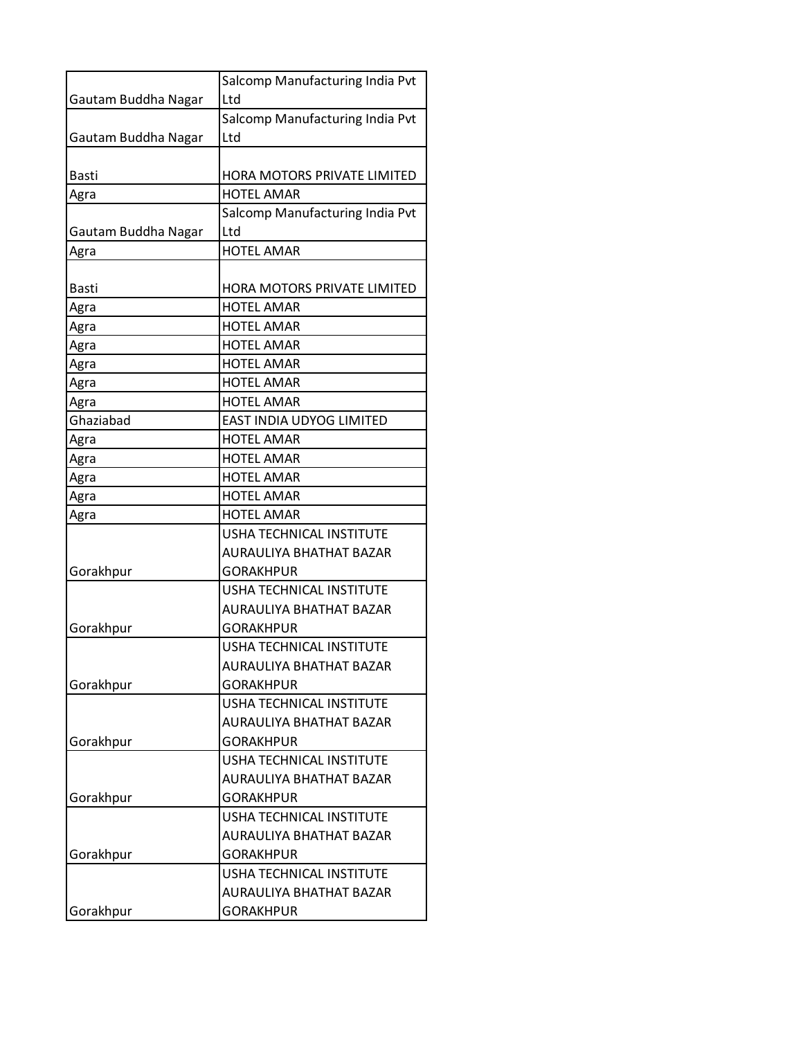|                     | Salcomp Manufacturing India Pvt    |
|---------------------|------------------------------------|
| Gautam Buddha Nagar | Ltd                                |
|                     | Salcomp Manufacturing India Pvt    |
| Gautam Buddha Nagar | Ltd                                |
|                     |                                    |
| Basti               | HORA MOTORS PRIVATE LIMITED        |
| Agra                | <b>HOTEL AMAR</b>                  |
|                     | Salcomp Manufacturing India Pvt    |
| Gautam Buddha Nagar | Ltd                                |
| Agra                | <b>HOTEL AMAR</b>                  |
|                     |                                    |
| Basti               | <b>HORA MOTORS PRIVATE LIMITED</b> |
| Agra                | <b>HOTEL AMAR</b>                  |
| Agra                | <b>HOTEL AMAR</b>                  |
| Agra                | <b>HOTEL AMAR</b>                  |
| Agra                | <b>HOTEL AMAR</b>                  |
| Agra                | <b>HOTEL AMAR</b>                  |
| Agra                | <b>HOTEL AMAR</b>                  |
| Ghaziabad           | EAST INDIA UDYOG LIMITED           |
| Agra                | <b>HOTEL AMAR</b>                  |
| Agra                | <b>HOTEL AMAR</b>                  |
| Agra                | <b>HOTEL AMAR</b>                  |
| Agra                | <b>HOTEL AMAR</b>                  |
| Agra                | <b>HOTEL AMAR</b>                  |
|                     | USHA TECHNICAL INSTITUTE           |
|                     | AURAULIYA BHATHAT BAZAR            |
| Gorakhpur           | <b>GORAKHPUR</b>                   |
|                     | USHA TECHNICAL INSTITUTE           |
|                     | AURAULIYA BHATHAT BAZAR            |
| Gorakhpur           | GORAKHPUR                          |
|                     | USHA TECHNICAL INSTITUTE           |
|                     | <b>AURAULIYA BHATHAT BAZAR</b>     |
| Gorakhpur           | <b>GORAKHPUR</b>                   |
|                     | <b>USHA TECHNICAL INSTITUTE</b>    |
|                     | AURAULIYA BHATHAT BAZAR            |
| Gorakhpur           | <b>GORAKHPUR</b>                   |
|                     | <b>USHA TECHNICAL INSTITUTE</b>    |
|                     | AURAULIYA BHATHAT BAZAR            |
| Gorakhpur           | <b>GORAKHPUR</b>                   |
|                     | USHA TECHNICAL INSTITUTE           |
|                     | AURAULIYA BHATHAT BAZAR            |
| Gorakhpur           | <b>GORAKHPUR</b>                   |
|                     | <b>USHA TECHNICAL INSTITUTE</b>    |
|                     | AURAULIYA BHATHAT BAZAR            |
| Gorakhpur           | <b>GORAKHPUR</b>                   |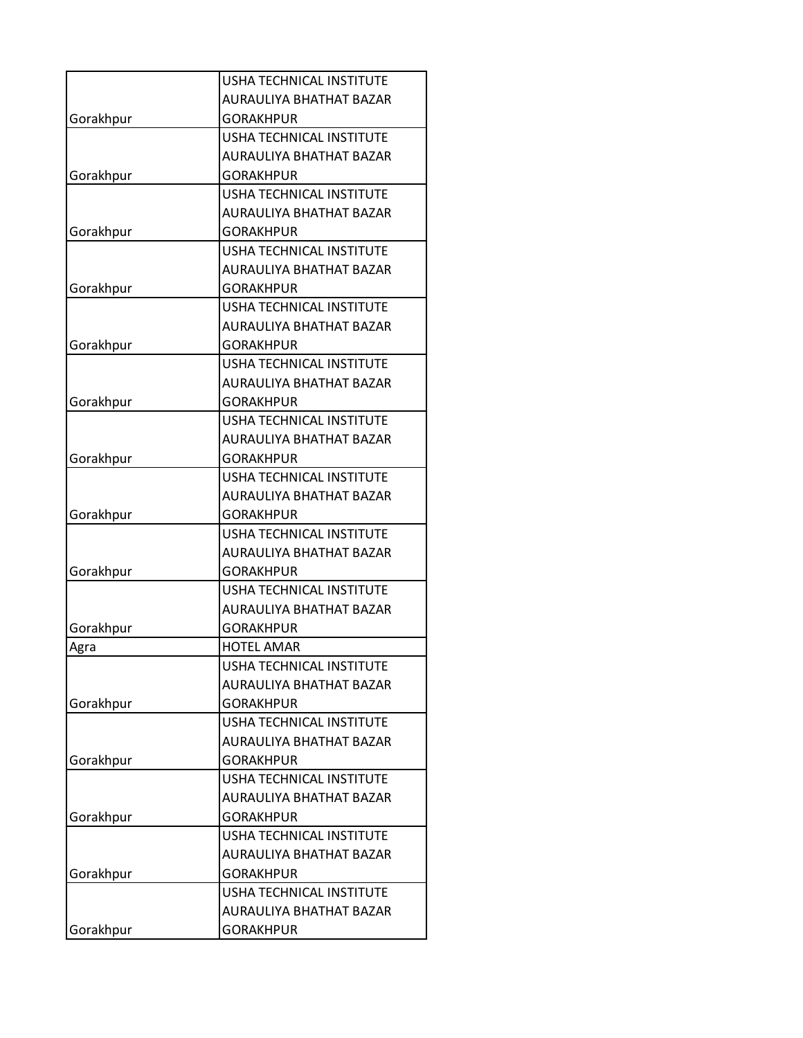|           | <b>USHA TECHNICAL INSTITUTE</b> |
|-----------|---------------------------------|
|           | AURAULIYA BHATHAT BAZAR         |
| Gorakhpur | <b>GORAKHPUR</b>                |
|           | <b>USHA TECHNICAL INSTITUTE</b> |
|           | <b>AURAULIYA BHATHAT BAZAR</b>  |
| Gorakhpur | <b>GORAKHPUR</b>                |
|           | USHA TECHNICAL INSTITUTE        |
|           | <b>AURAULIYA BHATHAT BAZAR</b>  |
| Gorakhpur | <b>GORAKHPUR</b>                |
|           | USHA TECHNICAL INSTITUTE        |
|           | AURAULIYA BHATHAT BAZAR         |
| Gorakhpur | <b>GORAKHPUR</b>                |
|           | <b>USHA TECHNICAL INSTITUTE</b> |
|           | <b>AURAULIYA BHATHAT BAZAR</b>  |
| Gorakhpur | <b>GORAKHPUR</b>                |
|           | <b>USHA TECHNICAL INSTITUTE</b> |
|           | AURAULIYA BHATHAT BAZAR         |
| Gorakhpur | <b>GORAKHPUR</b>                |
|           | <b>USHA TECHNICAL INSTITUTE</b> |
|           | AURAULIYA BHATHAT BAZAR         |
| Gorakhpur | <b>GORAKHPUR</b>                |
|           | USHA TECHNICAL INSTITUTE        |
|           | AURAULIYA BHATHAT BAZAR         |
| Gorakhpur | <b>GORAKHPUR</b>                |
|           | USHA TECHNICAL INSTITUTE        |
|           | AURAULIYA BHATHAT BAZAR         |
| Gorakhpur | <b>GORAKHPUR</b>                |
|           | <b>USHA TECHNICAL INSTITUTE</b> |
|           | <b>AURAULIYA BHATHAT BAZAR</b>  |
| Gorakhpur | <b>GORAKHPUR</b>                |
| Agra      | <b>HOTEL AMAR</b>               |
|           | <b>USHA TECHNICAL INSTITUTE</b> |
|           | <b>AURAULIYA BHATHAT BAZAR</b>  |
| Gorakhpur | <b>GORAKHPUR</b>                |
|           | USHA TECHNICAL INSTITUTE        |
|           | AURAULIYA BHATHAT BAZAR         |
| Gorakhpur | <b>GORAKHPUR</b>                |
|           | USHA TECHNICAL INSTITUTE        |
|           | AURAULIYA BHATHAT BAZAR         |
| Gorakhpur | <b>GORAKHPUR</b>                |
|           | USHA TECHNICAL INSTITUTE        |
|           | AURAULIYA BHATHAT BAZAR         |
| Gorakhpur | <b>GORAKHPUR</b>                |
|           | USHA TECHNICAL INSTITUTE        |
|           | AURAULIYA BHATHAT BAZAR         |
| Gorakhpur | <b>GORAKHPUR</b>                |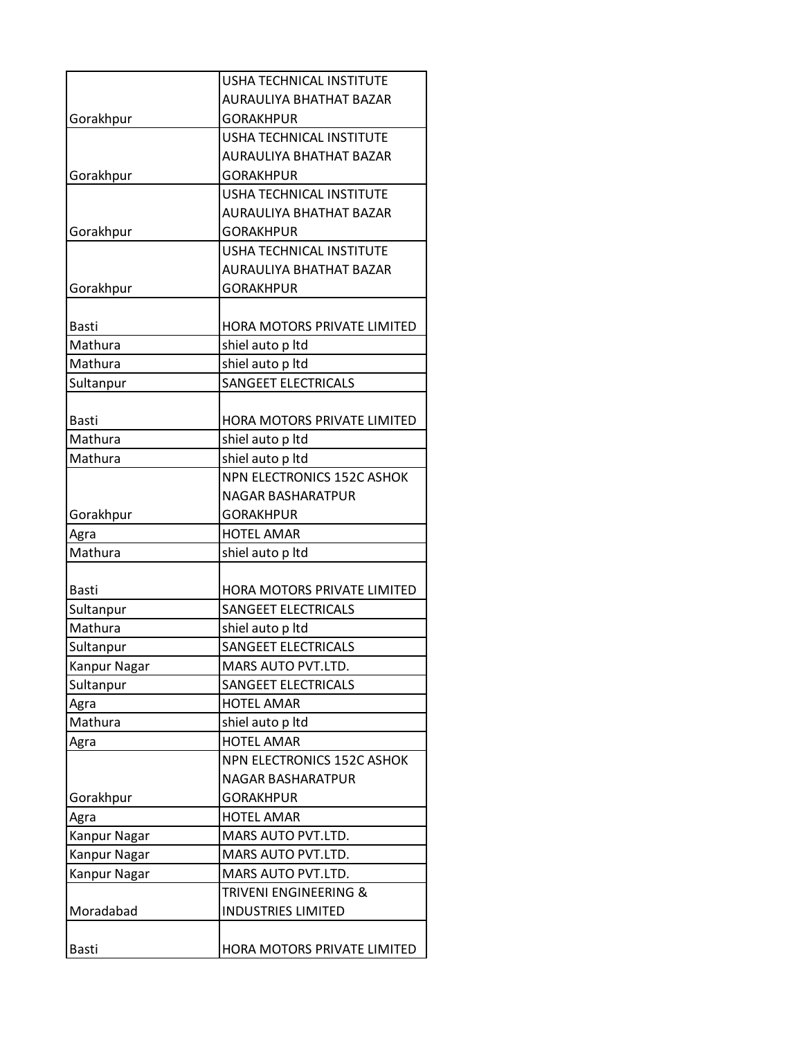|              | <b>USHA TECHNICAL INSTITUTE</b> |
|--------------|---------------------------------|
|              | <b>AURAULIYA BHATHAT BAZAR</b>  |
| Gorakhpur    | <b>GORAKHPUR</b>                |
|              | <b>USHA TECHNICAL INSTITUTE</b> |
|              | <b>AURAULIYA BHATHAT BAZAR</b>  |
| Gorakhpur    | <b>GORAKHPUR</b>                |
|              | <b>USHA TECHNICAL INSTITUTE</b> |
|              | <b>AURAULIYA BHATHAT BAZAR</b>  |
| Gorakhpur    | <b>GORAKHPUR</b>                |
|              | <b>USHA TECHNICAL INSTITUTE</b> |
|              | <b>AURAULIYA BHATHAT BAZAR</b>  |
| Gorakhpur    | <b>GORAKHPUR</b>                |
|              |                                 |
| <b>Basti</b> | HORA MOTORS PRIVATE LIMITED     |
| Mathura      | shiel auto p ltd                |
| Mathura      | shiel auto p ltd                |
| Sultanpur    | <b>SANGEET ELECTRICALS</b>      |
|              |                                 |
| <b>Basti</b> | HORA MOTORS PRIVATE LIMITED     |
| Mathura      | shiel auto p ltd                |
| Mathura      | shiel auto p ltd                |
|              | NPN ELECTRONICS 152C ASHOK      |
|              | <b>NAGAR BASHARATPUR</b>        |
| Gorakhpur    | <b>GORAKHPUR</b>                |
| Agra         | <b>HOTEL AMAR</b>               |
| Mathura      | shiel auto p ltd                |
|              |                                 |
| <b>Basti</b> | HORA MOTORS PRIVATE LIMITED     |
| Sultanpur    | <b>SANGEET ELECTRICALS</b>      |
| Mathura      | shiel auto p ltd                |
| Sultanpur    | <b>SANGEET ELECTRICALS</b>      |
| Kanpur Nagar | MARS AUTO PVT.LTD.              |
| Sultanpur    | <b>SANGEET ELECTRICALS</b>      |
| Agra         | <b>HOTEL AMAR</b>               |
| Mathura      | shiel auto p ltd                |
| Agra         | <b>HOTEL AMAR</b>               |
|              | NPN ELECTRONICS 152C ASHOK      |
|              | <b>NAGAR BASHARATPUR</b>        |
| Gorakhpur    | <b>GORAKHPUR</b>                |
| Agra         | <b>HOTEL AMAR</b>               |
| Kanpur Nagar | MARS AUTO PVT.LTD.              |
| Kanpur Nagar | MARS AUTO PVT.LTD.              |
| Kanpur Nagar | MARS AUTO PVT.LTD.              |
|              | TRIVENI ENGINEERING &           |
| Moradabad    | <b>INDUSTRIES LIMITED</b>       |
|              |                                 |
| <b>Basti</b> | HORA MOTORS PRIVATE LIMITED     |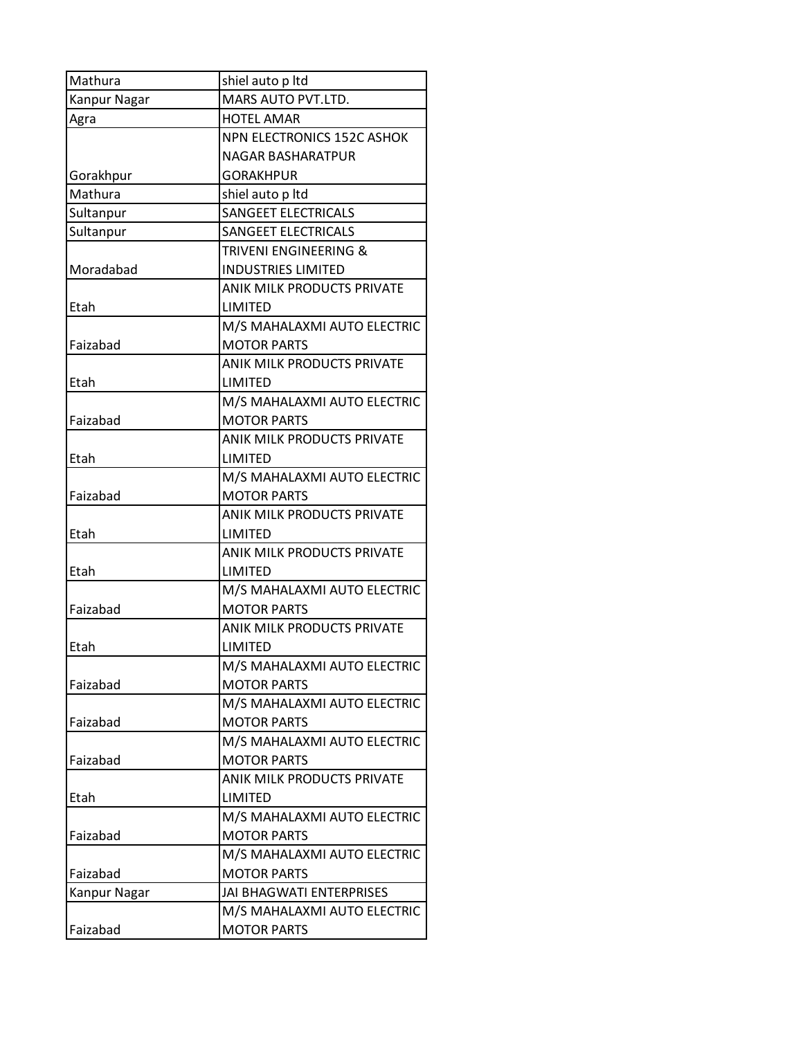| Mathura      | shiel auto p ltd                  |
|--------------|-----------------------------------|
| Kanpur Nagar | MARS AUTO PVT.LTD.                |
| Agra         | <b>HOTEL AMAR</b>                 |
|              | <b>NPN ELECTRONICS 152C ASHOK</b> |
|              | NAGAR BASHARATPUR                 |
| Gorakhpur    | <b>GORAKHPUR</b>                  |
| Mathura      | shiel auto p ltd                  |
| Sultanpur    | <b>SANGEET ELECTRICALS</b>        |
| Sultanpur    | <b>SANGEET ELECTRICALS</b>        |
|              | TRIVENI ENGINEERING &             |
| Moradabad    | <b>INDUSTRIES LIMITED</b>         |
|              | <b>ANIK MILK PRODUCTS PRIVATE</b> |
| Etah         | LIMITED                           |
|              | M/S MAHALAXMI AUTO ELECTRIC       |
| Faizabad     | <b>MOTOR PARTS</b>                |
|              | <b>ANIK MILK PRODUCTS PRIVATE</b> |
| Etah         | LIMITED                           |
|              | M/S MAHALAXMI AUTO ELECTRIC       |
| Faizabad     | <b>MOTOR PARTS</b>                |
|              | <b>ANIK MILK PRODUCTS PRIVATE</b> |
| Etah         | LIMITED                           |
|              | M/S MAHALAXMI AUTO ELECTRIC       |
| Faizabad     | <b>MOTOR PARTS</b>                |
|              | <b>ANIK MILK PRODUCTS PRIVATE</b> |
| Etah         | LIMITED                           |
|              | ANIK MILK PRODUCTS PRIVATE        |
| Etah         | LIMITED                           |
|              | M/S MAHALAXMI AUTO ELECTRIC       |
| Faizabad     | <b>MOTOR PARTS</b>                |
|              | <b>ANIK MILK PRODUCTS PRIVATE</b> |
| Etah         | LIMITED                           |
|              | M/S MAHALAXMI AUTO ELECTRIC       |
| Faizabad     | <b>MOTOR PARTS</b>                |
|              | M/S MAHALAXMI AUTO ELECTRIC       |
| Faizabad     | <b>MOTOR PARTS</b>                |
|              | M/S MAHALAXMI AUTO ELECTRIC       |
| Faizabad     | <b>MOTOR PARTS</b>                |
|              | ANIK MILK PRODUCTS PRIVATE        |
| Etah         | LIMITED                           |
|              | M/S MAHALAXMI AUTO ELECTRIC       |
| Faizabad     | <b>MOTOR PARTS</b>                |
|              | M/S MAHALAXMI AUTO ELECTRIC       |
| Faizabad     | <b>MOTOR PARTS</b>                |
| Kanpur Nagar | JAI BHAGWATI ENTERPRISES          |
|              | M/S MAHALAXMI AUTO ELECTRIC       |
| Faizabad     | <b>MOTOR PARTS</b>                |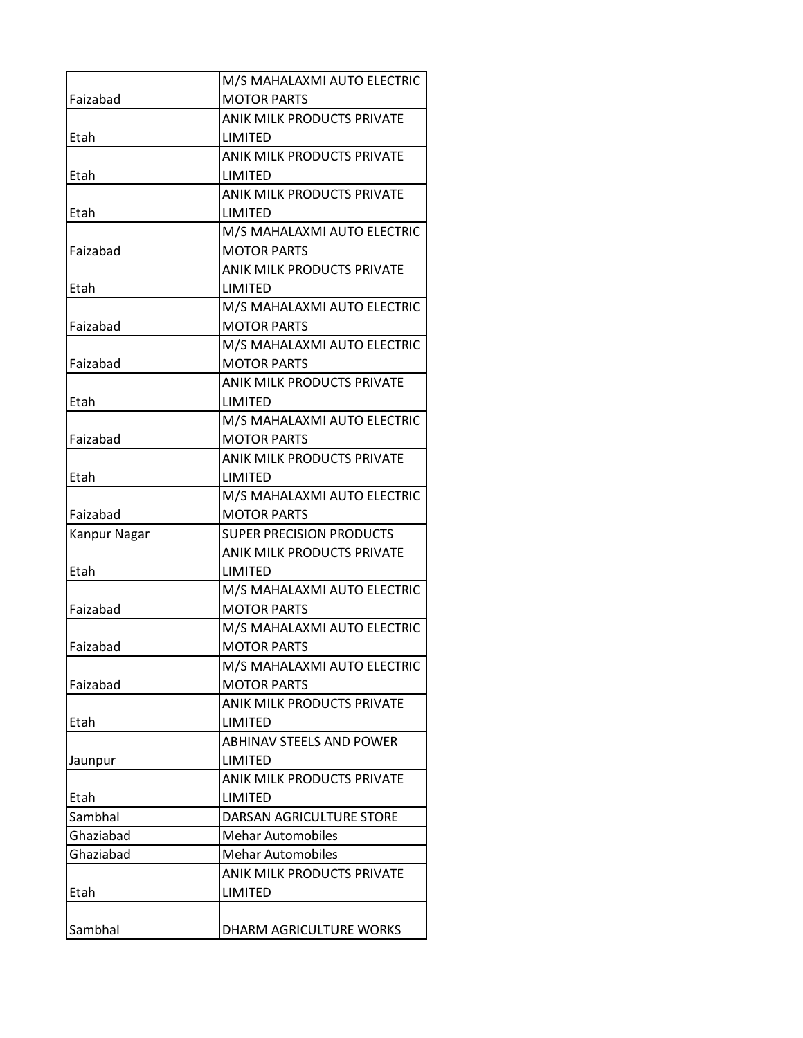|              | M/S MAHALAXMI AUTO ELECTRIC       |
|--------------|-----------------------------------|
| Faizabad     | <b>MOTOR PARTS</b>                |
|              | ANIK MILK PRODUCTS PRIVATE        |
| Etah         | LIMITED                           |
|              | <b>ANIK MILK PRODUCTS PRIVATE</b> |
| Etah         | LIMITED                           |
|              | ANIK MILK PRODUCTS PRIVATE        |
| Etah         | LIMITED                           |
|              | M/S MAHALAXMI AUTO ELECTRIC       |
| Faizabad     | <b>MOTOR PARTS</b>                |
|              | <b>ANIK MILK PRODUCTS PRIVATE</b> |
| Etah         | LIMITED                           |
|              | M/S MAHALAXMI AUTO ELECTRIC       |
| Faizabad     | <b>MOTOR PARTS</b>                |
|              | M/S MAHALAXMI AUTO ELECTRIC       |
| Faizabad     | <b>MOTOR PARTS</b>                |
|              | ANIK MILK PRODUCTS PRIVATE        |
| Etah         | LIMITED                           |
|              | M/S MAHALAXMI AUTO ELECTRIC       |
| Faizabad     | <b>MOTOR PARTS</b>                |
|              | <b>ANIK MILK PRODUCTS PRIVATE</b> |
| Etah         | LIMITED                           |
|              | M/S MAHALAXMI AUTO ELECTRIC       |
| Faizabad     | <b>MOTOR PARTS</b>                |
| Kanpur Nagar | SUPER PRECISION PRODUCTS          |
|              | <b>ANIK MILK PRODUCTS PRIVATE</b> |
| Etah         | LIMITED                           |
|              | M/S MAHALAXMI AUTO ELECTRIC       |
| Faizabad     | <b>MOTOR PARTS</b>                |
|              | M/S MAHALAXMI AUTO ELECTRIC       |
| Faizabad     | <b>MOTOR PARTS</b>                |
|              | M/S MAHALAXMI AUTO ELECTRIC       |
| Faizabad     | <b>MOTOR PARTS</b>                |
|              | <b>ANIK MILK PRODUCTS PRIVATE</b> |
| Etah         | <b>LIMITED</b>                    |
|              | <b>ABHINAV STEELS AND POWER</b>   |
| Jaunpur      | LIMITED                           |
|              | <b>ANIK MILK PRODUCTS PRIVATE</b> |
| Etah         | LIMITED                           |
| Sambhal      | DARSAN AGRICULTURE STORE          |
| Ghaziabad    | <b>Mehar Automobiles</b>          |
| Ghaziabad    | <b>Mehar Automobiles</b>          |
|              | <b>ANIK MILK PRODUCTS PRIVATE</b> |
| Etah         | LIMITED                           |
|              |                                   |
| Sambhal      | DHARM AGRICULTURE WORKS           |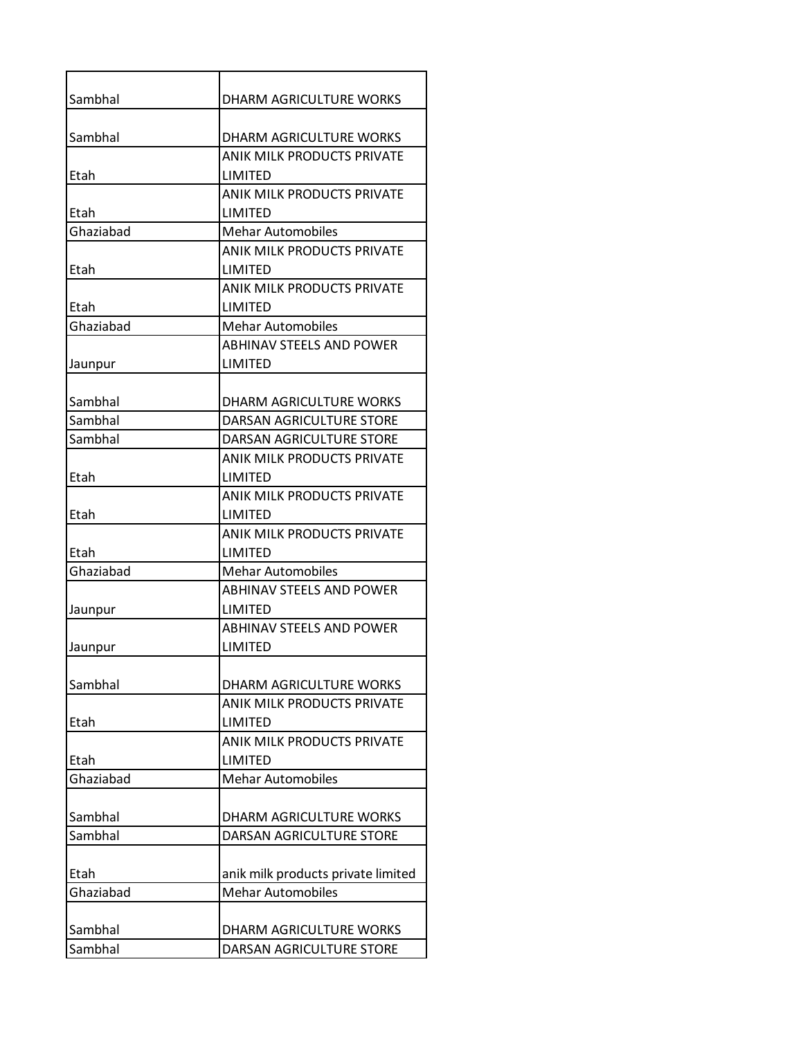| Sambhal   | DHARM AGRICULTURE WORKS            |
|-----------|------------------------------------|
|           |                                    |
| Sambhal   | <b>DHARM AGRICULTURE WORKS</b>     |
|           | ANIK MILK PRODUCTS PRIVATE         |
| Etah      | LIMITED                            |
|           | <b>ANIK MILK PRODUCTS PRIVATE</b>  |
| Etah      | LIMITED                            |
| Ghaziabad | <b>Mehar Automobiles</b>           |
|           | ANIK MILK PRODUCTS PRIVATE         |
| Etah      | LIMITED                            |
|           | <b>ANIK MILK PRODUCTS PRIVATE</b>  |
| Etah      | LIMITED                            |
| Ghaziabad | <b>Mehar Automobiles</b>           |
|           | <b>ABHINAV STEELS AND POWER</b>    |
| Jaunpur   | <b>LIMITED</b>                     |
|           |                                    |
| Sambhal   | DHARM AGRICULTURE WORKS            |
| Sambhal   | DARSAN AGRICULTURE STORE           |
| Sambhal   | DARSAN AGRICULTURE STORE           |
|           | <b>ANIK MILK PRODUCTS PRIVATE</b>  |
| Etah      | LIMITED                            |
|           | <b>ANIK MILK PRODUCTS PRIVATE</b>  |
| Etah      | <b>LIMITED</b>                     |
|           | ANIK MILK PRODUCTS PRIVATE         |
| Etah      | LIMITED                            |
| Ghaziabad | <b>Mehar Automobiles</b>           |
|           | <b>ABHINAV STEELS AND POWER</b>    |
| Jaunpur   | LIMITED                            |
|           | <b>ABHINAV STEELS AND POWER</b>    |
| Jaunpur   | <b>LIMITED</b>                     |
|           |                                    |
| Sambhal   | DHARM AGRICULTURE WORKS            |
|           | <b>ANIK MILK PRODUCTS PRIVATE</b>  |
| Etah      | <b>LIMITED</b>                     |
|           | <b>ANIK MILK PRODUCTS PRIVATE</b>  |
| Etah      | LIMITED                            |
| Ghaziabad | <b>Mehar Automobiles</b>           |
|           |                                    |
| Sambhal   | DHARM AGRICULTURE WORKS            |
| Sambhal   | DARSAN AGRICULTURE STORE           |
|           |                                    |
| Etah      | anik milk products private limited |
| Ghaziabad | <b>Mehar Automobiles</b>           |
|           |                                    |
| Sambhal   | DHARM AGRICULTURE WORKS            |
| Sambhal   | DARSAN AGRICULTURE STORE           |
|           |                                    |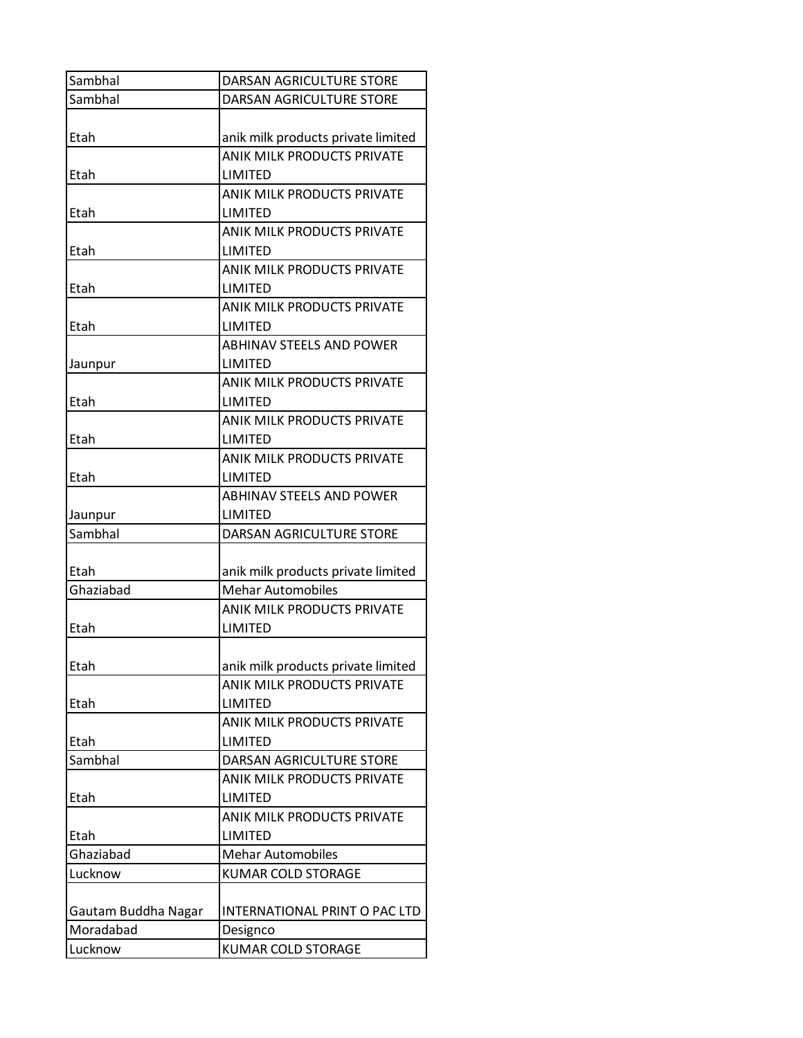| Sambhal             | DARSAN AGRICULTURE STORE           |
|---------------------|------------------------------------|
| Sambhal             | DARSAN AGRICULTURE STORE           |
|                     |                                    |
| Etah                | anik milk products private limited |
|                     | <b>ANIK MILK PRODUCTS PRIVATE</b>  |
| Etah                | LIMITED                            |
|                     | <b>ANIK MILK PRODUCTS PRIVATE</b>  |
| Etah                | LIMITED                            |
|                     | <b>ANIK MILK PRODUCTS PRIVATE</b>  |
| Etah                | <b>LIMITED</b>                     |
|                     | <b>ANIK MILK PRODUCTS PRIVATE</b>  |
| Etah                | LIMITED                            |
|                     | <b>ANIK MILK PRODUCTS PRIVATE</b>  |
| Etah                | LIMITED                            |
|                     | <b>ABHINAV STEELS AND POWER</b>    |
| Jaunpur             | LIMITED                            |
|                     | <b>ANIK MILK PRODUCTS PRIVATE</b>  |
| Etah                | LIMITED                            |
|                     | <b>ANIK MILK PRODUCTS PRIVATE</b>  |
| Etah                | <b>LIMITED</b>                     |
|                     | <b>ANIK MILK PRODUCTS PRIVATE</b>  |
| Etah                | LIMITED                            |
|                     | <b>ABHINAV STEELS AND POWER</b>    |
| Jaunpur             | <b>LIMITED</b>                     |
| Sambhal             | DARSAN AGRICULTURE STORE           |
|                     |                                    |
| Etah                | anik milk products private limited |
| Ghaziabad           | <b>Mehar Automobiles</b>           |
|                     | <b>ANIK MILK PRODUCTS PRIVATE</b>  |
| Etah                | LIMITED                            |
|                     |                                    |
| Etah                | anik milk products private limited |
|                     | <b>ANIK MILK PRODUCTS PRIVATE</b>  |
| Etah                | <b>LIMITED</b>                     |
|                     | <b>ANIK MILK PRODUCTS PRIVATE</b>  |
| Etah                | LIMITED                            |
| Sambhal             | DARSAN AGRICULTURE STORE           |
|                     | ANIK MILK PRODUCTS PRIVATE         |
| Etah                | LIMITED                            |
|                     | <b>ANIK MILK PRODUCTS PRIVATE</b>  |
| Etah                | LIMITED                            |
| Ghaziabad           | <b>Mehar Automobiles</b>           |
| Lucknow             | KUMAR COLD STORAGE                 |
|                     |                                    |
| Gautam Buddha Nagar | INTERNATIONAL PRINT O PAC LTD      |
| Moradabad           | Designco                           |
| Lucknow             | <b>KUMAR COLD STORAGE</b>          |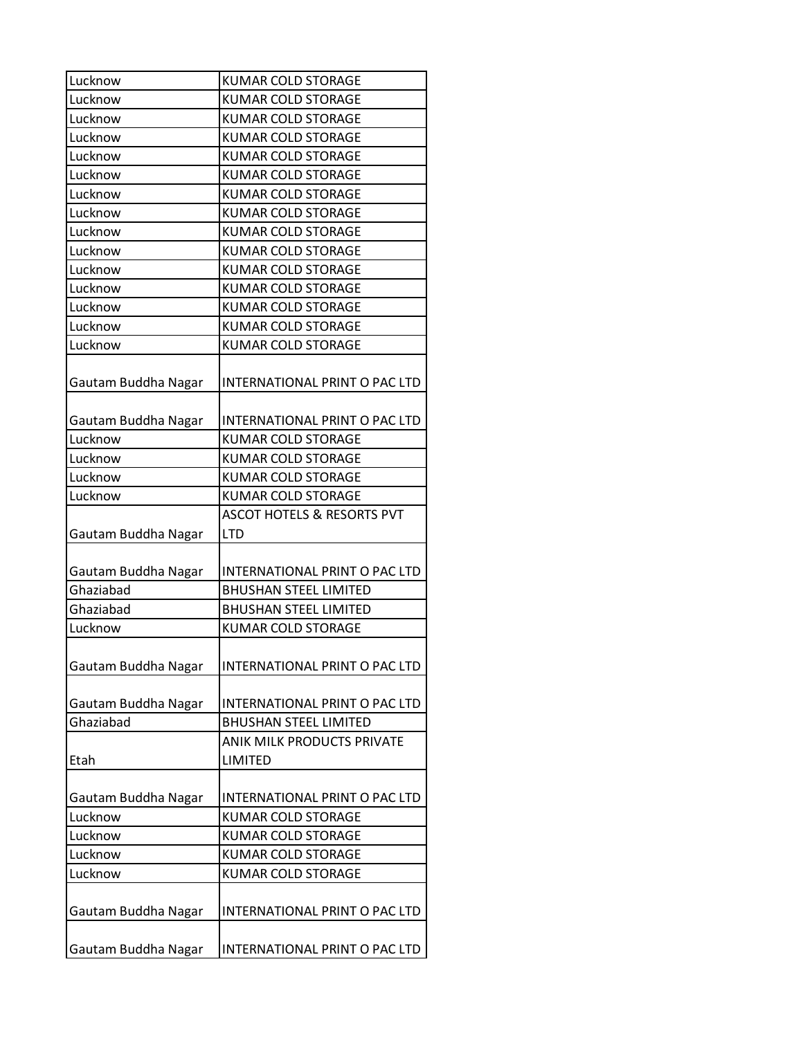| Lucknow             | <b>KUMAR COLD STORAGE</b>             |
|---------------------|---------------------------------------|
| Lucknow             | <b>KUMAR COLD STORAGE</b>             |
| Lucknow             | <b>KUMAR COLD STORAGE</b>             |
| Lucknow             | <b>KUMAR COLD STORAGE</b>             |
| Lucknow             | <b>KUMAR COLD STORAGE</b>             |
| Lucknow             | <b>KUMAR COLD STORAGE</b>             |
| Lucknow             | <b>KUMAR COLD STORAGE</b>             |
| Lucknow             | <b>KUMAR COLD STORAGE</b>             |
| Lucknow             | <b>KUMAR COLD STORAGE</b>             |
| Lucknow             | <b>KUMAR COLD STORAGE</b>             |
| Lucknow             | <b>KUMAR COLD STORAGE</b>             |
| Lucknow             | <b>KUMAR COLD STORAGE</b>             |
| Lucknow             | <b>KUMAR COLD STORAGE</b>             |
| Lucknow             | <b>KUMAR COLD STORAGE</b>             |
| Lucknow             | <b>KUMAR COLD STORAGE</b>             |
|                     |                                       |
| Gautam Buddha Nagar | INTERNATIONAL PRINT O PAC LTD         |
|                     |                                       |
| Gautam Buddha Nagar | INTERNATIONAL PRINT O PAC LTD         |
| Lucknow             | <b>KUMAR COLD STORAGE</b>             |
| Lucknow             | <b>KUMAR COLD STORAGE</b>             |
| Lucknow             | <b>KUMAR COLD STORAGE</b>             |
| Lucknow             | <b>KUMAR COLD STORAGE</b>             |
|                     | <b>ASCOT HOTELS &amp; RESORTS PVT</b> |
| Gautam Buddha Nagar | <b>LTD</b>                            |
|                     |                                       |
| Gautam Buddha Nagar | INTERNATIONAL PRINT O PAC LTD         |
| Ghaziabad           | <b>BHUSHAN STEEL LIMITED</b>          |
| Ghaziabad           | <b>BHUSHAN STEEL LIMITED</b>          |
| Lucknow             | <b>KUMAR COLD STORAGE</b>             |
|                     |                                       |
| Gautam Buddha Nagar | INTERNATIONAL PRINT O PAC LTD         |
|                     |                                       |
| Gautam Buddha Nagar | INTERNATIONAL PRINT O PAC LTD         |
| Ghaziabad           | <b>BHUSHAN STEEL LIMITED</b>          |
|                     | <b>ANIK MILK PRODUCTS PRIVATE</b>     |
| Etah                | LIMITED                               |
|                     |                                       |
| Gautam Buddha Nagar | INTERNATIONAL PRINT O PAC LTD         |
| Lucknow             | <b>KUMAR COLD STORAGE</b>             |
| Lucknow             | <b>KUMAR COLD STORAGE</b>             |
| Lucknow             | KUMAR COLD STORAGE                    |
| Lucknow             | <b>KUMAR COLD STORAGE</b>             |
|                     |                                       |
| Gautam Buddha Nagar | INTERNATIONAL PRINT O PAC LTD         |
|                     |                                       |
| Gautam Buddha Nagar | INTERNATIONAL PRINT O PAC LTD         |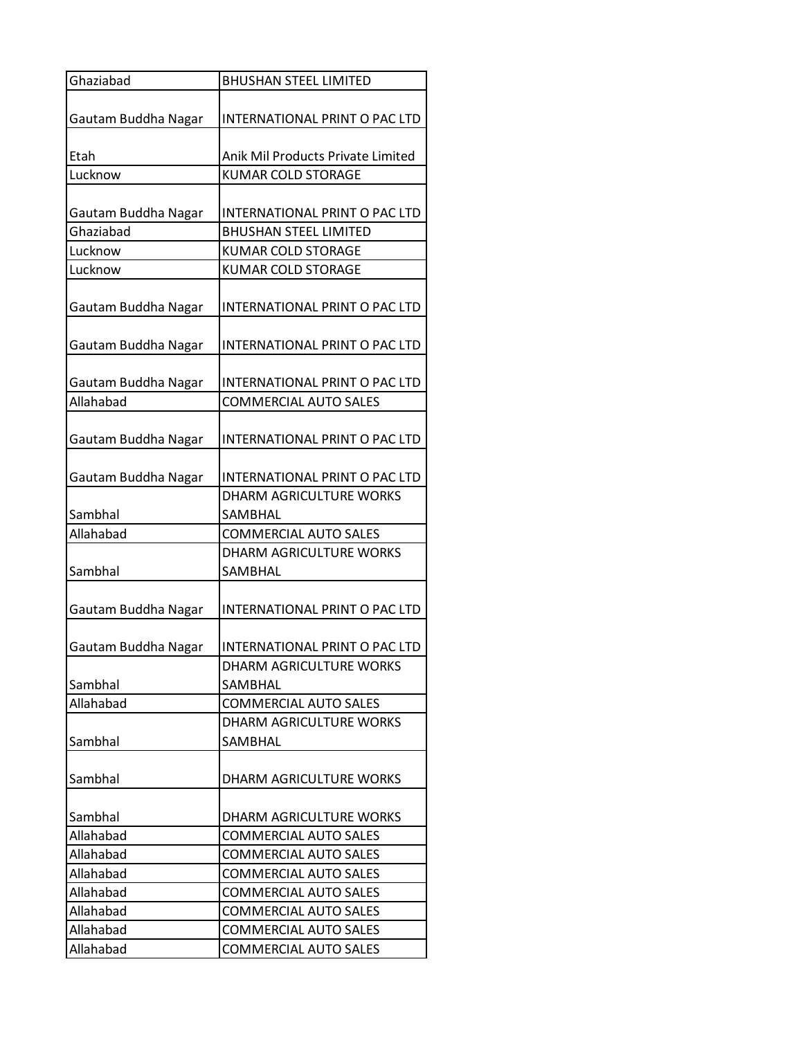| Ghaziabad           | <b>BHUSHAN STEEL LIMITED</b>       |
|---------------------|------------------------------------|
|                     |                                    |
| Gautam Buddha Nagar | INTERNATIONAL PRINT O PAC LTD      |
|                     |                                    |
| Etah                | Anik Mil Products Private Limited  |
| Lucknow             | <b>KUMAR COLD STORAGE</b>          |
|                     |                                    |
| Gautam Buddha Nagar | INTERNATIONAL PRINT O PAC LTD      |
| Ghaziabad           | <b>BHUSHAN STEEL LIMITED</b>       |
| Lucknow             | <b>KUMAR COLD STORAGE</b>          |
| Lucknow             | <b>KUMAR COLD STORAGE</b>          |
| Gautam Buddha Nagar | INTERNATIONAL PRINT O PAC LTD      |
| Gautam Buddha Nagar | INTERNATIONAL PRINT O PAC LTD      |
| Gautam Buddha Nagar | INTERNATIONAL PRINT O PAC LTD      |
| Allahabad           | <b>COMMERCIAL AUTO SALES</b>       |
|                     |                                    |
| Gautam Buddha Nagar | INTERNATIONAL PRINT O PAC LTD      |
|                     |                                    |
| Gautam Buddha Nagar | INTERNATIONAL PRINT O PAC LTD      |
|                     | <b>DHARM AGRICULTURE WORKS</b>     |
| Sambhal             | SAMBHAL                            |
| Allahabad           | <b>COMMERCIAL AUTO SALES</b>       |
| Sambhal             | DHARM AGRICULTURE WORKS<br>SAMBHAL |
|                     |                                    |
| Gautam Buddha Nagar | INTERNATIONAL PRINT O PAC LTD      |
| Gautam Buddha Nagar | INTERNATIONAL PRINT O PAC LTD      |
|                     | DHARM AGRICULTURE WORKS            |
| Sambhal             | SAMBHAL                            |
| Allahabad           | <b>COMMERCIAL AUTO SALES</b>       |
|                     | DHARM AGRICULTURE WORKS            |
| Sambhal             | SAMBHAL                            |
|                     |                                    |
| Sambhal             | DHARM AGRICULTURE WORKS            |
|                     |                                    |
| Sambhal             | DHARM AGRICULTURE WORKS            |
| Allahabad           | <b>COMMERCIAL AUTO SALES</b>       |
| Allahabad           | <b>COMMERCIAL AUTO SALES</b>       |
| Allahabad           | <b>COMMERCIAL AUTO SALES</b>       |
| Allahabad           | <b>COMMERCIAL AUTO SALES</b>       |
| Allahabad           | <b>COMMERCIAL AUTO SALES</b>       |
| Allahabad           | <b>COMMERCIAL AUTO SALES</b>       |
| Allahabad           | COMMERCIAL AUTO SALES              |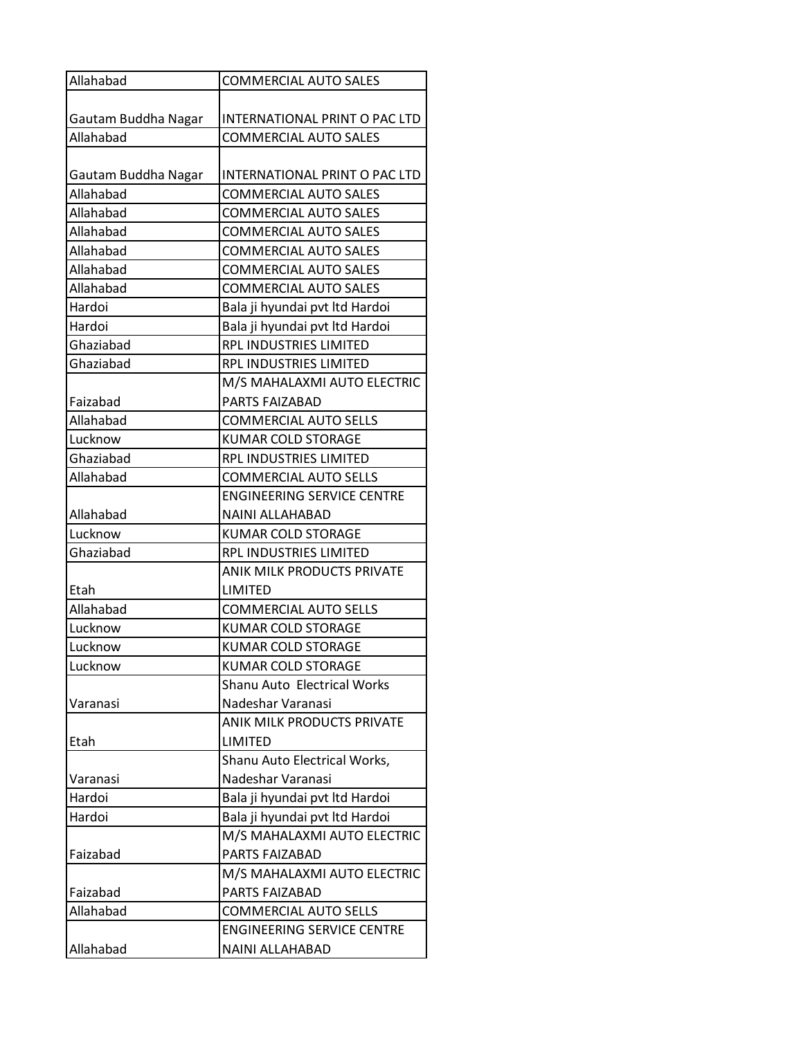| INTERNATIONAL PRINT O PAC LTD<br>Gautam Buddha Nagar<br>Allahabad<br><b>COMMERCIAL AUTO SALES</b><br>INTERNATIONAL PRINT O PAC LTD<br>Gautam Buddha Nagar<br>Allahabad<br><b>COMMERCIAL AUTO SALES</b><br>Allahabad<br><b>COMMERCIAL AUTO SALES</b><br>Allahabad<br><b>COMMERCIAL AUTO SALES</b><br>Allahabad<br><b>COMMERCIAL AUTO SALES</b><br>Allahabad<br><b>COMMERCIAL AUTO SALES</b><br>Allahabad<br><b>COMMERCIAL AUTO SALES</b><br>Hardoi<br>Bala ji hyundai pvt ltd Hardoi<br>Bala ji hyundai pvt ltd Hardoi<br>Hardoi<br><b>RPL INDUSTRIES LIMITED</b><br>Ghaziabad<br>Ghaziabad<br>RPL INDUSTRIES LIMITED<br>M/S MAHALAXMI AUTO ELECTRIC<br>Faizabad<br><b>PARTS FAIZABAD</b><br>Allahabad<br><b>COMMERCIAL AUTO SELLS</b><br>Lucknow<br><b>KUMAR COLD STORAGE</b><br>Ghaziabad<br>RPL INDUSTRIES LIMITED<br>Allahabad<br><b>COMMERCIAL AUTO SELLS</b><br><b>ENGINEERING SERVICE CENTRE</b><br>Allahabad<br><b>NAINI ALLAHABAD</b><br>Lucknow<br><b>KUMAR COLD STORAGE</b><br>Ghaziabad<br>RPL INDUSTRIES LIMITED<br>ANIK MILK PRODUCTS PRIVATE<br>LIMITED<br>Etah<br>Allahabad<br><b>COMMERCIAL AUTO SELLS</b><br>Lucknow<br><b>KUMAR COLD STORAGE</b><br>Lucknow<br><b>KUMAR COLD STORAGE</b><br>Lucknow<br><b>KUMAR COLD STORAGE</b><br>Shanu Auto Electrical Works<br>Varanasi<br>Nadeshar Varanasi<br>ANIK MILK PRODUCTS PRIVATE<br>LIMITED<br>Etah<br>Shanu Auto Electrical Works,<br>Nadeshar Varanasi<br>Bala ji hyundai pvt ltd Hardoi<br>Hardoi<br>Hardoi<br>Bala ji hyundai pvt ltd Hardoi<br>M/S MAHALAXMI AUTO ELECTRIC<br>Faizabad<br>PARTS FAIZABAD<br>M/S MAHALAXMI AUTO ELECTRIC<br>Faizabad<br>PARTS FAIZABAD<br>Allahabad<br><b>COMMERCIAL AUTO SELLS</b><br><b>ENGINEERING SERVICE CENTRE</b><br>NAINI ALLAHABAD | Allahabad | <b>COMMERCIAL AUTO SALES</b> |
|-------------------------------------------------------------------------------------------------------------------------------------------------------------------------------------------------------------------------------------------------------------------------------------------------------------------------------------------------------------------------------------------------------------------------------------------------------------------------------------------------------------------------------------------------------------------------------------------------------------------------------------------------------------------------------------------------------------------------------------------------------------------------------------------------------------------------------------------------------------------------------------------------------------------------------------------------------------------------------------------------------------------------------------------------------------------------------------------------------------------------------------------------------------------------------------------------------------------------------------------------------------------------------------------------------------------------------------------------------------------------------------------------------------------------------------------------------------------------------------------------------------------------------------------------------------------------------------------------------------------------------------------------------------------------------------------------------------------------------------------------|-----------|------------------------------|
|                                                                                                                                                                                                                                                                                                                                                                                                                                                                                                                                                                                                                                                                                                                                                                                                                                                                                                                                                                                                                                                                                                                                                                                                                                                                                                                                                                                                                                                                                                                                                                                                                                                                                                                                                 |           |                              |
|                                                                                                                                                                                                                                                                                                                                                                                                                                                                                                                                                                                                                                                                                                                                                                                                                                                                                                                                                                                                                                                                                                                                                                                                                                                                                                                                                                                                                                                                                                                                                                                                                                                                                                                                                 |           |                              |
|                                                                                                                                                                                                                                                                                                                                                                                                                                                                                                                                                                                                                                                                                                                                                                                                                                                                                                                                                                                                                                                                                                                                                                                                                                                                                                                                                                                                                                                                                                                                                                                                                                                                                                                                                 |           |                              |
|                                                                                                                                                                                                                                                                                                                                                                                                                                                                                                                                                                                                                                                                                                                                                                                                                                                                                                                                                                                                                                                                                                                                                                                                                                                                                                                                                                                                                                                                                                                                                                                                                                                                                                                                                 |           |                              |
|                                                                                                                                                                                                                                                                                                                                                                                                                                                                                                                                                                                                                                                                                                                                                                                                                                                                                                                                                                                                                                                                                                                                                                                                                                                                                                                                                                                                                                                                                                                                                                                                                                                                                                                                                 |           |                              |
|                                                                                                                                                                                                                                                                                                                                                                                                                                                                                                                                                                                                                                                                                                                                                                                                                                                                                                                                                                                                                                                                                                                                                                                                                                                                                                                                                                                                                                                                                                                                                                                                                                                                                                                                                 |           |                              |
|                                                                                                                                                                                                                                                                                                                                                                                                                                                                                                                                                                                                                                                                                                                                                                                                                                                                                                                                                                                                                                                                                                                                                                                                                                                                                                                                                                                                                                                                                                                                                                                                                                                                                                                                                 |           |                              |
|                                                                                                                                                                                                                                                                                                                                                                                                                                                                                                                                                                                                                                                                                                                                                                                                                                                                                                                                                                                                                                                                                                                                                                                                                                                                                                                                                                                                                                                                                                                                                                                                                                                                                                                                                 |           |                              |
|                                                                                                                                                                                                                                                                                                                                                                                                                                                                                                                                                                                                                                                                                                                                                                                                                                                                                                                                                                                                                                                                                                                                                                                                                                                                                                                                                                                                                                                                                                                                                                                                                                                                                                                                                 |           |                              |
|                                                                                                                                                                                                                                                                                                                                                                                                                                                                                                                                                                                                                                                                                                                                                                                                                                                                                                                                                                                                                                                                                                                                                                                                                                                                                                                                                                                                                                                                                                                                                                                                                                                                                                                                                 |           |                              |
|                                                                                                                                                                                                                                                                                                                                                                                                                                                                                                                                                                                                                                                                                                                                                                                                                                                                                                                                                                                                                                                                                                                                                                                                                                                                                                                                                                                                                                                                                                                                                                                                                                                                                                                                                 |           |                              |
|                                                                                                                                                                                                                                                                                                                                                                                                                                                                                                                                                                                                                                                                                                                                                                                                                                                                                                                                                                                                                                                                                                                                                                                                                                                                                                                                                                                                                                                                                                                                                                                                                                                                                                                                                 |           |                              |
|                                                                                                                                                                                                                                                                                                                                                                                                                                                                                                                                                                                                                                                                                                                                                                                                                                                                                                                                                                                                                                                                                                                                                                                                                                                                                                                                                                                                                                                                                                                                                                                                                                                                                                                                                 |           |                              |
|                                                                                                                                                                                                                                                                                                                                                                                                                                                                                                                                                                                                                                                                                                                                                                                                                                                                                                                                                                                                                                                                                                                                                                                                                                                                                                                                                                                                                                                                                                                                                                                                                                                                                                                                                 |           |                              |
|                                                                                                                                                                                                                                                                                                                                                                                                                                                                                                                                                                                                                                                                                                                                                                                                                                                                                                                                                                                                                                                                                                                                                                                                                                                                                                                                                                                                                                                                                                                                                                                                                                                                                                                                                 |           |                              |
|                                                                                                                                                                                                                                                                                                                                                                                                                                                                                                                                                                                                                                                                                                                                                                                                                                                                                                                                                                                                                                                                                                                                                                                                                                                                                                                                                                                                                                                                                                                                                                                                                                                                                                                                                 |           |                              |
|                                                                                                                                                                                                                                                                                                                                                                                                                                                                                                                                                                                                                                                                                                                                                                                                                                                                                                                                                                                                                                                                                                                                                                                                                                                                                                                                                                                                                                                                                                                                                                                                                                                                                                                                                 |           |                              |
|                                                                                                                                                                                                                                                                                                                                                                                                                                                                                                                                                                                                                                                                                                                                                                                                                                                                                                                                                                                                                                                                                                                                                                                                                                                                                                                                                                                                                                                                                                                                                                                                                                                                                                                                                 |           |                              |
|                                                                                                                                                                                                                                                                                                                                                                                                                                                                                                                                                                                                                                                                                                                                                                                                                                                                                                                                                                                                                                                                                                                                                                                                                                                                                                                                                                                                                                                                                                                                                                                                                                                                                                                                                 |           |                              |
|                                                                                                                                                                                                                                                                                                                                                                                                                                                                                                                                                                                                                                                                                                                                                                                                                                                                                                                                                                                                                                                                                                                                                                                                                                                                                                                                                                                                                                                                                                                                                                                                                                                                                                                                                 |           |                              |
|                                                                                                                                                                                                                                                                                                                                                                                                                                                                                                                                                                                                                                                                                                                                                                                                                                                                                                                                                                                                                                                                                                                                                                                                                                                                                                                                                                                                                                                                                                                                                                                                                                                                                                                                                 |           |                              |
|                                                                                                                                                                                                                                                                                                                                                                                                                                                                                                                                                                                                                                                                                                                                                                                                                                                                                                                                                                                                                                                                                                                                                                                                                                                                                                                                                                                                                                                                                                                                                                                                                                                                                                                                                 |           |                              |
|                                                                                                                                                                                                                                                                                                                                                                                                                                                                                                                                                                                                                                                                                                                                                                                                                                                                                                                                                                                                                                                                                                                                                                                                                                                                                                                                                                                                                                                                                                                                                                                                                                                                                                                                                 |           |                              |
|                                                                                                                                                                                                                                                                                                                                                                                                                                                                                                                                                                                                                                                                                                                                                                                                                                                                                                                                                                                                                                                                                                                                                                                                                                                                                                                                                                                                                                                                                                                                                                                                                                                                                                                                                 |           |                              |
|                                                                                                                                                                                                                                                                                                                                                                                                                                                                                                                                                                                                                                                                                                                                                                                                                                                                                                                                                                                                                                                                                                                                                                                                                                                                                                                                                                                                                                                                                                                                                                                                                                                                                                                                                 |           |                              |
|                                                                                                                                                                                                                                                                                                                                                                                                                                                                                                                                                                                                                                                                                                                                                                                                                                                                                                                                                                                                                                                                                                                                                                                                                                                                                                                                                                                                                                                                                                                                                                                                                                                                                                                                                 |           |                              |
|                                                                                                                                                                                                                                                                                                                                                                                                                                                                                                                                                                                                                                                                                                                                                                                                                                                                                                                                                                                                                                                                                                                                                                                                                                                                                                                                                                                                                                                                                                                                                                                                                                                                                                                                                 |           |                              |
|                                                                                                                                                                                                                                                                                                                                                                                                                                                                                                                                                                                                                                                                                                                                                                                                                                                                                                                                                                                                                                                                                                                                                                                                                                                                                                                                                                                                                                                                                                                                                                                                                                                                                                                                                 |           |                              |
|                                                                                                                                                                                                                                                                                                                                                                                                                                                                                                                                                                                                                                                                                                                                                                                                                                                                                                                                                                                                                                                                                                                                                                                                                                                                                                                                                                                                                                                                                                                                                                                                                                                                                                                                                 |           |                              |
|                                                                                                                                                                                                                                                                                                                                                                                                                                                                                                                                                                                                                                                                                                                                                                                                                                                                                                                                                                                                                                                                                                                                                                                                                                                                                                                                                                                                                                                                                                                                                                                                                                                                                                                                                 |           |                              |
|                                                                                                                                                                                                                                                                                                                                                                                                                                                                                                                                                                                                                                                                                                                                                                                                                                                                                                                                                                                                                                                                                                                                                                                                                                                                                                                                                                                                                                                                                                                                                                                                                                                                                                                                                 |           |                              |
|                                                                                                                                                                                                                                                                                                                                                                                                                                                                                                                                                                                                                                                                                                                                                                                                                                                                                                                                                                                                                                                                                                                                                                                                                                                                                                                                                                                                                                                                                                                                                                                                                                                                                                                                                 |           |                              |
|                                                                                                                                                                                                                                                                                                                                                                                                                                                                                                                                                                                                                                                                                                                                                                                                                                                                                                                                                                                                                                                                                                                                                                                                                                                                                                                                                                                                                                                                                                                                                                                                                                                                                                                                                 |           |                              |
|                                                                                                                                                                                                                                                                                                                                                                                                                                                                                                                                                                                                                                                                                                                                                                                                                                                                                                                                                                                                                                                                                                                                                                                                                                                                                                                                                                                                                                                                                                                                                                                                                                                                                                                                                 |           |                              |
|                                                                                                                                                                                                                                                                                                                                                                                                                                                                                                                                                                                                                                                                                                                                                                                                                                                                                                                                                                                                                                                                                                                                                                                                                                                                                                                                                                                                                                                                                                                                                                                                                                                                                                                                                 |           |                              |
|                                                                                                                                                                                                                                                                                                                                                                                                                                                                                                                                                                                                                                                                                                                                                                                                                                                                                                                                                                                                                                                                                                                                                                                                                                                                                                                                                                                                                                                                                                                                                                                                                                                                                                                                                 | Varanasi  |                              |
|                                                                                                                                                                                                                                                                                                                                                                                                                                                                                                                                                                                                                                                                                                                                                                                                                                                                                                                                                                                                                                                                                                                                                                                                                                                                                                                                                                                                                                                                                                                                                                                                                                                                                                                                                 |           |                              |
|                                                                                                                                                                                                                                                                                                                                                                                                                                                                                                                                                                                                                                                                                                                                                                                                                                                                                                                                                                                                                                                                                                                                                                                                                                                                                                                                                                                                                                                                                                                                                                                                                                                                                                                                                 |           |                              |
|                                                                                                                                                                                                                                                                                                                                                                                                                                                                                                                                                                                                                                                                                                                                                                                                                                                                                                                                                                                                                                                                                                                                                                                                                                                                                                                                                                                                                                                                                                                                                                                                                                                                                                                                                 |           |                              |
|                                                                                                                                                                                                                                                                                                                                                                                                                                                                                                                                                                                                                                                                                                                                                                                                                                                                                                                                                                                                                                                                                                                                                                                                                                                                                                                                                                                                                                                                                                                                                                                                                                                                                                                                                 |           |                              |
|                                                                                                                                                                                                                                                                                                                                                                                                                                                                                                                                                                                                                                                                                                                                                                                                                                                                                                                                                                                                                                                                                                                                                                                                                                                                                                                                                                                                                                                                                                                                                                                                                                                                                                                                                 |           |                              |
|                                                                                                                                                                                                                                                                                                                                                                                                                                                                                                                                                                                                                                                                                                                                                                                                                                                                                                                                                                                                                                                                                                                                                                                                                                                                                                                                                                                                                                                                                                                                                                                                                                                                                                                                                 |           |                              |
|                                                                                                                                                                                                                                                                                                                                                                                                                                                                                                                                                                                                                                                                                                                                                                                                                                                                                                                                                                                                                                                                                                                                                                                                                                                                                                                                                                                                                                                                                                                                                                                                                                                                                                                                                 |           |                              |
|                                                                                                                                                                                                                                                                                                                                                                                                                                                                                                                                                                                                                                                                                                                                                                                                                                                                                                                                                                                                                                                                                                                                                                                                                                                                                                                                                                                                                                                                                                                                                                                                                                                                                                                                                 |           |                              |
|                                                                                                                                                                                                                                                                                                                                                                                                                                                                                                                                                                                                                                                                                                                                                                                                                                                                                                                                                                                                                                                                                                                                                                                                                                                                                                                                                                                                                                                                                                                                                                                                                                                                                                                                                 | Allahabad |                              |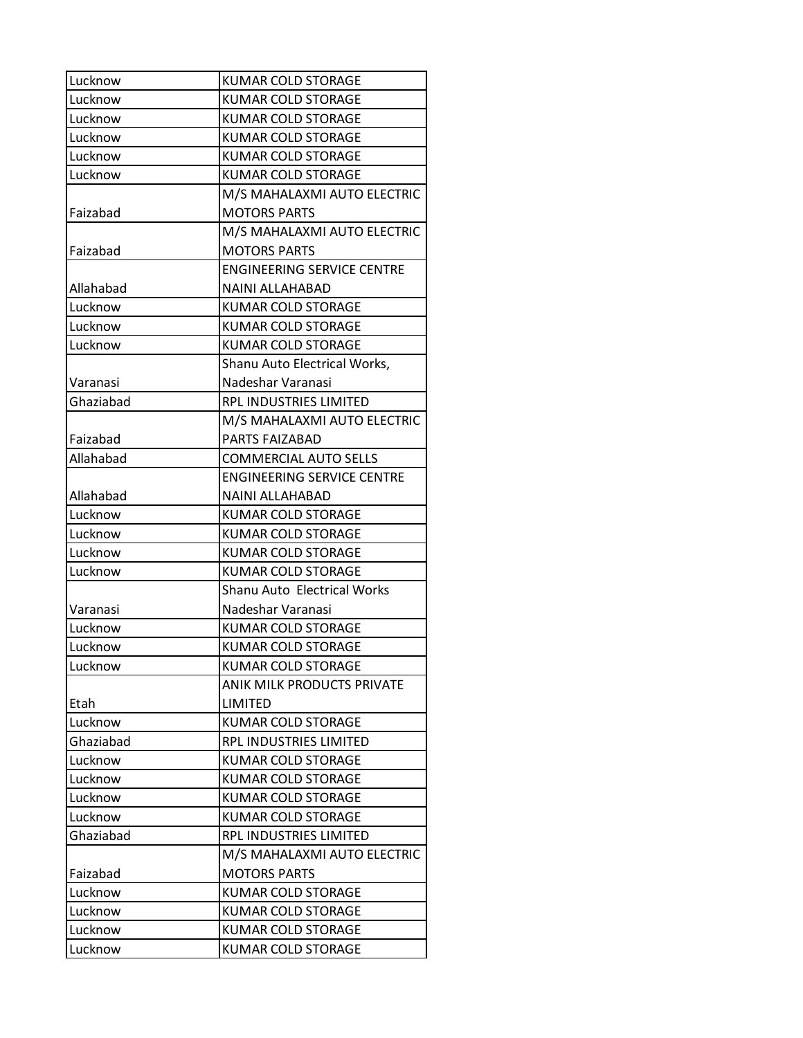| Lucknow   | <b>KUMAR COLD STORAGE</b>         |
|-----------|-----------------------------------|
| Lucknow   | <b>KUMAR COLD STORAGE</b>         |
| Lucknow   | <b>KUMAR COLD STORAGE</b>         |
| Lucknow   | <b>KUMAR COLD STORAGE</b>         |
| Lucknow   | <b>KUMAR COLD STORAGE</b>         |
| Lucknow   | KUMAR COLD STORAGE                |
|           | M/S MAHALAXMI AUTO ELECTRIC       |
| Faizabad  | <b>MOTORS PARTS</b>               |
|           | M/S MAHALAXMI AUTO ELECTRIC       |
| Faizabad  | <b>MOTORS PARTS</b>               |
|           | <b>ENGINEERING SERVICE CENTRE</b> |
| Allahabad | <b>NAINI ALLAHABAD</b>            |
| Lucknow   | KUMAR COLD STORAGE                |
| Lucknow   | <b>KUMAR COLD STORAGE</b>         |
| Lucknow   | <b>KUMAR COLD STORAGE</b>         |
|           | Shanu Auto Electrical Works,      |
| Varanasi  | Nadeshar Varanasi                 |
| Ghaziabad | RPL INDUSTRIES LIMITED            |
|           | M/S MAHALAXMI AUTO ELECTRIC       |
| Faizabad  | PARTS FAIZABAD                    |
| Allahabad | <b>COMMERCIAL AUTO SELLS</b>      |
|           | <b>ENGINEERING SERVICE CENTRE</b> |
| Allahabad | NAINI ALLAHABAD                   |
| Lucknow   | <b>KUMAR COLD STORAGE</b>         |
| Lucknow   | <b>KUMAR COLD STORAGE</b>         |
| Lucknow   | KUMAR COLD STORAGE                |
| Lucknow   | <b>KUMAR COLD STORAGE</b>         |
|           | Shanu Auto Electrical Works       |
| Varanasi  | Nadeshar Varanasi                 |
| Lucknow   | <b>KUMAR COLD STORAGE</b>         |
| Lucknow   | <b>KUMAR COLD STORAGE</b>         |
| Lucknow   | <b>KUMAR COLD STORAGE</b>         |
|           | ANIK MILK PRODUCTS PRIVATE        |
| Etah      | LIMITED                           |
| Lucknow   | <b>KUMAR COLD STORAGE</b>         |
| Ghaziabad | RPL INDUSTRIES LIMITED            |
| Lucknow   | <b>KUMAR COLD STORAGE</b>         |
| Lucknow   | <b>KUMAR COLD STORAGE</b>         |
| Lucknow   | <b>KUMAR COLD STORAGE</b>         |
| Lucknow   | <b>KUMAR COLD STORAGE</b>         |
| Ghaziabad | RPL INDUSTRIES LIMITED            |
|           | M/S MAHALAXMI AUTO ELECTRIC       |
| Faizabad  | <b>MOTORS PARTS</b>               |
| Lucknow   | <b>KUMAR COLD STORAGE</b>         |
| Lucknow   | <b>KUMAR COLD STORAGE</b>         |
| Lucknow   | <b>KUMAR COLD STORAGE</b>         |
| Lucknow   | KUMAR COLD STORAGE                |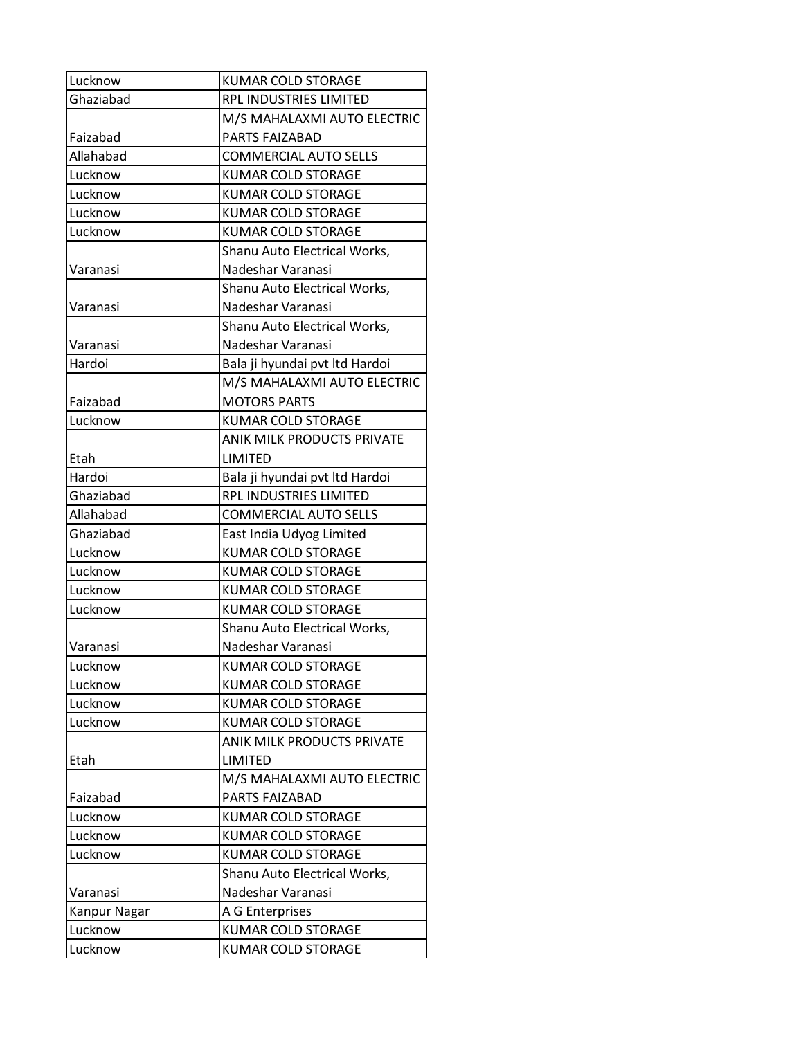| Lucknow      | <b>KUMAR COLD STORAGE</b>         |
|--------------|-----------------------------------|
| Ghaziabad    | RPL INDUSTRIES LIMITED            |
|              | M/S MAHALAXMI AUTO ELECTRIC       |
| Faizabad     | <b>PARTS FAIZABAD</b>             |
| Allahabad    | <b>COMMERCIAL AUTO SELLS</b>      |
| Lucknow      | <b>KUMAR COLD STORAGE</b>         |
| Lucknow      | <b>KUMAR COLD STORAGE</b>         |
| Lucknow      | <b>KUMAR COLD STORAGE</b>         |
| Lucknow      | <b>KUMAR COLD STORAGE</b>         |
|              | Shanu Auto Electrical Works,      |
| Varanasi     | Nadeshar Varanasi                 |
|              | Shanu Auto Electrical Works,      |
| Varanasi     | Nadeshar Varanasi                 |
|              | Shanu Auto Electrical Works,      |
| Varanasi     | Nadeshar Varanasi                 |
| Hardoi       | Bala ji hyundai pvt ltd Hardoi    |
|              | M/S MAHALAXMI AUTO ELECTRIC       |
| Faizabad     | <b>MOTORS PARTS</b>               |
| Lucknow      | <b>KUMAR COLD STORAGE</b>         |
|              | ANIK MILK PRODUCTS PRIVATE        |
| Etah         | LIMITED                           |
| Hardoi       | Bala ji hyundai pvt ltd Hardoi    |
| Ghaziabad    | RPL INDUSTRIES LIMITED            |
| Allahabad    | <b>COMMERCIAL AUTO SELLS</b>      |
| Ghaziabad    | East India Udyog Limited          |
| Lucknow      | <b>KUMAR COLD STORAGE</b>         |
| Lucknow      | KUMAR COLD STORAGE                |
| Lucknow      | <b>KUMAR COLD STORAGE</b>         |
| Lucknow      | <b>KUMAR COLD STORAGE</b>         |
|              | Shanu Auto Electrical Works,      |
| Varanasi     | Nadeshar Varanasi                 |
| Lucknow      | <b>KUMAR COLD STORAGE</b>         |
| Lucknow      | <b>KUMAR COLD STORAGE</b>         |
| Lucknow      | <b>KUMAR COLD STORAGE</b>         |
| Lucknow      | <b>KUMAR COLD STORAGE</b>         |
|              | <b>ANIK MILK PRODUCTS PRIVATE</b> |
| Etah         | LIMITED                           |
|              | M/S MAHALAXMI AUTO ELECTRIC       |
| Faizabad     | PARTS FAIZABAD                    |
| Lucknow      | <b>KUMAR COLD STORAGE</b>         |
| Lucknow      | <b>KUMAR COLD STORAGE</b>         |
| Lucknow      | <b>KUMAR COLD STORAGE</b>         |
|              | Shanu Auto Electrical Works,      |
| Varanasi     | Nadeshar Varanasi                 |
| Kanpur Nagar | A G Enterprises                   |
| Lucknow      | <b>KUMAR COLD STORAGE</b>         |
| Lucknow      | KUMAR COLD STORAGE                |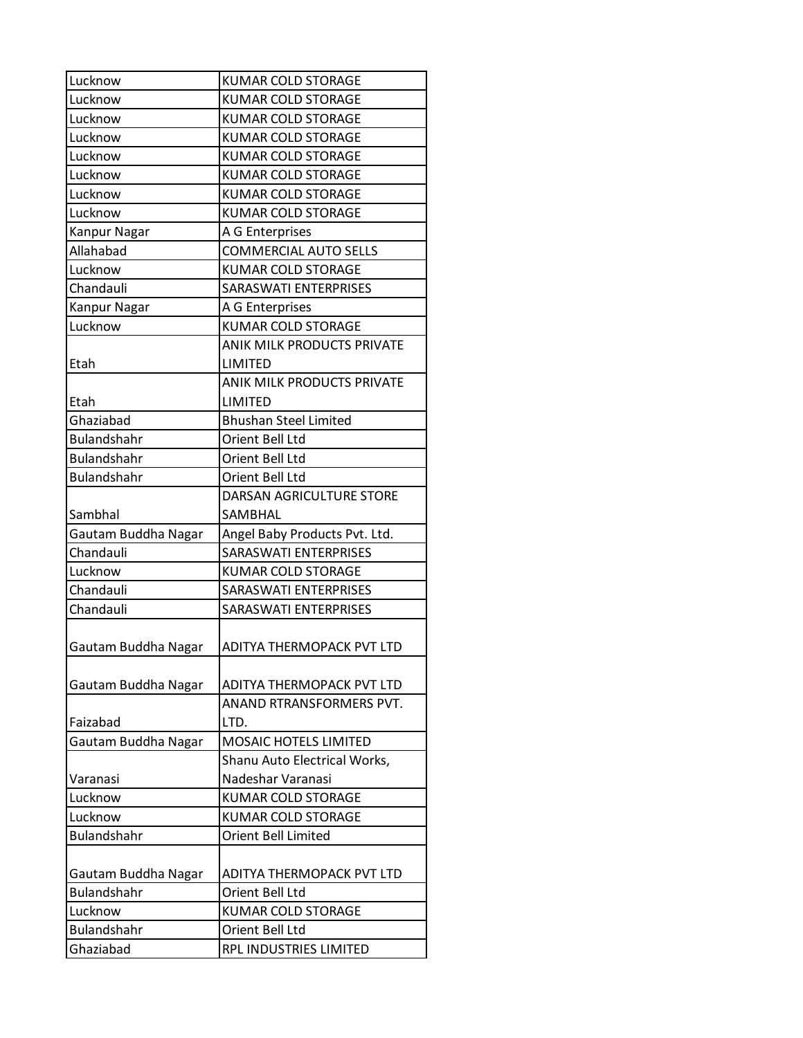| Lucknow             | <b>KUMAR COLD STORAGE</b>         |
|---------------------|-----------------------------------|
| Lucknow             | <b>KUMAR COLD STORAGE</b>         |
| Lucknow             | <b>KUMAR COLD STORAGE</b>         |
| Lucknow             | <b>KUMAR COLD STORAGE</b>         |
| Lucknow             | <b>KUMAR COLD STORAGE</b>         |
| Lucknow             | <b>KUMAR COLD STORAGE</b>         |
| Lucknow             | <b>KUMAR COLD STORAGE</b>         |
| Lucknow             | <b>KUMAR COLD STORAGE</b>         |
| Kanpur Nagar        | A G Enterprises                   |
| Allahabad           | <b>COMMERCIAL AUTO SELLS</b>      |
| Lucknow             | <b>KUMAR COLD STORAGE</b>         |
| Chandauli           | <b>SARASWATI ENTERPRISES</b>      |
| Kanpur Nagar        | A G Enterprises                   |
| Lucknow             | <b>KUMAR COLD STORAGE</b>         |
|                     | <b>ANIK MILK PRODUCTS PRIVATE</b> |
| Etah                | LIMITED                           |
|                     | <b>ANIK MILK PRODUCTS PRIVATE</b> |
| Etah                | LIMITED                           |
| Ghaziabad           | <b>Bhushan Steel Limited</b>      |
| <b>Bulandshahr</b>  | Orient Bell Ltd                   |
| <b>Bulandshahr</b>  | Orient Bell Ltd                   |
| <b>Bulandshahr</b>  | Orient Bell Ltd                   |
|                     | DARSAN AGRICULTURE STORE          |
| Sambhal             | SAMBHAL                           |
| Gautam Buddha Nagar | Angel Baby Products Pvt. Ltd.     |
| Chandauli           | <b>SARASWATI ENTERPRISES</b>      |
| Lucknow             | <b>KUMAR COLD STORAGE</b>         |
| Chandauli           | <b>SARASWATI ENTERPRISES</b>      |
| Chandauli           | <b>SARASWATI ENTERPRISES</b>      |
| Gautam Buddha Nagar | ADITYA THERMOPACK PVT LTD         |
|                     |                                   |
| Gautam Buddha Nagar | ADITYA THERMOPACK PVT LTD         |
|                     | ANAND RTRANSFORMERS PVT.          |
| Faizabad            | LTD.                              |
| Gautam Buddha Nagar | <b>MOSAIC HOTELS LIMITED</b>      |
|                     | Shanu Auto Electrical Works,      |
| Varanasi            | Nadeshar Varanasi                 |
| Lucknow             | <b>KUMAR COLD STORAGE</b>         |
| Lucknow             | <b>KUMAR COLD STORAGE</b>         |
| <b>Bulandshahr</b>  | Orient Bell Limited               |
|                     |                                   |
| Gautam Buddha Nagar | ADITYA THERMOPACK PVT LTD         |
| <b>Bulandshahr</b>  | Orient Bell Ltd                   |
| Lucknow             | <b>KUMAR COLD STORAGE</b>         |
| <b>Bulandshahr</b>  | Orient Bell Ltd                   |
| Ghaziabad           | RPL INDUSTRIES LIMITED            |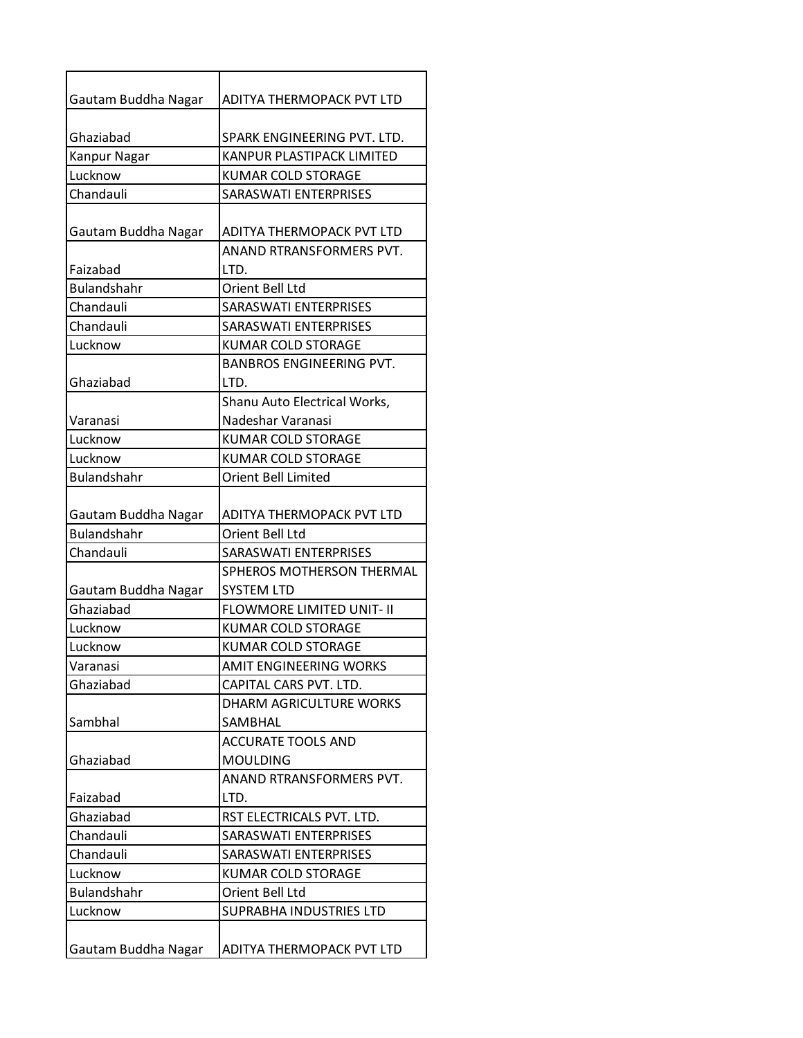| Gautam Buddha Nagar | ADITYA THERMOPACK PVT LTD        |
|---------------------|----------------------------------|
| Ghaziabad           | SPARK ENGINEERING PVT. LTD.      |
| Kanpur Nagar        | KANPUR PLASTIPACK LIMITED        |
| Lucknow             | <b>KUMAR COLD STORAGE</b>        |
| Chandauli           | SARASWATI ENTERPRISES            |
|                     |                                  |
| Gautam Buddha Nagar | ADITYA THERMOPACK PVT LTD        |
| Faizabad            | ANAND RTRANSFORMERS PVT.<br>LTD. |
| <b>Bulandshahr</b>  | Orient Bell Ltd                  |
| Chandauli           | <b>SARASWATI ENTERPRISES</b>     |
| Chandauli           | SARASWATI ENTERPRISES            |
| Lucknow             | <b>KUMAR COLD STORAGE</b>        |
|                     | <b>BANBROS ENGINEERING PVT.</b>  |
| Ghaziabad           | LTD.                             |
|                     | Shanu Auto Electrical Works,     |
| Varanasi            | Nadeshar Varanasi                |
| Lucknow             | <b>KUMAR COLD STORAGE</b>        |
| Lucknow             | <b>KUMAR COLD STORAGE</b>        |
| <b>Bulandshahr</b>  | <b>Orient Bell Limited</b>       |
|                     |                                  |
| Gautam Buddha Nagar | ADITYA THERMOPACK PVT LTD        |
| <b>Bulandshahr</b>  | Orient Bell Ltd                  |
| Chandauli           | <b>SARASWATI ENTERPRISES</b>     |
|                     | SPHEROS MOTHERSON THERMAL        |
| Gautam Buddha Nagar | <b>SYSTEM LTD</b>                |
| Ghaziabad           | FLOWMORE LIMITED UNIT- II        |
| Lucknow             | <b>KUMAR COLD STORAGE</b>        |
| Lucknow             | <b>KUMAR COLD STORAGE</b>        |
| Varanasi            | <b>AMIT ENGINEERING WORKS</b>    |
| Ghaziabad           | CAPITAL CARS PVT. LTD.           |
|                     | DHARM AGRICULTURE WORKS          |
| Sambhal             | <b>SAMBHAL</b>                   |
|                     | <b>ACCURATE TOOLS AND</b>        |
| Ghaziabad           | <b>MOULDING</b>                  |
|                     | ANAND RTRANSFORMERS PVT.         |
| Faizabad            | LTD.                             |
| Ghaziabad           | RST ELECTRICALS PVT. LTD.        |
| Chandauli           | SARASWATI ENTERPRISES            |
| Chandauli           | SARASWATI ENTERPRISES            |
| Lucknow             | <b>KUMAR COLD STORAGE</b>        |
| <b>Bulandshahr</b>  | Orient Bell Ltd                  |
| Lucknow             | SUPRABHA INDUSTRIES LTD          |
|                     |                                  |
| Gautam Buddha Nagar | ADITYA THERMOPACK PVT LTD        |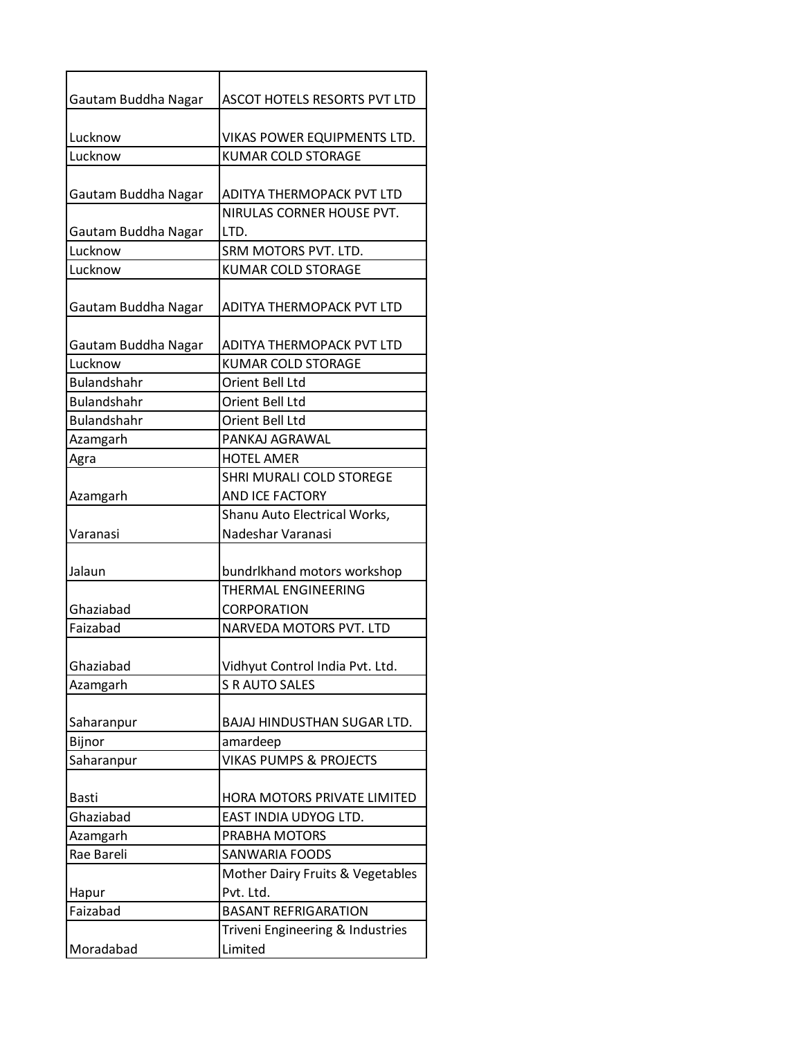| Gautam Buddha Nagar | ASCOT HOTELS RESORTS PVT LTD                           |
|---------------------|--------------------------------------------------------|
| Lucknow             | VIKAS POWER EQUIPMENTS LTD.                            |
| Lucknow             | <b>KUMAR COLD STORAGE</b>                              |
|                     |                                                        |
| Gautam Buddha Nagar | ADITYA THERMOPACK PVT LTD<br>NIRULAS CORNER HOUSE PVT. |
| Gautam Buddha Nagar | LTD.                                                   |
| Lucknow             | SRM MOTORS PVT. LTD.                                   |
| Lucknow             | <b>KUMAR COLD STORAGE</b>                              |
| Gautam Buddha Nagar | ADITYA THERMOPACK PVT LTD                              |
| Gautam Buddha Nagar | ADITYA THERMOPACK PVT LTD                              |
| Lucknow             | <b>KUMAR COLD STORAGE</b>                              |
| <b>Bulandshahr</b>  | Orient Bell Ltd                                        |
| <b>Bulandshahr</b>  | Orient Bell Ltd                                        |
| <b>Bulandshahr</b>  | Orient Bell Ltd                                        |
| Azamgarh            | PANKAJ AGRAWAL                                         |
| Agra                | <b>HOTEL AMER</b>                                      |
|                     | SHRI MURALI COLD STOREGE                               |
| Azamgarh            | AND ICE FACTORY                                        |
|                     | Shanu Auto Electrical Works,                           |
| Varanasi            | Nadeshar Varanasi                                      |
| Jalaun              | bundrlkhand motors workshop                            |
|                     | THERMAL ENGINEERING                                    |
| Ghaziabad           | <b>CORPORATION</b>                                     |
| Faizabad            | NARVEDA MOTORS PVT. LTD                                |
|                     |                                                        |
| Ghaziabad           | Vidhyut Control India Pvt. Ltd.                        |
| Azamgarh            | <b>S R AUTO SALES</b>                                  |
| Saharanpur          | <b>BAJAJ HINDUSTHAN SUGAR LTD.</b>                     |
| Bijnor              | amardeep                                               |
| Saharanpur          | <b>VIKAS PUMPS &amp; PROJECTS</b>                      |
|                     |                                                        |
| <b>Basti</b>        | HORA MOTORS PRIVATE LIMITED                            |
| Ghaziabad           | EAST INDIA UDYOG LTD.                                  |
| Azamgarh            | PRABHA MOTORS                                          |
| Rae Bareli          | <b>SANWARIA FOODS</b>                                  |
|                     | Mother Dairy Fruits & Vegetables                       |
| Hapur               | Pvt. Ltd.                                              |
| Faizabad            | <b>BASANT REFRIGARATION</b>                            |
|                     | Triveni Engineering & Industries                       |
| Moradabad           | Limited                                                |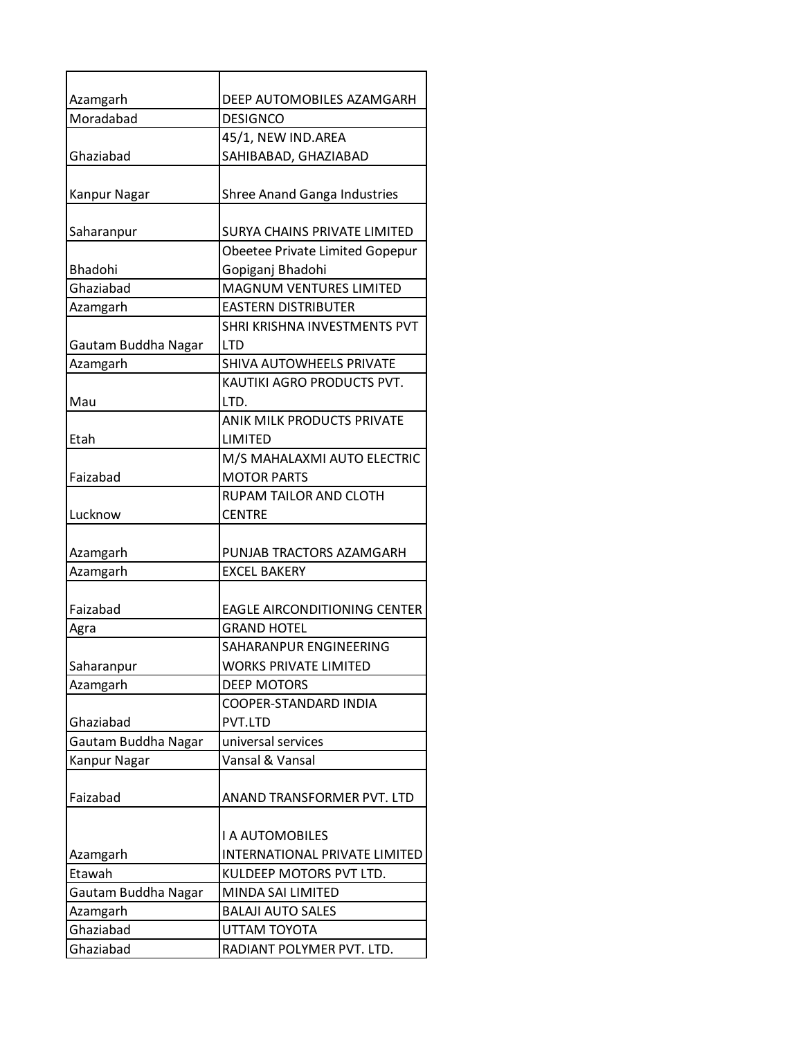| Azamgarh            | DEEP AUTOMOBILES AZAMGARH           |
|---------------------|-------------------------------------|
| Moradabad           | <b>DESIGNCO</b>                     |
|                     | 45/1, NEW IND.AREA                  |
| Ghaziabad           | SAHIBABAD, GHAZIABAD                |
| Kanpur Nagar        | <b>Shree Anand Ganga Industries</b> |
| Saharanpur          | <b>SURYA CHAINS PRIVATE LIMITED</b> |
|                     | Obeetee Private Limited Gopepur     |
| Bhadohi             | Gopiganj Bhadohi                    |
| Ghaziabad           | <b>MAGNUM VENTURES LIMITED</b>      |
| Azamgarh            | <b>EASTERN DISTRIBUTER</b>          |
|                     | SHRI KRISHNA INVESTMENTS PVT        |
| Gautam Buddha Nagar | <b>LTD</b>                          |
| Azamgarh            | SHIVA AUTOWHEELS PRIVATE            |
|                     | KAUTIKI AGRO PRODUCTS PVT.          |
| Mau                 | LTD.                                |
|                     | <b>ANIK MILK PRODUCTS PRIVATE</b>   |
| Etah                | <b>LIMITED</b>                      |
|                     | M/S MAHALAXMI AUTO ELECTRIC         |
| Faizabad            | <b>MOTOR PARTS</b>                  |
|                     | <b>RUPAM TAILOR AND CLOTH</b>       |
| Lucknow             | <b>CENTRE</b>                       |
| Azamgarh            | PUNJAB TRACTORS AZAMGARH            |
| Azamgarh            | <b>EXCEL BAKERY</b>                 |
|                     |                                     |
| Faizabad            | EAGLE AIRCONDITIONING CENTER        |
| Agra                | <b>GRAND HOTEL</b>                  |
|                     | SAHARANPUR ENGINEERING              |
| Saharanpur          | <b>WORKS PRIVATE LIMITED</b>        |
| Azamgarh            | <b>DEEP MOTORS</b>                  |
|                     | COOPER-STANDARD INDIA               |
| Ghaziabad           | PVT.LTD                             |
| Gautam Buddha Nagar | universal services                  |
| Kanpur Nagar        | Vansal & Vansal                     |
|                     |                                     |
| Faizabad            | ANAND TRANSFORMER PVT. LTD          |
|                     |                                     |
|                     | <b>I A AUTOMOBILES</b>              |
| Azamgarh            | INTERNATIONAL PRIVATE LIMITED       |
| Etawah              | KULDEEP MOTORS PVT LTD.             |
| Gautam Buddha Nagar | MINDA SAI LIMITED                   |
| Azamgarh            | <b>BALAJI AUTO SALES</b>            |
| Ghaziabad           | UTTAM TOYOTA                        |
| Ghaziabad           | RADIANT POLYMER PVT. LTD.           |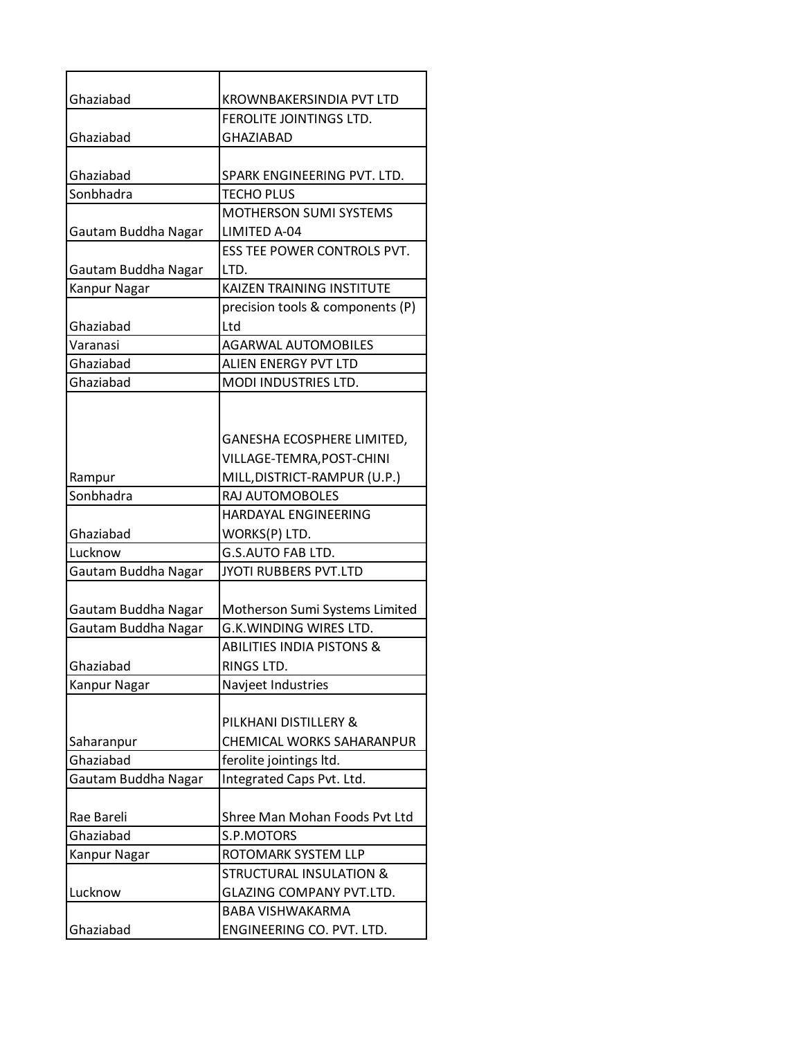| Ghaziabad            | KROWNBAKERSINDIA PVT LTD                       |
|----------------------|------------------------------------------------|
|                      | FEROLITE JOINTINGS LTD.                        |
| Ghaziabad            | <b>GHAZIABAD</b>                               |
|                      |                                                |
| Ghaziabad            | SPARK ENGINEERING PVT. LTD.                    |
| Sonbhadra            | <b>TECHO PLUS</b>                              |
|                      | MOTHERSON SUMI SYSTEMS                         |
| Gautam Buddha Nagar  | LIMITED A-04                                   |
|                      | <b>ESS TEE POWER CONTROLS PVT.</b>             |
| Gautam Buddha Nagar  | LTD.                                           |
| Kanpur Nagar         | <b>KAIZEN TRAINING INSTITUTE</b>               |
|                      | precision tools & components (P)               |
| Ghaziabad            | Ltd                                            |
| Varanasi             | <b>AGARWAL AUTOMOBILES</b>                     |
| Ghaziabad            | ALIEN ENERGY PVT LTD                           |
| Ghaziabad            | MODI INDUSTRIES LTD.                           |
|                      |                                                |
|                      |                                                |
|                      | GANESHA ECOSPHERE LIMITED,                     |
|                      | VILLAGE-TEMRA, POST-CHINI                      |
| Rampur               | MILL, DISTRICT-RAMPUR (U.P.)                   |
| Sonbhadra            | RAJ AUTOMOBOLES<br><b>HARDAYAL ENGINEERING</b> |
|                      |                                                |
| Ghaziabad<br>Lucknow | WORKS(P) LTD.<br><b>G.S.AUTO FAB LTD.</b>      |
| Gautam Buddha Nagar  | JYOTI RUBBERS PVT.LTD                          |
|                      |                                                |
| Gautam Buddha Nagar  | Motherson Sumi Systems Limited                 |
| Gautam Buddha Nagar  | <b>G.K.WINDING WIRES LTD.</b>                  |
|                      | <b>ABILITIES INDIA PISTONS &amp;</b>           |
| Ghaziabad            | RINGS LTD.                                     |
| Kanpur Nagar         | Navjeet Industries                             |
|                      |                                                |
|                      | PILKHANI DISTILLERY &                          |
| Saharanpur           | CHEMICAL WORKS SAHARANPUR                      |
| Ghaziabad            | ferolite jointings ltd.                        |
| Gautam Buddha Nagar  | Integrated Caps Pvt. Ltd.                      |
|                      |                                                |
| Rae Bareli           | Shree Man Mohan Foods Pvt Ltd                  |
| Ghaziabad            | S.P.MOTORS                                     |
| Kanpur Nagar         | ROTOMARK SYSTEM LLP                            |
|                      | <b>STRUCTURAL INSULATION &amp;</b>             |
| Lucknow              | GLAZING COMPANY PVT.LTD.                       |
|                      | BABA VISHWAKARMA                               |
| Ghaziabad            | ENGINEERING CO. PVT. LTD.                      |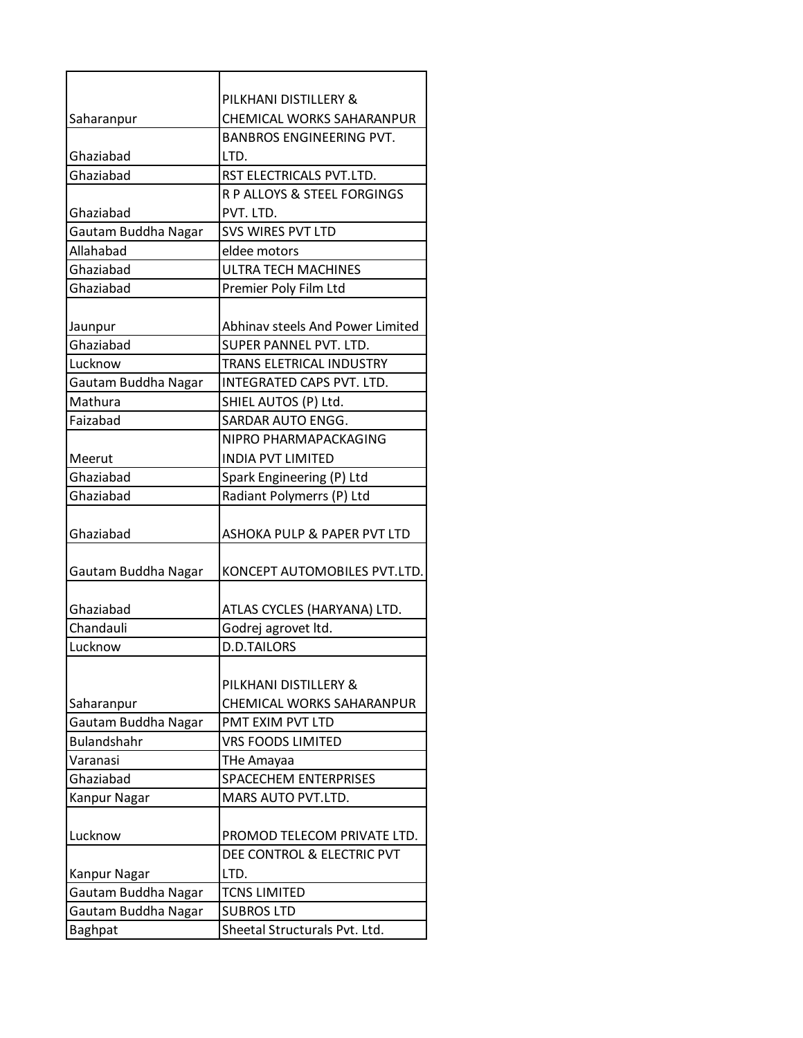|                     | PILKHANI DISTILLERY &            |
|---------------------|----------------------------------|
| Saharanpur          | CHEMICAL WORKS SAHARANPUR        |
|                     | <b>BANBROS ENGINEERING PVT.</b>  |
| Ghaziabad           | LTD.                             |
| Ghaziabad           | RST ELECTRICALS PVT.LTD.         |
|                     | R P ALLOYS & STEEL FORGINGS      |
| Ghaziabad           | PVT. LTD.                        |
| Gautam Buddha Nagar | <b>SVS WIRES PVT LTD</b>         |
| Allahabad           | eldee motors                     |
| Ghaziabad           | <b>ULTRA TECH MACHINES</b>       |
| Ghaziabad           | Premier Poly Film Ltd            |
|                     |                                  |
| Jaunpur             | Abhinav steels And Power Limited |
| Ghaziabad           | SUPER PANNEL PVT. LTD.           |
| Lucknow             | <b>TRANS ELETRICAL INDUSTRY</b>  |
| Gautam Buddha Nagar | INTEGRATED CAPS PVT. LTD.        |
| Mathura             | SHIEL AUTOS (P) Ltd.             |
| Faizabad            | SARDAR AUTO ENGG.                |
|                     | NIPRO PHARMAPACKAGING            |
| Meerut              | <b>INDIA PVT LIMITED</b>         |
| Ghaziabad           | Spark Engineering (P) Ltd        |
| Ghaziabad           | Radiant Polymerrs (P) Ltd        |
|                     |                                  |
| Ghaziabad           | ASHOKA PULP & PAPER PVT LTD      |
|                     |                                  |
| Gautam Buddha Nagar | KONCEPT AUTOMOBILES PVT.LTD.     |
|                     |                                  |
| Ghaziabad           | ATLAS CYCLES (HARYANA) LTD.      |
| Chandauli           | Godrej agrovet ltd.              |
| Lucknow             | <b>D.D.TAILORS</b>               |
|                     |                                  |
|                     | PILKHANI DISTILLERY &            |
| Saharanpur          | CHEMICAL WORKS SAHARANPUR        |
| Gautam Buddha Nagar | PMT EXIM PVT LTD                 |
| <b>Bulandshahr</b>  | <b>VRS FOODS LIMITED</b>         |
| Varanasi            | <b>THe Amayaa</b>                |
| Ghaziabad           | SPACECHEM ENTERPRISES            |
| Kanpur Nagar        | MARS AUTO PVT.LTD.               |
|                     |                                  |
| Lucknow             | PROMOD TELECOM PRIVATE LTD.      |
|                     | DEE CONTROL & ELECTRIC PVT       |
| <b>Kanpur Nagar</b> | LTD.                             |
| Gautam Buddha Nagar | <b>TCNS LIMITED</b>              |
| Gautam Buddha Nagar | <b>SUBROS LTD</b>                |
| <b>Baghpat</b>      | Sheetal Structurals Pvt. Ltd.    |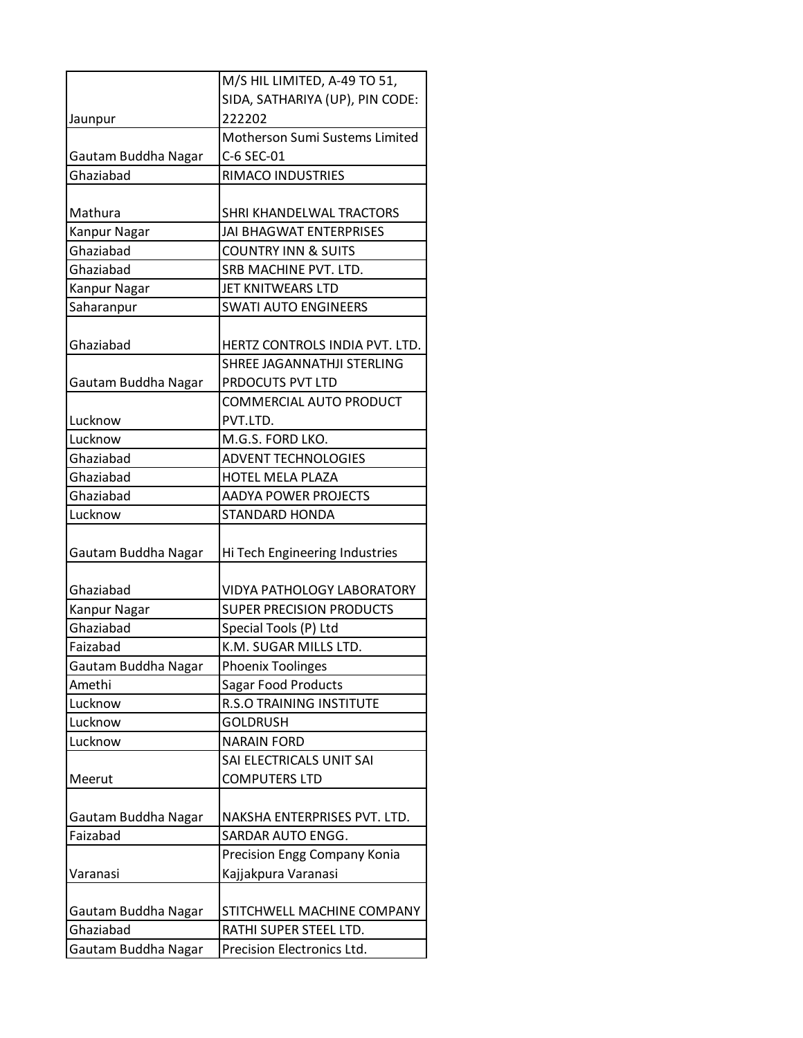|                     | M/S HIL LIMITED, A-49 TO 51,      |
|---------------------|-----------------------------------|
|                     | SIDA, SATHARIYA (UP), PIN CODE:   |
| Jaunpur             | 222202                            |
|                     | Motherson Sumi Sustems Limited    |
| Gautam Buddha Nagar | C-6 SEC-01                        |
| Ghaziabad           | RIMACO INDUSTRIES                 |
|                     |                                   |
| Mathura             | SHRI KHANDELWAL TRACTORS          |
| Kanpur Nagar        | <b>JAI BHAGWAT ENTERPRISES</b>    |
| Ghaziabad           | <b>COUNTRY INN &amp; SUITS</b>    |
| Ghaziabad           | SRB MACHINE PVT. LTD.             |
| <b>Kanpur Nagar</b> | JET KNITWEARS LTD                 |
| Saharanpur          | <b>SWATI AUTO ENGINEERS</b>       |
|                     |                                   |
| Ghaziabad           | HERTZ CONTROLS INDIA PVT. LTD.    |
|                     | SHREE JAGANNATHJI STERLING        |
| Gautam Buddha Nagar | PRDOCUTS PVT LTD                  |
|                     | COMMERCIAL AUTO PRODUCT           |
| Lucknow             | PVT.LTD.                          |
| Lucknow             | M.G.S. FORD LKO.                  |
| Ghaziabad           | <b>ADVENT TECHNOLOGIES</b>        |
| Ghaziabad           | <b>HOTEL MELA PLAZA</b>           |
| Ghaziabad           | <b>AADYA POWER PROJECTS</b>       |
| Lucknow             | <b>STANDARD HONDA</b>             |
|                     |                                   |
| Gautam Buddha Nagar | Hi Tech Engineering Industries    |
|                     |                                   |
| Ghaziabad           | <b>VIDYA PATHOLOGY LABORATORY</b> |
| Kanpur Nagar        | <b>SUPER PRECISION PRODUCTS</b>   |
| Ghaziabad           | Special Tools (P) Ltd             |
| Faizabad            | K.M. SUGAR MILLS LTD.             |
| Gautam Buddha Nagar | Phoenix Toolinges                 |
| Amethi              | Sagar Food Products               |
| Lucknow             | R.S.O TRAINING INSTITUTE          |
| Lucknow             | <b>GOLDRUSH</b>                   |
| Lucknow             | <b>NARAIN FORD</b>                |
|                     | SAI ELECTRICALS UNIT SAI          |
| Meerut              | <b>COMPUTERS LTD</b>              |
|                     |                                   |
| Gautam Buddha Nagar | NAKSHA ENTERPRISES PVT. LTD.      |
| Faizabad            | SARDAR AUTO ENGG.                 |
|                     | Precision Engg Company Konia      |
| Varanasi            | Kajjakpura Varanasi               |
|                     |                                   |
| Gautam Buddha Nagar | STITCHWELL MACHINE COMPANY        |
| Ghaziabad           | RATHI SUPER STEEL LTD.            |
| Gautam Buddha Nagar | Precision Electronics Ltd.        |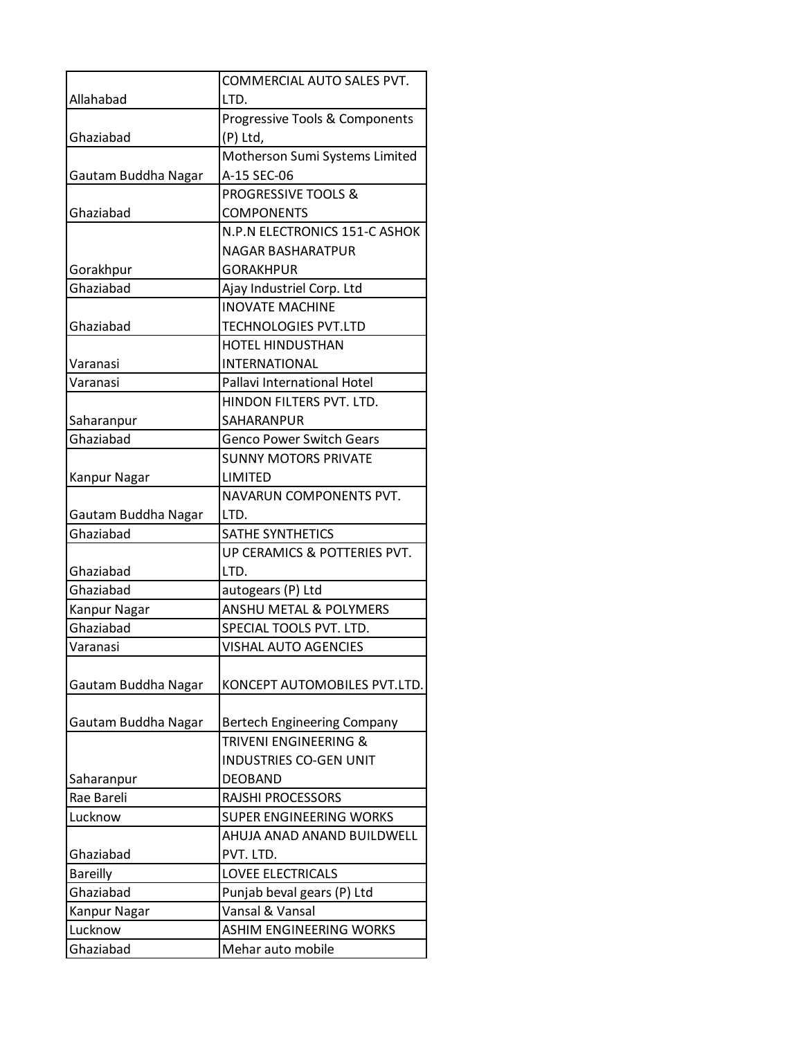|                          | COMMERCIAL AUTO SALES PVT.                                  |
|--------------------------|-------------------------------------------------------------|
| Allahabad                | LTD.                                                        |
|                          | Progressive Tools & Components                              |
| Ghaziabad                | (P) Ltd,                                                    |
|                          | Motherson Sumi Systems Limited                              |
| Gautam Buddha Nagar      | A-15 SEC-06                                                 |
|                          | PROGRESSIVE TOOLS &                                         |
| Ghaziabad                | <b>COMPONENTS</b>                                           |
|                          | N.P.N ELECTRONICS 151-C ASHOK                               |
|                          | NAGAR BASHARATPUR                                           |
| Gorakhpur                | <b>GORAKHPUR</b>                                            |
| Ghaziabad                | Ajay Industriel Corp. Ltd                                   |
|                          | <b>INOVATE MACHINE</b>                                      |
| Ghaziabad                | TECHNOLOGIES PVT.LTD                                        |
|                          | <b>HOTEL HINDUSTHAN</b>                                     |
| Varanasi                 | <b>INTERNATIONAL</b>                                        |
| Varanasi                 | Pallavi International Hotel                                 |
|                          | HINDON FILTERS PVT. LTD.                                    |
| Saharanpur               | SAHARANPUR                                                  |
| Ghaziabad                | <b>Genco Power Switch Gears</b>                             |
|                          | <b>SUNNY MOTORS PRIVATE</b>                                 |
| Kanpur Nagar             | LIMITED                                                     |
|                          | NAVARUN COMPONENTS PVT.                                     |
| Gautam Buddha Nagar      | LTD.                                                        |
| Ghaziabad                | <b>SATHE SYNTHETICS</b>                                     |
|                          | UP CERAMICS & POTTERIES PVT.                                |
| Ghaziabad                | LTD.                                                        |
| Ghaziabad                | autogears (P) Ltd                                           |
| Kanpur Nagar             | <b>ANSHU METAL &amp; POLYMERS</b>                           |
| Ghaziabad                | SPECIAL TOOLS PVT. LTD.                                     |
| Varanasi                 | <b>VISHAL AUTO AGENCIES</b>                                 |
|                          |                                                             |
| Gautam Buddha Nagar      | KONCEPT AUTOMOBILES PVT.LTD.                                |
|                          |                                                             |
| Gautam Buddha Nagar      | <b>Bertech Engineering Company</b><br>TRIVENI ENGINEERING & |
|                          | INDUSTRIES CO-GEN UNIT                                      |
|                          | <b>DEOBAND</b>                                              |
| Saharanpur<br>Rae Bareli | <b>RAJSHI PROCESSORS</b>                                    |
| Lucknow                  | SUPER ENGINEERING WORKS                                     |
|                          | AHUJA ANAD ANAND BUILDWELL                                  |
| Ghaziabad                | PVT. LTD.                                                   |
| <b>Bareilly</b>          | <b>LOVEE ELECTRICALS</b>                                    |
| Ghaziabad                | Punjab beval gears (P) Ltd                                  |
| Kanpur Nagar             | Vansal & Vansal                                             |
| Lucknow                  | <b>ASHIM ENGINEERING WORKS</b>                              |
| Ghaziabad                | Mehar auto mobile                                           |
|                          |                                                             |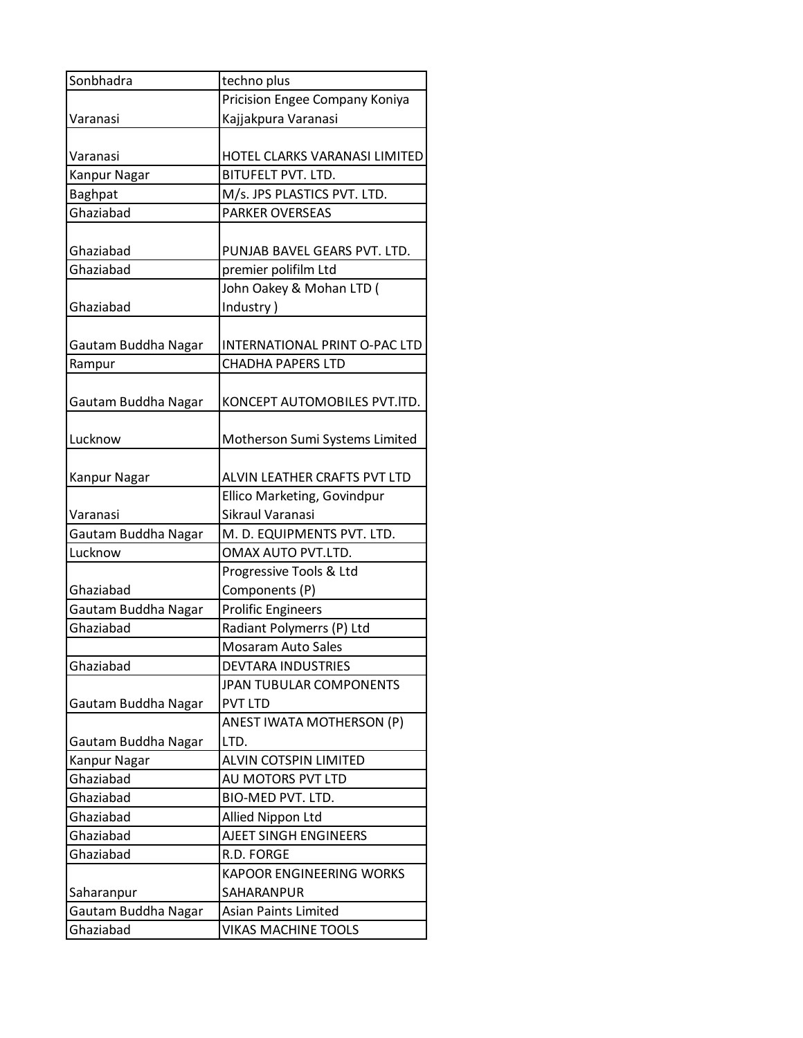| Sonbhadra           | techno plus                     |
|---------------------|---------------------------------|
|                     | Pricision Engee Company Koniya  |
| Varanasi            | Kajjakpura Varanasi             |
|                     |                                 |
| Varanasi            | HOTEL CLARKS VARANASI LIMITED   |
| Kanpur Nagar        | <b>BITUFELT PVT. LTD.</b>       |
| <b>Baghpat</b>      | M/s. JPS PLASTICS PVT. LTD.     |
| Ghaziabad           | <b>PARKER OVERSEAS</b>          |
|                     |                                 |
| Ghaziabad           | PUNJAB BAVEL GEARS PVT. LTD.    |
| Ghaziabad           | premier polifilm Ltd            |
|                     | John Oakey & Mohan LTD (        |
| Ghaziabad           | Industry)                       |
|                     |                                 |
| Gautam Buddha Nagar | INTERNATIONAL PRINT O-PAC LTD   |
| Rampur              | <b>CHADHA PAPERS LTD</b>        |
|                     |                                 |
| Gautam Buddha Nagar | KONCEPT AUTOMOBILES PVT.ITD.    |
|                     |                                 |
| Lucknow             | Motherson Sumi Systems Limited  |
|                     |                                 |
| Kanpur Nagar        | ALVIN LEATHER CRAFTS PVT LTD    |
|                     | Ellico Marketing, Govindpur     |
| Varanasi            | Sikraul Varanasi                |
| Gautam Buddha Nagar | M. D. EQUIPMENTS PVT. LTD.      |
| Lucknow             | OMAX AUTO PVT.LTD.              |
|                     | Progressive Tools & Ltd         |
| Ghaziabad           | Components (P)                  |
| Gautam Buddha Nagar | <b>Prolific Engineers</b>       |
| Ghaziabad           | Radiant Polymerrs (P) Ltd       |
|                     | <b>Mosaram Auto Sales</b>       |
| Ghaziabad           | <b>DEVTARA INDUSTRIES</b>       |
|                     | JPAN TUBULAR COMPONENTS         |
| Gautam Buddha Nagar | <b>PVT LTD</b>                  |
|                     | ANEST IWATA MOTHERSON (P)       |
| Gautam Buddha Nagar | LTD.                            |
| Kanpur Nagar        | ALVIN COTSPIN LIMITED           |
| Ghaziabad           | AU MOTORS PVT LTD               |
| Ghaziabad           | BIO-MED PVT. LTD.               |
| Ghaziabad           | Allied Nippon Ltd               |
| Ghaziabad           | <b>AJEET SINGH ENGINEERS</b>    |
| Ghaziabad           | R.D. FORGE                      |
|                     | <b>KAPOOR ENGINEERING WORKS</b> |
| Saharanpur          | SAHARANPUR                      |
| Gautam Buddha Nagar | <b>Asian Paints Limited</b>     |
| Ghaziabad           | <b>VIKAS MACHINE TOOLS</b>      |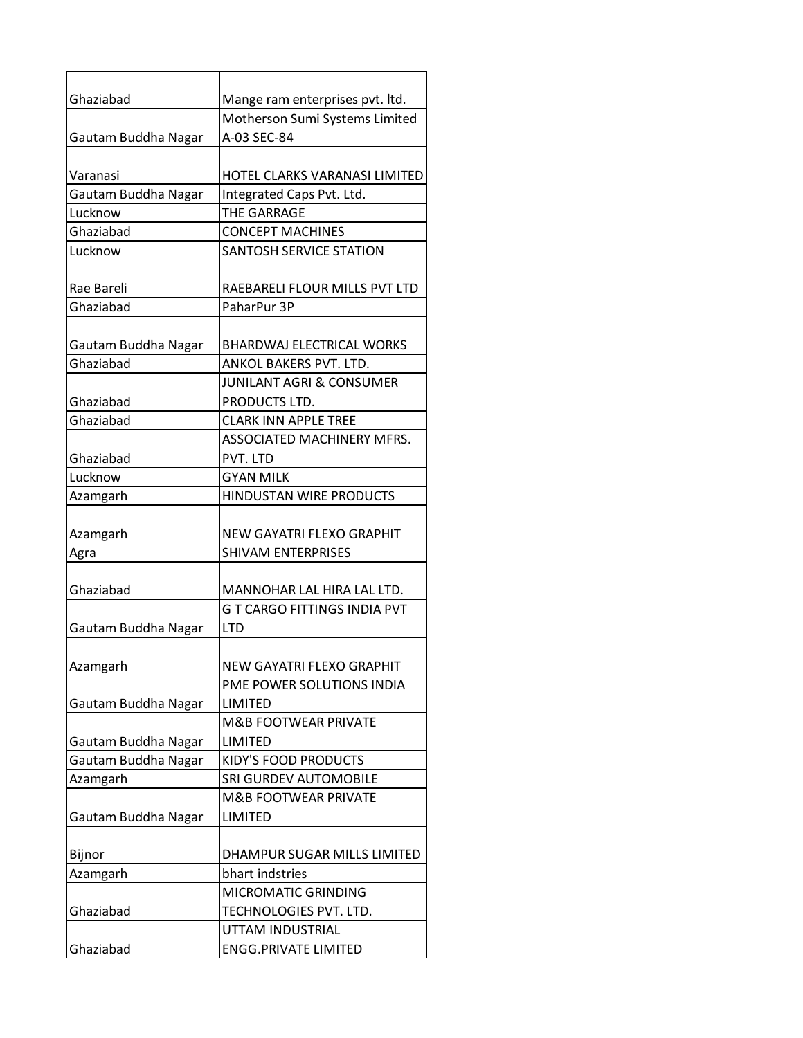| Ghaziabad           | Mange ram enterprises pvt. ltd.     |
|---------------------|-------------------------------------|
|                     | Motherson Sumi Systems Limited      |
| Gautam Buddha Nagar | A-03 SEC-84                         |
|                     |                                     |
| Varanasi            | HOTEL CLARKS VARANASI LIMITED       |
| Gautam Buddha Nagar | Integrated Caps Pvt. Ltd.           |
| Lucknow             | <b>THE GARRAGE</b>                  |
| Ghaziabad           | <b>CONCEPT MACHINES</b>             |
| Lucknow             | SANTOSH SERVICE STATION             |
| Rae Bareli          | RAEBARELI FLOUR MILLS PVT LTD       |
| Ghaziabad           | PaharPur 3P                         |
|                     |                                     |
| Gautam Buddha Nagar | <b>BHARDWAJ ELECTRICAL WORKS</b>    |
| Ghaziabad           | ANKOL BAKERS PVT. LTD.              |
|                     | <b>JUNILANT AGRI &amp; CONSUMER</b> |
| Ghaziabad           | PRODUCTS LTD.                       |
| Ghaziabad           | <b>CLARK INN APPLE TREE</b>         |
|                     | ASSOCIATED MACHINERY MFRS.          |
| Ghaziabad           | PVT. LTD                            |
| Lucknow             | <b>GYAN MILK</b>                    |
| Azamgarh            | HINDUSTAN WIRE PRODUCTS             |
|                     |                                     |
| Azamgarh            | NEW GAYATRI FLEXO GRAPHIT           |
| Agra                | <b>SHIVAM ENTERPRISES</b>           |
| Ghaziabad           | MANNOHAR LAL HIRA LAL LTD.          |
|                     | <b>G T CARGO FITTINGS INDIA PVT</b> |
| Gautam Buddha Nagar | <b>LTD</b>                          |
|                     |                                     |
| Azamgarh            | NEW GAYATRI FLEXO GRAPHIT           |
|                     | PME POWER SOLUTIONS INDIA           |
| Gautam Buddha Nagar | LIMITED                             |
|                     | <b>M&amp;B FOOTWEAR PRIVATE</b>     |
| Gautam Buddha Nagar | LIMITED                             |
| Gautam Buddha Nagar | KIDY'S FOOD PRODUCTS                |
| Azamgarh            | SRI GURDEV AUTOMOBILE               |
|                     | <b>M&amp;B FOOTWEAR PRIVATE</b>     |
| Gautam Buddha Nagar | <b>LIMITED</b>                      |
| Bijnor              | DHAMPUR SUGAR MILLS LIMITED         |
| Azamgarh            | bhart indstries                     |
|                     | MICROMATIC GRINDING                 |
| Ghaziabad           | TECHNOLOGIES PVT. LTD.              |
|                     | UTTAM INDUSTRIAL                    |
| Ghaziabad           | <b>ENGG.PRIVATE LIMITED</b>         |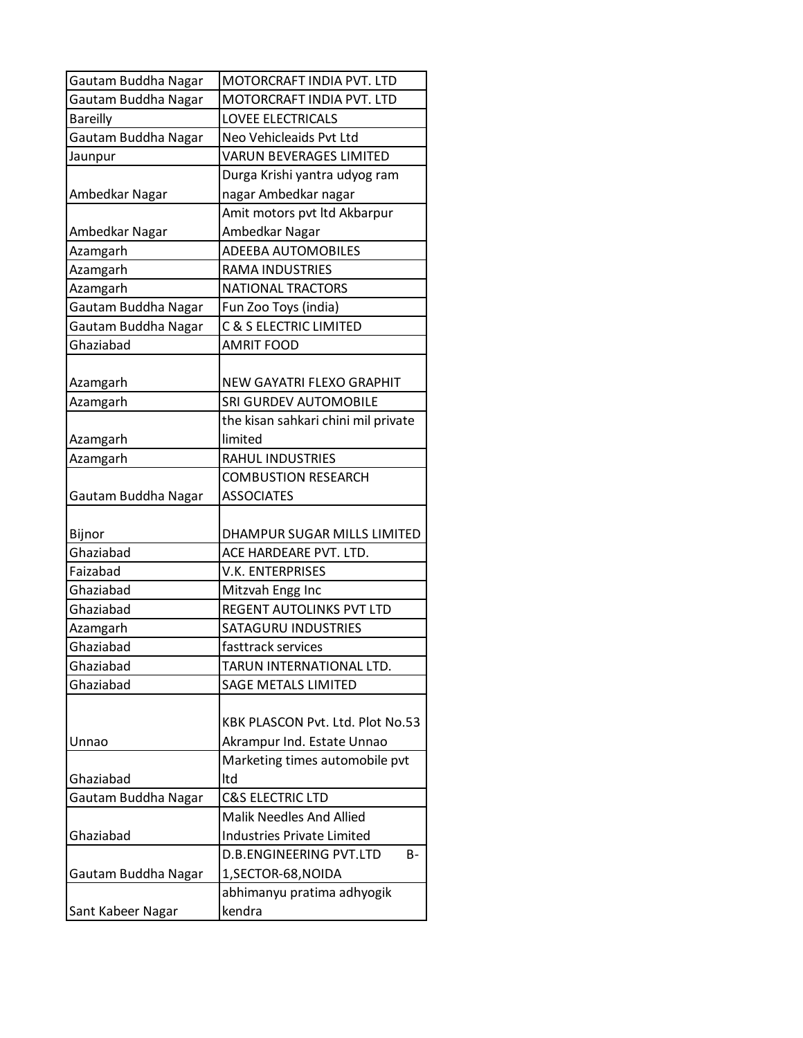| Gautam Buddha Nagar | MOTORCRAFT INDIA PVT. LTD            |
|---------------------|--------------------------------------|
| Gautam Buddha Nagar | MOTORCRAFT INDIA PVT. LTD            |
| <b>Bareilly</b>     | <b>LOVEE ELECTRICALS</b>             |
| Gautam Buddha Nagar | Neo Vehicleaids Pvt Ltd              |
| Jaunpur             | <b>VARUN BEVERAGES LIMITED</b>       |
|                     | Durga Krishi yantra udyog ram        |
| Ambedkar Nagar      | nagar Ambedkar nagar                 |
|                     | Amit motors pvt Itd Akbarpur         |
| Ambedkar Nagar      | Ambedkar Nagar                       |
| Azamgarh            | <b>ADEEBA AUTOMOBILES</b>            |
| Azamgarh            | <b>RAMA INDUSTRIES</b>               |
| Azamgarh            | <b>NATIONAL TRACTORS</b>             |
| Gautam Buddha Nagar | Fun Zoo Toys (india)                 |
| Gautam Buddha Nagar | <b>C &amp; S ELECTRIC LIMITED</b>    |
| Ghaziabad           | <b>AMRIT FOOD</b>                    |
|                     |                                      |
| Azamgarh            | NEW GAYATRI FLEXO GRAPHIT            |
| Azamgarh            | <b>SRI GURDEV AUTOMOBILE</b>         |
|                     | the kisan sahkari chini mil private  |
| Azamgarh            | limited                              |
| Azamgarh            | <b>RAHUL INDUSTRIES</b>              |
|                     | <b>COMBUSTION RESEARCH</b>           |
| Gautam Buddha Nagar | <b>ASSOCIATES</b>                    |
|                     |                                      |
| Bijnor              | DHAMPUR SUGAR MILLS LIMITED          |
| Ghaziabad           | ACE HARDEARE PVT. LTD.               |
| Faizabad            | <b>V.K. ENTERPRISES</b>              |
| Ghaziabad           | Mitzvah Engg Inc                     |
| Ghaziabad           | REGENT AUTOLINKS PVT LTD             |
| Azamgarh            | <b>SATAGURU INDUSTRIES</b>           |
| Ghaziabad           | fasttrack services                   |
| Ghaziabad           | TARUN INTERNATIONAL LTD.             |
| Ghaziabad           | <b>SAGE METALS LIMITED</b>           |
|                     |                                      |
|                     | KBK PLASCON Pvt. Ltd. Plot No.53     |
| Unnao               | Akrampur Ind. Estate Unnao           |
|                     | Marketing times automobile pvt       |
| Ghaziabad           | ltd                                  |
| Gautam Buddha Nagar | <b>C&amp;S ELECTRIC LTD</b>          |
|                     | <b>Malik Needles And Allied</b>      |
| Ghaziabad           | <b>Industries Private Limited</b>    |
|                     | <b>D.B.ENGINEERING PVT.LTD</b><br>B- |
| Gautam Buddha Nagar | 1, SECTOR-68, NOIDA                  |
|                     | abhimanyu pratima adhyogik           |
| Sant Kabeer Nagar   | kendra                               |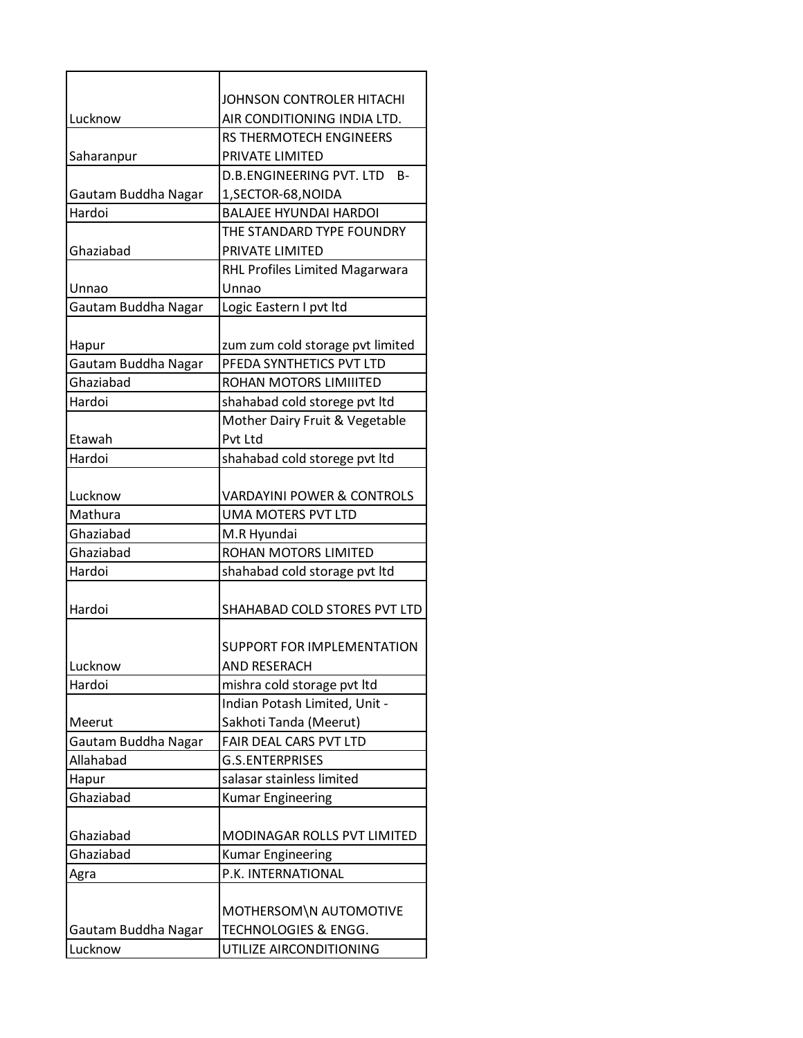|                        | <b>JOHNSON CONTROLER HITACHI</b>      |
|------------------------|---------------------------------------|
| Lucknow                | AIR CONDITIONING INDIA LTD.           |
|                        | <b>RS THERMOTECH ENGINEERS</b>        |
| Saharanpur             | PRIVATE LIMITED                       |
|                        | D.B.ENGINEERING PVT. LTD<br>B-        |
| Gautam Buddha Nagar    | 1, SECTOR-68, NOIDA                   |
| Hardoi                 | <b>BALAIFF HYUNDAI HARDOI</b>         |
|                        | THE STANDARD TYPE FOUNDRY             |
| Ghaziabad              | PRIVATE LIMITED                       |
|                        | <b>RHL Profiles Limited Magarwara</b> |
| Unnao                  | Unnao                                 |
| Gautam Buddha Nagar    | Logic Eastern I pvt Itd               |
|                        |                                       |
| Hapur                  | zum zum cold storage pvt limited      |
| Gautam Buddha Nagar    | PFEDA SYNTHETICS PVT LTD              |
| Ghaziabad              | ROHAN MOTORS LIMIIITED                |
| Hardoi                 | shahabad cold storege pvt ltd         |
|                        | Mother Dairy Fruit & Vegetable        |
| Etawah                 | Pvt Ltd                               |
| Hardoi                 | shahabad cold storege pvt ltd         |
|                        |                                       |
| Lucknow                | <b>VARDAYINI POWER &amp; CONTROLS</b> |
| Mathura                | UMA MOTERS PVT LTD                    |
| Ghaziabad              | M.R Hyundai                           |
| Ghaziabad              | ROHAN MOTORS LIMITED                  |
| Hardoi                 | shahabad cold storage pvt ltd         |
|                        |                                       |
| Hardoi                 | SHAHABAD COLD STORES PVT LTD          |
|                        |                                       |
|                        | <b>SUPPORT FOR IMPLEMENTATION</b>     |
| Lucknow                | <b>AND RESERACH</b>                   |
| Hardoi                 | mishra cold storage pvt ltd           |
|                        | Indian Potash Limited, Unit -         |
| Meerut                 | Sakhoti Tanda (Meerut)                |
| Gautam Buddha Nagar    | FAIR DEAL CARS PVT LTD                |
| Allahabad              | <b>G.S.ENTERPRISES</b>                |
| Hapur                  | salasar stainless limited             |
| Ghaziabad              | <b>Kumar Engineering</b>              |
|                        |                                       |
| Ghaziabad<br>Ghaziabad | MODINAGAR ROLLS PVT LIMITED           |
|                        | <b>Kumar Engineering</b>              |
| Agra                   | P.K. INTERNATIONAL                    |
|                        |                                       |
|                        | MOTHERSOM\N AUTOMOTIVE                |
| Gautam Buddha Nagar    | TECHNOLOGIES & ENGG.                  |
| Lucknow                | UTILIZE AIRCONDITIONING               |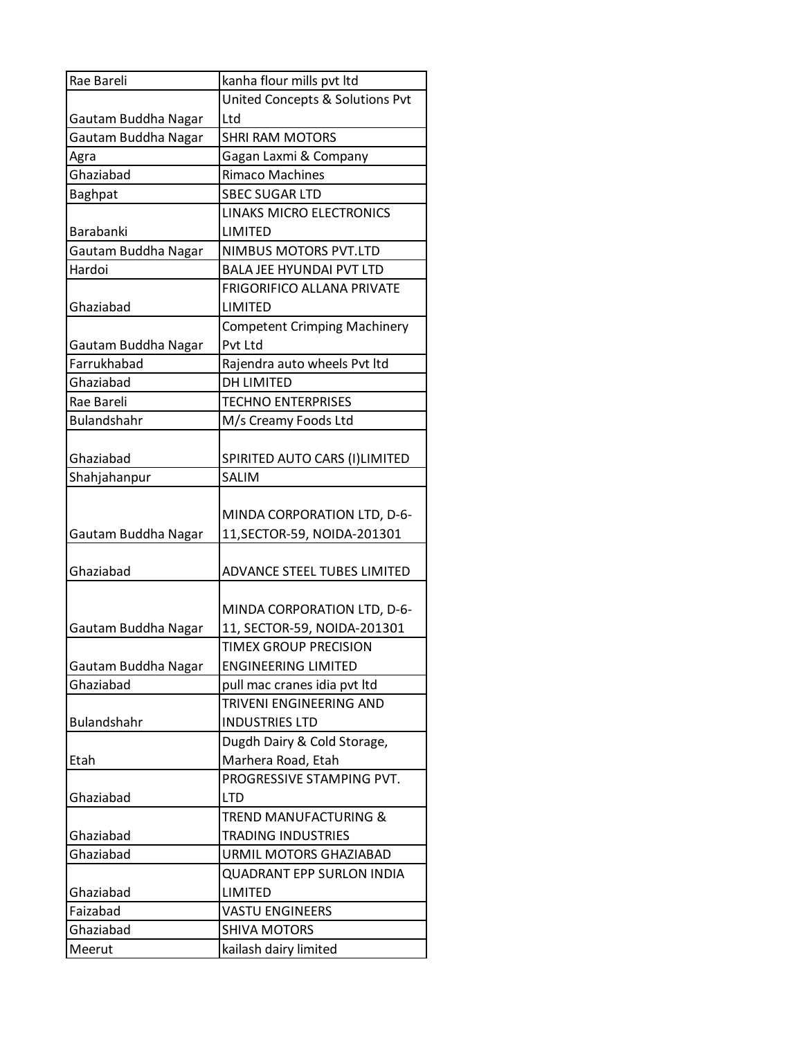| Rae Bareli          | kanha flour mills pvt ltd                  |
|---------------------|--------------------------------------------|
|                     | <b>United Concepts &amp; Solutions Pvt</b> |
| Gautam Buddha Nagar | Ltd                                        |
| Gautam Buddha Nagar | <b>SHRI RAM MOTORS</b>                     |
| Agra                | Gagan Laxmi & Company                      |
| Ghaziabad           | <b>Rimaco Machines</b>                     |
| <b>Baghpat</b>      | <b>SBEC SUGAR LTD</b>                      |
|                     | LINAKS MICRO ELECTRONICS                   |
| Barabanki           | LIMITED                                    |
| Gautam Buddha Nagar | NIMBUS MOTORS PVT.LTD                      |
| Hardoi              | <b>BALA JEE HYUNDAI PVT LTD</b>            |
|                     | <b>FRIGORIFICO ALLANA PRIVATE</b>          |
| Ghaziabad           | LIMITED                                    |
|                     | <b>Competent Crimping Machinery</b>        |
| Gautam Buddha Nagar | Pvt Ltd                                    |
| Farrukhabad         | Rajendra auto wheels Pvt ltd               |
| Ghaziabad           | <b>DH LIMITED</b>                          |
| Rae Bareli          | <b>TECHNO ENTERPRISES</b>                  |
| Bulandshahr         | M/s Creamy Foods Ltd                       |
|                     |                                            |
| Ghaziabad           | SPIRITED AUTO CARS (I)LIMITED              |
| Shahjahanpur        | <b>SALIM</b>                               |
|                     |                                            |
|                     | MINDA CORPORATION LTD, D-6-                |
| Gautam Buddha Nagar | 11, SECTOR-59, NOIDA-201301                |
|                     |                                            |
| Ghaziabad           | ADVANCE STEEL TUBES LIMITED                |
|                     |                                            |
|                     | MINDA CORPORATION LTD, D-6-                |
| Gautam Buddha Nagar | 11, SECTOR-59, NOIDA-201301                |
|                     | <b>TIMEX GROUP PRECISION</b>               |
| Gautam Buddha Nagar | <b>ENGINEERING LIMITED</b>                 |
| Ghaziabad           | pull mac cranes idia pvt ltd               |
|                     | TRIVENI ENGINEERING AND                    |
| <b>Bulandshahr</b>  | <b>INDUSTRIES LTD</b>                      |
|                     | Dugdh Dairy & Cold Storage,                |
| Etah                | Marhera Road, Etah                         |
|                     | PROGRESSIVE STAMPING PVT.                  |
| Ghaziabad           | <b>LTD</b>                                 |
|                     | TREND MANUFACTURING &                      |
| Ghaziabad           | <b>TRADING INDUSTRIES</b>                  |
| Ghaziabad           | URMIL MOTORS GHAZIABAD                     |
|                     | <b>QUADRANT EPP SURLON INDIA</b>           |
| Ghaziabad           | LIMITED                                    |
| Faizabad            | <b>VASTU ENGINEERS</b>                     |
| Ghaziabad           | <b>SHIVA MOTORS</b>                        |
| Meerut              | kailash dairy limited                      |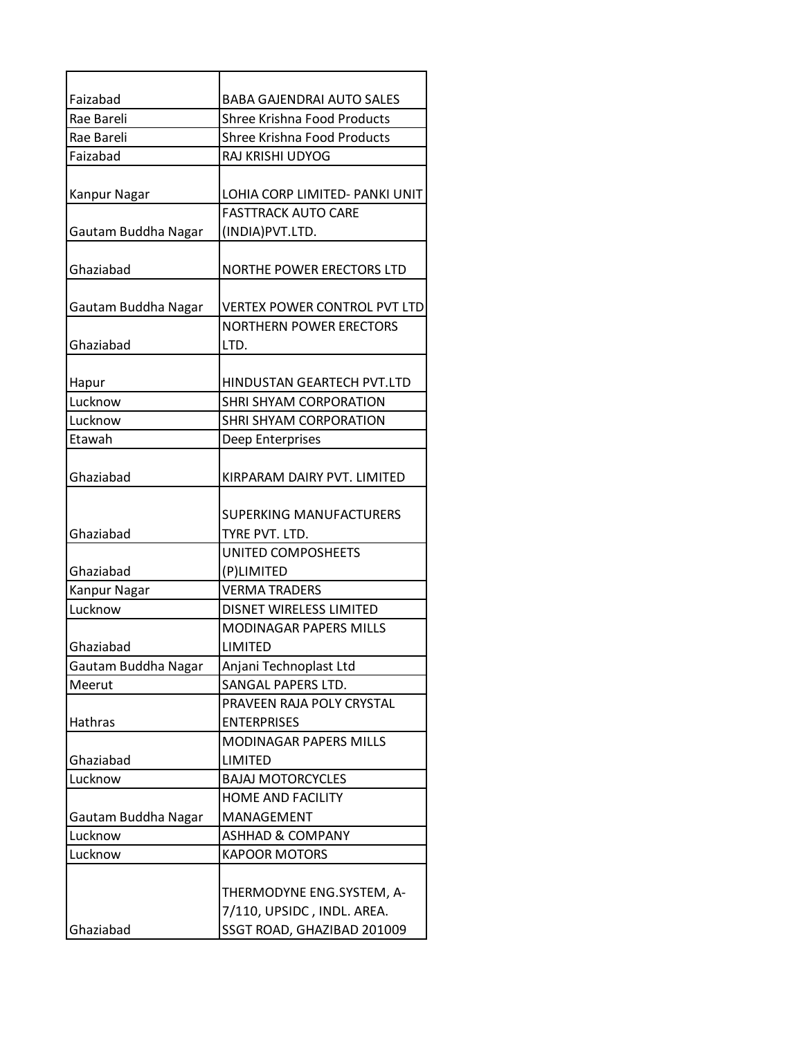| Faizabad            | BABA GAJENDRAI AUTO SALES           |
|---------------------|-------------------------------------|
| Rae Bareli          | Shree Krishna Food Products         |
| Rae Bareli          | <b>Shree Krishna Food Products</b>  |
| Faizabad            | RAJ KRISHI UDYOG                    |
|                     |                                     |
| Kanpur Nagar        | LOHIA CORP LIMITED- PANKI UNIT      |
|                     | <b>FASTTRACK AUTO CARE</b>          |
| Gautam Buddha Nagar | (INDIA) PVT.LTD.                    |
|                     |                                     |
| Ghaziabad           | NORTHE POWER ERECTORS LTD           |
|                     |                                     |
| Gautam Buddha Nagar | <b>VERTEX POWER CONTROL PVT LTD</b> |
|                     | <b>NORTHERN POWER ERECTORS</b>      |
| Ghaziabad           | LTD.                                |
|                     | HINDUSTAN GEARTECH PVT.LTD          |
| Hapur<br>Lucknow    | SHRI SHYAM CORPORATION              |
| Lucknow             | SHRI SHYAM CORPORATION              |
| Etawah              |                                     |
|                     | Deep Enterprises                    |
| Ghaziabad           | KIRPARAM DAIRY PVT. LIMITED         |
|                     |                                     |
|                     | <b>SUPERKING MANUFACTURERS</b>      |
| Ghaziabad           | TYRE PVT. LTD.                      |
|                     | UNITED COMPOSHEETS                  |
| Ghaziabad           | (P)LIMITED                          |
| Kanpur Nagar        | <b>VERMA TRADERS</b>                |
| Lucknow             | <b>DISNET WIRELESS LIMITED</b>      |
|                     | <b>MODINAGAR PAPERS MILLS</b>       |
| Ghaziabad           | LIMITED                             |
| Gautam Buddha Nagar | Anjani Technoplast Ltd              |
| Meerut              | SANGAL PAPERS LTD.                  |
|                     | PRAVEEN RAJA POLY CRYSTAL           |
| Hathras             | <b>ENTERPRISES</b>                  |
|                     | <b>MODINAGAR PAPERS MILLS</b>       |
| Ghaziabad           | <b>LIMITED</b>                      |
| Lucknow             | <b>BAJAJ MOTORCYCLES</b>            |
|                     | HOME AND FACILITY                   |
| Gautam Buddha Nagar | MANAGEMENT                          |
| Lucknow             | <b>ASHHAD &amp; COMPANY</b>         |
| Lucknow             | <b>KAPOOR MOTORS</b>                |
|                     |                                     |
|                     | THERMODYNE ENG.SYSTEM, A-           |
|                     | 7/110, UPSIDC, INDL. AREA.          |
| Ghaziabad           | SSGT ROAD, GHAZIBAD 201009          |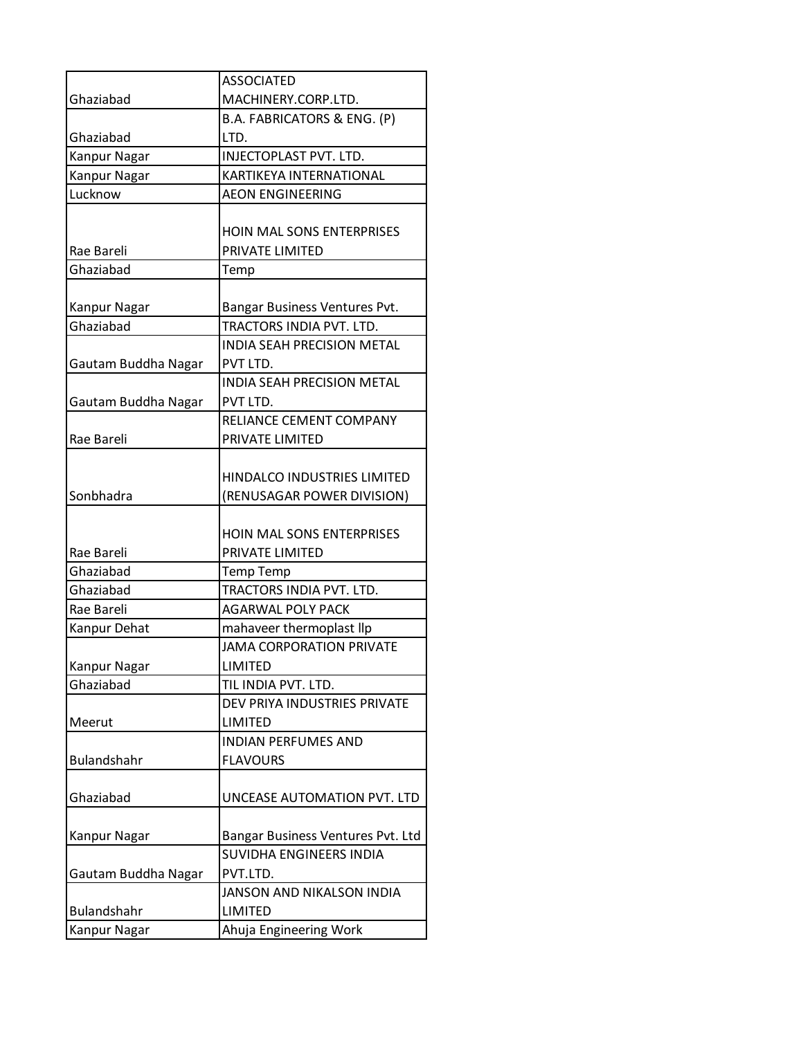|                     | <b>ASSOCIATED</b>                 |
|---------------------|-----------------------------------|
| Ghaziabad           | MACHINERY.CORP.LTD.               |
|                     | B.A. FABRICATORS & ENG. (P)       |
| Ghaziabad           | LTD.                              |
| <b>Kanpur Nagar</b> | INJECTOPLAST PVT. LTD.            |
| Kanpur Nagar        | KARTIKEYA INTERNATIONAL           |
| Lucknow             | <b>AEON ENGINEERING</b>           |
|                     |                                   |
|                     | <b>HOIN MAL SONS ENTERPRISES</b>  |
| Rae Bareli          | PRIVATE LIMITED                   |
| Ghaziabad           | Temp                              |
|                     |                                   |
| Kanpur Nagar        | Bangar Business Ventures Pvt.     |
| Ghaziabad           | TRACTORS INDIA PVT. LTD.          |
|                     | <b>INDIA SEAH PRECISION METAL</b> |
| Gautam Buddha Nagar | PVT LTD.                          |
|                     | INDIA SEAH PRECISION METAL        |
| Gautam Buddha Nagar | PVT LTD.                          |
|                     | RELIANCE CEMENT COMPANY           |
| Rae Bareli          | PRIVATE LIMITED                   |
|                     |                                   |
|                     | HINDALCO INDUSTRIES LIMITED       |
| Sonbhadra           | (RENUSAGAR POWER DIVISION)        |
|                     |                                   |
|                     | <b>HOIN MAL SONS ENTERPRISES</b>  |
| Rae Bareli          | PRIVATE LIMITED                   |
| Ghaziabad           | <b>Temp Temp</b>                  |
| Ghaziabad           | TRACTORS INDIA PVT. LTD.          |
| Rae Bareli          | <b>AGARWAL POLY PACK</b>          |
| Kanpur Dehat        | mahaveer thermoplast llp          |
|                     | <b>JAMA CORPORATION PRIVATE</b>   |
| Kanpur Nagar        | LIMITED                           |
| Ghaziabad           | TIL INDIA PVT. LTD.               |
|                     | DEV PRIYA INDUSTRIES PRIVATE      |
| Meerut              | LIMITED                           |
|                     | <b>INDIAN PERFUMES AND</b>        |
| Bulandshahr         | <b>FLAVOURS</b>                   |
|                     |                                   |
| Ghaziabad           | UNCEASE AUTOMATION PVT. LTD       |
|                     |                                   |
| Kanpur Nagar        | Bangar Business Ventures Pvt. Ltd |
|                     | SUVIDHA ENGINEERS INDIA           |
| Gautam Buddha Nagar | PVT.LTD.                          |
|                     | JANSON AND NIKALSON INDIA         |
| Bulandshahr         | LIMITED                           |
| Kanpur Nagar        | Ahuja Engineering Work            |
|                     |                                   |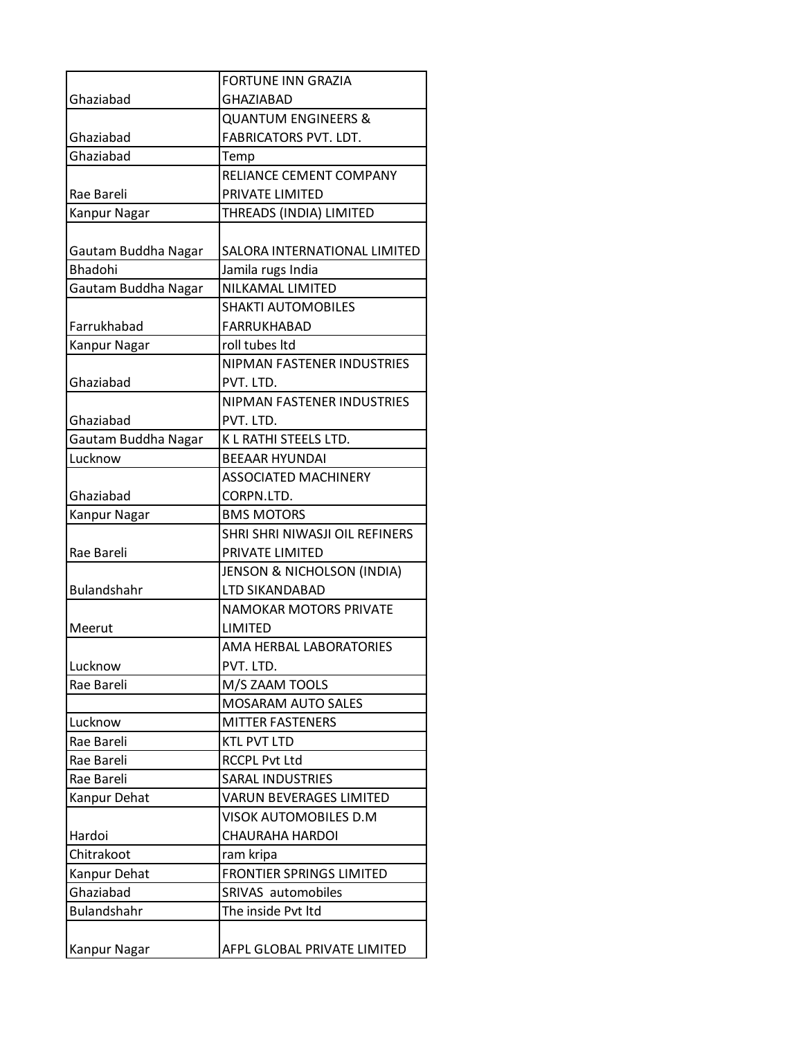|                           | <b>FORTUNE INN GRAZIA</b>                              |
|---------------------------|--------------------------------------------------------|
| Ghaziabad                 | <b>GHAZIABAD</b>                                       |
|                           | <b>QUANTUM ENGINEERS &amp;</b>                         |
| Ghaziabad                 | <b>FABRICATORS PVT. LDT.</b>                           |
| Ghaziabad                 | Temp                                                   |
|                           | RELIANCE CEMENT COMPANY                                |
| Rae Bareli                | PRIVATE LIMITED                                        |
| Kanpur Nagar              | THREADS (INDIA) LIMITED                                |
|                           |                                                        |
| Gautam Buddha Nagar       | SALORA INTERNATIONAL LIMITED                           |
| <b>Bhadohi</b>            | Jamila rugs India                                      |
| Gautam Buddha Nagar       | <b>NILKAMAL LIMITED</b>                                |
|                           | <b>SHAKTI AUTOMOBILES</b>                              |
| Farrukhabad               | FARRUKHABAD                                            |
| Kanpur Nagar              | roll tubes Itd                                         |
|                           | <b>NIPMAN FASTENER INDUSTRIES</b>                      |
| Ghaziabad                 | PVT. LTD.                                              |
|                           | NIPMAN FASTENER INDUSTRIES                             |
| Ghaziabad                 | PVT. LTD.                                              |
| Gautam Buddha Nagar       | K L RATHI STEELS LTD.                                  |
| Lucknow                   | <b>BEEAAR HYUNDAI</b>                                  |
|                           | <b>ASSOCIATED MACHINERY</b>                            |
| Ghaziabad                 | CORPN.LTD.                                             |
| Kanpur Nagar              | <b>BMS MOTORS</b>                                      |
|                           | SHRI SHRI NIWASJI OIL REFINERS                         |
| Rae Bareli                | PRIVATE LIMITED                                        |
|                           | <b>JENSON &amp; NICHOLSON (INDIA)</b>                  |
| Bulandshahr               | LTD SIKANDABAD                                         |
|                           | <b>NAMOKAR MOTORS PRIVATE</b>                          |
| Meerut                    | LIMITED                                                |
|                           | AMA HERBAL LABORATORIES                                |
| Lucknow                   | PVT. LTD.                                              |
| Rae Bareli                | M/S ZAAM TOOLS                                         |
|                           | <b>MOSARAM AUTO SALES</b>                              |
| Lucknow                   | <b>MITTER FASTENERS</b>                                |
| Rae Bareli                | <b>KTL PVT LTD</b>                                     |
| Rae Bareli                | <b>RCCPL Pvt Ltd</b>                                   |
| Rae Bareli                | <b>SARAL INDUSTRIES</b>                                |
| Kanpur Dehat              | <b>VARUN BEVERAGES LIMITED</b>                         |
| Hardoi                    | <b>VISOK AUTOMOBILES D.M</b><br><b>CHAURAHA HARDOI</b> |
| Chitrakoot                |                                                        |
|                           | ram kripa<br><b>FRONTIER SPRINGS LIMITED</b>           |
| Kanpur Dehat<br>Ghaziabad | SRIVAS automobiles                                     |
| <b>Bulandshahr</b>        | The inside Pvt Itd                                     |
|                           |                                                        |
|                           | AFPL GLOBAL PRIVATE LIMITED                            |
| Kanpur Nagar              |                                                        |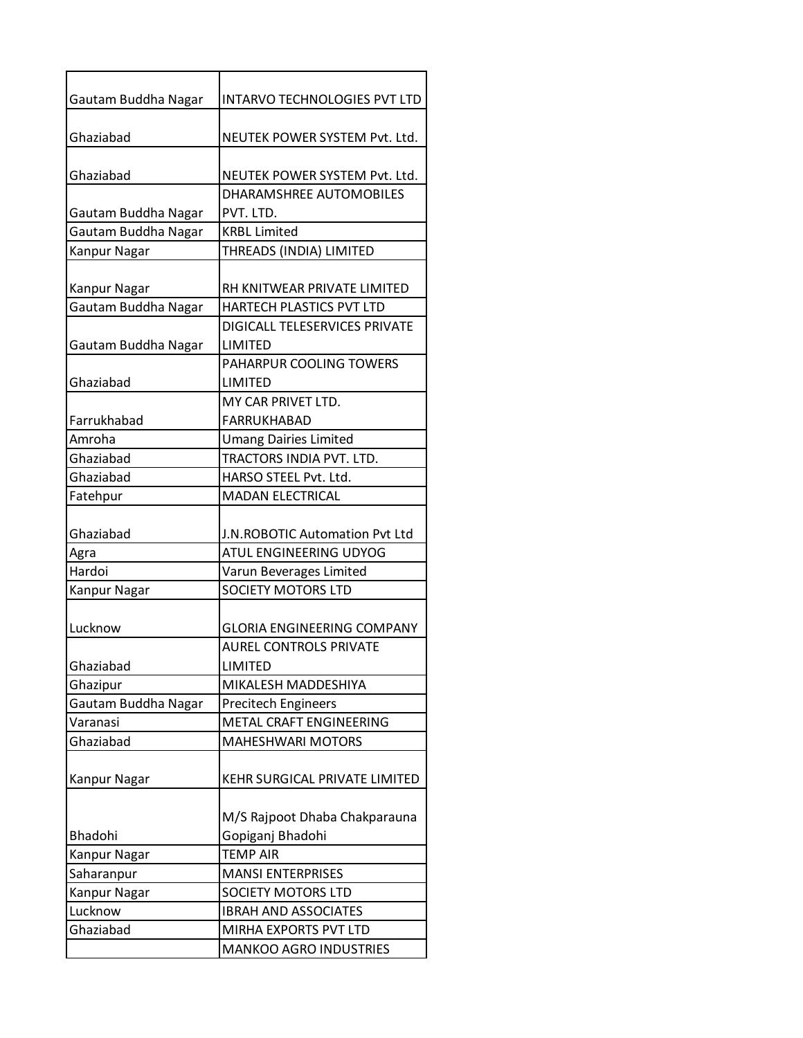| Gautam Buddha Nagar | <b>INTARVO TECHNOLOGIES PVT LTD</b> |
|---------------------|-------------------------------------|
| Ghaziabad           | NEUTEK POWER SYSTEM Pvt. Ltd.       |
| Ghaziabad           | NEUTEK POWER SYSTEM Pvt. Ltd.       |
|                     | DHARAMSHREE AUTOMOBILES             |
| Gautam Buddha Nagar | PVT. LTD.                           |
| Gautam Buddha Nagar | <b>KRBL Limited</b>                 |
| Kanpur Nagar        | THREADS (INDIA) LIMITED             |
| Kanpur Nagar        | RH KNITWEAR PRIVATE LIMITED         |
| Gautam Buddha Nagar | HARTECH PLASTICS PVT LTD            |
|                     | DIGICALL TELESERVICES PRIVATE       |
| Gautam Buddha Nagar | LIMITED                             |
|                     | PAHARPUR COOLING TOWERS             |
| Ghaziabad           | LIMITED                             |
|                     | MY CAR PRIVET LTD.                  |
| Farrukhabad         | <b>FARRUKHABAD</b>                  |
| Amroha              | <b>Umang Dairies Limited</b>        |
| Ghaziabad           | TRACTORS INDIA PVT. LTD.            |
| Ghaziabad           | HARSO STEEL Pvt. Ltd.               |
| Fatehpur            | <b>MADAN ELECTRICAL</b>             |
|                     |                                     |
| Ghaziabad           | J.N.ROBOTIC Automation Pvt Ltd      |
| Agra                | ATUL ENGINEERING UDYOG              |
| Hardoi              | Varun Beverages Limited             |
| Kanpur Nagar        | <b>SOCIETY MOTORS LTD</b>           |
|                     |                                     |
| Lucknow             | <b>GLORIA ENGINEERING COMPANY</b>   |
|                     | <b>AUREL CONTROLS PRIVATE</b>       |
| Ghaziabad           | LIMITED                             |
| Ghazipur            | MIKALESH MADDESHIYA                 |
| Gautam Buddha Nagar | <b>Precitech Engineers</b>          |
| Varanasi            | METAL CRAFT ENGINEERING             |
| Ghaziabad           | <b>MAHESHWARI MOTORS</b>            |
|                     |                                     |
| <b>Kanpur Nagar</b> | KEHR SURGICAL PRIVATE LIMITED       |
|                     |                                     |
|                     | M/S Rajpoot Dhaba Chakparauna       |
| <b>Bhadohi</b>      | Gopiganj Bhadohi                    |
| Kanpur Nagar        | <b>TEMP AIR</b>                     |
| Saharanpur          | <b>MANSI ENTERPRISES</b>            |
| Kanpur Nagar        | SOCIETY MOTORS LTD                  |
| Lucknow             | <b>IBRAH AND ASSOCIATES</b>         |
| Ghaziabad           | MIRHA EXPORTS PVT LTD               |
|                     | <b>MANKOO AGRO INDUSTRIES</b>       |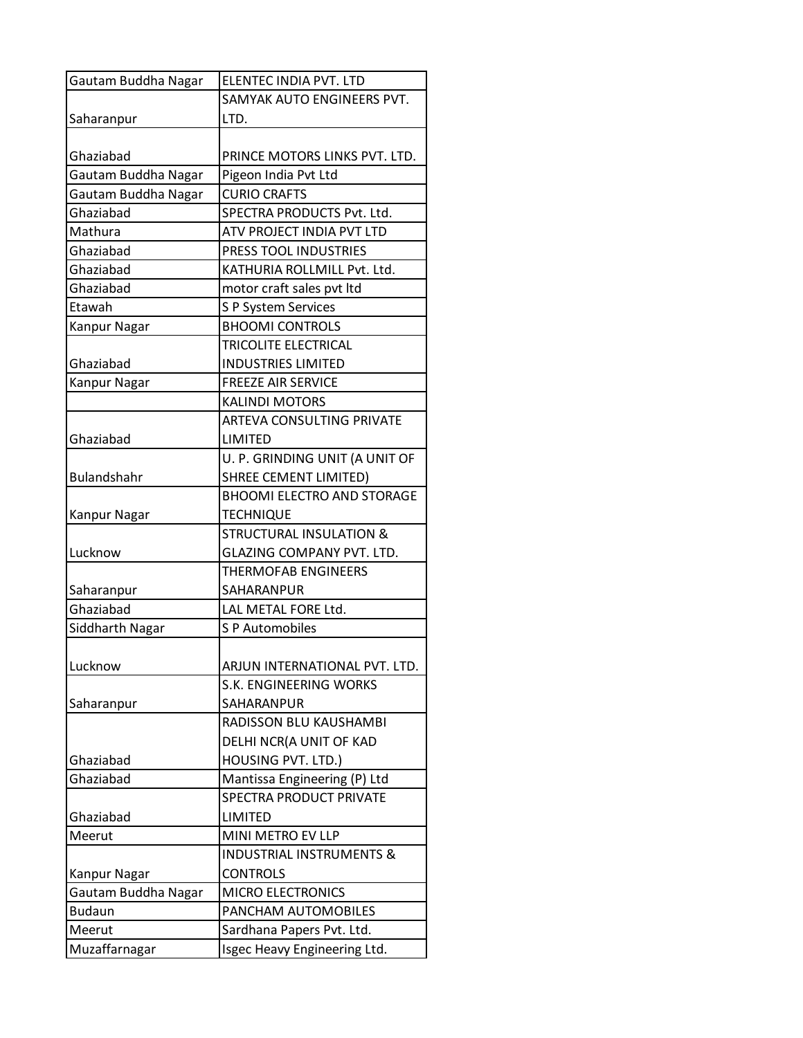| Gautam Buddha Nagar | ELENTEC INDIA PVT. LTD              |
|---------------------|-------------------------------------|
|                     | SAMYAK AUTO ENGINEERS PVT.          |
| Saharanpur          | LTD.                                |
|                     |                                     |
| Ghaziabad           | PRINCE MOTORS LINKS PVT. LTD.       |
| Gautam Buddha Nagar | Pigeon India Pvt Ltd                |
| Gautam Buddha Nagar | <b>CURIO CRAFTS</b>                 |
| Ghaziabad           | SPECTRA PRODUCTS Pvt. Ltd.          |
| Mathura             | ATV PROJECT INDIA PVT LTD           |
| Ghaziabad           | PRESS TOOL INDUSTRIES               |
| Ghaziabad           | KATHURIA ROLLMILL Pvt. Ltd.         |
| Ghaziabad           | motor craft sales pvt ltd           |
| Etawah              | S P System Services                 |
| Kanpur Nagar        | <b>BHOOMI CONTROLS</b>              |
|                     | TRICOLITE ELECTRICAL                |
| Ghaziabad           | <b>INDUSTRIES LIMITED</b>           |
| <b>Kanpur Nagar</b> | <b>FREEZE AIR SERVICE</b>           |
|                     | <b>KALINDI MOTORS</b>               |
|                     | ARTEVA CONSULTING PRIVATE           |
| Ghaziabad           | <b>LIMITED</b>                      |
|                     | U. P. GRINDING UNIT (A UNIT OF      |
| Bulandshahr         | <b>SHREE CEMENT LIMITED)</b>        |
|                     | <b>BHOOMI ELECTRO AND STORAGE</b>   |
| Kanpur Nagar        | <b>TECHNIQUE</b>                    |
|                     | <b>STRUCTURAL INSULATION &amp;</b>  |
| Lucknow             | <b>GLAZING COMPANY PVT. LTD.</b>    |
|                     | <b>THERMOFAB ENGINEERS</b>          |
| Saharanpur          | SAHARANPUR                          |
| Ghaziabad           | LAL METAL FORE Ltd.                 |
| Siddharth Nagar     | S P Automobiles                     |
|                     |                                     |
| Lucknow             | ARJUN INTERNATIONAL PVT. LTD.       |
|                     | S.K. ENGINEERING WORKS              |
| Saharanpur          | SAHARANPUR                          |
|                     | RADISSON BLU KAUSHAMBI              |
|                     | DELHI NCR(A UNIT OF KAD             |
| Ghaziabad           | HOUSING PVT. LTD.)                  |
| Ghaziabad           | Mantissa Engineering (P) Ltd        |
|                     | SPECTRA PRODUCT PRIVATE             |
| Ghaziabad           | LIMITED                             |
| Meerut              | MINI METRO EV LLP                   |
|                     | <b>INDUSTRIAL INSTRUMENTS &amp;</b> |
| Kanpur Nagar        | <b>CONTROLS</b>                     |
| Gautam Buddha Nagar | <b>MICRO ELECTRONICS</b>            |
| <b>Budaun</b>       | PANCHAM AUTOMOBILES                 |
| Meerut              | Sardhana Papers Pvt. Ltd.           |
| Muzaffarnagar       | Isgec Heavy Engineering Ltd.        |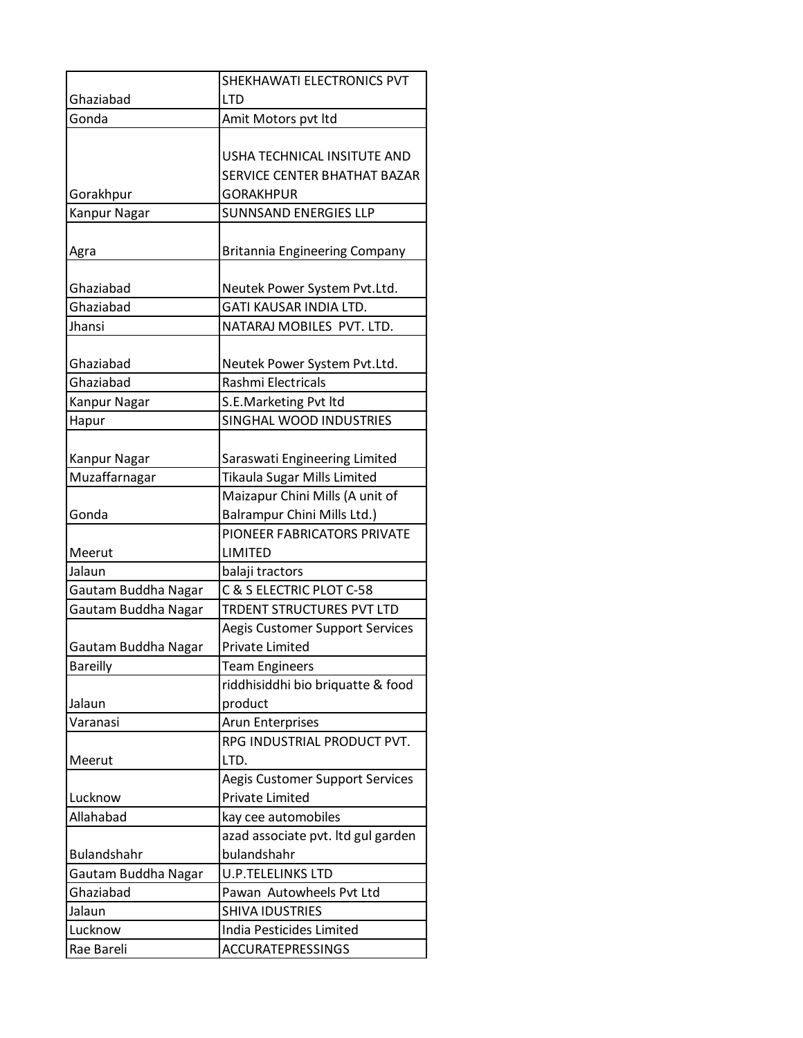|                               | SHEKHAWATI ELECTRONICS PVT                                          |
|-------------------------------|---------------------------------------------------------------------|
| Ghaziabad                     | LTD                                                                 |
| Gonda                         | Amit Motors pvt Itd                                                 |
|                               |                                                                     |
|                               | USHA TECHNICAL INSITUTE AND                                         |
|                               | SERVICE CENTER BHATHAT BAZAR                                        |
| Gorakhpur                     | <b>GORAKHPUR</b>                                                    |
| Kanpur Nagar                  | <b>SUNNSAND ENERGIES LLP</b>                                        |
|                               |                                                                     |
| Agra                          | <b>Britannia Engineering Company</b>                                |
|                               |                                                                     |
| Ghaziabad                     | Neutek Power System Pvt.Ltd.                                        |
| Ghaziabad                     | <b>GATI KAUSAR INDIA LTD.</b>                                       |
| Jhansi                        | NATARAJ MOBILES PVT. LTD.                                           |
|                               |                                                                     |
| Ghaziabad                     | Neutek Power System Pvt.Ltd.                                        |
| Ghaziabad                     | Rashmi Electricals                                                  |
| Kanpur Nagar                  | S.E.Marketing Pvt ltd                                               |
| Hapur                         | SINGHAL WOOD INDUSTRIES                                             |
|                               |                                                                     |
| Kanpur Nagar<br>Muzaffarnagar | Saraswati Engineering Limited<br><b>Tikaula Sugar Mills Limited</b> |
|                               | Maizapur Chini Mills (A unit of                                     |
| Gonda                         | Balrampur Chini Mills Ltd.)                                         |
|                               | PIONEER FABRICATORS PRIVATE                                         |
| Meerut                        | LIMITED                                                             |
| Jalaun                        | balaji tractors                                                     |
| Gautam Buddha Nagar           | C & S ELECTRIC PLOT C-58                                            |
| Gautam Buddha Nagar           | TRDENT STRUCTURES PVT LTD                                           |
|                               | Aegis Customer Support Services                                     |
| Gautam Buddha Nagar           | <b>Private Limited</b>                                              |
| <b>Bareilly</b>               | <b>Team Engineers</b>                                               |
|                               | riddhisiddhi bio briquatte & food                                   |
| Jalaun                        | product                                                             |
| Varanasi                      | <b>Arun Enterprises</b>                                             |
|                               | RPG INDUSTRIAL PRODUCT PVT.                                         |
| Meerut                        | LTD.                                                                |
|                               | Aegis Customer Support Services                                     |
| Lucknow                       | <b>Private Limited</b>                                              |
| Allahabad                     | kay cee automobiles                                                 |
|                               | azad associate pvt. Itd gul garden                                  |
| <b>Bulandshahr</b>            | bulandshahr                                                         |
| Gautam Buddha Nagar           | U.P.TELELINKS LTD                                                   |
| Ghaziabad                     | Pawan Autowheels Pvt Ltd                                            |
| Jalaun                        | <b>SHIVA IDUSTRIES</b>                                              |
| Lucknow                       | India Pesticides Limited                                            |
| Rae Bareli                    | ACCURATEPRESSINGS                                                   |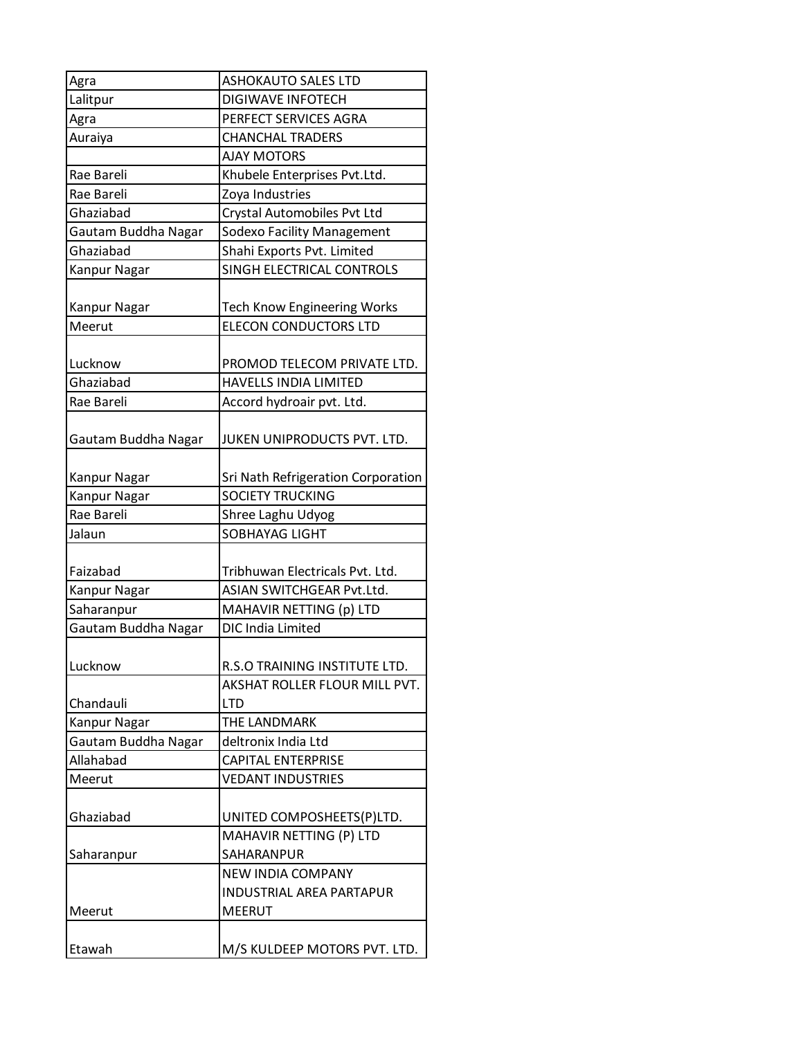| Agra                | ASHOKAUTO SALES LTD                |
|---------------------|------------------------------------|
| Lalitpur            | <b>DIGIWAVE INFOTECH</b>           |
| Agra                | PERFECT SERVICES AGRA              |
| Auraiya             | <b>CHANCHAL TRADERS</b>            |
|                     | <b>AJAY MOTORS</b>                 |
| Rae Bareli          | Khubele Enterprises Pvt.Ltd.       |
| Rae Bareli          | Zoya Industries                    |
| Ghaziabad           | Crystal Automobiles Pvt Ltd        |
| Gautam Buddha Nagar | <b>Sodexo Facility Management</b>  |
| Ghaziabad           | Shahi Exports Pvt. Limited         |
| Kanpur Nagar        | SINGH ELECTRICAL CONTROLS          |
|                     |                                    |
| Kanpur Nagar        | <b>Tech Know Engineering Works</b> |
| Meerut              | <b>ELECON CONDUCTORS LTD</b>       |
|                     |                                    |
| Lucknow             | PROMOD TELECOM PRIVATE LTD.        |
| Ghaziabad           | <b>HAVELLS INDIA LIMITED</b>       |
| Rae Bareli          | Accord hydroair pvt. Ltd.          |
|                     |                                    |
| Gautam Buddha Nagar | JUKEN UNIPRODUCTS PVT. LTD.        |
|                     |                                    |
| Kanpur Nagar        | Sri Nath Refrigeration Corporation |
| Kanpur Nagar        | <b>SOCIETY TRUCKING</b>            |
| Rae Bareli          | Shree Laghu Udyog                  |
| Jalaun              | SOBHAYAG LIGHT                     |
|                     |                                    |
| Faizabad            | Tribhuwan Electricals Pvt. Ltd.    |
| Kanpur Nagar        | ASIAN SWITCHGEAR Pvt.Ltd.          |
| Saharanpur          | MAHAVIR NETTING (p) LTD            |
| Gautam Buddha Nagar | DIC India Limited                  |
|                     |                                    |
| Lucknow             | R.S.O TRAINING INSTITUTE LTD.      |
|                     | AKSHAT ROLLER FLOUR MILL PVT.      |
| Chandauli           | <b>LTD</b>                         |
| Kanpur Nagar        | THE LANDMARK                       |
| Gautam Buddha Nagar | deltronix India Ltd                |
| Allahabad           | <b>CAPITAL ENTERPRISE</b>          |
| Meerut              | <b>VEDANT INDUSTRIES</b>           |
|                     |                                    |
| Ghaziabad           | UNITED COMPOSHEETS(P)LTD.          |
|                     | MAHAVIR NETTING (P) LTD            |
| Saharanpur          | SAHARANPUR                         |
|                     | <b>NEW INDIA COMPANY</b>           |
|                     | <b>INDUSTRIAL AREA PARTAPUR</b>    |
| Meerut              | <b>MEERUT</b>                      |
|                     |                                    |
| Etawah              | M/S KULDEEP MOTORS PVT. LTD.       |
|                     |                                    |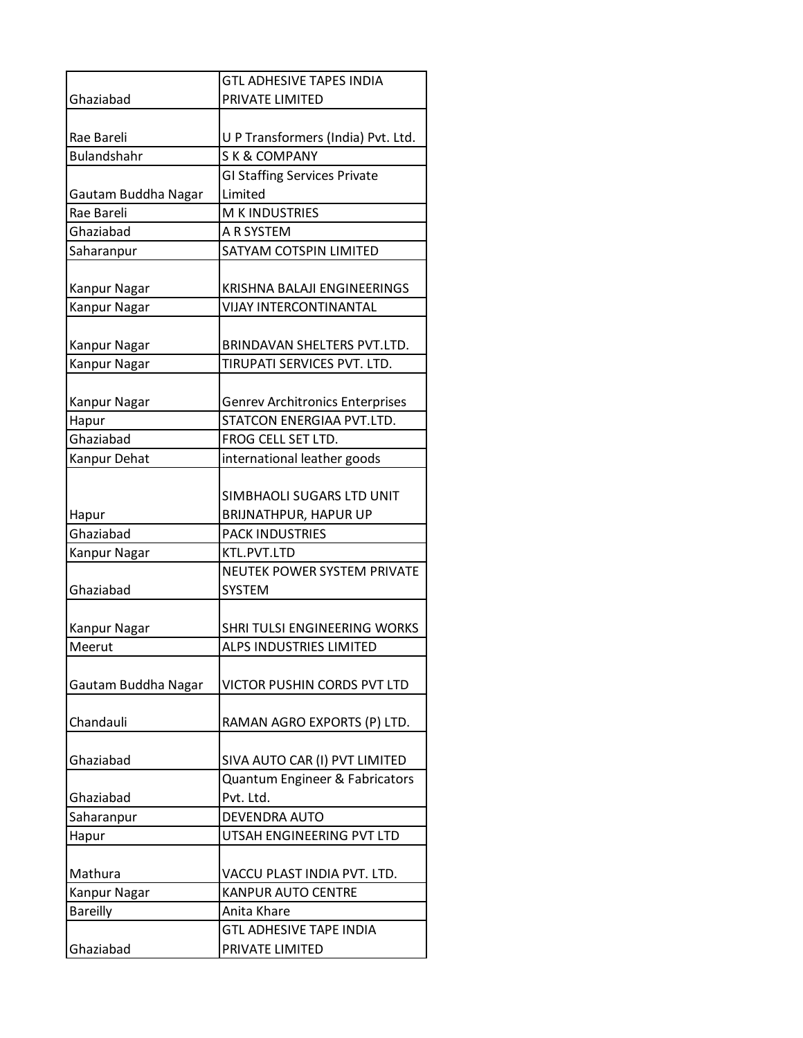|                     | <b>GTL ADHESIVE TAPES INDIA</b>                           |
|---------------------|-----------------------------------------------------------|
| Ghaziabad           | PRIVATE LIMITED                                           |
|                     |                                                           |
| Rae Bareli          | U P Transformers (India) Pvt. Ltd.                        |
| <b>Bulandshahr</b>  | <b>SK &amp; COMPANY</b>                                   |
|                     | <b>GI Staffing Services Private</b>                       |
| Gautam Buddha Nagar | Limited                                                   |
| Rae Bareli          | M K INDUSTRIES                                            |
| Ghaziabad           | A R SYSTEM                                                |
| Saharanpur          | SATYAM COTSPIN LIMITED                                    |
| Kanpur Nagar        | KRISHNA BALAJI ENGINEERINGS                               |
| Kanpur Nagar        | <b>VIJAY INTERCONTINANTAL</b>                             |
|                     |                                                           |
| Kanpur Nagar        | BRINDAVAN SHELTERS PVT.LTD.                               |
| Kanpur Nagar        | TIRUPATI SERVICES PVT. LTD.                               |
| Kanpur Nagar        | <b>Genrev Architronics Enterprises</b>                    |
| Hapur               | STATCON ENERGIAA PVT.LTD.                                 |
| Ghaziabad           | FROG CELL SET LTD.                                        |
| Kanpur Dehat        | international leather goods                               |
| Hapur               | SIMBHAOLI SUGARS LTD UNIT<br><b>BRIJNATHPUR, HAPUR UP</b> |
| Ghaziabad           | <b>PACK INDUSTRIES</b>                                    |
| Kanpur Nagar        | KTL.PVT.LTD                                               |
|                     | NEUTEK POWER SYSTEM PRIVATE                               |
| Ghaziabad           | <b>SYSTEM</b>                                             |
| Kanpur Nagar        | SHRI TULSI ENGINEERING WORKS                              |
| Meerut              | <b>ALPS INDUSTRIES LIMITED</b>                            |
|                     |                                                           |
| Gautam Buddha Nagar | VICTOR PUSHIN CORDS PVT LTD                               |
| Chandauli           | RAMAN AGRO EXPORTS (P) LTD.                               |
| Ghaziabad           | SIVA AUTO CAR (I) PVT LIMITED                             |
|                     | Quantum Engineer & Fabricators                            |
| Ghaziabad           | Pvt. Ltd.                                                 |
| Saharanpur          | <b>DEVENDRA AUTO</b>                                      |
| Hapur               | UTSAH ENGINEERING PVT LTD                                 |
|                     |                                                           |
| Mathura             | VACCU PLAST INDIA PVT. LTD.                               |
| Kanpur Nagar        | <b>KANPUR AUTO CENTRE</b>                                 |
| <b>Bareilly</b>     | Anita Khare                                               |
|                     | <b>GTL ADHESIVE TAPE INDIA</b>                            |
| Ghaziabad           | PRIVATE LIMITED                                           |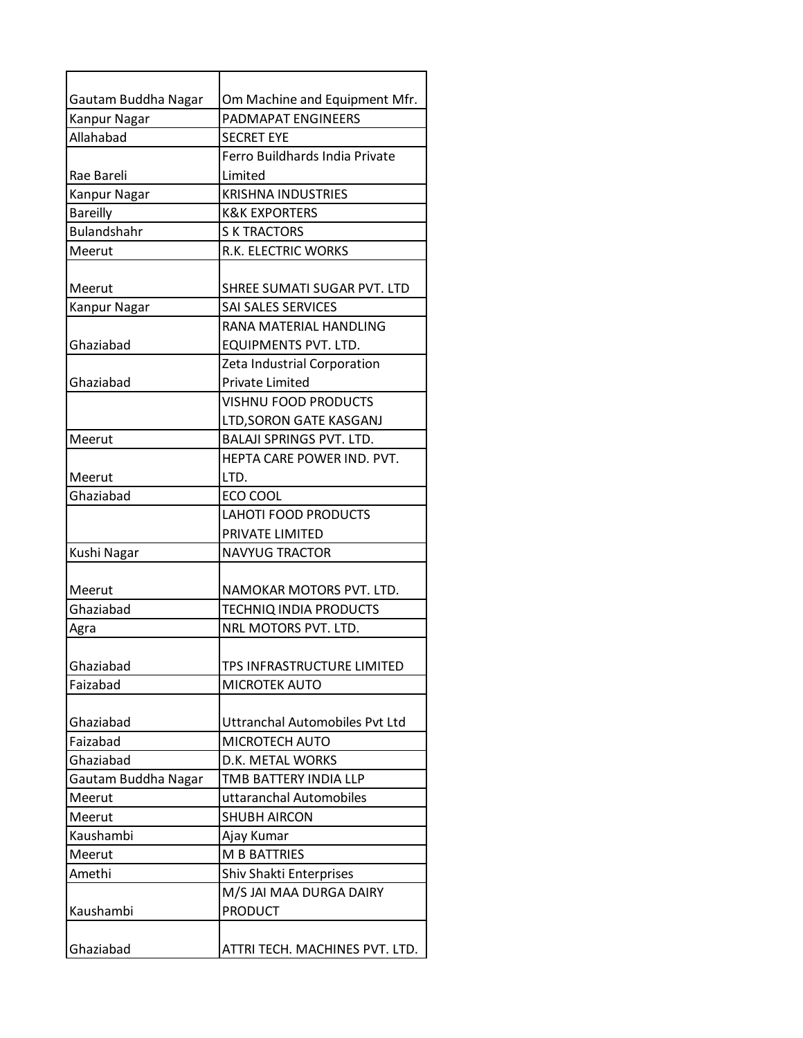| Gautam Buddha Nagar | Om Machine and Equipment Mfr.         |
|---------------------|---------------------------------------|
| Kanpur Nagar        | <b>PADMAPAT ENGINEERS</b>             |
| Allahabad           | <b>SECRET EYE</b>                     |
|                     | Ferro Buildhards India Private        |
| Rae Bareli          | Limited                               |
| <b>Kanpur Nagar</b> | <b>KRISHNA INDUSTRIES</b>             |
| <b>Bareilly</b>     | <b>K&amp;K EXPORTERS</b>              |
| <b>Bulandshahr</b>  | <b>S K TRACTORS</b>                   |
| Meerut              | R.K. ELECTRIC WORKS                   |
| Meerut              | SHREE SUMATI SUGAR PVT. LTD           |
| Kanpur Nagar        | SAI SALES SERVICES                    |
|                     | RANA MATERIAL HANDLING                |
| Ghaziabad           | <b>EQUIPMENTS PVT. LTD.</b>           |
|                     | Zeta Industrial Corporation           |
| Ghaziabad           | <b>Private Limited</b>                |
|                     | <b>VISHNU FOOD PRODUCTS</b>           |
|                     | LTD, SORON GATE KASGANJ               |
| Meerut              | <b>BALAJI SPRINGS PVT. LTD.</b>       |
|                     | HEPTA CARE POWER IND. PVT.            |
| Meerut              | LTD.                                  |
| Ghaziabad           | ECO COOL                              |
|                     | <b>LAHOTI FOOD PRODUCTS</b>           |
|                     | PRIVATE LIMITED                       |
| Kushi Nagar         | <b>NAVYUG TRACTOR</b>                 |
| Meerut              | NAMOKAR MOTORS PVT. LTD.              |
| Ghaziabad           | <b>TECHNIQ INDIA PRODUCTS</b>         |
| Agra                | NRL MOTORS PVT. LTD.                  |
|                     |                                       |
| Ghaziabad           | TPS INFRASTRUCTURE LIMITED            |
| Faizabad            | MICROTEK AUTO                         |
|                     |                                       |
| Ghaziabad           | <b>Uttranchal Automobiles Pvt Ltd</b> |
| Faizabad            | MICROTECH AUTO                        |
| Ghaziabad           | D.K. METAL WORKS                      |
| Gautam Buddha Nagar | TMB BATTERY INDIA LLP                 |
| Meerut              | uttaranchal Automobiles               |
| Meerut              | <b>SHUBH AIRCON</b>                   |
| Kaushambi           | Ajay Kumar                            |
| Meerut              | M B BATTRIES                          |
| Amethi              | Shiv Shakti Enterprises               |
|                     | M/S JAI MAA DURGA DAIRY               |
| Kaushambi           | <b>PRODUCT</b>                        |
|                     |                                       |
| Ghaziabad           | ATTRI TECH. MACHINES PVT. LTD.        |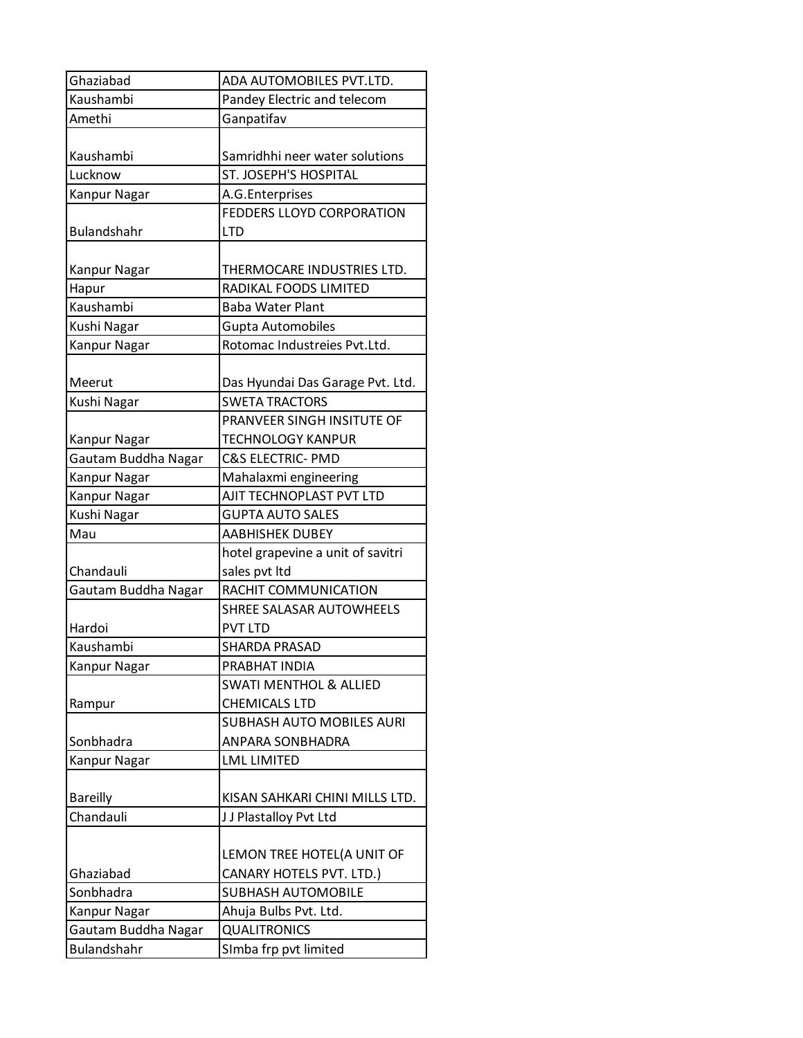| Ghaziabad           | ADA AUTOMOBILES PVT.LTD.          |
|---------------------|-----------------------------------|
| Kaushambi           | Pandey Electric and telecom       |
| Amethi              | Ganpatifav                        |
|                     |                                   |
| Kaushambi           | Samridhhi neer water solutions    |
| Lucknow             | ST. JOSEPH'S HOSPITAL             |
| Kanpur Nagar        | A.G.Enterprises                   |
|                     | <b>FEDDERS LLOYD CORPORATION</b>  |
| <b>Bulandshahr</b>  | <b>LTD</b>                        |
|                     |                                   |
| Kanpur Nagar        | THERMOCARE INDUSTRIES LTD.        |
| Hapur               | RADIKAL FOODS LIMITED             |
| Kaushambi           | <b>Baba Water Plant</b>           |
| Kushi Nagar         | Gupta Automobiles                 |
| Kanpur Nagar        | Rotomac Industreies Pvt.Ltd.      |
|                     |                                   |
| Meerut              | Das Hyundai Das Garage Pvt. Ltd.  |
| Kushi Nagar         | <b>SWETA TRACTORS</b>             |
|                     | PRANVEER SINGH INSITUTE OF        |
| Kanpur Nagar        | <b>TECHNOLOGY KANPUR</b>          |
| Gautam Buddha Nagar | <b>C&amp;S ELECTRIC- PMD</b>      |
| Kanpur Nagar        | Mahalaxmi engineering             |
| Kanpur Nagar        | AJIT TECHNOPLAST PVT LTD          |
| Kushi Nagar         | <b>GUPTA AUTO SALES</b>           |
| Mau                 | <b>AABHISHEK DUBEY</b>            |
|                     | hotel grapevine a unit of savitri |
| Chandauli           | sales pvt ltd                     |
| Gautam Buddha Nagar | RACHIT COMMUNICATION              |
|                     | SHREE SALASAR AUTOWHEELS          |
| Hardoi              | <b>PVT LTD</b>                    |
| Kaushambi           | <b>SHARDA PRASAD</b>              |
| Kanpur Nagar        | PRABHAT INDIA                     |
|                     | <b>SWATI MENTHOL &amp; ALLIED</b> |
| Rampur              | <b>CHEMICALS LTD</b>              |
|                     | <b>SUBHASH AUTO MOBILES AURI</b>  |
| Sonbhadra           | ANPARA SONBHADRA                  |
| Kanpur Nagar        | <b>LML LIMITED</b>                |
|                     |                                   |
| <b>Bareilly</b>     | KISAN SAHKARI CHINI MILLS LTD.    |
| Chandauli           | JJ Plastalloy Pvt Ltd             |
|                     |                                   |
|                     | LEMON TREE HOTEL(A UNIT OF        |
| Ghaziabad           | CANARY HOTELS PVT. LTD.)          |
| Sonbhadra           | <b>SUBHASH AUTOMOBILE</b>         |
| Kanpur Nagar        | Ahuja Bulbs Pvt. Ltd.             |
| Gautam Buddha Nagar | <b>QUALITRONICS</b>               |
| Bulandshahr         | SImba frp pvt limited             |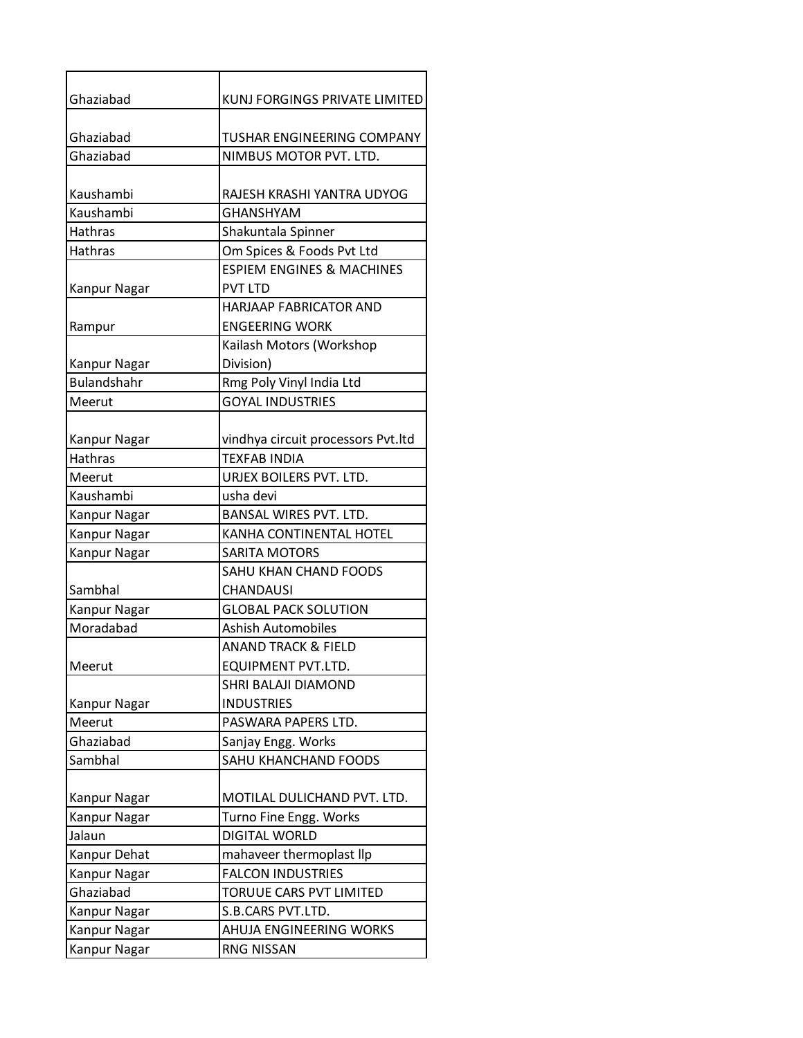| Ghaziabad           | KUNJ FORGINGS PRIVATE LIMITED        |
|---------------------|--------------------------------------|
| Ghaziabad           | TUSHAR ENGINEERING COMPANY           |
| Ghaziabad           | NIMBUS MOTOR PVT. LTD.               |
|                     |                                      |
| Kaushambi           | RAJESH KRASHI YANTRA UDYOG           |
| Kaushambi           | <b>GHANSHYAM</b>                     |
| Hathras             | Shakuntala Spinner                   |
| Hathras             | Om Spices & Foods Pvt Ltd            |
|                     | <b>ESPIEM ENGINES &amp; MACHINES</b> |
| Kanpur Nagar        | <b>PVT LTD</b>                       |
|                     | <b>HARJAAP FABRICATOR AND</b>        |
| Rampur              | <b>ENGEERING WORK</b>                |
|                     | Kailash Motors (Workshop             |
| Kanpur Nagar        | Division)                            |
| <b>Bulandshahr</b>  | Rmg Poly Vinyl India Ltd             |
| Meerut              | <b>GOYAL INDUSTRIES</b>              |
| Kanpur Nagar        | vindhya circuit processors Pvt.ltd   |
| <b>Hathras</b>      | <b>TEXFAB INDIA</b>                  |
| Meerut              | URJEX BOILERS PVT. LTD.              |
| Kaushambi           | usha devi                            |
| Kanpur Nagar        | <b>BANSAL WIRES PVT. LTD.</b>        |
| Kanpur Nagar        | KANHA CONTINENTAL HOTEL              |
| <b>Kanpur Nagar</b> | <b>SARITA MOTORS</b>                 |
|                     | <b>SAHU KHAN CHAND FOODS</b>         |
| Sambhal             | <b>CHANDAUSI</b>                     |
| <b>Kanpur Nagar</b> | <b>GLOBAL PACK SOLUTION</b>          |
| Moradabad           | Ashish Automobiles                   |
|                     | <b>ANAND TRACK &amp; FIELD</b>       |
| Meerut              | EQUIPMENT PVT.LTD.                   |
|                     | SHRI BALAJI DIAMOND                  |
| Kanpur Nagar        | <b>INDUSTRIES</b>                    |
| Meerut              | PASWARA PAPERS LTD.                  |
| Ghaziabad           | Sanjay Engg. Works                   |
| Sambhal             | SAHU KHANCHAND FOODS                 |
|                     |                                      |
| Kanpur Nagar        | MOTILAL DULICHAND PVT. LTD.          |
| Kanpur Nagar        | Turno Fine Engg. Works               |
| Jalaun              | <b>DIGITAL WORLD</b>                 |
| Kanpur Dehat        | mahaveer thermoplast llp             |
| Kanpur Nagar        | <b>FALCON INDUSTRIES</b>             |
| Ghaziabad           | TORUUE CARS PVT LIMITED              |
| Kanpur Nagar        | S.B.CARS PVT.LTD.                    |
| Kanpur Nagar        | AHUJA ENGINEERING WORKS              |
| Kanpur Nagar        | RNG NISSAN                           |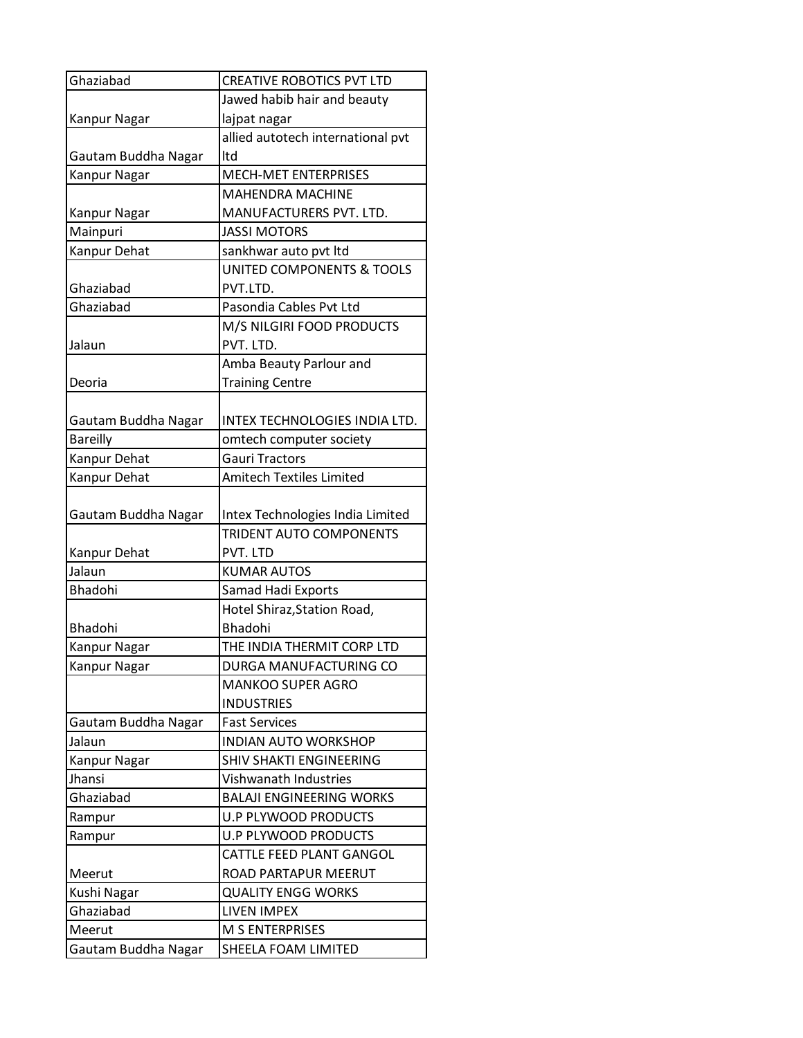| Ghaziabad           | <b>CREATIVE ROBOTICS PVT LTD</b>     |
|---------------------|--------------------------------------|
|                     | Jawed habib hair and beauty          |
| Kanpur Nagar        | lajpat nagar                         |
|                     | allied autotech international pvt    |
| Gautam Buddha Nagar | ltd                                  |
| Kanpur Nagar        | <b>MECH-MET ENTERPRISES</b>          |
|                     | <b>MAHENDRA MACHINE</b>              |
| Kanpur Nagar        | MANUFACTURERS PVT. LTD.              |
| Mainpuri            | <b>JASSI MOTORS</b>                  |
| Kanpur Dehat        | sankhwar auto pvt ltd                |
|                     | <b>UNITED COMPONENTS &amp; TOOLS</b> |
| Ghaziabad           | PVT.LTD.                             |
| Ghaziabad           | Pasondia Cables Pvt Ltd              |
|                     | M/S NILGIRI FOOD PRODUCTS            |
| Jalaun              | PVT. LTD.                            |
|                     | Amba Beauty Parlour and              |
| Deoria              | <b>Training Centre</b>               |
|                     |                                      |
| Gautam Buddha Nagar | INTEX TECHNOLOGIES INDIA LTD.        |
| <b>Bareilly</b>     | omtech computer society              |
| Kanpur Dehat        | <b>Gauri Tractors</b>                |
| Kanpur Dehat        | <b>Amitech Textiles Limited</b>      |
|                     |                                      |
| Gautam Buddha Nagar | Intex Technologies India Limited     |
|                     | <b>TRIDENT AUTO COMPONENTS</b>       |
| Kanpur Dehat        | PVT. LTD                             |
| Jalaun              | <b>KUMAR AUTOS</b>                   |
| <b>Bhadohi</b>      | <b>Samad Hadi Exports</b>            |
|                     | Hotel Shiraz, Station Road,          |
| Bhadohi             | Bhadohi                              |
| Kanpur Nagar        | THE INDIA THERMIT CORP LTD           |
| Kanpur Nagar        | DURGA MANUFACTURING CO               |
|                     | <b>MANKOO SUPER AGRO</b>             |
|                     | <b>INDUSTRIES</b>                    |
| Gautam Buddha Nagar | <b>Fast Services</b>                 |
| Jalaun              | <b>INDIAN AUTO WORKSHOP</b>          |
| Kanpur Nagar        | SHIV SHAKTI ENGINEERING              |
| Jhansi              | Vishwanath Industries                |
| Ghaziabad           | <b>BALAJI ENGINEERING WORKS</b>      |
| Rampur              | <b>U.P PLYWOOD PRODUCTS</b>          |
| Rampur              | <b>U.P PLYWOOD PRODUCTS</b>          |
|                     | CATTLE FEED PLANT GANGOL             |
| Meerut              | ROAD PARTAPUR MEERUT                 |
| Kushi Nagar         | <b>QUALITY ENGG WORKS</b>            |
| Ghaziabad           | <b>LIVEN IMPEX</b>                   |
| Meerut              | <b>M S ENTERPRISES</b>               |
| Gautam Buddha Nagar | SHEELA FOAM LIMITED                  |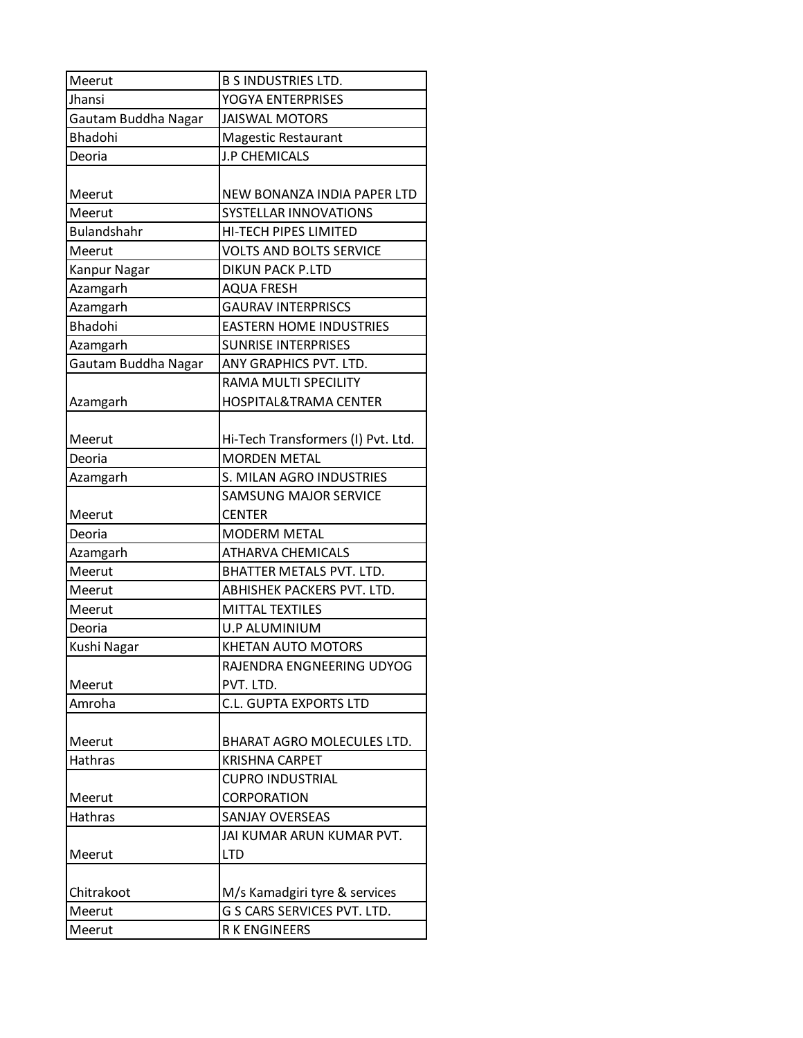| Meerut              | <b>B S INDUSTRIES LTD.</b>         |
|---------------------|------------------------------------|
| Jhansi              | YOGYA ENTERPRISES                  |
| Gautam Buddha Nagar | <b>JAISWAL MOTORS</b>              |
| <b>Bhadohi</b>      | <b>Magestic Restaurant</b>         |
| Deoria              | J.P CHEMICALS                      |
| Meerut              | NEW BONANZA INDIA PAPER LTD        |
| Meerut              | SYSTELLAR INNOVATIONS              |
| <b>Bulandshahr</b>  | HI-TECH PIPES LIMITED              |
| Meerut              | <b>VOLTS AND BOLTS SERVICE</b>     |
| Kanpur Nagar        | <b>DIKUN PACK P.LTD</b>            |
| Azamgarh            | <b>AQUA FRESH</b>                  |
| Azamgarh            | <b>GAURAV INTERPRISCS</b>          |
| <b>Bhadohi</b>      | <b>EASTERN HOME INDUSTRIES</b>     |
| Azamgarh            | <b>SUNRISE INTERPRISES</b>         |
| Gautam Buddha Nagar | ANY GRAPHICS PVT. LTD.             |
|                     | RAMA MULTI SPECILITY               |
| Azamgarh            | <b>HOSPITAL&amp;TRAMA CENTER</b>   |
|                     |                                    |
| Meerut              | Hi-Tech Transformers (I) Pvt. Ltd. |
| Deoria              | <b>MORDEN METAL</b>                |
| Azamgarh            | S. MILAN AGRO INDUSTRIES           |
|                     | <b>SAMSUNG MAJOR SERVICE</b>       |
| Meerut              | <b>CENTER</b>                      |
| Deoria              | <b>MODERM METAL</b>                |
| Azamgarh            | <b>ATHARVA CHEMICALS</b>           |
| Meerut              | <b>BHATTER METALS PVT. LTD.</b>    |
| Meerut              | ABHISHEK PACKERS PVT. LTD.         |
| Meerut              | <b>MITTAL TEXTILES</b>             |
| Deoria              | <b>U.P ALUMINIUM</b>               |
| Kushi Nagar         | <b>KHETAN AUTO MOTORS</b>          |
|                     | RAJENDRA ENGNEERING UDYOG          |
| Meerut              | PVT. LTD.                          |
| Amroha              | <b>C.L. GUPTA EXPORTS LTD</b>      |
|                     |                                    |
| Meerut              | BHARAT AGRO MOLECULES LTD.         |
| Hathras             | <b>KRISHNA CARPET</b>              |
|                     | <b>CUPRO INDUSTRIAL</b>            |
| Meerut              | <b>CORPORATION</b>                 |
| Hathras             | <b>SANJAY OVERSEAS</b>             |
|                     | JAI KUMAR ARUN KUMAR PVT.          |
| Meerut              | <b>LTD</b>                         |
|                     |                                    |
| Chitrakoot          | M/s Kamadgiri tyre & services      |
| Meerut              | G S CARS SERVICES PVT. LTD.        |
| Meerut              | <b>RKENGINEERS</b>                 |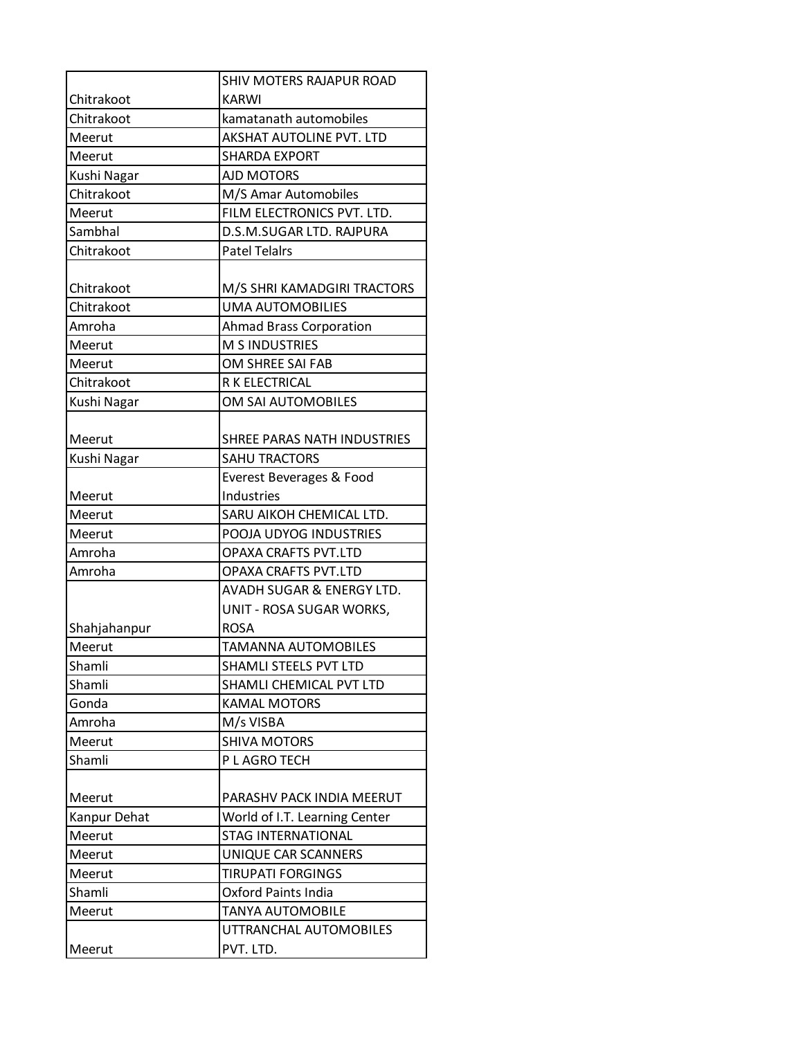|              | SHIV MOTERS RAJAPUR ROAD       |
|--------------|--------------------------------|
| Chitrakoot   | <b>KARWI</b>                   |
| Chitrakoot   | kamatanath automobiles         |
| Meerut       | AKSHAT AUTOLINE PVT. LTD       |
| Meerut       | <b>SHARDA EXPORT</b>           |
| Kushi Nagar  | <b>AJD MOTORS</b>              |
| Chitrakoot   | M/S Amar Automobiles           |
| Meerut       | FILM ELECTRONICS PVT. LTD.     |
| Sambhal      | D.S.M.SUGAR LTD. RAJPURA       |
| Chitrakoot   | <b>Patel Telalrs</b>           |
| Chitrakoot   | M/S SHRI KAMADGIRI TRACTORS    |
| Chitrakoot   | <b>UMA AUTOMOBILIES</b>        |
| Amroha       | <b>Ahmad Brass Corporation</b> |
| Meerut       | <b>M S INDUSTRIES</b>          |
| Meerut       | OM SHREE SAI FAB               |
| Chitrakoot   | R K ELECTRICAL                 |
| Kushi Nagar  | OM SAI AUTOMOBILES             |
| Meerut       | SHREE PARAS NATH INDUSTRIES    |
| Kushi Nagar  | <b>SAHU TRACTORS</b>           |
|              | Everest Beverages & Food       |
| Meerut       | Industries                     |
| Meerut       | SARU AIKOH CHEMICAL LTD.       |
| Meerut       | POOJA UDYOG INDUSTRIES         |
| Amroha       | <b>OPAXA CRAFTS PVT.LTD</b>    |
| Amroha       | <b>OPAXA CRAFTS PVT.LTD</b>    |
|              | AVADH SUGAR & ENERGY LTD.      |
|              | UNIT - ROSA SUGAR WORKS,       |
| Shahjahanpur | <b>ROSA</b>                    |
| Meerut       | <b>TAMANNA AUTOMOBILES</b>     |
| Shamli       | SHAMLI STEELS PVT LTD          |
| Shamli       | SHAMLI CHEMICAL PVT LTD        |
| Gonda        | <b>KAMAL MOTORS</b>            |
| Amroha       | M/s VISBA                      |
| Meerut       | <b>SHIVA MOTORS</b>            |
| Shamli       | P L AGRO TECH                  |
|              |                                |
| Meerut       | PARASHV PACK INDIA MEERUT      |
| Kanpur Dehat | World of I.T. Learning Center  |
| Meerut       | <b>STAG INTERNATIONAL</b>      |
| Meerut       | UNIQUE CAR SCANNERS            |
| Meerut       | <b>TIRUPATI FORGINGS</b>       |
| Shamli       | <b>Oxford Paints India</b>     |
| Meerut       | <b>TANYA AUTOMOBILE</b>        |
|              | UTTRANCHAL AUTOMOBILES         |
| Meerut       | PVT. LTD.                      |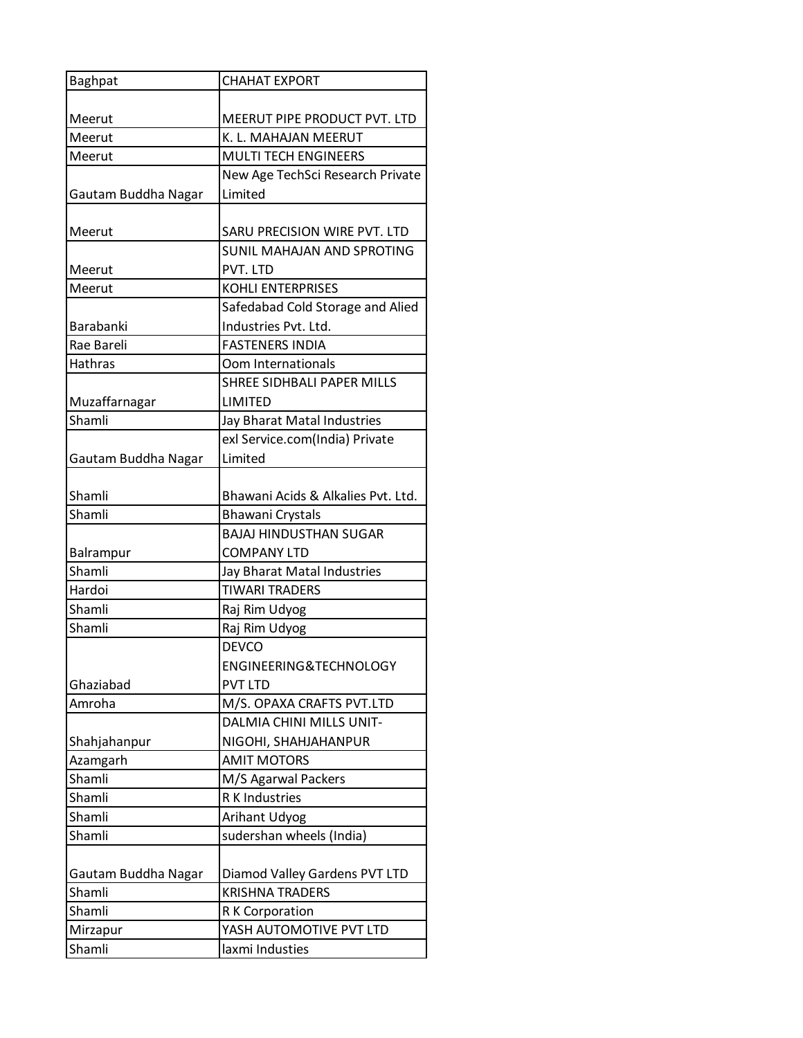| <b>Baghpat</b>      | <b>CHAHAT EXPORT</b>                                |
|---------------------|-----------------------------------------------------|
|                     |                                                     |
| Meerut              | MEERUT PIPE PRODUCT PVT. LTD                        |
| Meerut              | K. L. MAHAJAN MEERUT                                |
| Meerut              | <b>MULTI TECH ENGINEERS</b>                         |
|                     | New Age TechSci Research Private                    |
| Gautam Buddha Nagar | Limited                                             |
|                     |                                                     |
| Meerut              | SARU PRECISION WIRE PVT. LTD                        |
|                     | <b>SUNIL MAHAJAN AND SPROTING</b>                   |
| Meerut              | PVT. LTD                                            |
| Meerut              | <b>KOHLI ENTERPRISES</b>                            |
|                     | Safedabad Cold Storage and Alied                    |
| Barabanki           | Industries Pvt. Ltd.                                |
| Rae Bareli          | <b>FASTENERS INDIA</b>                              |
| <b>Hathras</b>      | Oom Internationals                                  |
|                     | SHREE SIDHBALI PAPER MILLS                          |
| Muzaffarnagar       | <b>LIMITED</b>                                      |
| Shamli              | Jay Bharat Matal Industries                         |
|                     | exl Service.com(India) Private                      |
| Gautam Buddha Nagar | Limited                                             |
|                     |                                                     |
| Shamli<br>Shamli    | Bhawani Acids & Alkalies Pvt. Ltd.                  |
|                     | <b>Bhawani Crystals</b>                             |
| Balrampur           | <b>BAJAJ HINDUSTHAN SUGAR</b><br><b>COMPANY LTD</b> |
| Shamli              | Jay Bharat Matal Industries                         |
| Hardoi              | <b>TIWARI TRADERS</b>                               |
| Shamli              | Raj Rim Udyog                                       |
| Shamli              |                                                     |
|                     | Raj Rim Udyog<br><b>DEVCO</b>                       |
|                     | ENGINEERING&TECHNOLOGY                              |
| Ghaziabad           | <b>PVT LTD</b>                                      |
| Amroha              | M/S. OPAXA CRAFTS PVT.LTD                           |
|                     | DALMIA CHINI MILLS UNIT-                            |
| Shahjahanpur        | NIGOHI, SHAHJAHANPUR                                |
| Azamgarh            | <b>AMIT MOTORS</b>                                  |
| Shamli              | M/S Agarwal Packers                                 |
| Shamli              | R K Industries                                      |
| Shamli              | Arihant Udyog                                       |
| Shamli              | sudershan wheels (India)                            |
|                     |                                                     |
| Gautam Buddha Nagar | Diamod Valley Gardens PVT LTD                       |
| Shamli              | <b>KRISHNA TRADERS</b>                              |
| Shamli              | R K Corporation                                     |
| Mirzapur            | YASH AUTOMOTIVE PVT LTD                             |
| Shamli              | laxmi Industies                                     |
|                     |                                                     |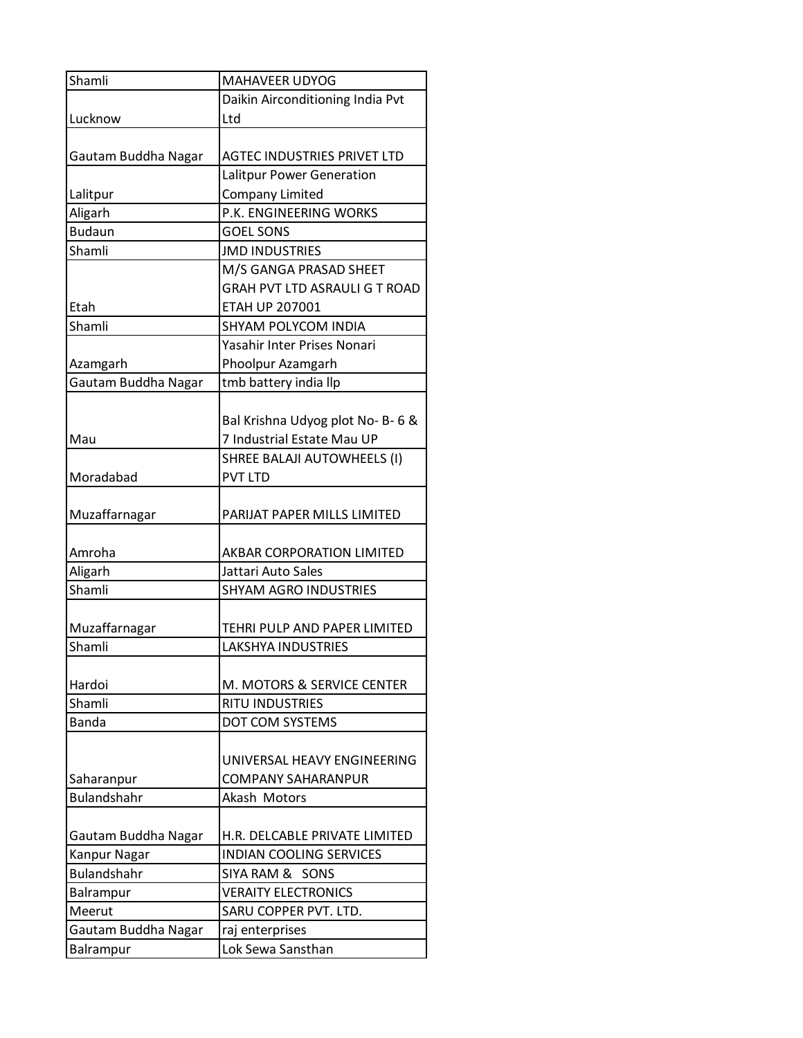| Shamli              | <b>MAHAVEER UDYOG</b>              |
|---------------------|------------------------------------|
|                     | Daikin Airconditioning India Pvt   |
| Lucknow             | Ltd                                |
|                     |                                    |
| Gautam Buddha Nagar | <b>AGTEC INDUSTRIES PRIVET LTD</b> |
|                     | Lalitpur Power Generation          |
| Lalitpur            | Company Limited                    |
| Aligarh             | P.K. ENGINEERING WORKS             |
| <b>Budaun</b>       | <b>GOEL SONS</b>                   |
| Shamli              | <b>JMD INDUSTRIES</b>              |
|                     | M/S GANGA PRASAD SHEET             |
|                     | GRAH PVT LTD ASRAULI G T ROAD      |
| Etah                | <b>ETAH UP 207001</b>              |
| Shamli              | SHYAM POLYCOM INDIA                |
|                     | Yasahir Inter Prises Nonari        |
| Azamgarh            | Phoolpur Azamgarh                  |
| Gautam Buddha Nagar | tmb battery india llp              |
|                     |                                    |
|                     | Bal Krishna Udyog plot No-B-6 &    |
| Mau                 | 7 Industrial Estate Mau UP         |
|                     | SHREE BALAJI AUTOWHEELS (I)        |
| Moradabad           | <b>PVT LTD</b>                     |
|                     |                                    |
| Muzaffarnagar       | PARIJAT PAPER MILLS LIMITED        |
|                     |                                    |
| Amroha              | AKBAR CORPORATION LIMITED          |
| Aligarh             | Jattari Auto Sales                 |
| Shamli              | <b>SHYAM AGRO INDUSTRIES</b>       |
|                     |                                    |
| Muzaffarnagar       | TEHRI PULP AND PAPER LIMITED       |
| Shamli              | <b>LAKSHYA INDUSTRIES</b>          |
|                     |                                    |
| Hardoi              | M. MOTORS & SERVICE CENTER         |
| Shamli              | RITU INDUSTRIES                    |
| <b>Banda</b>        | DOT COM SYSTEMS                    |
|                     |                                    |
|                     | UNIVERSAL HEAVY ENGINEERING        |
| Saharanpur          | <b>COMPANY SAHARANPUR</b>          |
| <b>Bulandshahr</b>  | Akash Motors                       |
|                     |                                    |
| Gautam Buddha Nagar | H.R. DELCABLE PRIVATE LIMITED      |
| Kanpur Nagar        | <b>INDIAN COOLING SERVICES</b>     |
| <b>Bulandshahr</b>  | SIYA RAM & SONS                    |
| Balrampur           | <b>VERAITY ELECTRONICS</b>         |
| Meerut              | SARU COPPER PVT. LTD.              |
| Gautam Buddha Nagar | raj enterprises                    |
| Balrampur           | Lok Sewa Sansthan                  |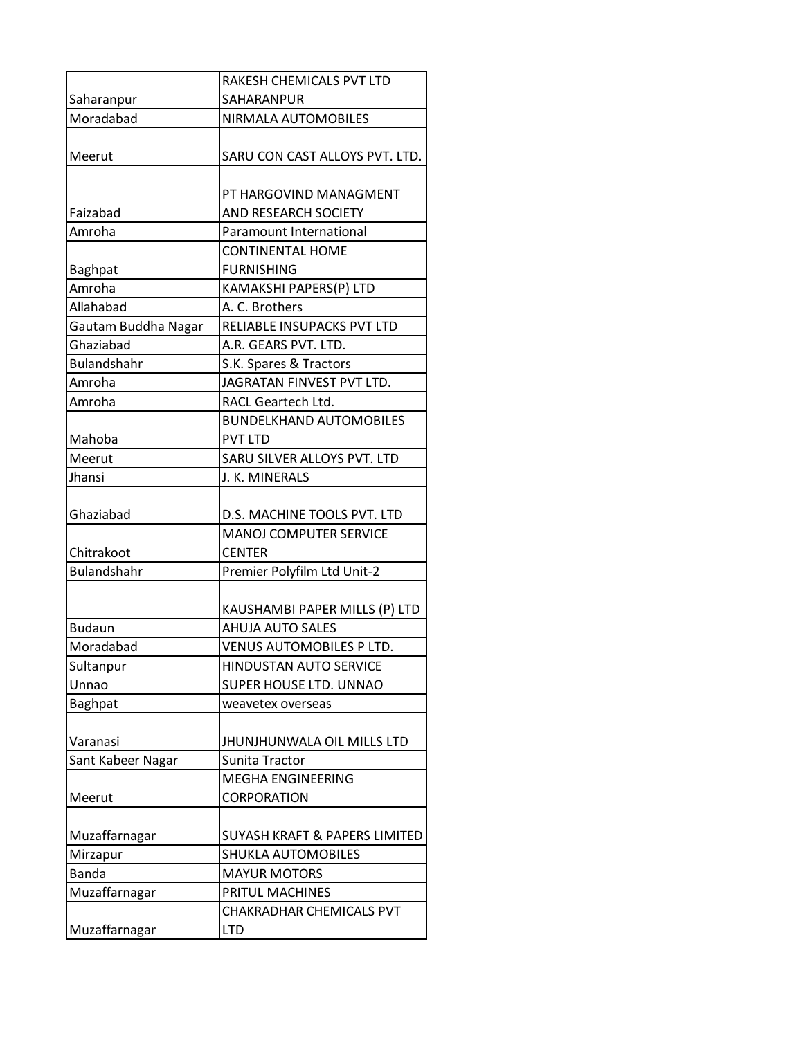|                     | RAKESH CHEMICALS PVT LTD                 |
|---------------------|------------------------------------------|
| Saharanpur          | SAHARANPUR                               |
| Moradabad           | NIRMALA AUTOMOBILES                      |
|                     |                                          |
| Meerut              | SARU CON CAST ALLOYS PVT. LTD.           |
|                     |                                          |
|                     | PT HARGOVIND MANAGMENT                   |
| Faizabad            | AND RESEARCH SOCIETY                     |
| Amroha              | Paramount International                  |
|                     | <b>CONTINENTAL HOME</b>                  |
| <b>Baghpat</b>      | <b>FURNISHING</b>                        |
| Amroha              | KAMAKSHI PAPERS(P) LTD                   |
| Allahabad           | A. C. Brothers                           |
| Gautam Buddha Nagar | RELIABLE INSUPACKS PVT LTD               |
| Ghaziabad           | A.R. GEARS PVT. LTD.                     |
| <b>Bulandshahr</b>  | S.K. Spares & Tractors                   |
| Amroha              | JAGRATAN FINVEST PVT LTD.                |
| Amroha              | RACL Geartech Ltd.                       |
|                     | <b>BUNDELKHAND AUTOMOBILES</b>           |
| Mahoba              | <b>PVT LTD</b>                           |
| Meerut              | SARU SILVER ALLOYS PVT. LTD              |
| Jhansi              | J. K. MINERALS                           |
|                     |                                          |
| Ghaziabad           | D.S. MACHINE TOOLS PVT. LTD              |
|                     | <b>MANOJ COMPUTER SERVICE</b>            |
| Chitrakoot          | <b>CENTER</b>                            |
| <b>Bulandshahr</b>  | Premier Polyfilm Ltd Unit-2              |
|                     |                                          |
|                     | KAUSHAMBI PAPER MILLS (P) LTD            |
| <b>Budaun</b>       | <b>AHUJA AUTO SALES</b>                  |
| Moradabad           | VENUS AUTOMOBILES P LTD.                 |
| Sultanpur           | <b>HINDUSTAN AUTO SERVICE</b>            |
| Unnao               | SUPER HOUSE LTD. UNNAO                   |
| <b>Baghpat</b>      | weavetex overseas                        |
|                     |                                          |
| Varanasi            | JHUNJHUNWALA OIL MILLS LTD               |
| Sant Kabeer Nagar   | Sunita Tractor                           |
|                     | <b>MEGHA ENGINEERING</b>                 |
| Meerut              | CORPORATION                              |
|                     |                                          |
| Muzaffarnagar       | <b>SUYASH KRAFT &amp; PAPERS LIMITED</b> |
| Mirzapur            | <b>SHUKLA AUTOMOBILES</b>                |
| <b>Banda</b>        | <b>MAYUR MOTORS</b>                      |
| Muzaffarnagar       | PRITUL MACHINES                          |
|                     | CHAKRADHAR CHEMICALS PVT                 |
| Muzaffarnagar       | <b>LTD</b>                               |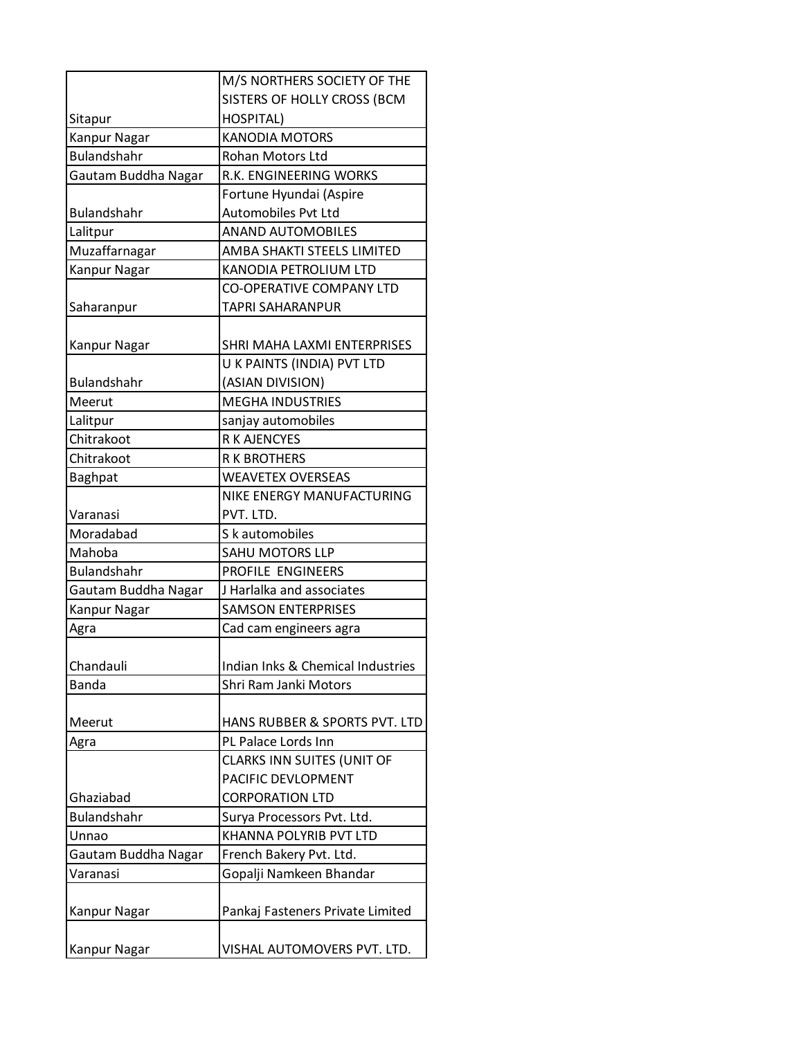|                     | M/S NORTHERS SOCIETY OF THE       |
|---------------------|-----------------------------------|
|                     | SISTERS OF HOLLY CROSS (BCM       |
| Sitapur             | HOSPITAL)                         |
| Kanpur Nagar        | <b>KANODIA MOTORS</b>             |
| <b>Bulandshahr</b>  | <b>Rohan Motors Ltd</b>           |
| Gautam Buddha Nagar | R.K. ENGINEERING WORKS            |
|                     | Fortune Hyundai (Aspire           |
| <b>Bulandshahr</b>  | Automobiles Pvt Ltd               |
| Lalitpur            | <b>ANAND AUTOMOBILES</b>          |
| Muzaffarnagar       | AMBA SHAKTI STEELS LIMITED        |
| Kanpur Nagar        | KANODIA PETROLIUM LTD             |
|                     | <b>CO-OPERATIVE COMPANY LTD</b>   |
| Saharanpur          | TAPRI SAHARANPUR                  |
|                     |                                   |
| Kanpur Nagar        | SHRI MAHA LAXMI ENTERPRISES       |
|                     | U K PAINTS (INDIA) PVT LTD        |
| <b>Bulandshahr</b>  | (ASIAN DIVISION)                  |
| Meerut              | <b>MEGHA INDUSTRIES</b>           |
| Lalitpur            | sanjay automobiles                |
| Chitrakoot          | R K AJENCYES                      |
| Chitrakoot          | <b>R K BROTHERS</b>               |
| Baghpat             | <b>WEAVETEX OVERSEAS</b>          |
|                     | NIKE ENERGY MANUFACTURING         |
| Varanasi            | PVT. LTD.                         |
| Moradabad           | S k automobiles                   |
| Mahoba              | <b>SAHU MOTORS LLP</b>            |
| <b>Bulandshahr</b>  | PROFILE ENGINEERS                 |
| Gautam Buddha Nagar | J Harlalka and associates         |
| Kanpur Nagar        | <b>SAMSON ENTERPRISES</b>         |
| Agra                | Cad cam engineers agra            |
|                     |                                   |
| Chandauli           | Indian Inks & Chemical Industries |
| <b>Banda</b>        | Shri Ram Janki Motors             |
|                     |                                   |
| Meerut              | HANS RUBBER & SPORTS PVT. LTD     |
| Agra                | PL Palace Lords Inn               |
|                     | CLARKS INN SUITES (UNIT OF        |
|                     | PACIFIC DEVLOPMENT                |
| Ghaziabad           | <b>CORPORATION LTD</b>            |
| Bulandshahr         | Surya Processors Pvt. Ltd.        |
| Unnao               | KHANNA POLYRIB PVT LTD            |
| Gautam Buddha Nagar | French Bakery Pvt. Ltd.           |
| Varanasi            | Gopalji Namkeen Bhandar           |
|                     |                                   |
| Kanpur Nagar        | Pankaj Fasteners Private Limited  |
|                     |                                   |
| Kanpur Nagar        | VISHAL AUTOMOVERS PVT. LTD.       |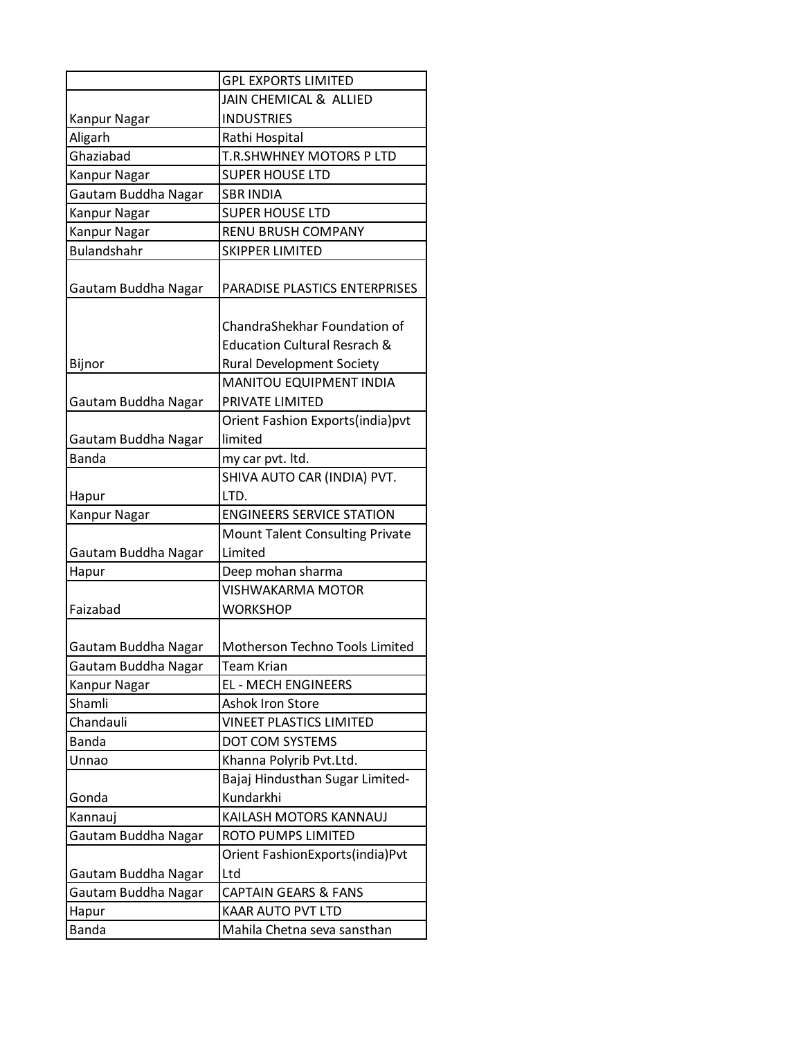|                              | <b>GPL EXPORTS LIMITED</b>              |
|------------------------------|-----------------------------------------|
|                              | JAIN CHEMICAL & ALLIED                  |
| Kanpur Nagar                 | <b>INDUSTRIES</b>                       |
| Aligarh                      | Rathi Hospital                          |
| Ghaziabad                    | T.R.SHWHNEY MOTORS P LTD                |
| Kanpur Nagar                 | <b>SUPER HOUSE LTD</b>                  |
| Gautam Buddha Nagar          | <b>SBR INDIA</b>                        |
| Kanpur Nagar                 | <b>SUPER HOUSE LTD</b>                  |
| Kanpur Nagar                 | <b>RENU BRUSH COMPANY</b>               |
| <b>Bulandshahr</b>           | <b>SKIPPER LIMITED</b>                  |
|                              |                                         |
| Gautam Buddha Nagar          | PARADISE PLASTICS ENTERPRISES           |
|                              |                                         |
|                              | ChandraShekhar Foundation of            |
|                              | <b>Education Cultural Resrach &amp;</b> |
| Bijnor                       | <b>Rural Development Society</b>        |
|                              | MANITOU EQUIPMENT INDIA                 |
| Gautam Buddha Nagar          | PRIVATE LIMITED                         |
|                              | Orient Fashion Exports(india)pvt        |
| Gautam Buddha Nagar          | limited                                 |
| <b>Banda</b>                 | my car pvt. Itd.                        |
|                              | SHIVA AUTO CAR (INDIA) PVT.             |
| Hapur                        | LTD.                                    |
| Kanpur Nagar                 | <b>ENGINEERS SERVICE STATION</b>        |
|                              | <b>Mount Talent Consulting Private</b>  |
| Gautam Buddha Nagar          | Limited                                 |
| Hapur                        | Deep mohan sharma                       |
|                              | <b>VISHWAKARMA MOTOR</b>                |
| Faizabad                     | <b>WORKSHOP</b>                         |
|                              |                                         |
| Gautam Buddha Nagar          | Motherson Techno Tools Limited          |
| Gautam Buddha Nagar          | <b>Team Krian</b>                       |
| Kanpur Nagar                 | <b>EL - MECH ENGINEERS</b>              |
| Shamli                       | Ashok Iron Store                        |
| Chandauli                    | <b>VINEET PLASTICS LIMITED</b>          |
| <b>Banda</b>                 | DOT COM SYSTEMS                         |
| Unnao                        | Khanna Polyrib Pvt.Ltd.                 |
|                              | Bajaj Hindusthan Sugar Limited-         |
| Gonda                        | Kundarkhi                               |
| Kannauj                      | KAILASH MOTORS KANNAUJ                  |
| Gautam Buddha Nagar          | ROTO PUMPS LIMITED                      |
|                              | Orient FashionExports(india)Pvt         |
|                              |                                         |
|                              | Ltd                                     |
| Gautam Buddha Nagar          | <b>CAPTAIN GEARS &amp; FANS</b>         |
| Gautam Buddha Nagar<br>Hapur | <b>KAAR AUTO PVT LTD</b>                |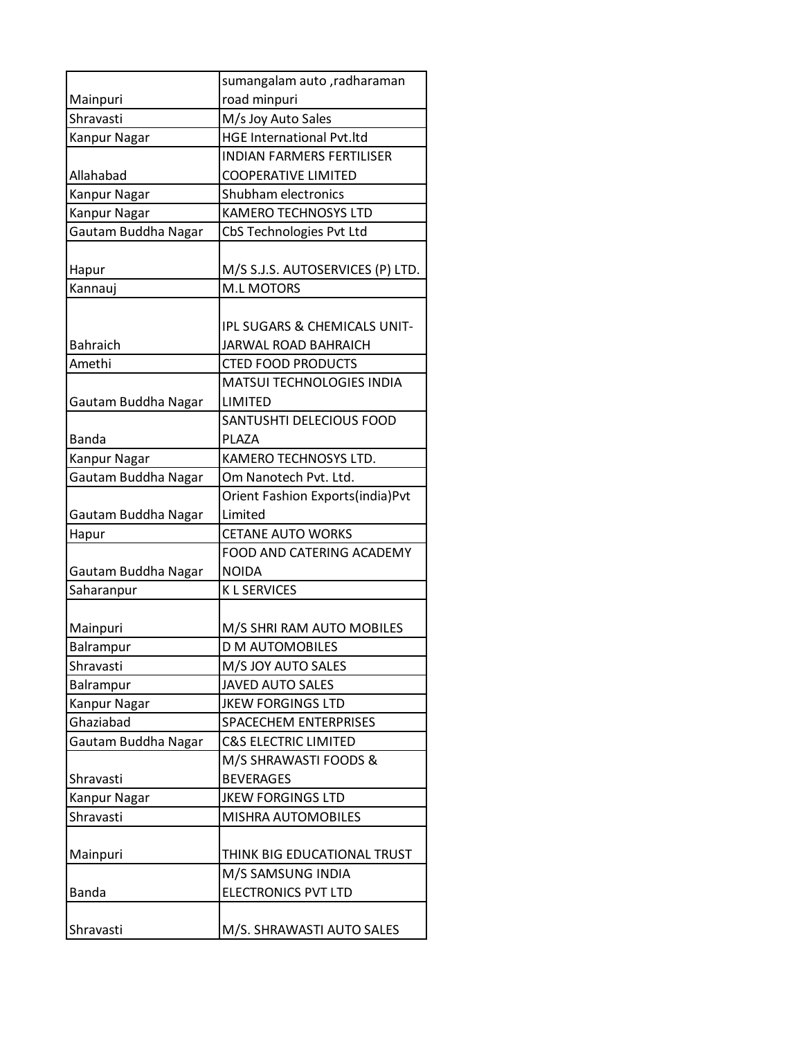|                     | sumangalam auto, radharaman             |
|---------------------|-----------------------------------------|
| Mainpuri            | road minpuri                            |
| Shravasti           | M/s Joy Auto Sales                      |
| Kanpur Nagar        | <b>HGE International Pvt.ltd</b>        |
|                     | <b>INDIAN FARMERS FERTILISER</b>        |
| Allahabad           | <b>COOPERATIVE LIMITED</b>              |
| Kanpur Nagar        | Shubham electronics                     |
| Kanpur Nagar        | <b>KAMERO TECHNOSYS LTD</b>             |
| Gautam Buddha Nagar | CbS Technologies Pvt Ltd                |
|                     |                                         |
| Hapur               | M/S S.J.S. AUTOSERVICES (P) LTD.        |
| Kannauj             | <b>M.L MOTORS</b>                       |
|                     |                                         |
|                     | <b>IPL SUGARS &amp; CHEMICALS UNIT-</b> |
| <b>Bahraich</b>     | JARWAL ROAD BAHRAICH                    |
| Amethi              | <b>CTED FOOD PRODUCTS</b>               |
|                     | <b>MATSUI TECHNOLOGIES INDIA</b>        |
| Gautam Buddha Nagar | LIMITED                                 |
|                     | <b>SANTUSHTI DELECIOUS FOOD</b>         |
| <b>Banda</b>        | <b>PLAZA</b>                            |
| Kanpur Nagar        | KAMERO TECHNOSYS LTD.                   |
| Gautam Buddha Nagar | Om Nanotech Pvt. Ltd.                   |
|                     | Orient Fashion Exports(india)Pvt        |
| Gautam Buddha Nagar | Limited                                 |
| Hapur               | <b>CETANE AUTO WORKS</b>                |
|                     | FOOD AND CATERING ACADEMY               |
| Gautam Buddha Nagar | <b>NOIDA</b>                            |
| Saharanpur          | <b>KL SERVICES</b>                      |
|                     |                                         |
| Mainpuri            | M/S SHRI RAM AUTO MOBILES               |
| Balrampur           | <b>D M AUTOMOBILES</b>                  |
| Shravasti           | M/S JOY AUTO SALES                      |
| Balrampur           | <b>JAVED AUTO SALES</b>                 |
| Kanpur Nagar        | <b>JKEW FORGINGS LTD</b>                |
| Ghaziabad           | SPACECHEM ENTERPRISES                   |
| Gautam Buddha Nagar | <b>C&amp;S ELECTRIC LIMITED</b>         |
|                     | M/S SHRAWASTI FOODS &                   |
| Shravasti           | <b>BEVERAGES</b>                        |
| Kanpur Nagar        | <b>JKEW FORGINGS LTD</b>                |
| Shravasti           | <b>MISHRA AUTOMOBILES</b>               |
|                     |                                         |
| Mainpuri            | THINK BIG EDUCATIONAL TRUST             |
|                     | M/S SAMSUNG INDIA                       |
| <b>Banda</b>        | <b>ELECTRONICS PVT LTD</b>              |
|                     |                                         |
| Shravasti           | M/S. SHRAWASTI AUTO SALES               |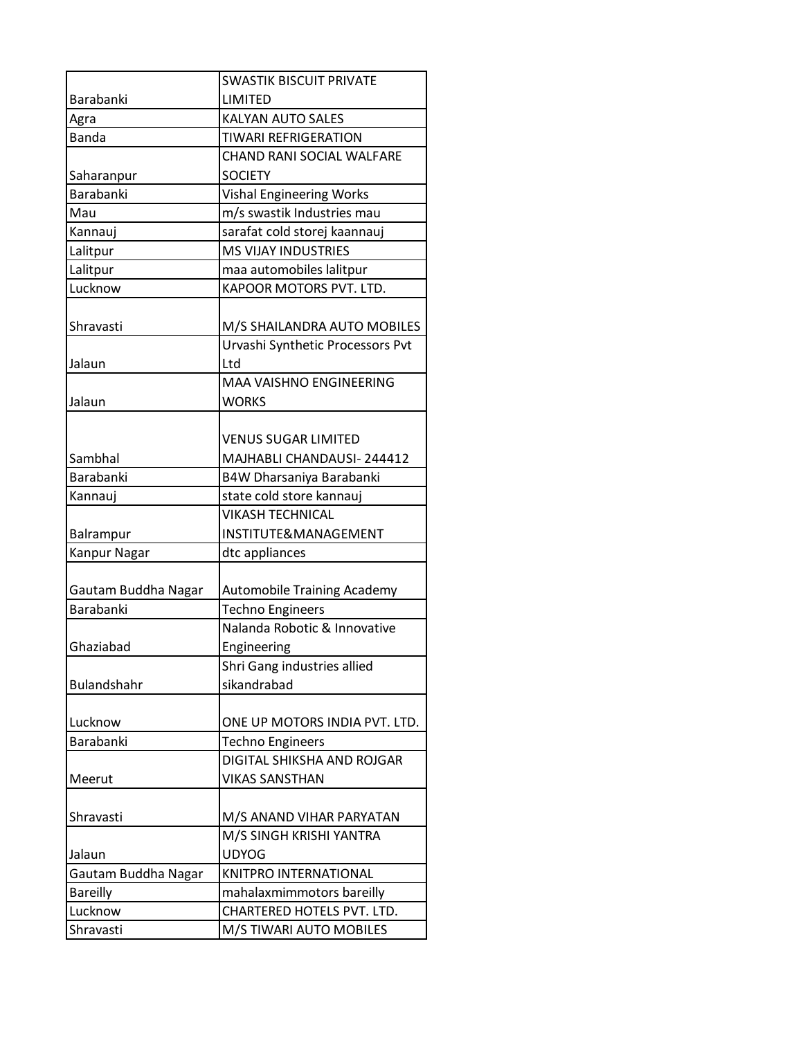|                     | <b>SWASTIK BISCUIT PRIVATE</b>     |
|---------------------|------------------------------------|
| <b>Barabanki</b>    | LIMITED                            |
| Agra                | <b>KALYAN AUTO SALES</b>           |
| <b>Banda</b>        | <b>TIWARI REFRIGERATION</b>        |
|                     | CHAND RANI SOCIAL WALFARE          |
| Saharanpur          | <b>SOCIETY</b>                     |
| <b>Barabanki</b>    | <b>Vishal Engineering Works</b>    |
| Mau                 | m/s swastik Industries mau         |
| Kannauj             | sarafat cold storej kaannauj       |
| Lalitpur            | <b>MS VIJAY INDUSTRIES</b>         |
| Lalitpur            | maa automobiles lalitpur           |
| Lucknow             | KAPOOR MOTORS PVT. LTD.            |
|                     |                                    |
| Shravasti           | M/S SHAILANDRA AUTO MOBILES        |
|                     | Urvashi Synthetic Processors Pvt   |
| Jalaun              | Ltd                                |
|                     | <b>MAA VAISHNO ENGINEERING</b>     |
| Jalaun              | <b>WORKS</b>                       |
|                     |                                    |
|                     | VENUS SUGAR LIMITED                |
| Sambhal             | MAJHABLI CHANDAUSI-244412          |
| <b>Barabanki</b>    | B4W Dharsaniya Barabanki           |
| Kannauj             | state cold store kannauj           |
|                     | <b>VIKASH TECHNICAL</b>            |
| Balrampur           | INSTITUTE&MANAGEMENT               |
| Kanpur Nagar        | dtc appliances                     |
|                     |                                    |
| Gautam Buddha Nagar | <b>Automobile Training Academy</b> |
| Barabanki           | <b>Techno Engineers</b>            |
|                     | Nalanda Robotic & Innovative       |
| Ghaziabad           | Engineering                        |
|                     | Shri Gang industries allied        |
| <b>Bulandshahr</b>  | sikandrabad                        |
|                     |                                    |
| Lucknow             | ONE UP MOTORS INDIA PVT. LTD.      |
| Barabanki           | <b>Techno Engineers</b>            |
|                     | DIGITAL SHIKSHA AND ROJGAR         |
| Meerut              | <b>VIKAS SANSTHAN</b>              |
|                     |                                    |
| Shravasti           | M/S ANAND VIHAR PARYATAN           |
|                     | M/S SINGH KRISHI YANTRA            |
| Jalaun              | <b>UDYOG</b>                       |
| Gautam Buddha Nagar | KNITPRO INTERNATIONAL              |
| <b>Bareilly</b>     | mahalaxmimmotors bareilly          |
| Lucknow             | CHARTERED HOTELS PVT. LTD.         |
| Shravasti           | M/S TIWARI AUTO MOBILES            |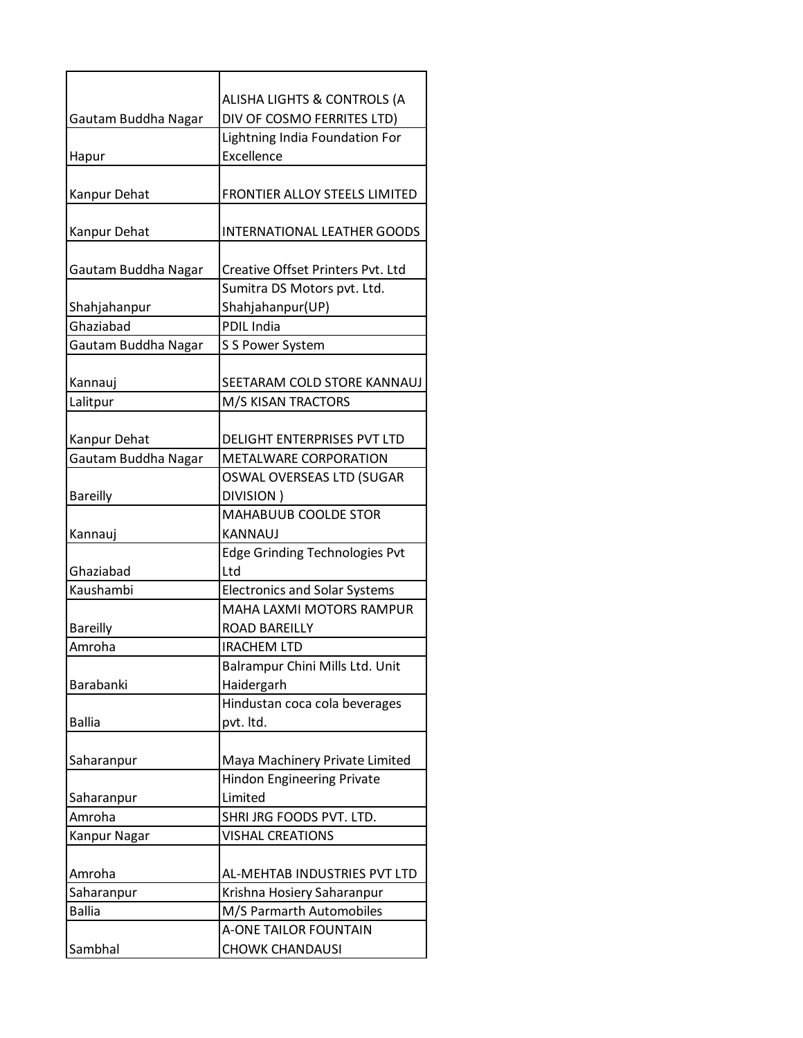|                           | ALISHA LIGHTS & CONTROLS (A           |
|---------------------------|---------------------------------------|
| Gautam Buddha Nagar       | DIV OF COSMO FERRITES LTD)            |
|                           | Lightning India Foundation For        |
| Hapur                     | Excellence                            |
|                           |                                       |
| Kanpur Dehat              | FRONTIER ALLOY STEELS LIMITED         |
|                           |                                       |
| Kanpur Dehat              | <b>INTERNATIONAL LEATHER GOODS</b>    |
|                           |                                       |
| Gautam Buddha Nagar       | Creative Offset Printers Pvt. Ltd     |
|                           | Sumitra DS Motors pvt. Ltd.           |
| Shahjahanpur<br>Ghaziabad | Shahjahanpur(UP)                      |
|                           | <b>PDIL India</b>                     |
| Gautam Buddha Nagar       | S S Power System                      |
| Kannauj                   | SEETARAM COLD STORE KANNAUJ           |
|                           |                                       |
| Lalitpur                  | M/S KISAN TRACTORS                    |
| Kanpur Dehat              | <b>DELIGHT ENTERPRISES PVT LTD</b>    |
| Gautam Buddha Nagar       | METALWARE CORPORATION                 |
|                           | OSWAL OVERSEAS LTD (SUGAR             |
| <b>Bareilly</b>           | DIVISION)                             |
|                           | MAHABUUB COOLDE STOR                  |
| Kannauj                   | KANNAUJ                               |
|                           | <b>Edge Grinding Technologies Pvt</b> |
| Ghaziabad                 | Ltd                                   |
| Kaushambi                 | <b>Electronics and Solar Systems</b>  |
|                           | MAHA LAXMI MOTORS RAMPUR              |
| <b>Bareilly</b>           | ROAD BAREILLY                         |
| Amroha                    | <b>IRACHEM LTD</b>                    |
|                           | Balrampur Chini Mills Ltd. Unit       |
| Barabanki                 | Haidergarh                            |
|                           | Hindustan coca cola beverages         |
| <b>Ballia</b>             | pvt. Itd.                             |
|                           |                                       |
| Saharanpur                | Maya Machinery Private Limited        |
|                           | <b>Hindon Engineering Private</b>     |
| Saharanpur                | Limited                               |
| Amroha                    | SHRI JRG FOODS PVT. LTD.              |
| Kanpur Nagar              | <b>VISHAL CREATIONS</b>               |
|                           |                                       |
| Amroha                    | AL-MEHTAB INDUSTRIES PVT LTD          |
| Saharanpur                | Krishna Hosiery Saharanpur            |
| <b>Ballia</b>             | M/S Parmarth Automobiles              |
|                           | <b>A-ONE TAILOR FOUNTAIN</b>          |
| Sambhal                   | <b>CHOWK CHANDAUSI</b>                |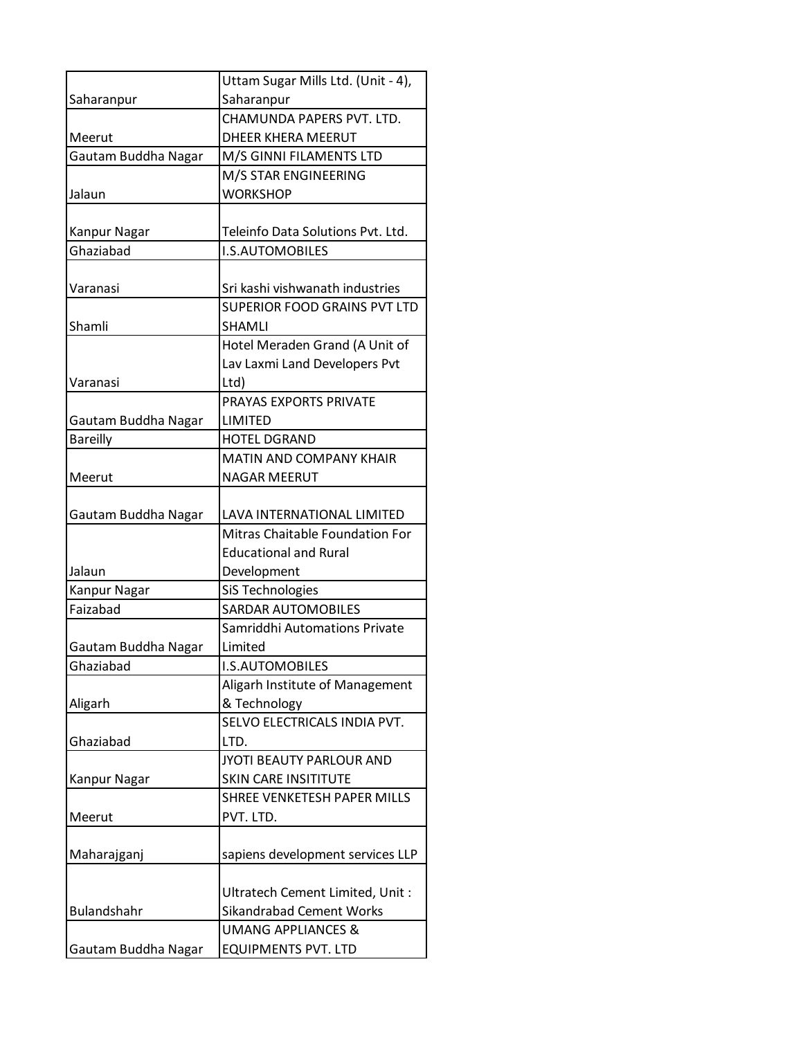|                     | Uttam Sugar Mills Ltd. (Unit - 4),                                  |
|---------------------|---------------------------------------------------------------------|
| Saharanpur          | Saharanpur                                                          |
|                     | CHAMUNDA PAPERS PVT. LTD.                                           |
| Meerut              | <b>DHEER KHERA MEERUT</b>                                           |
| Gautam Buddha Nagar | M/S GINNI FILAMENTS LTD                                             |
|                     | M/S STAR ENGINEERING                                                |
| Jalaun              | <b>WORKSHOP</b>                                                     |
|                     |                                                                     |
| Kanpur Nagar        | Teleinfo Data Solutions Pvt. Ltd.                                   |
| Ghaziabad           | <b>I.S.AUTOMOBILES</b>                                              |
|                     |                                                                     |
| Varanasi            | Sri kashi vishwanath industries                                     |
|                     | <b>SUPERIOR FOOD GRAINS PVT LTD</b><br><b>SHAMLI</b>                |
| Shamli              |                                                                     |
|                     | Hotel Meraden Grand (A Unit of                                      |
| Varanasi            | Lav Laxmi Land Developers Pvt<br>Ltd)                               |
|                     | PRAYAS EXPORTS PRIVATE                                              |
| Gautam Buddha Nagar | <b>LIMITED</b>                                                      |
| <b>Bareilly</b>     | <b>HOTEL DGRAND</b>                                                 |
|                     | <b>MATIN AND COMPANY KHAIR</b>                                      |
| Meerut              | <b>NAGAR MEERUT</b>                                                 |
|                     |                                                                     |
| Gautam Buddha Nagar | LAVA INTERNATIONAL LIMITED                                          |
|                     | Mitras Chaitable Foundation For                                     |
|                     | <b>Educational and Rural</b>                                        |
| Jalaun              | Development                                                         |
| Kanpur Nagar        | SiS Technologies                                                    |
| Faizabad            | <b>SARDAR AUTOMOBILES</b>                                           |
|                     | Samriddhi Automations Private                                       |
| Gautam Buddha Nagar | Limited                                                             |
| Ghaziabad           | I.S.AUTOMOBILES                                                     |
|                     | Aligarh Institute of Management                                     |
| Aligarh             | & Technology                                                        |
|                     | SELVO ELECTRICALS INDIA PVT.                                        |
| Ghaziabad           | LTD.                                                                |
|                     | JYOTI BEAUTY PARLOUR AND                                            |
| Kanpur Nagar        | <b>SKIN CARE INSITITUTE</b>                                         |
|                     | SHREE VENKETESH PAPER MILLS                                         |
| Meerut              | PVT. LTD.                                                           |
|                     |                                                                     |
| Maharajganj         | sapiens development services LLP                                    |
|                     |                                                                     |
| Bulandshahr         | Ultratech Cement Limited, Unit :<br><b>Sikandrabad Cement Works</b> |
|                     | <b>UMANG APPLIANCES &amp;</b>                                       |
| Gautam Buddha Nagar | <b>EQUIPMENTS PVT. LTD</b>                                          |
|                     |                                                                     |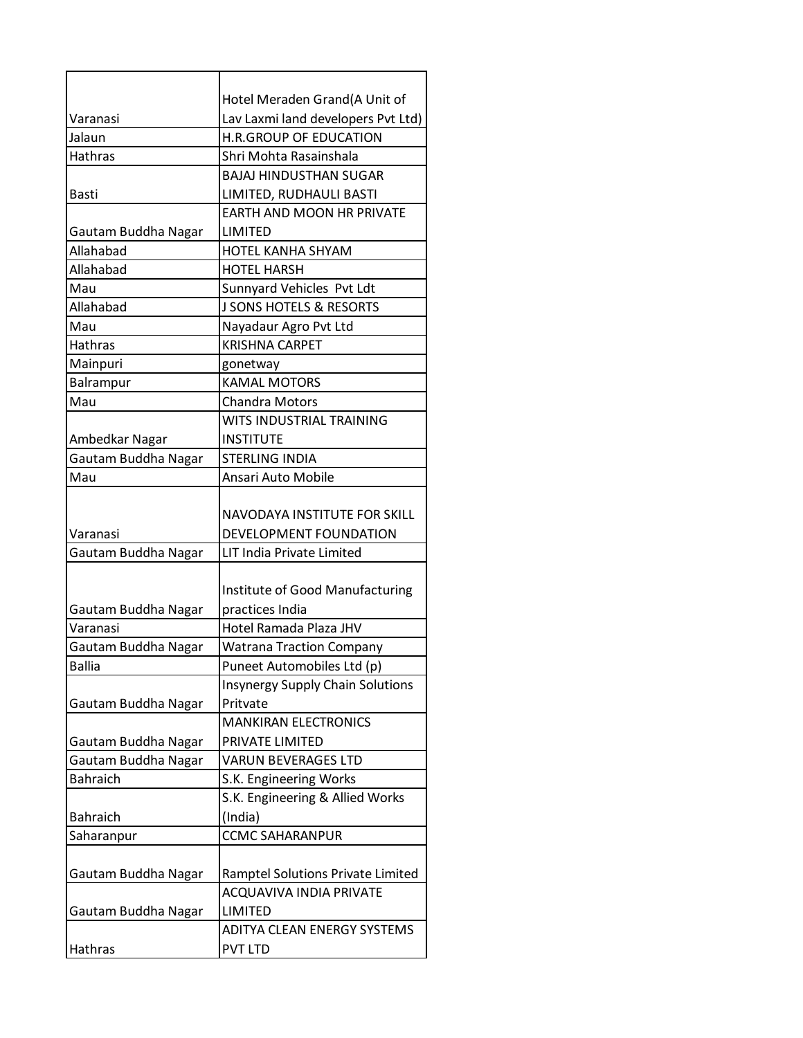|                     | Hotel Meraden Grand(A Unit of                          |
|---------------------|--------------------------------------------------------|
| Varanasi            | Lav Laxmi land developers Pvt Ltd)                     |
| Jalaun              | H.R.GROUP OF EDUCATION                                 |
| <b>Hathras</b>      | Shri Mohta Rasainshala                                 |
|                     | <b>BAJAJ HINDUSTHAN SUGAR</b>                          |
| <b>Basti</b>        | LIMITED, RUDHAULI BASTI                                |
|                     | <b>EARTH AND MOON HR PRIVATE</b>                       |
| Gautam Buddha Nagar | LIMITED                                                |
| Allahabad           | <b>HOTEL KANHA SHYAM</b>                               |
| Allahabad           | <b>HOTEL HARSH</b>                                     |
| Mau                 | Sunnyard Vehicles Pvt Ldt                              |
| Allahabad           | <b>J SONS HOTELS &amp; RESORTS</b>                     |
| Mau                 | Nayadaur Agro Pvt Ltd                                  |
| <b>Hathras</b>      | <b>KRISHNA CARPET</b>                                  |
| Mainpuri            | gonetway                                               |
| Balrampur           | <b>KAMAL MOTORS</b>                                    |
| Mau                 | <b>Chandra Motors</b>                                  |
|                     | WITS INDUSTRIAL TRAINING                               |
| Ambedkar Nagar      | <b>INSTITUTE</b>                                       |
| Gautam Buddha Nagar | <b>STERLING INDIA</b>                                  |
| Mau                 | Ansari Auto Mobile                                     |
| Varanasi            | NAVODAYA INSTITUTE FOR SKILL<br>DEVELOPMENT FOUNDATION |
| Gautam Buddha Nagar | LIT India Private Limited                              |
|                     |                                                        |
|                     | Institute of Good Manufacturing                        |
| Gautam Buddha Nagar | practices India                                        |
| Varanasi            | Hotel Ramada Plaza JHV                                 |
| Gautam Buddha Nagar | <b>Watrana Traction Company</b>                        |
| <b>Ballia</b>       | Puneet Automobiles Ltd (p)                             |
|                     | <b>Insynergy Supply Chain Solutions</b>                |
| Gautam Buddha Nagar | Pritvate                                               |
|                     | <b>MANKIRAN ELECTRONICS</b>                            |
| Gautam Buddha Nagar | PRIVATE LIMITED                                        |
| Gautam Buddha Nagar | <b>VARUN BEVERAGES LTD</b>                             |
| <b>Bahraich</b>     | S.K. Engineering Works                                 |
|                     | S.K. Engineering & Allied Works                        |
| <b>Bahraich</b>     | (India)                                                |
| Saharanpur          | <b>CCMC SAHARANPUR</b>                                 |
|                     |                                                        |
| Gautam Buddha Nagar | Ramptel Solutions Private Limited                      |
|                     | ACQUAVIVA INDIA PRIVATE                                |
| Gautam Buddha Nagar | LIMITED                                                |
|                     | ADITYA CLEAN ENERGY SYSTEMS                            |
| Hathras             | <b>PVT LTD</b>                                         |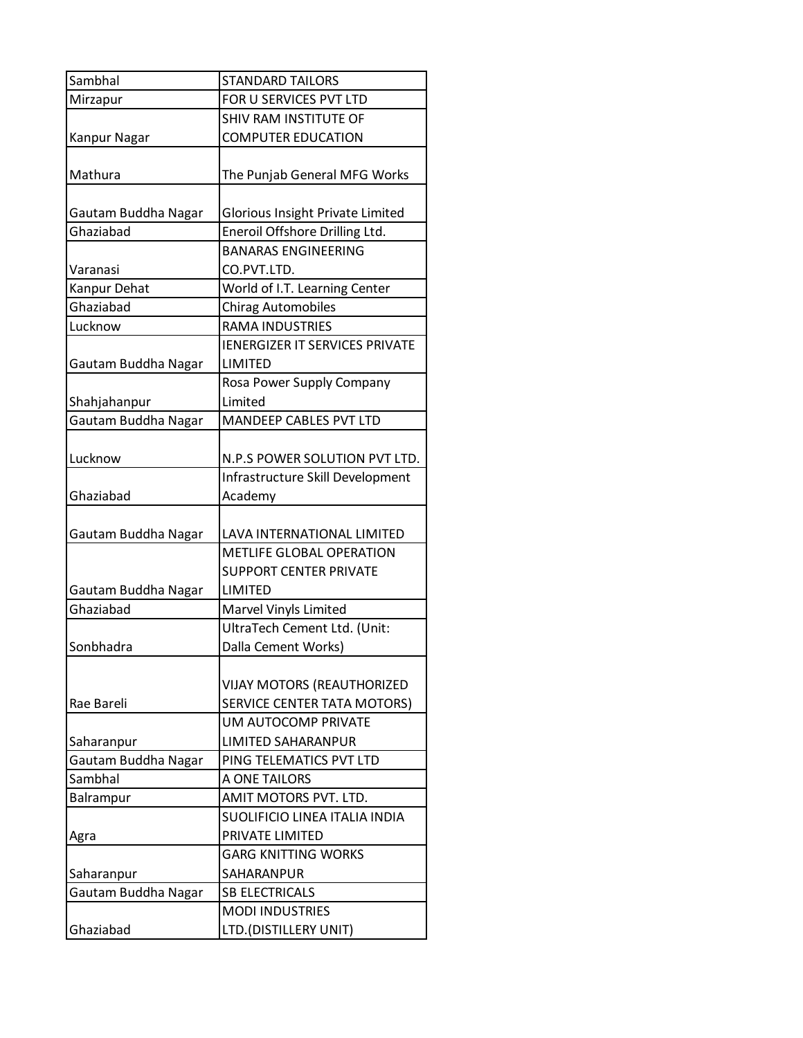| Sambhal             | <b>STANDARD TAILORS</b>                                          |
|---------------------|------------------------------------------------------------------|
| Mirzapur            | FOR U SERVICES PVT LTD                                           |
|                     | SHIV RAM INSTITUTE OF                                            |
| Kanpur Nagar        | <b>COMPUTER EDUCATION</b>                                        |
| Mathura             | The Punjab General MFG Works                                     |
| Gautam Buddha Nagar | <b>Glorious Insight Private Limited</b>                          |
| Ghaziabad           | Eneroil Offshore Drilling Ltd.                                   |
| Varanasi            | <b>BANARAS ENGINEERING</b><br>CO.PVT.LTD.                        |
| Kanpur Dehat        | World of I.T. Learning Center                                    |
| Ghaziabad           | <b>Chirag Automobiles</b>                                        |
| Lucknow             | <b>RAMA INDUSTRIES</b>                                           |
| Gautam Buddha Nagar | <b>IENERGIZER IT SERVICES PRIVATE</b><br>LIMITED                 |
|                     | Rosa Power Supply Company                                        |
| Shahjahanpur        | Limited                                                          |
| Gautam Buddha Nagar | MANDEEP CABLES PVT LTD                                           |
|                     |                                                                  |
| Lucknow             | N.P.S POWER SOLUTION PVT LTD.                                    |
| Ghaziabad           | Infrastructure Skill Development<br>Academy                      |
|                     |                                                                  |
| Gautam Buddha Nagar | LAVA INTERNATIONAL LIMITED                                       |
|                     | METLIFE GLOBAL OPERATION                                         |
|                     | <b>SUPPORT CENTER PRIVATE</b>                                    |
| Gautam Buddha Nagar | LIMITED                                                          |
| Ghaziabad           | Marvel Vinyls Limited                                            |
|                     | UltraTech Cement Ltd. (Unit:                                     |
| Sonbhadra           | Dalla Cement Works)                                              |
| Rae Bareli          | <b>VIJAY MOTORS (REAUTHORIZED</b><br>SERVICE CENTER TATA MOTORS) |
| Saharanpur          | UM AUTOCOMP PRIVATE<br><b>LIMITED SAHARANPUR</b>                 |
| Gautam Buddha Nagar | PING TELEMATICS PVT LTD                                          |
| Sambhal             | A ONE TAILORS                                                    |
| Balrampur           | AMIT MOTORS PVT. LTD.                                            |
|                     | SUOLIFICIO LINEA ITALIA INDIA                                    |
| Agra                | PRIVATE LIMITED                                                  |
|                     | <b>GARG KNITTING WORKS</b>                                       |
| Saharanpur          | SAHARANPUR                                                       |
| Gautam Buddha Nagar | <b>SB ELECTRICALS</b>                                            |
|                     | <b>MODI INDUSTRIES</b>                                           |
| Ghaziabad           | LTD.(DISTILLERY UNIT)                                            |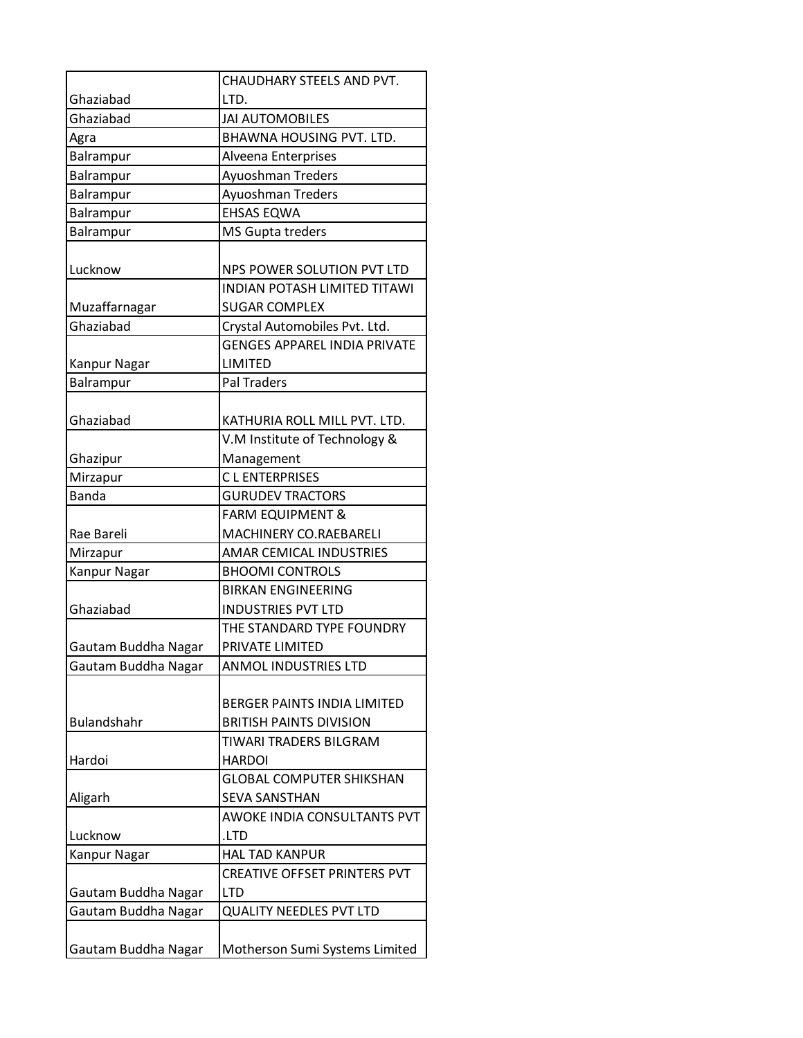|                     | CHAUDHARY STEELS AND PVT.                                            |
|---------------------|----------------------------------------------------------------------|
| Ghaziabad           | LTD.                                                                 |
| Ghaziabad           | <b>JAI AUTOMOBILES</b>                                               |
| Agra                | BHAWNA HOUSING PVT. LTD.                                             |
| Balrampur           | Alveena Enterprises                                                  |
| Balrampur           | Ayuoshman Treders                                                    |
| Balrampur           | Ayuoshman Treders                                                    |
| Balrampur           | <b>EHSAS EQWA</b>                                                    |
| Balrampur           | MS Gupta treders                                                     |
| Lucknow             | NPS POWER SOLUTION PVT LTD                                           |
|                     | <b>INDIAN POTASH LIMITED TITAWI</b>                                  |
| Muzaffarnagar       | <b>SUGAR COMPLEX</b>                                                 |
| Ghaziabad           | Crystal Automobiles Pvt. Ltd.                                        |
|                     | <b>GENGES APPAREL INDIA PRIVATE</b>                                  |
| <b>Kanpur Nagar</b> | <b>LIMITED</b>                                                       |
| Balrampur           | <b>Pal Traders</b>                                                   |
| Ghaziabad           | KATHURIA ROLL MILL PVT. LTD.                                         |
|                     | V.M Institute of Technology &                                        |
| Ghazipur            | Management                                                           |
| Mirzapur            | <b>CLENTERPRISES</b>                                                 |
| <b>Banda</b>        | <b>GURUDEV TRACTORS</b>                                              |
|                     | <b>FARM EQUIPMENT &amp;</b>                                          |
| Rae Bareli          | MACHINERY CO.RAEBARELI                                               |
| Mirzapur            | AMAR CEMICAL INDUSTRIES                                              |
| Kanpur Nagar        | <b>BHOOMI CONTROLS</b><br><b>BIRKAN ENGINEERING</b>                  |
| Ghaziabad           | <b>INDUSTRIES PVT LTD</b>                                            |
|                     | THE STANDARD TYPE FOUNDRY                                            |
| Gautam Buddha Nagar | PRIVATE LIMITED                                                      |
| Gautam Buddha Nagar | ANMOL INDUSTRIES LTD                                                 |
|                     |                                                                      |
| <b>Bulandshahr</b>  | <b>BERGER PAINTS INDIA LIMITED</b><br><b>BRITISH PAINTS DIVISION</b> |
|                     | TIWARI TRADERS BILGRAM                                               |
| Hardoi              | <b>HARDOI</b>                                                        |
|                     | <b>GLOBAL COMPUTER SHIKSHAN</b>                                      |
| Aligarh             | <b>SEVA SANSTHAN</b>                                                 |
|                     | <b>AWOKE INDIA CONSULTANTS PVT</b>                                   |
| Lucknow             | .LTD                                                                 |
| Kanpur Nagar        | <b>HAL TAD KANPUR</b>                                                |
|                     | CREATIVE OFFSET PRINTERS PVT                                         |
| Gautam Buddha Nagar | <b>LTD</b>                                                           |
| Gautam Buddha Nagar | <b>QUALITY NEEDLES PVT LTD</b>                                       |
|                     |                                                                      |
| Gautam Buddha Nagar | Motherson Sumi Systems Limited                                       |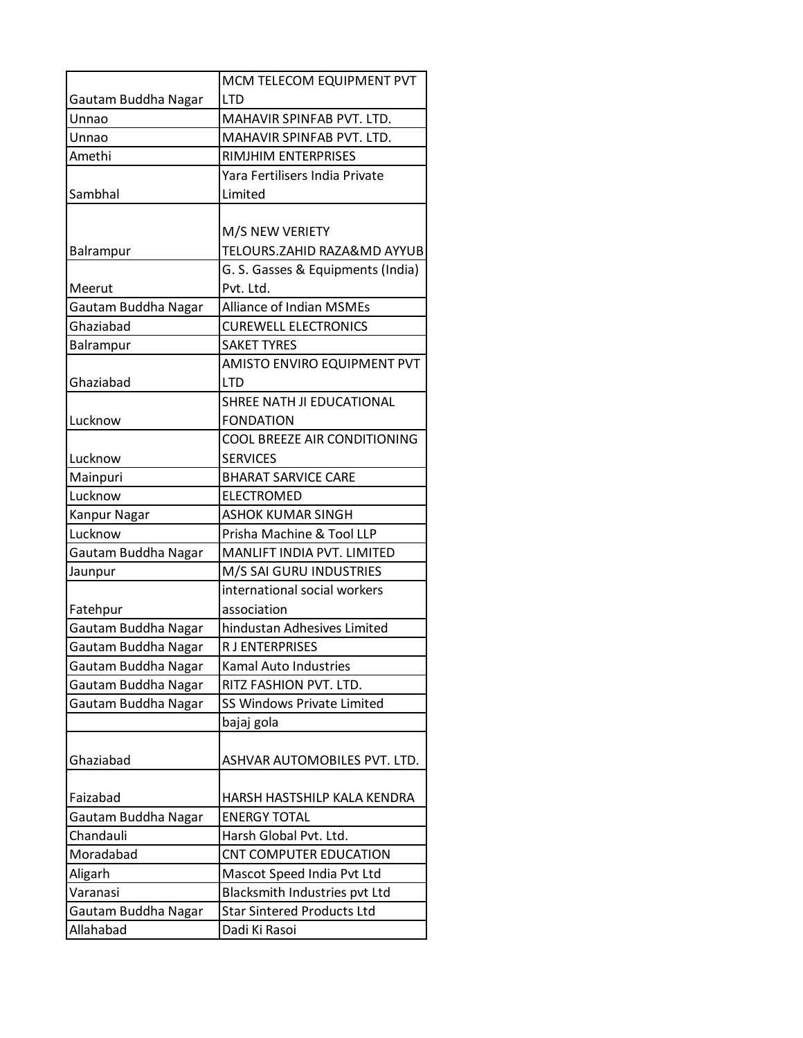|                     | MCM TELECOM EQUIPMENT PVT         |
|---------------------|-----------------------------------|
| Gautam Buddha Nagar | <b>LTD</b>                        |
| Unnao               | MAHAVIR SPINFAB PVT. LTD.         |
| Unnao               | MAHAVIR SPINFAB PVT. LTD.         |
| Amethi              | RIMJHIM ENTERPRISES               |
|                     | Yara Fertilisers India Private    |
| Sambhal             | Limited                           |
|                     |                                   |
|                     | M/S NEW VERIETY                   |
| Balrampur           | TELOURS.ZAHID RAZA&MD AYYUB       |
|                     | G. S. Gasses & Equipments (India) |
| Meerut              | Pvt. Ltd.                         |
| Gautam Buddha Nagar | <b>Alliance of Indian MSMEs</b>   |
| Ghaziabad           | <b>CUREWELL ELECTRONICS</b>       |
| Balrampur           | <b>SAKET TYRES</b>                |
|                     | AMISTO ENVIRO EQUIPMENT PVT       |
| Ghaziabad           | <b>LTD</b>                        |
|                     | SHREE NATH JI EDUCATIONAL         |
| Lucknow             | <b>FONDATION</b>                  |
|                     | COOL BREEZE AIR CONDITIONING      |
| Lucknow             | <b>SERVICES</b>                   |
| Mainpuri            | <b>BHARAT SARVICE CARE</b>        |
| Lucknow             | <b>ELECTROMED</b>                 |
| Kanpur Nagar        | <b>ASHOK KUMAR SINGH</b>          |
| Lucknow             | Prisha Machine & Tool LLP         |
| Gautam Buddha Nagar | MANLIFT INDIA PVT. LIMITED        |
| Jaunpur             | M/S SAI GURU INDUSTRIES           |
|                     | international social workers      |
| Fatehpur            | association                       |
| Gautam Buddha Nagar | hindustan Adhesives Limited       |
| Gautam Buddha Nagar | <b>RJENTERPRISES</b>              |
| Gautam Buddha Nagar | Kamal Auto Industries             |
| Gautam Buddha Nagar | RITZ FASHION PVT. LTD.            |
| Gautam Buddha Nagar | SS Windows Private Limited        |
|                     | bajaj gola                        |
|                     |                                   |
| Ghaziabad           | ASHVAR AUTOMOBILES PVT. LTD.      |
|                     |                                   |
| Faizabad            | HARSH HASTSHILP KALA KENDRA       |
| Gautam Buddha Nagar | <b>ENERGY TOTAL</b>               |
| Chandauli           | Harsh Global Pvt. Ltd.            |
| Moradabad           | <b>CNT COMPUTER EDUCATION</b>     |
| Aligarh             | Mascot Speed India Pvt Ltd        |
| Varanasi            | Blacksmith Industries pvt Ltd     |
| Gautam Buddha Nagar | <b>Star Sintered Products Ltd</b> |
| Allahabad           | Dadi Ki Rasoi                     |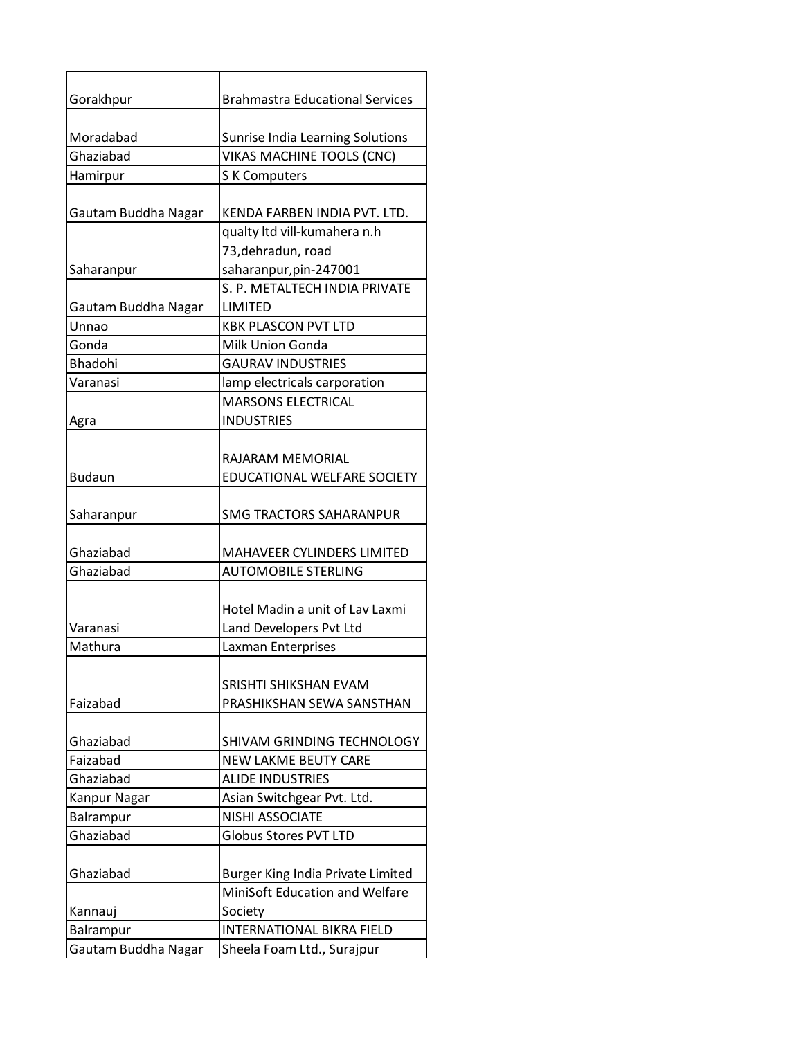| Gorakhpur           | <b>Brahmastra Educational Services</b> |
|---------------------|----------------------------------------|
| Moradabad           | Sunrise India Learning Solutions       |
| Ghaziabad           | VIKAS MACHINE TOOLS (CNC)              |
| Hamirpur            | S K Computers                          |
|                     |                                        |
| Gautam Buddha Nagar | KENDA FARBEN INDIA PVT. LTD.           |
|                     | qualty ltd vill-kumahera n.h           |
|                     | 73, dehradun, road                     |
| Saharanpur          | saharanpur, pin-247001                 |
|                     | S. P. METALTECH INDIA PRIVATE          |
| Gautam Buddha Nagar | LIMITED                                |
| Unnao               | <b>KBK PLASCON PVT LTD</b>             |
| Gonda               | Milk Union Gonda                       |
| Bhadohi             | <b>GAURAV INDUSTRIES</b>               |
| Varanasi            | lamp electricals carporation           |
|                     | <b>MARSONS ELECTRICAL</b>              |
| Agra                | <b>INDUSTRIES</b>                      |
|                     |                                        |
|                     | RAJARAM MEMORIAL                       |
| <b>Budaun</b>       | EDUCATIONAL WELFARE SOCIETY            |
|                     |                                        |
| Saharanpur          | <b>SMG TRACTORS SAHARANPUR</b>         |
| Ghaziabad           | MAHAVEER CYLINDERS LIMITED             |
| Ghaziabad           | <b>AUTOMOBILE STERLING</b>             |
|                     |                                        |
|                     | Hotel Madin a unit of Lav Laxmi        |
| Varanasi            | Land Developers Pvt Ltd                |
| Mathura             | Laxman Enterprises                     |
|                     |                                        |
|                     | SRISHTI SHIKSHAN EVAM                  |
| Faizabad            | PRASHIKSHAN SEWA SANSTHAN              |
|                     |                                        |
| Ghaziabad           | SHIVAM GRINDING TECHNOLOGY             |
| Faizabad            | <b>NEW LAKME BEUTY CARE</b>            |
| Ghaziabad           | <b>ALIDE INDUSTRIES</b>                |
| Kanpur Nagar        | Asian Switchgear Pvt. Ltd.             |
| Balrampur           | NISHI ASSOCIATE                        |
| Ghaziabad           | <b>Globus Stores PVT LTD</b>           |
|                     |                                        |
| Ghaziabad           | Burger King India Private Limited      |
|                     | MiniSoft Education and Welfare         |
| Kannauj             | Society                                |
| Balrampur           | <b>INTERNATIONAL BIKRA FIELD</b>       |
| Gautam Buddha Nagar | Sheela Foam Ltd., Surajpur             |
|                     |                                        |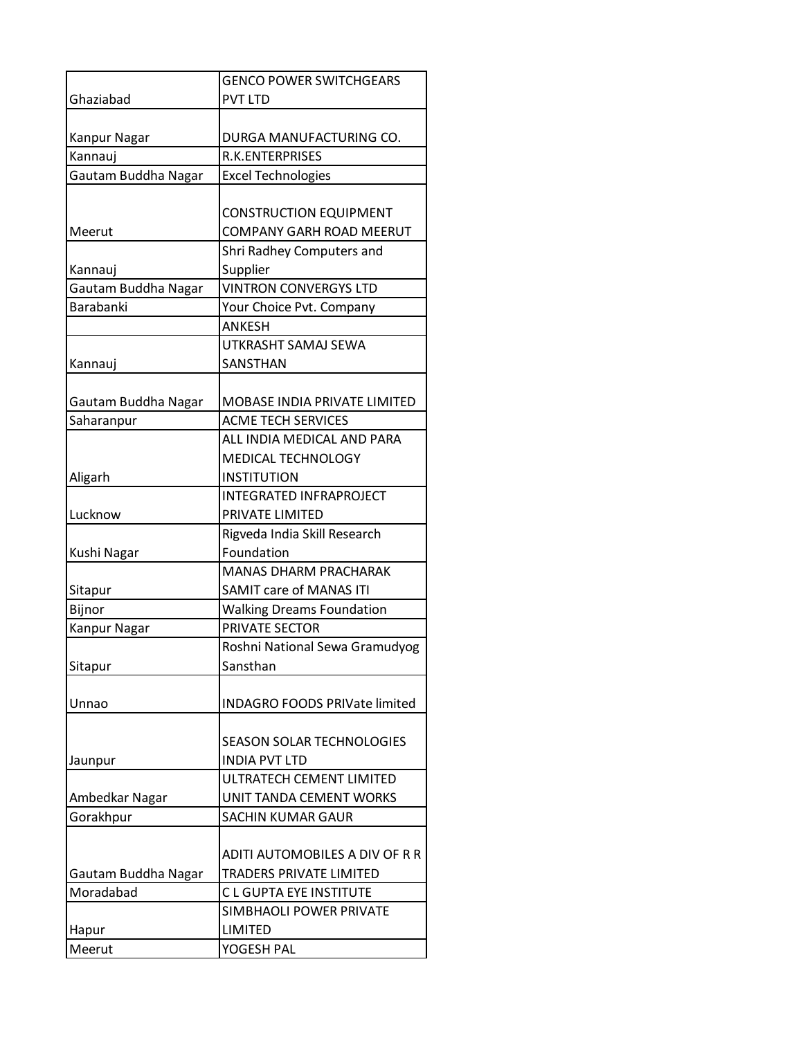|                                  | <b>GENCO POWER SWITCHGEARS</b>                                   |
|----------------------------------|------------------------------------------------------------------|
| Ghaziabad                        | <b>PVT LTD</b>                                                   |
|                                  |                                                                  |
| Kanpur Nagar                     | DURGA MANUFACTURING CO.                                          |
| Kannauj                          | <b>R.K.ENTERPRISES</b>                                           |
| Gautam Buddha Nagar              | <b>Excel Technologies</b>                                        |
|                                  |                                                                  |
|                                  | <b>CONSTRUCTION EQUIPMENT</b>                                    |
| Meerut                           | COMPANY GARH ROAD MEERUT                                         |
|                                  | Shri Radhey Computers and                                        |
| Kannauj                          | Supplier                                                         |
| Gautam Buddha Nagar              | <b>VINTRON CONVERGYS LTD</b>                                     |
| <b>Barabanki</b>                 | Your Choice Pvt. Company                                         |
|                                  | <b>ANKESH</b>                                                    |
|                                  | UTKRASHT SAMAJ SEWA                                              |
| Kannauj                          | SANSTHAN                                                         |
|                                  |                                                                  |
| Gautam Buddha Nagar              | MOBASE INDIA PRIVATE LIMITED                                     |
| Saharanpur                       | <b>ACME TECH SERVICES</b>                                        |
|                                  | ALL INDIA MEDICAL AND PARA                                       |
|                                  | MEDICAL TECHNOLOGY                                               |
| Aligarh                          | <b>INSTITUTION</b>                                               |
|                                  | <b>INTEGRATED INFRAPROJECT</b>                                   |
| Lucknow                          | PRIVATE LIMITED                                                  |
|                                  | Rigveda India Skill Research                                     |
| Kushi Nagar                      | Foundation                                                       |
|                                  | <b>MANAS DHARM PRACHARAK</b>                                     |
| Sitapur                          | <b>SAMIT care of MANAS ITI</b>                                   |
| Bijnor                           | <b>Walking Dreams Foundation</b>                                 |
| Kanpur Nagar                     | PRIVATE SECTOR                                                   |
|                                  | Roshni National Sewa Gramudyog                                   |
| Sitapur                          | Sansthan                                                         |
|                                  |                                                                  |
| Unnao                            | INDAGRO FOODS PRIVate limited                                    |
|                                  |                                                                  |
|                                  | SEASON SOLAR TECHNOLOGIES                                        |
| Jaunpur                          | <b>INDIA PVT LTD</b>                                             |
|                                  | ULTRATECH CEMENT LIMITED                                         |
| Ambedkar Nagar                   | UNIT TANDA CEMENT WORKS                                          |
| Gorakhpur                        | <b>SACHIN KUMAR GAUR</b>                                         |
|                                  |                                                                  |
|                                  | ADITI AUTOMOBILES A DIV OF R R<br><b>TRADERS PRIVATE LIMITED</b> |
| Gautam Buddha Nagar<br>Moradabad | <b>CL GUPTA EYE INSTITUTE</b>                                    |
|                                  |                                                                  |
|                                  | SIMBHAOLI POWER PRIVATE<br>LIMITED                               |
| Hapur                            |                                                                  |
| Meerut                           | YOGESH PAL                                                       |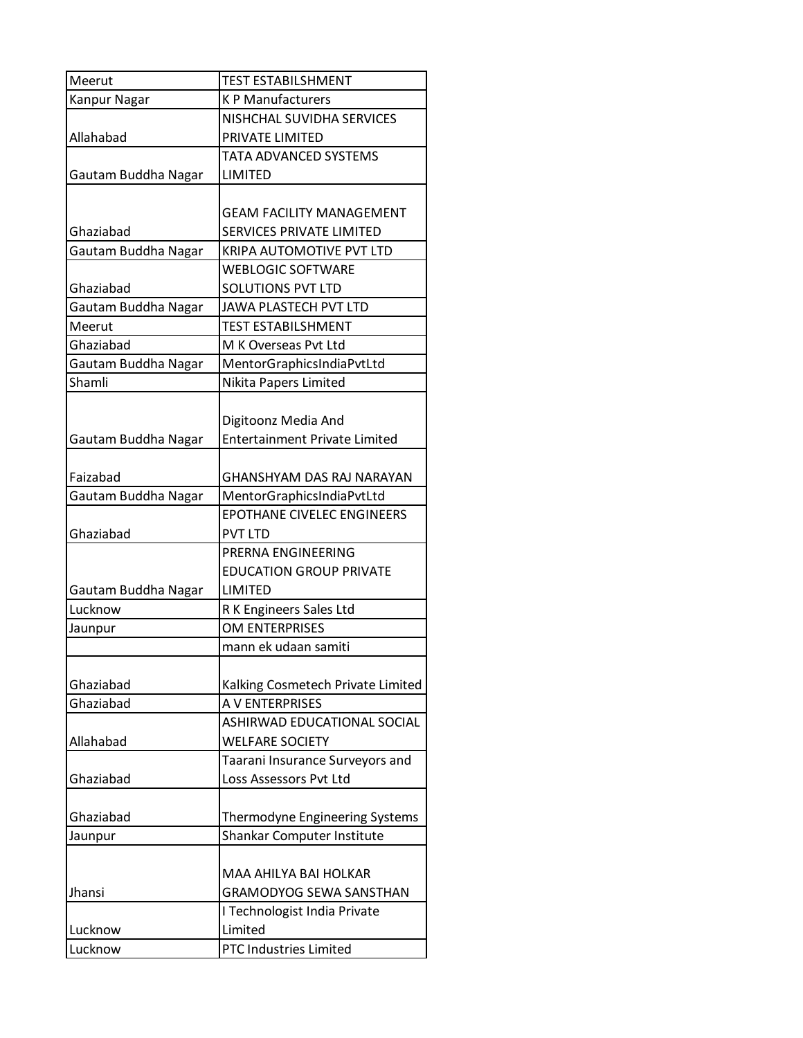| Meerut              | <b>TEST ESTABILSHMENT</b>             |
|---------------------|---------------------------------------|
| Kanpur Nagar        | <b>KP Manufacturers</b>               |
|                     | NISHCHAL SUVIDHA SERVICES             |
| Allahabad           | PRIVATE LIMITED                       |
|                     | TATA ADVANCED SYSTEMS                 |
| Gautam Buddha Nagar | LIMITED                               |
|                     |                                       |
|                     | <b>GEAM FACILITY MANAGEMENT</b>       |
| Ghaziabad           | SERVICES PRIVATE LIMITED              |
| Gautam Buddha Nagar | KRIPA AUTOMOTIVE PVT LTD              |
|                     | <b>WEBLOGIC SOFTWARE</b>              |
| Ghaziabad           | <b>SOLUTIONS PVT LTD</b>              |
| Gautam Buddha Nagar | JAWA PLASTECH PVT LTD                 |
| Meerut              | <b>TEST ESTABILSHMENT</b>             |
| Ghaziabad           | M K Overseas Pvt Ltd                  |
| Gautam Buddha Nagar | MentorGraphicsIndiaPvtLtd             |
| Shamli              | Nikita Papers Limited                 |
|                     |                                       |
|                     | Digitoonz Media And                   |
| Gautam Buddha Nagar | <b>Entertainment Private Limited</b>  |
|                     |                                       |
| Faizabad            | GHANSHYAM DAS RAJ NARAYAN             |
| Gautam Buddha Nagar | MentorGraphicsIndiaPvtLtd             |
|                     | EPOTHANE CIVELEC ENGINEERS            |
| Ghaziabad           | <b>PVT LTD</b>                        |
|                     | PRERNA ENGINEERING                    |
|                     | <b>EDUCATION GROUP PRIVATE</b>        |
| Gautam Buddha Nagar | LIMITED                               |
| Lucknow             | R K Engineers Sales Ltd               |
| Jaunpur             | OM ENTERPRISES                        |
|                     | mann ek udaan samiti                  |
|                     |                                       |
| Ghaziabad           | Kalking Cosmetech Private Limited     |
| Ghaziabad           | A V ENTERPRISES                       |
|                     | ASHIRWAD EDUCATIONAL SOCIAL           |
| Allahabad           | <b>WELFARE SOCIETY</b>                |
|                     | Taarani Insurance Surveyors and       |
| Ghaziabad           | Loss Assessors Pvt Ltd                |
|                     |                                       |
| Ghaziabad           | <b>Thermodyne Engineering Systems</b> |
| Jaunpur             | Shankar Computer Institute            |
|                     |                                       |
|                     | MAA AHILYA BAI HOLKAR                 |
| Jhansi              | <b>GRAMODYOG SEWA SANSTHAN</b>        |
|                     | I Technologist India Private          |
| Lucknow             | Limited                               |
| Lucknow             | PTC Industries Limited                |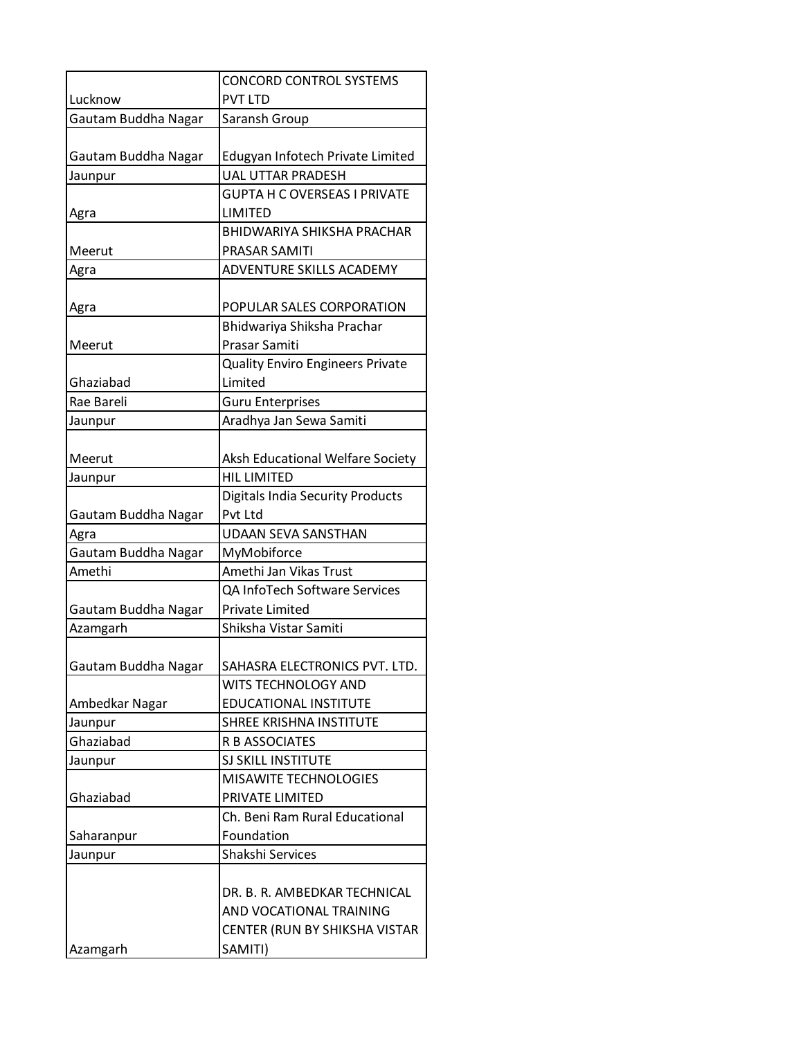|                      | <b>CONCORD CONTROL SYSTEMS</b>          |
|----------------------|-----------------------------------------|
| Lucknow              | <b>PVT LTD</b>                          |
| Gautam Buddha Nagar  | Saransh Group                           |
|                      |                                         |
| Gautam Buddha Nagar  | Edugyan Infotech Private Limited        |
| Jaunpur              | <b>UAL UTTAR PRADESH</b>                |
|                      | <b>GUPTA H C OVERSEAS I PRIVATE</b>     |
| Agra                 | LIMITED                                 |
|                      | <b>BHIDWARIYA SHIKSHA PRACHAR</b>       |
| Meerut               | PRASAR SAMITI                           |
| Agra                 | ADVENTURE SKILLS ACADEMY                |
|                      |                                         |
| Agra                 | POPULAR SALES CORPORATION               |
|                      | Bhidwariya Shiksha Prachar              |
| Meerut               | Prasar Samiti                           |
|                      | <b>Quality Enviro Engineers Private</b> |
| Ghaziabad            | Limited                                 |
| Rae Bareli           | <b>Guru Enterprises</b>                 |
| Jaunpur              | Aradhya Jan Sewa Samiti                 |
|                      |                                         |
| Meerut               | Aksh Educational Welfare Society        |
| Jaunpur              | <b>HIL LIMITED</b>                      |
|                      | <b>Digitals India Security Products</b> |
| Gautam Buddha Nagar  | Pvt Ltd                                 |
| Agra                 | <b>UDAAN SEVA SANSTHAN</b>              |
| Gautam Buddha Nagar  | MyMobiforce                             |
| Amethi               | Amethi Jan Vikas Trust                  |
|                      | QA InfoTech Software Services           |
| Gautam Buddha Nagar  | <b>Private Limited</b>                  |
| Azamgarh             | Shiksha Vistar Samiti                   |
|                      | SAHASRA ELECTRONICS PVT. LTD.           |
| Gautam Buddha Nagar  | WITS TECHNOLOGY AND                     |
| Ambedkar Nagar       | <b>EDUCATIONAL INSTITUTE</b>            |
|                      | SHREE KRISHNA INSTITUTE                 |
| Jaunpur<br>Ghaziabad | <b>R B ASSOCIATES</b>                   |
| Jaunpur              | <b>SJ SKILL INSTITUTE</b>               |
|                      | <b>MISAWITE TECHNOLOGIES</b>            |
| Ghaziabad            | PRIVATE LIMITED                         |
|                      | Ch. Beni Ram Rural Educational          |
| Saharanpur           | Foundation                              |
| Jaunpur              | Shakshi Services                        |
|                      |                                         |
|                      | DR. B. R. AMBEDKAR TECHNICAL            |
|                      | AND VOCATIONAL TRAINING                 |
|                      | CENTER (RUN BY SHIKSHA VISTAR           |
| Azamgarh             | SAMITI)                                 |
|                      |                                         |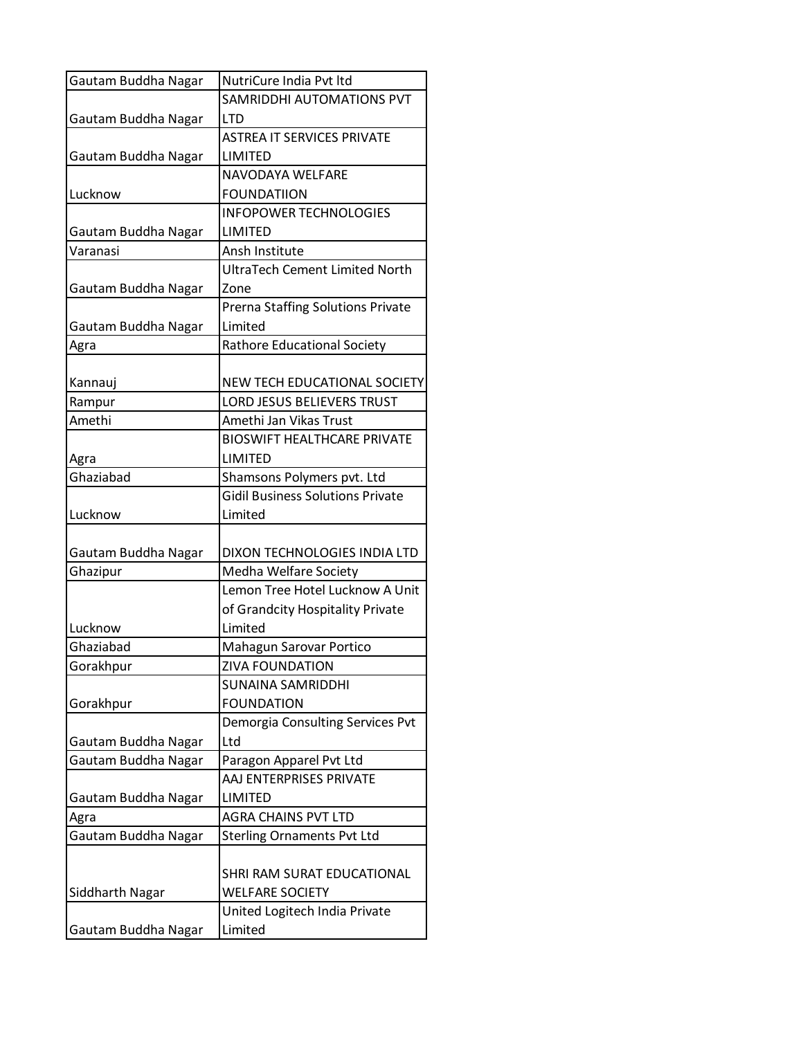| Gautam Buddha Nagar | NutriCure India Pvt Itd                 |
|---------------------|-----------------------------------------|
|                     | SAMRIDDHI AUTOMATIONS PVT               |
| Gautam Buddha Nagar | <b>LTD</b>                              |
|                     | <b>ASTREA IT SERVICES PRIVATE</b>       |
| Gautam Buddha Nagar | LIMITED                                 |
|                     | NAVODAYA WELFARE                        |
| Lucknow             | <b>FOUNDATIION</b>                      |
|                     | <b>INFOPOWER TECHNOLOGIES</b>           |
| Gautam Buddha Nagar | LIMITED                                 |
| Varanasi            | Ansh Institute                          |
|                     | <b>UltraTech Cement Limited North</b>   |
| Gautam Buddha Nagar | Zone                                    |
|                     | Prerna Staffing Solutions Private       |
| Gautam Buddha Nagar | Limited                                 |
| Agra                | <b>Rathore Educational Society</b>      |
|                     |                                         |
| Kannauj             | NEW TECH EDUCATIONAL SOCIETY            |
| Rampur              | LORD JESUS BELIEVERS TRUST              |
| Amethi              | Amethi Jan Vikas Trust                  |
|                     | <b>BIOSWIFT HEALTHCARE PRIVATE</b>      |
| Agra                | <b>LIMITED</b>                          |
| Ghaziabad           | Shamsons Polymers pvt. Ltd              |
|                     | <b>Gidil Business Solutions Private</b> |
| Lucknow             | Limited                                 |
|                     |                                         |
| Gautam Buddha Nagar | DIXON TECHNOLOGIES INDIA LTD            |
| Ghazipur            | Medha Welfare Society                   |
|                     | Lemon Tree Hotel Lucknow A Unit         |
|                     | of Grandcity Hospitality Private        |
| Lucknow             | Limited                                 |
| Ghaziabad           | Mahagun Sarovar Portico                 |
| Gorakhpur           | <b>ZIVA FOUNDATION</b>                  |
|                     | <b>SUNAINA SAMRIDDHI</b>                |
| Gorakhpur           |                                         |
|                     | <b>FOUNDATION</b>                       |
|                     | Demorgia Consulting Services Pvt        |
| Gautam Buddha Nagar | Ltd                                     |
| Gautam Buddha Nagar | Paragon Apparel Pvt Ltd                 |
|                     | AAJ ENTERPRISES PRIVATE                 |
| Gautam Buddha Nagar | LIMITED                                 |
| Agra                | AGRA CHAINS PVT LTD                     |
| Gautam Buddha Nagar | <b>Sterling Ornaments Pvt Ltd</b>       |
|                     |                                         |
|                     | SHRI RAM SURAT EDUCATIONAL              |
| Siddharth Nagar     | <b>WELFARE SOCIETY</b>                  |
|                     | United Logitech India Private           |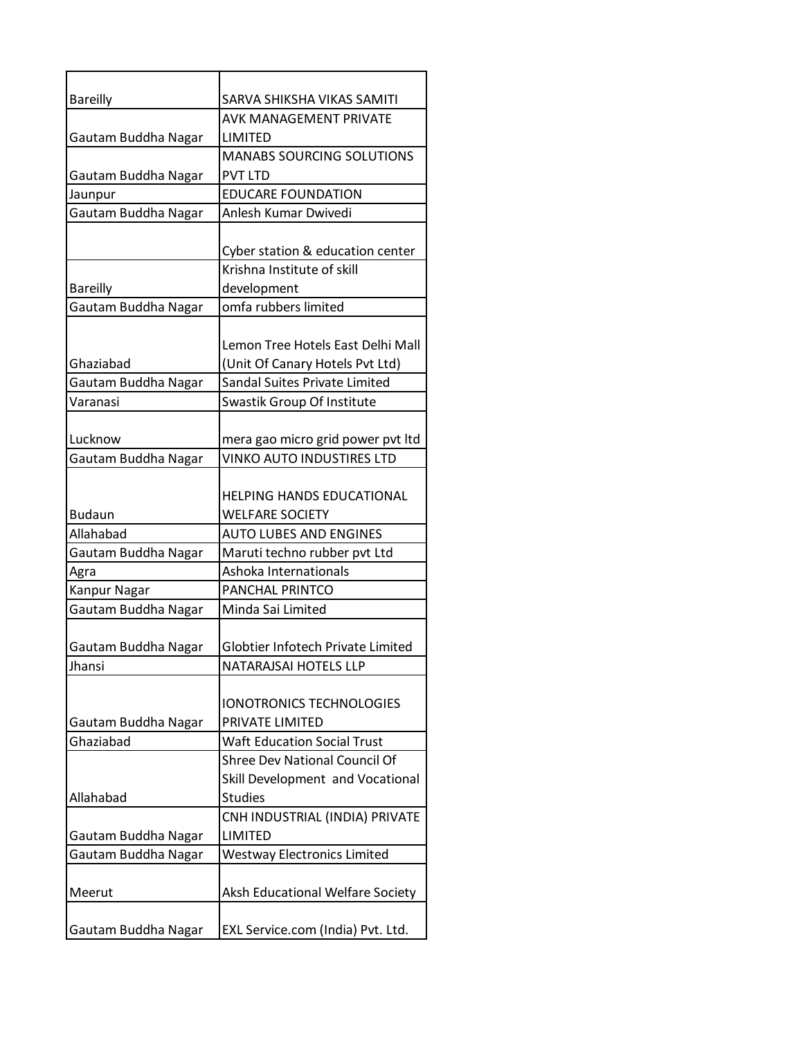| <b>Bareilly</b>     | SARVA SHIKSHA VIKAS SAMITI         |
|---------------------|------------------------------------|
|                     | AVK MANAGEMENT PRIVATE             |
| Gautam Buddha Nagar | <b>LIMITED</b>                     |
|                     | <b>MANABS SOURCING SOLUTIONS</b>   |
| Gautam Buddha Nagar | <b>PVT LTD</b>                     |
| Jaunpur             | <b>EDUCARE FOUNDATION</b>          |
| Gautam Buddha Nagar | Anlesh Kumar Dwivedi               |
|                     |                                    |
|                     | Cyber station & education center   |
|                     | Krishna Institute of skill         |
| <b>Bareilly</b>     | development                        |
| Gautam Buddha Nagar | omfa rubbers limited               |
|                     |                                    |
|                     | Lemon Tree Hotels East Delhi Mall  |
| Ghaziabad           | (Unit Of Canary Hotels Pvt Ltd)    |
| Gautam Buddha Nagar | Sandal Suites Private Limited      |
| Varanasi            | Swastik Group Of Institute         |
|                     |                                    |
| Lucknow             | mera gao micro grid power pvt ltd  |
| Gautam Buddha Nagar | <b>VINKO AUTO INDUSTIRES LTD</b>   |
|                     |                                    |
|                     | <b>HELPING HANDS EDUCATIONAL</b>   |
| <b>Budaun</b>       | <b>WELFARE SOCIETY</b>             |
| Allahabad           | <b>AUTO LUBES AND ENGINES</b>      |
| Gautam Buddha Nagar | Maruti techno rubber pvt Ltd       |
| Agra                | Ashoka Internationals              |
| <b>Kanpur Nagar</b> | <b>PANCHAL PRINTCO</b>             |
| Gautam Buddha Nagar | Minda Sai Limited                  |
|                     |                                    |
| Gautam Buddha Nagar | Globtier Infotech Private Limited  |
| Jhansi              | NATARAJSAI HOTELS LLP              |
|                     |                                    |
|                     | <b>IONOTRONICS TECHNOLOGIES</b>    |
| Gautam Buddha Nagar | PRIVATE LIMITED                    |
| Ghaziabad           | <b>Waft Education Social Trust</b> |
|                     | Shree Dev National Council Of      |
|                     | Skill Development and Vocational   |
| Allahabad           | <b>Studies</b>                     |
|                     | CNH INDUSTRIAL (INDIA) PRIVATE     |
| Gautam Buddha Nagar | LIMITED                            |
| Gautam Buddha Nagar | <b>Westway Electronics Limited</b> |
|                     |                                    |
| Meerut              | Aksh Educational Welfare Society   |
|                     |                                    |
| Gautam Buddha Nagar | EXL Service.com (India) Pvt. Ltd.  |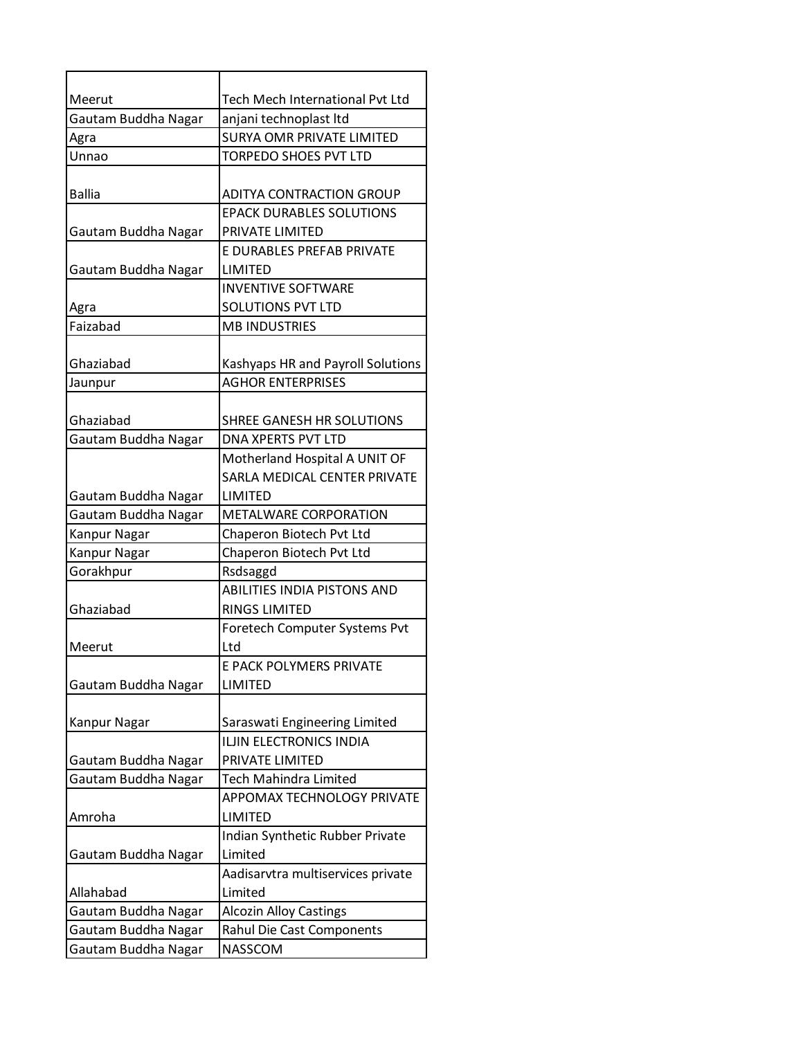| Meerut              | Tech Mech International Pvt Ltd    |
|---------------------|------------------------------------|
| Gautam Buddha Nagar | anjani technoplast Itd             |
| Agra                | <b>SURYA OMR PRIVATE LIMITED</b>   |
| Unnao               | <b>TORPEDO SHOES PVT LTD</b>       |
|                     |                                    |
| <b>Ballia</b>       | <b>ADITYA CONTRACTION GROUP</b>    |
|                     | <b>EPACK DURABLES SOLUTIONS</b>    |
| Gautam Buddha Nagar | PRIVATE LIMITED                    |
|                     | E DURABLES PREFAB PRIVATE          |
| Gautam Buddha Nagar | LIMITED                            |
|                     | <b>INVENTIVE SOFTWARE</b>          |
| Agra                | <b>SOLUTIONS PVT LTD</b>           |
| Faizabad            | <b>MB INDUSTRIES</b>               |
|                     |                                    |
| Ghaziabad           | Kashyaps HR and Payroll Solutions  |
| Jaunpur             | <b>AGHOR ENTERPRISES</b>           |
|                     |                                    |
| Ghaziabad           | SHREE GANESH HR SOLUTIONS          |
| Gautam Buddha Nagar | <b>DNA XPERTS PVT LTD</b>          |
|                     | Motherland Hospital A UNIT OF      |
|                     | SARLA MEDICAL CENTER PRIVATE       |
| Gautam Buddha Nagar | LIMITED                            |
| Gautam Buddha Nagar | <b>METALWARE CORPORATION</b>       |
| <b>Kanpur Nagar</b> | Chaperon Biotech Pvt Ltd           |
| Kanpur Nagar        | Chaperon Biotech Pvt Ltd           |
| Gorakhpur           | Rsdsaggd                           |
|                     | <b>ABILITIES INDIA PISTONS AND</b> |
| Ghaziabad           | <b>RINGS LIMITED</b>               |
|                     | Foretech Computer Systems Pvt      |
| Meerut              | Ltd                                |
|                     | E PACK POLYMERS PRIVATE            |
| Gautam Buddha Nagar | <b>LIMITED</b>                     |
|                     |                                    |
| Kanpur Nagar        | Saraswati Engineering Limited      |
|                     | <b>ILJIN ELECTRONICS INDIA</b>     |
| Gautam Buddha Nagar | PRIVATE LIMITED                    |
| Gautam Buddha Nagar | <b>Tech Mahindra Limited</b>       |
|                     | APPOMAX TECHNOLOGY PRIVATE         |
| Amroha              | LIMITED                            |
|                     | Indian Synthetic Rubber Private    |
| Gautam Buddha Nagar | Limited                            |
|                     | Aadisarvtra multiservices private  |
| Allahabad           | Limited                            |
| Gautam Buddha Nagar | <b>Alcozin Alloy Castings</b>      |
| Gautam Buddha Nagar | Rahul Die Cast Components          |
| Gautam Buddha Nagar | NASSCOM                            |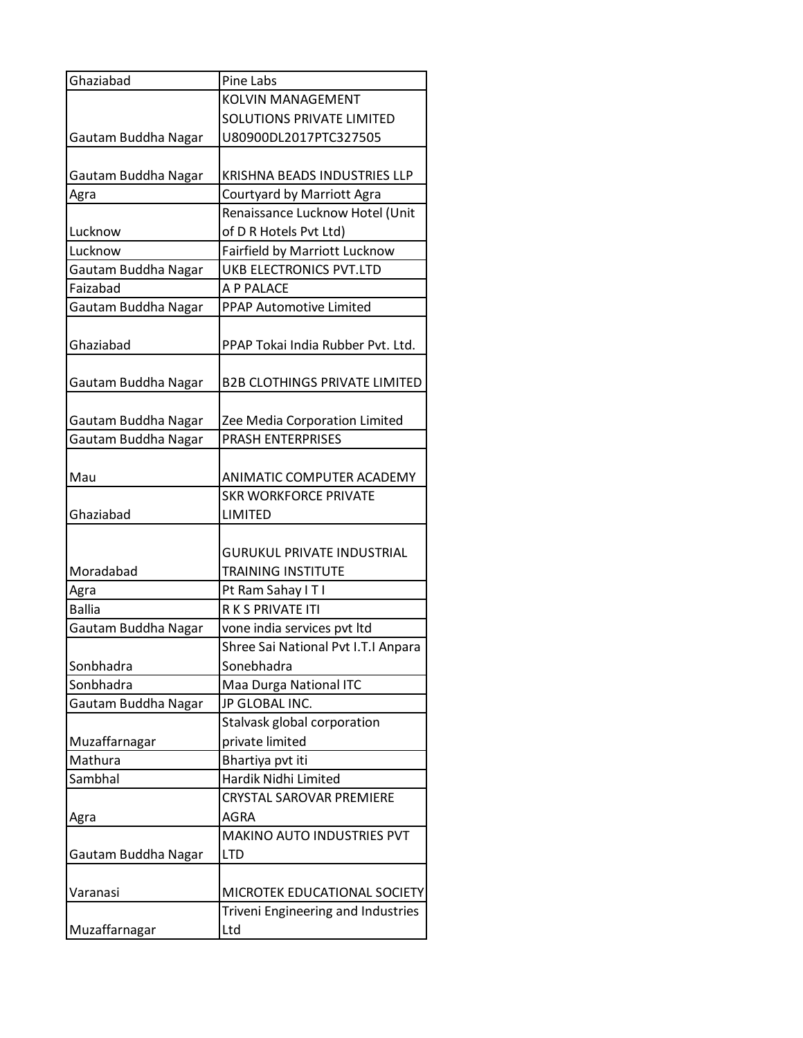| Ghaziabad                | Pine Labs                                 |
|--------------------------|-------------------------------------------|
|                          | <b>KOLVIN MANAGEMENT</b>                  |
|                          | <b>SOLUTIONS PRIVATE LIMITED</b>          |
| Gautam Buddha Nagar      | U80900DL2017PTC327505                     |
|                          |                                           |
| Gautam Buddha Nagar      | KRISHNA BEADS INDUSTRIES LLP              |
| Agra                     | Courtyard by Marriott Agra                |
|                          | Renaissance Lucknow Hotel (Unit           |
| Lucknow                  | of D R Hotels Pvt Ltd)                    |
| Lucknow                  | Fairfield by Marriott Lucknow             |
| Gautam Buddha Nagar      | <b>UKB ELECTRONICS PVT.LTD</b>            |
| Faizabad                 | A P PALACE                                |
| Gautam Buddha Nagar      | PPAP Automotive Limited                   |
|                          |                                           |
| Ghaziabad                | PPAP Tokai India Rubber Pvt. Ltd.         |
|                          |                                           |
| Gautam Buddha Nagar      | <b>B2B CLOTHINGS PRIVATE LIMITED</b>      |
|                          |                                           |
| Gautam Buddha Nagar      | Zee Media Corporation Limited             |
| Gautam Buddha Nagar      | <b>PRASH ENTERPRISES</b>                  |
|                          |                                           |
| Mau                      | ANIMATIC COMPUTER ACADEMY                 |
|                          | <b>SKR WORKFORCE PRIVATE</b>              |
| Ghaziabad                | LIMITED                                   |
|                          |                                           |
|                          | <b>GURUKUL PRIVATE INDUSTRIAL</b>         |
| Moradabad                | <b>TRAINING INSTITUTE</b>                 |
| Agra                     | Pt Ram Sahay I T I                        |
| <b>Ballia</b>            | R K S PRIVATE ITI                         |
| Gautam Buddha Nagar      | vone india services pvt ltd               |
|                          | Shree Sai National Pvt I.T.I Anpara       |
| Sonbhadra                | Sonebhadra                                |
| Sonbhadra                | Maa Durga National ITC                    |
| Gautam Buddha Nagar      | JP GLOBAL INC.                            |
|                          | Stalvask global corporation               |
|                          | private limited                           |
| Muzaffarnagar<br>Mathura |                                           |
|                          | Bhartiya pvt iti                          |
| Sambhal                  | Hardik Nidhi Limited                      |
|                          | CRYSTAL SAROVAR PREMIERE                  |
| Agra                     | AGRA                                      |
|                          | MAKINO AUTO INDUSTRIES PVT                |
| Gautam Buddha Nagar      | <b>LTD</b>                                |
|                          |                                           |
| Varanasi                 | MICROTEK EDUCATIONAL SOCIETY              |
|                          |                                           |
| Muzaffarnagar            | Triveni Engineering and Industries<br>Ltd |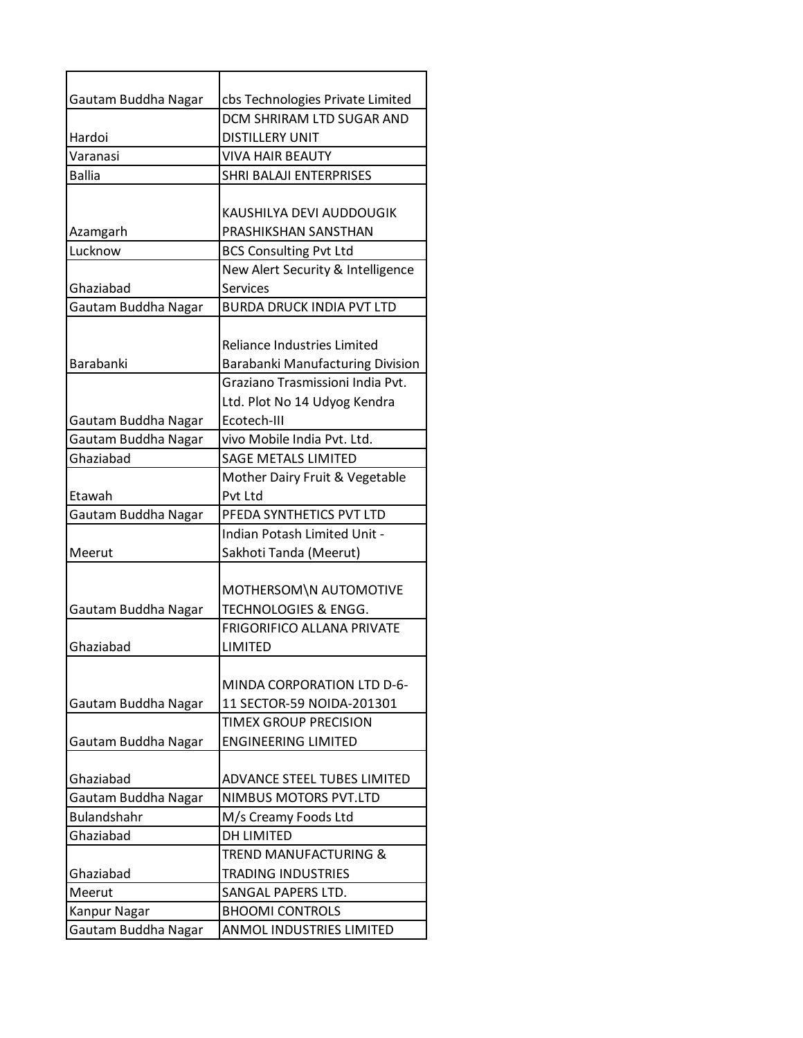| Gautam Buddha Nagar | cbs Technologies Private Limited   |
|---------------------|------------------------------------|
|                     | DCM SHRIRAM LTD SUGAR AND          |
| Hardoi              | <b>DISTILLERY UNIT</b>             |
| Varanasi            | <b>VIVA HAIR BEAUTY</b>            |
| <b>Ballia</b>       | SHRI BALAJI ENTERPRISES            |
|                     |                                    |
|                     | KAUSHILYA DEVI AUDDOUGIK           |
| Azamgarh            | PRASHIKSHAN SANSTHAN               |
| Lucknow             | <b>BCS Consulting Pvt Ltd</b>      |
|                     | New Alert Security & Intelligence  |
| Ghaziabad           | Services                           |
| Gautam Buddha Nagar | <b>BURDA DRUCK INDIA PVT LTD</b>   |
|                     |                                    |
|                     | <b>Reliance Industries Limited</b> |
| Barabanki           | Barabanki Manufacturing Division   |
|                     | Graziano Trasmissioni India Pvt.   |
|                     | Ltd. Plot No 14 Udyog Kendra       |
| Gautam Buddha Nagar | Ecotech-III                        |
| Gautam Buddha Nagar | vivo Mobile India Pvt. Ltd.        |
| Ghaziabad           | <b>SAGE METALS LIMITED</b>         |
|                     | Mother Dairy Fruit & Vegetable     |
| Etawah              | Pvt Ltd                            |
| Gautam Buddha Nagar | PFEDA SYNTHETICS PVT LTD           |
|                     | Indian Potash Limited Unit -       |
| Meerut              | Sakhoti Tanda (Meerut)             |
|                     |                                    |
|                     | MOTHERSOM\N AUTOMOTIVE             |
| Gautam Buddha Nagar | TECHNOLOGIES & ENGG.               |
|                     | <b>FRIGORIFICO ALLANA PRIVATE</b>  |
| Ghaziabad           | LIMITED                            |
|                     |                                    |
|                     | MINDA CORPORATION LTD D-6-         |
| Gautam Buddha Nagar | 11 SECTOR-59 NOIDA-201301          |
|                     | <b>TIMEX GROUP PRECISION</b>       |
|                     | <b>ENGINEERING LIMITED</b>         |
| Gautam Buddha Nagar |                                    |
|                     |                                    |
| Ghaziabad           | ADVANCE STEEL TUBES LIMITED        |
| Gautam Buddha Nagar | NIMBUS MOTORS PVT.LTD              |
| <b>Bulandshahr</b>  | M/s Creamy Foods Ltd               |
| Ghaziabad           | <b>DH LIMITED</b>                  |
|                     | TREND MANUFACTURING &              |
| Ghaziabad           | <b>TRADING INDUSTRIES</b>          |
| Meerut              | SANGAL PAPERS LTD.                 |
| Kanpur Nagar        | <b>BHOOMI CONTROLS</b>             |
| Gautam Buddha Nagar | ANMOL INDUSTRIES LIMITED           |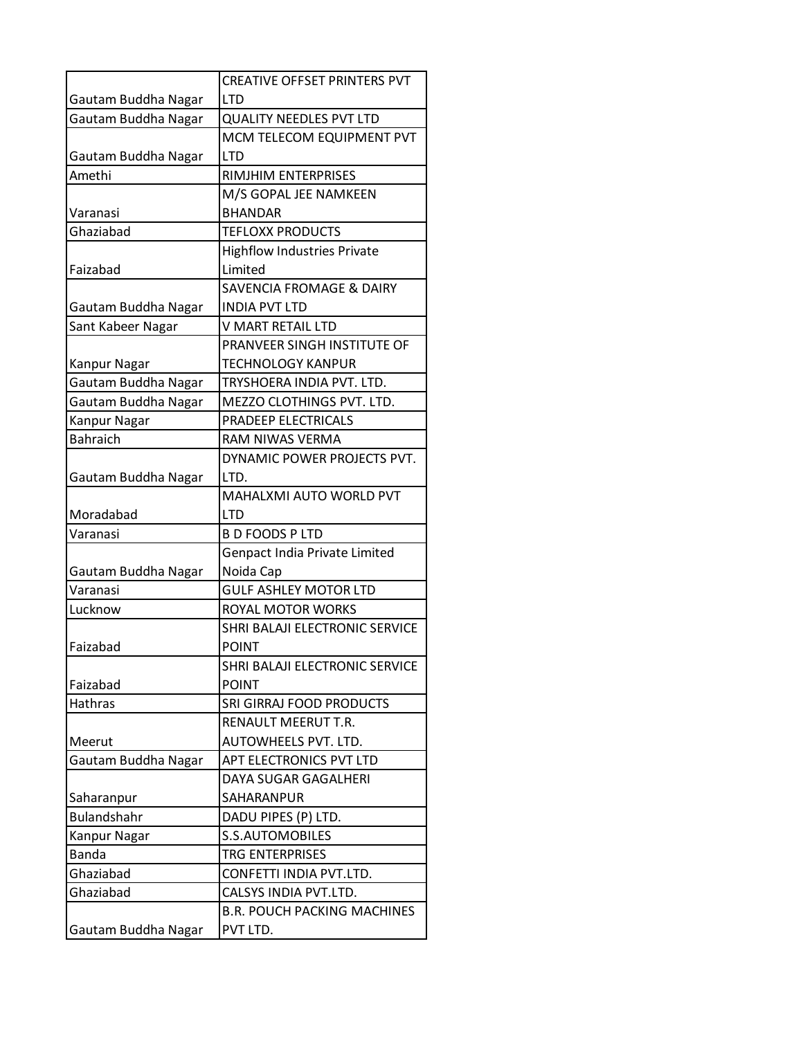|                     | <b>CREATIVE OFFSET PRINTERS PVT</b> |
|---------------------|-------------------------------------|
| Gautam Buddha Nagar | <b>LTD</b>                          |
| Gautam Buddha Nagar | <b>QUALITY NEEDLES PVT LTD</b>      |
|                     | MCM TELECOM EQUIPMENT PVT           |
| Gautam Buddha Nagar | <b>LTD</b>                          |
| Amethi              | RIMJHIM ENTERPRISES                 |
|                     | M/S GOPAL JEE NAMKEEN               |
| Varanasi            | <b>BHANDAR</b>                      |
| Ghaziabad           | <b>TEFLOXX PRODUCTS</b>             |
|                     | <b>Highflow Industries Private</b>  |
| Faizabad            | Limited                             |
|                     | <b>SAVENCIA FROMAGE &amp; DAIRY</b> |
| Gautam Buddha Nagar | <b>INDIA PVT LTD</b>                |
| Sant Kabeer Nagar   | V MART RETAIL LTD                   |
|                     | PRANVEER SINGH INSTITUTE OF         |
| Kanpur Nagar        | TECHNOLOGY KANPUR                   |
| Gautam Buddha Nagar | TRYSHOERA INDIA PVT. LTD.           |
| Gautam Buddha Nagar | MEZZO CLOTHINGS PVT. LTD.           |
| Kanpur Nagar        | PRADEEP ELECTRICALS                 |
| <b>Bahraich</b>     | RAM NIWAS VERMA                     |
|                     | DYNAMIC POWER PROJECTS PVT.         |
| Gautam Buddha Nagar | LTD.                                |
|                     | MAHALXMI AUTO WORLD PVT             |
| Moradabad           | <b>LTD</b>                          |
| Varanasi            | <b>B D FOODS P LTD</b>              |
|                     | Genpact India Private Limited       |
| Gautam Buddha Nagar | Noida Cap                           |
| Varanasi            | <b>GULF ASHLEY MOTOR LTD</b>        |
| Lucknow             | ROYAL MOTOR WORKS                   |
|                     | SHRI BALAJI ELECTRONIC SERVICE      |
| Faizabad            | <b>POINT</b>                        |
|                     | SHRI BALAJI ELECTRONIC SERVICE      |
| Faizabad            | <b>POINT</b>                        |
| Hathras             | SRI GIRRAJ FOOD PRODUCTS            |
|                     | RENAULT MEERUT T.R.                 |
| Meerut              | AUTOWHEELS PVT. LTD.                |
| Gautam Buddha Nagar | APT ELECTRONICS PVT LTD             |
|                     | DAYA SUGAR GAGALHERI                |
| Saharanpur          | SAHARANPUR                          |
| Bulandshahr         | DADU PIPES (P) LTD.                 |
| Kanpur Nagar        | <b>S.S.AUTOMOBILES</b>              |
| <b>Banda</b>        | TRG ENTERPRISES                     |
| Ghaziabad           | CONFETTI INDIA PVT.LTD.             |
| Ghaziabad           | CALSYS INDIA PVT.LTD.               |
|                     |                                     |
|                     | <b>B.R. POUCH PACKING MACHINES</b>  |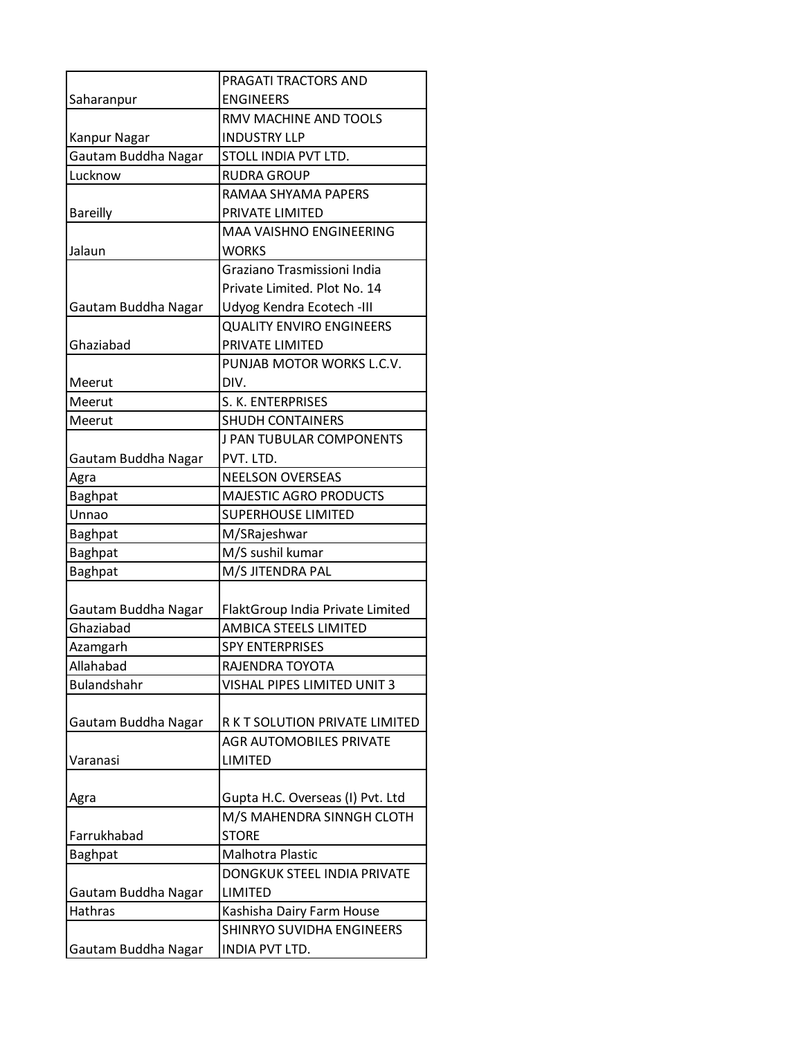|                     | PRAGATI TRACTORS AND             |
|---------------------|----------------------------------|
| Saharanpur          | <b>ENGINEERS</b>                 |
|                     | RMV MACHINE AND TOOLS            |
| Kanpur Nagar        | <b>INDUSTRY LLP</b>              |
| Gautam Buddha Nagar | STOLL INDIA PVT LTD.             |
| Lucknow             | <b>RUDRA GROUP</b>               |
|                     | RAMAA SHYAMA PAPERS              |
| <b>Bareilly</b>     | PRIVATE LIMITED                  |
|                     | <b>MAA VAISHNO ENGINEERING</b>   |
| Jalaun              | <b>WORKS</b>                     |
|                     | Graziano Trasmissioni India      |
|                     | Private Limited. Plot No. 14     |
| Gautam Buddha Nagar | Udyog Kendra Ecotech -III        |
|                     | <b>QUALITY ENVIRO ENGINEERS</b>  |
| Ghaziabad           | PRIVATE LIMITED                  |
|                     | PUNJAB MOTOR WORKS L.C.V.        |
| Meerut              | DIV.                             |
| Meerut              | S. K. ENTERPRISES                |
| Meerut              | <b>SHUDH CONTAINERS</b>          |
|                     | J PAN TUBULAR COMPONENTS         |
| Gautam Buddha Nagar | PVT. LTD.                        |
| Agra                | <b>NEELSON OVERSEAS</b>          |
| <b>Baghpat</b>      | <b>MAJESTIC AGRO PRODUCTS</b>    |
| Unnao               | <b>SUPERHOUSE LIMITED</b>        |
| <b>Baghpat</b>      | M/SRajeshwar                     |
| Baghpat             | M/S sushil kumar                 |
| Baghpat             | M/S JITENDRA PAL                 |
|                     |                                  |
| Gautam Buddha Nagar | FlaktGroup India Private Limited |
| Ghaziabad           | AMBICA STEELS LIMITED            |
| Azamgarh            | <b>SPY ENTERPRISES</b>           |
| Allahabad           | RAJENDRA TOYOTA                  |
| Bulandshahr         | VISHAL PIPES LIMITED UNIT 3      |
|                     |                                  |
| Gautam Buddha Nagar | R K T SOLUTION PRIVATE LIMITED   |
|                     | <b>AGR AUTOMOBILES PRIVATE</b>   |
| Varanasi            | <b>LIMITED</b>                   |
|                     |                                  |
| Agra                | Gupta H.C. Overseas (I) Pvt. Ltd |
|                     | M/S MAHENDRA SINNGH CLOTH        |
| Farrukhabad         | <b>STORE</b>                     |
| <b>Baghpat</b>      | Malhotra Plastic                 |
|                     | DONGKUK STEEL INDIA PRIVATE      |
| Gautam Buddha Nagar | LIMITED                          |
| Hathras             | Kashisha Dairy Farm House        |
|                     | SHINRYO SUVIDHA ENGINEERS        |
| Gautam Buddha Nagar | INDIA PVT LTD.                   |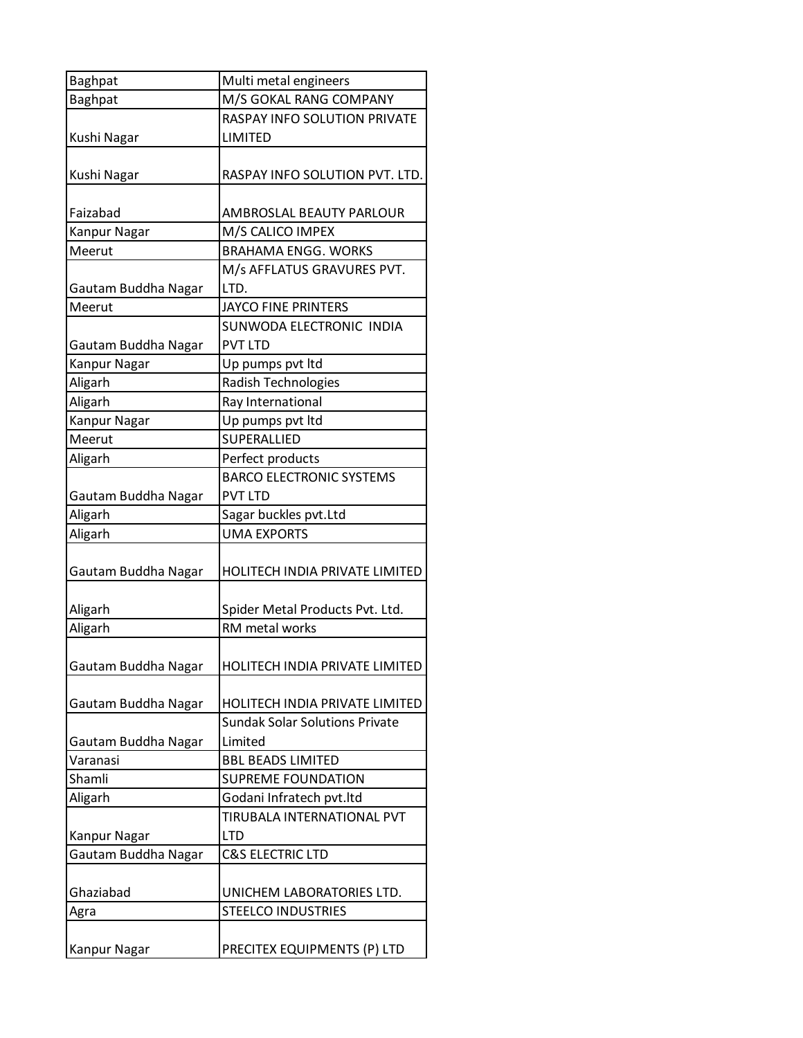| <b>Baghpat</b>      | Multi metal engineers                                  |
|---------------------|--------------------------------------------------------|
| <b>Baghpat</b>      | M/S GOKAL RANG COMPANY                                 |
|                     | RASPAY INFO SOLUTION PRIVATE                           |
| Kushi Nagar         | LIMITED                                                |
| Kushi Nagar         | RASPAY INFO SOLUTION PVT. LTD.                         |
| Faizabad            | AMBROSLAL BEAUTY PARLOUR                               |
| <b>Kanpur Nagar</b> | M/S CALICO IMPEX                                       |
| Meerut              | <b>BRAHAMA ENGG. WORKS</b>                             |
| Gautam Buddha Nagar | M/s AFFLATUS GRAVURES PVT.<br>LTD.                     |
| Meerut              | <b>JAYCO FINE PRINTERS</b>                             |
|                     | SUNWODA ELECTRONIC INDIA                               |
| Gautam Buddha Nagar | <b>PVT LTD</b>                                         |
| Kanpur Nagar        | Up pumps pvt ltd                                       |
| Aligarh             | Radish Technologies                                    |
| Aligarh             | Ray International                                      |
| <b>Kanpur Nagar</b> | Up pumps pvt ltd                                       |
| Meerut              | SUPERALLIED                                            |
| Aligarh             | Perfect products                                       |
|                     | <b>BARCO ELECTRONIC SYSTEMS</b>                        |
| Gautam Buddha Nagar | <b>PVT LTD</b>                                         |
| Aligarh             | Sagar buckles pvt.Ltd                                  |
| Aligarh             | <b>UMA EXPORTS</b>                                     |
| Gautam Buddha Nagar | HOLITECH INDIA PRIVATE LIMITED                         |
| Aligarh             | Spider Metal Products Pvt. Ltd.                        |
| Aligarh             | RM metal works                                         |
| Gautam Buddha Nagar | HOLITECH INDIA PRIVATE LIMITED                         |
| Gautam Buddha Nagar | HOLITECH INDIA PRIVATE LIMITED                         |
|                     | <b>Sundak Solar Solutions Private</b>                  |
| Gautam Buddha Nagar | Limited                                                |
| Varanasi            | <b>BBL BEADS LIMITED</b>                               |
| Shamli              | <b>SUPREME FOUNDATION</b>                              |
| Aligarh             | Godani Infratech pvt.ltd<br>TIRUBALA INTERNATIONAL PVT |
|                     | <b>LTD</b>                                             |
| Kanpur Nagar        | <b>C&amp;S ELECTRIC LTD</b>                            |
| Gautam Buddha Nagar |                                                        |
| Ghaziabad           | UNICHEM LABORATORIES LTD.                              |
| Agra                | <b>STEELCO INDUSTRIES</b>                              |
| Kanpur Nagar        | PRECITEX EQUIPMENTS (P) LTD                            |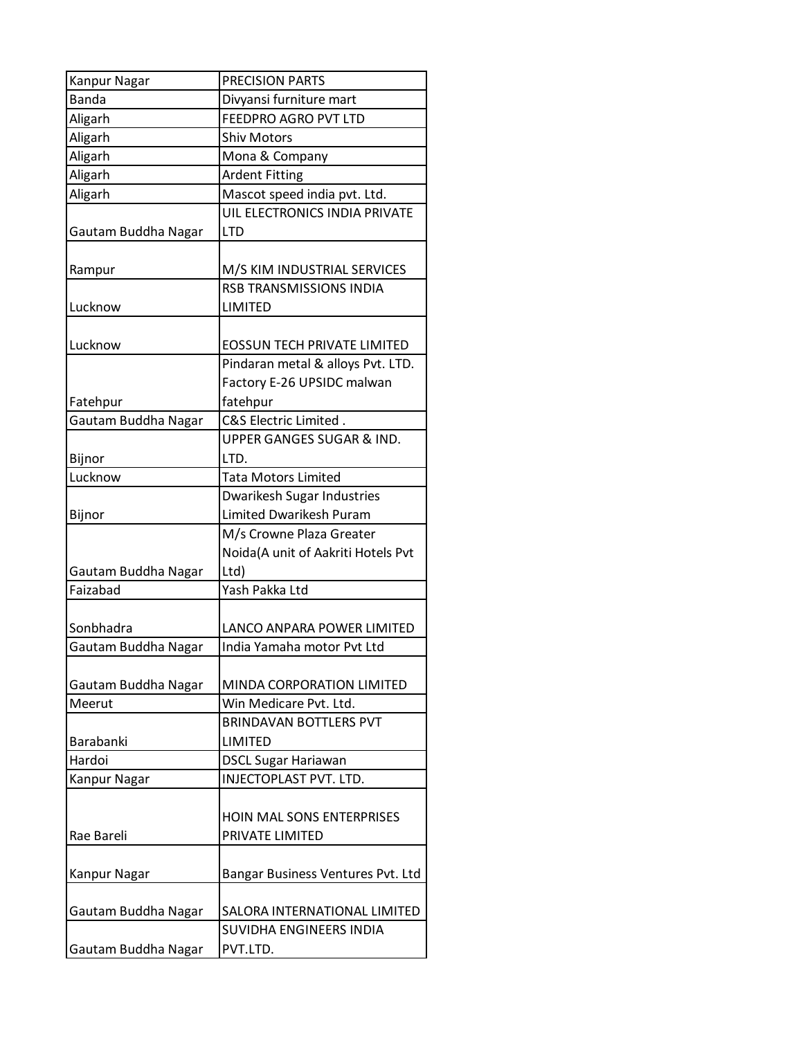| Kanpur Nagar        | PRECISION PARTS                      |
|---------------------|--------------------------------------|
| <b>Banda</b>        | Divyansi furniture mart              |
| Aligarh             | FEEDPRO AGRO PVT LTD                 |
| Aligarh             | <b>Shiv Motors</b>                   |
| Aligarh             | Mona & Company                       |
| Aligarh             | <b>Ardent Fitting</b>                |
| Aligarh             | Mascot speed india pvt. Ltd.         |
|                     | UIL ELECTRONICS INDIA PRIVATE        |
| Gautam Buddha Nagar | <b>LTD</b>                           |
|                     |                                      |
| Rampur              | M/S KIM INDUSTRIAL SERVICES          |
|                     | RSB TRANSMISSIONS INDIA              |
| Lucknow             | LIMITED                              |
|                     |                                      |
| Lucknow             | <b>EOSSUN TECH PRIVATE LIMITED</b>   |
|                     | Pindaran metal & alloys Pvt. LTD.    |
|                     | Factory E-26 UPSIDC malwan           |
| Fatehpur            | fatehpur                             |
| Gautam Buddha Nagar | C&S Electric Limited.                |
|                     | <b>UPPER GANGES SUGAR &amp; IND.</b> |
| Bijnor              | LTD.                                 |
| Lucknow             | <b>Tata Motors Limited</b>           |
|                     | <b>Dwarikesh Sugar Industries</b>    |
| Bijnor              | <b>Limited Dwarikesh Puram</b>       |
|                     | M/s Crowne Plaza Greater             |
|                     | Noida(A unit of Aakriti Hotels Pvt   |
| Gautam Buddha Nagar | Ltd)                                 |
| Faizabad            | Yash Pakka Ltd                       |
|                     |                                      |
| Sonbhadra           | LANCO ANPARA POWER LIMITED           |
| Gautam Buddha Nagar | India Yamaha motor Pvt Ltd           |
|                     |                                      |
| Gautam Buddha Nagar | MINDA CORPORATION LIMITED            |
| Meerut              | Win Medicare Pvt. Ltd.               |
|                     | <b>BRINDAVAN BOTTLERS PVT</b>        |
| Barabanki           | LIMITED                              |
| Hardoi              | <b>DSCL Sugar Hariawan</b>           |
| Kanpur Nagar        | INJECTOPLAST PVT. LTD.               |
|                     |                                      |
|                     | <b>HOIN MAL SONS ENTERPRISES</b>     |
| Rae Bareli          | PRIVATE LIMITED                      |
|                     |                                      |
| Kanpur Nagar        | Bangar Business Ventures Pvt. Ltd    |
|                     |                                      |
| Gautam Buddha Nagar | SALORA INTERNATIONAL LIMITED         |
|                     | SUVIDHA ENGINEERS INDIA              |
| Gautam Buddha Nagar | PVT.LTD.                             |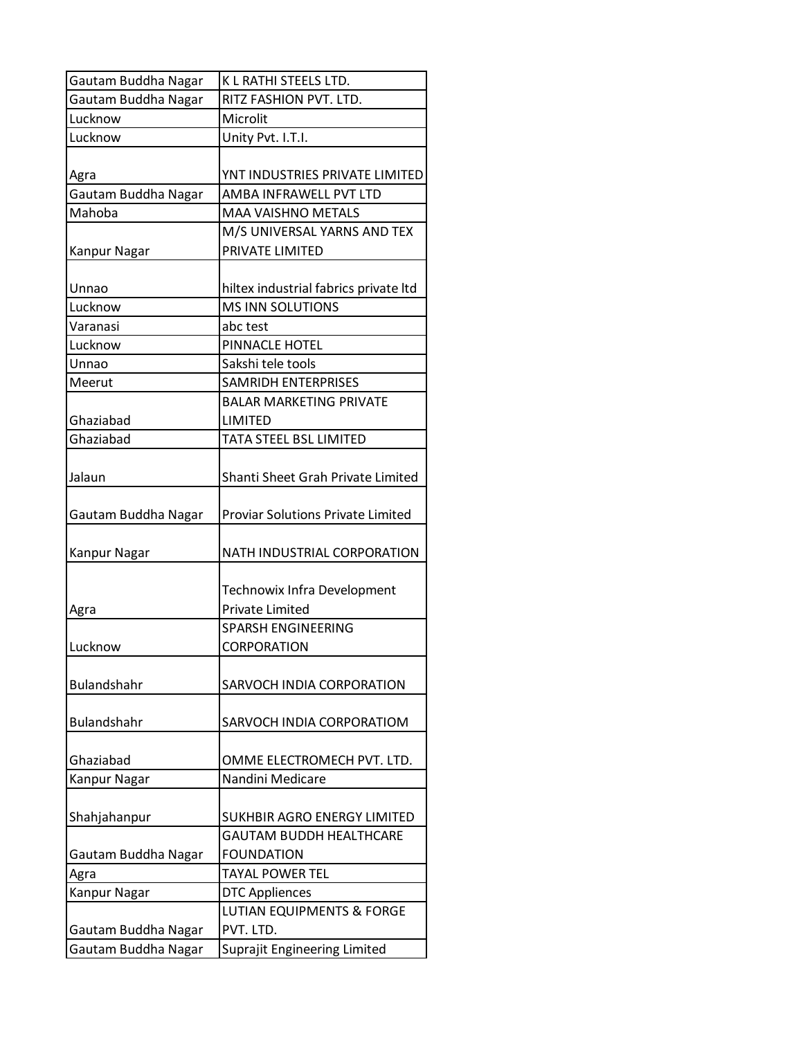| Gautam Buddha Nagar | K L RATHI STEELS LTD.                                 |
|---------------------|-------------------------------------------------------|
| Gautam Buddha Nagar | RITZ FASHION PVT. LTD.                                |
| Lucknow             | Microlit                                              |
| Lucknow             | Unity Pvt. I.T.I.                                     |
| Agra                | YNT INDUSTRIES PRIVATE LIMITED                        |
| Gautam Buddha Nagar | AMBA INFRAWELL PVT LTD                                |
| Mahoba              | <b>MAA VAISHNO METALS</b>                             |
|                     | M/S UNIVERSAL YARNS AND TEX                           |
| Kanpur Nagar        | PRIVATE LIMITED                                       |
| Unnao               | hiltex industrial fabrics private Itd                 |
| Lucknow             | <b>MS INN SOLUTIONS</b>                               |
| Varanasi            | abc test                                              |
| Lucknow             | PINNACLE HOTEL                                        |
| Unnao               | Sakshi tele tools                                     |
| Meerut              | <b>SAMRIDH ENTERPRISES</b>                            |
|                     | <b>BALAR MARKETING PRIVATE</b>                        |
| Ghaziabad           | LIMITED                                               |
| Ghaziabad           | TATA STEEL BSL LIMITED                                |
| Jalaun              | Shanti Sheet Grah Private Limited                     |
| Gautam Buddha Nagar | Proviar Solutions Private Limited                     |
| Kanpur Nagar        | NATH INDUSTRIAL CORPORATION                           |
|                     | Technowix Infra Development<br><b>Private Limited</b> |
| Agra                |                                                       |
|                     | <b>SPARSH ENGINEERING</b>                             |
| Lucknow             | CORPORATION                                           |
| Bulandshahr         | SARVOCH INDIA CORPORATION                             |
| Bulandshahr         | SARVOCH INDIA CORPORATIOM                             |
| Ghaziabad           | OMME ELECTROMECH PVT. LTD.                            |
| Kanpur Nagar        | Nandini Medicare                                      |
|                     |                                                       |
| Shahjahanpur        | <b>SUKHBIR AGRO ENERGY LIMITED</b>                    |
|                     | <b>GAUTAM BUDDH HEALTHCARE</b>                        |
| Gautam Buddha Nagar | <b>FOUNDATION</b>                                     |
| Agra                | <b>TAYAL POWER TEL</b>                                |
| Kanpur Nagar        | <b>DTC Appliences</b>                                 |
|                     | <b>LUTIAN EQUIPMENTS &amp; FORGE</b>                  |
| Gautam Buddha Nagar | PVT. LTD.                                             |
| Gautam Buddha Nagar | Suprajit Engineering Limited                          |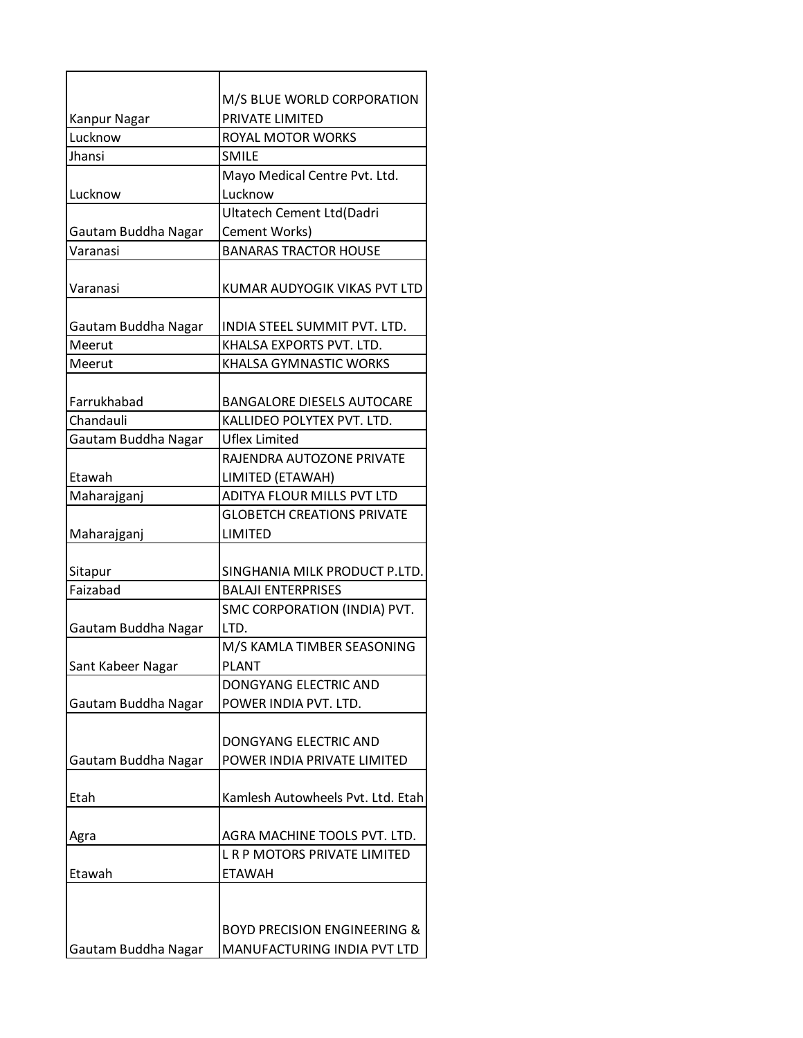|                     | M/S BLUE WORLD CORPORATION              |
|---------------------|-----------------------------------------|
| Kanpur Nagar        | PRIVATE LIMITED                         |
| Lucknow             | ROYAL MOTOR WORKS                       |
| Jhansi              | <b>SMILE</b>                            |
|                     | Mayo Medical Centre Pvt. Ltd.           |
| Lucknow             | Lucknow                                 |
|                     | Ultatech Cement Ltd(Dadri               |
| Gautam Buddha Nagar | Cement Works)                           |
| Varanasi            | <b>BANARAS TRACTOR HOUSE</b>            |
| Varanasi            | KUMAR AUDYOGIK VIKAS PVT LTD            |
| Gautam Buddha Nagar | INDIA STEEL SUMMIT PVT. LTD.            |
| Meerut              | KHALSA EXPORTS PVT. LTD.                |
| Meerut              | <b>KHALSA GYMNASTIC WORKS</b>           |
| Farrukhabad         | <b>BANGALORE DIESELS AUTOCARE</b>       |
| Chandauli           | KALLIDEO POLYTEX PVT. LTD.              |
| Gautam Buddha Nagar | <b>Uflex Limited</b>                    |
|                     | RAJENDRA AUTOZONE PRIVATE               |
| Etawah              | LIMITED (ETAWAH)                        |
| Maharajganj         | ADITYA FLOUR MILLS PVT LTD              |
|                     | <b>GLOBETCH CREATIONS PRIVATE</b>       |
| Maharajganj         | LIMITED                                 |
|                     |                                         |
| Sitapur             | SINGHANIA MILK PRODUCT P.LTD.           |
| Faizabad            | <b>BALAJI ENTERPRISES</b>               |
|                     | SMC CORPORATION (INDIA) PVT.            |
| Gautam Buddha Nagar | LTD.                                    |
|                     | M/S KAMLA TIMBER SEASONING              |
| Sant Kabeer Nagar   | <b>PLANT</b>                            |
|                     | DONGYANG ELECTRIC AND                   |
| Gautam Buddha Nagar | POWER INDIA PVT. LTD.                   |
|                     |                                         |
|                     | DONGYANG ELECTRIC AND                   |
| Gautam Buddha Nagar | POWER INDIA PRIVATE LIMITED             |
|                     |                                         |
| Etah                | Kamlesh Autowheels Pvt. Ltd. Etah       |
|                     |                                         |
| Agra                | AGRA MACHINE TOOLS PVT. LTD.            |
|                     | L R P MOTORS PRIVATE LIMITED            |
| Etawah              | <b>ETAWAH</b>                           |
|                     |                                         |
|                     |                                         |
|                     | <b>BOYD PRECISION ENGINEERING &amp;</b> |
| Gautam Buddha Nagar | MANUFACTURING INDIA PVT LTD             |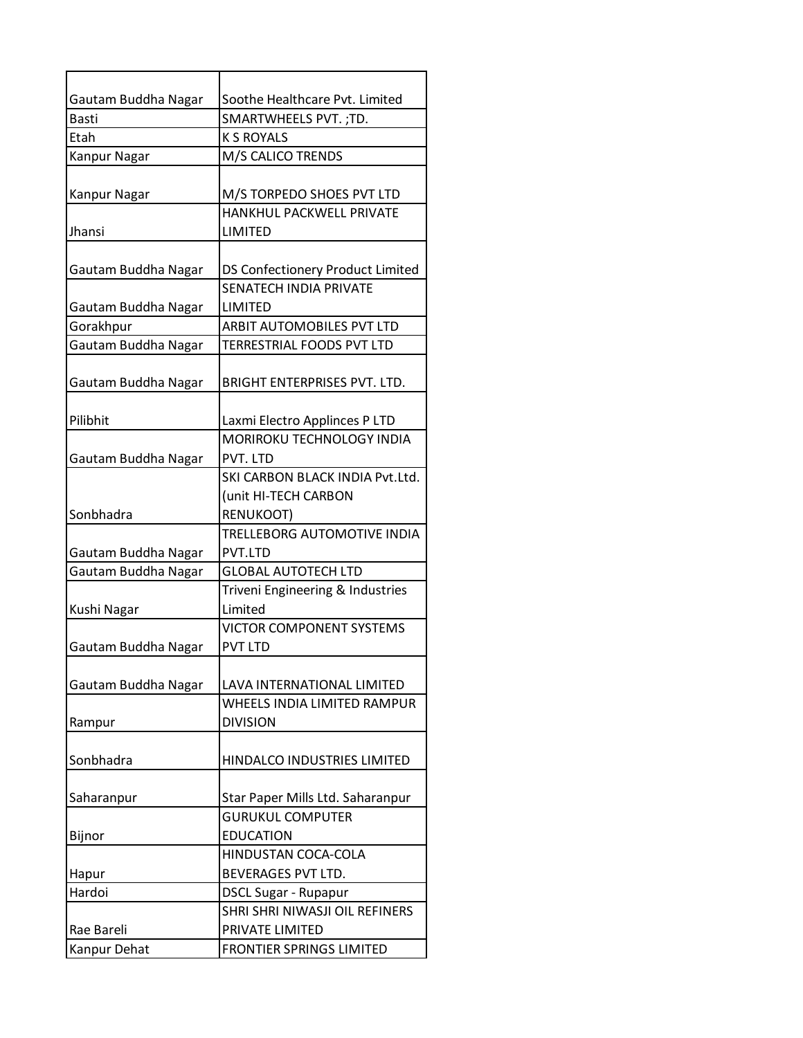| Gautam Buddha Nagar | Soothe Healthcare Pvt. Limited              |
|---------------------|---------------------------------------------|
| Basti               | SMARTWHEELS PVT. ; TD.                      |
| Etah                | <b>K S ROYALS</b>                           |
| Kanpur Nagar        | M/S CALICO TRENDS                           |
|                     |                                             |
| Kanpur Nagar        | M/S TORPEDO SHOES PVT LTD                   |
|                     | <b>HANKHUL PACKWELL PRIVATE</b>             |
| Jhansi              | LIMITED                                     |
|                     |                                             |
| Gautam Buddha Nagar | DS Confectionery Product Limited            |
|                     | <b>SENATECH INDIA PRIVATE</b>               |
| Gautam Buddha Nagar | LIMITED                                     |
| Gorakhpur           | ARBIT AUTOMOBILES PVT LTD                   |
| Gautam Buddha Nagar | TERRESTRIAL FOODS PVT LTD                   |
|                     |                                             |
| Gautam Buddha Nagar | BRIGHT ENTERPRISES PVT. LTD.                |
|                     |                                             |
| Pilibhit            | Laxmi Electro Applinces P LTD               |
|                     | MORIROKU TECHNOLOGY INDIA                   |
| Gautam Buddha Nagar | PVT. LTD<br>SKI CARBON BLACK INDIA Pvt.Ltd. |
|                     |                                             |
| Sonbhadra           | (unit HI-TECH CARBON<br>RENUKOOT)           |
|                     | TRELLEBORG AUTOMOTIVE INDIA                 |
| Gautam Buddha Nagar | PVT.LTD                                     |
| Gautam Buddha Nagar | <b>GLOBAL AUTOTECH LTD</b>                  |
|                     | Triveni Engineering & Industries            |
| Kushi Nagar         | Limited                                     |
|                     | VICTOR COMPONENT SYSTEMS                    |
| Gautam Buddha Nagar | <b>PVT LTD</b>                              |
|                     |                                             |
| Gautam Buddha Nagar | LAVA INTERNATIONAL LIMITED                  |
|                     | WHEELS INDIA LIMITED RAMPUR                 |
| Rampur              | <b>DIVISION</b>                             |
|                     |                                             |
| Sonbhadra           | HINDALCO INDUSTRIES LIMITED                 |
|                     |                                             |
| Saharanpur          | Star Paper Mills Ltd. Saharanpur            |
|                     | <b>GURUKUL COMPUTER</b>                     |
| Bijnor              | <b>EDUCATION</b>                            |
|                     | HINDUSTAN COCA-COLA                         |
| Hapur               | BEVERAGES PVT LTD.                          |
| Hardoi              | <b>DSCL Sugar - Rupapur</b>                 |
|                     | SHRI SHRI NIWASJI OIL REFINERS              |
| Rae Bareli          | PRIVATE LIMITED                             |
| Kanpur Dehat        | <b>FRONTIER SPRINGS LIMITED</b>             |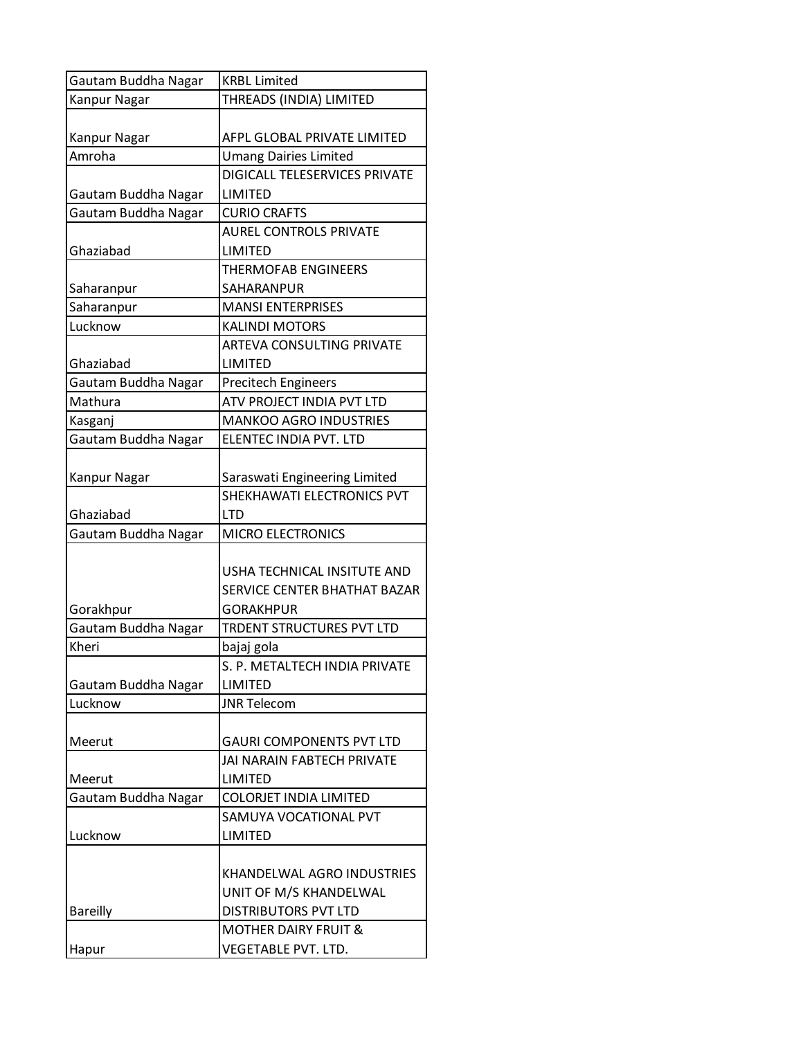| Gautam Buddha Nagar | <b>KRBL Limited</b>                                         |
|---------------------|-------------------------------------------------------------|
| Kanpur Nagar        | THREADS (INDIA) LIMITED                                     |
| Kanpur Nagar        | AFPL GLOBAL PRIVATE LIMITED                                 |
| Amroha              | <b>Umang Dairies Limited</b>                                |
|                     | DIGICALL TELESERVICES PRIVATE                               |
| Gautam Buddha Nagar | <b>LIMITED</b>                                              |
| Gautam Buddha Nagar | <b>CURIO CRAFTS</b>                                         |
|                     | <b>AUREL CONTROLS PRIVATE</b>                               |
| Ghaziabad           | LIMITED                                                     |
|                     | <b>THERMOFAB ENGINEERS</b>                                  |
| Saharanpur          | SAHARANPUR                                                  |
| Saharanpur          | <b>MANSI ENTERPRISES</b>                                    |
| Lucknow             | <b>KALINDI MOTORS</b>                                       |
|                     | <b>ARTEVA CONSULTING PRIVATE</b>                            |
| Ghaziabad           | LIMITED                                                     |
| Gautam Buddha Nagar | <b>Precitech Engineers</b>                                  |
| Mathura             | ATV PROJECT INDIA PVT LTD                                   |
| Kasganj             | <b>MANKOO AGRO INDUSTRIES</b>                               |
| Gautam Buddha Nagar | ELENTEC INDIA PVT. LTD                                      |
| Kanpur Nagar        | Saraswati Engineering Limited<br>SHEKHAWATI ELECTRONICS PVT |
| Ghaziabad           | <b>LTD</b>                                                  |
| Gautam Buddha Nagar | <b>MICRO ELECTRONICS</b>                                    |
|                     | USHA TECHNICAL INSITUTE AND<br>SERVICE CENTER BHATHAT BAZAR |
| Gorakhpur           | <b>GORAKHPUR</b>                                            |
| Gautam Buddha Nagar | TRDENT STRUCTURES PVT LTD                                   |
| Kheri               | bajaj gola                                                  |
|                     | S. P. METALTECH INDIA PRIVATE                               |
| Gautam Buddha Nagar | LIMITED                                                     |
| Lucknow             | <b>JNR Telecom</b>                                          |
| Meerut              | <b>GAURI COMPONENTS PVT LTD</b>                             |
|                     | <b>JAI NARAIN FABTECH PRIVATE</b>                           |
| Meerut              | LIMITED                                                     |
| Gautam Buddha Nagar | <b>COLORJET INDIA LIMITED</b>                               |
|                     | SAMUYA VOCATIONAL PVT                                       |
| Lucknow             | LIMITED                                                     |
|                     | KHANDELWAL AGRO INDUSTRIES<br>UNIT OF M/S KHANDELWAL        |
| <b>Bareilly</b>     | <b>DISTRIBUTORS PVT LTD</b>                                 |
|                     | <b>MOTHER DAIRY FRUIT &amp;</b>                             |
| Hapur               | VEGETABLE PVT. LTD.                                         |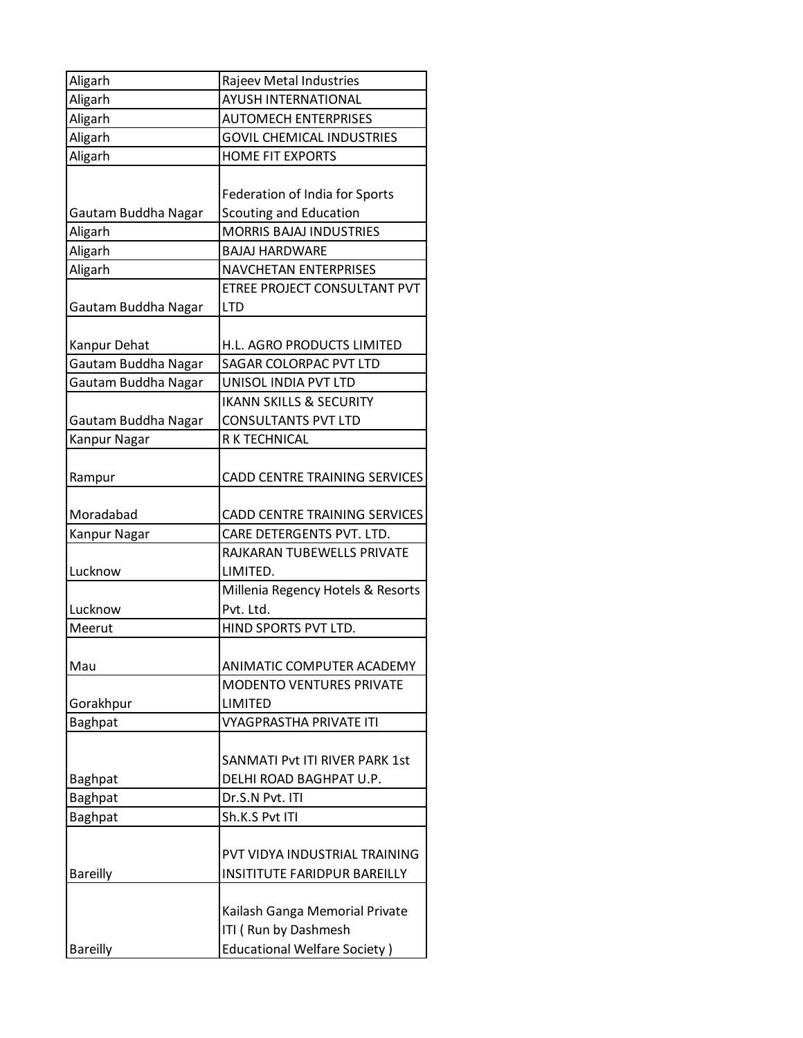| Aligarh             | Rajeev Metal Industries              |
|---------------------|--------------------------------------|
| Aligarh             | <b>AYUSH INTERNATIONAL</b>           |
| Aligarh             | <b>AUTOMECH ENTERPRISES</b>          |
| Aligarh             | <b>GOVIL CHEMICAL INDUSTRIES</b>     |
| Aligarh             | <b>HOME FIT EXPORTS</b>              |
|                     |                                      |
|                     | Federation of India for Sports       |
| Gautam Buddha Nagar | <b>Scouting and Education</b>        |
| Aligarh             | <b>MORRIS BAJAJ INDUSTRIES</b>       |
| Aligarh             | <b>BAJAJ HARDWARE</b>                |
| Aligarh             | <b>NAVCHETAN ENTERPRISES</b>         |
|                     | ETREE PROJECT CONSULTANT PVT         |
| Gautam Buddha Nagar | <b>LTD</b>                           |
|                     |                                      |
| Kanpur Dehat        | H.L. AGRO PRODUCTS LIMITED           |
| Gautam Buddha Nagar | SAGAR COLORPAC PVT LTD               |
| Gautam Buddha Nagar | UNISOL INDIA PVT LTD                 |
|                     | <b>IKANN SKILLS &amp; SECURITY</b>   |
| Gautam Buddha Nagar | <b>CONSULTANTS PVT LTD</b>           |
| Kanpur Nagar        | R K TECHNICAL                        |
|                     |                                      |
| Rampur              | <b>CADD CENTRE TRAINING SERVICES</b> |
|                     |                                      |
| Moradabad           | CADD CENTRE TRAINING SERVICES        |
| Kanpur Nagar        | CARE DETERGENTS PVT. LTD.            |
|                     | RAJKARAN TUBEWELLS PRIVATE           |
| Lucknow             | LIMITED.                             |
|                     | Millenia Regency Hotels & Resorts    |
| Lucknow             | Pvt. Ltd.                            |
| Meerut              | HIND SPORTS PVT LTD.                 |
|                     |                                      |
| Mau                 | ANIMATIC COMPUTER ACADEMY            |
|                     | <b>MODENTO VENTURES PRIVATE</b>      |
| Gorakhpur           | <b>LIMITED</b>                       |
| <b>Baghpat</b>      | <b>VYAGPRASTHA PRIVATE ITI</b>       |
|                     |                                      |
|                     | SANMATI Pvt ITI RIVER PARK 1st       |
| <b>Baghpat</b>      | DELHI ROAD BAGHPAT U.P.              |
| <b>Baghpat</b>      | Dr.S.N Pvt. ITI                      |
| <b>Baghpat</b>      | Sh.K.S Pvt ITI                       |
|                     |                                      |
|                     | PVT VIDYA INDUSTRIAL TRAINING        |
| <b>Bareilly</b>     | INSITITUTE FARIDPUR BAREILLY         |
|                     |                                      |
|                     | Kailash Ganga Memorial Private       |
|                     | ITI (Run by Dashmesh                 |
| <b>Bareilly</b>     | <b>Educational Welfare Society)</b>  |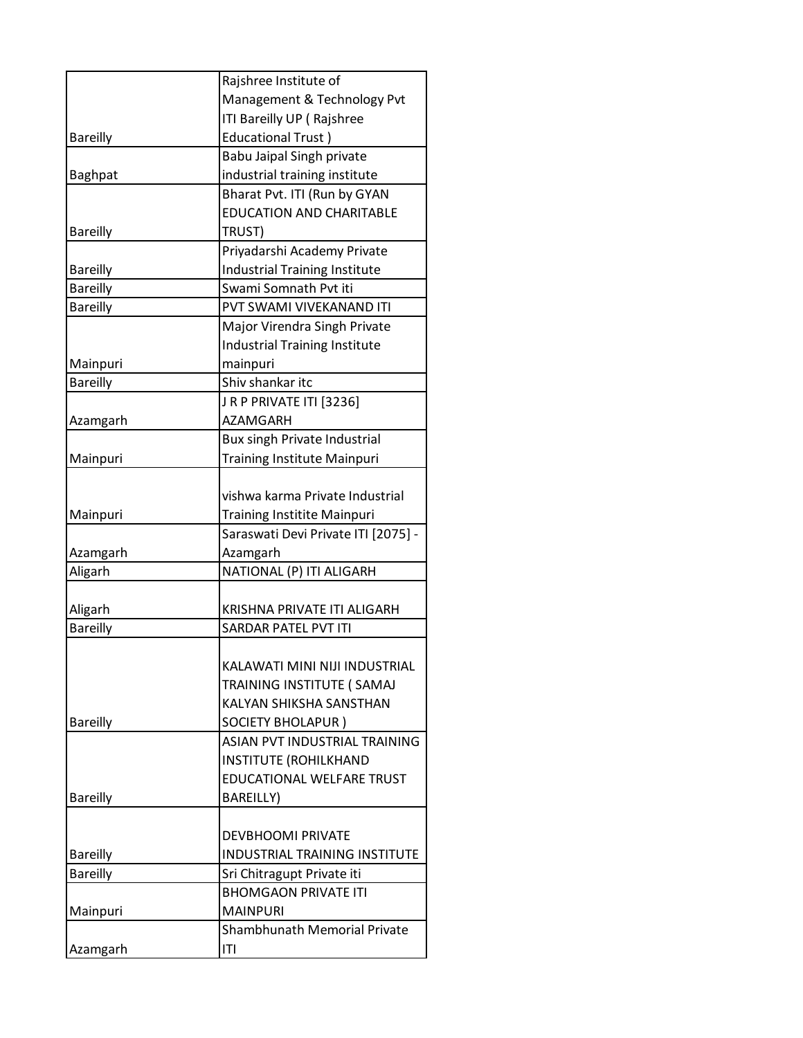|                 | Rajshree Institute of                |
|-----------------|--------------------------------------|
|                 | Management & Technology Pvt          |
|                 | ITI Bareilly UP (Rajshree            |
| <b>Bareilly</b> | <b>Educational Trust)</b>            |
|                 | Babu Jaipal Singh private            |
| <b>Baghpat</b>  | industrial training institute        |
|                 | Bharat Pvt. ITI (Run by GYAN         |
|                 | <b>EDUCATION AND CHARITABLE</b>      |
| <b>Bareilly</b> | TRUST)                               |
|                 | Priyadarshi Academy Private          |
| <b>Bareilly</b> | <b>Industrial Training Institute</b> |
| <b>Bareilly</b> | Swami Somnath Pyt iti                |
| <b>Bareilly</b> | PVT SWAMI VIVEKANAND ITI             |
|                 | Major Virendra Singh Private         |
|                 | <b>Industrial Training Institute</b> |
| Mainpuri        | mainpuri                             |
| <b>Bareilly</b> | Shiy shankar itc                     |
|                 | JRP PRIVATE ITI [3236]               |
| Azamgarh        | <b>AZAMGARH</b>                      |
|                 | Bux singh Private Industrial         |
| Mainpuri        | <b>Training Institute Mainpuri</b>   |
|                 |                                      |
|                 | vishwa karma Private Industrial      |
| Mainpuri        | <b>Training Institite Mainpuri</b>   |
|                 | Saraswati Devi Private ITI [2075] -  |
| Azamgarh        | Azamgarh                             |
| Aligarh         | NATIONAL (P) ITI ALIGARH             |
|                 |                                      |
| Aligarh         | KRISHNA PRIVATE ITI ALIGARH          |
| <b>Bareilly</b> | SARDAR PATEL PVT ITI                 |
|                 |                                      |
|                 | KALAWATI MINI NIJI INDUSTRIAL        |
|                 | TRAINING INSTITUTE ( SAMAJ           |
|                 | KALYAN SHIKSHA SANSTHAN              |
| <b>Bareilly</b> | <b>SOCIETY BHOLAPUR)</b>             |
|                 | ASIAN PVT INDUSTRIAL TRAINING        |
|                 | <b>INSTITUTE (ROHILKHAND</b>         |
|                 | EDUCATIONAL WELFARE TRUST            |
| <b>Bareilly</b> | <b>BAREILLY)</b>                     |
|                 |                                      |
|                 | <b>DEVBHOOMI PRIVATE</b>             |
| <b>Bareilly</b> | INDUSTRIAL TRAINING INSTITUTE        |
| <b>Bareilly</b> | Sri Chitragupt Private iti           |
|                 | <b>BHOMGAON PRIVATE ITI</b>          |
| Mainpuri        | <b>MAINPURI</b>                      |
|                 | Shambhunath Memorial Private         |
| Azamgarh        | ITI                                  |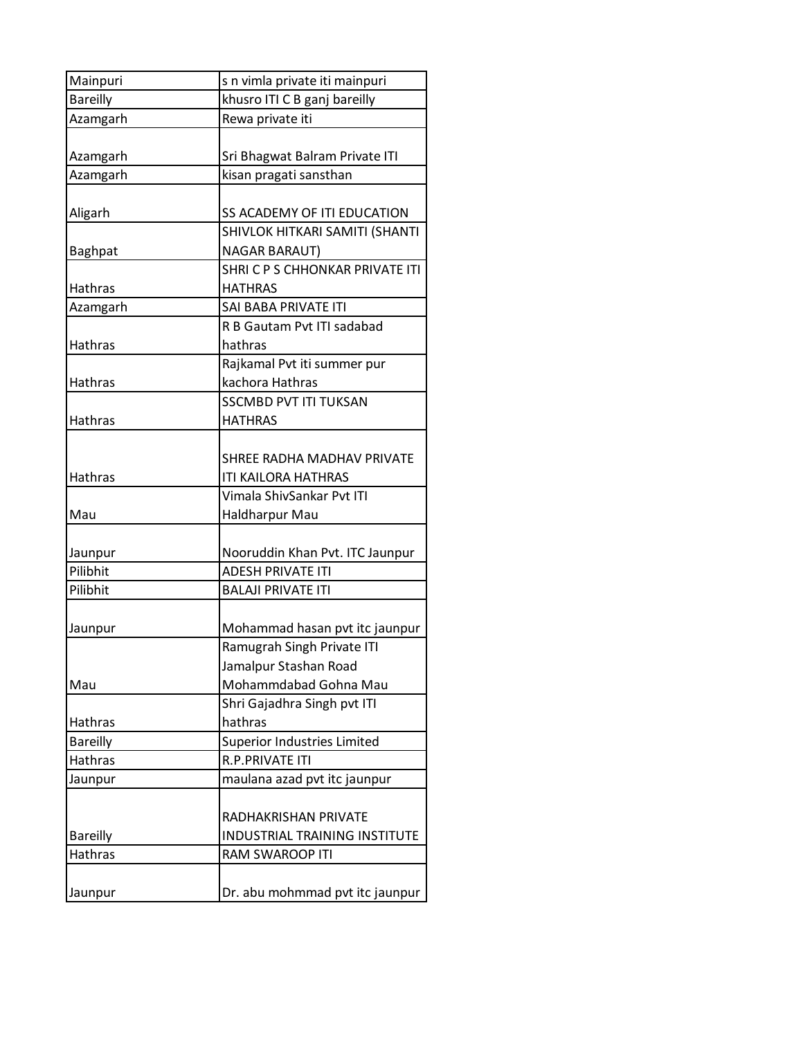| Mainpuri        | s n vimla private iti mainpuri  |
|-----------------|---------------------------------|
| <b>Bareilly</b> | khusro ITI C B ganj bareilly    |
| Azamgarh        | Rewa private iti                |
|                 |                                 |
| Azamgarh        | Sri Bhagwat Balram Private ITI  |
| Azamgarh        | kisan pragati sansthan          |
|                 |                                 |
| Aligarh         | SS ACADEMY OF ITI EDUCATION     |
|                 | SHIVLOK HITKARI SAMITI (SHANTI  |
| Baghpat         | <b>NAGAR BARAUT)</b>            |
|                 | SHRICPS CHHONKAR PRIVATE ITI    |
| Hathras         | <b>HATHRAS</b>                  |
| Azamgarh        | SAI BABA PRIVATE ITI            |
|                 | R B Gautam Pyt ITI sadabad      |
| <b>Hathras</b>  | hathras                         |
|                 | Rajkamal Pvt iti summer pur     |
| <b>Hathras</b>  | kachora Hathras                 |
|                 | <b>SSCMBD PVT ITI TUKSAN</b>    |
| Hathras         | <b>HATHRAS</b>                  |
|                 |                                 |
|                 | SHREE RADHA MADHAV PRIVATE      |
| Hathras         | ITI KAILORA HATHRAS             |
|                 | Vimala ShivSankar Pvt ITI       |
| Mau             | <b>Haldharpur Mau</b>           |
|                 |                                 |
| Jaunpur         | Nooruddin Khan Pvt. ITC Jaunpur |
| Pilibhit        | <b>ADESH PRIVATE ITI</b>        |
| Pilibhit        | <b>BALAJI PRIVATE ITI</b>       |
|                 |                                 |
| Jaunpur         | Mohammad hasan pvt itc jaunpur  |
|                 | Ramugrah Singh Private ITI      |
|                 | Jamalpur Stashan Road           |
| Mau             | Mohammdabad Gohna Mau           |
|                 | Shri Gajadhra Singh pvt ITI     |
| Hathras         | hathras                         |
| <b>Bareilly</b> | Superior Industries Limited     |
| Hathras         | R.P.PRIVATE ITI                 |
| Jaunpur         | maulana azad pvt itc jaunpur    |
|                 |                                 |
|                 | RADHAKRISHAN PRIVATE            |
| <b>Bareilly</b> | INDUSTRIAL TRAINING INSTITUTE   |
| Hathras         | RAM SWAROOP ITI                 |
|                 |                                 |
| Jaunpur         | Dr. abu mohmmad pvt itc jaunpur |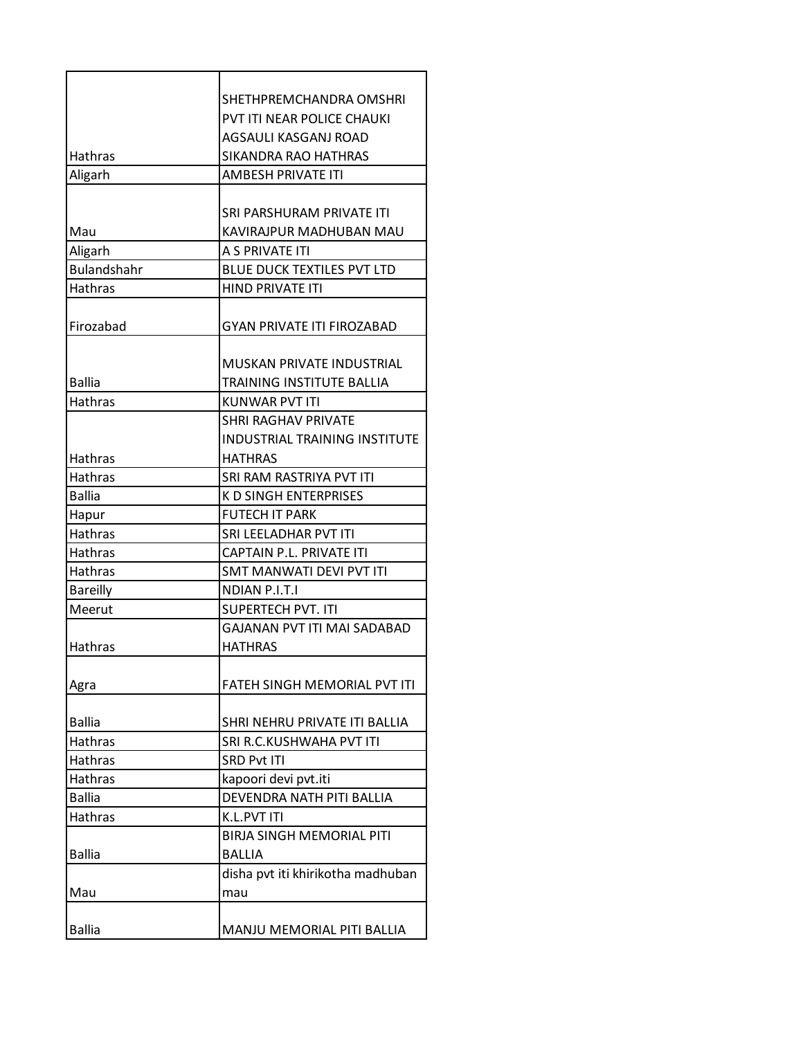| SHETHPREMCHANDRA OMSHRI<br>PVT ITI NEAR POLICE CHAUKI<br>AGSAULI KASGANJ ROAD<br><b>Hathras</b><br>SIKANDRA RAO HATHRAS<br>Aligarh<br><b>AMBESH PRIVATE ITI</b><br>SRI PARSHURAM PRIVATE ITI<br>KAVIRAJPUR MADHUBAN MAU<br>Mau<br>A S PRIVATE ITI<br>Aligarh<br><b>Bulandshahr</b><br><b>BLUE DUCK TEXTILES PVT LTD</b><br><b>Hathras</b><br><b>HIND PRIVATE ITI</b><br>Firozabad<br><b>GYAN PRIVATE ITI FIROZABAD</b><br>MUSKAN PRIVATE INDUSTRIAL<br><b>Ballia</b><br>TRAINING INSTITUTE BALLIA<br><b>Hathras</b><br>KUNWAR PVT ITI<br><b>SHRI RAGHAV PRIVATE</b><br><b>INDUSTRIAL TRAINING INSTITUTE</b><br><b>Hathras</b><br><b>HATHRAS</b><br><b>Hathras</b><br>SRI RAM RASTRIYA PVT ITI<br><b>Ballia</b><br><b>K D SINGH ENTERPRISES</b><br><b>FUTECH IT PARK</b><br>Hapur<br><b>Hathras</b><br>SRI LEELADHAR PVT ITI<br>Hathras<br>CAPTAIN P.L. PRIVATE ITI<br><b>Hathras</b><br><b>SMT MANWATI DEVI PVT ITI</b><br><b>Bareilly</b><br><b>NDIAN P.I.T.I</b><br><b>SUPERTECH PVT. ITI</b><br>Meerut<br><b>GAJANAN PVT ITI MAI SADABAD</b><br><b>Hathras</b><br><b>HATHRAS</b><br>FATEH SINGH MEMORIAL PVT ITI<br>Agra<br><b>Ballia</b><br>SHRI NEHRU PRIVATE ITI BALLIA<br>Hathras<br>SRI R.C.KUSHWAHA PVT ITI<br><b>Hathras</b><br><b>SRD Pvt ITI</b><br>Hathras<br>kapoori devi pvt.iti<br><b>Ballia</b><br>DEVENDRA NATH PITI BALLIA<br><b>Hathras</b><br><b>K.L.PVT ITI</b><br><b>BIRJA SINGH MEMORIAL PITI</b><br><b>Ballia</b><br><b>BALLIA</b><br>disha pvt iti khirikotha madhuban<br>Mau<br>mau |               |                            |
|----------------------------------------------------------------------------------------------------------------------------------------------------------------------------------------------------------------------------------------------------------------------------------------------------------------------------------------------------------------------------------------------------------------------------------------------------------------------------------------------------------------------------------------------------------------------------------------------------------------------------------------------------------------------------------------------------------------------------------------------------------------------------------------------------------------------------------------------------------------------------------------------------------------------------------------------------------------------------------------------------------------------------------------------------------------------------------------------------------------------------------------------------------------------------------------------------------------------------------------------------------------------------------------------------------------------------------------------------------------------------------------------------------------------------------------------------------------------------------------------------------------|---------------|----------------------------|
|                                                                                                                                                                                                                                                                                                                                                                                                                                                                                                                                                                                                                                                                                                                                                                                                                                                                                                                                                                                                                                                                                                                                                                                                                                                                                                                                                                                                                                                                                                                |               |                            |
|                                                                                                                                                                                                                                                                                                                                                                                                                                                                                                                                                                                                                                                                                                                                                                                                                                                                                                                                                                                                                                                                                                                                                                                                                                                                                                                                                                                                                                                                                                                |               |                            |
|                                                                                                                                                                                                                                                                                                                                                                                                                                                                                                                                                                                                                                                                                                                                                                                                                                                                                                                                                                                                                                                                                                                                                                                                                                                                                                                                                                                                                                                                                                                |               |                            |
|                                                                                                                                                                                                                                                                                                                                                                                                                                                                                                                                                                                                                                                                                                                                                                                                                                                                                                                                                                                                                                                                                                                                                                                                                                                                                                                                                                                                                                                                                                                |               |                            |
|                                                                                                                                                                                                                                                                                                                                                                                                                                                                                                                                                                                                                                                                                                                                                                                                                                                                                                                                                                                                                                                                                                                                                                                                                                                                                                                                                                                                                                                                                                                |               |                            |
|                                                                                                                                                                                                                                                                                                                                                                                                                                                                                                                                                                                                                                                                                                                                                                                                                                                                                                                                                                                                                                                                                                                                                                                                                                                                                                                                                                                                                                                                                                                |               |                            |
|                                                                                                                                                                                                                                                                                                                                                                                                                                                                                                                                                                                                                                                                                                                                                                                                                                                                                                                                                                                                                                                                                                                                                                                                                                                                                                                                                                                                                                                                                                                |               |                            |
|                                                                                                                                                                                                                                                                                                                                                                                                                                                                                                                                                                                                                                                                                                                                                                                                                                                                                                                                                                                                                                                                                                                                                                                                                                                                                                                                                                                                                                                                                                                |               |                            |
|                                                                                                                                                                                                                                                                                                                                                                                                                                                                                                                                                                                                                                                                                                                                                                                                                                                                                                                                                                                                                                                                                                                                                                                                                                                                                                                                                                                                                                                                                                                |               |                            |
|                                                                                                                                                                                                                                                                                                                                                                                                                                                                                                                                                                                                                                                                                                                                                                                                                                                                                                                                                                                                                                                                                                                                                                                                                                                                                                                                                                                                                                                                                                                |               |                            |
|                                                                                                                                                                                                                                                                                                                                                                                                                                                                                                                                                                                                                                                                                                                                                                                                                                                                                                                                                                                                                                                                                                                                                                                                                                                                                                                                                                                                                                                                                                                |               |                            |
|                                                                                                                                                                                                                                                                                                                                                                                                                                                                                                                                                                                                                                                                                                                                                                                                                                                                                                                                                                                                                                                                                                                                                                                                                                                                                                                                                                                                                                                                                                                |               |                            |
|                                                                                                                                                                                                                                                                                                                                                                                                                                                                                                                                                                                                                                                                                                                                                                                                                                                                                                                                                                                                                                                                                                                                                                                                                                                                                                                                                                                                                                                                                                                |               |                            |
|                                                                                                                                                                                                                                                                                                                                                                                                                                                                                                                                                                                                                                                                                                                                                                                                                                                                                                                                                                                                                                                                                                                                                                                                                                                                                                                                                                                                                                                                                                                |               |                            |
|                                                                                                                                                                                                                                                                                                                                                                                                                                                                                                                                                                                                                                                                                                                                                                                                                                                                                                                                                                                                                                                                                                                                                                                                                                                                                                                                                                                                                                                                                                                |               |                            |
|                                                                                                                                                                                                                                                                                                                                                                                                                                                                                                                                                                                                                                                                                                                                                                                                                                                                                                                                                                                                                                                                                                                                                                                                                                                                                                                                                                                                                                                                                                                |               |                            |
|                                                                                                                                                                                                                                                                                                                                                                                                                                                                                                                                                                                                                                                                                                                                                                                                                                                                                                                                                                                                                                                                                                                                                                                                                                                                                                                                                                                                                                                                                                                |               |                            |
|                                                                                                                                                                                                                                                                                                                                                                                                                                                                                                                                                                                                                                                                                                                                                                                                                                                                                                                                                                                                                                                                                                                                                                                                                                                                                                                                                                                                                                                                                                                |               |                            |
|                                                                                                                                                                                                                                                                                                                                                                                                                                                                                                                                                                                                                                                                                                                                                                                                                                                                                                                                                                                                                                                                                                                                                                                                                                                                                                                                                                                                                                                                                                                |               |                            |
|                                                                                                                                                                                                                                                                                                                                                                                                                                                                                                                                                                                                                                                                                                                                                                                                                                                                                                                                                                                                                                                                                                                                                                                                                                                                                                                                                                                                                                                                                                                |               |                            |
|                                                                                                                                                                                                                                                                                                                                                                                                                                                                                                                                                                                                                                                                                                                                                                                                                                                                                                                                                                                                                                                                                                                                                                                                                                                                                                                                                                                                                                                                                                                |               |                            |
|                                                                                                                                                                                                                                                                                                                                                                                                                                                                                                                                                                                                                                                                                                                                                                                                                                                                                                                                                                                                                                                                                                                                                                                                                                                                                                                                                                                                                                                                                                                |               |                            |
|                                                                                                                                                                                                                                                                                                                                                                                                                                                                                                                                                                                                                                                                                                                                                                                                                                                                                                                                                                                                                                                                                                                                                                                                                                                                                                                                                                                                                                                                                                                |               |                            |
|                                                                                                                                                                                                                                                                                                                                                                                                                                                                                                                                                                                                                                                                                                                                                                                                                                                                                                                                                                                                                                                                                                                                                                                                                                                                                                                                                                                                                                                                                                                |               |                            |
|                                                                                                                                                                                                                                                                                                                                                                                                                                                                                                                                                                                                                                                                                                                                                                                                                                                                                                                                                                                                                                                                                                                                                                                                                                                                                                                                                                                                                                                                                                                |               |                            |
|                                                                                                                                                                                                                                                                                                                                                                                                                                                                                                                                                                                                                                                                                                                                                                                                                                                                                                                                                                                                                                                                                                                                                                                                                                                                                                                                                                                                                                                                                                                |               |                            |
|                                                                                                                                                                                                                                                                                                                                                                                                                                                                                                                                                                                                                                                                                                                                                                                                                                                                                                                                                                                                                                                                                                                                                                                                                                                                                                                                                                                                                                                                                                                |               |                            |
|                                                                                                                                                                                                                                                                                                                                                                                                                                                                                                                                                                                                                                                                                                                                                                                                                                                                                                                                                                                                                                                                                                                                                                                                                                                                                                                                                                                                                                                                                                                |               |                            |
|                                                                                                                                                                                                                                                                                                                                                                                                                                                                                                                                                                                                                                                                                                                                                                                                                                                                                                                                                                                                                                                                                                                                                                                                                                                                                                                                                                                                                                                                                                                |               |                            |
|                                                                                                                                                                                                                                                                                                                                                                                                                                                                                                                                                                                                                                                                                                                                                                                                                                                                                                                                                                                                                                                                                                                                                                                                                                                                                                                                                                                                                                                                                                                |               |                            |
|                                                                                                                                                                                                                                                                                                                                                                                                                                                                                                                                                                                                                                                                                                                                                                                                                                                                                                                                                                                                                                                                                                                                                                                                                                                                                                                                                                                                                                                                                                                |               |                            |
|                                                                                                                                                                                                                                                                                                                                                                                                                                                                                                                                                                                                                                                                                                                                                                                                                                                                                                                                                                                                                                                                                                                                                                                                                                                                                                                                                                                                                                                                                                                |               |                            |
|                                                                                                                                                                                                                                                                                                                                                                                                                                                                                                                                                                                                                                                                                                                                                                                                                                                                                                                                                                                                                                                                                                                                                                                                                                                                                                                                                                                                                                                                                                                |               |                            |
|                                                                                                                                                                                                                                                                                                                                                                                                                                                                                                                                                                                                                                                                                                                                                                                                                                                                                                                                                                                                                                                                                                                                                                                                                                                                                                                                                                                                                                                                                                                |               |                            |
|                                                                                                                                                                                                                                                                                                                                                                                                                                                                                                                                                                                                                                                                                                                                                                                                                                                                                                                                                                                                                                                                                                                                                                                                                                                                                                                                                                                                                                                                                                                |               |                            |
|                                                                                                                                                                                                                                                                                                                                                                                                                                                                                                                                                                                                                                                                                                                                                                                                                                                                                                                                                                                                                                                                                                                                                                                                                                                                                                                                                                                                                                                                                                                |               |                            |
|                                                                                                                                                                                                                                                                                                                                                                                                                                                                                                                                                                                                                                                                                                                                                                                                                                                                                                                                                                                                                                                                                                                                                                                                                                                                                                                                                                                                                                                                                                                |               |                            |
|                                                                                                                                                                                                                                                                                                                                                                                                                                                                                                                                                                                                                                                                                                                                                                                                                                                                                                                                                                                                                                                                                                                                                                                                                                                                                                                                                                                                                                                                                                                |               |                            |
|                                                                                                                                                                                                                                                                                                                                                                                                                                                                                                                                                                                                                                                                                                                                                                                                                                                                                                                                                                                                                                                                                                                                                                                                                                                                                                                                                                                                                                                                                                                |               |                            |
|                                                                                                                                                                                                                                                                                                                                                                                                                                                                                                                                                                                                                                                                                                                                                                                                                                                                                                                                                                                                                                                                                                                                                                                                                                                                                                                                                                                                                                                                                                                |               |                            |
|                                                                                                                                                                                                                                                                                                                                                                                                                                                                                                                                                                                                                                                                                                                                                                                                                                                                                                                                                                                                                                                                                                                                                                                                                                                                                                                                                                                                                                                                                                                |               |                            |
|                                                                                                                                                                                                                                                                                                                                                                                                                                                                                                                                                                                                                                                                                                                                                                                                                                                                                                                                                                                                                                                                                                                                                                                                                                                                                                                                                                                                                                                                                                                |               |                            |
|                                                                                                                                                                                                                                                                                                                                                                                                                                                                                                                                                                                                                                                                                                                                                                                                                                                                                                                                                                                                                                                                                                                                                                                                                                                                                                                                                                                                                                                                                                                |               |                            |
|                                                                                                                                                                                                                                                                                                                                                                                                                                                                                                                                                                                                                                                                                                                                                                                                                                                                                                                                                                                                                                                                                                                                                                                                                                                                                                                                                                                                                                                                                                                |               |                            |
|                                                                                                                                                                                                                                                                                                                                                                                                                                                                                                                                                                                                                                                                                                                                                                                                                                                                                                                                                                                                                                                                                                                                                                                                                                                                                                                                                                                                                                                                                                                | <b>Ballia</b> | MANJU MEMORIAL PITI BALLIA |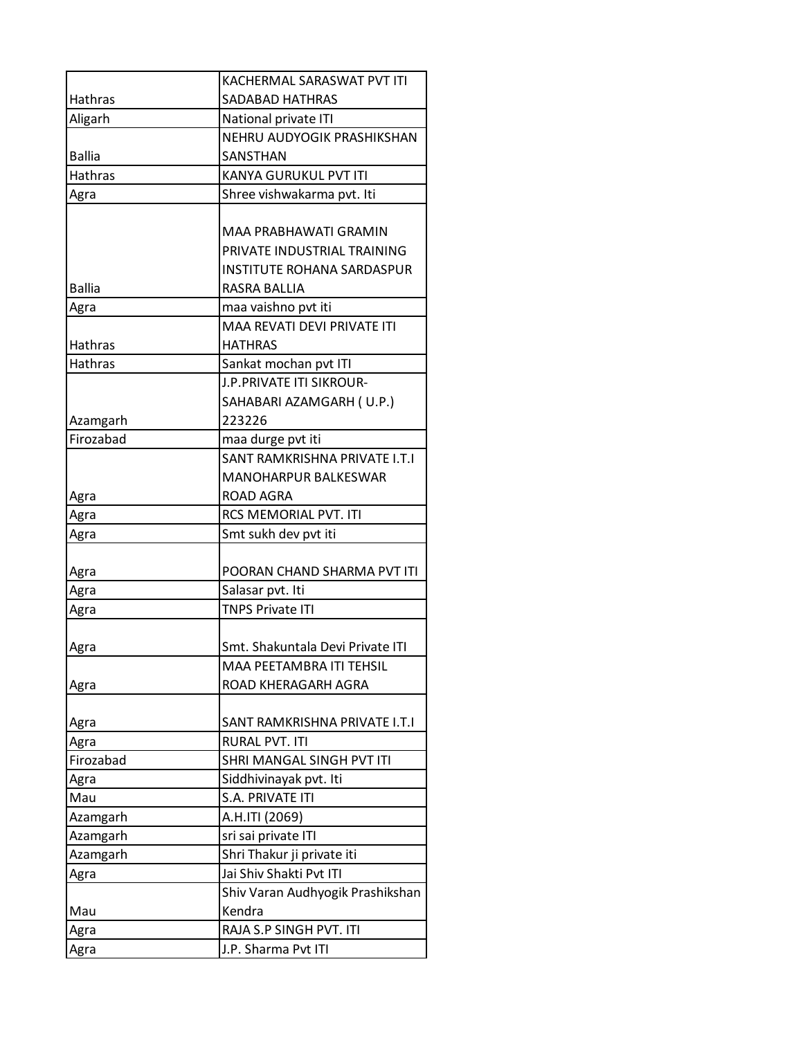|                | KACHERMAL SARASWAT PVT ITI         |
|----------------|------------------------------------|
| Hathras        | SADABAD HATHRAS                    |
| Aligarh        | National private ITI               |
|                | NEHRU AUDYOGIK PRASHIKSHAN         |
| <b>Ballia</b>  | SANSTHAN                           |
| <b>Hathras</b> | KANYA GURUKUL PVT ITI              |
| Agra           | Shree vishwakarma pvt. Iti         |
|                |                                    |
|                | MAA PRABHAWATI GRAMIN              |
|                | PRIVATE INDUSTRIAL TRAINING        |
|                | <b>INSTITUTE ROHANA SARDASPUR</b>  |
| <b>Ballia</b>  | RASRA BALLIA                       |
| Agra           | maa vaishno pvt iti                |
|                | <b>MAA REVATI DEVI PRIVATE ITI</b> |
| Hathras        | <b>HATHRAS</b>                     |
| <b>Hathras</b> | Sankat mochan pvt ITI              |
|                | J.P. PRIVATE ITI SIKROUR-          |
|                | SAHABARI AZAMGARH (U.P.)           |
| Azamgarh       | 223226                             |
| Firozabad      | maa durge pvt iti                  |
|                | SANT RAMKRISHNA PRIVATE I.T.I      |
|                | <b>MANOHARPUR BALKESWAR</b>        |
| Agra           | ROAD AGRA                          |
| Agra           | RCS MEMORIAL PVT. ITI              |
| Agra           | Smt sukh dev pvt iti               |
|                |                                    |
| Agra           | POORAN CHAND SHARMA PVT ITI        |
| Agra           | Salasar pvt. Iti                   |
| Agra           | <b>TNPS Private ITI</b>            |
|                |                                    |
| Agra           | Smt. Shakuntala Devi Private ITI   |
|                | MAA PEETAMBRA ITI TEHSIL           |
| Agra           | ROAD KHERAGARH AGRA                |
|                |                                    |
| Agra           | SANT RAMKRISHNA PRIVATE I.T.I      |
| Agra           | <b>RURAL PVT. ITI</b>              |
| Firozabad      | SHRI MANGAL SINGH PVT ITI          |
| Agra           | Siddhivinayak pvt. Iti             |
| Mau            | S.A. PRIVATE ITI                   |
| Azamgarh       | A.H.ITI (2069)                     |
| Azamgarh       | sri sai private ITI                |
| Azamgarh       | Shri Thakur ji private iti         |
| Agra           | Jai Shiv Shakti Pvt ITI            |
|                | Shiv Varan Audhyogik Prashikshan   |
| Mau            | Kendra                             |
| Agra           | RAJA S.P SINGH PVT. ITI            |
| Agra           | J.P. Sharma Pvt ITI                |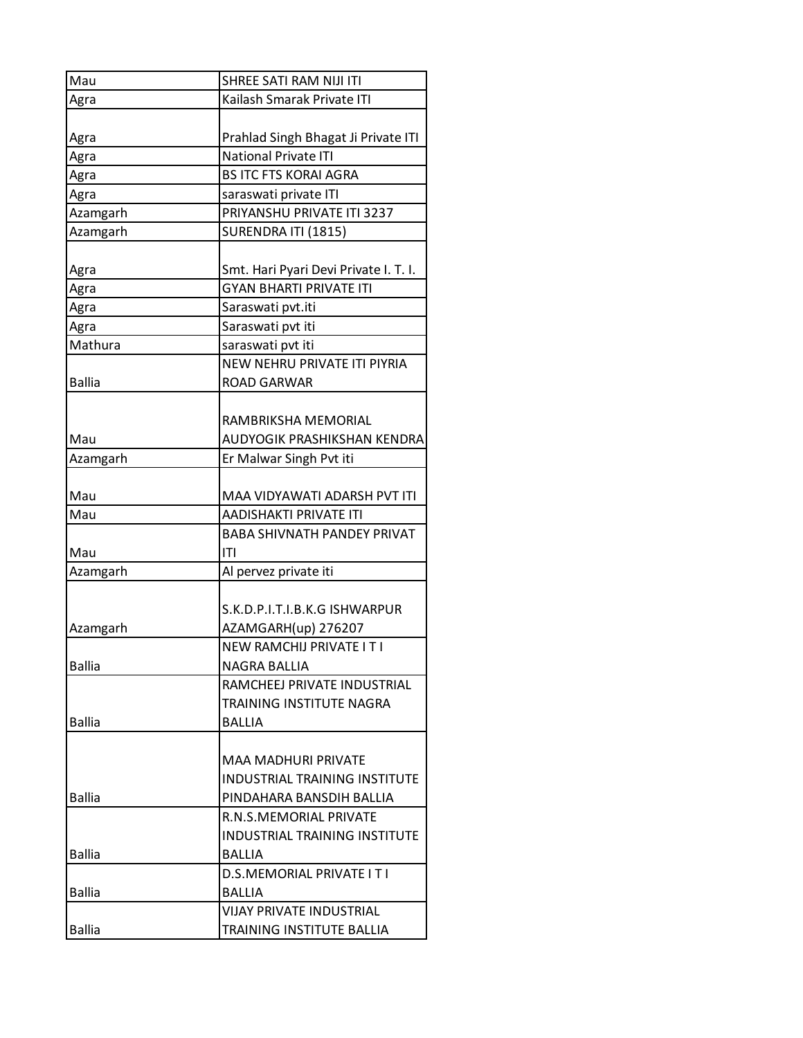| Mau           | SHREE SATI RAM NIJI ITI               |
|---------------|---------------------------------------|
| Agra          | Kailash Smarak Private ITI            |
|               |                                       |
| Agra          | Prahlad Singh Bhagat Ji Private ITI   |
| Agra          | National Private ITI                  |
| Agra          | <b>BS ITC FTS KORAI AGRA</b>          |
| Agra          | saraswati private ITI                 |
| Azamgarh      | PRIYANSHU PRIVATE ITI 3237            |
| Azamgarh      | SURENDRA ITI (1815)                   |
|               |                                       |
| Agra          | Smt. Hari Pyari Devi Private I. T. I. |
| Agra          | <b>GYAN BHARTI PRIVATE ITI</b>        |
| Agra          | Saraswati pvt.iti                     |
| Agra          | Saraswati pvt iti                     |
| Mathura       | saraswati pvt iti                     |
|               | NEW NEHRU PRIVATE ITI PIYRIA          |
| <b>Ballia</b> | <b>ROAD GARWAR</b>                    |
|               |                                       |
|               | RAMBRIKSHA MEMORIAL                   |
| Mau           | AUDYOGIK PRASHIKSHAN KENDRA           |
| Azamgarh      | Er Malwar Singh Pvt iti               |
|               |                                       |
| Mau           | MAA VIDYAWATI ADARSH PVT ITI          |
| Mau           | <b>AADISHAKTI PRIVATE ITI</b>         |
|               | <b>BABA SHIVNATH PANDEY PRIVAT</b>    |
| Mau           | ITI                                   |
| Azamgarh      | Al pervez private iti                 |
|               |                                       |
|               | S.K.D.P.I.T.I.B.K.G ISHWARPUR         |
| Azamgarh      | AZAMGARH(up) 276207                   |
|               | <b>NEW RAMCHIJ PRIVATE I T I</b>      |
| <b>Ballia</b> | NAGRA BALLIA                          |
|               | RAMCHEEJ PRIVATE INDUSTRIAL           |
|               | TRAINING INSTITUTE NAGRA              |
| <b>Ballia</b> | BALLIA                                |
|               |                                       |
|               | MAA MADHURI PRIVATE                   |
|               | INDUSTRIAL TRAINING INSTITUTE         |
| <b>Ballia</b> | PINDAHARA BANSDIH BALLIA              |
|               | R.N.S.MEMORIAL PRIVATE                |
|               | <b>INDUSTRIAL TRAINING INSTITUTE</b>  |
| <b>Ballia</b> | <b>BALLIA</b>                         |
|               | D.S.MEMORIAL PRIVATE I T I            |
| <b>Ballia</b> | <b>BALLIA</b>                         |
|               | <b>VIJAY PRIVATE INDUSTRIAL</b>       |
| <b>Ballia</b> | TRAINING INSTITUTE BALLIA             |
|               |                                       |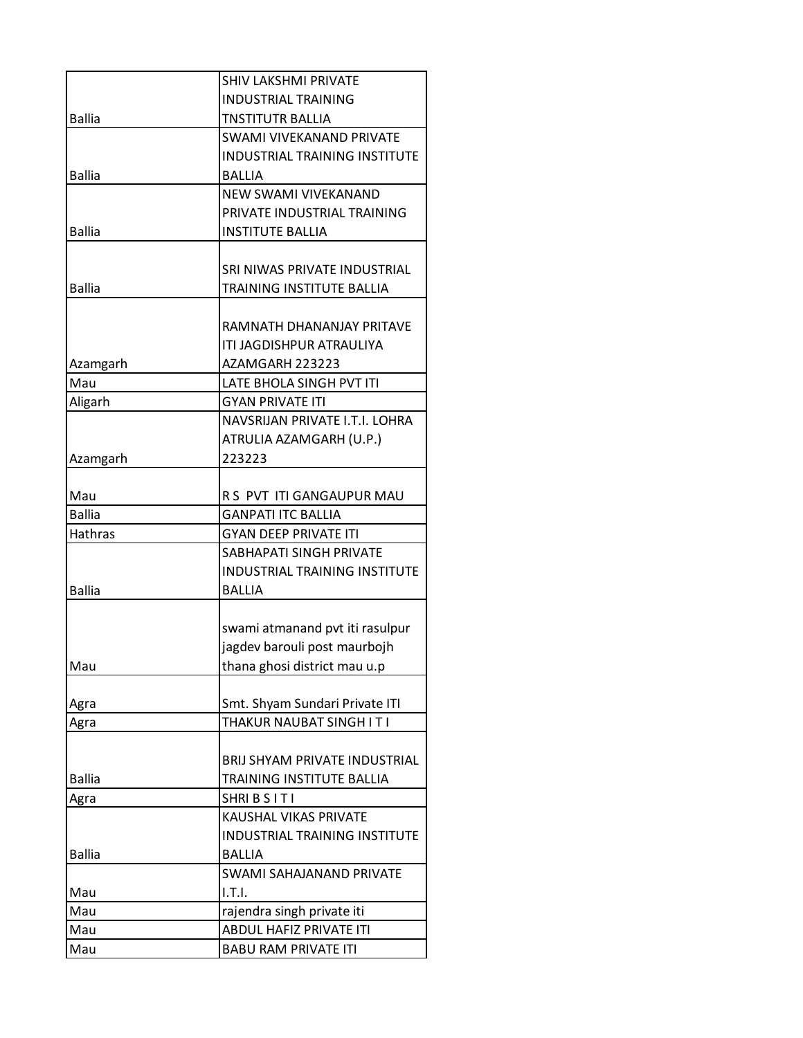|               | <b>SHIV LAKSHMI PRIVATE</b>          |
|---------------|--------------------------------------|
|               | <b>INDUSTRIAL TRAINING</b>           |
| <b>Ballia</b> | TNSTITUTR BALLIA                     |
|               | <b>SWAMI VIVEKANAND PRIVATE</b>      |
|               | INDUSTRIAL TRAINING INSTITUTE        |
| <b>Ballia</b> | <b>BALLIA</b>                        |
|               | <b>NEW SWAMI VIVEKANAND</b>          |
|               | PRIVATE INDUSTRIAL TRAINING          |
| <b>Ballia</b> | <b>INSTITUTE BALLIA</b>              |
|               |                                      |
|               | SRI NIWAS PRIVATE INDUSTRIAL         |
| <b>Ballia</b> | TRAINING INSTITUTE BALLIA            |
|               |                                      |
|               | RAMNATH DHANANJAY PRITAVE            |
|               | ITI JAGDISHPUR ATRAULIYA             |
| Azamgarh      | AZAMGARH 223223                      |
| Mau           | <b>LATE BHOLA SINGH PVT ITI</b>      |
| Aligarh       | <b>GYAN PRIVATE ITI</b>              |
|               | NAVSRIJAN PRIVATE I.T.I. LOHRA       |
|               | ATRULIA AZAMGARH (U.P.)              |
| Azamgarh      | 223223                               |
|               |                                      |
| Mau           | R S PVT ITI GANGAUPUR MAU            |
| <b>Ballia</b> | <b>GANPATI ITC BALLIA</b>            |
| Hathras       | <b>GYAN DEEP PRIVATE ITI</b>         |
|               | SABHAPATI SINGH PRIVATE              |
|               | <b>INDUSTRIAL TRAINING INSTITUTE</b> |
| <b>Ballia</b> | <b>BALLIA</b>                        |
|               |                                      |
|               | swami atmanand pvt iti rasulpur      |
| Mau           | jagdev barouli post maurbojh         |
|               | thana ghosi district mau u.p         |
|               | Smt. Shyam Sundari Private ITI       |
| Agra<br>Agra  | THAKUR NAUBAT SINGH I T I            |
|               |                                      |
|               | BRIJ SHYAM PRIVATE INDUSTRIAL        |
| <b>Ballia</b> | TRAINING INSTITUTE BALLIA            |
| Agra          | SHRIBSITI                            |
|               | KAUSHAL VIKAS PRIVATE                |
|               | <b>INDUSTRIAL TRAINING INSTITUTE</b> |
| <b>Ballia</b> | <b>BALLIA</b>                        |
|               | SWAMI SAHAJANAND PRIVATE             |
| Mau           | I.T.I.                               |
| Mau           | rajendra singh private iti           |
| Mau           | ABDUL HAFIZ PRIVATE ITI              |
| Mau           | <b>BABU RAM PRIVATE ITI</b>          |
|               |                                      |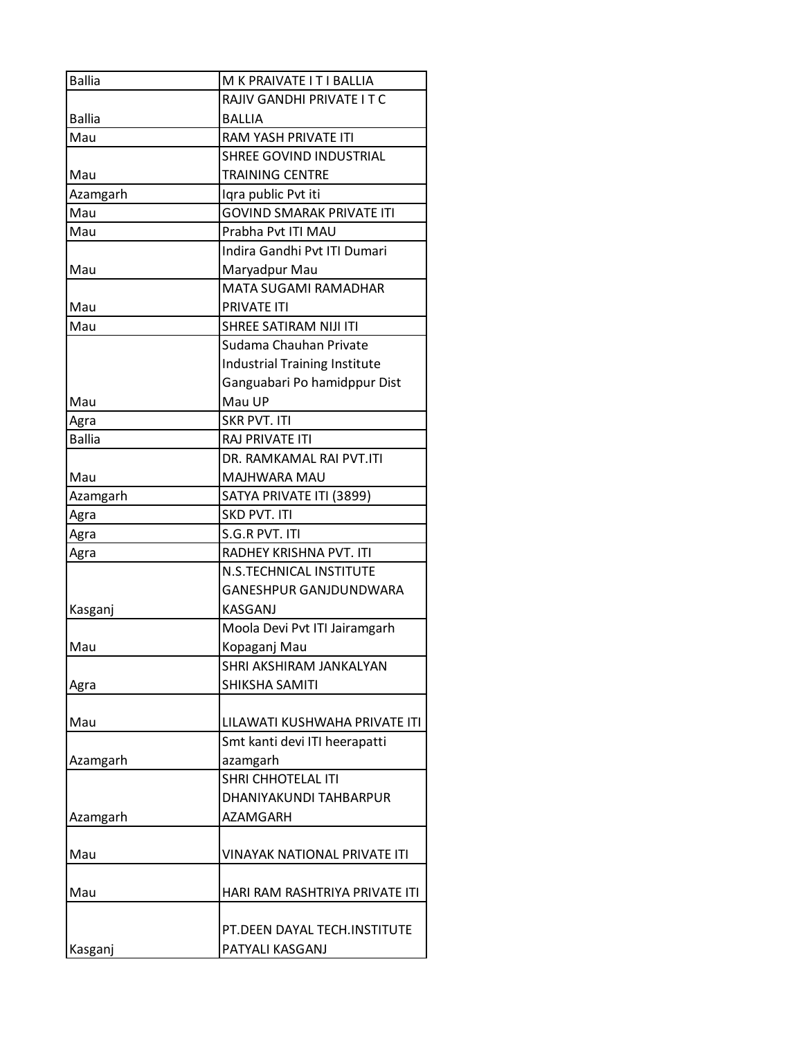| <b>Ballia</b> | M K PRAIVATE I T I BALLIA            |
|---------------|--------------------------------------|
|               | RAJIV GANDHI PRIVATE I T C           |
| <b>Ballia</b> | <b>BALLIA</b>                        |
| Mau           | RAM YASH PRIVATE ITI                 |
|               | SHREE GOVIND INDUSTRIAL              |
| Mau           | <b>TRAINING CENTRE</b>               |
| Azamgarh      | Iqra public Pvt iti                  |
| Mau           | <b>GOVIND SMARAK PRIVATE ITI</b>     |
| Mau           | Prabha Pvt ITI MAU                   |
|               | Indira Gandhi Pvt ITI Dumari         |
| Mau           | Maryadpur Mau                        |
|               | <b>MATA SUGAMI RAMADHAR</b>          |
| Mau           | PRIVATE ITI                          |
| Mau           | SHREE SATIRAM NIJI ITI               |
|               | Sudama Chauhan Private               |
|               | <b>Industrial Training Institute</b> |
|               | Ganguabari Po hamidppur Dist         |
| Mau           | Mau UP                               |
| Agra          | <b>SKR PVT. ITI</b>                  |
| <b>Ballia</b> | <b>RAJ PRIVATE ITI</b>               |
|               | DR. RAMKAMAL RAI PVT.ITI             |
| Mau           | MAJHWARA MAU                         |
| Azamgarh      | SATYA PRIVATE ITI (3899)             |
| Agra          | SKD PVT. ITI                         |
| Agra          | S.G.R PVT. ITI                       |
| Agra          | RADHEY KRISHNA PVT. ITI              |
|               | <b>N.S.TECHNICAL INSTITUTE</b>       |
|               | <b>GANESHPUR GANJDUNDWARA</b>        |
| Kasganj       | KASGANJ                              |
|               | Moola Devi Pvt ITI Jairamgarh        |
| Mau           | Kopaganj Mau                         |
|               | SHRI AKSHIRAM JANKALYAN              |
| Agra          | SHIKSHA SAMITI                       |
|               |                                      |
| Mau           | LILAWATI KUSHWAHA PRIVATE ITI        |
|               | Smt kanti devi ITI heerapatti        |
| Azamgarh      | azamgarh                             |
|               | <b>SHRI CHHOTELAL ITI</b>            |
|               | DHANIYAKUNDI TAHBARPUR               |
| Azamgarh      | AZAMGARH                             |
|               |                                      |
| Mau           | <b>VINAYAK NATIONAL PRIVATE ITI</b>  |
|               |                                      |
| Mau           | HARI RAM RASHTRIYA PRIVATE ITI       |
|               |                                      |
|               | PT.DEEN DAYAL TECH.INSTITUTE         |
| Kasganj       | PATYALI KASGANJ                      |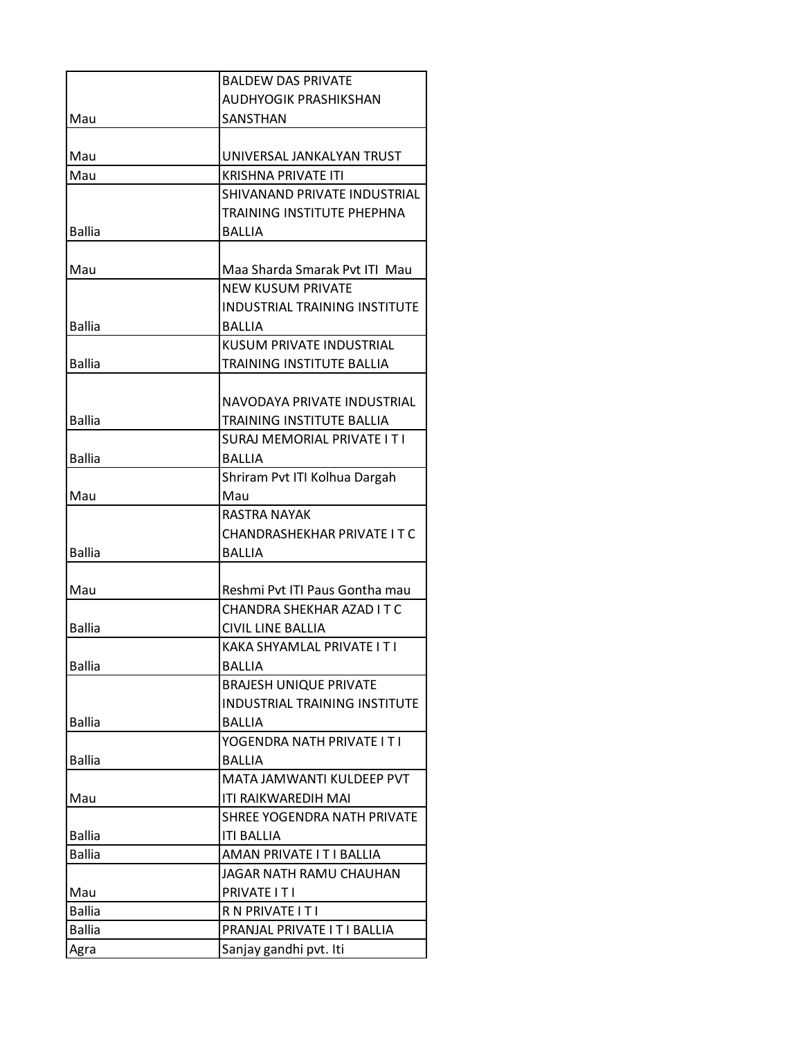|               | <b>BALDEW DAS PRIVATE</b>            |
|---------------|--------------------------------------|
|               | AUDHYOGIK PRASHIKSHAN                |
| Mau           | SANSTHAN                             |
|               |                                      |
| Mau           | UNIVERSAL JANKALYAN TRUST            |
| Mau           | <b>KRISHNA PRIVATE ITI</b>           |
|               | SHIVANAND PRIVATE INDUSTRIAL         |
|               | TRAINING INSTITUTE PHEPHNA           |
| <b>Ballia</b> | <b>BALLIA</b>                        |
|               |                                      |
| Mau           | Maa Sharda Smarak Pvt ITI Mau        |
|               | <b>NEW KUSUM PRIVATE</b>             |
|               | <b>INDUSTRIAL TRAINING INSTITUTE</b> |
| <b>Ballia</b> | <b>BALLIA</b>                        |
|               | KUSUM PRIVATE INDUSTRIAL             |
| <b>Ballia</b> | TRAINING INSTITUTE BALLIA            |
|               |                                      |
|               | NAVODAYA PRIVATE INDUSTRIAL          |
| <b>Ballia</b> | TRAINING INSTITUTE BALLIA            |
|               | SURAJ MEMORIAL PRIVATE I T I         |
| <b>Ballia</b> | BALLIA                               |
|               | Shriram Pvt ITI Kolhua Dargah        |
| Mau           | Mau<br><b>RASTRA NAYAK</b>           |
|               |                                      |
| <b>Ballia</b> | CHANDRASHEKHAR PRIVATE I T C         |
|               | <b>BALLIA</b>                        |
| Mau           | Reshmi Pvt ITI Paus Gontha mau       |
|               | CHANDRA SHEKHAR AZAD IT C            |
| <b>Ballia</b> | CIVIL LINE BALLIA                    |
|               | KAKA SHYAMLAL PRIVATE I T I          |
| <b>Ballia</b> | <b>BALLIA</b>                        |
|               | <b>BRAJESH UNIQUE PRIVATE</b>        |
|               | <b>INDUSTRIAL TRAINING INSTITUTE</b> |
| <b>Ballia</b> | BALLIA                               |
|               | YOGENDRA NATH PRIVATE IT I           |
| <b>Ballia</b> | <b>BALLIA</b>                        |
|               | MATA JAMWANTI KULDEEP PVT            |
| Mau           | ITI RAIKWAREDIH MAI                  |
|               | SHREE YOGENDRA NATH PRIVATE          |
| <b>Ballia</b> | <b>ITI BALLIA</b>                    |
| <b>Ballia</b> | AMAN PRIVATE I T I BALLIA            |
|               | JAGAR NATH RAMU CHAUHAN              |
| Mau           | PRIVATE IT I                         |
| <b>Ballia</b> | R N PRIVATE I T I                    |
| <b>Ballia</b> | PRANJAL PRIVATE I T I BALLIA         |
| Agra          | Sanjay gandhi pvt. Iti               |
|               |                                      |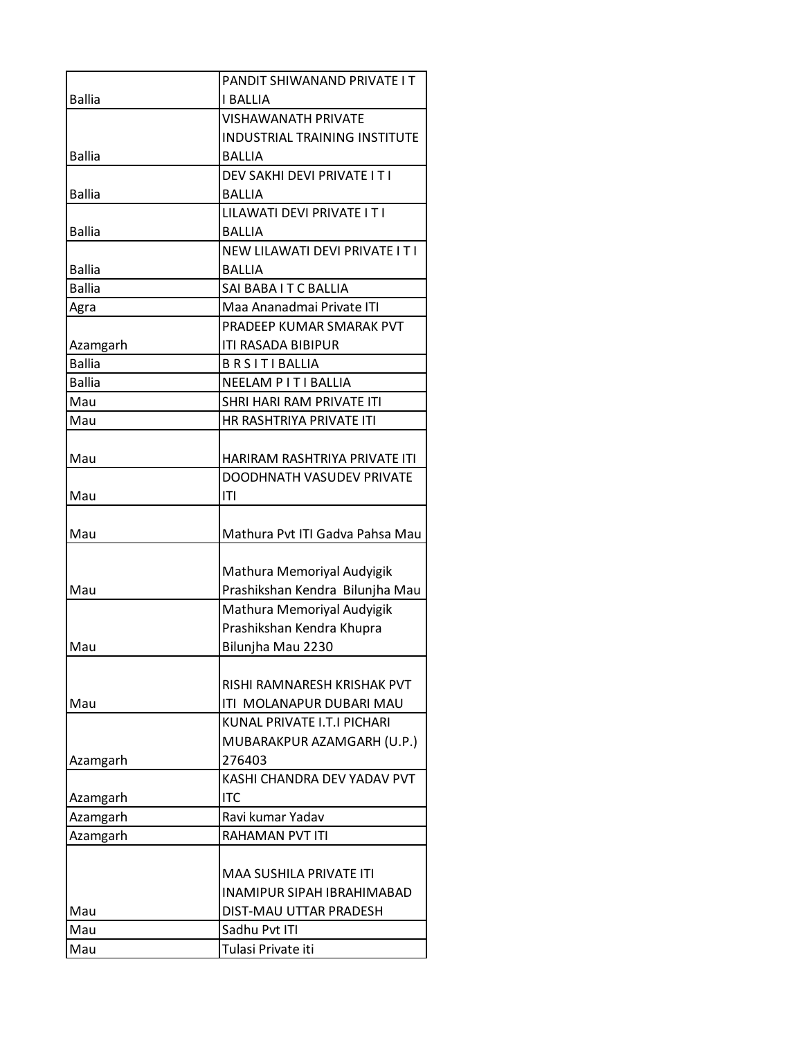|               | PANDIT SHIWANAND PRIVATE I T    |
|---------------|---------------------------------|
| <b>Ballia</b> | <b>I BALLIA</b>                 |
|               | <b>VISHAWANATH PRIVATE</b>      |
|               | INDUSTRIAL TRAINING INSTITUTE   |
| <b>Ballia</b> | <b>BALLIA</b>                   |
|               | DEV SAKHI DEVI PRIVATE I T I    |
| <b>Ballia</b> | <b>BALLIA</b>                   |
|               | LILAWATI DEVI PRIVATE I T I     |
| <b>Ballia</b> | <b>BALLIA</b>                   |
|               | NEW LILAWATI DEVI PRIVATE IT I  |
| <b>Ballia</b> | <b>BALLIA</b>                   |
| <b>Ballia</b> | SAI BABA I T C BALLIA           |
| Agra          | Maa Ananadmai Private ITI       |
|               | PRADEEP KUMAR SMARAK PVT        |
| Azamgarh      | ITI RASADA BIBIPUR              |
| <b>Ballia</b> | <b>BRSITIBALLIA</b>             |
| <b>Ballia</b> | NEELAM P I T I BALLIA           |
| Mau           | SHRI HARI RAM PRIVATE ITI       |
| Mau           | HR RASHTRIYA PRIVATE ITI        |
|               |                                 |
| Mau           | HARIRAM RASHTRIYA PRIVATE ITI   |
|               | DOODHNATH VASUDEV PRIVATE       |
| Mau           | T                               |
| Mau           | Mathura Pvt ITI Gadva Pahsa Mau |
|               |                                 |
|               | Mathura Memoriyal Audyigik      |
| Mau           | Prashikshan Kendra Bilunjha Mau |
|               | Mathura Memoriyal Audyigik      |
|               | Prashikshan Kendra Khupra       |
| Mau           | Bilunjha Mau 2230               |
|               |                                 |
|               | RISHI RAMNARESH KRISHAK PVT     |
| Mau           | ITI MOLANAPUR DUBARI MAU        |
|               | KUNAL PRIVATE I.T.I PICHARI     |
|               | MUBARAKPUR AZAMGARH (U.P.)      |
| Azamgarh      | 276403                          |
|               | KASHI CHANDRA DEV YADAV PVT     |
| Azamgarh      | <b>ITC</b>                      |
| Azamgarh      | Ravi kumar Yadav                |
| Azamgarh      | <b>RAHAMAN PVT ITI</b>          |
|               |                                 |
|               | <b>MAA SUSHILA PRIVATE ITI</b>  |
|               | INAMIPUR SIPAH IBRAHIMABAD      |
| Mau           | DIST-MAU UTTAR PRADESH          |
| Mau           | Sadhu Pvt ITI                   |
| Mau           | Tulasi Private iti              |
|               |                                 |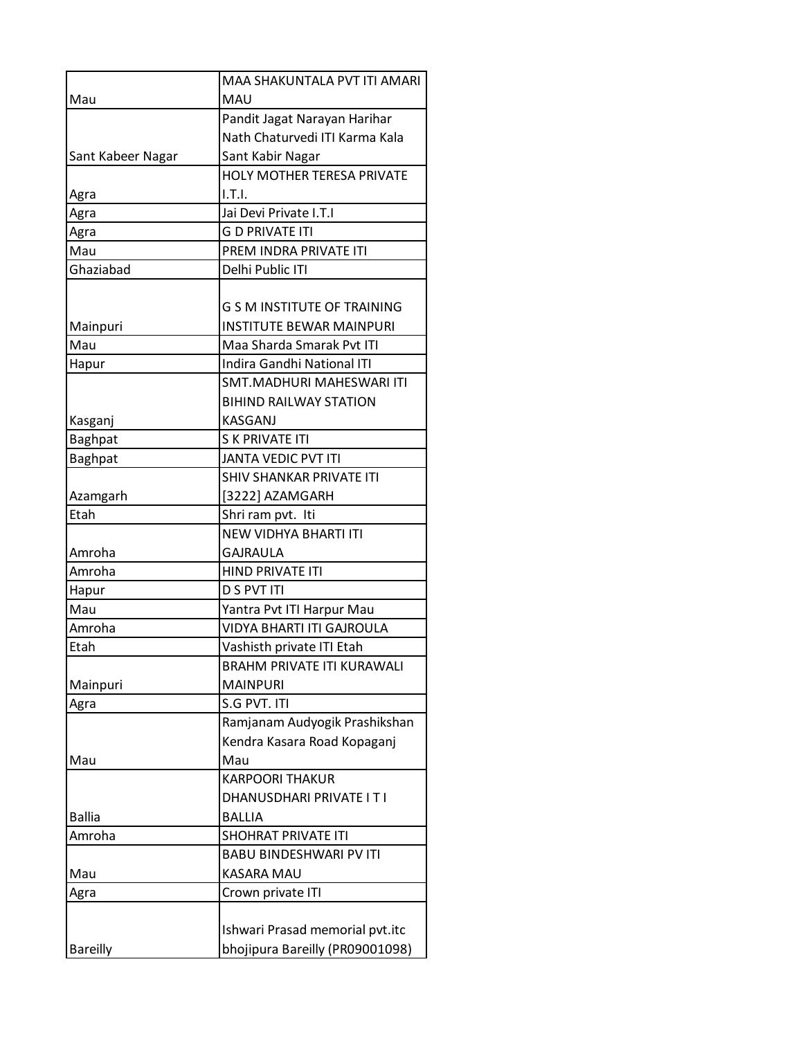|                   | MAA SHAKUNTALA PVT ITI AMARI       |
|-------------------|------------------------------------|
| Mau               | MAU                                |
|                   | Pandit Jagat Narayan Harihar       |
|                   | Nath Chaturvedi ITI Karma Kala     |
| Sant Kabeer Nagar | Sant Kabir Nagar                   |
|                   | HOLY MOTHER TERESA PRIVATE         |
| Agra              | I.T.I.                             |
| Agra              | Jai Devi Private I.T.I             |
| Agra              | <b>G D PRIVATE ITI</b>             |
| Mau               | PREM INDRA PRIVATE ITI             |
| Ghaziabad         | Delhi Public ITI                   |
|                   |                                    |
|                   | <b>G S M INSTITUTE OF TRAINING</b> |
| Mainpuri          | <b>INSTITUTE BEWAR MAINPURI</b>    |
| Mau               | Maa Sharda Smarak Pvt ITI          |
| Hapur             | <b>Indira Gandhi National ITI</b>  |
|                   | SMT.MADHURI MAHESWARI ITI          |
|                   | <b>BIHIND RAILWAY STATION</b>      |
| Kasganj           | <b>KASGANJ</b>                     |
| <b>Baghpat</b>    | <b>S K PRIVATE ITI</b>             |
| <b>Baghpat</b>    | <b>JANTA VEDIC PVT ITI</b>         |
|                   | SHIV SHANKAR PRIVATE ITI           |
| Azamgarh          | [3222] AZAMGARH                    |
| Etah              | Shri ram pvt. Iti                  |
|                   | <b>NEW VIDHYA BHARTI ITI</b>       |
| Amroha            | <b>GAJRAULA</b>                    |
| Amroha            | HIND PRIVATE ITI                   |
| Hapur             | <b>D S PVT ITI</b>                 |
| Mau               | Yantra Pvt ITI Harpur Mau          |
| Amroha            | <b>VIDYA BHARTI ITI GAJROULA</b>   |
| Etah              | Vashisth private ITI Etah          |
|                   | <b>BRAHM PRIVATE ITI KURAWALI</b>  |
| Mainpuri          | <b>MAINPURI</b>                    |
| Agra              | S.G PVT. ITI                       |
|                   | Ramjanam Audyogik Prashikshan      |
|                   | Kendra Kasara Road Kopaganj        |
| Mau               | Mau                                |
|                   | <b>KARPOORI THAKUR</b>             |
|                   | DHANUSDHARI PRIVATE I T I          |
| <b>Ballia</b>     | <b>BALLIA</b>                      |
| Amroha            | <b>SHOHRAT PRIVATE ITI</b>         |
|                   | <b>BABU BINDESHWARI PV ITI</b>     |
| Mau               | <b>KASARA MAU</b>                  |
| Agra              | Crown private ITI                  |
|                   |                                    |
|                   | Ishwari Prasad memorial pvt.itc    |
| <b>Bareilly</b>   | bhojipura Bareilly (PR09001098)    |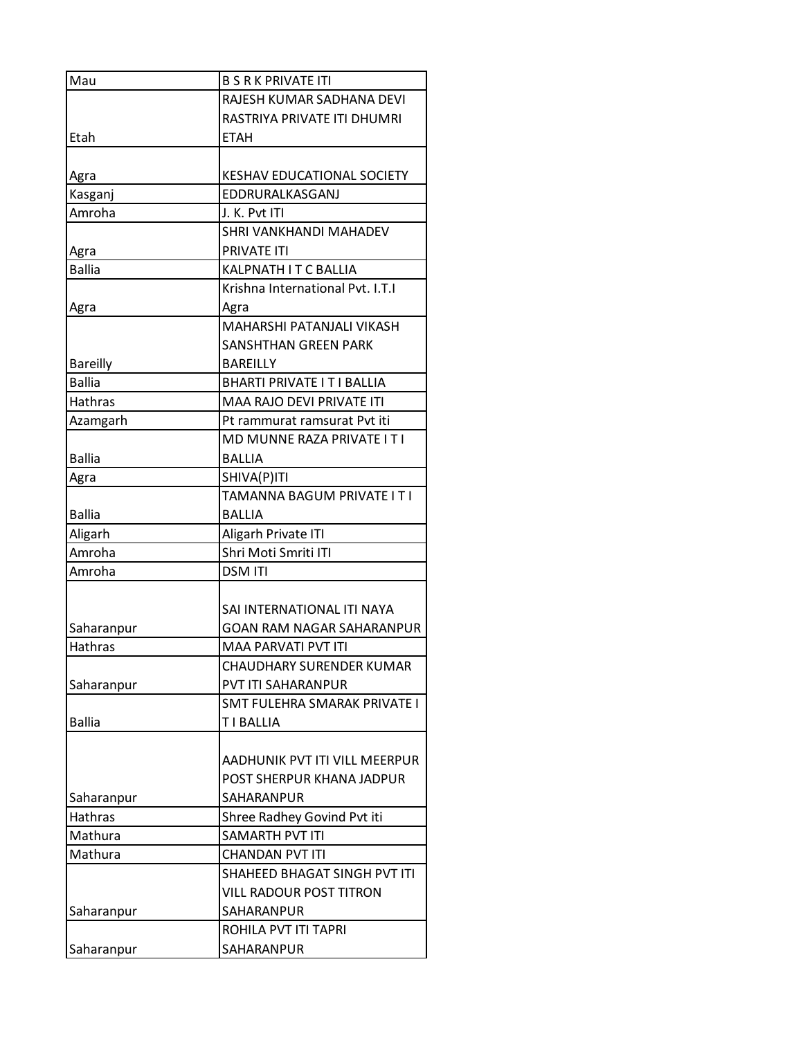| Mau                              | <b>B S R K PRIVATE ITI</b>                                     |
|----------------------------------|----------------------------------------------------------------|
|                                  | RAJESH KUMAR SADHANA DEVI                                      |
|                                  | RASTRIYA PRIVATE ITI DHUMRI                                    |
| Etah                             | <b>ETAH</b>                                                    |
|                                  |                                                                |
| Agra                             | KESHAV EDUCATIONAL SOCIETY                                     |
| Kasganj                          | EDDRURALKASGANJ                                                |
| Amroha                           | J. K. Pvt ITI                                                  |
|                                  | SHRI VANKHANDI MAHADEV                                         |
| Agra                             | <b>PRIVATE ITI</b>                                             |
| <b>Ballia</b>                    | KALPNATH IT C BALLIA                                           |
|                                  | Krishna International Pvt. I.T.I                               |
| Agra                             | Agra                                                           |
|                                  | MAHARSHI PATANJALI VIKASH                                      |
|                                  | SANSHTHAN GREEN PARK                                           |
| <b>Bareilly</b><br><b>Ballia</b> | BAREILLY                                                       |
| <b>Hathras</b>                   | <b>BHARTI PRIVATE IT I BALLIA</b><br>MAA RAJO DEVI PRIVATE ITI |
|                                  | Pt rammurat ramsurat Pvt iti                                   |
| Azamgarh                         | MD MUNNE RAZA PRIVATE I T I                                    |
| <b>Ballia</b>                    | BALLIA                                                         |
| Agra                             | SHIVA(P)ITI                                                    |
|                                  | TAMANNA BAGUM PRIVATE I T I                                    |
| <b>Ballia</b>                    | <b>BALLIA</b>                                                  |
| Aligarh                          | Aligarh Private ITI                                            |
| Amroha                           | Shri Moti Smriti ITI                                           |
| Amroha                           | <b>DSM ITI</b>                                                 |
|                                  |                                                                |
|                                  | SAI INTERNATIONAL ITI NAYA                                     |
| Saharanpur                       | GOAN RAM NAGAR SAHARANPUR                                      |
| Hathras                          | MAA PARVATI PVT ITI                                            |
|                                  | CHAUDHARY SURENDER KUMAR                                       |
| Saharanpur                       | <b>PVT ITI SAHARANPUR</b>                                      |
|                                  | SMT FULEHRA SMARAK PRIVATE I                                   |
| <b>Ballia</b>                    | T I BALLIA                                                     |
|                                  |                                                                |
|                                  | AADHUNIK PVT ITI VILL MEERPUR                                  |
|                                  | POST SHERPUR KHANA JADPUR                                      |
| Saharanpur                       | SAHARANPUR                                                     |
| Hathras                          | Shree Radhey Govind Pvt iti                                    |
| Mathura                          | SAMARTH PVT ITI                                                |
| Mathura                          | <b>CHANDAN PVT ITI</b>                                         |
|                                  | SHAHEED BHAGAT SINGH PVT ITI                                   |
|                                  | <b>VILL RADOUR POST TITRON</b>                                 |
| Saharanpur                       | SAHARANPUR                                                     |
|                                  | ROHILA PVT ITI TAPRI                                           |
| Saharanpur                       | SAHARANPUR                                                     |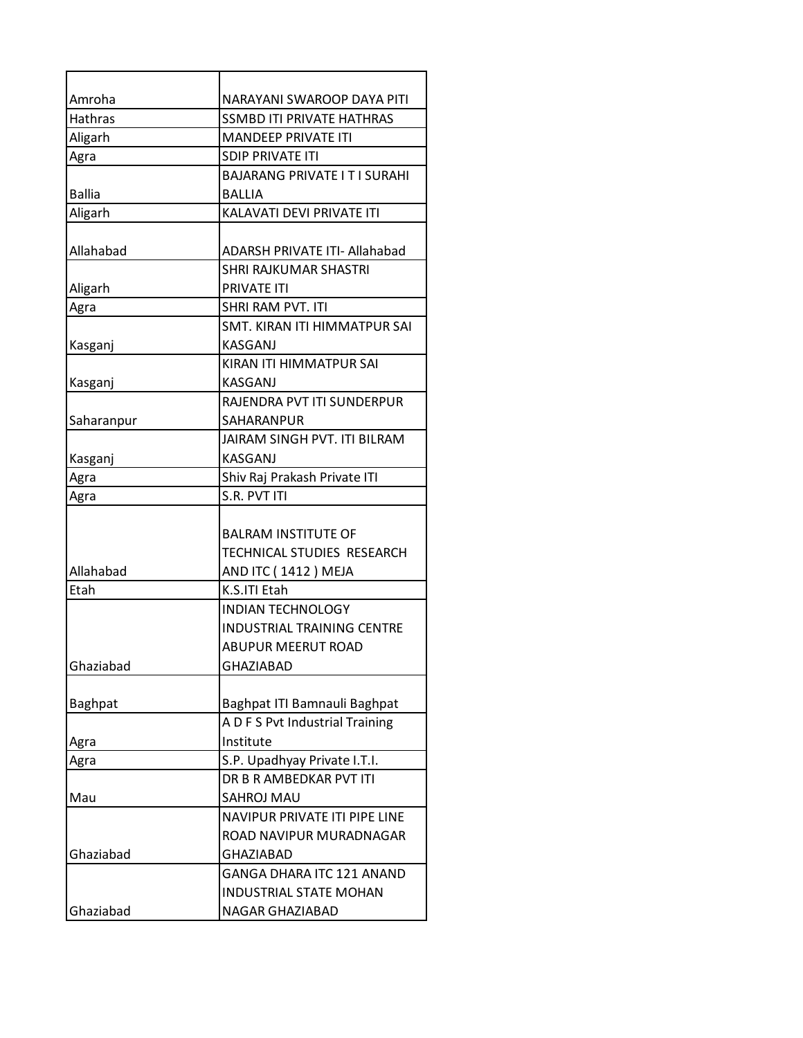| Amroha         | NARAYANI SWAROOP DAYA PITI           |
|----------------|--------------------------------------|
| <b>Hathras</b> | <b>SSMBD ITI PRIVATE HATHRAS</b>     |
| Aligarh        | <b>MANDEEP PRIVATE ITI</b>           |
| Agra           | <b>SDIP PRIVATE ITI</b>              |
|                | BAJARANG PRIVATE I T I SURAHI        |
| <b>Ballia</b>  | BALLIA                               |
| Aligarh        | KALAVATI DEVI PRIVATE ITI            |
|                |                                      |
| Allahabad      | <b>ADARSH PRIVATE ITI- Allahabad</b> |
|                | <b>SHRI RAJKUMAR SHASTRI</b>         |
| Aligarh        | <b>PRIVATE ITI</b>                   |
| Agra           | SHRI RAM PVT. ITI                    |
|                | SMT, KIRAN ITI HIMMATPUR SAI         |
| Kasganj        | KASGANJ                              |
|                | KIRAN ITI HIMMATPUR SAI              |
| Kasganj        | <b>KASGANJ</b>                       |
|                | RAJENDRA PVT ITI SUNDERPUR           |
| Saharanpur     | SAHARANPUR                           |
|                | JAIRAM SINGH PVT. ITI BILRAM         |
| Kasganj        | KASGANJ                              |
| Agra           | Shiv Raj Prakash Private ITI         |
| Agra           | S.R. PVT ITI                         |
|                |                                      |
|                | <b>BALRAM INSTITUTE OF</b>           |
|                | TECHNICAL STUDIES RESEARCH           |
| Allahabad      | AND ITC (1412) MEJA                  |
| Etah           | K.S.ITI Etah                         |
|                | <b>INDIAN TECHNOLOGY</b>             |
|                | <b>INDUSTRIAL TRAINING CENTRE</b>    |
|                | <b>ABUPUR MEERUT ROAD</b>            |
| Ghaziabad      | <b>GHAZIABAD</b>                     |
|                |                                      |
| <b>Baghpat</b> | Baghpat ITI Bamnauli Baghpat         |
|                | A D F S Pvt Industrial Training      |
| Agra           | Institute                            |
| Agra           | S.P. Upadhyay Private I.T.I.         |
|                | DR B R AMBEDKAR PVT ITI              |
| Mau            | SAHROJ MAU                           |
|                | NAVIPUR PRIVATE ITI PIPE LINE        |
|                | ROAD NAVIPUR MURADNAGAR              |
| Ghaziabad      | <b>GHAZIABAD</b>                     |
|                | GANGA DHARA ITC 121 ANAND            |
|                | <b>INDUSTRIAL STATE MOHAN</b>        |
| Ghaziabad      | NAGAR GHAZIABAD                      |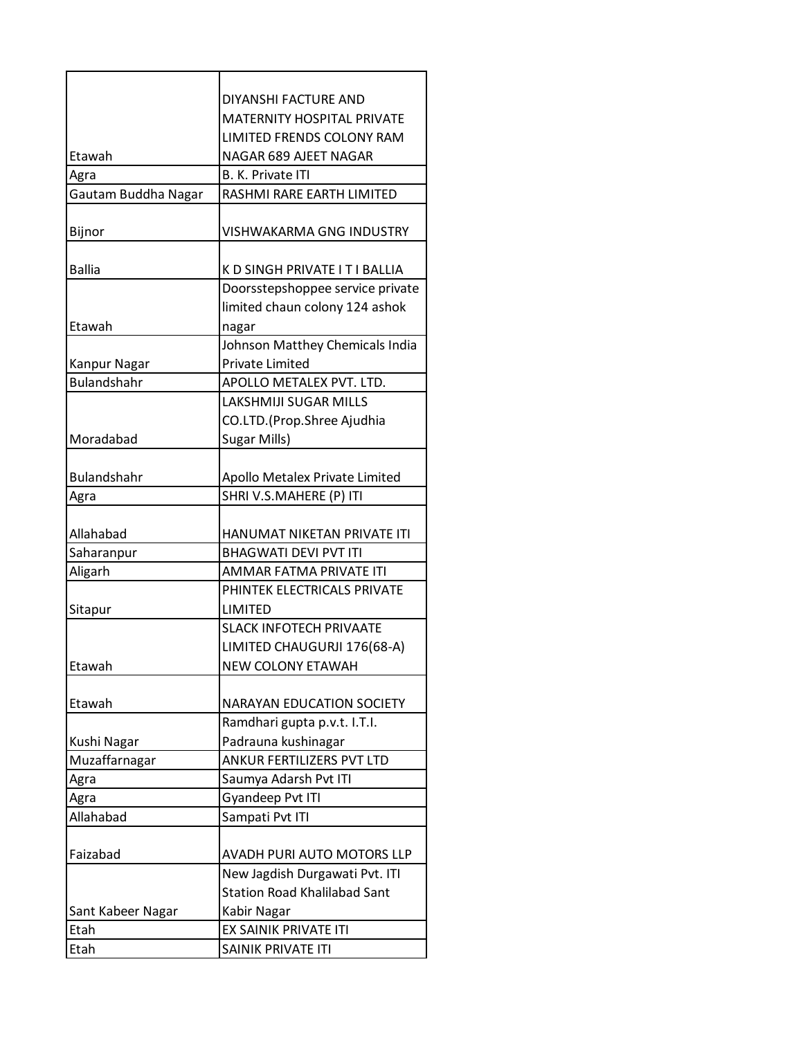|                     | DIYANSHI FACTURE AND                |
|---------------------|-------------------------------------|
|                     | <b>MATERNITY HOSPITAL PRIVATE</b>   |
|                     | LIMITED FRENDS COLONY RAM           |
| Etawah              | NAGAR 689 AJEET NAGAR               |
| Agra                | <b>B. K. Private ITI</b>            |
| Gautam Buddha Nagar | RASHMI RARE EARTH LIMITED           |
|                     |                                     |
| Bijnor              | <b>VISHWAKARMA GNG INDUSTRY</b>     |
| <b>Ballia</b>       | K D SINGH PRIVATE I T I BALLIA      |
|                     | Doorsstepshoppee service private    |
|                     | limited chaun colony 124 ashok      |
| Etawah              | nagar                               |
|                     | Johnson Matthey Chemicals India     |
| Kanpur Nagar        | <b>Private Limited</b>              |
| <b>Bulandshahr</b>  | APOLLO METALEX PVT. LTD.            |
|                     | <b>LAKSHMIJI SUGAR MILLS</b>        |
|                     | CO.LTD.(Prop.Shree Ajudhia          |
| Moradabad           | Sugar Mills)                        |
|                     |                                     |
| <b>Bulandshahr</b>  | Apollo Metalex Private Limited      |
| Agra                | SHRI V.S.MAHERE (P) ITI             |
|                     |                                     |
| Allahabad           | HANUMAT NIKETAN PRIVATE ITI         |
| Saharanpur          | <b>BHAGWATI DEVI PVT ITI</b>        |
| Aligarh             | AMMAR FATMA PRIVATE ITI             |
|                     | PHINTEK ELECTRICALS PRIVATE         |
| Sitapur             | <b>LIMITED</b>                      |
|                     | <b>SLACK INFOTECH PRIVAATE</b>      |
|                     | LIMITED CHAUGURJI 176(68-A)         |
| Etawah              | <b>NEW COLONY ETAWAH</b>            |
| Etawah              | <b>NARAYAN EDUCATION SOCIETY</b>    |
|                     | Ramdhari gupta p.v.t. I.T.I.        |
| Kushi Nagar         | Padrauna kushinagar                 |
| Muzaffarnagar       | ANKUR FERTILIZERS PVT LTD           |
| Agra                | Saumya Adarsh Pvt ITI               |
| Agra                | Gyandeep Pvt ITI                    |
| Allahabad           | Sampati Pvt ITI                     |
|                     |                                     |
| Faizabad            | AVADH PURI AUTO MOTORS LLP          |
|                     | New Jagdish Durgawati Pvt. ITI      |
|                     | <b>Station Road Khalilabad Sant</b> |
| Sant Kabeer Nagar   | Kabir Nagar                         |
| Etah                | EX SAINIK PRIVATE ITI               |
| Etah                | SAINIK PRIVATE ITI                  |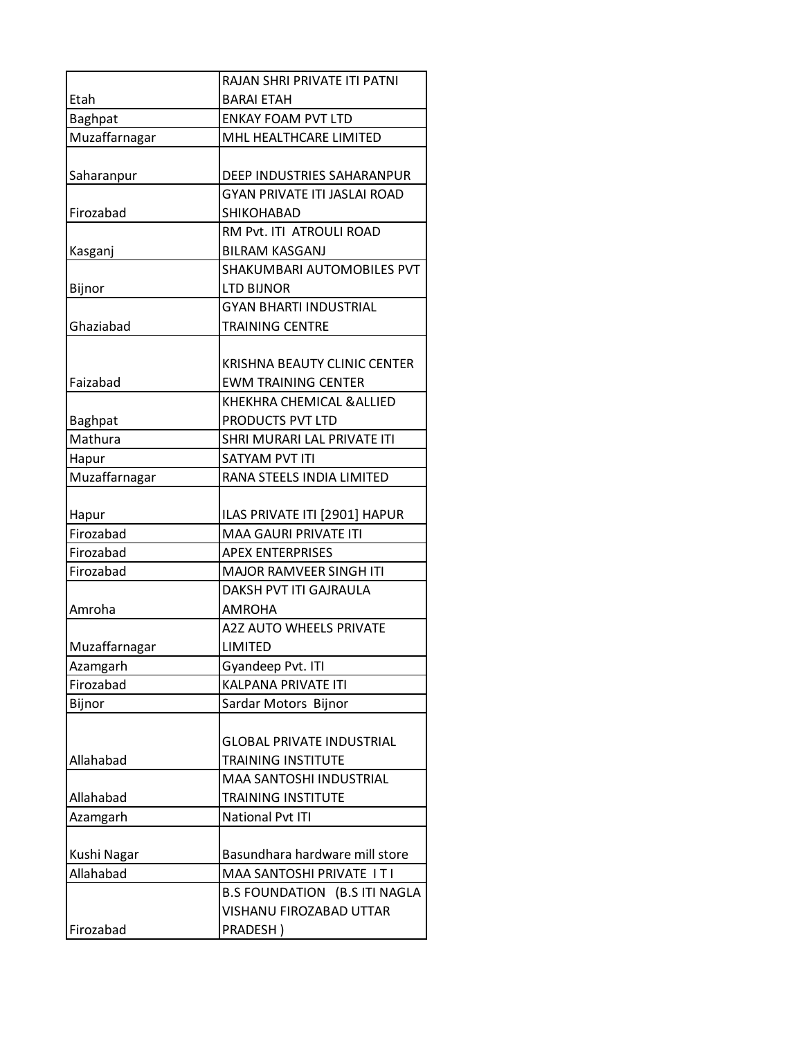|                | RAJAN SHRI PRIVATE ITI PATNI        |
|----------------|-------------------------------------|
| Etah           | <b>BARAI ETAH</b>                   |
| <b>Baghpat</b> | <b>ENKAY FOAM PVT LTD</b>           |
| Muzaffarnagar  | MHL HEALTHCARE LIMITED              |
|                |                                     |
| Saharanpur     | DEEP INDUSTRIES SAHARANPUR          |
|                | <b>GYAN PRIVATE ITI JASLAI ROAD</b> |
| Firozabad      | <b>SHIKOHABAD</b>                   |
|                | RM Pvt. ITI ATROULI ROAD            |
| Kasganj        | <b>BILRAM KASGANJ</b>               |
|                | SHAKUMBARI AUTOMOBILES PVT          |
| Bijnor         | <b>LTD BIJNOR</b>                   |
|                | <b>GYAN BHARTI INDUSTRIAL</b>       |
| Ghaziabad      | <b>TRAINING CENTRE</b>              |
|                |                                     |
|                | KRISHNA BEAUTY CLINIC CENTER        |
| Faizabad       | <b>EWM TRAINING CENTER</b>          |
|                | KHEKHRA CHEMICAL & ALLIED           |
| Baghpat        | PRODUCTS PVT LTD                    |
| Mathura        | SHRI MURARI LAL PRIVATE ITI         |
| Hapur          | SATYAM PVT ITI                      |
| Muzaffarnagar  | RANA STEELS INDIA LIMITED           |
|                |                                     |
| Hapur          | ILAS PRIVATE ITI [2901] HAPUR       |
| Firozabad      | <b>MAA GAURI PRIVATE ITI</b>        |
| Firozabad      | <b>APEX ENTERPRISES</b>             |
| Firozabad      | <b>MAJOR RAMVEER SINGH ITI</b>      |
|                | DAKSH PVT ITI GAJRAULA              |
| Amroha         | <b>AMROHA</b>                       |
|                | <b>A2Z AUTO WHEELS PRIVATE</b>      |
| Muzaffarnagar  | <b>LIMITED</b>                      |
| Azamgarh       | Gyandeep Pvt. ITI                   |
| Firozabad      | <b>KALPANA PRIVATE ITI</b>          |
| Bijnor         | Sardar Motors Bijnor                |
|                |                                     |
|                | <b>GLOBAL PRIVATE INDUSTRIAL</b>    |
| Allahabad      | TRAINING INSTITUTE                  |
|                | <b>MAA SANTOSHI INDUSTRIAL</b>      |
| Allahabad      | TRAINING INSTITUTE                  |
| Azamgarh       | National Pvt ITI                    |
|                |                                     |
| Kushi Nagar    | Basundhara hardware mill store      |
| Allahabad      | MAA SANTOSHI PRIVATE ITI            |
|                | B.S FOUNDATION (B.S ITI NAGLA       |
|                | VISHANU FIROZABAD UTTAR             |
| Firozabad      | PRADESH)                            |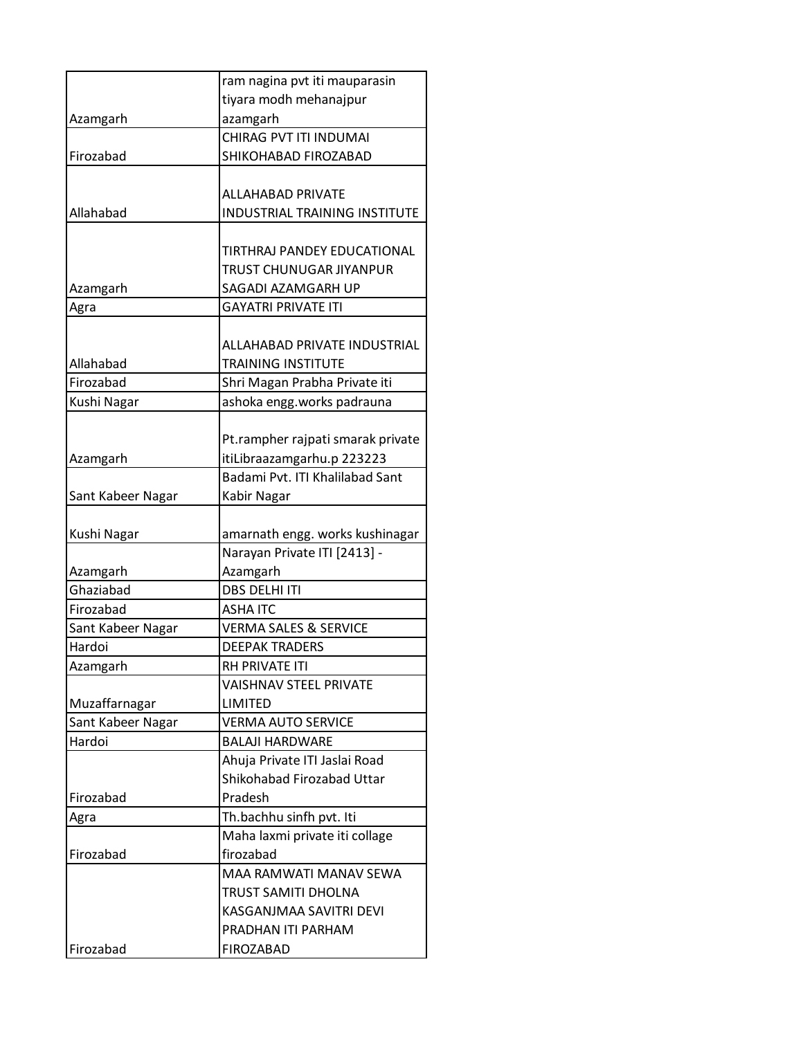|                   | ram nagina pvt iti mauparasin        |
|-------------------|--------------------------------------|
|                   | tiyara modh mehanajpur               |
| Azamgarh          | azamgarh                             |
|                   | CHIRAG PVT ITI INDUMAI               |
| Firozabad         | SHIKOHABAD FIROZABAD                 |
|                   |                                      |
|                   | <b>ALLAHABAD PRIVATE</b>             |
| Allahabad         | <b>INDUSTRIAL TRAINING INSTITUTE</b> |
|                   |                                      |
|                   | TIRTHRAJ PANDEY EDUCATIONAL          |
|                   | TRUST CHUNUGAR JIYANPUR              |
| Azamgarh          | SAGADI AZAMGARH UP                   |
| Agra              | <b>GAYATRI PRIVATE ITI</b>           |
|                   |                                      |
|                   | ALLAHABAD PRIVATE INDUSTRIAL         |
| Allahabad         | <b>TRAINING INSTITUTE</b>            |
| Firozabad         | Shri Magan Prabha Private iti        |
| Kushi Nagar       | ashoka engg.works padrauna           |
|                   |                                      |
|                   | Pt.rampher rajpati smarak private    |
| Azamgarh          | itiLibraazamgarhu.p 223223           |
|                   | Badami Pyt. ITI Khalilabad Sant      |
| Sant Kabeer Nagar | Kabir Nagar                          |
|                   |                                      |
| Kushi Nagar       | amarnath engg. works kushinagar      |
|                   | Narayan Private ITI [2413] -         |
| Azamgarh          | Azamgarh                             |
| Ghaziabad         | <b>DBS DELHI ITI</b>                 |
| Firozabad         | <b>ASHA ITC</b>                      |
| Sant Kabeer Nagar | <b>VERMA SALES &amp; SERVICE</b>     |
| Hardoi            | <b>DEEPAK TRADERS</b>                |
| Azamgarh          | RH PRIVATE ITI                       |
|                   | VAISHNAV STEEL PRIVATE               |
| Muzaffarnagar     | LIMITED                              |
| Sant Kabeer Nagar | <b>VERMA AUTO SERVICE</b>            |
| Hardoi            | <b>BALAJI HARDWARE</b>               |
|                   | Ahuja Private ITI Jaslai Road        |
|                   | Shikohabad Firozabad Uttar           |
| Firozabad         | Pradesh                              |
| Agra              | Th.bachhu sinfh pvt. Iti             |
|                   | Maha laxmi private iti collage       |
| Firozabad         | firozabad                            |
|                   | MAA RAMWATI MANAV SEWA               |
|                   | TRUST SAMITI DHOLNA                  |
|                   | KASGANJMAA SAVITRI DEVI              |
|                   | PRADHAN ITI PARHAM                   |
| Firozabad         | FIROZABAD                            |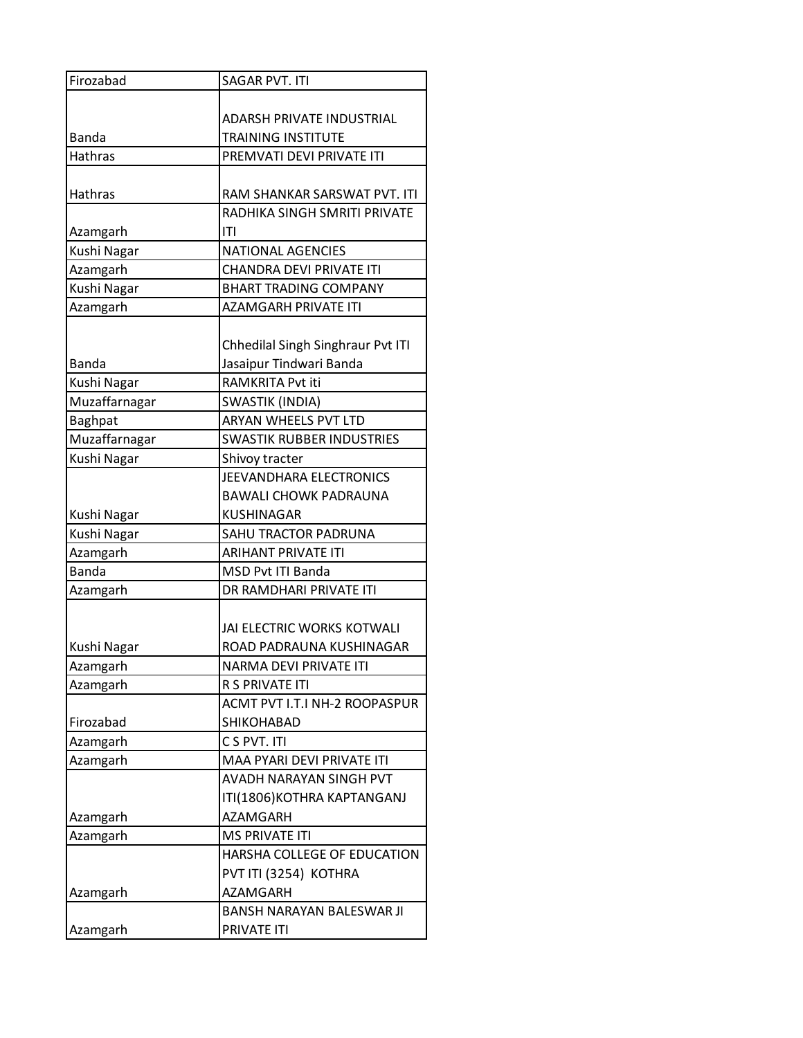| Firozabad      | <b>SAGAR PVT. ITI</b>             |
|----------------|-----------------------------------|
|                |                                   |
|                | ADARSH PRIVATE INDUSTRIAL         |
| <b>Banda</b>   | <b>TRAINING INSTITUTE</b>         |
| <b>Hathras</b> | PREMVATI DEVI PRIVATE ITI         |
|                |                                   |
| <b>Hathras</b> | RAM SHANKAR SARSWAT PVT. ITI      |
|                | RADHIKA SINGH SMRITI PRIVATE      |
| Azamgarh       | ITI                               |
| Kushi Nagar    | <b>NATIONAL AGENCIES</b>          |
| Azamgarh       | <b>CHANDRA DEVI PRIVATE ITI</b>   |
| Kushi Nagar    | <b>BHART TRADING COMPANY</b>      |
| Azamgarh       | AZAMGARH PRIVATE ITI              |
|                |                                   |
|                | Chhedilal Singh Singhraur Pvt ITI |
| Banda          | Jasaipur Tindwari Banda           |
| Kushi Nagar    | RAMKRITA Pvt iti                  |
| Muzaffarnagar  | SWASTIK (INDIA)                   |
| <b>Baghpat</b> | <b>ARYAN WHEELS PVT LTD</b>       |
| Muzaffarnagar  | <b>SWASTIK RUBBER INDUSTRIES</b>  |
| Kushi Nagar    | Shivoy tracter                    |
|                | JEEVANDHARA ELECTRONICS           |
|                | <b>BAWALI CHOWK PADRAUNA</b>      |
|                |                                   |
| Kushi Nagar    | <b>KUSHINAGAR</b>                 |
| Kushi Nagar    | SAHU TRACTOR PADRUNA              |
| Azamgarh       | ARIHANT PRIVATE ITI               |
| <b>Banda</b>   | <b>MSD Pvt ITI Banda</b>          |
| Azamgarh       | DR RAMDHARI PRIVATE ITI           |
|                |                                   |
|                | JAI ELECTRIC WORKS KOTWALI        |
| Kushi Nagar    | ROAD PADRAUNA KUSHINAGAR          |
| Azamgarh       | <b>NARMA DEVI PRIVATE ITI</b>     |
| Azamgarh       | R S PRIVATE ITI                   |
|                | ACMT PVT I.T.I NH-2 ROOPASPUR     |
| Firozabad      | SHIKOHABAD                        |
| Azamgarh       | C S PVT. ITI                      |
| Azamgarh       | MAA PYARI DEVI PRIVATE ITI        |
|                | AVADH NARAYAN SINGH PVT           |
|                | ITI(1806) KOTHRA KAPTANGANJ       |
| Azamgarh       | <b>AZAMGARH</b>                   |
| Azamgarh       | <b>MS PRIVATE ITI</b>             |
|                | HARSHA COLLEGE OF EDUCATION       |
|                | PVT ITI (3254) KOTHRA             |
| Azamgarh       | <b>AZAMGARH</b>                   |
|                | <b>BANSH NARAYAN BALESWAR JI</b>  |
| Azamgarh       | PRIVATE ITI                       |
|                |                                   |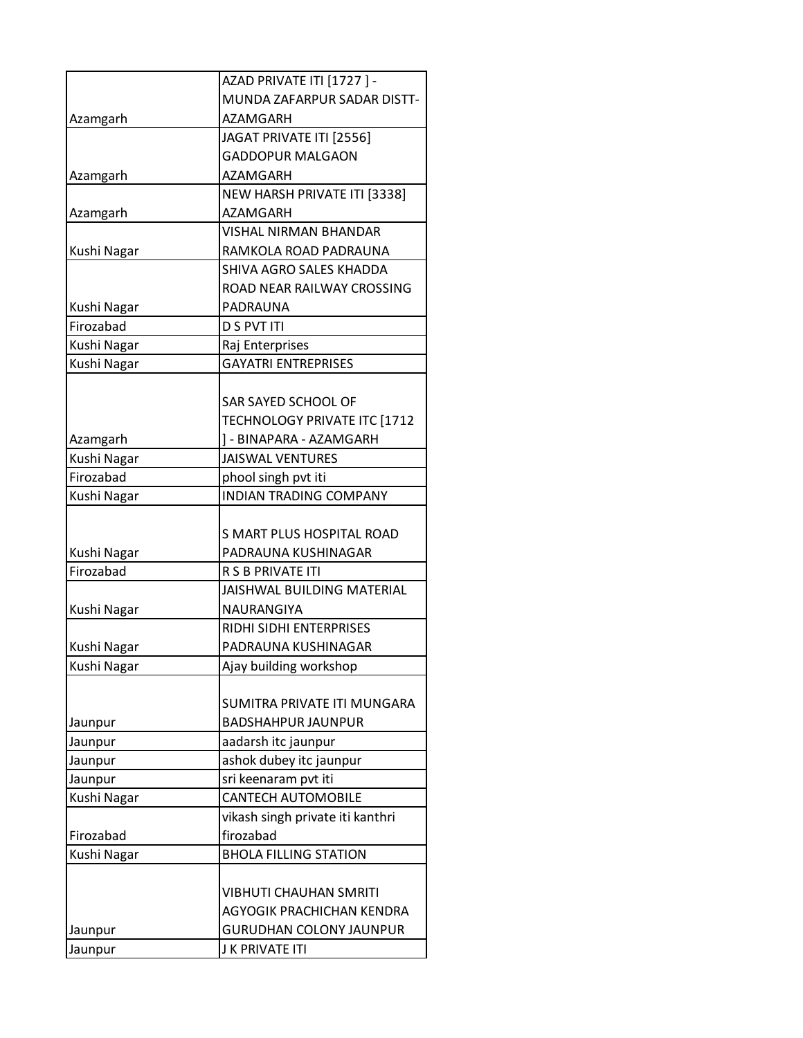|             | AZAD PRIVATE ITI [1727] -        |
|-------------|----------------------------------|
|             | MUNDA ZAFARPUR SADAR DISTT-      |
| Azamgarh    | <b>AZAMGARH</b>                  |
|             | JAGAT PRIVATE ITI [2556]         |
|             | <b>GADDOPUR MALGAON</b>          |
| Azamgarh    | AZAMGARH                         |
|             | NEW HARSH PRIVATE ITI [3338]     |
| Azamgarh    | AZAMGARH                         |
|             | <b>VISHAL NIRMAN BHANDAR</b>     |
| Kushi Nagar | RAMKOLA ROAD PADRAUNA            |
|             | SHIVA AGRO SALES KHADDA          |
|             | ROAD NEAR RAILWAY CROSSING       |
| Kushi Nagar | PADRAUNA                         |
| Firozabad   | <b>D S PVT ITI</b>               |
| Kushi Nagar | Raj Enterprises                  |
| Kushi Nagar | <b>GAYATRI ENTREPRISES</b>       |
|             |                                  |
|             | SAR SAYED SCHOOL OF              |
|             | TECHNOLOGY PRIVATE ITC [1712     |
| Azamgarh    | ] - BINAPARA - AZAMGARH          |
| Kushi Nagar | <b>JAISWAL VENTURES</b>          |
| Firozabad   | phool singh pvt iti              |
| Kushi Nagar | <b>INDIAN TRADING COMPANY</b>    |
|             |                                  |
|             | S MART PLUS HOSPITAL ROAD        |
| Kushi Nagar | PADRAUNA KUSHINAGAR              |
| Firozabad   | R S B PRIVATE ITI                |
|             | JAISHWAL BUILDING MATERIAL       |
| Kushi Nagar | NAURANGIYA                       |
|             | RIDHI SIDHI ENTERPRISES          |
| Kushi Nagar | PADRAUNA KUSHINAGAR              |
| Kushi Nagar | Ajay building workshop           |
|             |                                  |
|             | SUMITRA PRIVATE ITI MUNGARA      |
| Jaunpur     | <b>BADSHAHPUR JAUNPUR</b>        |
| Jaunpur     | aadarsh itc jaunpur              |
| Jaunpur     | ashok dubey itc jaunpur          |
| Jaunpur     | sri keenaram pvt iti             |
| Kushi Nagar | <b>CANTECH AUTOMOBILE</b>        |
|             | vikash singh private iti kanthri |
| Firozabad   | firozabad                        |
| Kushi Nagar | <b>BHOLA FILLING STATION</b>     |
|             |                                  |
|             | <b>VIBHUTI CHAUHAN SMRITI</b>    |
|             | AGYOGIK PRACHICHAN KENDRA        |
| Jaunpur     | <b>GURUDHAN COLONY JAUNPUR</b>   |
| Jaunpur     | J K PRIVATE ITI                  |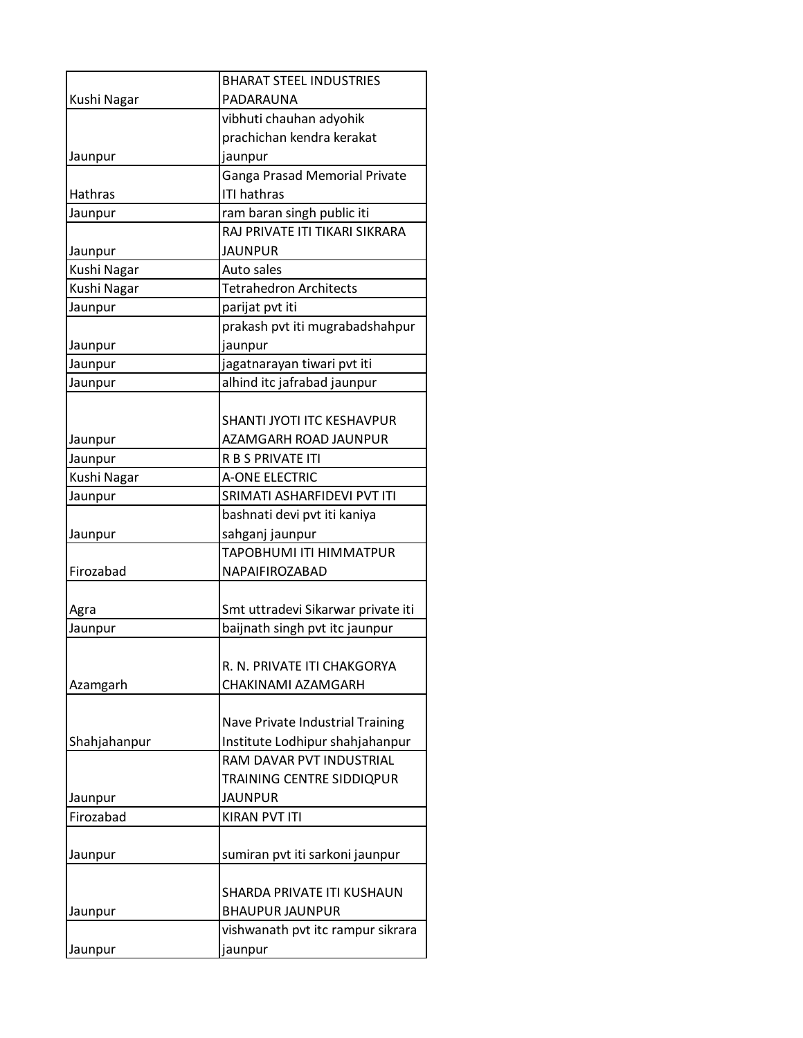|                        | <b>BHARAT STEEL INDUSTRIES</b>                      |
|------------------------|-----------------------------------------------------|
| Kushi Nagar            | PADARAUNA                                           |
|                        | vibhuti chauhan adyohik                             |
|                        | prachichan kendra kerakat                           |
| Jaunpur                | jaunpur                                             |
| Hathras                | Ganga Prasad Memorial Private<br><b>ITI hathras</b> |
|                        | ram baran singh public iti                          |
| Jaunpur                | RAJ PRIVATE ITI TIKARI SIKRARA                      |
|                        | <b>JAUNPUR</b>                                      |
| Jaunpur<br>Kushi Nagar | Auto sales                                          |
| Kushi Nagar            | <b>Tetrahedron Architects</b>                       |
|                        | parijat pvt iti                                     |
| Jaunpur                | prakash pvt iti mugrabadshahpur                     |
|                        |                                                     |
| Jaunpur                | jaunpur                                             |
| Jaunpur                | jagatnarayan tiwari pvt iti                         |
| Jaunpur                | alhind itc jafrabad jaunpur                         |
|                        |                                                     |
|                        | SHANTI JYOTI ITC KESHAVPUR                          |
| Jaunpur                | AZAMGARH ROAD JAUNPUR                               |
| Jaunpur                | R B S PRIVATE ITI                                   |
| Kushi Nagar            | <b>A-ONE ELECTRIC</b>                               |
| Jaunpur                | SRIMATI ASHARFIDEVI PVT ITI                         |
|                        | bashnati devi pvt iti kaniya                        |
| Jaunpur                | sahganj jaunpur                                     |
|                        | TAPOBHUMI ITI HIMMATPUR                             |
| Firozabad              | NAPAIFIROZABAD                                      |
|                        |                                                     |
| Agra                   | Smt uttradevi Sikarwar private iti                  |
| Jaunpur                | baijnath singh pvt itc jaunpur                      |
|                        |                                                     |
|                        | R. N. PRIVATE ITI CHAKGORYA                         |
| Azamgarh               | CHAKINAMI AZAMGARH                                  |
|                        |                                                     |
|                        | Nave Private Industrial Training                    |
| Shahjahanpur           | Institute Lodhipur shahjahanpur                     |
|                        | RAM DAVAR PVT INDUSTRIAL                            |
|                        | TRAINING CENTRE SIDDIQPUR                           |
| Jaunpur                | <b>JAUNPUR</b>                                      |
| Firozabad              | <b>KIRAN PVT ITI</b>                                |
|                        |                                                     |
| Jaunpur                | sumiran pvt iti sarkoni jaunpur                     |
|                        |                                                     |
|                        | SHARDA PRIVATE ITI KUSHAUN                          |
| Jaunpur                | <b>BHAUPUR JAUNPUR</b>                              |
|                        | vishwanath pvt itc rampur sikrara                   |
| Jaunpur                | jaunpur                                             |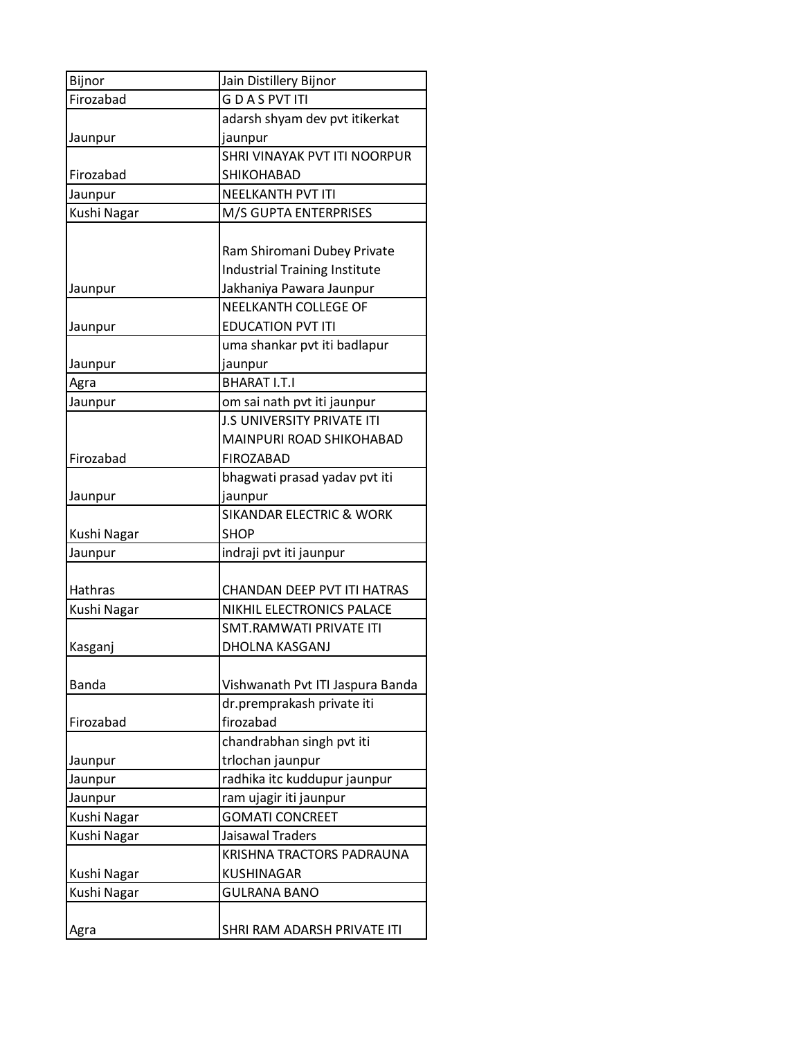| Bijnor       | Jain Distillery Bijnor               |
|--------------|--------------------------------------|
| Firozabad    | <b>GDASPVTITI</b>                    |
|              | adarsh shyam dev pvt itikerkat       |
| Jaunpur      | jaunpur                              |
|              | SHRI VINAYAK PVT ITI NOORPUR         |
| Firozabad    | SHIKOHABAD                           |
| Jaunpur      | <b>NEELKANTH PVT ITI</b>             |
| Kushi Nagar  | M/S GUPTA ENTERPRISES                |
|              |                                      |
|              | Ram Shiromani Dubey Private          |
|              | <b>Industrial Training Institute</b> |
| Jaunpur      | Jakhaniya Pawara Jaunpur             |
|              | <b>NEELKANTH COLLEGE OF</b>          |
| Jaunpur      | <b>EDUCATION PVT ITI</b>             |
|              | uma shankar pvt iti badlapur         |
| Jaunpur      | jaunpur                              |
| Agra         | <b>BHARAT I.T.I</b>                  |
| Jaunpur      | om sai nath pvt iti jaunpur          |
|              | <b>J.S UNIVERSITY PRIVATE ITI</b>    |
|              | MAINPURI ROAD SHIKOHABAD             |
| Firozabad    | <b>FIROZABAD</b>                     |
|              | bhagwati prasad yadav pvt iti        |
| Jaunpur      | jaunpur                              |
|              | <b>SIKANDAR ELECTRIC &amp; WORK</b>  |
| Kushi Nagar  | <b>SHOP</b>                          |
| Jaunpur      | indraji pvt iti jaunpur              |
|              |                                      |
| Hathras      | CHANDAN DEEP PVT ITI HATRAS          |
| Kushi Nagar  | NIKHIL ELECTRONICS PALACE            |
|              | <b>SMT.RAMWATI PRIVATE ITI</b>       |
| Kasganj      | DHOLNA KASGANJ                       |
|              |                                      |
| <b>Banda</b> | Vishwanath Pvt ITI Jaspura Banda     |
|              | dr.premprakash private iti           |
| Firozabad    | firozabad                            |
|              | chandrabhan singh pvt iti            |
| Jaunpur      | trlochan jaunpur                     |
| Jaunpur      | radhika itc kuddupur jaunpur         |
| Jaunpur      | ram ujagir iti jaunpur               |
| Kushi Nagar  | <b>GOMATI CONCREET</b>               |
| Kushi Nagar  | Jaisawal Traders                     |
|              | KRISHNA TRACTORS PADRAUNA            |
| Kushi Nagar  | KUSHINAGAR                           |
| Kushi Nagar  | <b>GULRANA BANO</b>                  |
|              |                                      |
| Agra         | SHRI RAM ADARSH PRIVATE ITI          |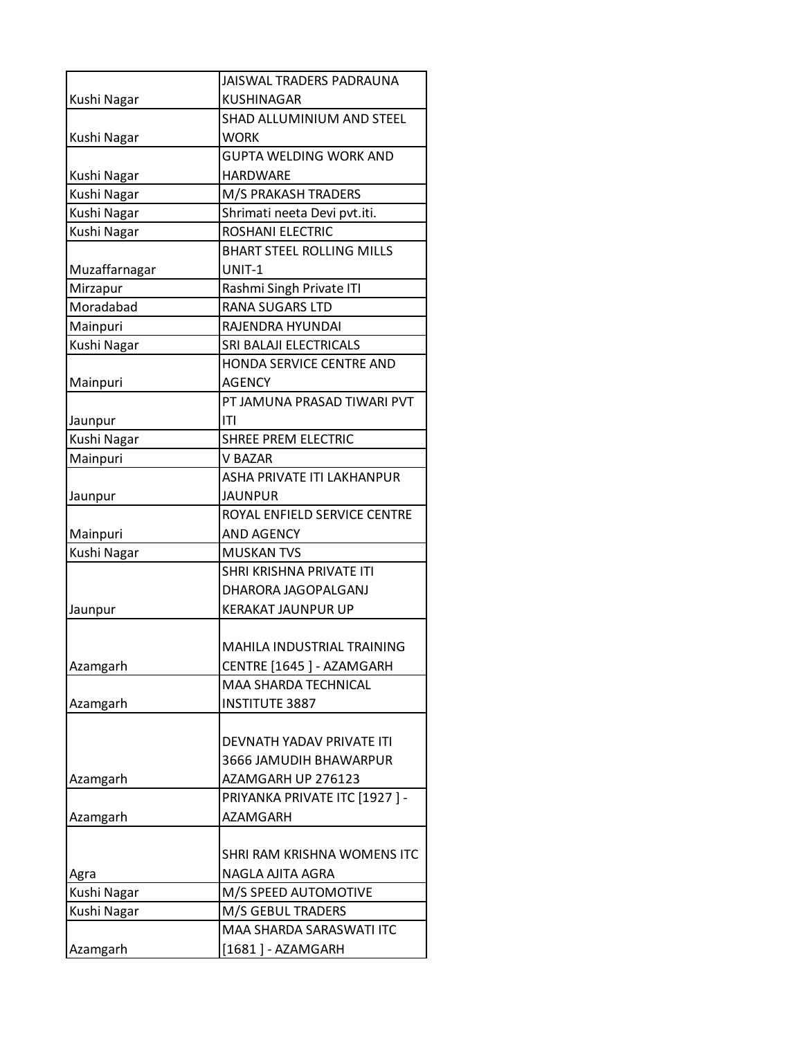|               | JAISWAL TRADERS PADRAUNA                      |
|---------------|-----------------------------------------------|
| Kushi Nagar   | KUSHINAGAR                                    |
|               | SHAD ALLUMINIUM AND STEEL                     |
| Kushi Nagar   | <b>WORK</b>                                   |
|               | GUPTA WELDING WORK AND                        |
| Kushi Nagar   | <b>HARDWARE</b>                               |
| Kushi Nagar   | M/S PRAKASH TRADERS                           |
| Kushi Nagar   | Shrimati neeta Devi pvt.iti.                  |
| Kushi Nagar   | <b>ROSHANI ELECTRIC</b>                       |
|               | <b>BHART STEEL ROLLING MILLS</b>              |
| Muzaffarnagar | UNIT-1                                        |
| Mirzapur      | Rashmi Singh Private ITI                      |
| Moradabad     | <b>RANA SUGARS LTD</b>                        |
| Mainpuri      | RAJENDRA HYUNDAI                              |
| Kushi Nagar   | <b>SRI BALAJI ELECTRICALS</b>                 |
|               | HONDA SERVICE CENTRE AND                      |
| Mainpuri      | <b>AGENCY</b>                                 |
|               | PT JAMUNA PRASAD TIWARI PVT                   |
| Jaunpur       | ITI                                           |
| Kushi Nagar   | <b>SHREE PREM ELECTRIC</b>                    |
| Mainpuri      | <b>V BAZAR</b>                                |
|               | ASHA PRIVATE ITI LAKHANPUR                    |
| Jaunpur       | JAUNPUR                                       |
|               | ROYAL ENFIELD SERVICE CENTRE                  |
| Mainpuri      | <b>AND AGENCY</b>                             |
| Kushi Nagar   | <b>MUSKAN TVS</b><br>SHRI KRISHNA PRIVATE ITI |
|               | DHARORA JAGOPALGANJ                           |
| Jaunpur       | <b>KERAKAT JAUNPUR UP</b>                     |
|               |                                               |
|               | <b>MAHILA INDUSTRIAL TRAINING</b>             |
| Azamgarh      | CENTRE [1645] - AZAMGARH                      |
|               | MAA SHARDA TECHNICAL                          |
| Azamgarh      | <b>INSTITUTE 3887</b>                         |
|               |                                               |
|               | DEVNATH YADAV PRIVATE ITI                     |
|               | 3666 JAMUDIH BHAWARPUR                        |
| Azamgarh      | AZAMGARH UP 276123                            |
|               | PRIYANKA PRIVATE ITC [1927] -                 |
| Azamgarh      | AZAMGARH                                      |
|               |                                               |
|               | SHRI RAM KRISHNA WOMENS ITC                   |
| Agra          | NAGLA AJITA AGRA                              |
| Kushi Nagar   | M/S SPEED AUTOMOTIVE                          |
| Kushi Nagar   | M/S GEBUL TRADERS                             |
|               | MAA SHARDA SARASWATI ITC                      |
| Azamgarh      | [1681] - AZAMGARH                             |
|               |                                               |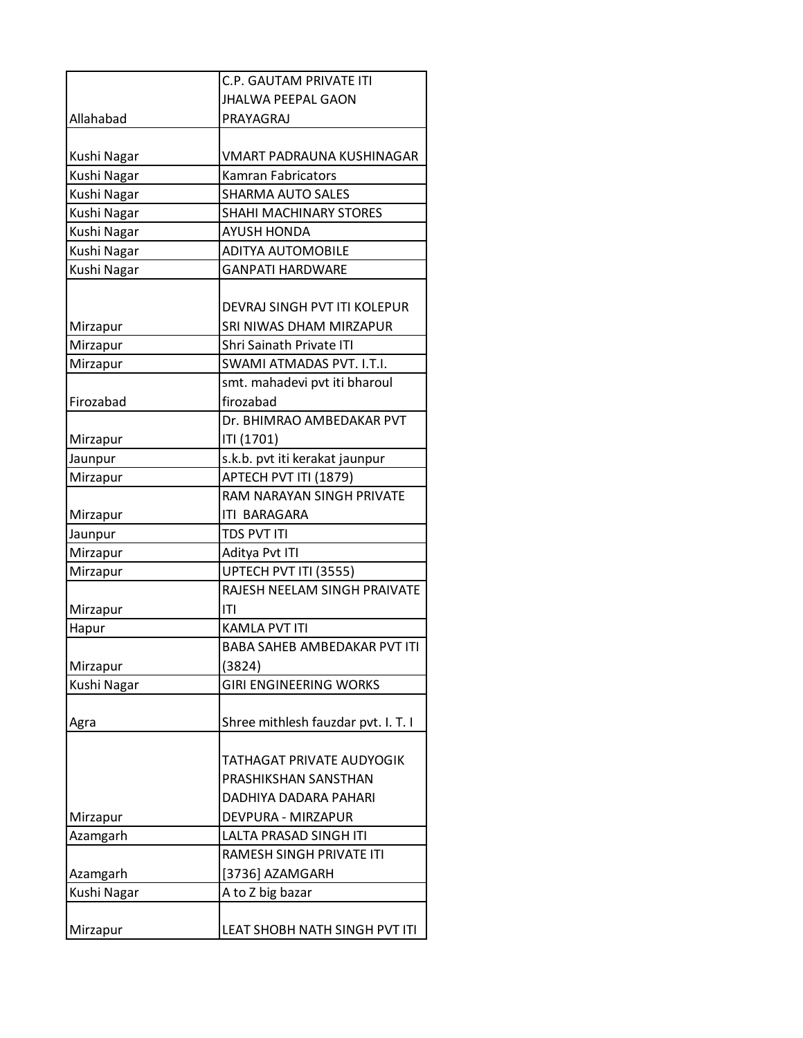| <b>JHALWA PEEPAL GAON</b><br>Allahabad<br>PRAYAGRAJ<br>Kushi Nagar<br>VMART PADRAUNA KUSHINAGAR<br>Kushi Nagar<br><b>Kamran Fabricators</b><br>Kushi Nagar<br><b>SHARMA AUTO SALES</b><br>Kushi Nagar<br>SHAHI MACHINARY STORES<br>Kushi Nagar<br><b>AYUSH HONDA</b><br>Kushi Nagar<br><b>ADITYA AUTOMOBILE</b><br>Kushi Nagar<br><b>GANPATI HARDWARE</b><br>DEVRAJ SINGH PVT ITI KOLEPUR<br>SRI NIWAS DHAM MIRZAPUR<br>Mirzapur<br>Mirzapur<br><b>Shri Sainath Private ITI</b><br>Mirzapur<br>SWAMI ATMADAS PVT. I.T.I.<br>smt. mahadevi pvt iti bharoul<br>firozabad<br>Firozabad<br>Dr. BHIMRAO AMBEDAKAR PVT<br>ITI (1701)<br>Mirzapur<br>s.k.b. pvt iti kerakat jaunpur<br>Jaunpur<br>Mirzapur<br>APTECH PVT ITI (1879)<br>RAM NARAYAN SINGH PRIVATE<br>ITI BARAGARA<br>Mirzapur<br><b>TDS PVT ITI</b><br>Jaunpur<br>Mirzapur<br>Aditya Pvt ITI<br>Mirzapur<br>UPTECH PVT ITI (3555)<br>RAJESH NEELAM SINGH PRAIVATE<br>ITI<br>Mirzapur<br>KAMLA PVT ITI<br>Hapur<br>BABA SAHEB AMBEDAKAR PVT ITI<br>(3824)<br>Mirzapur<br>Kushi Nagar<br><b>GIRI ENGINEERING WORKS</b><br>Shree mithlesh fauzdar pvt. I. T. I<br>Agra<br>TATHAGAT PRIVATE AUDYOGIK<br>PRASHIKSHAN SANSTHAN<br>DADHIYA DADARA PAHARI<br>DEVPURA - MIRZAPUR<br>Mirzapur<br>Azamgarh<br>LALTA PRASAD SINGH ITI<br>RAMESH SINGH PRIVATE ITI<br>Azamgarh<br>[3736] AZAMGARH<br>Kushi Nagar<br>A to Z big bazar |          | <b>C.P. GAUTAM PRIVATE ITI</b> |
|---------------------------------------------------------------------------------------------------------------------------------------------------------------------------------------------------------------------------------------------------------------------------------------------------------------------------------------------------------------------------------------------------------------------------------------------------------------------------------------------------------------------------------------------------------------------------------------------------------------------------------------------------------------------------------------------------------------------------------------------------------------------------------------------------------------------------------------------------------------------------------------------------------------------------------------------------------------------------------------------------------------------------------------------------------------------------------------------------------------------------------------------------------------------------------------------------------------------------------------------------------------------------------------------------------------------------------------------------------------------------------|----------|--------------------------------|
|                                                                                                                                                                                                                                                                                                                                                                                                                                                                                                                                                                                                                                                                                                                                                                                                                                                                                                                                                                                                                                                                                                                                                                                                                                                                                                                                                                                 |          |                                |
|                                                                                                                                                                                                                                                                                                                                                                                                                                                                                                                                                                                                                                                                                                                                                                                                                                                                                                                                                                                                                                                                                                                                                                                                                                                                                                                                                                                 |          |                                |
|                                                                                                                                                                                                                                                                                                                                                                                                                                                                                                                                                                                                                                                                                                                                                                                                                                                                                                                                                                                                                                                                                                                                                                                                                                                                                                                                                                                 |          |                                |
|                                                                                                                                                                                                                                                                                                                                                                                                                                                                                                                                                                                                                                                                                                                                                                                                                                                                                                                                                                                                                                                                                                                                                                                                                                                                                                                                                                                 |          |                                |
|                                                                                                                                                                                                                                                                                                                                                                                                                                                                                                                                                                                                                                                                                                                                                                                                                                                                                                                                                                                                                                                                                                                                                                                                                                                                                                                                                                                 |          |                                |
|                                                                                                                                                                                                                                                                                                                                                                                                                                                                                                                                                                                                                                                                                                                                                                                                                                                                                                                                                                                                                                                                                                                                                                                                                                                                                                                                                                                 |          |                                |
|                                                                                                                                                                                                                                                                                                                                                                                                                                                                                                                                                                                                                                                                                                                                                                                                                                                                                                                                                                                                                                                                                                                                                                                                                                                                                                                                                                                 |          |                                |
|                                                                                                                                                                                                                                                                                                                                                                                                                                                                                                                                                                                                                                                                                                                                                                                                                                                                                                                                                                                                                                                                                                                                                                                                                                                                                                                                                                                 |          |                                |
|                                                                                                                                                                                                                                                                                                                                                                                                                                                                                                                                                                                                                                                                                                                                                                                                                                                                                                                                                                                                                                                                                                                                                                                                                                                                                                                                                                                 |          |                                |
|                                                                                                                                                                                                                                                                                                                                                                                                                                                                                                                                                                                                                                                                                                                                                                                                                                                                                                                                                                                                                                                                                                                                                                                                                                                                                                                                                                                 |          |                                |
|                                                                                                                                                                                                                                                                                                                                                                                                                                                                                                                                                                                                                                                                                                                                                                                                                                                                                                                                                                                                                                                                                                                                                                                                                                                                                                                                                                                 |          |                                |
|                                                                                                                                                                                                                                                                                                                                                                                                                                                                                                                                                                                                                                                                                                                                                                                                                                                                                                                                                                                                                                                                                                                                                                                                                                                                                                                                                                                 |          |                                |
|                                                                                                                                                                                                                                                                                                                                                                                                                                                                                                                                                                                                                                                                                                                                                                                                                                                                                                                                                                                                                                                                                                                                                                                                                                                                                                                                                                                 |          |                                |
|                                                                                                                                                                                                                                                                                                                                                                                                                                                                                                                                                                                                                                                                                                                                                                                                                                                                                                                                                                                                                                                                                                                                                                                                                                                                                                                                                                                 |          |                                |
|                                                                                                                                                                                                                                                                                                                                                                                                                                                                                                                                                                                                                                                                                                                                                                                                                                                                                                                                                                                                                                                                                                                                                                                                                                                                                                                                                                                 |          |                                |
|                                                                                                                                                                                                                                                                                                                                                                                                                                                                                                                                                                                                                                                                                                                                                                                                                                                                                                                                                                                                                                                                                                                                                                                                                                                                                                                                                                                 |          |                                |
|                                                                                                                                                                                                                                                                                                                                                                                                                                                                                                                                                                                                                                                                                                                                                                                                                                                                                                                                                                                                                                                                                                                                                                                                                                                                                                                                                                                 |          |                                |
|                                                                                                                                                                                                                                                                                                                                                                                                                                                                                                                                                                                                                                                                                                                                                                                                                                                                                                                                                                                                                                                                                                                                                                                                                                                                                                                                                                                 |          |                                |
|                                                                                                                                                                                                                                                                                                                                                                                                                                                                                                                                                                                                                                                                                                                                                                                                                                                                                                                                                                                                                                                                                                                                                                                                                                                                                                                                                                                 |          |                                |
|                                                                                                                                                                                                                                                                                                                                                                                                                                                                                                                                                                                                                                                                                                                                                                                                                                                                                                                                                                                                                                                                                                                                                                                                                                                                                                                                                                                 |          |                                |
|                                                                                                                                                                                                                                                                                                                                                                                                                                                                                                                                                                                                                                                                                                                                                                                                                                                                                                                                                                                                                                                                                                                                                                                                                                                                                                                                                                                 |          |                                |
|                                                                                                                                                                                                                                                                                                                                                                                                                                                                                                                                                                                                                                                                                                                                                                                                                                                                                                                                                                                                                                                                                                                                                                                                                                                                                                                                                                                 |          |                                |
|                                                                                                                                                                                                                                                                                                                                                                                                                                                                                                                                                                                                                                                                                                                                                                                                                                                                                                                                                                                                                                                                                                                                                                                                                                                                                                                                                                                 |          |                                |
|                                                                                                                                                                                                                                                                                                                                                                                                                                                                                                                                                                                                                                                                                                                                                                                                                                                                                                                                                                                                                                                                                                                                                                                                                                                                                                                                                                                 |          |                                |
|                                                                                                                                                                                                                                                                                                                                                                                                                                                                                                                                                                                                                                                                                                                                                                                                                                                                                                                                                                                                                                                                                                                                                                                                                                                                                                                                                                                 |          |                                |
|                                                                                                                                                                                                                                                                                                                                                                                                                                                                                                                                                                                                                                                                                                                                                                                                                                                                                                                                                                                                                                                                                                                                                                                                                                                                                                                                                                                 |          |                                |
|                                                                                                                                                                                                                                                                                                                                                                                                                                                                                                                                                                                                                                                                                                                                                                                                                                                                                                                                                                                                                                                                                                                                                                                                                                                                                                                                                                                 |          |                                |
|                                                                                                                                                                                                                                                                                                                                                                                                                                                                                                                                                                                                                                                                                                                                                                                                                                                                                                                                                                                                                                                                                                                                                                                                                                                                                                                                                                                 |          |                                |
|                                                                                                                                                                                                                                                                                                                                                                                                                                                                                                                                                                                                                                                                                                                                                                                                                                                                                                                                                                                                                                                                                                                                                                                                                                                                                                                                                                                 |          |                                |
|                                                                                                                                                                                                                                                                                                                                                                                                                                                                                                                                                                                                                                                                                                                                                                                                                                                                                                                                                                                                                                                                                                                                                                                                                                                                                                                                                                                 |          |                                |
|                                                                                                                                                                                                                                                                                                                                                                                                                                                                                                                                                                                                                                                                                                                                                                                                                                                                                                                                                                                                                                                                                                                                                                                                                                                                                                                                                                                 |          |                                |
|                                                                                                                                                                                                                                                                                                                                                                                                                                                                                                                                                                                                                                                                                                                                                                                                                                                                                                                                                                                                                                                                                                                                                                                                                                                                                                                                                                                 |          |                                |
|                                                                                                                                                                                                                                                                                                                                                                                                                                                                                                                                                                                                                                                                                                                                                                                                                                                                                                                                                                                                                                                                                                                                                                                                                                                                                                                                                                                 |          |                                |
|                                                                                                                                                                                                                                                                                                                                                                                                                                                                                                                                                                                                                                                                                                                                                                                                                                                                                                                                                                                                                                                                                                                                                                                                                                                                                                                                                                                 |          |                                |
|                                                                                                                                                                                                                                                                                                                                                                                                                                                                                                                                                                                                                                                                                                                                                                                                                                                                                                                                                                                                                                                                                                                                                                                                                                                                                                                                                                                 |          |                                |
|                                                                                                                                                                                                                                                                                                                                                                                                                                                                                                                                                                                                                                                                                                                                                                                                                                                                                                                                                                                                                                                                                                                                                                                                                                                                                                                                                                                 |          |                                |
|                                                                                                                                                                                                                                                                                                                                                                                                                                                                                                                                                                                                                                                                                                                                                                                                                                                                                                                                                                                                                                                                                                                                                                                                                                                                                                                                                                                 |          |                                |
|                                                                                                                                                                                                                                                                                                                                                                                                                                                                                                                                                                                                                                                                                                                                                                                                                                                                                                                                                                                                                                                                                                                                                                                                                                                                                                                                                                                 |          |                                |
|                                                                                                                                                                                                                                                                                                                                                                                                                                                                                                                                                                                                                                                                                                                                                                                                                                                                                                                                                                                                                                                                                                                                                                                                                                                                                                                                                                                 |          |                                |
|                                                                                                                                                                                                                                                                                                                                                                                                                                                                                                                                                                                                                                                                                                                                                                                                                                                                                                                                                                                                                                                                                                                                                                                                                                                                                                                                                                                 |          |                                |
|                                                                                                                                                                                                                                                                                                                                                                                                                                                                                                                                                                                                                                                                                                                                                                                                                                                                                                                                                                                                                                                                                                                                                                                                                                                                                                                                                                                 |          |                                |
|                                                                                                                                                                                                                                                                                                                                                                                                                                                                                                                                                                                                                                                                                                                                                                                                                                                                                                                                                                                                                                                                                                                                                                                                                                                                                                                                                                                 |          |                                |
|                                                                                                                                                                                                                                                                                                                                                                                                                                                                                                                                                                                                                                                                                                                                                                                                                                                                                                                                                                                                                                                                                                                                                                                                                                                                                                                                                                                 |          |                                |
|                                                                                                                                                                                                                                                                                                                                                                                                                                                                                                                                                                                                                                                                                                                                                                                                                                                                                                                                                                                                                                                                                                                                                                                                                                                                                                                                                                                 |          |                                |
|                                                                                                                                                                                                                                                                                                                                                                                                                                                                                                                                                                                                                                                                                                                                                                                                                                                                                                                                                                                                                                                                                                                                                                                                                                                                                                                                                                                 | Mirzapur | LEAT SHOBH NATH SINGH PVT ITI  |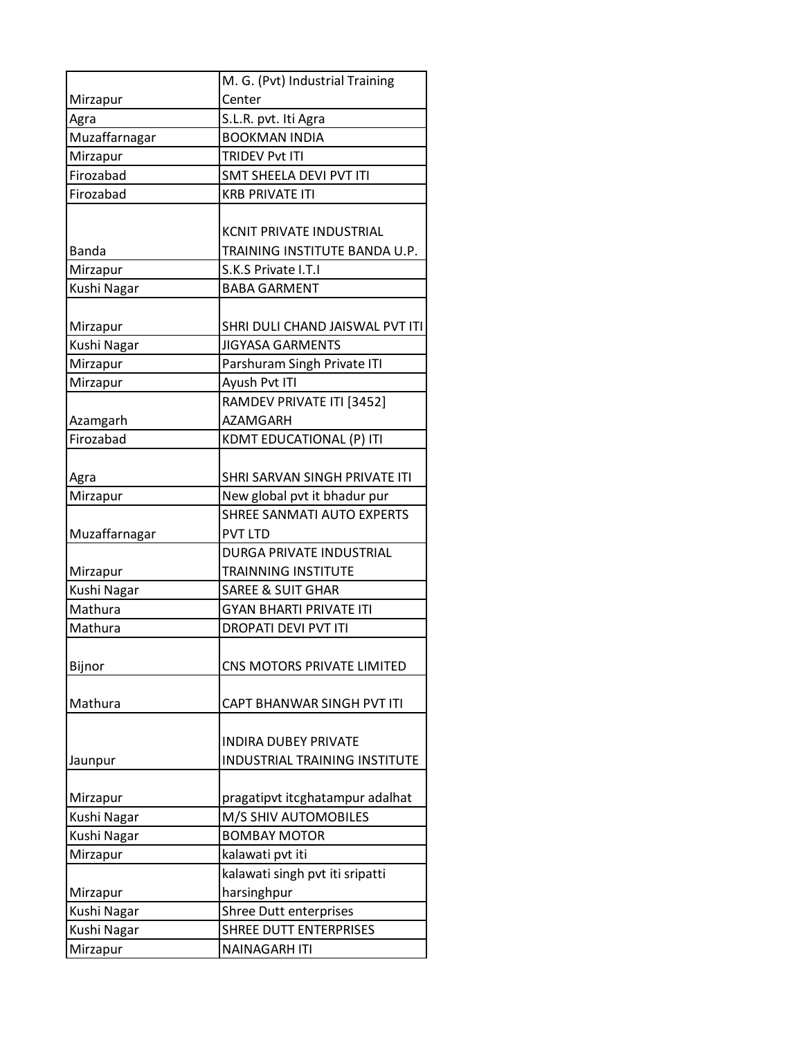|               | M. G. (Pvt) Industrial Training |
|---------------|---------------------------------|
| Mirzapur      | Center                          |
| Agra          | S.L.R. pvt. Iti Agra            |
| Muzaffarnagar | <b>BOOKMAN INDIA</b>            |
| Mirzapur      | <b>TRIDEV Pvt ITI</b>           |
| Firozabad     | <b>SMT SHEELA DEVI PVT ITI</b>  |
| Firozabad     | <b>KRB PRIVATE ITI</b>          |
|               |                                 |
|               | <b>KCNIT PRIVATE INDUSTRIAL</b> |
| <b>Banda</b>  | TRAINING INSTITUTE BANDA U.P.   |
| Mirzapur      | S.K.S Private I.T.I             |
| Kushi Nagar   | <b>BABA GARMENT</b>             |
|               |                                 |
| Mirzapur      | SHRI DULI CHAND JAISWAL PVT ITI |
| Kushi Nagar   | <b>JIGYASA GARMENTS</b>         |
| Mirzapur      | Parshuram Singh Private ITI     |
| Mirzapur      | Ayush Pvt ITI                   |
|               | RAMDEV PRIVATE ITI [3452]       |
| Azamgarh      | <b>AZAMGARH</b>                 |
| Firozabad     | KDMT EDUCATIONAL (P) ITI        |
|               |                                 |
| Agra          | SHRI SARVAN SINGH PRIVATE ITI   |
| Mirzapur      | New global pvt it bhadur pur    |
|               | SHREE SANMATI AUTO EXPERTS      |
| Muzaffarnagar | <b>PVT LTD</b>                  |
|               | <b>DURGA PRIVATE INDUSTRIAL</b> |
| Mirzapur      | <b>TRAINNING INSTITUTE</b>      |
| Kushi Nagar   | <b>SAREE &amp; SUIT GHAR</b>    |
| Mathura       | <b>GYAN BHARTI PRIVATE ITI</b>  |
| Mathura       | <b>DROPATI DEVI PVT ITI</b>     |
|               |                                 |
| Bijnor        | CNS MOTORS PRIVATE LIMITED      |
|               |                                 |
| Mathura       | CAPT BHANWAR SINGH PVT ITI      |
|               |                                 |
|               | <b>INDIRA DUBEY PRIVATE</b>     |
| Jaunpur       | INDUSTRIAL TRAINING INSTITUTE   |
|               |                                 |
| Mirzapur      | pragatipvt itcghatampur adalhat |
| Kushi Nagar   | M/S SHIV AUTOMOBILES            |
| Kushi Nagar   | <b>BOMBAY MOTOR</b>             |
| Mirzapur      | kalawati pvt iti                |
|               | kalawati singh pvt iti sripatti |
| Mirzapur      | harsinghpur                     |
| Kushi Nagar   | Shree Dutt enterprises          |
| Kushi Nagar   | <b>SHREE DUTT ENTERPRISES</b>   |
| Mirzapur      | <b>NAINAGARH ITI</b>            |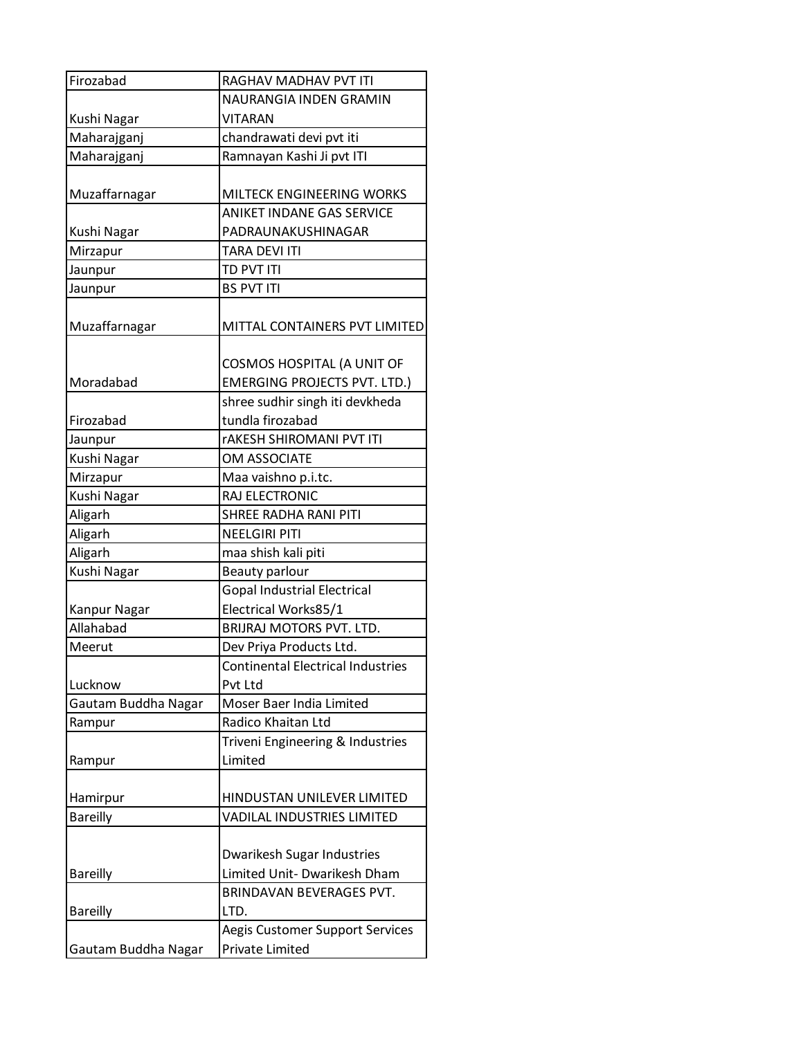| Firozabad           | <b>RAGHAV MADHAV PVT ITI</b>             |
|---------------------|------------------------------------------|
|                     | NAURANGIA INDEN GRAMIN                   |
| Kushi Nagar         | VITARAN                                  |
| Maharajganj         | chandrawati devi pvt iti                 |
| Maharajganj         | Ramnayan Kashi Ji pvt ITI                |
|                     |                                          |
| Muzaffarnagar       | MILTECK ENGINEERING WORKS                |
|                     | ANIKET INDANE GAS SERVICE                |
| Kushi Nagar         | PADRAUNAKUSHINAGAR                       |
| Mirzapur            | <b>TARA DEVI ITI</b>                     |
| Jaunpur             | TD PVT ITI                               |
| Jaunpur             | <b>BS PVT ITI</b>                        |
| Muzaffarnagar       | MITTAL CONTAINERS PVT LIMITED            |
|                     | COSMOS HOSPITAL (A UNIT OF               |
| Moradabad           | <b>EMERGING PROJECTS PVT. LTD.)</b>      |
|                     | shree sudhir singh iti devkheda          |
| Firozabad           | tundla firozabad                         |
| Jaunpur             | <b>rAKESH SHIROMANI PVT ITI</b>          |
| Kushi Nagar         | OM ASSOCIATE                             |
| Mirzapur            | Maa vaishno p.i.tc.                      |
| Kushi Nagar         | RAJ ELECTRONIC                           |
| Aligarh             | SHREE RADHA RANI PITI                    |
| Aligarh             | <b>NEELGIRI PITI</b>                     |
| Aligarh             | maa shish kali piti                      |
| Kushi Nagar         | Beauty parlour                           |
|                     | <b>Gopal Industrial Electrical</b>       |
| Kanpur Nagar        | Electrical Works85/1                     |
| Allahabad           | BRIJRAJ MOTORS PVT. LTD.                 |
| Meerut              | Dev Priya Products Ltd.                  |
|                     | <b>Continental Electrical Industries</b> |
| Lucknow             | Pvt Ltd                                  |
| Gautam Buddha Nagar | Moser Baer India Limited                 |
| Rampur              | Radico Khaitan Ltd                       |
|                     | Triveni Engineering & Industries         |
| Rampur              | Limited                                  |
|                     |                                          |
| Hamirpur            | HINDUSTAN UNILEVER LIMITED               |
| <b>Bareilly</b>     | <b>VADILAL INDUSTRIES LIMITED</b>        |
|                     |                                          |
|                     | Dwarikesh Sugar Industries               |
| <b>Bareilly</b>     | Limited Unit- Dwarikesh Dham             |
|                     | BRINDAVAN BEVERAGES PVT.                 |
| <b>Bareilly</b>     | LTD.                                     |
|                     | Aegis Customer Support Services          |
| Gautam Buddha Nagar | Private Limited                          |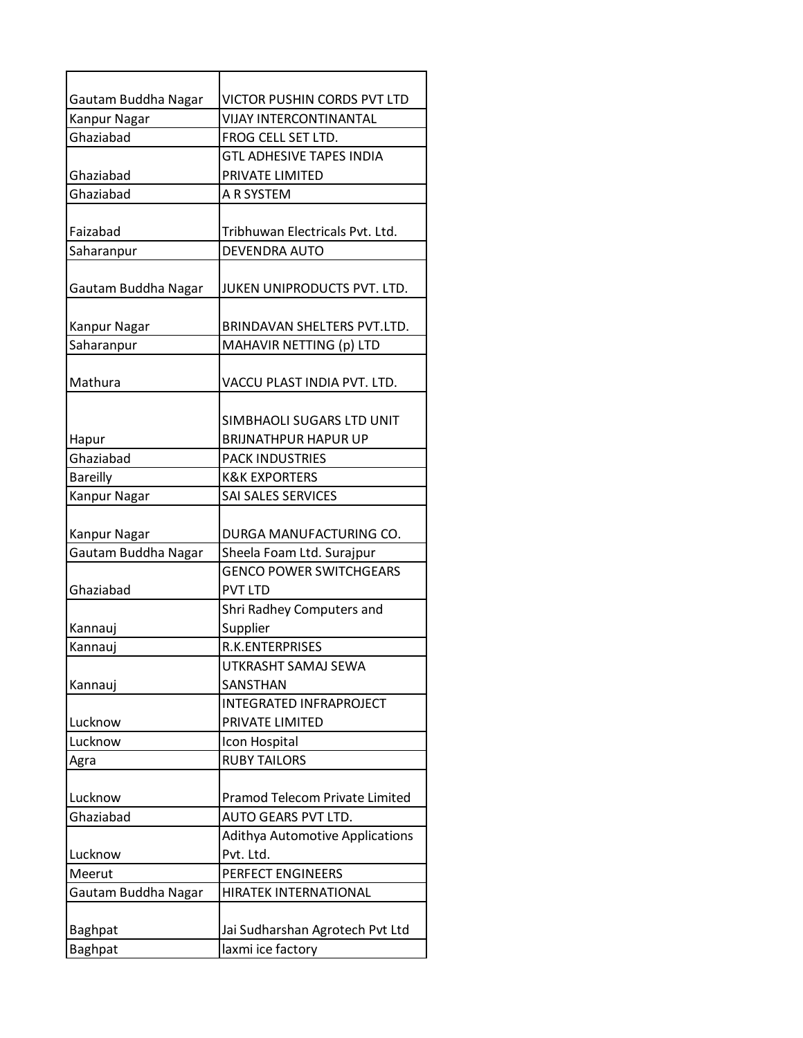| Gautam Buddha Nagar | VICTOR PUSHIN CORDS PVT LTD           |
|---------------------|---------------------------------------|
| Kanpur Nagar        | <b>VIJAY INTERCONTINANTAL</b>         |
| Ghaziabad           | FROG CELL SET LTD.                    |
|                     | <b>GTL ADHESIVE TAPES INDIA</b>       |
| Ghaziabad           | PRIVATE LIMITED                       |
| Ghaziabad           | A R SYSTEM                            |
|                     |                                       |
| Faizabad            | Tribhuwan Electricals Pvt. Ltd.       |
| Saharanpur          | DEVENDRA AUTO                         |
| Gautam Buddha Nagar | JUKEN UNIPRODUCTS PVT. LTD.           |
| Kanpur Nagar        | BRINDAVAN SHELTERS PVT.LTD.           |
| Saharanpur          | MAHAVIR NETTING (p) LTD               |
| Mathura             | VACCU PLAST INDIA PVT. LTD.           |
|                     | SIMBHAOLI SUGARS LTD UNIT             |
| Hapur               | <b>BRIJNATHPUR HAPUR UP</b>           |
| Ghaziabad           | <b>PACK INDUSTRIES</b>                |
| <b>Bareilly</b>     | <b>K&amp;K EXPORTERS</b>              |
| Kanpur Nagar        | SAI SALES SERVICES                    |
|                     |                                       |
| Kanpur Nagar        | DURGA MANUFACTURING CO.               |
| Gautam Buddha Nagar | Sheela Foam Ltd. Surajpur             |
|                     | <b>GENCO POWER SWITCHGEARS</b>        |
| Ghaziabad           | <b>PVT LTD</b>                        |
|                     | Shri Radhey Computers and             |
| Kannauj             | Supplier                              |
| Kannauj             | <b>R.K.ENTERPRISES</b>                |
|                     | UTKRASHT SAMAJ SEWA                   |
| Kannauj             | SANSTHAN                              |
|                     | <b>INTEGRATED INFRAPROJECT</b>        |
| Lucknow             | PRIVATE LIMITED                       |
| Lucknow             | Icon Hospital                         |
| Agra                | <b>RUBY TAILORS</b>                   |
|                     |                                       |
| Lucknow             | <b>Pramod Telecom Private Limited</b> |
| Ghaziabad           | AUTO GEARS PVT LTD.                   |
|                     | Adithya Automotive Applications       |
| Lucknow             | Pvt. Ltd.                             |
| Meerut              | PERFECT ENGINEERS                     |
| Gautam Buddha Nagar | HIRATEK INTERNATIONAL                 |
|                     |                                       |
| <b>Baghpat</b>      | Jai Sudharshan Agrotech Pvt Ltd       |
| <b>Baghpat</b>      | laxmi ice factory                     |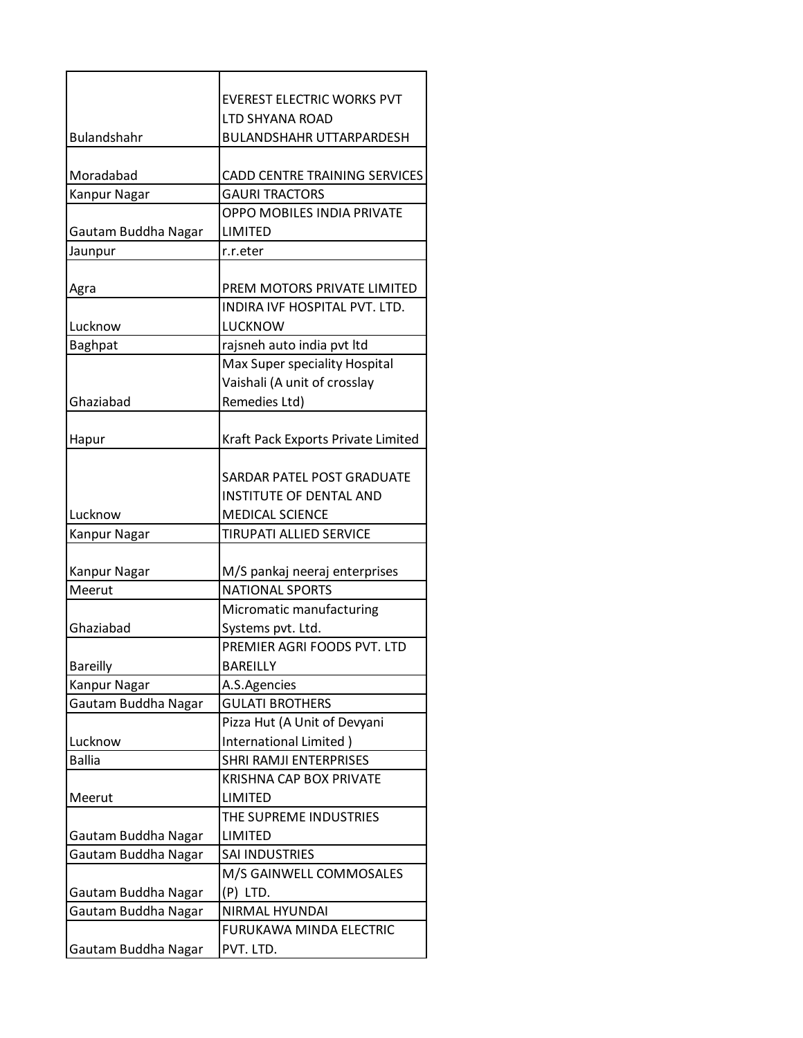|                     | <b>EVEREST ELECTRIC WORKS PVT</b>  |
|---------------------|------------------------------------|
| <b>Bulandshahr</b>  | LTD SHYANA ROAD                    |
|                     | <b>BULANDSHAHR UTTARPARDESH</b>    |
| Moradabad           | CADD CENTRE TRAINING SERVICES      |
| Kanpur Nagar        | <b>GAURI TRACTORS</b>              |
|                     | OPPO MOBILES INDIA PRIVATE         |
| Gautam Buddha Nagar | LIMITED                            |
| Jaunpur             | r.r.eter                           |
|                     |                                    |
| Agra                | PREM MOTORS PRIVATE LIMITED        |
|                     | INDIRA IVF HOSPITAL PVT. LTD.      |
| Lucknow             | LUCKNOW                            |
| <b>Baghpat</b>      | rajsneh auto india pvt ltd         |
|                     | Max Super speciality Hospital      |
|                     | Vaishali (A unit of crosslay       |
| Ghaziabad           | Remedies Ltd)                      |
|                     |                                    |
| Hapur               | Kraft Pack Exports Private Limited |
|                     |                                    |
|                     | SARDAR PATEL POST GRADUATE         |
|                     | <b>INSTITUTE OF DENTAL AND</b>     |
| Lucknow             | <b>MEDICAL SCIENCE</b>             |
| Kanpur Nagar        | <b>TIRUPATI ALLIED SERVICE</b>     |
|                     |                                    |
| Kanpur Nagar        | M/S pankaj neeraj enterprises      |
| Meerut              | <b>NATIONAL SPORTS</b>             |
|                     | Micromatic manufacturing           |
| Ghaziabad           | Systems pvt. Ltd.                  |
|                     | PREMIER AGRI FOODS PVT. LTD        |
| <b>Bareilly</b>     | <b>BAREILLY</b>                    |
| Kanpur Nagar        | A.S.Agencies                       |
| Gautam Buddha Nagar | <b>GULATI BROTHERS</b>             |
|                     | Pizza Hut (A Unit of Devyani       |
| Lucknow             | International Limited)             |
| <b>Ballia</b>       | SHRI RAMJI ENTERPRISES             |
|                     | <b>KRISHNA CAP BOX PRIVATE</b>     |
| Meerut              | LIMITED                            |
|                     | THE SUPREME INDUSTRIES             |
| Gautam Buddha Nagar | <b>LIMITED</b>                     |
| Gautam Buddha Nagar | SAI INDUSTRIES                     |
|                     | M/S GAINWELL COMMOSALES            |
| Gautam Buddha Nagar | (P) LTD.                           |
| Gautam Buddha Nagar | NIRMAL HYUNDAI                     |
|                     | FURUKAWA MINDA ELECTRIC            |
| Gautam Buddha Nagar | PVT. LTD.                          |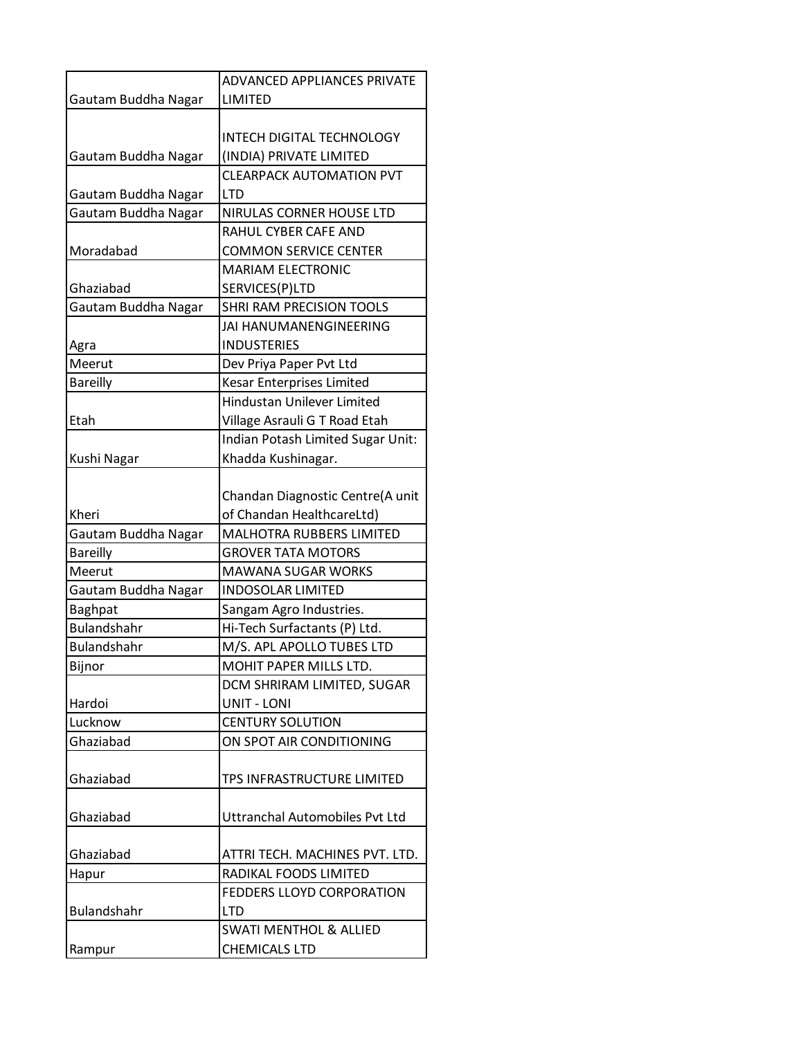|                     | ADVANCED APPLIANCES PRIVATE           |
|---------------------|---------------------------------------|
| Gautam Buddha Nagar | LIMITED                               |
|                     |                                       |
|                     | <b>INTECH DIGITAL TECHNOLOGY</b>      |
| Gautam Buddha Nagar | (INDIA) PRIVATE LIMITED               |
|                     | <b>CLEARPACK AUTOMATION PVT</b>       |
| Gautam Buddha Nagar | <b>LTD</b>                            |
| Gautam Buddha Nagar | NIRULAS CORNER HOUSE LTD              |
|                     | RAHUL CYBER CAFE AND                  |
| Moradabad           | <b>COMMON SERVICE CENTER</b>          |
|                     | <b>MARIAM ELECTRONIC</b>              |
| Ghaziabad           | SERVICES(P)LTD                        |
| Gautam Buddha Nagar | SHRI RAM PRECISION TOOLS              |
|                     | JAI HANUMANENGINEERING                |
| Agra                | <b>INDUSTERIES</b>                    |
| Meerut              | Dev Priya Paper Pvt Ltd               |
| <b>Bareilly</b>     | Kesar Enterprises Limited             |
|                     | Hindustan Unilever Limited            |
| Etah                | Village Asrauli G T Road Etah         |
|                     | Indian Potash Limited Sugar Unit:     |
| Kushi Nagar         | Khadda Kushinagar.                    |
|                     |                                       |
|                     | Chandan Diagnostic Centre(A unit      |
| Kheri               | of Chandan HealthcareLtd)             |
| Gautam Buddha Nagar | MALHOTRA RUBBERS LIMITED              |
| <b>Bareilly</b>     | <b>GROVER TATA MOTORS</b>             |
| Meerut              | <b>MAWANA SUGAR WORKS</b>             |
| Gautam Buddha Nagar | <b>INDOSOLAR LIMITED</b>              |
| Baghpat             | Sangam Agro Industries.               |
| <b>Bulandshahr</b>  | Hi-Tech Surfactants (P) Ltd.          |
| Bulandshahr         | M/S. APL APOLLO TUBES LTD             |
| Bijnor              | MOHIT PAPER MILLS LTD.                |
|                     | DCM SHRIRAM LIMITED, SUGAR            |
| Hardoi              | <b>UNIT - LONI</b>                    |
| Lucknow             | <b>CENTURY SOLUTION</b>               |
| Ghaziabad           | ON SPOT AIR CONDITIONING              |
|                     |                                       |
| Ghaziabad           | TPS INFRASTRUCTURE LIMITED            |
|                     |                                       |
| Ghaziabad           | <b>Uttranchal Automobiles Pvt Ltd</b> |
|                     |                                       |
| Ghaziabad           | ATTRI TECH. MACHINES PVT. LTD.        |
| Hapur               | RADIKAL FOODS LIMITED                 |
|                     | FEDDERS LLOYD CORPORATION             |
| <b>Bulandshahr</b>  | <b>LTD</b>                            |
|                     | <b>SWATI MENTHOL &amp; ALLIED</b>     |
| Rampur              | CHEMICALS LTD                         |
|                     |                                       |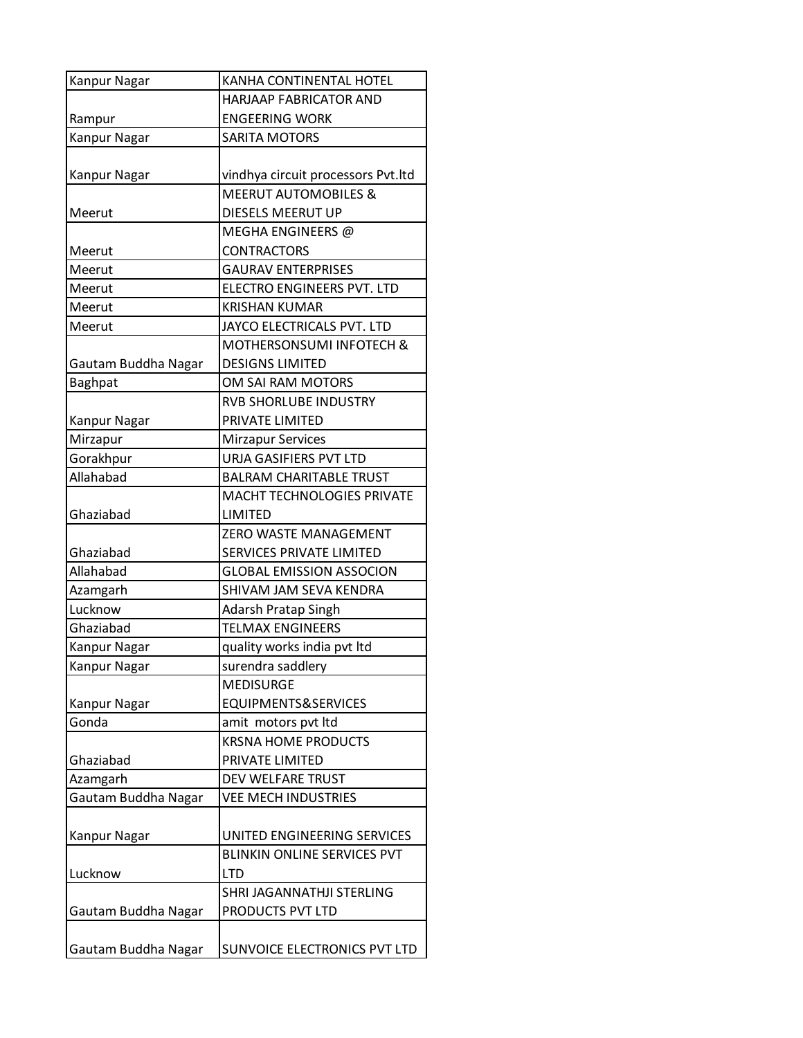| Kanpur Nagar        | KANHA CONTINENTAL HOTEL            |
|---------------------|------------------------------------|
|                     | <b>HARJAAP FABRICATOR AND</b>      |
| Rampur              | <b>ENGEERING WORK</b>              |
| Kanpur Nagar        | <b>SARITA MOTORS</b>               |
|                     |                                    |
| Kanpur Nagar        | vindhya circuit processors Pvt.ltd |
|                     | <b>MEERUT AUTOMOBILES &amp;</b>    |
| Meerut              | DIESELS MEERUT UP                  |
|                     | MEGHA ENGINEERS @                  |
| Meerut              | <b>CONTRACTORS</b>                 |
| Meerut              | <b>GAURAV ENTERPRISES</b>          |
| Meerut              | ELECTRO ENGINEERS PVT. LTD         |
| Meerut              | <b>KRISHAN KUMAR</b>               |
| Meerut              | JAYCO ELECTRICALS PVT. LTD         |
|                     | MOTHERSONSUMI INFOTECH &           |
| Gautam Buddha Nagar | <b>DESIGNS LIMITED</b>             |
| <b>Baghpat</b>      | OM SAI RAM MOTORS                  |
|                     | <b>RVB SHORLUBE INDUSTRY</b>       |
| Kanpur Nagar        | PRIVATE LIMITED                    |
| Mirzapur            | <b>Mirzapur Services</b>           |
| Gorakhpur           | URJA GASIFIERS PVT LTD             |
| Allahabad           | <b>BALRAM CHARITABLE TRUST</b>     |
|                     | <b>MACHT TECHNOLOGIES PRIVATE</b>  |
| Ghaziabad           | LIMITED                            |
|                     | <b>ZERO WASTE MANAGEMENT</b>       |
| Ghaziabad           | <b>SERVICES PRIVATE LIMITED</b>    |
| Allahabad           | <b>GLOBAL EMISSION ASSOCION</b>    |
| Azamgarh            | SHIVAM JAM SEVA KENDRA             |
| Lucknow             | <b>Adarsh Pratap Singh</b>         |
| Ghaziabad           | <b>TELMAX ENGINEERS</b>            |
| Kanpur Nagar        | quality works india pvt ltd        |
| Kanpur Nagar        | surendra saddlery                  |
|                     | <b>MEDISURGE</b>                   |
| Kanpur Nagar        | EQUIPMENTS&SERVICES                |
| Gonda               | amit motors pvt ltd                |
|                     | <b>KRSNA HOME PRODUCTS</b>         |
| Ghaziabad           | PRIVATE LIMITED                    |
| Azamgarh            | DEV WELFARE TRUST                  |
| Gautam Buddha Nagar | <b>VEE MECH INDUSTRIES</b>         |
|                     |                                    |
| Kanpur Nagar        | UNITED ENGINEERING SERVICES        |
|                     | <b>BLINKIN ONLINE SERVICES PVT</b> |
| Lucknow             | <b>LTD</b>                         |
|                     | SHRI JAGANNATHJI STERLING          |
| Gautam Buddha Nagar | PRODUCTS PVT LTD                   |
|                     |                                    |
| Gautam Buddha Nagar | SUNVOICE ELECTRONICS PVT LTD       |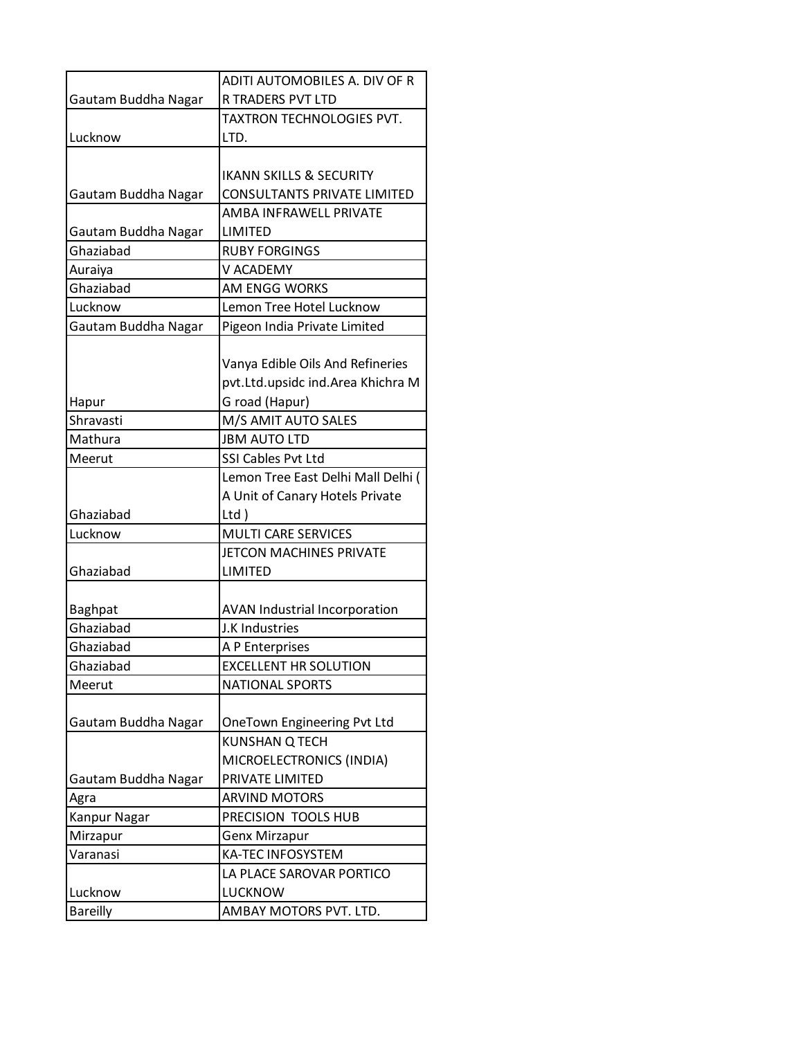| Gautam Buddha Nagar | ADITI AUTOMOBILES A. DIV OF R<br>R TRADERS PVT LTD |
|---------------------|----------------------------------------------------|
|                     | TAXTRON TECHNOLOGIES PVT.                          |
| Lucknow             | LTD.                                               |
|                     |                                                    |
|                     |                                                    |
|                     | <b>IKANN SKILLS &amp; SECURITY</b>                 |
| Gautam Buddha Nagar | <b>CONSULTANTS PRIVATE LIMITED</b>                 |
|                     | AMBA INFRAWELL PRIVATE                             |
| Gautam Buddha Nagar | LIMITED                                            |
| Ghaziabad           | <b>RUBY FORGINGS</b>                               |
| Auraiya             | V ACADEMY                                          |
| Ghaziabad           | AM ENGG WORKS                                      |
| Lucknow             | Lemon Tree Hotel Lucknow                           |
| Gautam Buddha Nagar | Pigeon India Private Limited                       |
|                     |                                                    |
|                     | Vanya Edible Oils And Refineries                   |
|                     | pvt.Ltd.upsidc ind.Area Khichra M                  |
| Hapur               | G road (Hapur)                                     |
| Shravasti           | M/S AMIT AUTO SALES                                |
| Mathura             | <b>JBM AUTO LTD</b>                                |
| Meerut              | SSI Cables Pvt Ltd                                 |
|                     | Lemon Tree East Delhi Mall Delhi (                 |
|                     | A Unit of Canary Hotels Private                    |
| Ghaziabad           | $Ltd$ )                                            |
| Lucknow             | <b>MULTI CARE SERVICES</b>                         |
|                     | JETCON MACHINES PRIVATE                            |
| Ghaziabad           | LIMITED                                            |
|                     |                                                    |
| Baghpat             | <b>AVAN Industrial Incorporation</b>               |
| Ghaziabad           | J.K Industries                                     |
| Ghaziabad           |                                                    |
|                     | A P Enterprises                                    |
| Ghaziabad           | <b>EXCELLENT HR SOLUTION</b>                       |
| Meerut              | <b>NATIONAL SPORTS</b>                             |
|                     |                                                    |
| Gautam Buddha Nagar | OneTown Engineering Pvt Ltd                        |
|                     | <b>KUNSHAN Q TECH</b>                              |
|                     | MICROELECTRONICS (INDIA)                           |
| Gautam Buddha Nagar | PRIVATE LIMITED                                    |
| Agra                | <b>ARVIND MOTORS</b>                               |
| Kanpur Nagar        | PRECISION TOOLS HUB                                |
| Mirzapur            | <b>Genx Mirzapur</b>                               |
| Varanasi            | <b>KA-TEC INFOSYSTEM</b>                           |
|                     | LA PLACE SAROVAR PORTICO                           |
| Lucknow             | LUCKNOW                                            |
| <b>Bareilly</b>     | AMBAY MOTORS PVT. LTD.                             |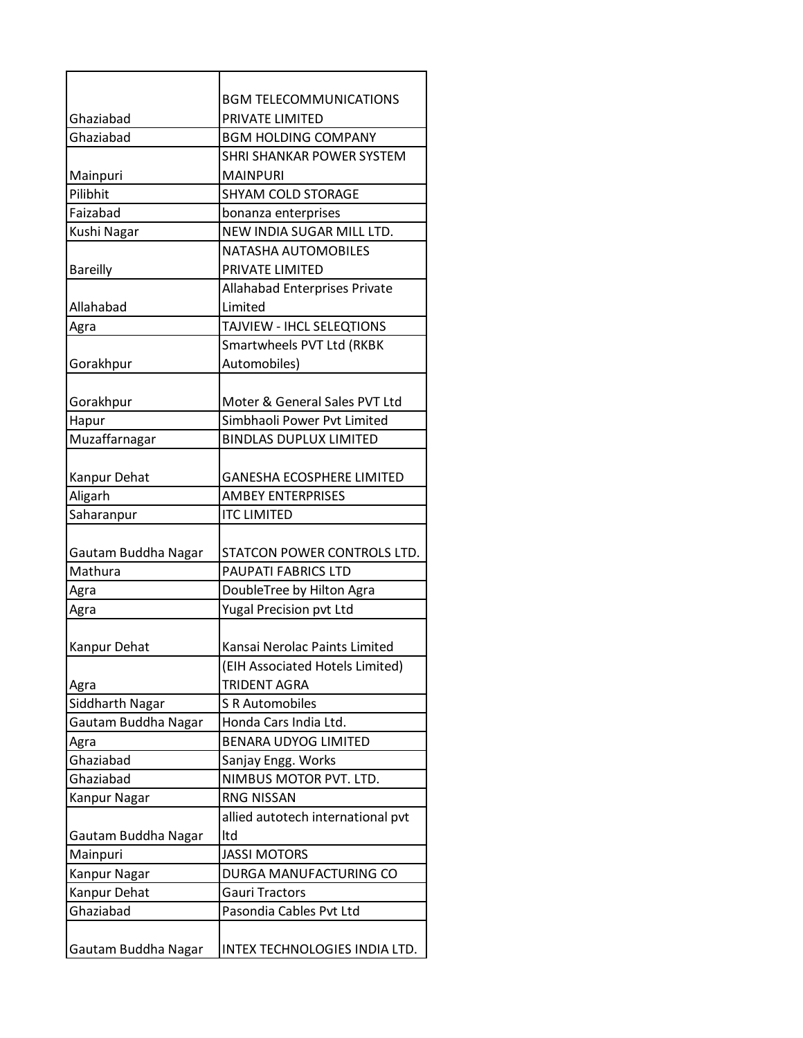|                     | <b>BGM TELECOMMUNICATIONS</b>        |
|---------------------|--------------------------------------|
| Ghaziabad           | PRIVATE LIMITED                      |
| Ghaziabad           | <b>BGM HOLDING COMPANY</b>           |
|                     | SHRI SHANKAR POWER SYSTEM            |
| Mainpuri            | <b>MAINPURI</b>                      |
| Pilibhit            | <b>SHYAM COLD STORAGE</b>            |
| Faizabad            | bonanza enterprises                  |
| Kushi Nagar         | NEW INDIA SUGAR MILL LTD.            |
|                     | NATASHA AUTOMOBILES                  |
| <b>Bareilly</b>     | PRIVATE LIMITED                      |
|                     | <b>Allahabad Enterprises Private</b> |
| Allahabad           | Limited                              |
| Agra                | TAJVIEW - IHCL SELEQTIONS            |
|                     | Smartwheels PVT Ltd (RKBK            |
| Gorakhpur           | Automobiles)                         |
|                     |                                      |
| Gorakhpur           | Moter & General Sales PVT Ltd        |
| Hapur               | Simbhaoli Power Pvt Limited          |
| Muzaffarnagar       | <b>BINDLAS DUPLUX LIMITED</b>        |
|                     |                                      |
| Kanpur Dehat        | <b>GANESHA ECOSPHERE LIMITED</b>     |
| Aligarh             | <b>AMBEY ENTERPRISES</b>             |
| Saharanpur          | <b>ITC LIMITED</b>                   |
|                     |                                      |
| Gautam Buddha Nagar | STATCON POWER CONTROLS LTD.          |
| Mathura             | PAUPATI FABRICS LTD                  |
| Agra                | DoubleTree by Hilton Agra            |
| Agra                | <b>Yugal Precision pvt Ltd</b>       |
|                     |                                      |
| Kanpur Dehat        | Kansai Nerolac Paints Limited        |
|                     | (EIH Associated Hotels Limited)      |
| Agra                | <b>TRIDENT AGRA</b>                  |
| Siddharth Nagar     | <b>S R Automobiles</b>               |
| Gautam Buddha Nagar | Honda Cars India Ltd.                |
| Agra                | <b>BENARA UDYOG LIMITED</b>          |
| Ghaziabad           | Sanjay Engg. Works                   |
| Ghaziabad           | NIMBUS MOTOR PVT. LTD.               |
| Kanpur Nagar        | <b>RNG NISSAN</b>                    |
|                     | allied autotech international pvt    |
| Gautam Buddha Nagar | ltd                                  |
| Mainpuri            | <b>JASSI MOTORS</b>                  |
| Kanpur Nagar        | DURGA MANUFACTURING CO               |
| Kanpur Dehat        | <b>Gauri Tractors</b>                |
| Ghaziabad           | Pasondia Cables Pvt Ltd              |
|                     |                                      |
| Gautam Buddha Nagar | INTEX TECHNOLOGIES INDIA LTD.        |
|                     |                                      |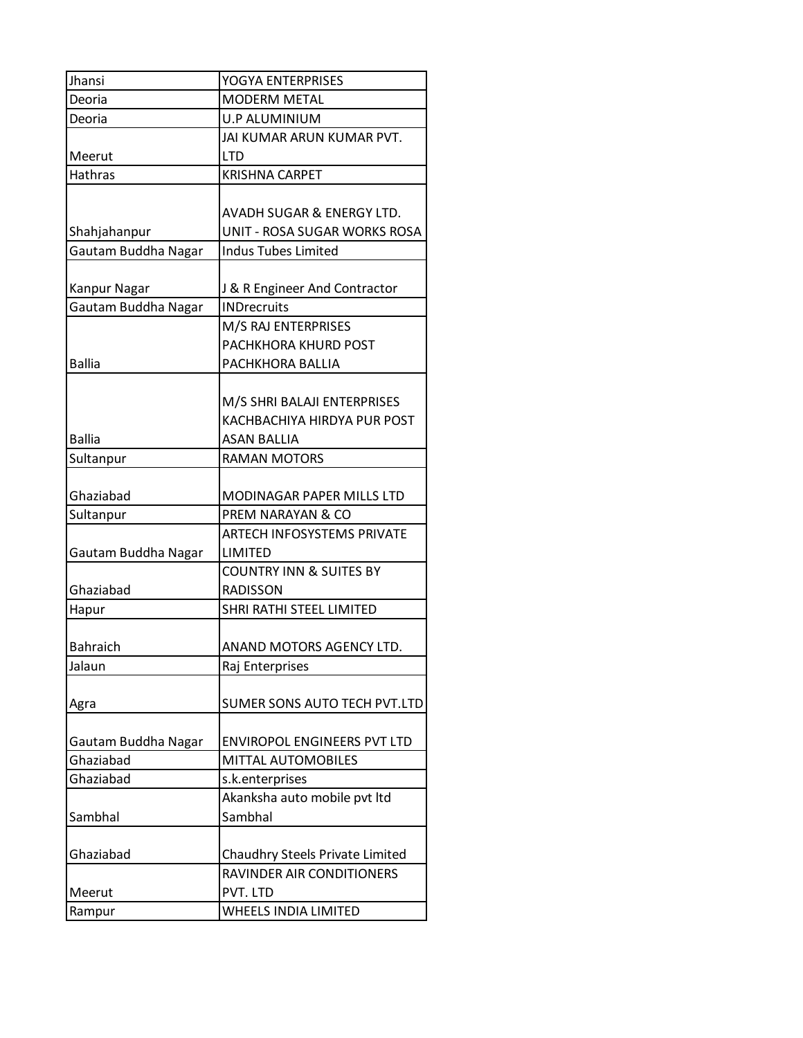| Jhansi              | YOGYA ENTERPRISES                  |
|---------------------|------------------------------------|
| Deoria              | <b>MODERM METAL</b>                |
| Deoria              | U.P ALUMINIUM                      |
|                     | JAI KUMAR ARUN KUMAR PVT.          |
| Meerut              | <b>LTD</b>                         |
| <b>Hathras</b>      | <b>KRISHNA CARPET</b>              |
|                     |                                    |
|                     | AVADH SUGAR & ENERGY LTD.          |
| Shahjahanpur        | UNIT - ROSA SUGAR WORKS ROSA       |
| Gautam Buddha Nagar | <b>Indus Tubes Limited</b>         |
|                     |                                    |
| Kanpur Nagar        | J & R Engineer And Contractor      |
| Gautam Buddha Nagar | <b>INDrecruits</b>                 |
|                     | M/S RAJ ENTERPRISES                |
|                     | PACHKHORA KHURD POST               |
| <b>Ballia</b>       | PACHKHORA BALLIA                   |
|                     |                                    |
|                     | M/S SHRI BALAJI ENTERPRISES        |
|                     | KACHBACHIYA HIRDYA PUR POST        |
| <b>Ballia</b>       | <b>ASAN BALLIA</b>                 |
| Sultanpur           | <b>RAMAN MOTORS</b>                |
|                     |                                    |
| Ghaziabad           | <b>MODINAGAR PAPER MILLS LTD</b>   |
| Sultanpur           | PREM NARAYAN & CO                  |
|                     | ARTECH INFOSYSTEMS PRIVATE         |
| Gautam Buddha Nagar | LIMITED                            |
|                     | <b>COUNTRY INN &amp; SUITES BY</b> |
| Ghaziabad           | <b>RADISSON</b>                    |
| Hapur               | SHRI RATHI STEEL LIMITED           |
|                     |                                    |
| <b>Bahraich</b>     | ANAND MOTORS AGENCY LTD.           |
| Jalaun              | Raj Enterprises                    |
|                     |                                    |
| Agra                | SUMER SONS AUTO TECH PVT.LTD       |
|                     |                                    |
| Gautam Buddha Nagar | <b>ENVIROPOL ENGINEERS PVT LTD</b> |
| Ghaziabad           | MITTAL AUTOMOBILES                 |
| Ghaziabad           | s.k.enterprises                    |
|                     | Akanksha auto mobile pvt ltd       |
| Sambhal             | Sambhal                            |
|                     |                                    |
| Ghaziabad           | Chaudhry Steels Private Limited    |
|                     | RAVINDER AIR CONDITIONERS          |
| Meerut              | PVT. LTD                           |
| Rampur              | <b>WHEELS INDIA LIMITED</b>        |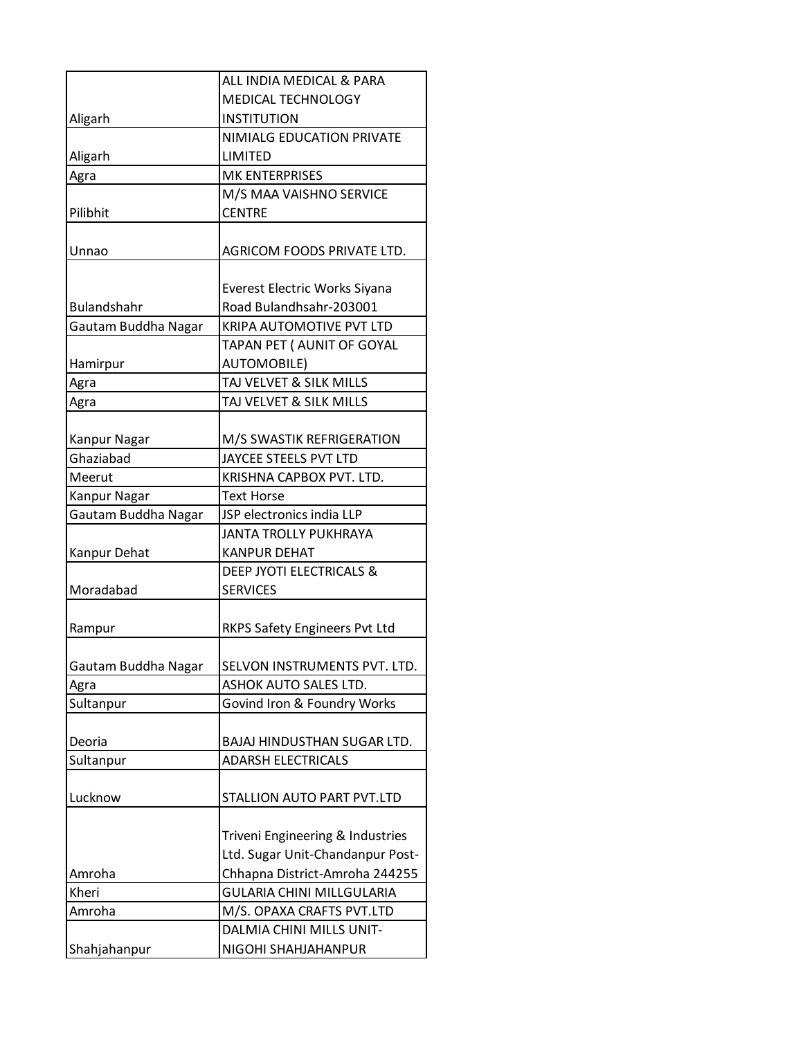|                     | ALL INDIA MEDICAL & PARA                                             |
|---------------------|----------------------------------------------------------------------|
|                     | MEDICAL TECHNOLOGY                                                   |
| Aligarh             | <b>INSTITUTION</b>                                                   |
|                     | NIMIALG EDUCATION PRIVATE                                            |
| Aligarh             | LIMITED                                                              |
| Agra                | <b>MK ENTERPRISES</b>                                                |
|                     | M/S MAA VAISHNO SERVICE                                              |
| Pilibhit            | <b>CENTRE</b>                                                        |
| Unnao               | AGRICOM FOODS PRIVATE LTD.                                           |
|                     |                                                                      |
| <b>Bulandshahr</b>  | Everest Electric Works Siyana                                        |
| Gautam Buddha Nagar | Road Bulandhsahr-203001<br>KRIPA AUTOMOTIVE PVT LTD                  |
|                     | TAPAN PET ( AUNIT OF GOYAL                                           |
| Hamirpur            | <b>AUTOMOBILE)</b>                                                   |
| Agra                | TAJ VELVET & SILK MILLS                                              |
| Agra                | TAJ VELVET & SILK MILLS                                              |
|                     |                                                                      |
| Kanpur Nagar        | M/S SWASTIK REFRIGERATION                                            |
| Ghaziabad           | JAYCEE STEELS PVT LTD                                                |
| Meerut              | KRISHNA CAPBOX PVT. LTD.                                             |
| Kanpur Nagar        | <b>Text Horse</b>                                                    |
| Gautam Buddha Nagar | JSP electronics india LLP                                            |
|                     | JANTA TROLLY PUKHRAYA                                                |
| Kanpur Dehat        | <b>KANPUR DEHAT</b>                                                  |
|                     | DEEP JYOTI ELECTRICALS &                                             |
| Moradabad           | <b>SERVICES</b>                                                      |
| Rampur              | RKPS Safety Engineers Pvt Ltd                                        |
| Gautam Buddha Nagar | SELVON INSTRUMENTS PVT. LTD.                                         |
| Agra                | ASHOK AUTO SALES LTD.                                                |
| Sultanpur           | Govind Iron & Foundry Works                                          |
|                     |                                                                      |
| Deoria              | BAJAJ HINDUSTHAN SUGAR LTD.                                          |
| Sultanpur           | <b>ADARSH ELECTRICALS</b>                                            |
| Lucknow             | STALLION AUTO PART PVT.LTD                                           |
|                     |                                                                      |
|                     | Triveni Engineering & Industries<br>Ltd. Sugar Unit-Chandanpur Post- |
|                     | Chhapna District-Amroha 244255                                       |
| Amroha<br>Kheri     | <b>GULARIA CHINI MILLGULARIA</b>                                     |
| Amroha              | M/S. OPAXA CRAFTS PVT.LTD                                            |
|                     | DALMIA CHINI MILLS UNIT-                                             |
| Shahjahanpur        | NIGOHI SHAHJAHANPUR                                                  |
|                     |                                                                      |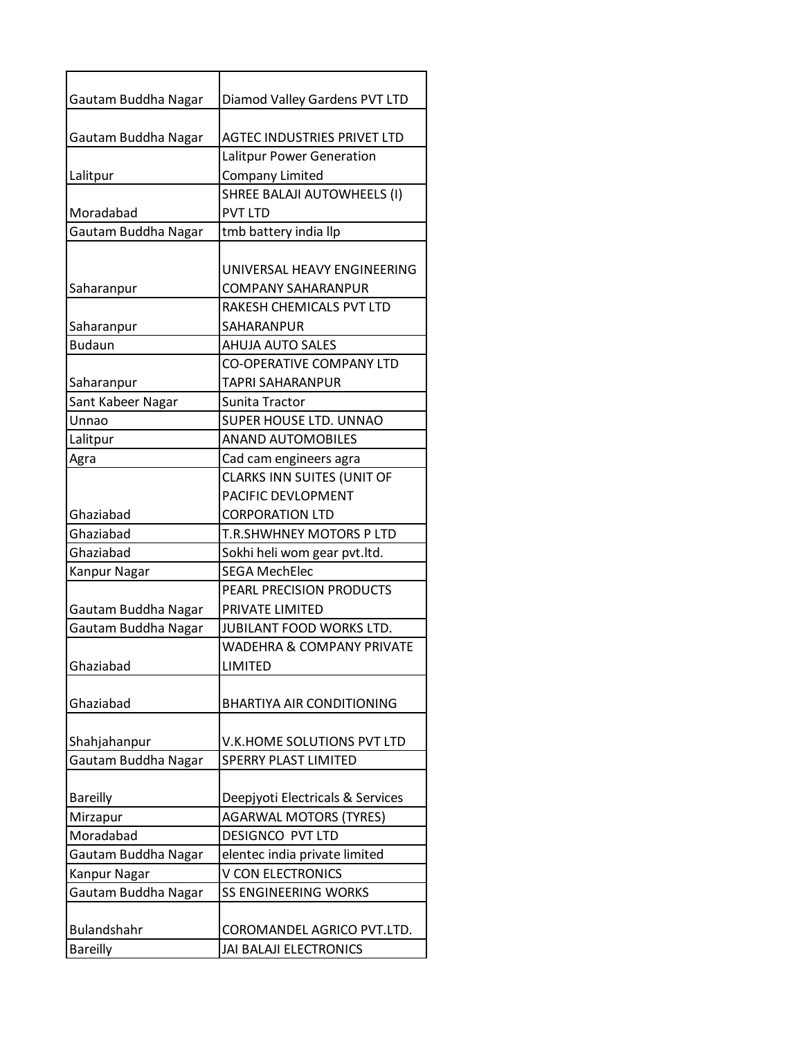| Gautam Buddha Nagar         | Diamod Valley Gardens PVT LTD        |
|-----------------------------|--------------------------------------|
| Gautam Buddha Nagar         | <b>AGTEC INDUSTRIES PRIVET LTD</b>   |
|                             | Lalitpur Power Generation            |
| Lalitpur                    | <b>Company Limited</b>               |
|                             | SHREE BALAJI AUTOWHEELS (I)          |
| Moradabad                   | <b>PVT LTD</b>                       |
| Gautam Buddha Nagar         | tmb battery india llp                |
|                             |                                      |
|                             | UNIVERSAL HEAVY ENGINEERING          |
| Saharanpur                  | <b>COMPANY SAHARANPUR</b>            |
|                             | RAKESH CHEMICALS PVT LTD             |
| Saharanpur                  | SAHARANPUR                           |
| <b>Budaun</b>               | <b>AHUJA AUTO SALES</b>              |
|                             | <b>CO-OPERATIVE COMPANY LTD</b>      |
| Saharanpur                  | <b>TAPRI SAHARANPUR</b>              |
| Sant Kabeer Nagar           | Sunita Tractor                       |
| Unnao                       | SUPER HOUSE LTD. UNNAO               |
| Lalitpur                    | <b>ANAND AUTOMOBILES</b>             |
| Agra                        | Cad cam engineers agra               |
|                             | <b>CLARKS INN SUITES (UNIT OF</b>    |
|                             | PACIFIC DEVLOPMENT                   |
| Ghaziabad                   | <b>CORPORATION LTD</b>               |
| Ghaziabad                   | T.R.SHWHNEY MOTORS P LTD             |
| Ghaziabad                   | Sokhi heli wom gear pvt.ltd.         |
| Kanpur Nagar                | <b>SEGA MechElec</b>                 |
|                             | PEARL PRECISION PRODUCTS             |
| Gautam Buddha Nagar         | PRIVATE LIMITED                      |
| Gautam Buddha Nagar         | JUBILANT FOOD WORKS LTD.             |
|                             | <b>WADEHRA &amp; COMPANY PRIVATE</b> |
| Ghaziabad                   | <b>LIMITED</b>                       |
|                             |                                      |
| Ghaziabad                   | <b>BHARTIYA AIR CONDITIONING</b>     |
|                             |                                      |
| Shahjahanpur                | V.K.HOME SOLUTIONS PVT LTD           |
| Gautam Buddha Nagar         | <b>SPERRY PLAST LIMITED</b>          |
|                             | Deepjyoti Electricals & Services     |
| <b>Bareilly</b><br>Mirzapur | <b>AGARWAL MOTORS (TYRES)</b>        |
| Moradabad                   | DESIGNCO PVT LTD                     |
| Gautam Buddha Nagar         | elentec india private limited        |
| Kanpur Nagar                | <b>V CON ELECTRONICS</b>             |
|                             | <b>SS ENGINEERING WORKS</b>          |
| Gautam Buddha Nagar         |                                      |
| <b>Bulandshahr</b>          | COROMANDEL AGRICO PVT.LTD.           |
| <b>Bareilly</b>             | JAI BALAJI ELECTRONICS               |
|                             |                                      |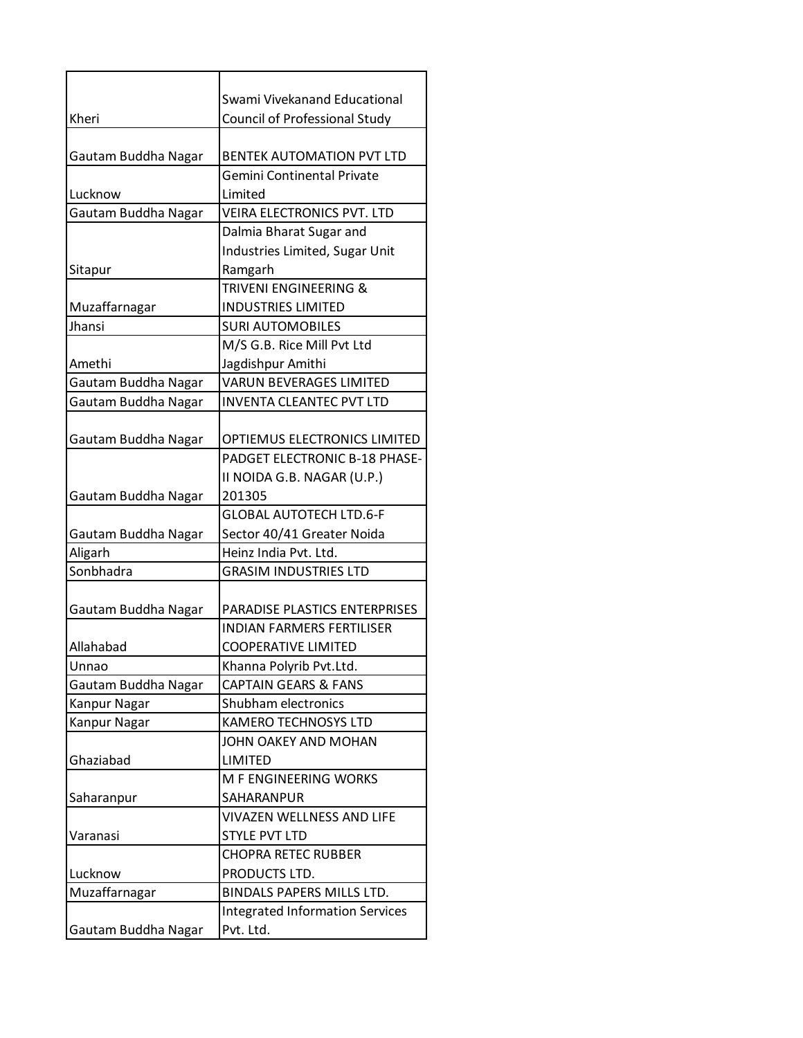|                     | Swami Vivekanand Educational           |
|---------------------|----------------------------------------|
| Kheri               | Council of Professional Study          |
|                     |                                        |
| Gautam Buddha Nagar | <b>BENTEK AUTOMATION PVT LTD</b>       |
|                     | Gemini Continental Private             |
| Lucknow             | Limited                                |
| Gautam Buddha Nagar | <b>VEIRA ELECTRONICS PVT. LTD</b>      |
|                     | Dalmia Bharat Sugar and                |
|                     | Industries Limited, Sugar Unit         |
| Sitapur             | Ramgarh                                |
|                     | <b>TRIVENI ENGINEERING &amp;</b>       |
| Muzaffarnagar       | <b>INDUSTRIES LIMITED</b>              |
| Jhansi              | <b>SURI AUTOMOBILES</b>                |
|                     | M/S G.B. Rice Mill Pvt Ltd             |
| Amethi              | Jagdishpur Amithi                      |
| Gautam Buddha Nagar | <b>VARUN BEVERAGES LIMITED</b>         |
| Gautam Buddha Nagar | <b>INVENTA CLEANTEC PVT LTD</b>        |
|                     |                                        |
| Gautam Buddha Nagar | OPTIEMUS ELECTRONICS LIMITED           |
|                     | PADGET ELECTRONIC B-18 PHASE-          |
|                     | II NOIDA G.B. NAGAR (U.P.)             |
| Gautam Buddha Nagar | 201305                                 |
|                     | <b>GLOBAL AUTOTECH LTD.6-F</b>         |
| Gautam Buddha Nagar | Sector 40/41 Greater Noida             |
| Aligarh             | Heinz India Pvt. Ltd.                  |
| Sonbhadra           | <b>GRASIM INDUSTRIES LTD</b>           |
|                     |                                        |
| Gautam Buddha Nagar | PARADISE PLASTICS ENTERPRISES          |
|                     | <b>INDIAN FARMERS FERTILISER</b>       |
| Allahabad           | <b>COOPERATIVE LIMITED</b>             |
| Unnao               | Khanna Polyrib Pvt.Ltd.                |
| Gautam Buddha Nagar | <b>CAPTAIN GEARS &amp; FANS</b>        |
| Kanpur Nagar        | Shubham electronics                    |
| Kanpur Nagar        | <b>KAMERO TECHNOSYS LTD</b>            |
|                     | JOHN OAKEY AND MOHAN                   |
| Ghaziabad           | LIMITED                                |
|                     | M F ENGINEERING WORKS                  |
| Saharanpur          | SAHARANPUR                             |
|                     | VIVAZEN WELLNESS AND LIFE              |
| Varanasi            | <b>STYLE PVT LTD</b>                   |
|                     | <b>CHOPRA RETEC RUBBER</b>             |
| Lucknow             | PRODUCTS LTD.                          |
| Muzaffarnagar       | BINDALS PAPERS MILLS LTD.              |
|                     | <b>Integrated Information Services</b> |
| Gautam Buddha Nagar | Pvt. Ltd.                              |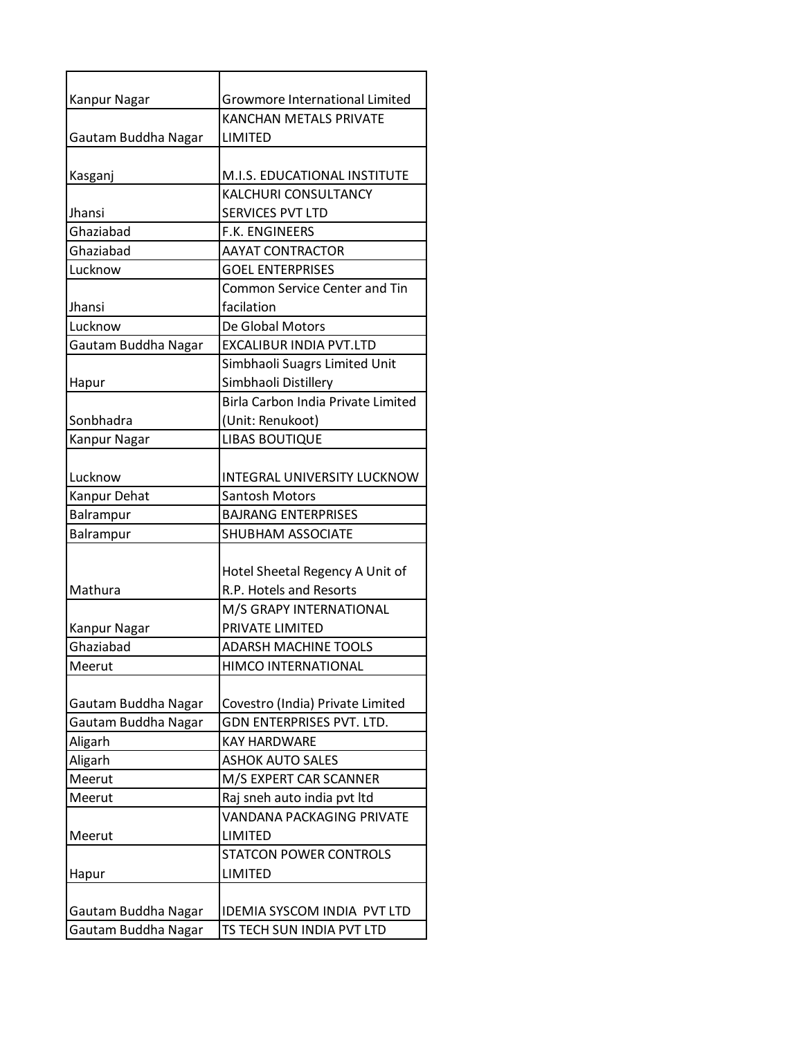| Kanpur Nagar        | <b>Growmore International Limited</b> |
|---------------------|---------------------------------------|
|                     | <b>KANCHAN METALS PRIVATE</b>         |
| Gautam Buddha Nagar | LIMITED                               |
|                     |                                       |
| Kasganj             | M.I.S. EDUCATIONAL INSTITUTE          |
|                     | KALCHURI CONSULTANCY                  |
| Jhansi              | SERVICES PVT LTD                      |
| Ghaziabad           | <b>F.K. ENGINEERS</b>                 |
| Ghaziabad           | <b>AAYAT CONTRACTOR</b>               |
| Lucknow             | <b>GOEL ENTERPRISES</b>               |
|                     | <b>Common Service Center and Tin</b>  |
| Jhansi              | facilation                            |
| Lucknow             | De Global Motors                      |
| Gautam Buddha Nagar | <b>EXCALIBUR INDIA PVT.LTD</b>        |
|                     | Simbhaoli Suagrs Limited Unit         |
| Hapur               | Simbhaoli Distillery                  |
|                     | Birla Carbon India Private Limited    |
| Sonbhadra           | (Unit: Renukoot)                      |
| Kanpur Nagar        | <b>LIBAS BOUTIQUE</b>                 |
|                     |                                       |
| Lucknow             | <b>INTEGRAL UNIVERSITY LUCKNOW</b>    |
| Kanpur Dehat        | <b>Santosh Motors</b>                 |
| Balrampur           | <b>BAJRANG ENTERPRISES</b>            |
| Balrampur           | <b>SHUBHAM ASSOCIATE</b>              |
|                     |                                       |
|                     | Hotel Sheetal Regency A Unit of       |
| Mathura             | R.P. Hotels and Resorts               |
|                     | M/S GRAPY INTERNATIONAL               |
| Kanpur Nagar        | PRIVATE LIMITED                       |
| Ghaziabad           | <b>ADARSH MACHINE TOOLS</b>           |
| Meerut              | HIMCO INTERNATIONAL                   |
|                     |                                       |
| Gautam Buddha Nagar | Covestro (India) Private Limited      |
| Gautam Buddha Nagar | GDN ENTERPRISES PVT. LTD.             |
| Aligarh             | <b>KAY HARDWARE</b>                   |
| Aligarh             | <b>ASHOK AUTO SALES</b>               |
| Meerut              | M/S EXPERT CAR SCANNER                |
| Meerut              | Raj sneh auto india pvt ltd           |
|                     | VANDANA PACKAGING PRIVATE             |
| Meerut              | <b>LIMITED</b>                        |
|                     | <b>STATCON POWER CONTROLS</b>         |
| Hapur               | <b>LIMITED</b>                        |
|                     |                                       |
| Gautam Buddha Nagar | IDEMIA SYSCOM INDIA PVT LTD           |
| Gautam Buddha Nagar | TS TECH SUN INDIA PVT LTD             |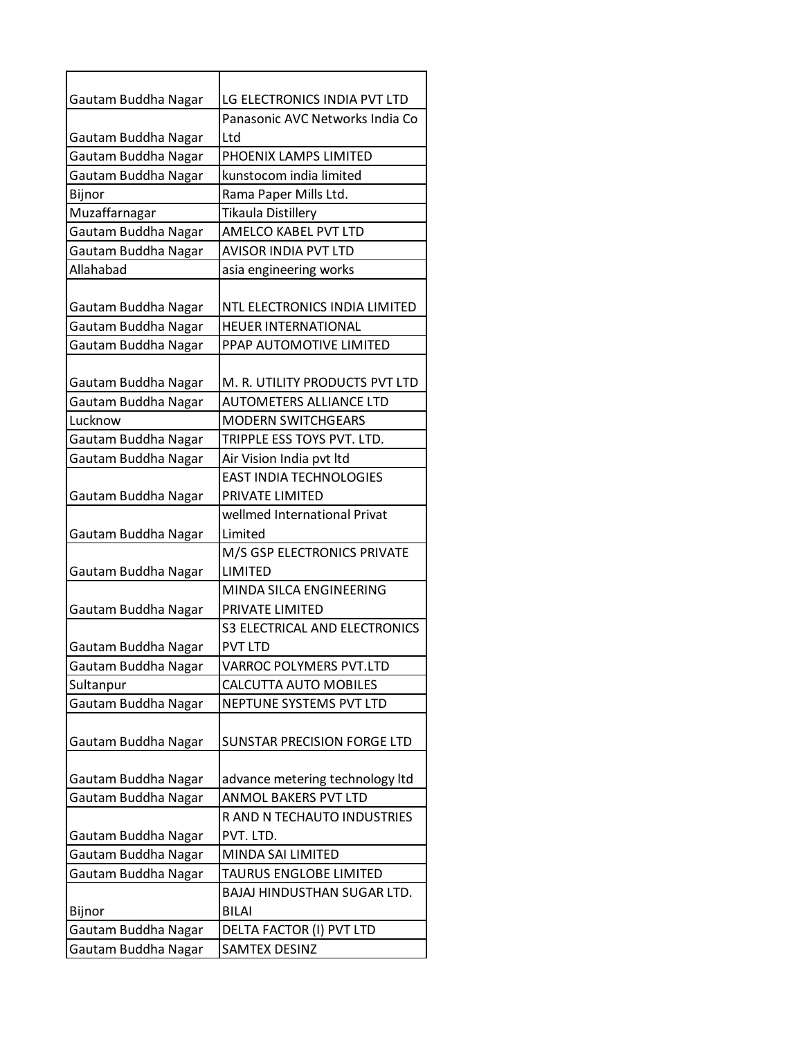| Gautam Buddha Nagar                        | LG ELECTRONICS INDIA PVT LTD         |
|--------------------------------------------|--------------------------------------|
|                                            | Panasonic AVC Networks India Co      |
| Gautam Buddha Nagar                        | Ltd                                  |
| Gautam Buddha Nagar                        | PHOENIX LAMPS LIMITED                |
| Gautam Buddha Nagar                        | kunstocom india limited              |
| Bijnor                                     | Rama Paper Mills Ltd.                |
| Muzaffarnagar                              | <b>Tikaula Distillery</b>            |
| Gautam Buddha Nagar                        | AMELCO KABEL PVT LTD                 |
| Gautam Buddha Nagar                        | <b>AVISOR INDIA PVT LTD</b>          |
| Allahabad                                  | asia engineering works               |
|                                            |                                      |
| Gautam Buddha Nagar                        | NTL ELECTRONICS INDIA LIMITED        |
| Gautam Buddha Nagar                        | <b>HEUER INTERNATIONAL</b>           |
| Gautam Buddha Nagar                        | PPAP AUTOMOTIVE LIMITED              |
|                                            |                                      |
| Gautam Buddha Nagar                        | M. R. UTILITY PRODUCTS PVT LTD       |
| Gautam Buddha Nagar                        | <b>AUTOMETERS ALLIANCE LTD</b>       |
| Lucknow                                    | <b>MODERN SWITCHGEARS</b>            |
| Gautam Buddha Nagar                        | TRIPPLE ESS TOYS PVT. LTD.           |
| Gautam Buddha Nagar                        | Air Vision India pvt Itd             |
|                                            | <b>EAST INDIA TECHNOLOGIES</b>       |
| Gautam Buddha Nagar                        | PRIVATE LIMITED                      |
|                                            | wellmed International Privat         |
| Gautam Buddha Nagar                        | Limited                              |
|                                            | M/S GSP ELECTRONICS PRIVATE          |
| Gautam Buddha Nagar                        | LIMITED<br>MINDA SILCA ENGINEERING   |
|                                            | PRIVATE LIMITED                      |
| Gautam Buddha Nagar                        | <b>S3 ELECTRICAL AND ELECTRONICS</b> |
|                                            | <b>PVT LTD</b>                       |
| Gautam Buddha Nagar<br>Gautam Buddha Nagar | VARROC POLYMERS PVT.LTD              |
| Sultanpur                                  | <b>CALCUTTA AUTO MOBILES</b>         |
| Gautam Buddha Nagar                        | NEPTUNE SYSTEMS PVT LTD              |
|                                            |                                      |
| Gautam Buddha Nagar                        | <b>SUNSTAR PRECISION FORGE LTD</b>   |
|                                            |                                      |
| Gautam Buddha Nagar                        | advance metering technology Itd      |
| Gautam Buddha Nagar                        | ANMOL BAKERS PVT LTD                 |
|                                            | R AND N TECHAUTO INDUSTRIES          |
| Gautam Buddha Nagar                        | PVT. LTD.                            |
| Gautam Buddha Nagar                        | MINDA SAI LIMITED                    |
| Gautam Buddha Nagar                        | TAURUS ENGLOBE LIMITED               |
|                                            | BAJAJ HINDUSTHAN SUGAR LTD.          |
| Bijnor                                     | <b>BILAI</b>                         |
| Gautam Buddha Nagar                        | DELTA FACTOR (I) PVT LTD             |
| Gautam Buddha Nagar                        | <b>SAMTEX DESINZ</b>                 |
|                                            |                                      |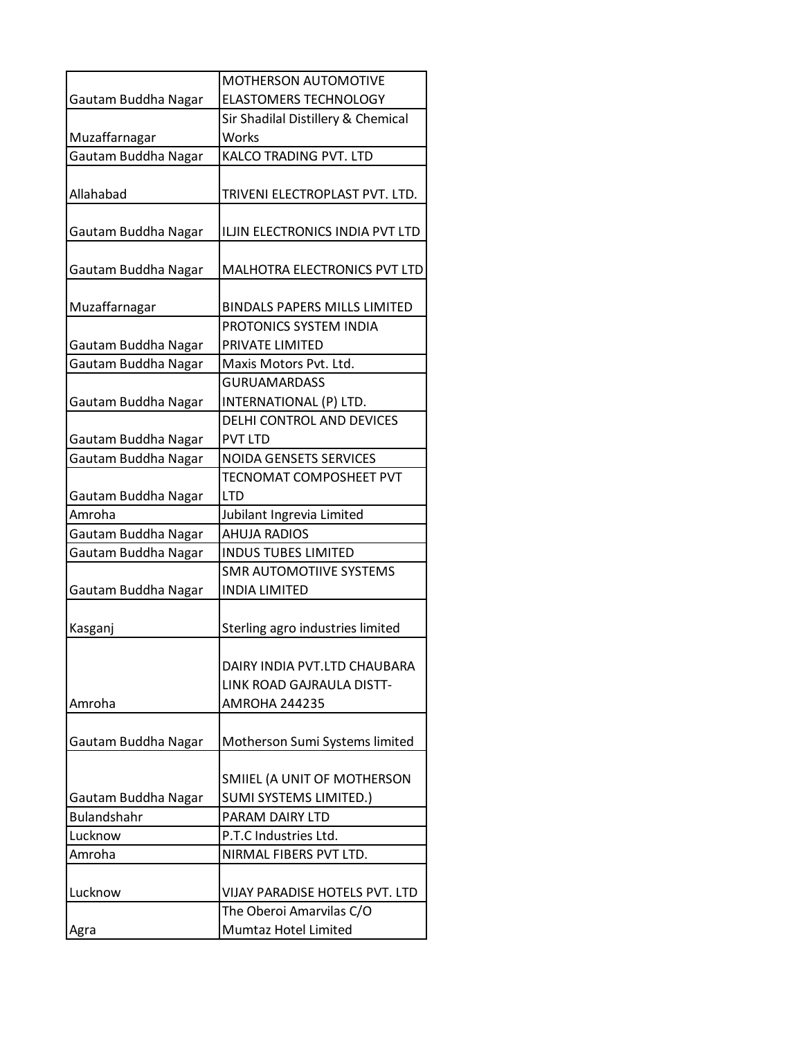| MOTHERSON AUTOMOTIVE<br><b>ELASTOMERS TECHNOLOGY</b><br>Gautam Buddha Nagar<br>Sir Shadilal Distillery & Chemical<br>Works<br>Muzaffarnagar<br>KALCO TRADING PVT. LTD<br>Gautam Buddha Nagar<br>TRIVENI ELECTROPLAST PVT. LTD.<br>Allahabad<br>Gautam Buddha Nagar<br>ILJIN ELECTRONICS INDIA PVT LTD<br>MALHOTRA ELECTRONICS PVT LTD<br>Gautam Buddha Nagar<br><b>BINDALS PAPERS MILLS LIMITED</b><br>Muzaffarnagar<br>PROTONICS SYSTEM INDIA<br>PRIVATE LIMITED<br>Gautam Buddha Nagar<br>Gautam Buddha Nagar<br>Maxis Motors Pvt. Ltd.<br><b>GURUAMARDASS</b><br>INTERNATIONAL (P) LTD.<br>Gautam Buddha Nagar<br>DELHI CONTROL AND DEVICES<br><b>PVT LTD</b><br>Gautam Buddha Nagar<br><b>NOIDA GENSETS SERVICES</b><br>Gautam Buddha Nagar<br><b>TECNOMAT COMPOSHEET PVT</b><br><b>LTD</b><br>Gautam Buddha Nagar<br>Amroha<br>Jubilant Ingrevia Limited<br>Gautam Buddha Nagar<br><b>AHUJA RADIOS</b><br>Gautam Buddha Nagar<br><b>INDUS TUBES LIMITED</b><br><b>SMR AUTOMOTIIVE SYSTEMS</b><br><b>INDIA LIMITED</b><br>Gautam Buddha Nagar<br>Sterling agro industries limited<br>Kasganj<br>DAIRY INDIA PVT.LTD CHAUBARA<br>LINK ROAD GAJRAULA DISTT-<br>Amroha<br><b>AMROHA 244235</b><br>Motherson Sumi Systems limited<br>Gautam Buddha Nagar<br>SMIIEL (A UNIT OF MOTHERSON<br>SUMI SYSTEMS LIMITED.)<br>Gautam Buddha Nagar<br><b>Bulandshahr</b><br>PARAM DAIRY LTD<br>P.T.C Industries Ltd.<br>Lucknow<br>Amroha<br>NIRMAL FIBERS PVT LTD.<br>Lucknow<br>VIJAY PARADISE HOTELS PVT. LTD<br>The Oberoi Amarvilas C/O<br>Mumtaz Hotel Limited<br>Agra |  |
|--------------------------------------------------------------------------------------------------------------------------------------------------------------------------------------------------------------------------------------------------------------------------------------------------------------------------------------------------------------------------------------------------------------------------------------------------------------------------------------------------------------------------------------------------------------------------------------------------------------------------------------------------------------------------------------------------------------------------------------------------------------------------------------------------------------------------------------------------------------------------------------------------------------------------------------------------------------------------------------------------------------------------------------------------------------------------------------------------------------------------------------------------------------------------------------------------------------------------------------------------------------------------------------------------------------------------------------------------------------------------------------------------------------------------------------------------------------------------------------------------------------------------------------------------------------------|--|
|                                                                                                                                                                                                                                                                                                                                                                                                                                                                                                                                                                                                                                                                                                                                                                                                                                                                                                                                                                                                                                                                                                                                                                                                                                                                                                                                                                                                                                                                                                                                                                    |  |
|                                                                                                                                                                                                                                                                                                                                                                                                                                                                                                                                                                                                                                                                                                                                                                                                                                                                                                                                                                                                                                                                                                                                                                                                                                                                                                                                                                                                                                                                                                                                                                    |  |
|                                                                                                                                                                                                                                                                                                                                                                                                                                                                                                                                                                                                                                                                                                                                                                                                                                                                                                                                                                                                                                                                                                                                                                                                                                                                                                                                                                                                                                                                                                                                                                    |  |
|                                                                                                                                                                                                                                                                                                                                                                                                                                                                                                                                                                                                                                                                                                                                                                                                                                                                                                                                                                                                                                                                                                                                                                                                                                                                                                                                                                                                                                                                                                                                                                    |  |
|                                                                                                                                                                                                                                                                                                                                                                                                                                                                                                                                                                                                                                                                                                                                                                                                                                                                                                                                                                                                                                                                                                                                                                                                                                                                                                                                                                                                                                                                                                                                                                    |  |
|                                                                                                                                                                                                                                                                                                                                                                                                                                                                                                                                                                                                                                                                                                                                                                                                                                                                                                                                                                                                                                                                                                                                                                                                                                                                                                                                                                                                                                                                                                                                                                    |  |
|                                                                                                                                                                                                                                                                                                                                                                                                                                                                                                                                                                                                                                                                                                                                                                                                                                                                                                                                                                                                                                                                                                                                                                                                                                                                                                                                                                                                                                                                                                                                                                    |  |
|                                                                                                                                                                                                                                                                                                                                                                                                                                                                                                                                                                                                                                                                                                                                                                                                                                                                                                                                                                                                                                                                                                                                                                                                                                                                                                                                                                                                                                                                                                                                                                    |  |
|                                                                                                                                                                                                                                                                                                                                                                                                                                                                                                                                                                                                                                                                                                                                                                                                                                                                                                                                                                                                                                                                                                                                                                                                                                                                                                                                                                                                                                                                                                                                                                    |  |
|                                                                                                                                                                                                                                                                                                                                                                                                                                                                                                                                                                                                                                                                                                                                                                                                                                                                                                                                                                                                                                                                                                                                                                                                                                                                                                                                                                                                                                                                                                                                                                    |  |
|                                                                                                                                                                                                                                                                                                                                                                                                                                                                                                                                                                                                                                                                                                                                                                                                                                                                                                                                                                                                                                                                                                                                                                                                                                                                                                                                                                                                                                                                                                                                                                    |  |
|                                                                                                                                                                                                                                                                                                                                                                                                                                                                                                                                                                                                                                                                                                                                                                                                                                                                                                                                                                                                                                                                                                                                                                                                                                                                                                                                                                                                                                                                                                                                                                    |  |
|                                                                                                                                                                                                                                                                                                                                                                                                                                                                                                                                                                                                                                                                                                                                                                                                                                                                                                                                                                                                                                                                                                                                                                                                                                                                                                                                                                                                                                                                                                                                                                    |  |
|                                                                                                                                                                                                                                                                                                                                                                                                                                                                                                                                                                                                                                                                                                                                                                                                                                                                                                                                                                                                                                                                                                                                                                                                                                                                                                                                                                                                                                                                                                                                                                    |  |
|                                                                                                                                                                                                                                                                                                                                                                                                                                                                                                                                                                                                                                                                                                                                                                                                                                                                                                                                                                                                                                                                                                                                                                                                                                                                                                                                                                                                                                                                                                                                                                    |  |
|                                                                                                                                                                                                                                                                                                                                                                                                                                                                                                                                                                                                                                                                                                                                                                                                                                                                                                                                                                                                                                                                                                                                                                                                                                                                                                                                                                                                                                                                                                                                                                    |  |
|                                                                                                                                                                                                                                                                                                                                                                                                                                                                                                                                                                                                                                                                                                                                                                                                                                                                                                                                                                                                                                                                                                                                                                                                                                                                                                                                                                                                                                                                                                                                                                    |  |
|                                                                                                                                                                                                                                                                                                                                                                                                                                                                                                                                                                                                                                                                                                                                                                                                                                                                                                                                                                                                                                                                                                                                                                                                                                                                                                                                                                                                                                                                                                                                                                    |  |
|                                                                                                                                                                                                                                                                                                                                                                                                                                                                                                                                                                                                                                                                                                                                                                                                                                                                                                                                                                                                                                                                                                                                                                                                                                                                                                                                                                                                                                                                                                                                                                    |  |
|                                                                                                                                                                                                                                                                                                                                                                                                                                                                                                                                                                                                                                                                                                                                                                                                                                                                                                                                                                                                                                                                                                                                                                                                                                                                                                                                                                                                                                                                                                                                                                    |  |
|                                                                                                                                                                                                                                                                                                                                                                                                                                                                                                                                                                                                                                                                                                                                                                                                                                                                                                                                                                                                                                                                                                                                                                                                                                                                                                                                                                                                                                                                                                                                                                    |  |
|                                                                                                                                                                                                                                                                                                                                                                                                                                                                                                                                                                                                                                                                                                                                                                                                                                                                                                                                                                                                                                                                                                                                                                                                                                                                                                                                                                                                                                                                                                                                                                    |  |
|                                                                                                                                                                                                                                                                                                                                                                                                                                                                                                                                                                                                                                                                                                                                                                                                                                                                                                                                                                                                                                                                                                                                                                                                                                                                                                                                                                                                                                                                                                                                                                    |  |
|                                                                                                                                                                                                                                                                                                                                                                                                                                                                                                                                                                                                                                                                                                                                                                                                                                                                                                                                                                                                                                                                                                                                                                                                                                                                                                                                                                                                                                                                                                                                                                    |  |
|                                                                                                                                                                                                                                                                                                                                                                                                                                                                                                                                                                                                                                                                                                                                                                                                                                                                                                                                                                                                                                                                                                                                                                                                                                                                                                                                                                                                                                                                                                                                                                    |  |
|                                                                                                                                                                                                                                                                                                                                                                                                                                                                                                                                                                                                                                                                                                                                                                                                                                                                                                                                                                                                                                                                                                                                                                                                                                                                                                                                                                                                                                                                                                                                                                    |  |
|                                                                                                                                                                                                                                                                                                                                                                                                                                                                                                                                                                                                                                                                                                                                                                                                                                                                                                                                                                                                                                                                                                                                                                                                                                                                                                                                                                                                                                                                                                                                                                    |  |
|                                                                                                                                                                                                                                                                                                                                                                                                                                                                                                                                                                                                                                                                                                                                                                                                                                                                                                                                                                                                                                                                                                                                                                                                                                                                                                                                                                                                                                                                                                                                                                    |  |
|                                                                                                                                                                                                                                                                                                                                                                                                                                                                                                                                                                                                                                                                                                                                                                                                                                                                                                                                                                                                                                                                                                                                                                                                                                                                                                                                                                                                                                                                                                                                                                    |  |
|                                                                                                                                                                                                                                                                                                                                                                                                                                                                                                                                                                                                                                                                                                                                                                                                                                                                                                                                                                                                                                                                                                                                                                                                                                                                                                                                                                                                                                                                                                                                                                    |  |
|                                                                                                                                                                                                                                                                                                                                                                                                                                                                                                                                                                                                                                                                                                                                                                                                                                                                                                                                                                                                                                                                                                                                                                                                                                                                                                                                                                                                                                                                                                                                                                    |  |
|                                                                                                                                                                                                                                                                                                                                                                                                                                                                                                                                                                                                                                                                                                                                                                                                                                                                                                                                                                                                                                                                                                                                                                                                                                                                                                                                                                                                                                                                                                                                                                    |  |
|                                                                                                                                                                                                                                                                                                                                                                                                                                                                                                                                                                                                                                                                                                                                                                                                                                                                                                                                                                                                                                                                                                                                                                                                                                                                                                                                                                                                                                                                                                                                                                    |  |
|                                                                                                                                                                                                                                                                                                                                                                                                                                                                                                                                                                                                                                                                                                                                                                                                                                                                                                                                                                                                                                                                                                                                                                                                                                                                                                                                                                                                                                                                                                                                                                    |  |
|                                                                                                                                                                                                                                                                                                                                                                                                                                                                                                                                                                                                                                                                                                                                                                                                                                                                                                                                                                                                                                                                                                                                                                                                                                                                                                                                                                                                                                                                                                                                                                    |  |
|                                                                                                                                                                                                                                                                                                                                                                                                                                                                                                                                                                                                                                                                                                                                                                                                                                                                                                                                                                                                                                                                                                                                                                                                                                                                                                                                                                                                                                                                                                                                                                    |  |
|                                                                                                                                                                                                                                                                                                                                                                                                                                                                                                                                                                                                                                                                                                                                                                                                                                                                                                                                                                                                                                                                                                                                                                                                                                                                                                                                                                                                                                                                                                                                                                    |  |
|                                                                                                                                                                                                                                                                                                                                                                                                                                                                                                                                                                                                                                                                                                                                                                                                                                                                                                                                                                                                                                                                                                                                                                                                                                                                                                                                                                                                                                                                                                                                                                    |  |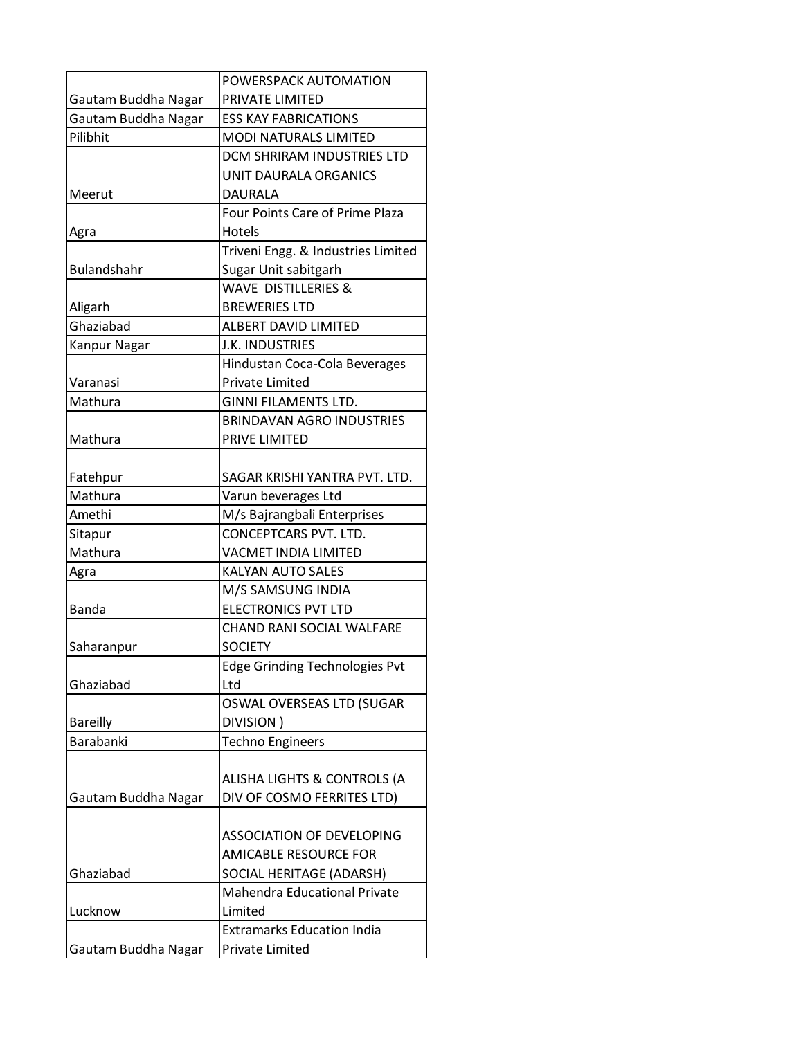|                     | POWERSPACK AUTOMATION                  |
|---------------------|----------------------------------------|
| Gautam Buddha Nagar | PRIVATE LIMITED                        |
| Gautam Buddha Nagar | <b>ESS KAY FABRICATIONS</b>            |
| Pilibhit            | <b>MODI NATURALS LIMITED</b>           |
|                     | DCM SHRIRAM INDUSTRIES LTD             |
|                     | UNIT DAURALA ORGANICS                  |
| Meerut              | DAURALA                                |
|                     | <b>Four Points Care of Prime Plaza</b> |
| Agra                | Hotels                                 |
|                     | Triveni Engg. & Industries Limited     |
| <b>Bulandshahr</b>  | Sugar Unit sabitgarh                   |
|                     | <b>WAVE DISTILLERIES &amp;</b>         |
| Aligarh             | <b>BREWERIES LTD</b>                   |
| Ghaziabad           | <b>ALBERT DAVID LIMITED</b>            |
| Kanpur Nagar        | J.K. INDUSTRIES                        |
|                     | Hindustan Coca-Cola Beverages          |
| Varanasi            | <b>Private Limited</b>                 |
| Mathura             | <b>GINNI FILAMENTS LTD.</b>            |
|                     | <b>BRINDAVAN AGRO INDUSTRIES</b>       |
| Mathura             | PRIVE LIMITED                          |
|                     |                                        |
| Fatehpur            | SAGAR KRISHI YANTRA PVT. LTD.          |
| Mathura             | Varun beverages Ltd                    |
| Amethi              | M/s Bajrangbali Enterprises            |
| Sitapur             | CONCEPTCARS PVT. LTD.                  |
| Mathura             | <b>VACMET INDIA LIMITED</b>            |
| Agra                | <b>KALYAN AUTO SALES</b>               |
|                     | M/S SAMSUNG INDIA                      |
| <b>Banda</b>        | <b>ELECTRONICS PVT LTD</b>             |
|                     | <b>CHAND RANI SOCIAL WALFARE</b>       |
| Saharanpur          | <b>SOCIETY</b>                         |
|                     | <b>Edge Grinding Technologies Pvt</b>  |
| Ghaziabad           | Ltd                                    |
|                     | OSWAL OVERSEAS LTD (SUGAR              |
| <b>Bareilly</b>     | DIVISION)                              |
| <b>Barabanki</b>    | <b>Techno Engineers</b>                |
|                     |                                        |
|                     | ALISHA LIGHTS & CONTROLS (A            |
| Gautam Buddha Nagar | DIV OF COSMO FERRITES LTD)             |
|                     |                                        |
|                     | ASSOCIATION OF DEVELOPING              |
|                     | <b>AMICABLE RESOURCE FOR</b>           |
| Ghaziabad           | SOCIAL HERITAGE (ADARSH)               |
|                     | <b>Mahendra Educational Private</b>    |
| Lucknow             | Limited                                |
|                     | <b>Extramarks Education India</b>      |
| Gautam Buddha Nagar | Private Limited                        |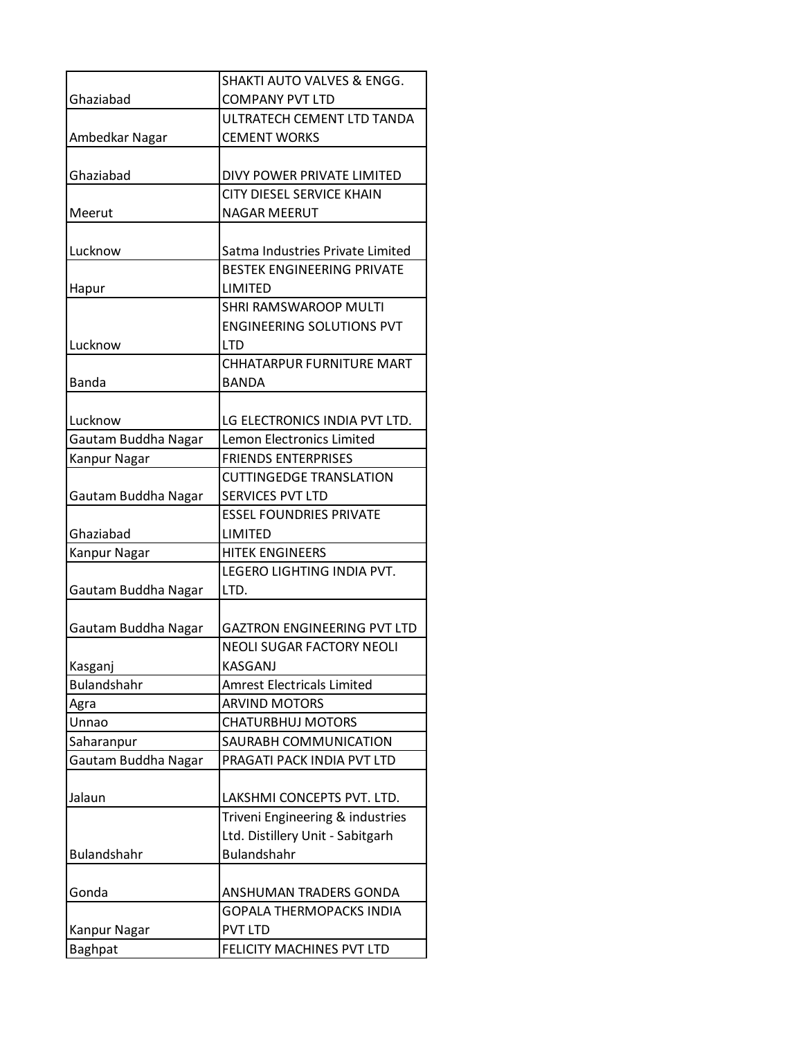|                     | <b>SHAKTI AUTO VALVES &amp; ENGG.</b>                            |
|---------------------|------------------------------------------------------------------|
| Ghaziabad           | <b>COMPANY PVT LTD</b>                                           |
|                     | ULTRATECH CEMENT LTD TANDA                                       |
| Ambedkar Nagar      | <b>CEMENT WORKS</b>                                              |
|                     |                                                                  |
| Ghaziabad           | DIVY POWER PRIVATE LIMITED                                       |
|                     | <b>CITY DIESEL SERVICE KHAIN</b>                                 |
| Meerut              | <b>NAGAR MEERUT</b>                                              |
|                     |                                                                  |
| Lucknow             | Satma Industries Private Limited                                 |
|                     | <b>BESTEK ENGINEERING PRIVATE</b>                                |
| Hapur               | LIMITED                                                          |
|                     | <b>SHRI RAMSWAROOP MULTI</b><br><b>ENGINEERING SOLUTIONS PVT</b> |
| Lucknow             | LTD                                                              |
|                     | <b>CHHATARPUR FURNITURE MART</b>                                 |
| <b>Banda</b>        | <b>BANDA</b>                                                     |
|                     |                                                                  |
| Lucknow             | LG ELECTRONICS INDIA PVT LTD.                                    |
| Gautam Buddha Nagar | <b>Lemon Electronics Limited</b>                                 |
| Kanpur Nagar        | <b>FRIENDS ENTERPRISES</b>                                       |
|                     | <b>CUTTINGEDGE TRANSLATION</b>                                   |
| Gautam Buddha Nagar | <b>SERVICES PVT LTD</b>                                          |
|                     | <b>ESSEL FOUNDRIES PRIVATE</b>                                   |
| Ghaziabad           | LIMITED                                                          |
| Kanpur Nagar        | <b>HITEK ENGINEERS</b>                                           |
|                     | LEGERO LIGHTING INDIA PVT.                                       |
| Gautam Buddha Nagar | LTD.                                                             |
|                     |                                                                  |
| Gautam Buddha Nagar | <b>GAZTRON ENGINEERING PVT LTD</b>                               |
|                     | <b>NEOLI SUGAR FACTORY NEOLI</b>                                 |
| Kasganj             | <b>KASGANJ</b>                                                   |
| <b>Bulandshahr</b>  | <b>Amrest Electricals Limited</b>                                |
| Agra                | <b>ARVIND MOTORS</b>                                             |
| Unnao               | <b>CHATURBHUJ MOTORS</b>                                         |
| Saharanpur          | SAURABH COMMUNICATION                                            |
| Gautam Buddha Nagar | PRAGATI PACK INDIA PVT LTD                                       |
|                     |                                                                  |
| Jalaun              | LAKSHMI CONCEPTS PVT. LTD.                                       |
|                     | Triveni Engineering & industries                                 |
|                     | Ltd. Distillery Unit - Sabitgarh<br>Bulandshahr                  |
| <b>Bulandshahr</b>  |                                                                  |
| Gonda               | ANSHUMAN TRADERS GONDA                                           |
|                     | <b>GOPALA THERMOPACKS INDIA</b>                                  |
| Kanpur Nagar        | <b>PVT LTD</b>                                                   |
| <b>Baghpat</b>      | FELICITY MACHINES PVT LTD                                        |
|                     |                                                                  |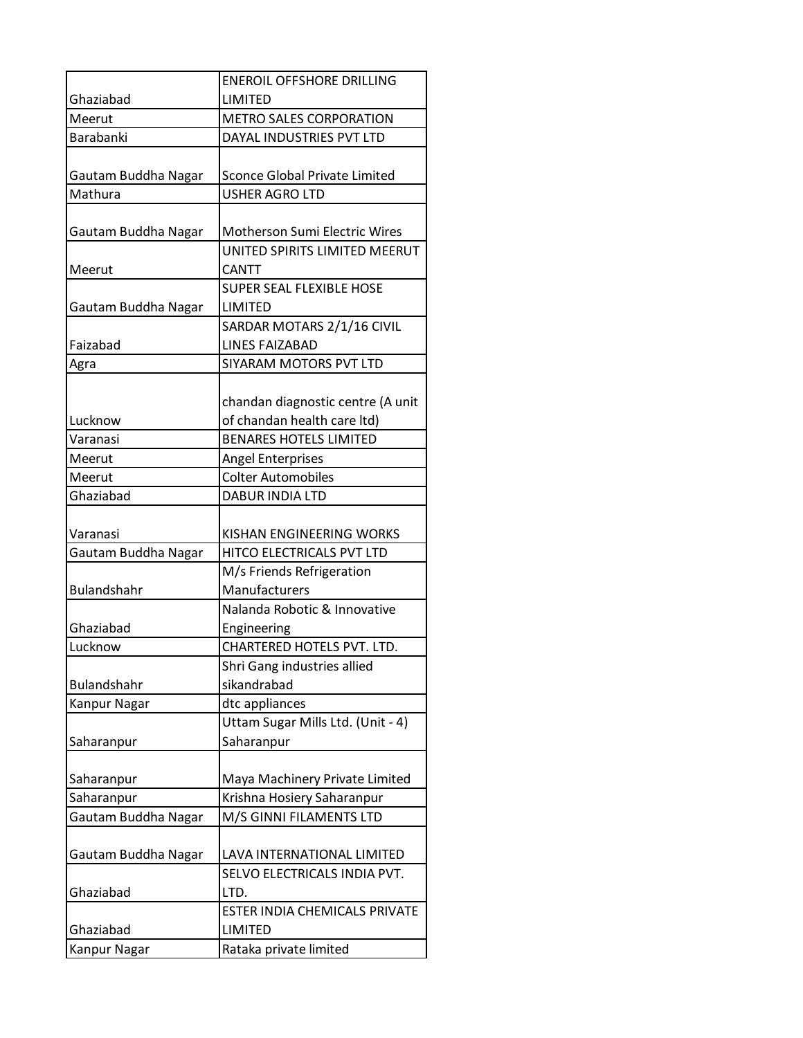|                     | <b>ENEROIL OFFSHORE DRILLING</b>     |
|---------------------|--------------------------------------|
| Ghaziabad           | LIMITED                              |
| Meerut              | <b>METRO SALES CORPORATION</b>       |
| <b>Barabanki</b>    | DAYAL INDUSTRIES PVT LTD             |
|                     |                                      |
| Gautam Buddha Nagar | <b>Sconce Global Private Limited</b> |
| Mathura             | USHER AGRO LTD                       |
|                     |                                      |
| Gautam Buddha Nagar | Motherson Sumi Electric Wires        |
|                     | UNITED SPIRITS LIMITED MEERUT        |
| Meerut              | <b>CANTT</b>                         |
|                     | <b>SUPER SEAL FLEXIBLE HOSE</b>      |
| Gautam Buddha Nagar | LIMITED                              |
|                     | SARDAR MOTARS 2/1/16 CIVIL           |
| Faizabad            | <b>LINES FAIZABAD</b>                |
| Agra                | SIYARAM MOTORS PVT LTD               |
|                     |                                      |
|                     | chandan diagnostic centre (A unit    |
| Lucknow             | of chandan health care ltd)          |
| Varanasi            | <b>BENARES HOTELS LIMITED</b>        |
| Meerut              | <b>Angel Enterprises</b>             |
| Meerut              | <b>Colter Automobiles</b>            |
| Ghaziabad           | <b>DABUR INDIA LTD</b>               |
| Varanasi            | KISHAN ENGINEERING WORKS             |
| Gautam Buddha Nagar | HITCO ELECTRICALS PVT LTD            |
|                     | M/s Friends Refrigeration            |
| <b>Bulandshahr</b>  | Manufacturers                        |
|                     | Nalanda Robotic & Innovative         |
| Ghaziabad           | Engineering                          |
| Lucknow             | <b>CHARTERED HOTELS PVT. LTD.</b>    |
|                     | Shri Gang industries allied          |
| Bulandshahr         | sikandrabad                          |
| Kanpur Nagar        | dtc appliances                       |
|                     | Uttam Sugar Mills Ltd. (Unit - 4)    |
| Saharanpur          | Saharanpur                           |
|                     |                                      |
| Saharanpur          | Maya Machinery Private Limited       |
| Saharanpur          | Krishna Hosiery Saharanpur           |
| Gautam Buddha Nagar | M/S GINNI FILAMENTS LTD              |
|                     |                                      |
| Gautam Buddha Nagar | LAVA INTERNATIONAL LIMITED           |
|                     | SELVO ELECTRICALS INDIA PVT.         |
| Ghaziabad           | LTD.                                 |
|                     | <b>ESTER INDIA CHEMICALS PRIVATE</b> |
| Ghaziabad           | <b>LIMITED</b>                       |
| Kanpur Nagar        | Rataka private limited               |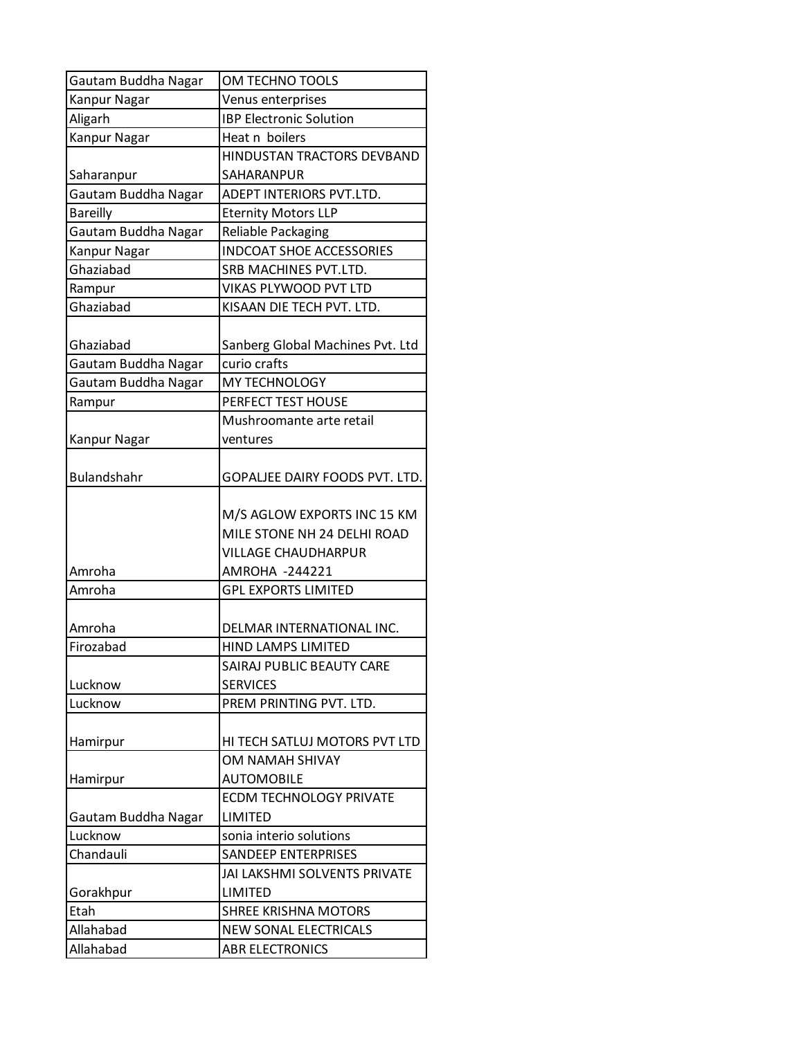| Gautam Buddha Nagar | OM TECHNO TOOLS                  |
|---------------------|----------------------------------|
| Kanpur Nagar        | Venus enterprises                |
| Aligarh             | <b>IBP Electronic Solution</b>   |
| Kanpur Nagar        | Heat n boilers                   |
|                     | HINDUSTAN TRACTORS DEVBAND       |
| Saharanpur          | SAHARANPUR                       |
| Gautam Buddha Nagar | ADEPT INTERIORS PVT.LTD.         |
| <b>Bareilly</b>     | <b>Eternity Motors LLP</b>       |
| Gautam Buddha Nagar | Reliable Packaging               |
| Kanpur Nagar        | <b>INDCOAT SHOE ACCESSORIES</b>  |
| Ghaziabad           | SRB MACHINES PVT.LTD.            |
| Rampur              | VIKAS PLYWOOD PVT LTD            |
| Ghaziabad           | KISAAN DIE TECH PVT. LTD.        |
|                     |                                  |
| Ghaziabad           | Sanberg Global Machines Pvt. Ltd |
| Gautam Buddha Nagar | curio crafts                     |
| Gautam Buddha Nagar | MY TECHNOLOGY                    |
| Rampur              | PERFECT TEST HOUSE               |
|                     | Mushroomante arte retail         |
| <b>Kanpur Nagar</b> | ventures                         |
|                     |                                  |
| <b>Bulandshahr</b>  | GOPALJEE DAIRY FOODS PVT. LTD.   |
|                     |                                  |
|                     | M/S AGLOW EXPORTS INC 15 KM      |
|                     | MILE STONE NH 24 DELHI ROAD      |
|                     | VILLAGE CHAUDHARPUR              |
| Amroha              | AMROHA -244221                   |
| Amroha              | <b>GPL EXPORTS LIMITED</b>       |
|                     |                                  |
| Amroha              | DELMAR INTERNATIONAL INC.        |
| Firozabad           | <b>HIND LAMPS LIMITED</b>        |
|                     | SAIRAJ PUBLIC BEAUTY CARE        |
| Lucknow             | <b>SERVICES</b>                  |
| Lucknow             | PREM PRINTING PVT. LTD.          |
|                     |                                  |
| Hamirpur            | HI TECH SATLUJ MOTORS PVT LTD    |
|                     | <b>OM NAMAH SHIVAY</b>           |
| Hamirpur            | <b>AUTOMOBILE</b>                |
|                     | <b>ECDM TECHNOLOGY PRIVATE</b>   |
| Gautam Buddha Nagar | LIMITED                          |
| Lucknow             | sonia interio solutions          |
| Chandauli           | <b>SANDEEP ENTERPRISES</b>       |
|                     | JAI LAKSHMI SOLVENTS PRIVATE     |
| Gorakhpur           | LIMITED                          |
| Etah                | <b>SHREE KRISHNA MOTORS</b>      |
| Allahabad           | <b>NEW SONAL ELECTRICALS</b>     |
| Allahabad           | <b>ABR ELECTRONICS</b>           |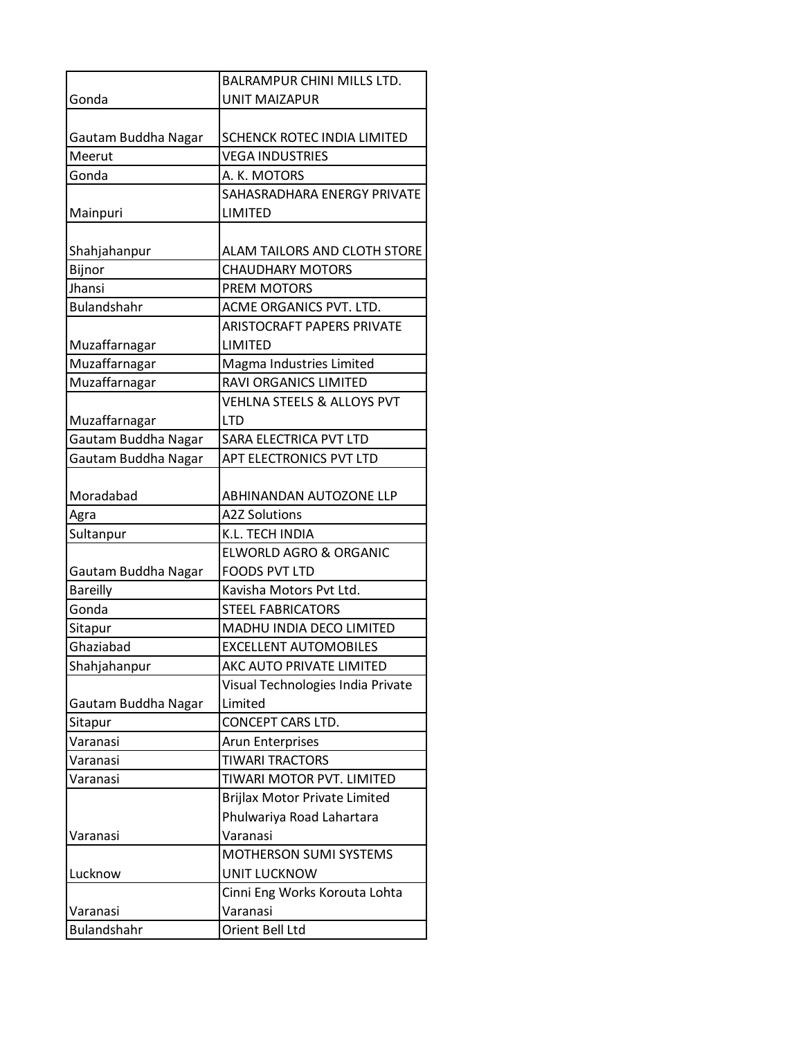|                     | <b>BALRAMPUR CHINI MILLS LTD.</b>     |
|---------------------|---------------------------------------|
| Gonda               | <b>UNIT MAIZAPUR</b>                  |
|                     |                                       |
| Gautam Buddha Nagar | SCHENCK ROTEC INDIA LIMITED           |
| Meerut              | <b>VEGA INDUSTRIES</b>                |
| Gonda               | A. K. MOTORS                          |
|                     | SAHASRADHARA ENERGY PRIVATE           |
| Mainpuri            | LIMITED                               |
|                     |                                       |
| Shahjahanpur        | ALAM TAILORS AND CLOTH STORE          |
| Bijnor              | <b>CHAUDHARY MOTORS</b>               |
| Jhansi              | PREM MOTORS                           |
| <b>Bulandshahr</b>  | ACME ORGANICS PVT. LTD.               |
|                     | <b>ARISTOCRAFT PAPERS PRIVATE</b>     |
| Muzaffarnagar       | LIMITED                               |
| Muzaffarnagar       | Magma Industries Limited              |
| Muzaffarnagar       | <b>RAVI ORGANICS LIMITED</b>          |
|                     | <b>VEHLNA STEELS &amp; ALLOYS PVT</b> |
| Muzaffarnagar       | <b>LTD</b>                            |
| Gautam Buddha Nagar | SARA ELECTRICA PVT LTD                |
| Gautam Buddha Nagar | APT ELECTRONICS PVT LTD               |
|                     |                                       |
| Moradabad           | ABHINANDAN AUTOZONE LLP               |
| Agra                | <b>A2Z Solutions</b>                  |
| Sultanpur           | K.L. TECH INDIA                       |
|                     | <b>ELWORLD AGRO &amp; ORGANIC</b>     |
| Gautam Buddha Nagar | <b>FOODS PVT LTD</b>                  |
| <b>Bareilly</b>     | Kavisha Motors Pvt Ltd.               |
| Gonda               | <b>STEEL FABRICATORS</b>              |
| Sitapur             | MADHU INDIA DECO LIMITED              |
| Ghaziabad           | <b>EXCELLENT AUTOMOBILES</b>          |
| Shahjahanpur        | AKC AUTO PRIVATE LIMITED              |
|                     | Visual Technologies India Private     |
| Gautam Buddha Nagar | Limited                               |
| Sitapur             | CONCEPT CARS LTD.                     |
| Varanasi            | Arun Enterprises                      |
| Varanasi            | <b>TIWARI TRACTORS</b>                |
| Varanasi            | TIWARI MOTOR PVT. LIMITED             |
|                     | <b>Brijlax Motor Private Limited</b>  |
|                     | Phulwariya Road Lahartara             |
| Varanasi            | Varanasi                              |
|                     | MOTHERSON SUMI SYSTEMS                |
| Lucknow             | <b>UNIT LUCKNOW</b>                   |
|                     | Cinni Eng Works Korouta Lohta         |
| Varanasi            | Varanasi                              |
| <b>Bulandshahr</b>  | Orient Bell Ltd                       |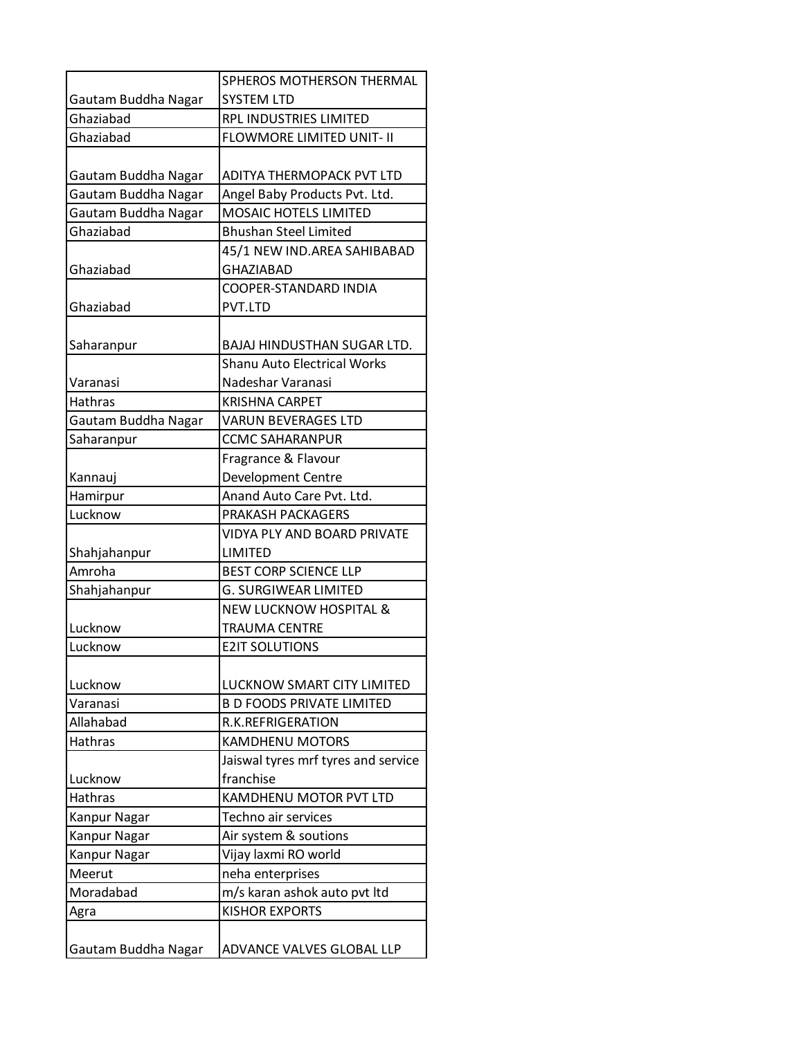|                     | SPHEROS MOTHERSON THERMAL           |
|---------------------|-------------------------------------|
| Gautam Buddha Nagar | <b>SYSTEM LTD</b>                   |
| Ghaziabad           | RPL INDUSTRIES LIMITED              |
| Ghaziabad           | <b>FLOWMORE LIMITED UNIT- II</b>    |
|                     |                                     |
| Gautam Buddha Nagar | ADITYA THERMOPACK PVT LTD           |
| Gautam Buddha Nagar | Angel Baby Products Pvt. Ltd.       |
| Gautam Buddha Nagar | MOSAIC HOTELS LIMITED               |
| Ghaziabad           | <b>Bhushan Steel Limited</b>        |
|                     | 45/1 NEW IND.AREA SAHIBABAD         |
| Ghaziabad           | <b>GHAZIABAD</b>                    |
|                     | COOPER-STANDARD INDIA               |
| Ghaziabad           | PVT.LTD                             |
|                     |                                     |
| Saharanpur          | BAJAJ HINDUSTHAN SUGAR LTD.         |
|                     | <b>Shanu Auto Electrical Works</b>  |
| Varanasi            | Nadeshar Varanasi                   |
| <b>Hathras</b>      | <b>KRISHNA CARPET</b>               |
| Gautam Buddha Nagar | <b>VARUN BEVERAGES LTD</b>          |
| Saharanpur          | <b>CCMC SAHARANPUR</b>              |
|                     | Fragrance & Flavour                 |
| Kannauj             | <b>Development Centre</b>           |
| Hamirpur            | Anand Auto Care Pvt. Ltd.           |
| Lucknow             | PRAKASH PACKAGERS                   |
|                     | <b>VIDYA PLY AND BOARD PRIVATE</b>  |
| Shahjahanpur        | LIMITED                             |
| Amroha              | <b>BEST CORP SCIENCE LLP</b>        |
| Shahjahanpur        | <b>G. SURGIWEAR LIMITED</b>         |
|                     | <b>NEW LUCKNOW HOSPITAL &amp;</b>   |
| Lucknow             | <b>TRAUMA CENTRE</b>                |
| Lucknow             | <b>E2IT SOLUTIONS</b>               |
|                     |                                     |
| Lucknow             | LUCKNOW SMART CITY LIMITED          |
| Varanasi            | <b>B D FOODS PRIVATE LIMITED</b>    |
| Allahabad           | R.K.REFRIGERATION                   |
| <b>Hathras</b>      | <b>KAMDHENU MOTORS</b>              |
|                     | Jaiswal tyres mrf tyres and service |
| Lucknow             | franchise                           |
| <b>Hathras</b>      | <b>KAMDHENU MOTOR PVT LTD</b>       |
| Kanpur Nagar        | Techno air services                 |
| Kanpur Nagar        | Air system & soutions               |
| Kanpur Nagar        | Vijay laxmi RO world                |
| Meerut              | neha enterprises                    |
| Moradabad           | m/s karan ashok auto pvt ltd        |
| Agra                | <b>KISHOR EXPORTS</b>               |
|                     |                                     |
| Gautam Buddha Nagar | ADVANCE VALVES GLOBAL LLP           |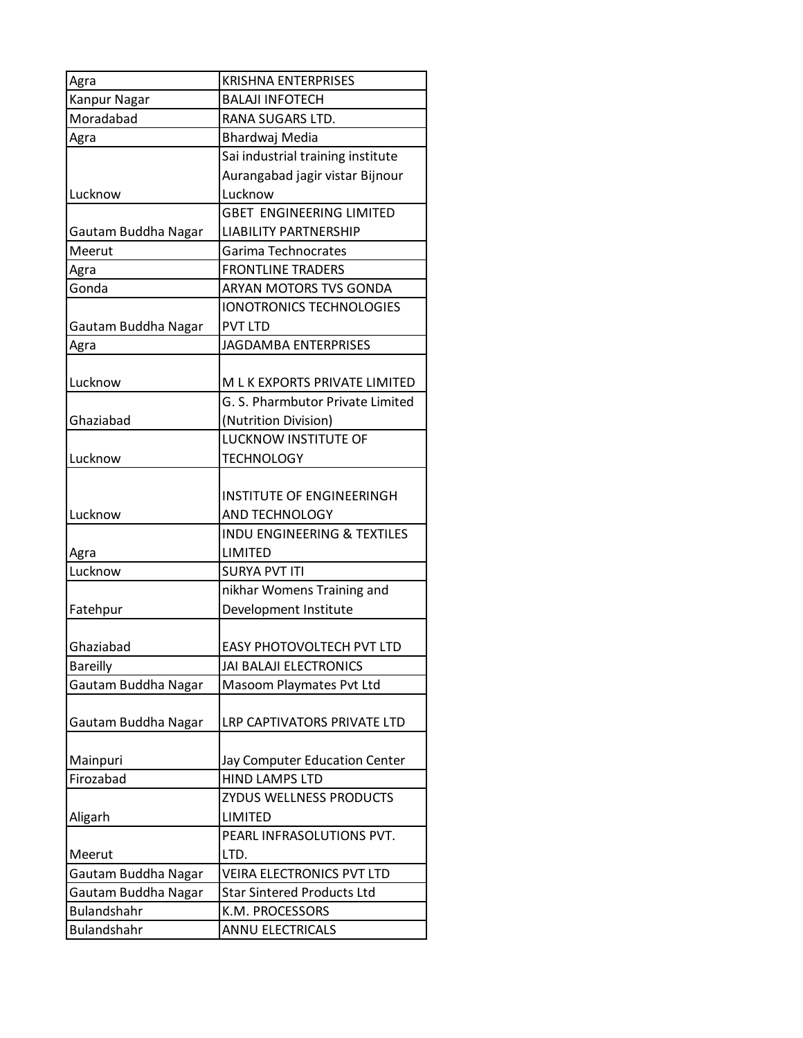| Agra                | <b>KRISHNA ENTERPRISES</b>             |
|---------------------|----------------------------------------|
| <b>Kanpur Nagar</b> | <b>BALAJI INFOTECH</b>                 |
| Moradabad           | RANA SUGARS LTD.                       |
| Agra                | Bhardwaj Media                         |
|                     | Sai industrial training institute      |
|                     | Aurangabad jagir vistar Bijnour        |
| Lucknow             | Lucknow                                |
|                     | <b>GBET ENGINEERING LIMITED</b>        |
| Gautam Buddha Nagar | <b>LIABILITY PARTNERSHIP</b>           |
| Meerut              | Garima Technocrates                    |
| Agra                | <b>FRONTLINE TRADERS</b>               |
| Gonda               | ARYAN MOTORS TVS GONDA                 |
|                     | <b>IONOTRONICS TECHNOLOGIES</b>        |
| Gautam Buddha Nagar | <b>PVT LTD</b>                         |
| Agra                | <b>JAGDAMBA ENTERPRISES</b>            |
|                     |                                        |
| Lucknow             | M L K EXPORTS PRIVATE LIMITED          |
|                     | G. S. Pharmbutor Private Limited       |
| Ghaziabad           | (Nutrition Division)                   |
|                     | <b>LUCKNOW INSTITUTE OF</b>            |
| Lucknow             | <b>TECHNOLOGY</b>                      |
|                     |                                        |
|                     | <b>INSTITUTE OF ENGINEERINGH</b>       |
| Lucknow             | AND TECHNOLOGY                         |
|                     | <b>INDU ENGINEERING &amp; TEXTILES</b> |
| Agra                | LIMITED                                |
| Lucknow             | <b>SURYA PVT ITI</b>                   |
|                     | nikhar Womens Training and             |
| Fatehpur            | Development Institute                  |
|                     |                                        |
| Ghaziabad           | <b>EASY PHOTOVOLTECH PVT LTD</b>       |
| <b>Bareilly</b>     | JAI BALAJI ELECTRONICS                 |
| Gautam Buddha Nagar | Masoom Playmates Pvt Ltd               |
|                     |                                        |
| Gautam Buddha Nagar | LRP CAPTIVATORS PRIVATE LTD            |
|                     |                                        |
| Mainpuri            | Jay Computer Education Center          |
| Firozabad           | <b>HIND LAMPS LTD</b>                  |
|                     | ZYDUS WELLNESS PRODUCTS                |
| Aligarh             | LIMITED                                |
|                     | PEARL INFRASOLUTIONS PVT.              |
| Meerut              | LTD.                                   |
| Gautam Buddha Nagar | <b>VEIRA ELECTRONICS PVT LTD</b>       |
| Gautam Buddha Nagar | <b>Star Sintered Products Ltd</b>      |
| Bulandshahr         | K.M. PROCESSORS                        |
| Bulandshahr         | ANNU ELECTRICALS                       |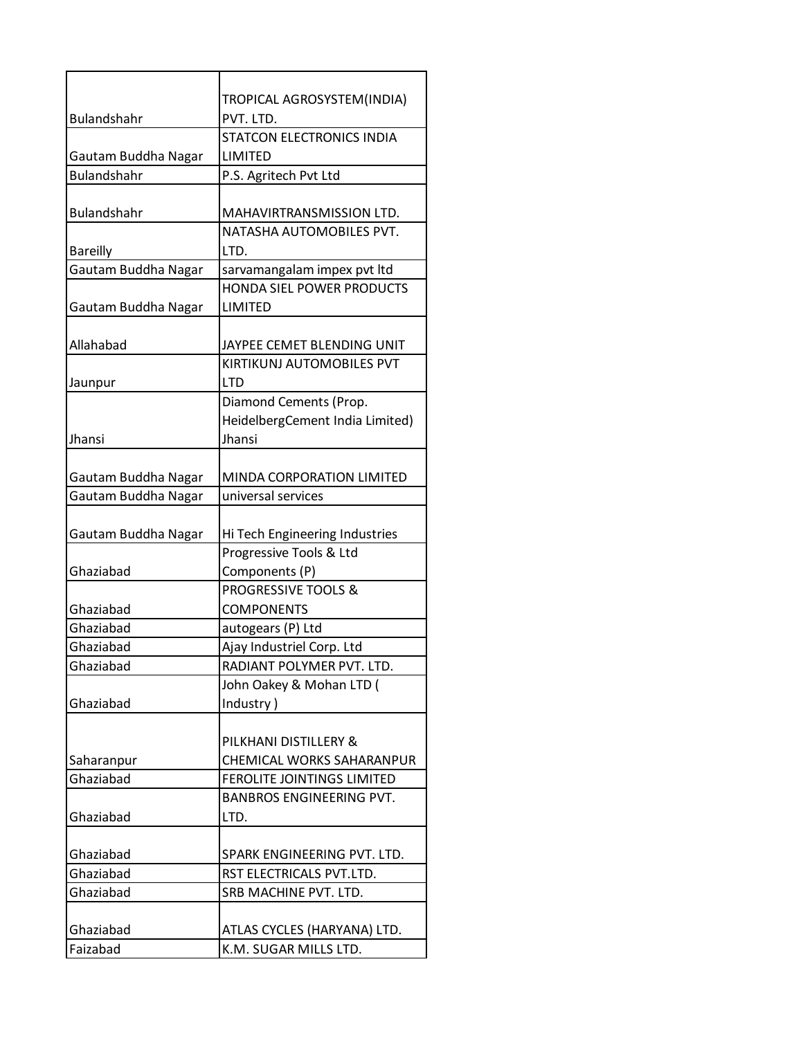|                     | TROPICAL AGROSYSTEM(INDIA)       |
|---------------------|----------------------------------|
| Bulandshahr         | PVT. LTD.                        |
|                     | STATCON ELECTRONICS INDIA        |
| Gautam Buddha Nagar | LIMITED                          |
| <b>Bulandshahr</b>  | P.S. Agritech Pvt Ltd            |
|                     |                                  |
| Bulandshahr         | MAHAVIRTRANSMISSION LTD.         |
|                     | NATASHA AUTOMOBILES PVT.         |
| <b>Bareilly</b>     | LTD.                             |
| Gautam Buddha Nagar | sarvamangalam impex pvt ltd      |
|                     | <b>HONDA SIEL POWER PRODUCTS</b> |
| Gautam Buddha Nagar | LIMITED                          |
|                     |                                  |
| Allahabad           | JAYPEE CEMET BLENDING UNIT       |
|                     | KIRTIKUNJ AUTOMOBILES PVT        |
| Jaunpur             | <b>LTD</b>                       |
|                     | Diamond Cements (Prop.           |
|                     | HeidelbergCement India Limited)  |
| <b>Jhansi</b>       | Jhansi                           |
|                     |                                  |
| Gautam Buddha Nagar | MINDA CORPORATION LIMITED        |
| Gautam Buddha Nagar | universal services               |
|                     |                                  |
| Gautam Buddha Nagar | Hi Tech Engineering Industries   |
|                     | Progressive Tools & Ltd          |
| Ghaziabad           | Components (P)                   |
|                     | <b>PROGRESSIVE TOOLS &amp;</b>   |
| Ghaziabad           | <b>COMPONENTS</b>                |
| Ghaziabad           | autogears (P) Ltd                |
| Ghaziabad           | Ajay Industriel Corp. Ltd        |
| Ghaziabad           | RADIANT POLYMER PVT. LTD.        |
|                     | John Oakey & Mohan LTD (         |
| Ghaziabad           | Industry)                        |
|                     |                                  |
|                     | PILKHANI DISTILLERY &            |
| Saharanpur          | CHEMICAL WORKS SAHARANPUR        |
| Ghaziabad           | FEROLITE JOINTINGS LIMITED       |
|                     | <b>BANBROS ENGINEERING PVT.</b>  |
| Ghaziabad           | LTD.                             |
|                     |                                  |
| Ghaziabad           | SPARK ENGINEERING PVT. LTD.      |
| Ghaziabad           | RST ELECTRICALS PVT.LTD.         |
| Ghaziabad           | SRB MACHINE PVT. LTD.            |
|                     |                                  |
| Ghaziabad           | ATLAS CYCLES (HARYANA) LTD.      |
| Faizabad            | K.M. SUGAR MILLS LTD.            |
|                     |                                  |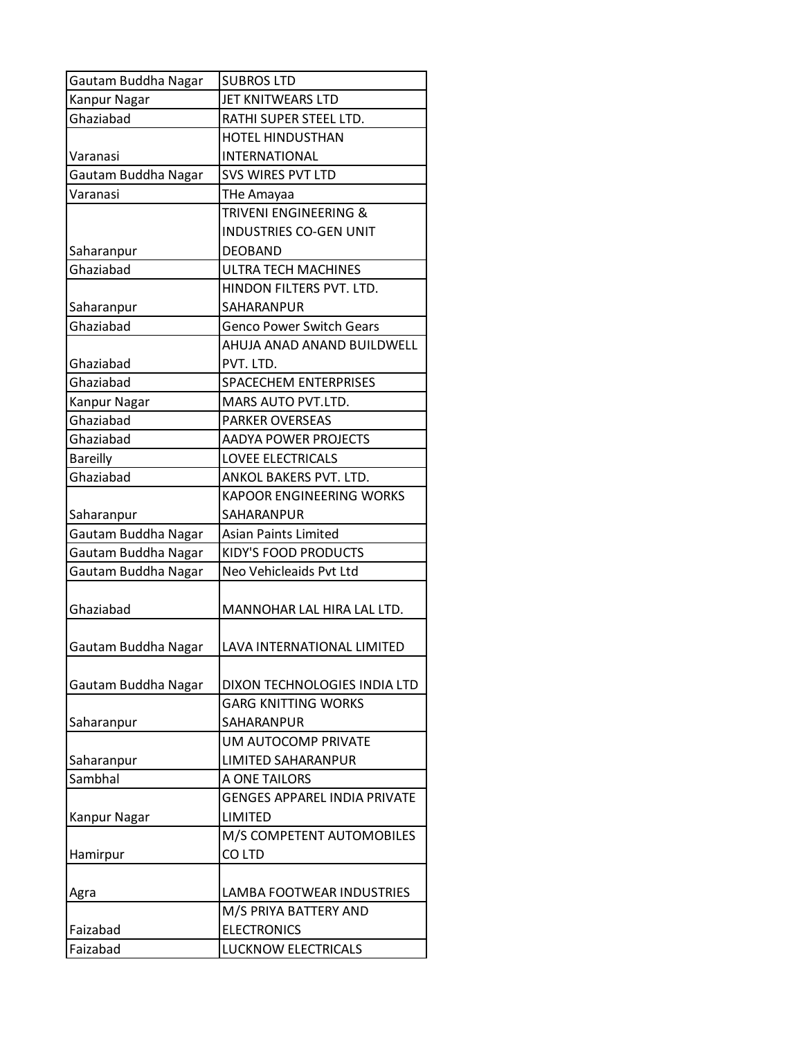| Gautam Buddha Nagar | <b>SUBROS LTD</b>                   |
|---------------------|-------------------------------------|
| Kanpur Nagar        | JET KNITWEARS LTD                   |
| Ghaziabad           | RATHI SUPER STEEL LTD.              |
|                     | <b>HOTEL HINDUSTHAN</b>             |
| Varanasi            | <b>INTERNATIONAL</b>                |
| Gautam Buddha Nagar | <b>SVS WIRES PVT LTD</b>            |
| Varanasi            | THe Amayaa                          |
|                     | TRIVENI ENGINEERING &               |
|                     | <b>INDUSTRIES CO-GEN UNIT</b>       |
| Saharanpur          | <b>DEOBAND</b>                      |
| Ghaziabad           | <b>ULTRA TECH MACHINES</b>          |
|                     | HINDON FILTERS PVT. LTD.            |
| Saharanpur          | SAHARANPUR                          |
| Ghaziabad           | <b>Genco Power Switch Gears</b>     |
|                     | AHUJA ANAD ANAND BUILDWELL          |
| Ghaziabad           | PVT. LTD.                           |
| Ghaziabad           | <b>SPACECHEM ENTERPRISES</b>        |
| Kanpur Nagar        | MARS AUTO PVT.LTD.                  |
| Ghaziabad           | <b>PARKER OVERSEAS</b>              |
| Ghaziabad           | <b>AADYA POWER PROJECTS</b>         |
| <b>Bareilly</b>     | <b>LOVEE ELECTRICALS</b>            |
| Ghaziabad           | ANKOL BAKERS PVT. LTD.              |
|                     | <b>KAPOOR ENGINEERING WORKS</b>     |
| Saharanpur          | SAHARANPUR                          |
| Gautam Buddha Nagar | <b>Asian Paints Limited</b>         |
| Gautam Buddha Nagar | <b>KIDY'S FOOD PRODUCTS</b>         |
| Gautam Buddha Nagar | Neo Vehicleaids Pvt Ltd             |
|                     |                                     |
| Ghaziabad           | MANNOHAR LAL HIRA LAL LTD.          |
|                     |                                     |
| Gautam Buddha Nagar | LAVA INTERNATIONAL LIMITED          |
|                     |                                     |
| Gautam Buddha Nagar | DIXON TECHNOLOGIES INDIA LTD        |
|                     | <b>GARG KNITTING WORKS</b>          |
| Saharanpur          | SAHARANPUR                          |
|                     | UM AUTOCOMP PRIVATE                 |
| Saharanpur          | <b>LIMITED SAHARANPUR</b>           |
| Sambhal             | A ONE TAILORS                       |
|                     | <b>GENGES APPAREL INDIA PRIVATE</b> |
| <b>Kanpur Nagar</b> | LIMITED                             |
|                     | M/S COMPETENT AUTOMOBILES           |
| Hamirpur            | CO LTD                              |
|                     |                                     |
| Agra                | LAMBA FOOTWEAR INDUSTRIES           |
|                     | M/S PRIYA BATTERY AND               |
| Faizabad            | <b>ELECTRONICS</b>                  |
| Faizabad            | <b>LUCKNOW ELECTRICALS</b>          |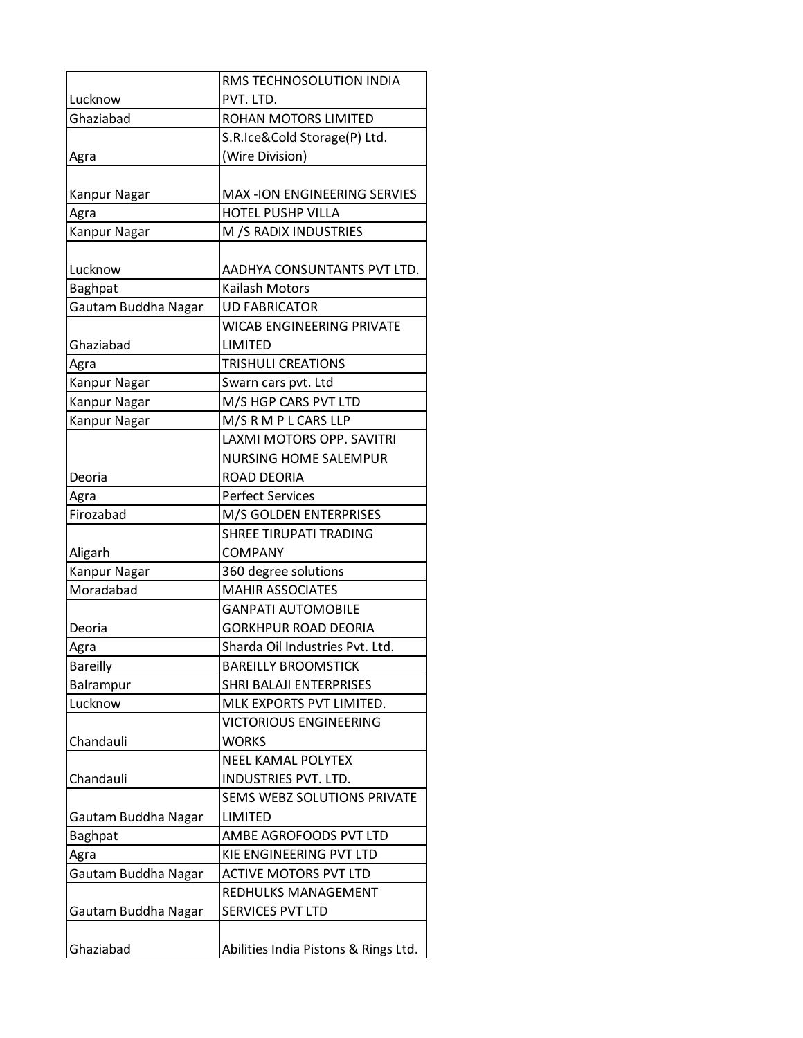|                         | RMS TECHNOSOLUTION INDIA                        |
|-------------------------|-------------------------------------------------|
| Lucknow                 | PVT. LTD.                                       |
| Ghaziabad               | <b>ROHAN MOTORS LIMITED</b>                     |
|                         | S.R.Ice&Cold Storage(P) Ltd.                    |
| Agra                    | (Wire Division)                                 |
|                         |                                                 |
| Kanpur Nagar            | <b>MAX-ION ENGINEERING SERVIES</b>              |
| Agra                    | <b>HOTEL PUSHP VILLA</b>                        |
| Kanpur Nagar            | M /S RADIX INDUSTRIES                           |
|                         |                                                 |
| Lucknow                 | AADHYA CONSUNTANTS PVT LTD.                     |
| <b>Baghpat</b>          | Kailash Motors                                  |
| Gautam Buddha Nagar     | <b>UD FABRICATOR</b>                            |
|                         | <b>WICAB ENGINEERING PRIVATE</b>                |
| Ghaziabad               | LIMITED                                         |
| Agra                    | <b>TRISHULI CREATIONS</b>                       |
| Kanpur Nagar            | Swarn cars pvt. Ltd                             |
| Kanpur Nagar            | M/S HGP CARS PVT LTD                            |
| Kanpur Nagar            | M/S R M P L CARS LLP                            |
|                         | LAXMI MOTORS OPP. SAVITRI                       |
|                         | <b>NURSING HOME SALEMPUR</b>                    |
| Deoria                  | ROAD DEORIA                                     |
| Agra<br>Firozabad       | <b>Perfect Services</b>                         |
|                         | M/S GOLDEN ENTERPRISES                          |
|                         | <b>SHREE TIRUPATI TRADING</b><br><b>COMPANY</b> |
| Aligarh<br>Kanpur Nagar | 360 degree solutions                            |
| Moradabad               | <b>MAHIR ASSOCIATES</b>                         |
|                         | <b>GANPATI AUTOMOBILE</b>                       |
| Deoria                  | <b>GORKHPUR ROAD DEORIA</b>                     |
| Agra                    | Sharda Oil Industries Pvt. Ltd.                 |
| <b>Bareilly</b>         | <b>BAREILLY BROOMSTICK</b>                      |
| Balrampur               | <b>SHRI BALAJI ENTERPRISES</b>                  |
| Lucknow                 | MLK EXPORTS PVT LIMITED.                        |
|                         | <b>VICTORIOUS ENGINEERING</b>                   |
| Chandauli               | <b>WORKS</b>                                    |
|                         | <b>NEEL KAMAL POLYTEX</b>                       |
| Chandauli               | INDUSTRIES PVT. LTD.                            |
|                         | SEMS WEBZ SOLUTIONS PRIVATE                     |
| Gautam Buddha Nagar     | LIMITED                                         |
| Baghpat                 | AMBE AGROFOODS PVT LTD                          |
| Agra                    | KIE ENGINEERING PVT LTD                         |
| Gautam Buddha Nagar     | <b>ACTIVE MOTORS PVT LTD</b>                    |
|                         | REDHULKS MANAGEMENT                             |
| Gautam Buddha Nagar     | SERVICES PVT LTD                                |
|                         |                                                 |
| Ghaziabad               | Abilities India Pistons & Rings Ltd.            |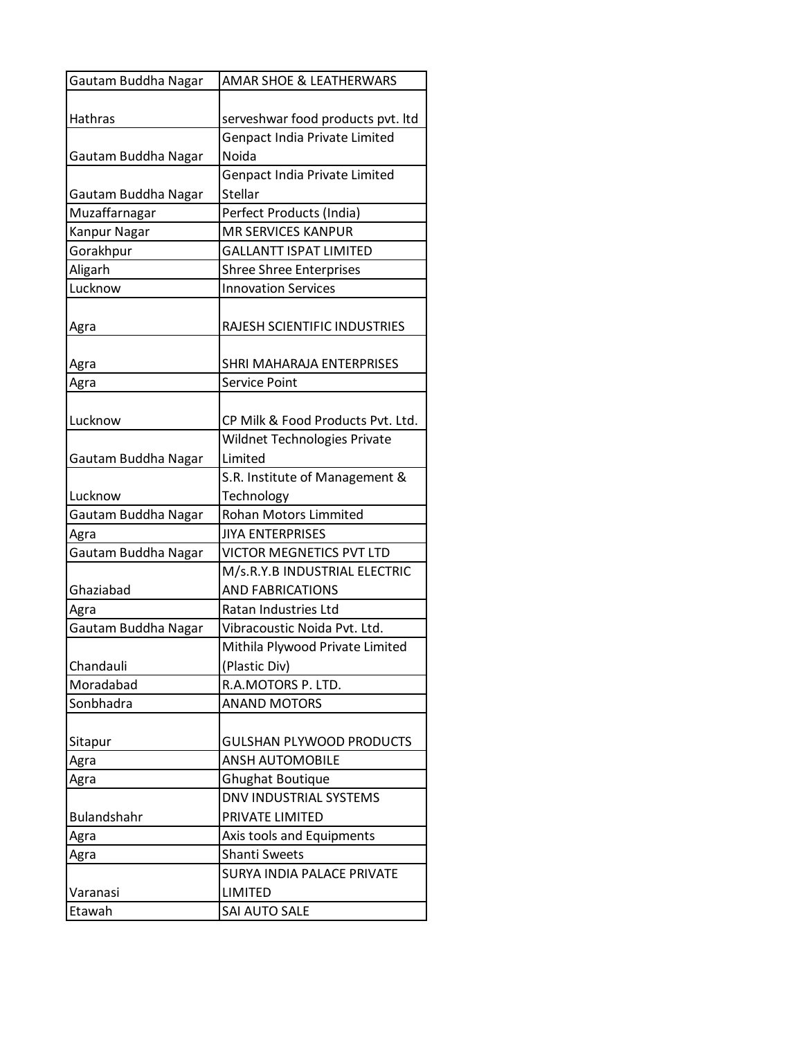| Gautam Buddha Nagar | <b>AMAR SHOE &amp; LEATHERWARS</b>   |
|---------------------|--------------------------------------|
|                     |                                      |
| Hathras             | serveshwar food products pvt. Itd    |
|                     | <b>Genpact India Private Limited</b> |
| Gautam Buddha Nagar | Noida                                |
|                     | Genpact India Private Limited        |
| Gautam Buddha Nagar | Stellar                              |
| Muzaffarnagar       | Perfect Products (India)             |
| Kanpur Nagar        | <b>MR SERVICES KANPUR</b>            |
| Gorakhpur           | <b>GALLANTT ISPAT LIMITED</b>        |
| Aligarh             | <b>Shree Shree Enterprises</b>       |
| Lucknow             | <b>Innovation Services</b>           |
|                     |                                      |
| Agra                | RAJESH SCIENTIFIC INDUSTRIES         |
|                     |                                      |
| Agra                | SHRI MAHARAJA ENTERPRISES            |
| Agra                | Service Point                        |
|                     |                                      |
| Lucknow             | CP Milk & Food Products Pvt. Ltd.    |
|                     | Wildnet Technologies Private         |
| Gautam Buddha Nagar | Limited                              |
|                     | S.R. Institute of Management &       |
| Lucknow             | Technology                           |
| Gautam Buddha Nagar | <b>Rohan Motors Limmited</b>         |
| Agra                | JIYA ENTERPRISES                     |
| Gautam Buddha Nagar | <b>VICTOR MEGNETICS PVT LTD</b>      |
|                     | M/s.R.Y.B INDUSTRIAL ELECTRIC        |
| Ghaziabad           | <b>AND FABRICATIONS</b>              |
| Agra                | Ratan Industries Ltd                 |
| Gautam Buddha Nagar | Vibracoustic Noida Pvt. Ltd.         |
|                     | Mithila Plywood Private Limited      |
| Chandauli           | (Plastic Div)                        |
| Moradabad           | R.A.MOTORS P. LTD.                   |
| Sonbhadra           | <b>ANAND MOTORS</b>                  |
|                     |                                      |
| Sitapur             | <b>GULSHAN PLYWOOD PRODUCTS</b>      |
| Agra                | <b>ANSH AUTOMOBILE</b>               |
| Agra                | <b>Ghughat Boutique</b>              |
|                     | <b>DNV INDUSTRIAL SYSTEMS</b>        |
| <b>Bulandshahr</b>  | PRIVATE LIMITED                      |
| Agra                | Axis tools and Equipments            |
| Agra                | <b>Shanti Sweets</b>                 |
|                     | <b>SURYA INDIA PALACE PRIVATE</b>    |
| Varanasi            | <b>LIMITED</b>                       |
| Etawah              | SAI AUTO SALE                        |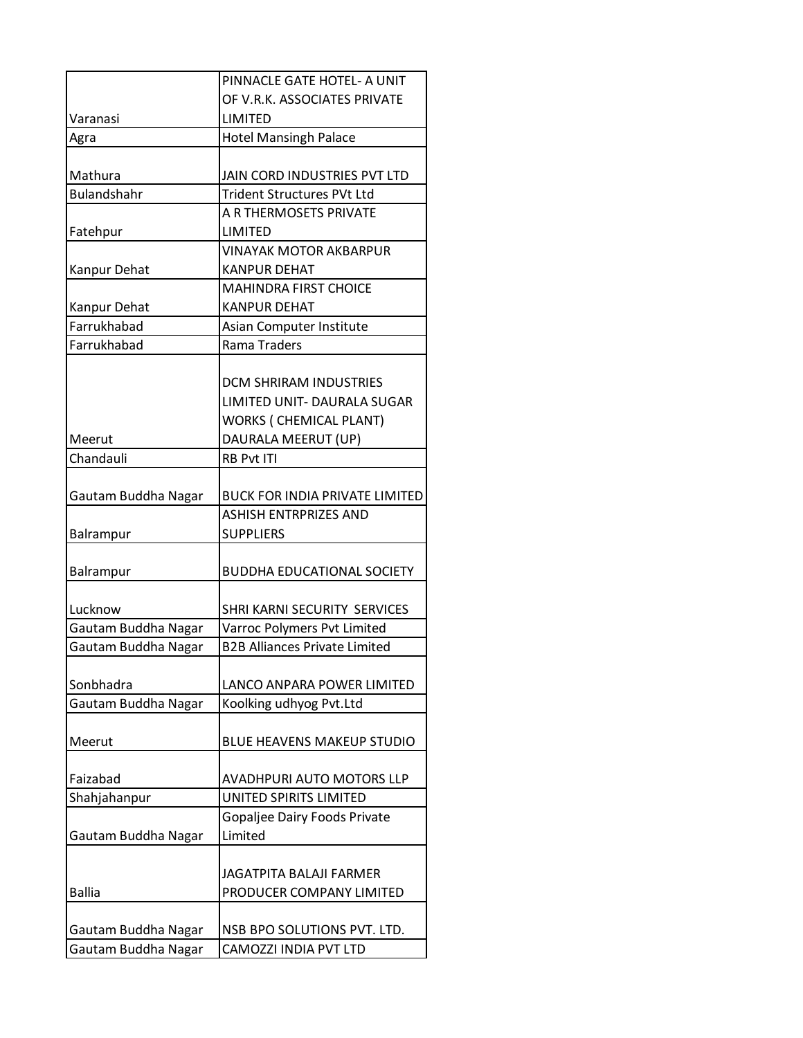|                     | PINNACLE GATE HOTEL- A UNIT           |
|---------------------|---------------------------------------|
|                     | OF V.R.K. ASSOCIATES PRIVATE          |
| Varanasi            | LIMITED                               |
| Agra                | <b>Hotel Mansingh Palace</b>          |
|                     |                                       |
| Mathura             | JAIN CORD INDUSTRIES PVT LTD          |
| <b>Bulandshahr</b>  | <b>Trident Structures PVt Ltd</b>     |
|                     | A R THERMOSETS PRIVATE                |
| Fatehpur            | LIMITED                               |
|                     | <b>VINAYAK MOTOR AKBARPUR</b>         |
| Kanpur Dehat        | <b>KANPUR DEHAT</b>                   |
|                     | <b>MAHINDRA FIRST CHOICE</b>          |
| Kanpur Dehat        | <b>KANPUR DEHAT</b>                   |
| Farrukhabad         | Asian Computer Institute              |
| Farrukhabad         | Rama Traders                          |
|                     |                                       |
|                     | <b>DCM SHRIRAM INDUSTRIES</b>         |
|                     | LIMITED UNIT- DAURALA SUGAR           |
|                     | <b>WORKS ( CHEMICAL PLANT)</b>        |
| Meerut              | DAURALA MEERUT (UP)                   |
| Chandauli           | <b>RB Pvt ITI</b>                     |
|                     |                                       |
| Gautam Buddha Nagar | <b>BUCK FOR INDIA PRIVATE LIMITED</b> |
|                     | <b>ASHISH ENTRPRIZES AND</b>          |
| Balrampur           | <b>SUPPLIERS</b>                      |
|                     |                                       |
| Balrampur           | <b>BUDDHA EDUCATIONAL SOCIETY</b>     |
|                     |                                       |
| Lucknow             | SHRI KARNI SECURITY SERVICES          |
| Gautam Buddha Nagar | Varroc Polymers Pvt Limited           |
| Gautam Buddha Nagar | <b>B2B Alliances Private Limited</b>  |
|                     |                                       |
| Sonbhadra           | LANCO ANPARA POWER LIMITED            |
| Gautam Buddha Nagar | Koolking udhyog Pvt.Ltd               |
| Meerut              | <b>BLUE HEAVENS MAKEUP STUDIO</b>     |
|                     |                                       |
| Faizabad            | <b>AVADHPURI AUTO MOTORS LLP</b>      |
| Shahjahanpur        | UNITED SPIRITS LIMITED                |
|                     | Gopaljee Dairy Foods Private          |
| Gautam Buddha Nagar | Limited                               |
|                     |                                       |
|                     | <b>JAGATPITA BALAJI FARMER</b>        |
| <b>Ballia</b>       | PRODUCER COMPANY LIMITED              |
|                     |                                       |
|                     | NSB BPO SOLUTIONS PVT. LTD.           |
| Gautam Buddha Nagar |                                       |
| Gautam Buddha Nagar | CAMOZZI INDIA PVT LTD                 |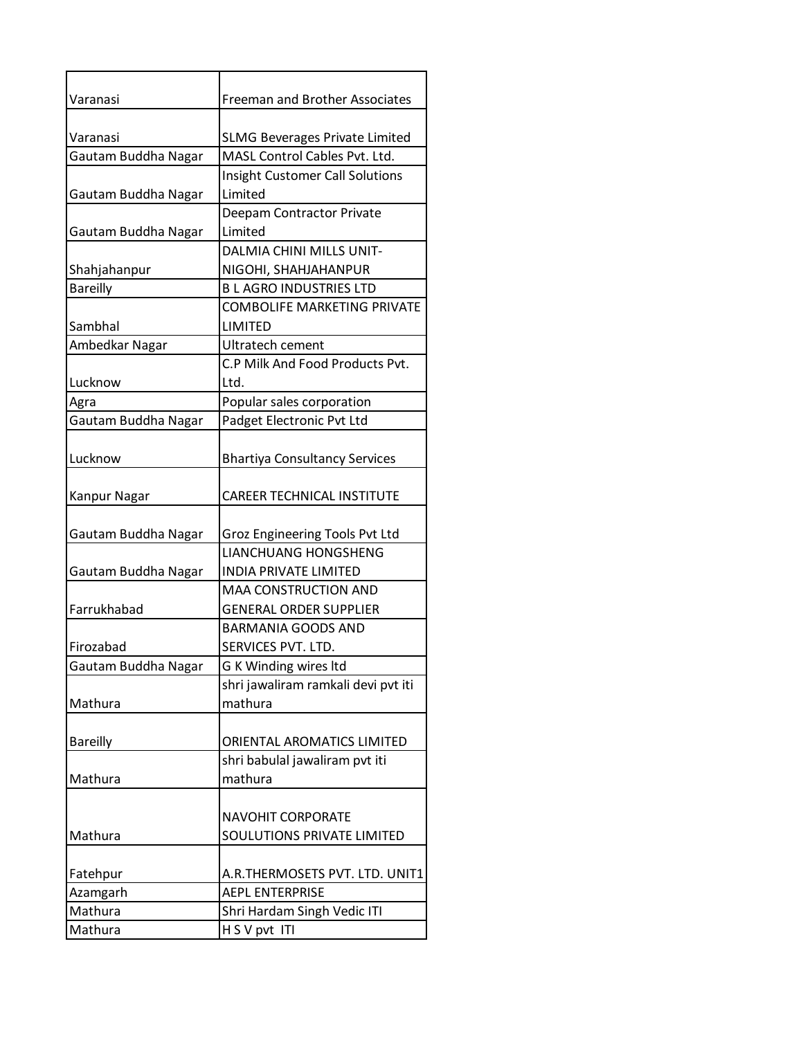| Varanasi            | <b>Freeman and Brother Associates</b>                                  |
|---------------------|------------------------------------------------------------------------|
| Varanasi            |                                                                        |
|                     | <b>SLMG Beverages Private Limited</b><br>MASL Control Cables Pvt. Ltd. |
| Gautam Buddha Nagar |                                                                        |
|                     | Insight Customer Call Solutions<br>Limited                             |
| Gautam Buddha Nagar | Deepam Contractor Private                                              |
| Gautam Buddha Nagar | Limited                                                                |
|                     | <b>DALMIA CHINI MILLS UNIT-</b>                                        |
| Shahjahanpur        | NIGOHI, SHAHJAHANPUR                                                   |
| <b>Bareilly</b>     | <b>BLAGRO INDUSTRIES LTD</b>                                           |
|                     | <b>COMBOLIFE MARKETING PRIVATE</b>                                     |
| Sambhal             | <b>LIMITED</b>                                                         |
| Ambedkar Nagar      | Ultratech cement                                                       |
|                     | C.P Milk And Food Products Pvt.                                        |
| Lucknow             | Ltd.                                                                   |
| Agra                | Popular sales corporation                                              |
| Gautam Buddha Nagar | Padget Electronic Pvt Ltd                                              |
|                     |                                                                        |
| Lucknow             | <b>Bhartiya Consultancy Services</b>                                   |
|                     |                                                                        |
| Kanpur Nagar        | <b>CAREER TECHNICAL INSTITUTE</b>                                      |
|                     |                                                                        |
| Gautam Buddha Nagar | Groz Engineering Tools Pvt Ltd                                         |
|                     | LIANCHUANG HONGSHENG                                                   |
| Gautam Buddha Nagar | <b>INDIA PRIVATE LIMITED</b>                                           |
|                     | <b>MAA CONSTRUCTION AND</b>                                            |
| Farrukhabad         | <b>GENERAL ORDER SUPPLIER</b>                                          |
|                     | <b>BARMANIA GOODS AND</b>                                              |
| Firozabad           | SERVICES PVT. LTD.                                                     |
| Gautam Buddha Nagar | G K Winding wires Itd                                                  |
|                     | shri jawaliram ramkali devi pvt iti                                    |
| Mathura             | mathura                                                                |
|                     |                                                                        |
| <b>Bareilly</b>     | ORIENTAL AROMATICS LIMITED                                             |
|                     | shri babulal jawaliram pvt iti                                         |
| Mathura             | mathura                                                                |
|                     |                                                                        |
|                     | NAVOHIT CORPORATE                                                      |
| Mathura             | SOULUTIONS PRIVATE LIMITED                                             |
|                     |                                                                        |
| Fatehpur            | A.R.THERMOSETS PVT. LTD. UNIT1                                         |
| Azamgarh            | <b>AEPL ENTERPRISE</b>                                                 |
| Mathura             | Shri Hardam Singh Vedic ITI                                            |
| Mathura             | H S V pvt ITI                                                          |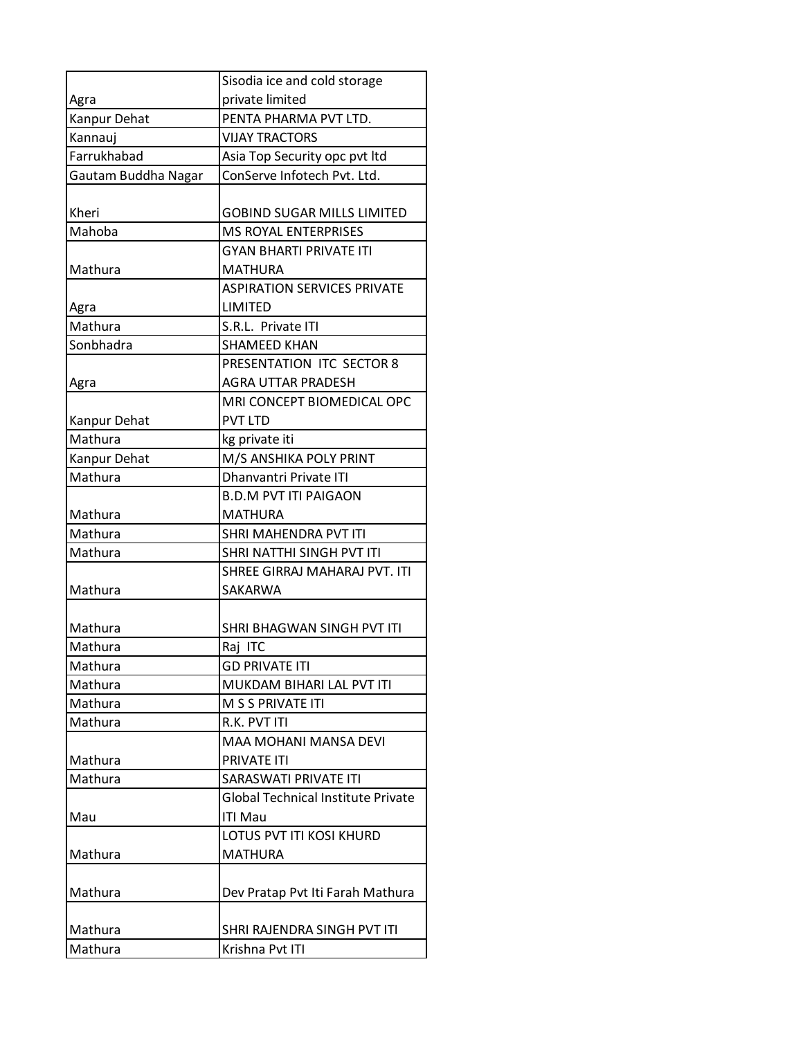|                     | Sisodia ice and cold storage              |
|---------------------|-------------------------------------------|
| Agra                | private limited                           |
| Kanpur Dehat        | PENTA PHARMA PVT LTD.                     |
| Kannauj             | <b>VIJAY TRACTORS</b>                     |
| Farrukhabad         | Asia Top Security opc pvt ltd             |
| Gautam Buddha Nagar | ConServe Infotech Pvt. Ltd.               |
|                     |                                           |
| Kheri               | <b>GOBIND SUGAR MILLS LIMITED</b>         |
| Mahoba              | <b>MS ROYAL ENTERPRISES</b>               |
|                     | <b>GYAN BHARTI PRIVATE ITI</b>            |
| Mathura             | <b>MATHURA</b>                            |
|                     | <b>ASPIRATION SERVICES PRIVATE</b>        |
| Agra                | LIMITED                                   |
| Mathura             | S.R.L. Private ITI                        |
| Sonbhadra           | <b>SHAMEED KHAN</b>                       |
|                     | PRESENTATION ITC SECTOR 8                 |
| Agra                | <b>AGRA UTTAR PRADESH</b>                 |
|                     | MRI CONCEPT BIOMEDICAL OPC                |
| Kanpur Dehat        | <b>PVT LTD</b>                            |
| Mathura             | kg private iti                            |
| Kanpur Dehat        | M/S ANSHIKA POLY PRINT                    |
| Mathura             | Dhanvantri Private ITI                    |
|                     | <b>B.D.M PVT ITI PAIGAON</b>              |
| Mathura             | <b>MATHURA</b>                            |
| Mathura             | SHRI MAHENDRA PVT ITI                     |
| Mathura             | SHRI NATTHI SINGH PVT ITI                 |
|                     | SHREE GIRRAJ MAHARAJ PVT. ITI<br>SAKARWA  |
| Mathura             |                                           |
| Mathura             | SHRI BHAGWAN SINGH PVT ITI                |
| Mathura             | Raj ITC                                   |
| Mathura             | <b>GD PRIVATE ITI</b>                     |
| Mathura             | MUKDAM BIHARI LAL PVT ITI                 |
| Mathura             | M S S PRIVATE ITI                         |
| Mathura             | R.K. PVT ITI                              |
|                     | MAA MOHANI MANSA DEVI                     |
| Mathura             | PRIVATE ITI                               |
| Mathura             | <b>SARASWATI PRIVATE ITI</b>              |
|                     | <b>Global Technical Institute Private</b> |
| Mau                 | <b>ITI Mau</b>                            |
|                     | LOTUS PVT ITI KOSI KHURD                  |
| Mathura             | <b>MATHURA</b>                            |
|                     |                                           |
| Mathura             | Dev Pratap Pvt Iti Farah Mathura          |
|                     |                                           |
| Mathura             | SHRI RAJENDRA SINGH PVT ITI               |
| Mathura             | Krishna Pvt ITI                           |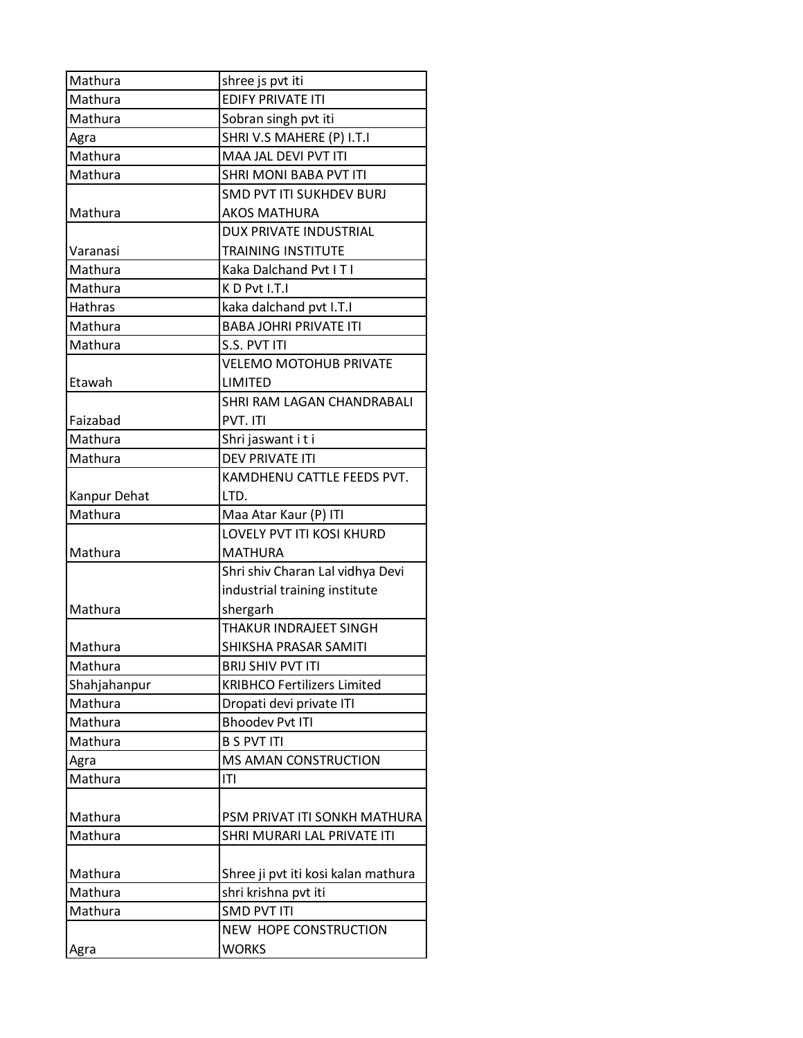| Mathura      | shree js pvt iti                    |
|--------------|-------------------------------------|
| Mathura      | <b>EDIFY PRIVATE ITI</b>            |
| Mathura      | Sobran singh pvt iti                |
| Agra         | SHRI V.S MAHERE (P) I.T.I           |
| Mathura      | MAA JAL DEVI PVT ITI                |
| Mathura      | SHRI MONI BABA PVT ITI              |
|              | <b>SMD PVT ITI SUKHDEV BURJ</b>     |
| Mathura      | <b>AKOS MATHURA</b>                 |
|              | <b>DUX PRIVATE INDUSTRIAL</b>       |
| Varanasi     | <b>TRAINING INSTITUTE</b>           |
| Mathura      | Kaka Dalchand Pvt I T I             |
| Mathura      | KD Pvt I.T.I                        |
| Hathras      | kaka dalchand pvt I.T.I             |
| Mathura      | <b>BABA JOHRI PRIVATE ITI</b>       |
| Mathura      | S.S. PVT ITI                        |
|              | <b>VELEMO MOTOHUB PRIVATE</b>       |
| Etawah       | <b>LIMITED</b>                      |
|              | SHRI RAM LAGAN CHANDRABALI          |
| Faizabad     | PVT. ITI                            |
| Mathura      | Shri jaswant i t i                  |
| Mathura      | <b>DEV PRIVATE ITI</b>              |
|              | KAMDHENU CATTLE FEEDS PVT.          |
| Kanpur Dehat | LTD.                                |
| Mathura      | Maa Atar Kaur (P) ITI               |
|              | LOVELY PVT ITI KOSI KHURD           |
| Mathura      | <b>MATHURA</b>                      |
|              | Shri shiv Charan Lal vidhya Devi    |
|              | industrial training institute       |
| Mathura      | shergarh                            |
|              | <b>THAKUR INDRAJEET SINGH</b>       |
| Mathura      | SHIKSHA PRASAR SAMITI               |
| Mathura      | <b>BRIJ SHIV PVT ITI</b>            |
| Shahjahanpur | <b>KRIBHCO Fertilizers Limited</b>  |
| Mathura      | Dropati devi private ITI            |
| Mathura      | <b>Bhoodev Pvt ITI</b>              |
| Mathura      | <b>B S PVT ITI</b>                  |
| Agra         | MS AMAN CONSTRUCTION                |
| Mathura      | T                                   |
|              |                                     |
| Mathura      | PSM PRIVAT ITI SONKH MATHURA        |
| Mathura      | SHRI MURARI LAL PRIVATE ITI         |
|              |                                     |
| Mathura      | Shree ji pvt iti kosi kalan mathura |
| Mathura      | shri krishna pvt iti                |
| Mathura      | <b>SMD PVT ITI</b>                  |
|              | <b>NEW HOPE CONSTRUCTION</b>        |
| Agra         | <b>WORKS</b>                        |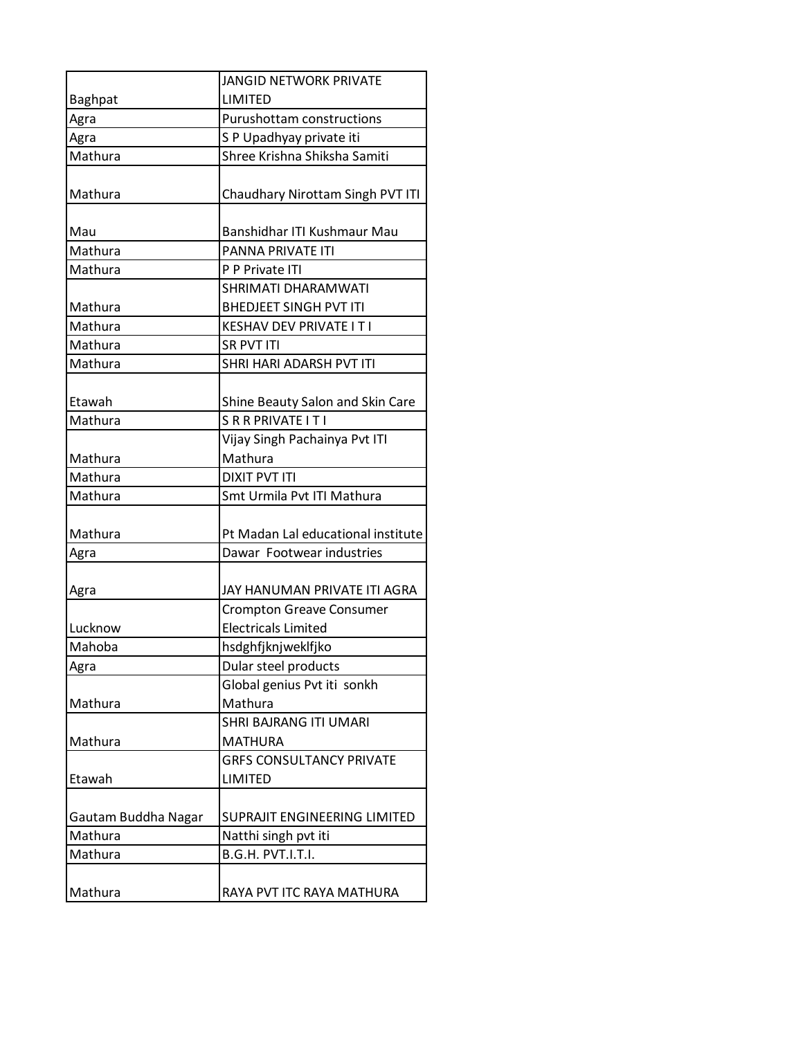|                     | <b>JANGID NETWORK PRIVATE</b>      |
|---------------------|------------------------------------|
| <b>Baghpat</b>      | LIMITED                            |
| Agra                | <b>Purushottam constructions</b>   |
| Agra                | SP Upadhyay private iti            |
| Mathura             | Shree Krishna Shiksha Samiti       |
|                     |                                    |
| Mathura             | Chaudhary Nirottam Singh PVT ITI   |
|                     |                                    |
| Mau                 | Banshidhar ITI Kushmaur Mau        |
| Mathura             | PANNA PRIVATE ITI                  |
| Mathura             | P P Private ITI                    |
|                     | SHRIMATI DHARAMWATI                |
| Mathura             | <b>BHEDJEET SINGH PVT ITI</b>      |
| Mathura             | <b>KESHAV DEV PRIVATE IT I</b>     |
| Mathura             | <b>SR PVT ITI</b>                  |
| Mathura             | SHRI HARI ADARSH PVT ITI           |
|                     |                                    |
| Etawah              | Shine Beauty Salon and Skin Care   |
| Mathura             | SRRPRIVATE ITI                     |
|                     | Vijay Singh Pachainya Pvt ITI      |
| Mathura             | Mathura                            |
| Mathura             | <b>DIXIT PVT ITI</b>               |
| Mathura             | Smt Urmila Pvt ITI Mathura         |
|                     |                                    |
| Mathura             | Pt Madan Lal educational institute |
| Agra                | Dawar Footwear industries          |
|                     |                                    |
| Agra                | JAY HANUMAN PRIVATE ITI AGRA       |
|                     | <b>Crompton Greave Consumer</b>    |
| Lucknow             | <b>Electricals Limited</b>         |
| Mahoba              | hsdghfjknjweklfjko                 |
| Agra                | Dular steel products               |
|                     | Global genius Pvt iti sonkh        |
| Mathura             | Mathura                            |
|                     | <b>SHRI BAJRANG ITI UMARI</b>      |
| Mathura             | <b>MATHURA</b>                     |
|                     | <b>GRFS CONSULTANCY PRIVATE</b>    |
| Etawah              | LIMITED                            |
|                     |                                    |
| Gautam Buddha Nagar | SUPRAJIT ENGINEERING LIMITED       |
| Mathura             | Natthi singh pvt iti               |
| Mathura             | B.G.H. PVT.I.T.I.                  |
|                     |                                    |
| Mathura             | RAYA PVT ITC RAYA MATHURA          |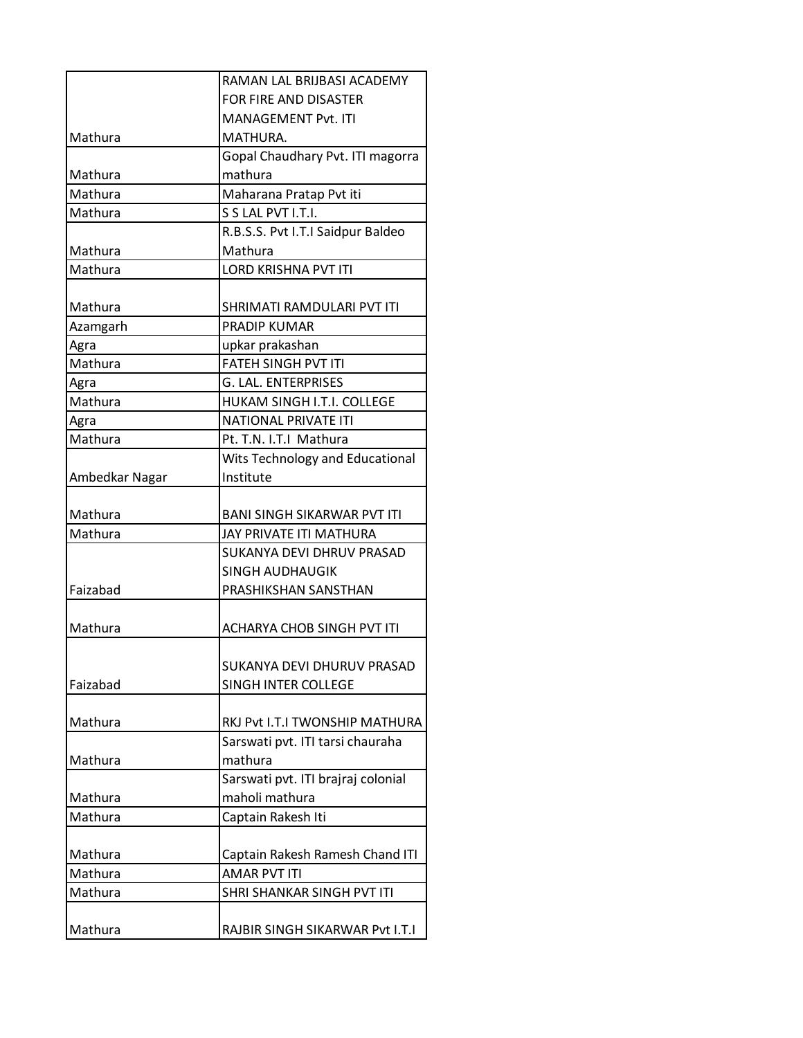|                | RAMAN LAL BRUBASI ACADEMY          |
|----------------|------------------------------------|
|                | <b>FOR FIRE AND DISASTER</b>       |
|                | MANAGEMENT Pvt. ITI                |
| Mathura        | MATHURA.                           |
|                | Gopal Chaudhary Pvt. ITI magorra   |
| Mathura        | mathura                            |
| Mathura        | Maharana Pratap Pvt iti            |
| Mathura        | S S LAL PVT I.T.I.                 |
|                | R.B.S.S. Pvt I.T.I Saidpur Baldeo  |
| Mathura        | Mathura                            |
| Mathura        | <b>LORD KRISHNA PVT ITI</b>        |
|                |                                    |
| Mathura        | SHRIMATI RAMDULARI PVT ITI         |
| Azamgarh       | <b>PRADIP KUMAR</b>                |
| Agra           | upkar prakashan                    |
| Mathura        | <b>FATEH SINGH PVT ITI</b>         |
| Agra           | G. LAL. ENTERPRISES                |
| Mathura        | HUKAM SINGH I.T.I. COLLEGE         |
| Agra           | <b>NATIONAL PRIVATE ITI</b>        |
| Mathura        | Pt. T.N. I.T.I Mathura             |
|                | Wits Technology and Educational    |
| Ambedkar Nagar | Institute                          |
|                |                                    |
| Mathura        | BANI SINGH SIKARWAR PVT ITI        |
| Mathura        | JAY PRIVATE ITI MATHURA            |
|                | SUKANYA DEVI DHRUV PRASAD          |
|                | <b>SINGH AUDHAUGIK</b>             |
| Faizabad       | PRASHIKSHAN SANSTHAN               |
|                |                                    |
| Mathura        | ACHARYA CHOB SINGH PVT ITI         |
|                | SUKANYA DEVI DHURUV PRASAD         |
| Faizabad       | SINGH INTER COLLEGE                |
|                |                                    |
| Mathura        | RKJ Pvt I.T.I TWONSHIP MATHURA     |
|                | Sarswati pvt. ITI tarsi chauraha   |
| Mathura        | mathura                            |
|                | Sarswati pvt. ITI brajraj colonial |
| Mathura        | maholi mathura                     |
| Mathura        | Captain Rakesh Iti                 |
|                |                                    |
| Mathura        | Captain Rakesh Ramesh Chand ITI    |
| Mathura        | <b>AMAR PVT ITI</b>                |
| Mathura        | SHRI SHANKAR SINGH PVT ITI         |
|                |                                    |
| Mathura        | RAJBIR SINGH SIKARWAR Pvt I.T.I    |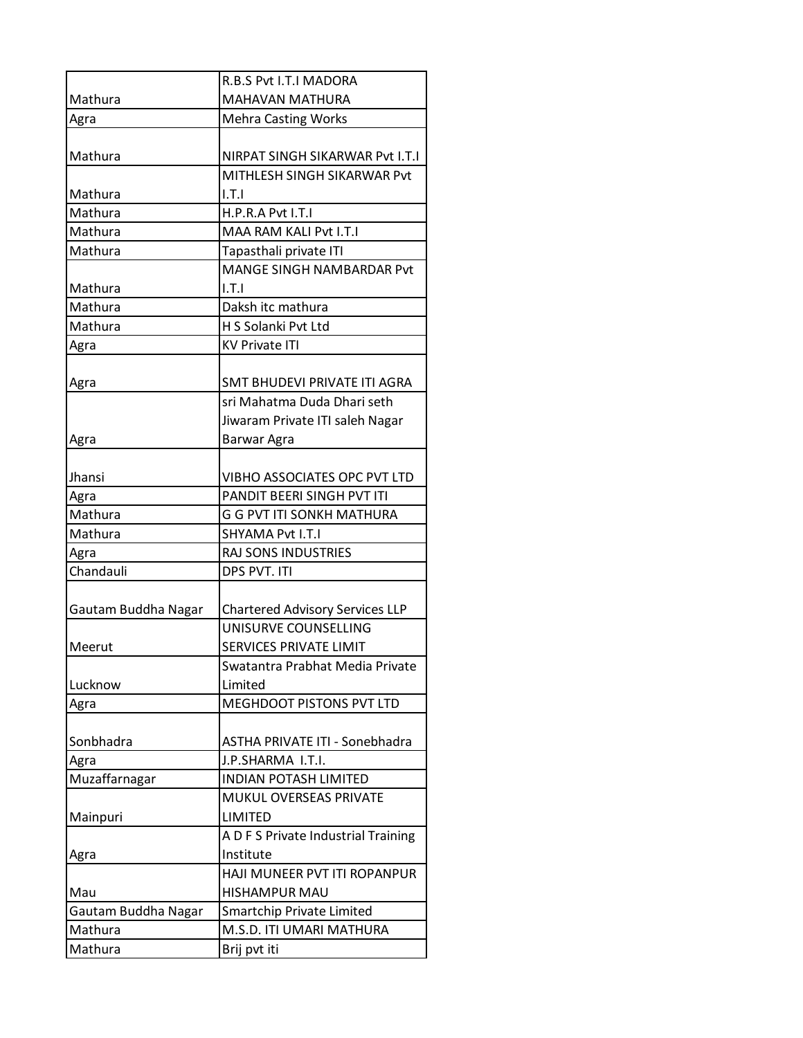|                     | <b>R.B.S Pyt I.T.I MADORA</b>          |
|---------------------|----------------------------------------|
| Mathura             | <b>MAHAVAN MATHURA</b>                 |
| Agra                | <b>Mehra Casting Works</b>             |
|                     |                                        |
| Mathura             | NIRPAT SINGH SIKARWAR Pvt I.T.I        |
|                     | MITHLESH SINGH SIKARWAR Pvt            |
| Mathura             | 1.7.1                                  |
| Mathura             | H.P.R.A Pvt I.T.I                      |
| Mathura             | MAA RAM KALI Pvt I.T.I                 |
| Mathura             | Tapasthali private ITI                 |
|                     | MANGE SINGH NAMBARDAR Pvt              |
| Mathura             | 1.7.1                                  |
| Mathura             | Daksh itc mathura                      |
| Mathura             | H S Solanki Pvt Ltd                    |
| Agra                | <b>KV Private ITI</b>                  |
|                     |                                        |
| Agra                | SMT BHUDEVI PRIVATE ITI AGRA           |
|                     | sri Mahatma Duda Dhari seth            |
|                     | Jiwaram Private ITI saleh Nagar        |
| Agra                | Barwar Agra                            |
|                     |                                        |
| Jhansi              | VIBHO ASSOCIATES OPC PVT LTD           |
| Agra                | PANDIT BEERI SINGH PVT ITI             |
| Mathura             | G G PVT ITI SONKH MATHURA              |
| Mathura             | SHYAMA Pvt I.T.I                       |
| Agra                | RAJ SONS INDUSTRIES                    |
| Chandauli           | DPS PVT. ITI                           |
|                     |                                        |
| Gautam Buddha Nagar | <b>Chartered Advisory Services LLP</b> |
|                     | UNISURVE COUNSELLING                   |
| Meerut              | <b>SERVICES PRIVATE LIMIT</b>          |
|                     | Swatantra Prabhat Media Private        |
| Lucknow             | Limited                                |
| Agra                | <b>MEGHDOOT PISTONS PVT LTD</b>        |
|                     |                                        |
| Sonbhadra           | ASTHA PRIVATE ITI - Sonebhadra         |
| Agra                | J.P.SHARMA I.T.I.                      |
| Muzaffarnagar       | <b>INDIAN POTASH LIMITED</b>           |
|                     | MUKUL OVERSEAS PRIVATE                 |
| Mainpuri            | LIMITED                                |
|                     | A D F S Private Industrial Training    |
| Agra                | Institute                              |
|                     | HAJI MUNEER PVT ITI ROPANPUR           |
| Mau                 | <b>HISHAMPUR MAU</b>                   |
| Gautam Buddha Nagar | <b>Smartchip Private Limited</b>       |
| Mathura             | M.S.D. ITI UMARI MATHURA               |
| Mathura             | Brij pvt iti                           |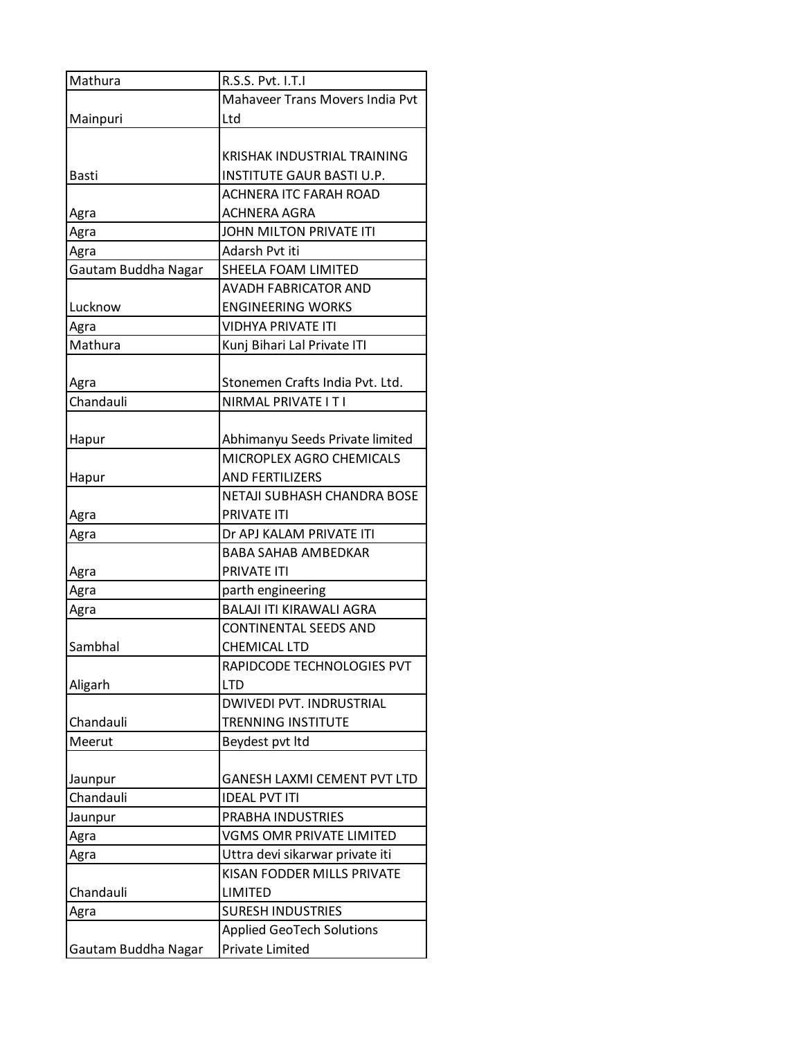| Mathura             | R.S.S. Pvt. I.T.I                  |
|---------------------|------------------------------------|
|                     | Mahaveer Trans Movers India Pvt    |
| Mainpuri            | Ltd                                |
|                     |                                    |
|                     | KRISHAK INDUSTRIAL TRAINING        |
| <b>Basti</b>        | <b>INSTITUTE GAUR BASTI U.P.</b>   |
|                     | <b>ACHNERA ITC FARAH ROAD</b>      |
| Agra                | <b>ACHNERA AGRA</b>                |
| Agra                | JOHN MILTON PRIVATE ITI            |
| Agra                | Adarsh Pvt iti                     |
| Gautam Buddha Nagar | SHEELA FOAM LIMITED                |
|                     | <b>AVADH FABRICATOR AND</b>        |
| Lucknow             | <b>ENGINEERING WORKS</b>           |
| Agra                | <b>VIDHYA PRIVATE ITI</b>          |
| Mathura             | Kunj Bihari Lal Private ITI        |
|                     |                                    |
| Agra                | Stonemen Crafts India Pvt. Ltd.    |
| Chandauli           | NIRMAL PRIVATE IT I                |
|                     |                                    |
| Hapur               | Abhimanyu Seeds Private limited    |
|                     | MICROPLEX AGRO CHEMICALS           |
| Hapur               | <b>AND FERTILIZERS</b>             |
|                     | NETAJI SUBHASH CHANDRA BOSE        |
| Agra                | PRIVATE ITI                        |
| Agra                | Dr APJ KALAM PRIVATE ITI           |
|                     | <b>BABA SAHAB AMBEDKAR</b>         |
| Agra                | <b>PRIVATE ITI</b>                 |
| Agra                | parth engineering                  |
| Agra                | <b>BALAJI ITI KIRAWALI AGRA</b>    |
|                     | <b>CONTINENTAL SEEDS AND</b>       |
| Sambhal             | <b>CHEMICAL LTD</b>                |
|                     | RAPIDCODE TECHNOLOGIES PVT         |
| Aligarh             | <b>LTD</b>                         |
|                     | <b>DWIVEDI PVT. INDRUSTRIAL</b>    |
| Chandauli           | TRENNING INSTITUTE                 |
| Meerut              | Beydest pvt Itd                    |
|                     |                                    |
| Jaunpur             | <b>GANESH LAXMI CEMENT PVT LTD</b> |
| Chandauli           | <b>IDEAL PVT ITI</b>               |
| Jaunpur             | PRABHA INDUSTRIES                  |
| Agra                | <b>VGMS OMR PRIVATE LIMITED</b>    |
| Agra                | Uttra devi sikarwar private iti    |
|                     | KISAN FODDER MILLS PRIVATE         |
| Chandauli           | LIMITED                            |
| Agra                | <b>SURESH INDUSTRIES</b>           |
|                     | <b>Applied GeoTech Solutions</b>   |
| Gautam Buddha Nagar | Private Limited                    |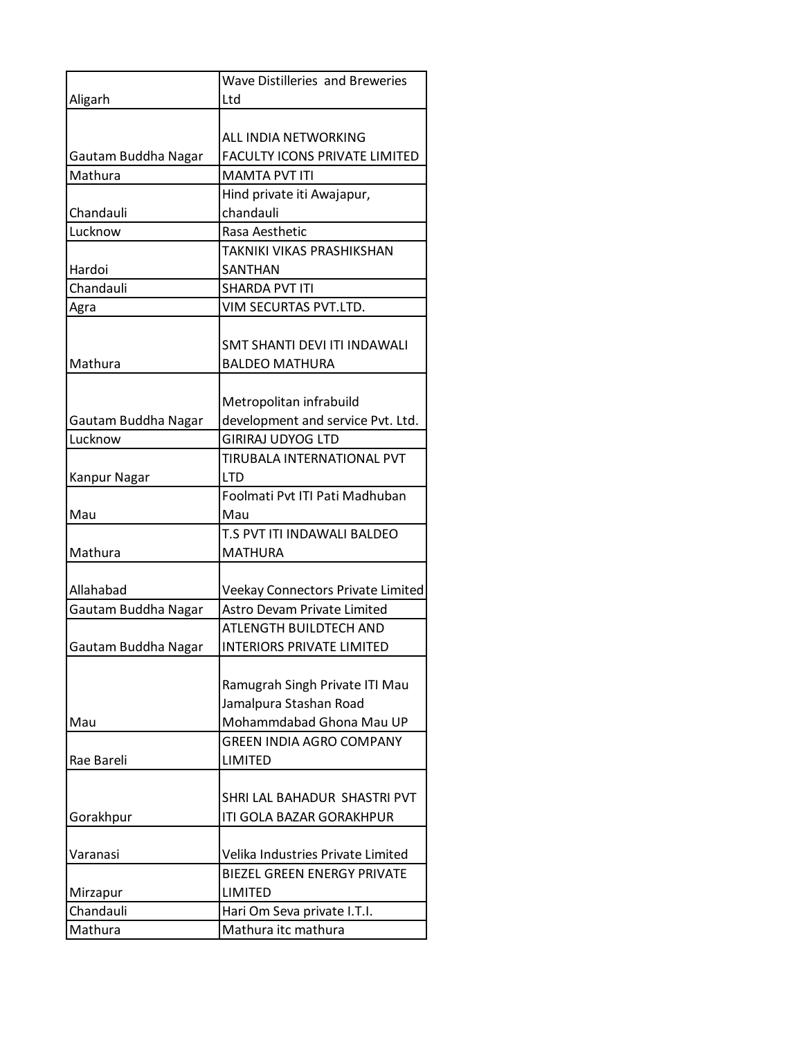|                     | <b>Wave Distilleries and Breweries</b> |
|---------------------|----------------------------------------|
| Aligarh             | Ltd                                    |
|                     |                                        |
|                     | ALL INDIA NETWORKING                   |
| Gautam Buddha Nagar | <b>FACULTY ICONS PRIVATE LIMITED</b>   |
| Mathura             | <b>MAMTA PVT ITI</b>                   |
|                     | Hind private iti Awajapur,             |
| Chandauli           | chandauli                              |
| Lucknow             | Rasa Aesthetic                         |
|                     | TAKNIKI VIKAS PRASHIKSHAN              |
| Hardoi              | SANTHAN                                |
| Chandauli           | <b>SHARDA PVT ITI</b>                  |
| Agra                | VIM SECURTAS PVT.LTD.                  |
|                     |                                        |
|                     | SMT SHANTI DEVI ITI INDAWALI           |
| Mathura             | <b>BALDEO MATHURA</b>                  |
|                     |                                        |
|                     | Metropolitan infrabuild                |
| Gautam Buddha Nagar | development and service Pvt. Ltd.      |
| Lucknow             | <b>GIRIRAJ UDYOG LTD</b>               |
|                     | TIRUBALA INTERNATIONAL PVT             |
| Kanpur Nagar        | <b>LTD</b>                             |
|                     | Foolmati Pvt ITI Pati Madhuban         |
| Mau                 | Mau                                    |
|                     | T.S PVT ITI INDAWALI BALDEO            |
| Mathura             | <b>MATHURA</b>                         |
|                     |                                        |
| Allahabad           | Veekay Connectors Private Limited      |
| Gautam Buddha Nagar | <b>Astro Devam Private Limited</b>     |
|                     | <b>ATLENGTH BUILDTECH AND</b>          |
| Gautam Buddha Nagar | <b>INTERIORS PRIVATE LIMITED</b>       |
|                     |                                        |
|                     | Ramugrah Singh Private ITI Mau         |
|                     | Jamalpura Stashan Road                 |
| Mau                 | Mohammdabad Ghona Mau UP               |
|                     | <b>GREEN INDIA AGRO COMPANY</b>        |
| Rae Bareli          | <b>LIMITED</b>                         |
|                     |                                        |
|                     | SHRI LAL BAHADUR SHASTRI PVT           |
| Gorakhpur           | ITI GOLA BAZAR GORAKHPUR               |
|                     |                                        |
| Varanasi            | Velika Industries Private Limited      |
|                     | <b>BIEZEL GREEN ENERGY PRIVATE</b>     |
| Mirzapur            | LIMITED                                |
| Chandauli           | Hari Om Seva private I.T.I.            |
| Mathura             | Mathura itc mathura                    |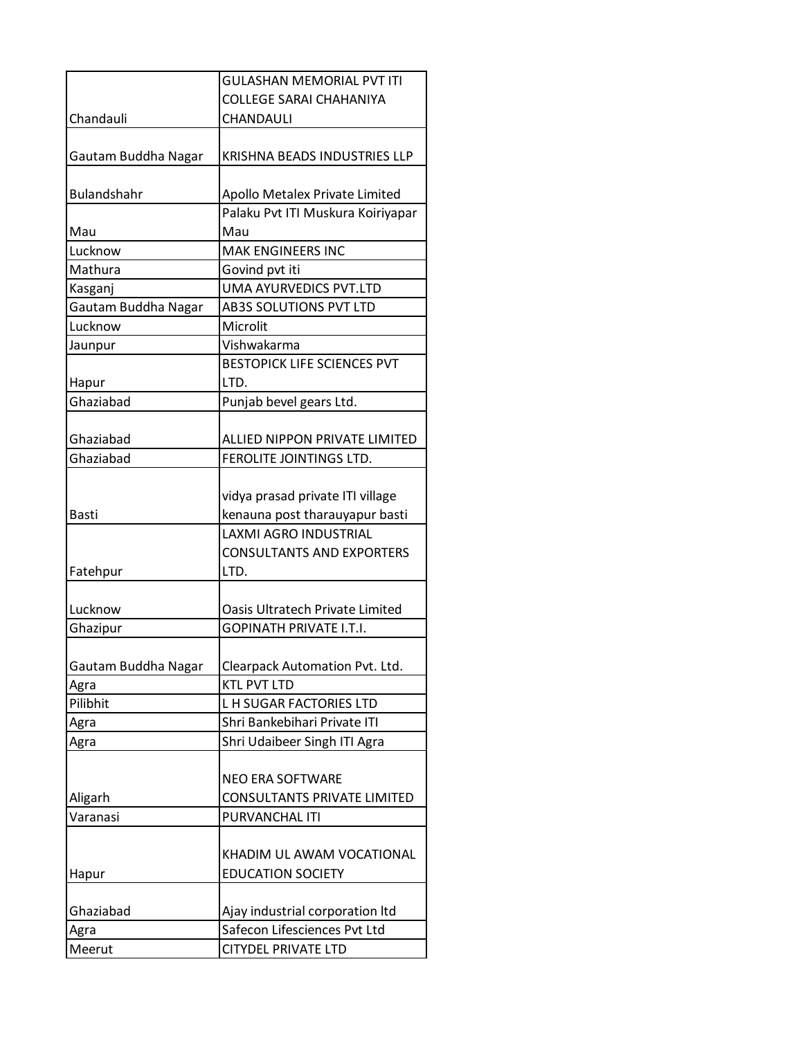|                     | <b>GULASHAN MEMORIAL PVT ITI</b>    |
|---------------------|-------------------------------------|
|                     | <b>COLLEGE SARAI CHAHANIYA</b>      |
| Chandauli           | CHANDAULI                           |
|                     |                                     |
| Gautam Buddha Nagar | <b>KRISHNA BEADS INDUSTRIES LLP</b> |
| <b>Bulandshahr</b>  | Apollo Metalex Private Limited      |
|                     | Palaku Pvt ITI Muskura Koiriyapar   |
| Mau                 | Mau                                 |
| Lucknow             | <b>MAK ENGINEERS INC</b>            |
| Mathura             | Govind pvt iti                      |
| Kasganj             | UMA AYURVEDICS PVT.LTD              |
| Gautam Buddha Nagar | AB3S SOLUTIONS PVT LTD              |
| Lucknow             | Microlit                            |
| Jaunpur             | Vishwakarma                         |
|                     | <b>BESTOPICK LIFE SCIENCES PVT</b>  |
| Hapur               | LTD.                                |
| Ghaziabad           | Punjab bevel gears Ltd.             |
|                     |                                     |
| Ghaziabad           | ALLIED NIPPON PRIVATE LIMITED       |
| Ghaziabad           | FEROLITE JOINTINGS LTD.             |
|                     |                                     |
|                     | vidya prasad private ITI village    |
| <b>Basti</b>        | kenauna post tharauyapur basti      |
|                     | <b>LAXMI AGRO INDUSTRIAL</b>        |
|                     | <b>CONSULTANTS AND EXPORTERS</b>    |
| Fatehpur            | LTD.                                |
|                     |                                     |
| Lucknow             | Oasis Ultratech Private Limited     |
| Ghazipur            | <b>GOPINATH PRIVATE I.T.I.</b>      |
|                     |                                     |
| Gautam Buddha Nagar | Clearpack Automation Pvt. Ltd.      |
| Agra                | <b>KTL PVT LTD</b>                  |
| Pilibhit            | <b>LH SUGAR FACTORIES LTD</b>       |
| Agra                | Shri Bankebihari Private ITI        |
| Agra                | Shri Udaibeer Singh ITI Agra        |
|                     |                                     |
|                     | <b>NEO ERA SOFTWARE</b>             |
| Aligarh             | CONSULTANTS PRIVATE LIMITED         |
| Varanasi            | PURVANCHAL ITI                      |
|                     |                                     |
|                     | KHADIM UL AWAM VOCATIONAL           |
| Hapur               | <b>EDUCATION SOCIETY</b>            |
|                     |                                     |
| Ghaziabad           | Ajay industrial corporation Itd     |
| Agra                | Safecon Lifesciences Pvt Ltd        |
| Meerut              | <b>CITYDEL PRIVATE LTD</b>          |
|                     |                                     |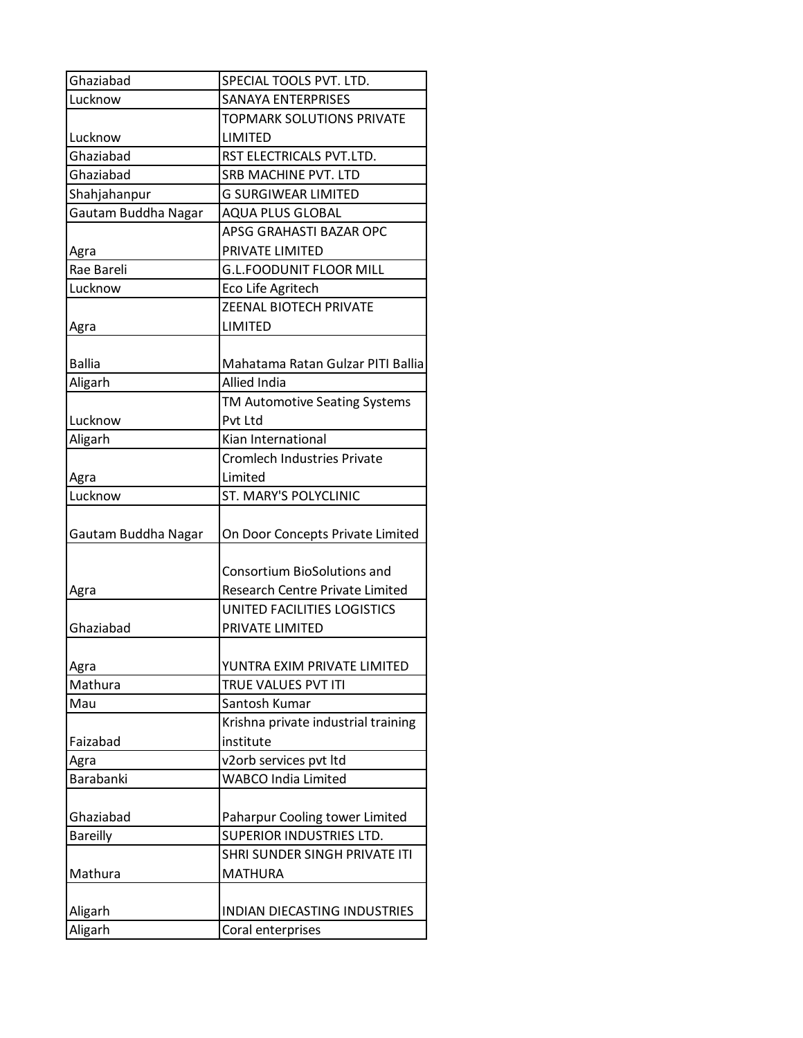| Ghaziabad           | SPECIAL TOOLS PVT. LTD.             |
|---------------------|-------------------------------------|
| Lucknow             | <b>SANAYA ENTERPRISES</b>           |
|                     | <b>TOPMARK SOLUTIONS PRIVATE</b>    |
| Lucknow             | LIMITED                             |
| Ghaziabad           | RST ELECTRICALS PVT.LTD.            |
| Ghaziabad           | SRB MACHINE PVT. LTD                |
| Shahjahanpur        | <b>G SURGIWEAR LIMITED</b>          |
| Gautam Buddha Nagar | <b>AQUA PLUS GLOBAL</b>             |
|                     | APSG GRAHASTI BAZAR OPC             |
| Agra                | PRIVATE LIMITED                     |
| Rae Bareli          | <b>G.L.FOODUNIT FLOOR MILL</b>      |
| Lucknow             | Eco Life Agritech                   |
|                     | <b>ZEENAL BIOTECH PRIVATE</b>       |
| Agra                | LIMITED                             |
|                     |                                     |
| <b>Ballia</b>       | Mahatama Ratan Gulzar PITI Ballia   |
| Aligarh             | <b>Allied India</b>                 |
|                     | TM Automotive Seating Systems       |
| Lucknow             | Pvt Ltd                             |
| Aligarh             | Kian International                  |
|                     | <b>Cromlech Industries Private</b>  |
| Agra                | Limited                             |
| Lucknow             | <b>ST. MARY'S POLYCLINIC</b>        |
|                     |                                     |
| Gautam Buddha Nagar | On Door Concepts Private Limited    |
|                     |                                     |
|                     |                                     |
|                     | <b>Consortium BioSolutions and</b>  |
| Agra                | Research Centre Private Limited     |
|                     | UNITED FACILITIES LOGISTICS         |
| Ghaziabad           | PRIVATE LIMITED                     |
|                     |                                     |
| Agra                | YUNTRA EXIM PRIVATE LIMITED         |
| Mathura             | TRUE VALUES PVT ITI                 |
| Mau                 | Santosh Kumar                       |
|                     | Krishna private industrial training |
| Faizabad            | institute                           |
| Agra                | v2orb services pvt ltd              |
| Barabanki           | <b>WABCO India Limited</b>          |
|                     |                                     |
| Ghaziabad           | Paharpur Cooling tower Limited      |
| <b>Bareilly</b>     | SUPERIOR INDUSTRIES LTD.            |
|                     | SHRI SUNDER SINGH PRIVATE ITI       |
| Mathura             | <b>MATHURA</b>                      |
|                     |                                     |
| Aligarh             | INDIAN DIECASTING INDUSTRIES        |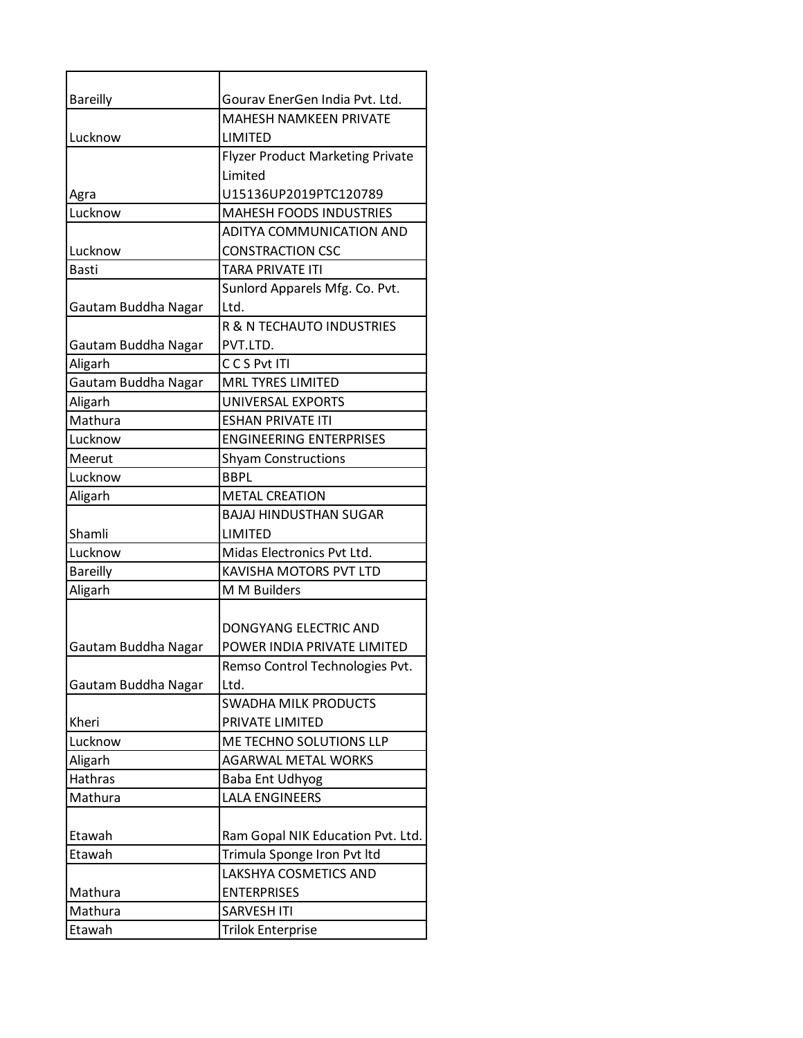| <b>Bareilly</b>     | Gourav EnerGen India Pvt. Ltd.          |
|---------------------|-----------------------------------------|
|                     | <b>MAHESH NAMKEEN PRIVATE</b>           |
| Lucknow             | <b>LIMITED</b>                          |
|                     | <b>Flyzer Product Marketing Private</b> |
|                     | Limited                                 |
| Agra                | U15136UP2019PTC120789                   |
| Lucknow             | <b>MAHESH FOODS INDUSTRIES</b>          |
|                     | <b>ADITYA COMMUNICATION AND</b>         |
| Lucknow             | <b>CONSTRACTION CSC</b>                 |
| <b>Basti</b>        | TARA PRIVATE ITI                        |
|                     | Sunlord Apparels Mfg. Co. Pvt.          |
| Gautam Buddha Nagar | Ltd.                                    |
|                     | R & N TECHAUTO INDUSTRIES               |
| Gautam Buddha Nagar | PVT.LTD.                                |
| Aligarh             | CCS Pvt ITI                             |
| Gautam Buddha Nagar | <b>MRL TYRES LIMITED</b>                |
| Aligarh             | UNIVERSAL EXPORTS                       |
| Mathura             | <b>ESHAN PRIVATE ITI</b>                |
| Lucknow             | <b>ENGINEERING ENTERPRISES</b>          |
| Meerut              | <b>Shyam Constructions</b>              |
| Lucknow             | <b>BBPL</b>                             |
| Aligarh             | <b>METAL CREATION</b>                   |
|                     | <b>BAJAJ HINDUSTHAN SUGAR</b>           |
| Shamli              | LIMITED                                 |
| Lucknow             | Midas Electronics Pvt Ltd.              |
| <b>Bareilly</b>     | KAVISHA MOTORS PVT LTD                  |
| Aligarh             | M M Builders                            |
|                     |                                         |
|                     | DONGYANG ELECTRIC AND                   |
| Gautam Buddha Nagar | POWER INDIA PRIVATE LIMITED             |
|                     | Remso Control Technologies Pvt.         |
| Gautam Buddha Nagar | Ltd.                                    |
|                     | SWADHA MILK PRODUCTS                    |
| Kheri               | PRIVATE LIMITED                         |
| Lucknow             | ME TECHNO SOLUTIONS LLP                 |
| Aligarh             | <b>AGARWAL METAL WORKS</b>              |
| Hathras             | <b>Baba Ent Udhyog</b>                  |
| Mathura             | <b>LALA ENGINEERS</b>                   |
|                     |                                         |
| Etawah              | Ram Gopal NIK Education Pvt. Ltd.       |
| Etawah              | Trimula Sponge Iron Pvt ltd             |
|                     | LAKSHYA COSMETICS AND                   |
| Mathura             | <b>ENTERPRISES</b>                      |
| Mathura             | <b>SARVESH ITI</b>                      |
| Etawah              | <b>Trilok Enterprise</b>                |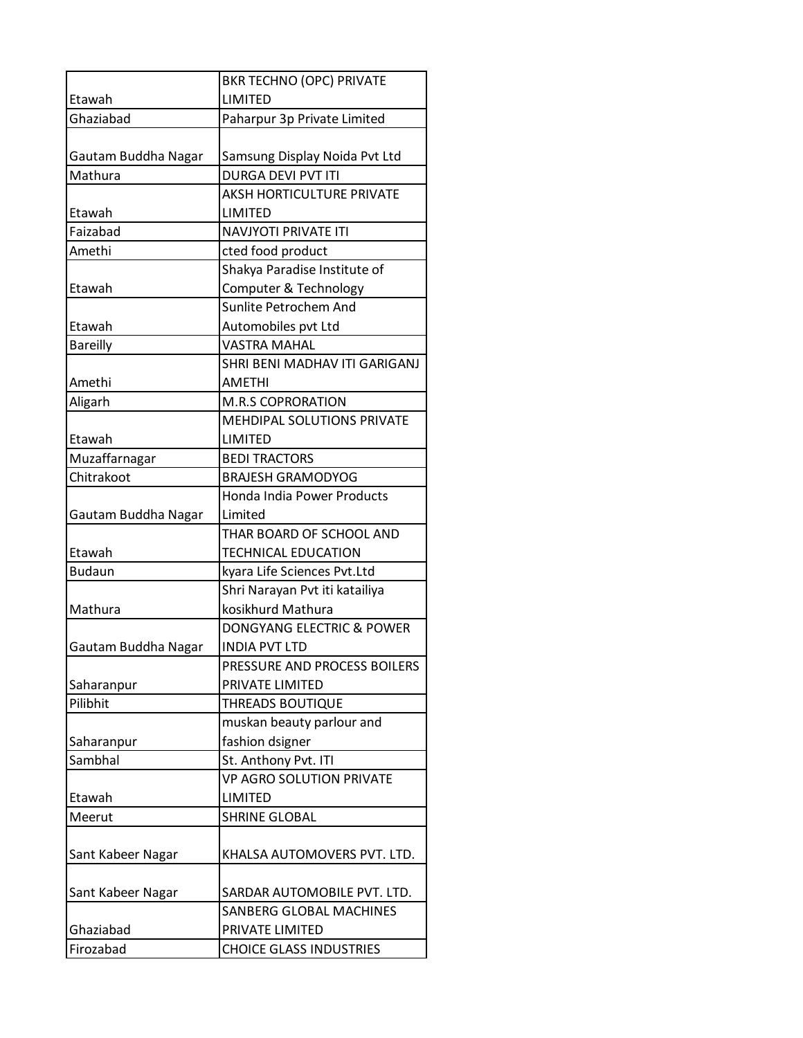|                       | <b>BKR TECHNO (OPC) PRIVATE</b>            |
|-----------------------|--------------------------------------------|
| Etawah                | LIMITED                                    |
| Ghaziabad             | Paharpur 3p Private Limited                |
|                       |                                            |
| Gautam Buddha Nagar   | Samsung Display Noida Pvt Ltd              |
| Mathura               | <b>DURGA DEVI PVT ITI</b>                  |
|                       | <b>AKSH HORTICULTURE PRIVATE</b>           |
| Etawah                | LIMITED                                    |
| Faizabad              | <b>NAVJYOTI PRIVATE ITI</b>                |
| Amethi                | cted food product                          |
|                       | Shakya Paradise Institute of               |
| Etawah                | Computer & Technology                      |
|                       | Sunlite Petrochem And                      |
| Etawah                | Automobiles pvt Ltd                        |
| <b>Bareilly</b>       | <b>VASTRA MAHAL</b>                        |
|                       | SHRI BENI MADHAV ITI GARIGANJ              |
| Amethi                | <b>AMETHI</b>                              |
| Aligarh               | <b>M.R.S COPRORATION</b>                   |
|                       | MEHDIPAL SOLUTIONS PRIVATE                 |
| Etawah                | LIMITED                                    |
| Muzaffarnagar         | <b>BEDI TRACTORS</b>                       |
| Chitrakoot            | <b>BRAJESH GRAMODYOG</b>                   |
|                       | Honda India Power Products                 |
| Gautam Buddha Nagar   | Limited                                    |
|                       | THAR BOARD OF SCHOOL AND                   |
| Etawah                | <b>TECHNICAL EDUCATION</b>                 |
| <b>Budaun</b>         | kyara Life Sciences Pvt.Ltd                |
|                       | Shri Narayan Pvt iti katailiya             |
| Mathura               | kosikhurd Mathura                          |
|                       | DONGYANG ELECTRIC & POWER                  |
| Gautam Buddha Nagar   | <b>INDIA PVT LTD</b>                       |
|                       | PRESSURE AND PROCESS BOILERS               |
| Saharanpur            | PRIVATE LIMITED                            |
| Pilibhit              | <b>THREADS BOUTIQUE</b>                    |
|                       | muskan beauty parlour and                  |
| Saharanpur<br>Sambhal | fashion dsigner                            |
|                       | St. Anthony Pvt. ITI                       |
| Etawah                | <b>VP AGRO SOLUTION PRIVATE</b><br>LIMITED |
| Meerut                | <b>SHRINE GLOBAL</b>                       |
|                       |                                            |
| Sant Kabeer Nagar     | KHALSA AUTOMOVERS PVT. LTD.                |
|                       |                                            |
| Sant Kabeer Nagar     | SARDAR AUTOMOBILE PVT. LTD.                |
|                       | SANBERG GLOBAL MACHINES                    |
| Ghaziabad             | PRIVATE LIMITED                            |
| Firozabad             | <b>CHOICE GLASS INDUSTRIES</b>             |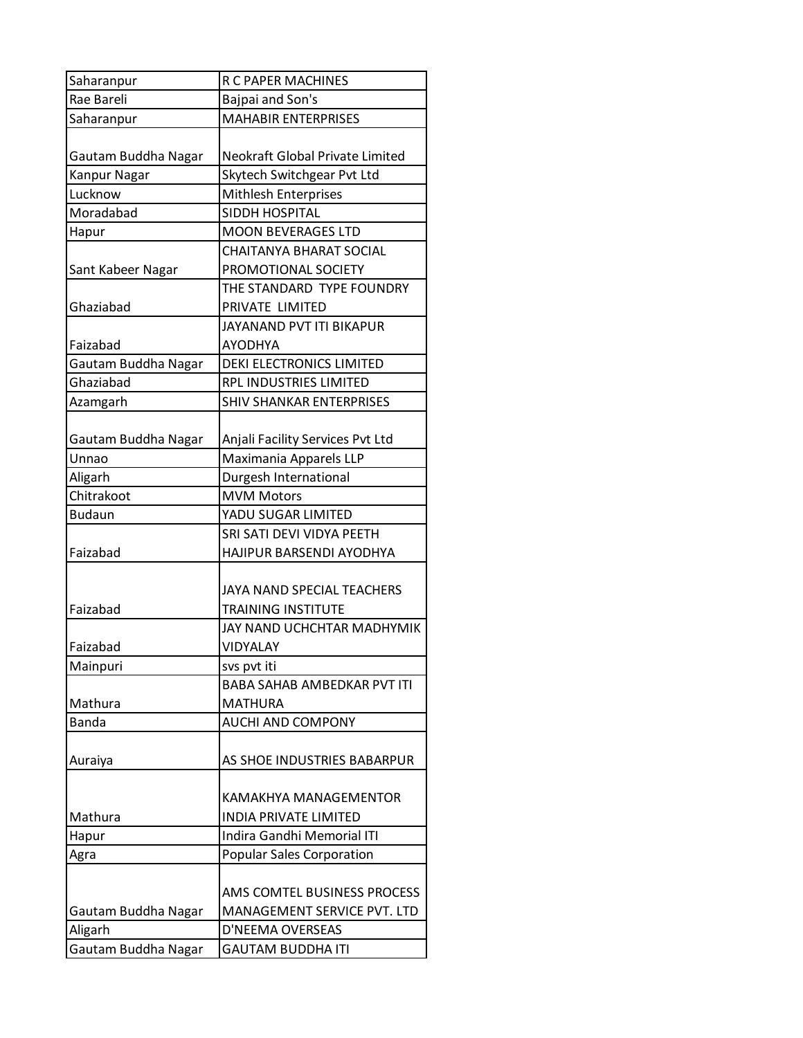| Saharanpur          | R C PAPER MACHINES                 |
|---------------------|------------------------------------|
| Rae Bareli          | Bajpai and Son's                   |
| Saharanpur          | <b>MAHABIR ENTERPRISES</b>         |
|                     |                                    |
| Gautam Buddha Nagar | Neokraft Global Private Limited    |
| Kanpur Nagar        | Skytech Switchgear Pvt Ltd         |
| Lucknow             | <b>Mithlesh Enterprises</b>        |
| Moradabad           | SIDDH HOSPITAL                     |
| Hapur               | <b>MOON BEVERAGES LTD</b>          |
|                     | CHAITANYA BHARAT SOCIAL            |
| Sant Kabeer Nagar   | PROMOTIONAL SOCIETY                |
|                     | THE STANDARD TYPE FOUNDRY          |
| Ghaziabad           | PRIVATE LIMITED                    |
|                     | JAYANAND PVT ITI BIKAPUR           |
| Faizabad            | AYODHYA                            |
| Gautam Buddha Nagar | <b>DEKI ELECTRONICS LIMITED</b>    |
| Ghaziabad           | RPL INDUSTRIES LIMITED             |
| Azamgarh            | <b>SHIV SHANKAR ENTERPRISES</b>    |
|                     |                                    |
| Gautam Buddha Nagar | Anjali Facility Services Pvt Ltd   |
| Unnao               | Maximania Apparels LLP             |
| Aligarh             | Durgesh International              |
| Chitrakoot          | <b>MVM Motors</b>                  |
| <b>Budaun</b>       | YADU SUGAR LIMITED                 |
|                     | SRI SATI DEVI VIDYA PEETH          |
| Faizabad            | HAJIPUR BARSENDI AYODHYA           |
|                     |                                    |
|                     | <b>JAYA NAND SPECIAL TEACHERS</b>  |
| Faizabad            | <b>TRAINING INSTITUTE</b>          |
|                     | JAY NAND UCHCHTAR MADHYMIK         |
| Faizabad            | <b>VIDYALAY</b>                    |
| Mainpuri            | svs pvt iti                        |
|                     | <b>BABA SAHAB AMBEDKAR PVT ITI</b> |
| Mathura             | <b>MATHURA</b>                     |
| <b>Banda</b>        | <b>AUCHI AND COMPONY</b>           |
|                     |                                    |
| Auraiya             | AS SHOE INDUSTRIES BABARPUR        |
|                     |                                    |
|                     | KAMAKHYA MANAGEMENTOR              |
| Mathura             | <b>INDIA PRIVATE LIMITED</b>       |
| Hapur               | Indira Gandhi Memorial ITI         |
| Agra                | <b>Popular Sales Corporation</b>   |
|                     |                                    |
|                     | AMS COMTEL BUSINESS PROCESS        |
| Gautam Buddha Nagar | MANAGEMENT SERVICE PVT. LTD        |
| Aligarh             | D'NEEMA OVERSEAS                   |
| Gautam Buddha Nagar | <b>GAUTAM BUDDHA ITI</b>           |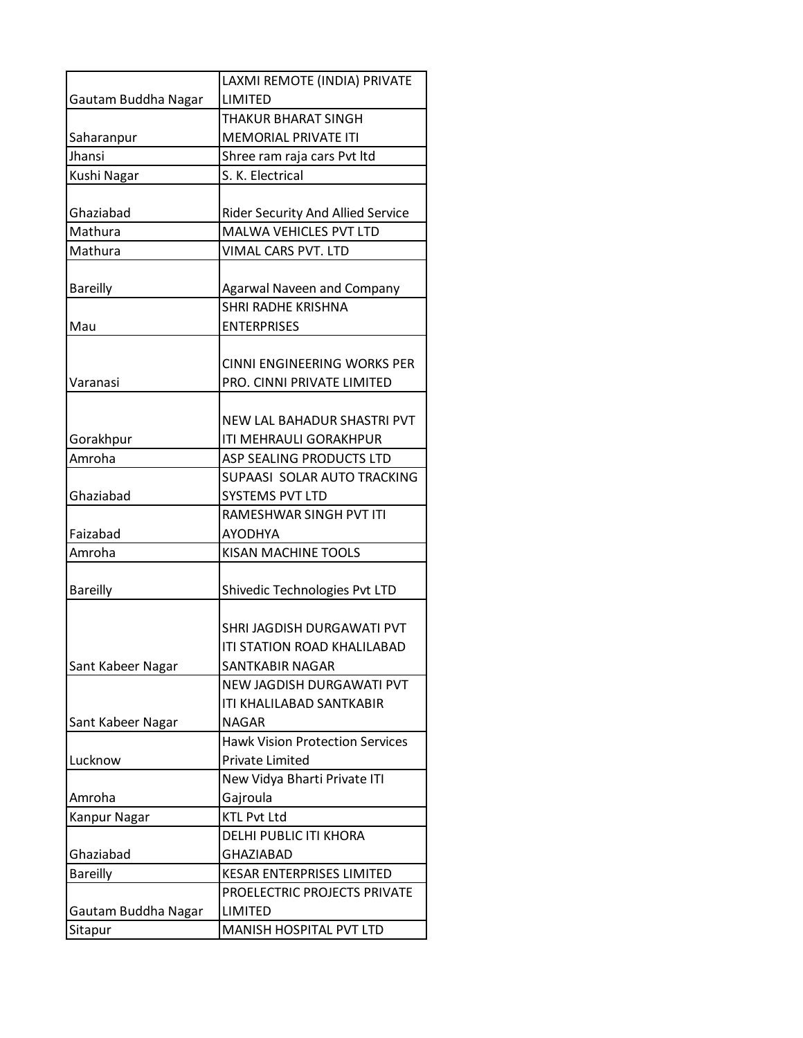|                     | LAXMI REMOTE (INDIA) PRIVATE             |
|---------------------|------------------------------------------|
| Gautam Buddha Nagar | <b>LIMITED</b>                           |
|                     | THAKUR BHARAT SINGH                      |
| Saharanpur          | <b>MEMORIAL PRIVATE ITI</b>              |
| Jhansi              | Shree ram raja cars Pvt ltd              |
| Kushi Nagar         | S. K. Electrical                         |
|                     |                                          |
| Ghaziabad           | <b>Rider Security And Allied Service</b> |
| Mathura             | <b>MALWA VEHICLES PVT LTD</b>            |
| Mathura             | VIMAL CARS PVT. LTD                      |
|                     |                                          |
| <b>Bareilly</b>     | <b>Agarwal Naveen and Company</b>        |
|                     | <b>SHRI RADHE KRISHNA</b>                |
| Mau                 | <b>ENTERPRISES</b>                       |
|                     |                                          |
|                     | CINNI ENGINEERING WORKS PER              |
| Varanasi            | PRO. CINNI PRIVATE LIMITED               |
|                     |                                          |
|                     | NEW LAL BAHADUR SHASTRI PVT              |
| Gorakhpur           | ITI MEHRAULI GORAKHPUR                   |
| Amroha              | ASP SEALING PRODUCTS LTD                 |
|                     | SUPAASI SOLAR AUTO TRACKING              |
| Ghaziabad           | <b>SYSTEMS PVT LTD</b>                   |
|                     | RAMESHWAR SINGH PVT ITI                  |
| Faizabad            | AYODHYA                                  |
| Amroha              | KISAN MACHINE TOOLS                      |
|                     |                                          |
| <b>Bareilly</b>     | Shivedic Technologies Pvt LTD            |
|                     |                                          |
|                     | SHRI JAGDISH DURGAWATI PVT               |
|                     | ITI STATION ROAD KHALILABAD              |
| Sant Kabeer Nagar   | <b>SANTKABIR NAGAR</b>                   |
|                     | NEW JAGDISH DURGAWATI PVT                |
|                     | <b>ITI KHALILABAD SANTKABIR</b>          |
| Sant Kabeer Nagar   | <b>NAGAR</b>                             |
|                     | <b>Hawk Vision Protection Services</b>   |
| Lucknow             | <b>Private Limited</b>                   |
|                     | New Vidya Bharti Private ITI             |
| Amroha              | Gajroula                                 |
| Kanpur Nagar        | <b>KTL Pvt Ltd</b>                       |
|                     | DELHI PUBLIC ITI KHORA                   |
| Ghaziabad           | <b>GHAZIABAD</b>                         |
| <b>Bareilly</b>     | <b>KESAR ENTERPRISES LIMITED</b>         |
|                     | PROELECTRIC PROJECTS PRIVATE             |
| Gautam Buddha Nagar | <b>LIMITED</b>                           |
| Sitapur             | MANISH HOSPITAL PVT LTD                  |
|                     |                                          |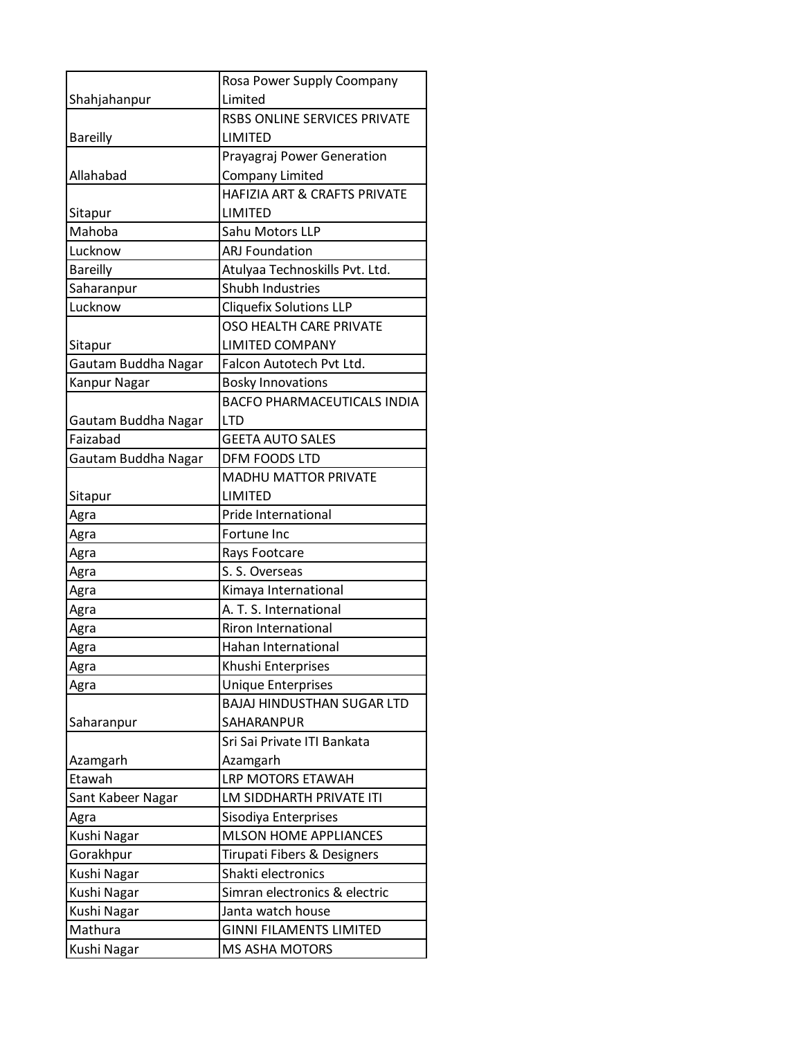|                     | Rosa Power Supply Coompany         |
|---------------------|------------------------------------|
| Shahjahanpur        | Limited                            |
|                     | RSBS ONLINE SERVICES PRIVATE       |
| <b>Bareilly</b>     | LIMITED                            |
|                     | Prayagraj Power Generation         |
| Allahabad           | <b>Company Limited</b>             |
|                     | HAFIZIA ART & CRAFTS PRIVATE       |
| Sitapur             | LIMITED                            |
| Mahoba              | Sahu Motors LLP                    |
| Lucknow             | <b>ARJ Foundation</b>              |
| <b>Bareilly</b>     | Atulyaa Technoskills Pvt. Ltd.     |
| Saharanpur          | <b>Shubh Industries</b>            |
| Lucknow             | <b>Cliquefix Solutions LLP</b>     |
|                     | OSO HEALTH CARE PRIVATE            |
| Sitapur             | <b>LIMITED COMPANY</b>             |
| Gautam Buddha Nagar | Falcon Autotech Pvt Ltd.           |
| Kanpur Nagar        | <b>Bosky Innovations</b>           |
|                     | <b>BACFO PHARMACEUTICALS INDIA</b> |
| Gautam Buddha Nagar | <b>LTD</b>                         |
| Faizabad            | <b>GEETA AUTO SALES</b>            |
| Gautam Buddha Nagar | DFM FOODS LTD                      |
|                     | <b>MADHU MATTOR PRIVATE</b>        |
| Sitapur             | <b>LIMITED</b>                     |
| Agra                | Pride International                |
| Agra                | Fortune Inc                        |
| Agra                | Rays Footcare                      |
| Agra                | S. S. Overseas                     |
| Agra                | Kimaya International               |
| Agra                | A. T. S. International             |
| Agra                | <b>Riron International</b>         |
| Agra                | <b>Hahan International</b>         |
| Agra                | Khushi Enterprises                 |
| Agra                | <b>Unique Enterprises</b>          |
|                     | <b>BAJAJ HINDUSTHAN SUGAR LTD</b>  |
| Saharanpur          | SAHARANPUR                         |
|                     | Sri Sai Private ITI Bankata        |
| Azamgarh            | Azamgarh                           |
| Etawah              | LRP MOTORS ETAWAH                  |
| Sant Kabeer Nagar   | LM SIDDHARTH PRIVATE ITI           |
| Agra                | Sisodiya Enterprises               |
| Kushi Nagar         | <b>MLSON HOME APPLIANCES</b>       |
| Gorakhpur           | Tirupati Fibers & Designers        |
| Kushi Nagar         | Shakti electronics                 |
| Kushi Nagar         | Simran electronics & electric      |
| Kushi Nagar         | Janta watch house                  |
| Mathura             | <b>GINNI FILAMENTS LIMITED</b>     |
| Kushi Nagar         | MS ASHA MOTORS                     |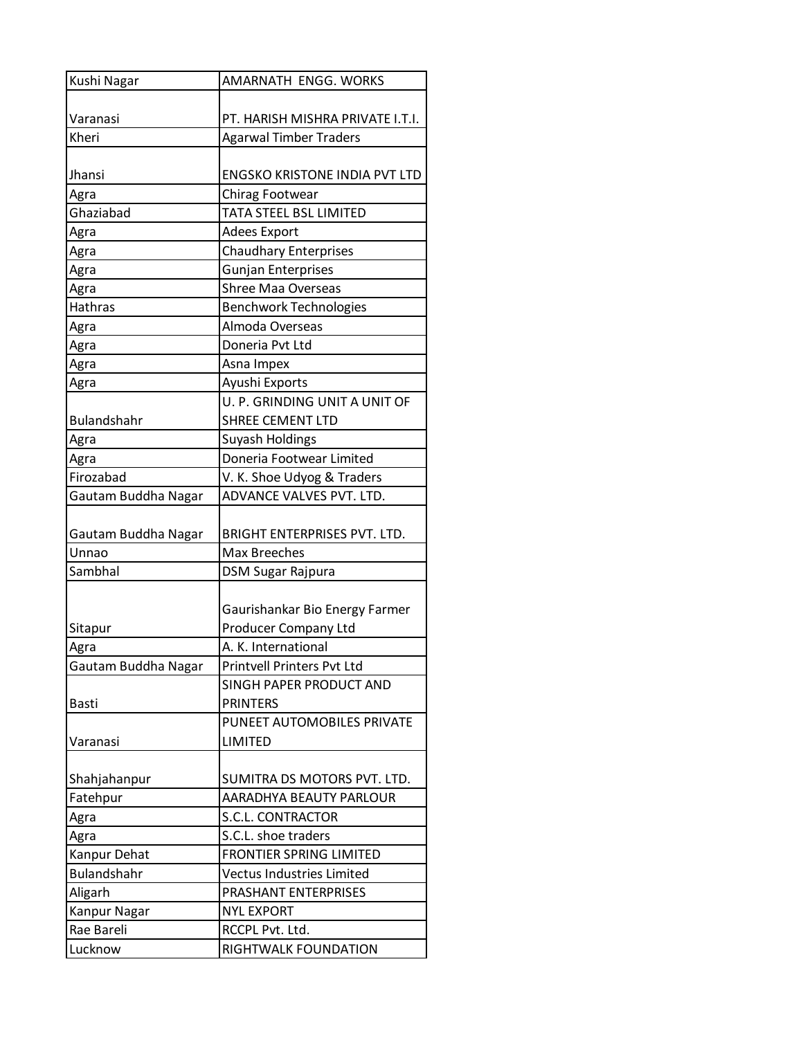| Kushi Nagar         | AMARNATH ENGG. WORKS                 |
|---------------------|--------------------------------------|
|                     |                                      |
| Varanasi            | PT. HARISH MISHRA PRIVATE I.T.I.     |
| Kheri               | <b>Agarwal Timber Traders</b>        |
|                     |                                      |
| Jhansi              | <b>ENGSKO KRISTONE INDIA PVT LTD</b> |
| Agra                | Chirag Footwear                      |
| Ghaziabad           | <b>TATA STEEL BSL LIMITED</b>        |
| Agra                | <b>Adees Export</b>                  |
| Agra                | <b>Chaudhary Enterprises</b>         |
| Agra                | <b>Gunjan Enterprises</b>            |
| Agra                | <b>Shree Maa Overseas</b>            |
| Hathras             | <b>Benchwork Technologies</b>        |
| Agra                | Almoda Overseas                      |
| Agra                | Doneria Pvt Ltd                      |
| Agra                | Asna Impex                           |
| Agra                | Ayushi Exports                       |
|                     | U. P. GRINDING UNIT A UNIT OF        |
| <b>Bulandshahr</b>  | <b>SHREE CEMENT LTD</b>              |
| Agra                | <b>Suyash Holdings</b>               |
| Agra                | Doneria Footwear Limited             |
| Firozabad           | V. K. Shoe Udyog & Traders           |
| Gautam Buddha Nagar | ADVANCE VALVES PVT. LTD.             |
|                     |                                      |
| Gautam Buddha Nagar | BRIGHT ENTERPRISES PVT. LTD.         |
| Unnao               | Max Breeches                         |
| Sambhal             | <b>DSM Sugar Rajpura</b>             |
|                     |                                      |
|                     | Gaurishankar Bio Energy Farmer       |
| Sitapur             | Producer Company Ltd                 |
| Agra                | A. K. International                  |
| Gautam Buddha Nagar | Printvell Printers Pvt Ltd           |
|                     | SINGH PAPER PRODUCT AND              |
| Basti               | <b>PRINTERS</b>                      |
|                     | PUNEET AUTOMOBILES PRIVATE           |
| Varanasi            | LIMITED                              |
|                     |                                      |
| Shahjahanpur        | SUMITRA DS MOTORS PVT. LTD.          |
| Fatehpur            | AARADHYA BEAUTY PARLOUR              |
| Agra                | S.C.L. CONTRACTOR                    |
| Agra                | S.C.L. shoe traders                  |
| Kanpur Dehat        | <b>FRONTIER SPRING LIMITED</b>       |
| <b>Bulandshahr</b>  | <b>Vectus Industries Limited</b>     |
| Aligarh             | PRASHANT ENTERPRISES                 |
| Kanpur Nagar        | <b>NYL EXPORT</b>                    |
| Rae Bareli          | RCCPL Pvt. Ltd.                      |
| Lucknow             | RIGHTWALK FOUNDATION                 |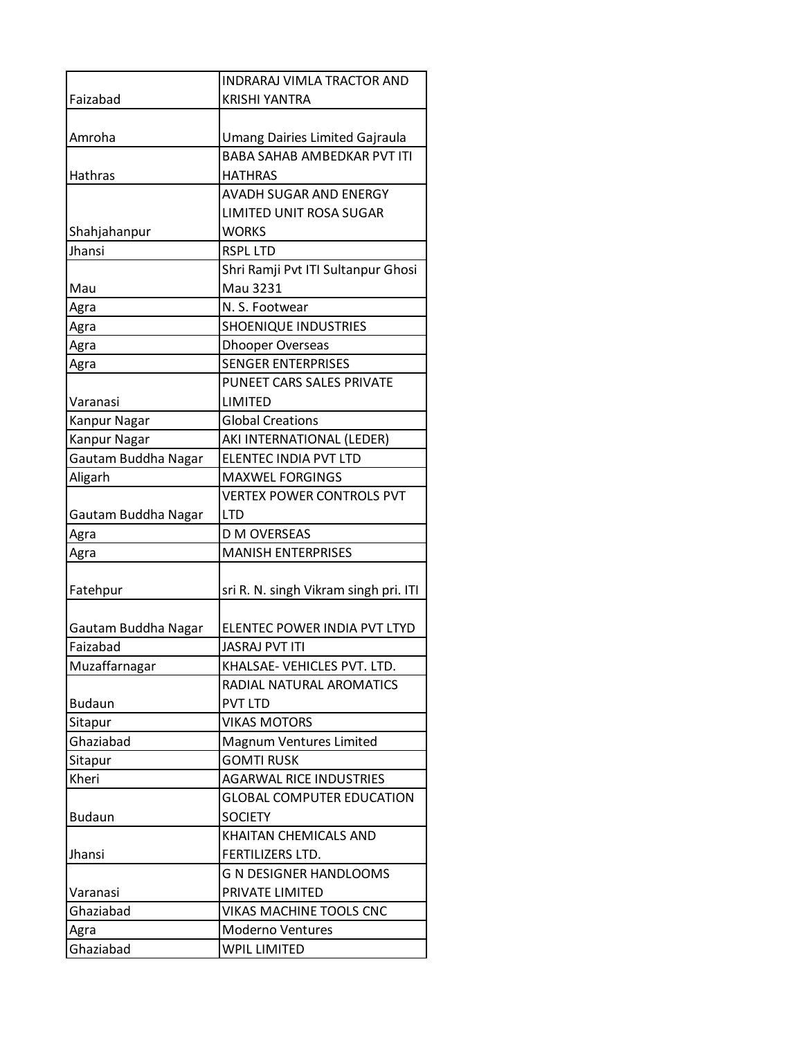|                     | <b>INDRARAJ VIMLA TRACTOR AND</b>     |
|---------------------|---------------------------------------|
| Faizabad            | <b>KRISHI YANTRA</b>                  |
|                     |                                       |
| Amroha              | Umang Dairies Limited Gajraula        |
|                     | <b>BABA SAHAB AMBEDKAR PVT ITI</b>    |
| Hathras             | <b>HATHRAS</b>                        |
|                     | AVADH SUGAR AND ENERGY                |
|                     | <b>LIMITED UNIT ROSA SUGAR</b>        |
| Shahjahanpur        | <b>WORKS</b>                          |
| Jhansi              | <b>RSPL LTD</b>                       |
|                     | Shri Ramji Pvt ITI Sultanpur Ghosi    |
| Mau                 | Mau 3231                              |
| Agra                | N. S. Footwear                        |
| Agra                | <b>SHOENIQUE INDUSTRIES</b>           |
| Agra                | <b>Dhooper Overseas</b>               |
| Agra                | <b>SENGER ENTERPRISES</b>             |
|                     | PUNEET CARS SALES PRIVATE             |
| Varanasi            | LIMITED                               |
| Kanpur Nagar        | <b>Global Creations</b>               |
| Kanpur Nagar        | AKI INTERNATIONAL (LEDER)             |
| Gautam Buddha Nagar | ELENTEC INDIA PVT LTD                 |
| Aligarh             | <b>MAXWEL FORGINGS</b>                |
|                     | <b>VERTEX POWER CONTROLS PVT</b>      |
| Gautam Buddha Nagar | <b>LTD</b>                            |
| Agra                | <b>D M OVERSEAS</b>                   |
| Agra                | <b>MANISH ENTERPRISES</b>             |
|                     |                                       |
| Fatehpur            | sri R. N. singh Vikram singh pri. ITI |
|                     |                                       |
| Gautam Buddha Nagar | ELENTEC POWER INDIA PVT LTYD          |
| Faizabad            | <b>JASRAJ PVT ITI</b>                 |
| Muzaffarnagar       | KHALSAE- VEHICLES PVT. LTD.           |
|                     | RADIAL NATURAL AROMATICS              |
| <b>Budaun</b>       | <b>PVT LTD</b>                        |
| Sitapur             | <b>VIKAS MOTORS</b>                   |
| Ghaziabad           | Magnum Ventures Limited               |
| Sitapur             | <b>GOMTI RUSK</b>                     |
| Kheri               | <b>AGARWAL RICE INDUSTRIES</b>        |
|                     | <b>GLOBAL COMPUTER EDUCATION</b>      |
| <b>Budaun</b>       | <b>SOCIETY</b>                        |
|                     | KHAITAN CHEMICALS AND                 |
| Jhansi              | FERTILIZERS LTD.                      |
|                     | <b>G N DESIGNER HANDLOOMS</b>         |
| Varanasi            | PRIVATE LIMITED                       |
| Ghaziabad           | VIKAS MACHINE TOOLS CNC               |
| Agra                | <b>Moderno Ventures</b>               |
| Ghaziabad           | <b>WPIL LIMITED</b>                   |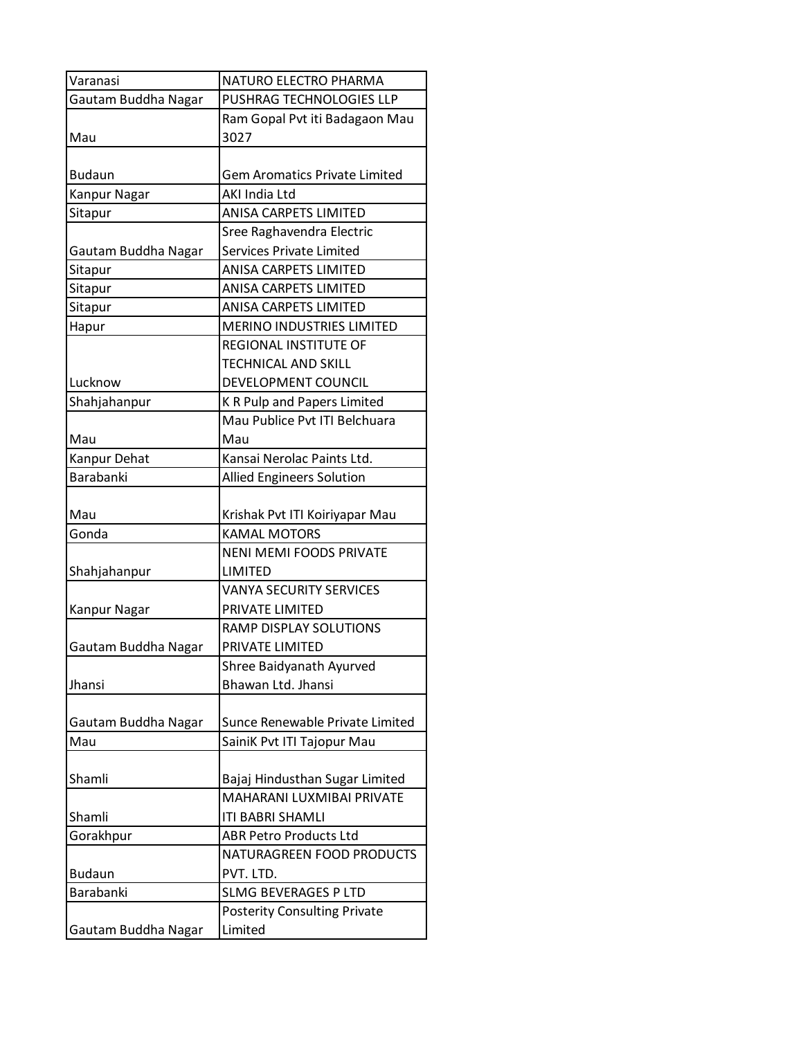| Varanasi            | NATURO ELECTRO PHARMA                |
|---------------------|--------------------------------------|
| Gautam Buddha Nagar | PUSHRAG TECHNOLOGIES LLP             |
|                     | Ram Gopal Pvt iti Badagaon Mau       |
| Mau                 | 3027                                 |
|                     |                                      |
| <b>Budaun</b>       | <b>Gem Aromatics Private Limited</b> |
| <b>Kanpur Nagar</b> | AKI India Ltd                        |
| Sitapur             | ANISA CARPETS LIMITED                |
|                     | Sree Raghavendra Electric            |
| Gautam Buddha Nagar | <b>Services Private Limited</b>      |
| Sitapur             | ANISA CARPETS LIMITED                |
| Sitapur             | ANISA CARPETS LIMITED                |
| Sitapur             | ANISA CARPETS LIMITED                |
| Hapur               | <b>MERINO INDUSTRIES LIMITED</b>     |
|                     | <b>REGIONAL INSTITUTE OF</b>         |
|                     | TECHNICAL AND SKILL                  |
| Lucknow             | DEVELOPMENT COUNCIL                  |
| Shahjahanpur        | K R Pulp and Papers Limited          |
|                     | Mau Publice Pvt ITI Belchuara        |
| Mau                 | Mau                                  |
| Kanpur Dehat        | Kansai Nerolac Paints Ltd.           |
| Barabanki           | <b>Allied Engineers Solution</b>     |
|                     |                                      |
| Mau                 | Krishak Pvt ITI Koiriyapar Mau       |
| Gonda               | <b>KAMAL MOTORS</b>                  |
|                     | <b>NENI MEMI FOODS PRIVATE</b>       |
| Shahjahanpur        | LIMITED                              |
|                     | <b>VANYA SECURITY SERVICES</b>       |
| Kanpur Nagar        | PRIVATE LIMITED                      |
|                     | RAMP DISPLAY SOLUTIONS               |
| Gautam Buddha Nagar | PRIVATE LIMITED                      |
|                     | Shree Baidyanath Ayurved             |
| Jhansi              | Bhawan Ltd. Jhansi                   |
|                     |                                      |
| Gautam Buddha Nagar | Sunce Renewable Private Limited      |
| Mau                 | SainiK Pvt ITI Tajopur Mau           |
|                     |                                      |
| Shamli              | Bajaj Hindusthan Sugar Limited       |
|                     | MAHARANI LUXMIBAI PRIVATE            |
| Shamli              | ITI BABRI SHAMLI                     |
| Gorakhpur           | <b>ABR Petro Products Ltd</b>        |
|                     | NATURAGREEN FOOD PRODUCTS            |
| <b>Budaun</b>       | PVT. LTD.                            |
| Barabanki           | <b>SLMG BEVERAGES P LTD</b>          |
|                     | <b>Posterity Consulting Private</b>  |
| Gautam Buddha Nagar | Limited                              |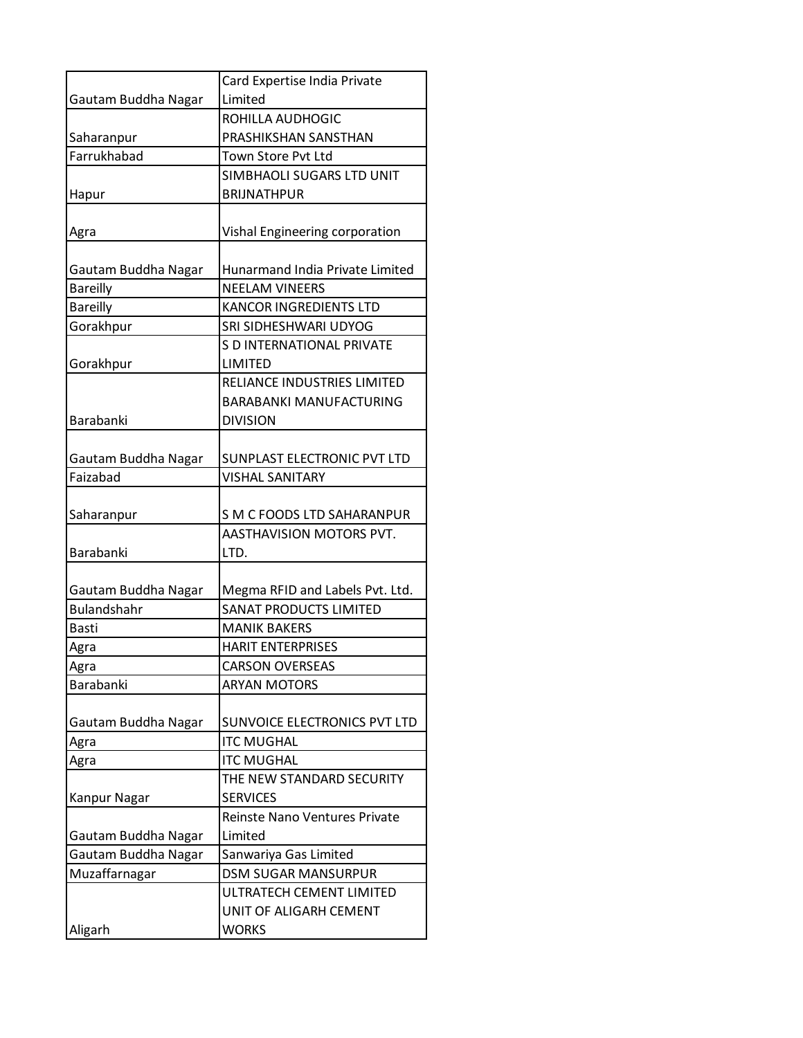|                     | Card Expertise India Private<br>Limited |
|---------------------|-----------------------------------------|
| Gautam Buddha Nagar |                                         |
|                     | ROHILLA AUDHOGIC                        |
| Saharanpur          | PRASHIKSHAN SANSTHAN                    |
| Farrukhabad         | <b>Town Store Pyt Ltd</b>               |
|                     | SIMBHAOLI SUGARS LTD UNIT               |
| Hapur               | <b>BRIJNATHPUR</b>                      |
| Agra                | Vishal Engineering corporation          |
| Gautam Buddha Nagar | Hunarmand India Private Limited         |
| <b>Bareilly</b>     | <b>NEELAM VINEERS</b>                   |
| <b>Bareilly</b>     | <b>KANCOR INGREDIENTS LTD</b>           |
| Gorakhpur           | SRI SIDHESHWARI UDYOG                   |
|                     | S D INTERNATIONAL PRIVATE               |
| Gorakhpur           | LIMITED                                 |
|                     | RELIANCE INDUSTRIES LIMITED             |
|                     | <b>BARABANKI MANUFACTURING</b>          |
| <b>Barabanki</b>    | <b>DIVISION</b>                         |
|                     |                                         |
| Gautam Buddha Nagar | SUNPLAST ELECTRONIC PVT LTD             |
| Faizabad            | <b>VISHAL SANITARY</b>                  |
|                     |                                         |
| Saharanpur          | S M C FOODS LTD SAHARANPUR              |
|                     | AASTHAVISION MOTORS PVT.                |
| Barabanki           | LTD.                                    |
|                     |                                         |
| Gautam Buddha Nagar | Megma RFID and Labels Pvt. Ltd.         |
| <b>Bulandshahr</b>  | <b>SANAT PRODUCTS LIMITED</b>           |
| Basti               | <b>MANIK BAKERS</b>                     |
| Agra                | <b>HARIT ENTERPRISES</b>                |
| Agra                | <b>CARSON OVERSEAS</b>                  |
| Barabanki           | <b>ARYAN MOTORS</b>                     |
|                     |                                         |
| Gautam Buddha Nagar | SUNVOICE ELECTRONICS PVT LTD            |
| Agra                | <b>ITC MUGHAL</b>                       |
| Agra                | <b>ITC MUGHAL</b>                       |
|                     | THE NEW STANDARD SECURITY               |
| Kanpur Nagar        | <b>SERVICES</b>                         |
|                     | Reinste Nano Ventures Private           |
| Gautam Buddha Nagar | Limited                                 |
| Gautam Buddha Nagar | Sanwariya Gas Limited                   |
| Muzaffarnagar       | <b>DSM SUGAR MANSURPUR</b>              |
|                     | ULTRATECH CEMENT LIMITED                |
|                     | UNIT OF ALIGARH CEMENT                  |
| Aligarh             | <b>WORKS</b>                            |
|                     |                                         |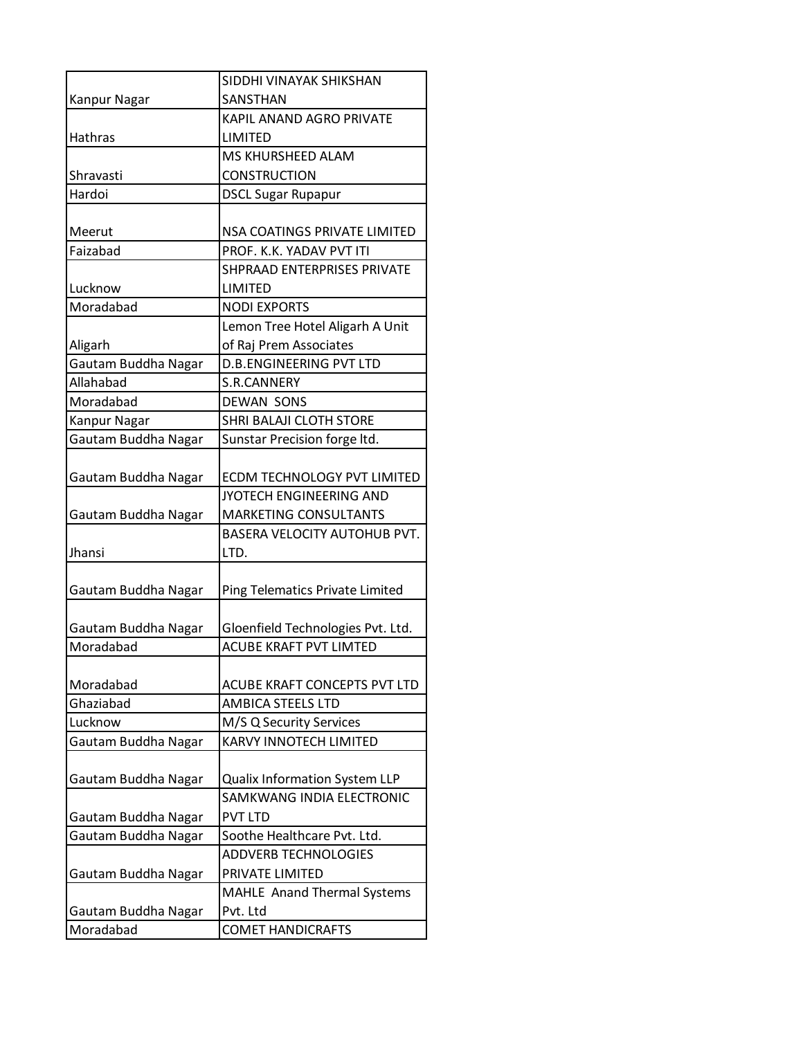|                     | SIDDHI VINAYAK SHIKSHAN            |
|---------------------|------------------------------------|
| Kanpur Nagar        | SANSTHAN                           |
|                     | <b>KAPIL ANAND AGRO PRIVATE</b>    |
| <b>Hathras</b>      | LIMITED                            |
|                     | <b>MS KHURSHEED ALAM</b>           |
| Shravasti           | <b>CONSTRUCTION</b>                |
| Hardoi              | <b>DSCL Sugar Rupapur</b>          |
|                     |                                    |
| Meerut              | NSA COATINGS PRIVATE LIMITED       |
| Faizabad            | PROF. K.K. YADAV PVT ITI           |
|                     | SHPRAAD ENTERPRISES PRIVATE        |
| Lucknow             | LIMITED                            |
| Moradabad           | <b>NODI EXPORTS</b>                |
|                     | Lemon Tree Hotel Aligarh A Unit    |
| Aligarh             | of Raj Prem Associates             |
| Gautam Buddha Nagar | <b>D.B.ENGINEERING PVT LTD</b>     |
| Allahabad           | <b>S.R.CANNERY</b>                 |
| Moradabad           | <b>DEWAN SONS</b>                  |
| Kanpur Nagar        | SHRI BALAJI CLOTH STORE            |
| Gautam Buddha Nagar | Sunstar Precision forge ltd.       |
|                     |                                    |
| Gautam Buddha Nagar | <b>ECDM TECHNOLOGY PVT LIMITED</b> |
|                     | JYOTECH ENGINEERING AND            |
| Gautam Buddha Nagar | <b>MARKETING CONSULTANTS</b>       |
|                     | BASERA VELOCITY AUTOHUB PVT.       |
| Jhansi              | LTD.                               |
|                     |                                    |
| Gautam Buddha Nagar | Ping Telematics Private Limited    |
|                     |                                    |
| Gautam Buddha Nagar | Gloenfield Technologies Pvt. Ltd.  |
| Moradabad           | <b>ACUBE KRAFT PVT LIMTED</b>      |
|                     |                                    |
| Moradabad           | ACUBE KRAFT CONCEPTS PVT LTD       |
| Ghaziabad           | <b>AMBICA STEELS LTD</b>           |
| Lucknow             | M/S Q Security Services            |
| Gautam Buddha Nagar | <b>KARVY INNOTECH LIMITED</b>      |
|                     |                                    |
| Gautam Buddha Nagar | Qualix Information System LLP      |
|                     | SAMKWANG INDIA ELECTRONIC          |
| Gautam Buddha Nagar | <b>PVT LTD</b>                     |
| Gautam Buddha Nagar | Soothe Healthcare Pvt. Ltd.        |
|                     | <b>ADDVERB TECHNOLOGIES</b>        |
| Gautam Buddha Nagar | PRIVATE LIMITED                    |
|                     | MAHLE Anand Thermal Systems        |
| Gautam Buddha Nagar | Pvt. Ltd                           |
| Moradabad           | <b>COMET HANDICRAFTS</b>           |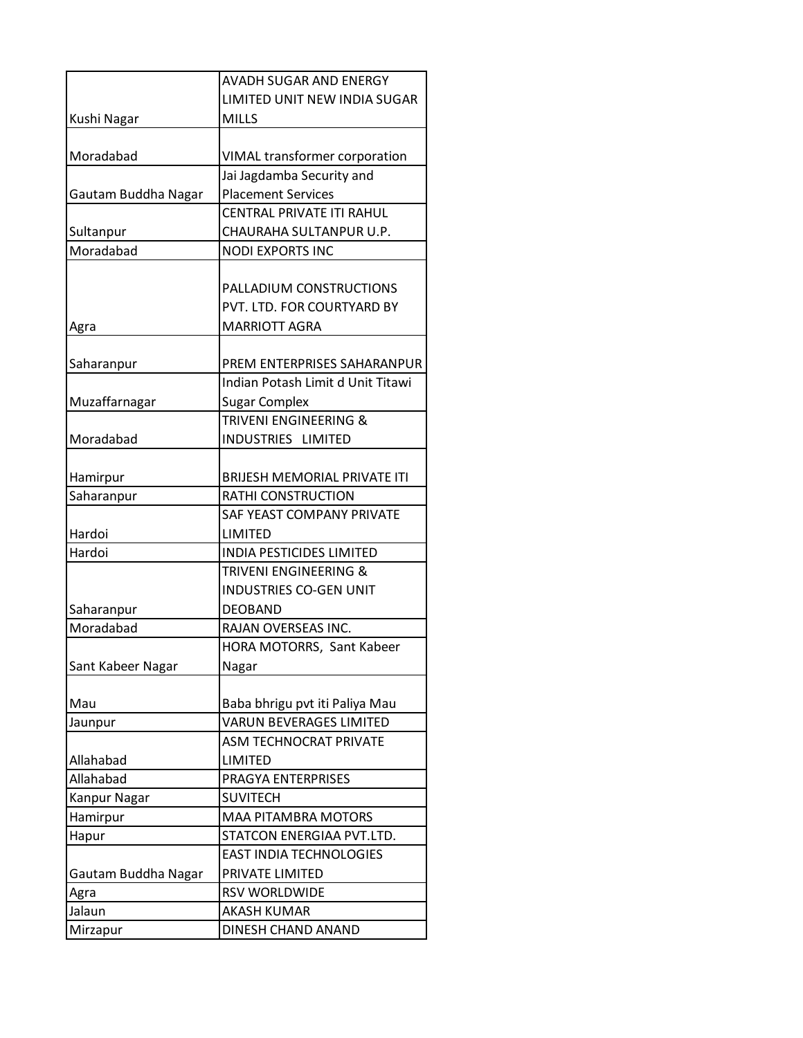|                     | <b>AVADH SUGAR AND ENERGY</b>        |
|---------------------|--------------------------------------|
|                     | LIMITED UNIT NEW INDIA SUGAR         |
| Kushi Nagar         | <b>MILLS</b>                         |
|                     |                                      |
| Moradabad           | <b>VIMAL transformer corporation</b> |
|                     | Jai Jagdamba Security and            |
| Gautam Buddha Nagar | <b>Placement Services</b>            |
|                     | <b>CENTRAL PRIVATE ITI RAHUL</b>     |
| Sultanpur           | CHAURAHA SULTANPUR U.P.              |
| Moradabad           | <b>NODI EXPORTS INC</b>              |
|                     |                                      |
|                     | PALLADIUM CONSTRUCTIONS              |
|                     | PVT. LTD. FOR COURTYARD BY           |
| Agra                | <b>MARRIOTT AGRA</b>                 |
|                     |                                      |
| Saharanpur          | PREM ENTERPRISES SAHARANPUR          |
|                     | Indian Potash Limit d Unit Titawi    |
| Muzaffarnagar       | <b>Sugar Complex</b>                 |
|                     | <b>TRIVENI ENGINEERING &amp;</b>     |
| Moradabad           | INDUSTRIES LIMITED                   |
|                     |                                      |
| Hamirpur            | BRIJESH MEMORIAL PRIVATE ITI         |
| Saharanpur          | RATHI CONSTRUCTION                   |
|                     | SAF YEAST COMPANY PRIVATE            |
| Hardoi              | LIMITED                              |
| Hardoi              | <b>INDIA PESTICIDES LIMITED</b>      |
|                     | <b>TRIVENI ENGINEERING &amp;</b>     |
|                     | <b>INDUSTRIES CO-GEN UNIT</b>        |
| Saharanpur          | <b>DEOBAND</b>                       |
| Moradabad           | RAJAN OVERSEAS INC.                  |
|                     | HORA MOTORRS, Sant Kabeer            |
| Sant Kabeer Nagar   | Nagar                                |
|                     |                                      |
| Mau                 | Baba bhrigu pvt iti Paliya Mau       |
| Jaunpur             | <b>VARUN BEVERAGES LIMITED</b>       |
|                     | <b>ASM TECHNOCRAT PRIVATE</b>        |
| Allahabad           | LIMITED                              |
| Allahabad           | PRAGYA ENTERPRISES                   |
| Kanpur Nagar        | <b>SUVITECH</b>                      |
| Hamirpur            | MAA PITAMBRA MOTORS                  |
| Hapur               | STATCON ENERGIAA PVT.LTD.            |
|                     | <b>EAST INDIA TECHNOLOGIES</b>       |
| Gautam Buddha Nagar | PRIVATE LIMITED                      |
| Agra                | RSV WORLDWIDE                        |
| Jalaun              | <b>AKASH KUMAR</b>                   |
| Mirzapur            | DINESH CHAND ANAND                   |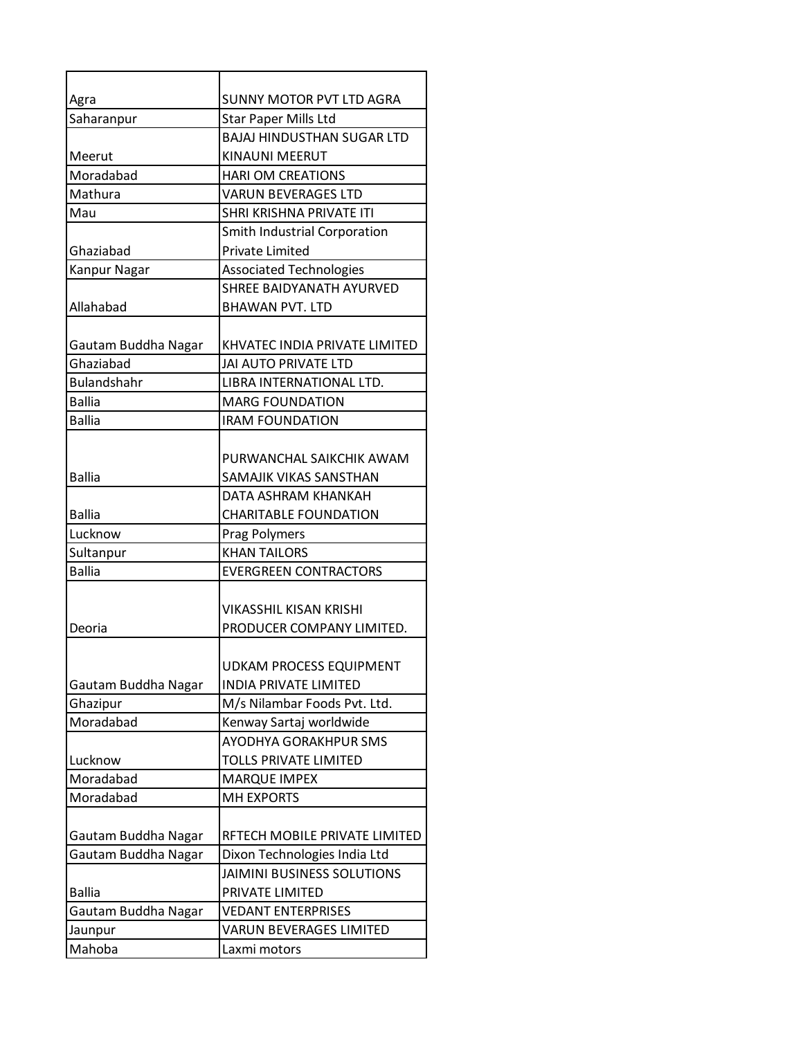| Agra                  | <b>SUNNY MOTOR PVT LTD AGRA</b>   |
|-----------------------|-----------------------------------|
| Saharanpur            | <b>Star Paper Mills Ltd</b>       |
|                       | <b>BAJAJ HINDUSTHAN SUGAR LTD</b> |
| Meerut                | KINAUNI MEERUT                    |
| Moradabad             | <b>HARI OM CREATIONS</b>          |
| Mathura               | <b>VARUN BEVERAGES LTD</b>        |
| Mau                   | SHRI KRISHNA PRIVATE ITI          |
|                       | Smith Industrial Corporation      |
| Ghaziabad             | <b>Private Limited</b>            |
| Kanpur Nagar          | <b>Associated Technologies</b>    |
|                       | <b>SHREE BAIDYANATH AYURVED</b>   |
| Allahabad             | <b>BHAWAN PVT. LTD</b>            |
|                       |                                   |
| Gautam Buddha Nagar   | KHVATEC INDIA PRIVATE LIMITED     |
| Ghaziabad             | JAI AUTO PRIVATE LTD              |
| <b>Bulandshahr</b>    | LIBRA INTERNATIONAL LTD.          |
| <b>Ballia</b>         | <b>MARG FOUNDATION</b>            |
| <b>Ballia</b>         | <b>IRAM FOUNDATION</b>            |
|                       |                                   |
| <b>Ballia</b>         | PURWANCHAL SAIKCHIK AWAM          |
|                       | SAMAJIK VIKAS SANSTHAN            |
|                       | DATA ASHRAM KHANKAH               |
| <b>Ballia</b>         | <b>CHARITABLE FOUNDATION</b>      |
| Lucknow               | <b>Prag Polymers</b>              |
| Sultanpur             | <b>KHAN TAILORS</b>               |
| <b>Ballia</b>         | <b>EVERGREEN CONTRACTORS</b>      |
|                       | <b>VIKASSHIL KISAN KRISHI</b>     |
|                       | PRODUCER COMPANY LIMITED.         |
| Deoria                |                                   |
|                       | <b>UDKAM PROCESS EQUIPMENT</b>    |
|                       | <b>INDIA PRIVATE LIMITED</b>      |
| Gautam Buddha Nagar   | M/s Nilambar Foods Pvt. Ltd.      |
| Ghazipur<br>Moradabad | Kenway Sartaj worldwide           |
|                       | AYODHYA GORAKHPUR SMS             |
|                       |                                   |
| Lucknow               | <b>TOLLS PRIVATE LIMITED</b>      |
| Moradabad             | <b>MARQUE IMPEX</b>               |
| Moradabad             | <b>MH EXPORTS</b>                 |
|                       |                                   |
| Gautam Buddha Nagar   | RFTECH MOBILE PRIVATE LIMITED     |
| Gautam Buddha Nagar   | Dixon Technologies India Ltd      |
|                       | JAIMINI BUSINESS SOLUTIONS        |
| <b>Ballia</b>         | PRIVATE LIMITED                   |
| Gautam Buddha Nagar   | <b>VEDANT ENTERPRISES</b>         |
| Jaunpur               | <b>VARUN BEVERAGES LIMITED</b>    |
| Mahoba                | Laxmi motors                      |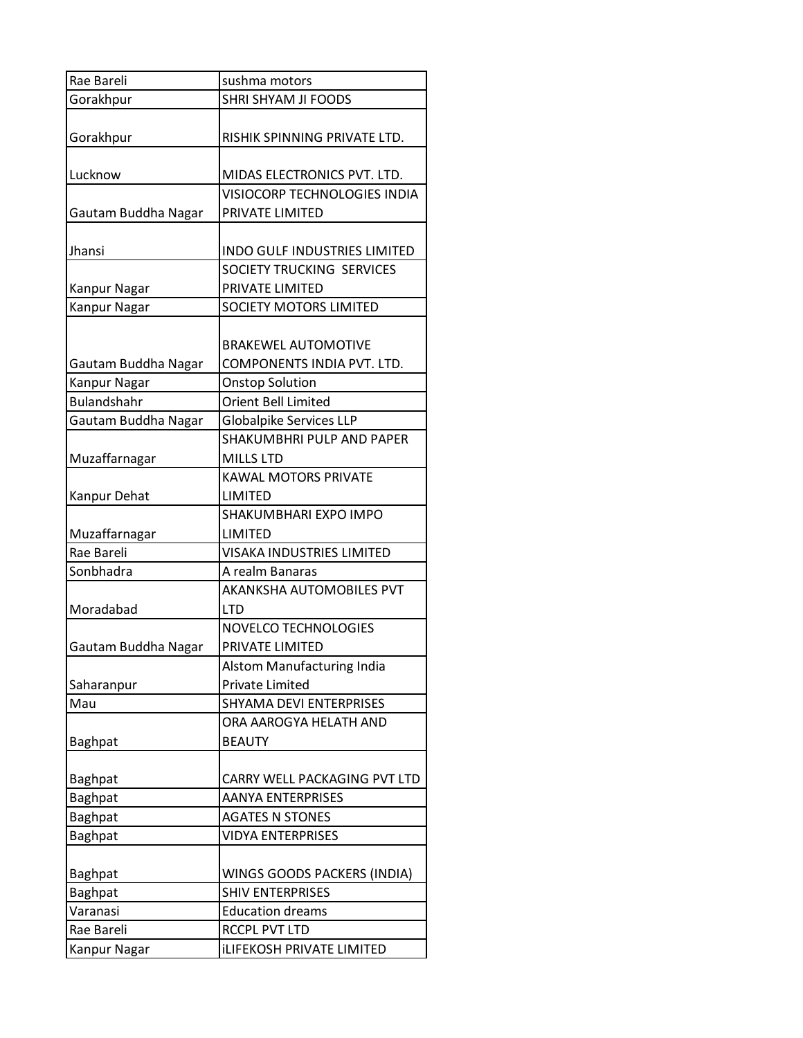| Rae Bareli                         | sushma motors                                            |
|------------------------------------|----------------------------------------------------------|
| Gorakhpur                          | SHRI SHYAM JI FOODS                                      |
| Gorakhpur                          | RISHIK SPINNING PRIVATE LTD.                             |
| Lucknow                            | MIDAS ELECTRONICS PVT. LTD.                              |
| Gautam Buddha Nagar                | VISIOCORP TECHNOLOGIES INDIA<br>PRIVATE LIMITED          |
| Jhansi                             | <b>INDO GULF INDUSTRIES LIMITED</b>                      |
| Kanpur Nagar                       | SOCIETY TRUCKING SERVICES<br>PRIVATE LIMITED             |
| Kanpur Nagar                       | SOCIETY MOTORS LIMITED                                   |
| Gautam Buddha Nagar                | <b>BRAKEWEL AUTOMOTIVE</b><br>COMPONENTS INDIA PVT. LTD. |
| Kanpur Nagar<br><b>Bulandshahr</b> | <b>Onstop Solution</b><br><b>Orient Bell Limited</b>     |
| Gautam Buddha Nagar                | <b>Globalpike Services LLP</b>                           |
|                                    | SHAKUMBHRI PULP AND PAPER                                |
| Muzaffarnagar                      | <b>MILLS LTD</b>                                         |
|                                    | <b>KAWAL MOTORS PRIVATE</b>                              |
| Kanpur Dehat                       | <b>LIMITED</b>                                           |
|                                    | SHAKUMBHARI EXPO IMPO                                    |
| Muzaffarnagar                      | LIMITED                                                  |
| Rae Bareli                         | <b>VISAKA INDUSTRIES LIMITED</b>                         |
| Sonbhadra                          | A realm Banaras                                          |
| Moradabad                          | AKANKSHA AUTOMOBILES PVT<br><b>LTD</b>                   |
| Gautam Buddha Nagar                | <b>NOVELCO TECHNOLOGIES</b><br>PRIVATE LIMITED           |
| Saharanpur                         | Alstom Manufacturing India<br>Private Limited            |
| Mau                                | SHYAMA DEVI ENTERPRISES                                  |
|                                    | ORA AAROGYA HELATH AND                                   |
| <b>Baghpat</b>                     | <b>BEAUTY</b>                                            |
| <b>Baghpat</b>                     | CARRY WELL PACKAGING PVT LTD                             |
| <b>Baghpat</b>                     | <b>AANYA ENTERPRISES</b>                                 |
| <b>Baghpat</b>                     | <b>AGATES N STONES</b>                                   |
| <b>Baghpat</b>                     | <b>VIDYA ENTERPRISES</b>                                 |
|                                    |                                                          |
| <b>Baghpat</b>                     | WINGS GOODS PACKERS (INDIA)                              |
| <b>Baghpat</b>                     | SHIV ENTERPRISES                                         |
| Varanasi                           | <b>Education dreams</b>                                  |
| Rae Bareli                         | <b>RCCPL PVT LTD</b>                                     |
| Kanpur Nagar                       | <b>İLIFEKOSH PRIVATE LIMITED</b>                         |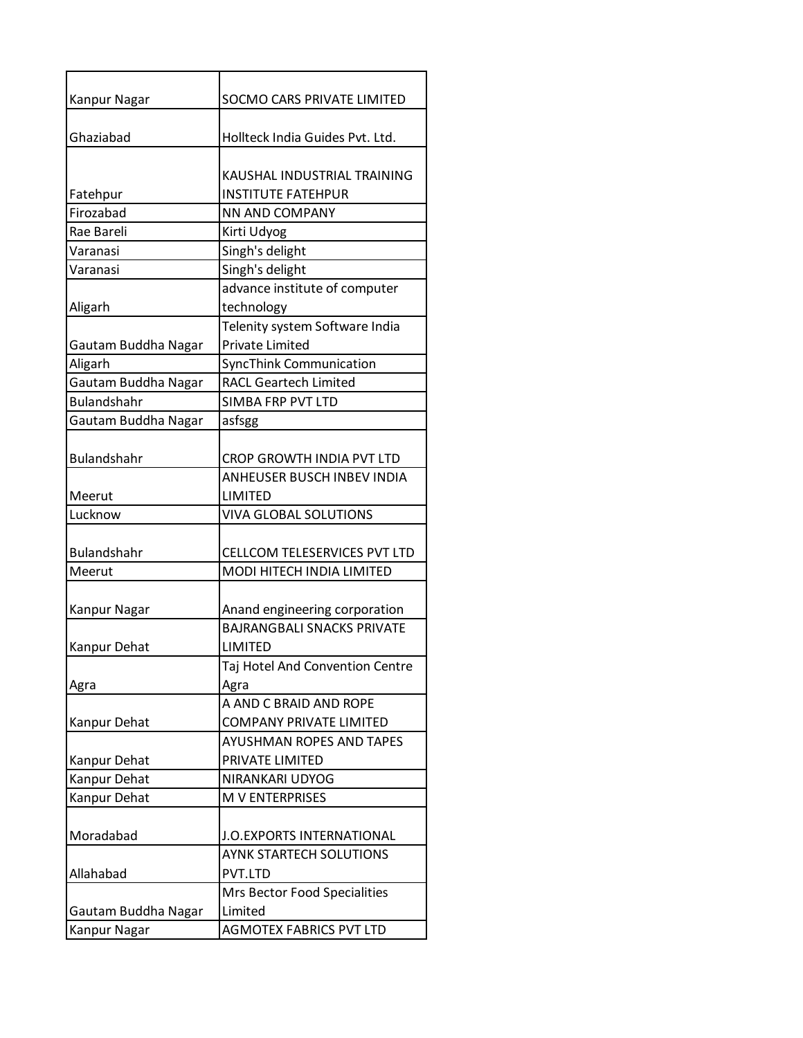| Kanpur Nagar                 | SOCMO CARS PRIVATE LIMITED                                        |
|------------------------------|-------------------------------------------------------------------|
| Ghaziabad                    | Hollteck India Guides Pvt. Ltd.                                   |
|                              |                                                                   |
|                              | KAUSHAL INDUSTRIAL TRAINING                                       |
| Fatehpur                     | <b>INSTITUTE FATEHPUR</b>                                         |
| Firozabad                    | NN AND COMPANY                                                    |
| Rae Bareli                   | Kirti Udyog                                                       |
| Varanasi                     | Singh's delight                                                   |
| Varanasi                     | Singh's delight                                                   |
|                              | advance institute of computer                                     |
| Aligarh                      | technology                                                        |
|                              | Telenity system Software India                                    |
| Gautam Buddha Nagar          | <b>Private Limited</b>                                            |
| Aligarh                      | <b>SyncThink Communication</b>                                    |
| Gautam Buddha Nagar          | <b>RACL Geartech Limited</b>                                      |
| <b>Bulandshahr</b>           | <b>SIMBA FRP PVT LTD</b>                                          |
| Gautam Buddha Nagar          | asfsgg                                                            |
|                              |                                                                   |
| Bulandshahr                  | CROP GROWTH INDIA PVT LTD                                         |
|                              | <b>ANHEUSER BUSCH INBEV INDIA</b>                                 |
| Meerut                       | <b>LIMITED</b>                                                    |
| Lucknow                      | <b>VIVA GLOBAL SOLUTIONS</b>                                      |
|                              |                                                                   |
| Bulandshahr                  | CELLCOM TELESERVICES PVT LTD                                      |
| Meerut                       | MODI HITECH INDIA LIMITED                                         |
|                              |                                                                   |
| Kanpur Nagar                 | Anand engineering corporation                                     |
|                              | <b>BAJRANGBALI SNACKS PRIVATE</b>                                 |
| Kanpur Dehat                 | LIMITED                                                           |
|                              | Taj Hotel And Convention Centre                                   |
| Agra                         | Agra                                                              |
|                              | A AND C BRAID AND ROPE                                            |
| Kanpur Dehat                 | <b>COMPANY PRIVATE LIMITED</b><br><b>AYUSHMAN ROPES AND TAPES</b> |
|                              | PRIVATE LIMITED                                                   |
| Kanpur Dehat<br>Kanpur Dehat | NIRANKARI UDYOG                                                   |
| Kanpur Dehat                 | <b>M V ENTERPRISES</b>                                            |
|                              |                                                                   |
| Moradabad                    | J.O. EXPORTS INTERNATIONAL                                        |
|                              | <b>AYNK STARTECH SOLUTIONS</b>                                    |
| Allahabad                    | PVT.LTD                                                           |
|                              | Mrs Bector Food Specialities                                      |
| Gautam Buddha Nagar          | Limited                                                           |
| Kanpur Nagar                 | <b>AGMOTEX FABRICS PVT LTD</b>                                    |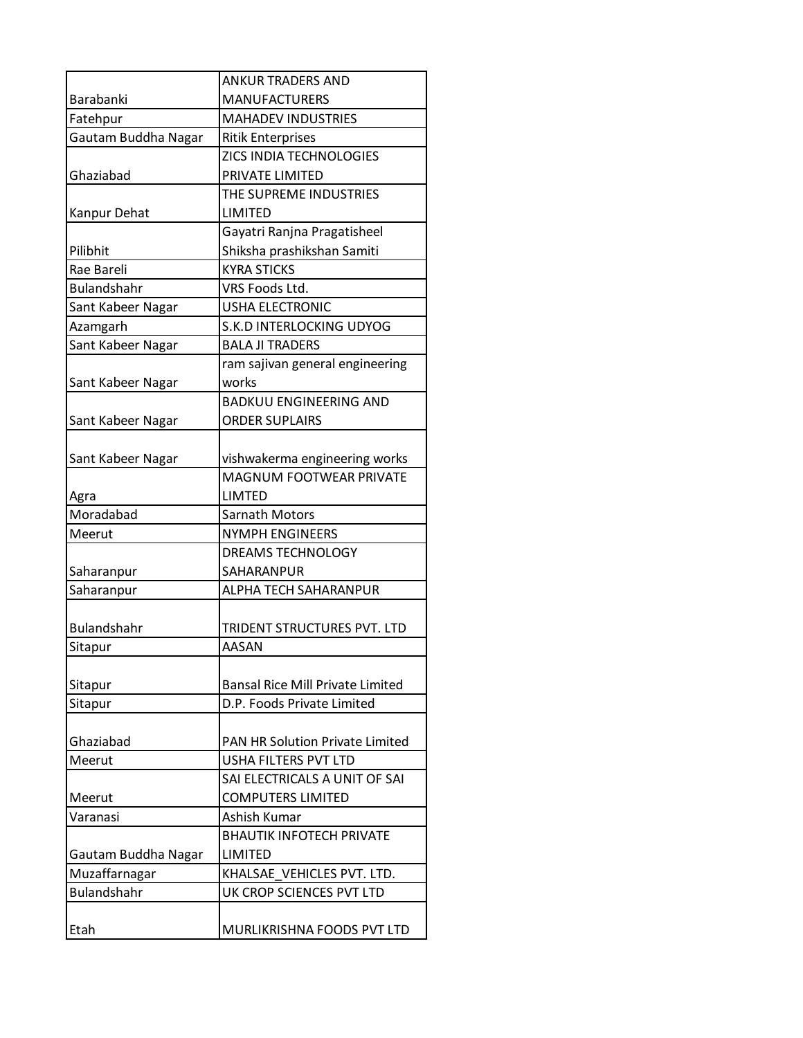|                     | <b>ANKUR TRADERS AND</b>                |
|---------------------|-----------------------------------------|
| Barabanki           | <b>MANUFACTURERS</b>                    |
| Fatehpur            | <b>MAHADEV INDUSTRIES</b>               |
| Gautam Buddha Nagar | <b>Ritik Enterprises</b>                |
|                     | ZICS INDIA TECHNOLOGIES                 |
| Ghaziabad           | PRIVATE LIMITED                         |
|                     | THE SUPREME INDUSTRIES                  |
| Kanpur Dehat        | LIMITED                                 |
|                     | Gayatri Ranjna Pragatisheel             |
| Pilibhit            | Shiksha prashikshan Samiti              |
| Rae Bareli          | <b>KYRA STICKS</b>                      |
| <b>Bulandshahr</b>  | VRS Foods Ltd.                          |
| Sant Kabeer Nagar   | <b>USHA ELECTRONIC</b>                  |
| Azamgarh            | S.K.D INTERLOCKING UDYOG                |
| Sant Kabeer Nagar   | <b>BALA JI TRADERS</b>                  |
|                     | ram sajivan general engineering         |
| Sant Kabeer Nagar   | works                                   |
|                     | <b>BADKUU ENGINEERING AND</b>           |
| Sant Kabeer Nagar   | <b>ORDER SUPLAIRS</b>                   |
|                     |                                         |
| Sant Kabeer Nagar   | vishwakerma engineering works           |
|                     | <b>MAGNUM FOOTWEAR PRIVATE</b>          |
| Agra                | <b>LIMTED</b>                           |
| Moradabad           | <b>Sarnath Motors</b>                   |
| Meerut              | <b>NYMPH ENGINEERS</b>                  |
|                     | DREAMS TECHNOLOGY                       |
| Saharanpur          | SAHARANPUR                              |
| Saharanpur          | ALPHA TECH SAHARANPUR                   |
|                     |                                         |
| Bulandshahr         | TRIDENT STRUCTURES PVT. LTD             |
| Sitapur             | AASAN                                   |
|                     |                                         |
| Sitapur             | <b>Bansal Rice Mill Private Limited</b> |
| Sitapur             | D.P. Foods Private Limited              |
|                     |                                         |
| Ghaziabad           | <b>PAN HR Solution Private Limited</b>  |
| Meerut              | <b>USHA FILTERS PVT LTD</b>             |
|                     | SAI ELECTRICALS A UNIT OF SAI           |
| Meerut              | <b>COMPUTERS LIMITED</b>                |
| Varanasi            | Ashish Kumar                            |
|                     | <b>BHAUTIK INFOTECH PRIVATE</b>         |
| Gautam Buddha Nagar | LIMITED                                 |
| Muzaffarnagar       | KHALSAE_VEHICLES PVT. LTD.              |
| <b>Bulandshahr</b>  | UK CROP SCIENCES PVT LTD                |
|                     |                                         |
| Etah                | MURLIKRISHNA FOODS PVT LTD              |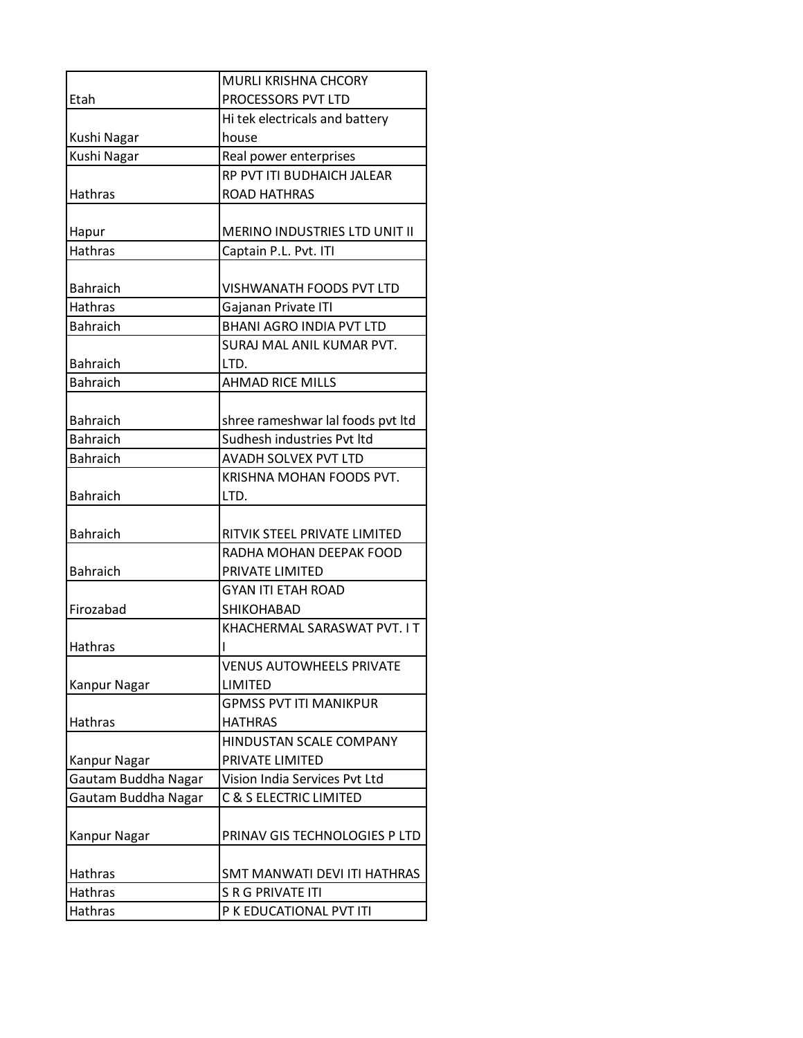|                     | MURLI KRISHNA CHCORY                 |
|---------------------|--------------------------------------|
| Etah                | PROCESSORS PVT LTD                   |
|                     | Hi tek electricals and battery       |
| Kushi Nagar         | house                                |
| Kushi Nagar         | Real power enterprises               |
|                     | RP PVT ITI BUDHAICH JALEAR           |
| Hathras             | <b>ROAD HATHRAS</b>                  |
|                     |                                      |
| Hapur               | <b>MERINO INDUSTRIES LTD UNIT II</b> |
| <b>Hathras</b>      | Captain P.L. Pvt. ITI                |
|                     |                                      |
| <b>Bahraich</b>     | <b>VISHWANATH FOODS PVT LTD</b>      |
| <b>Hathras</b>      | Gajanan Private ITI                  |
| <b>Bahraich</b>     | <b>BHANI AGRO INDIA PVT LTD</b>      |
|                     | SURAJ MAL ANIL KUMAR PVT.            |
| <b>Bahraich</b>     | LTD.                                 |
| <b>Bahraich</b>     | <b>AHMAD RICE MILLS</b>              |
|                     |                                      |
| <b>Bahraich</b>     | shree rameshwar lal foods pvt ltd    |
| <b>Bahraich</b>     | Sudhesh industries Pvt ltd           |
| <b>Bahraich</b>     | AVADH SOLVEX PVT LTD                 |
|                     | KRISHNA MOHAN FOODS PVT.             |
| <b>Bahraich</b>     | LTD.                                 |
|                     |                                      |
| <b>Bahraich</b>     | RITVIK STEEL PRIVATE LIMITED         |
|                     | RADHA MOHAN DEEPAK FOOD              |
| <b>Bahraich</b>     | PRIVATE LIMITED                      |
|                     | <b>GYAN ITI ETAH ROAD</b>            |
| Firozabad           | SHIKOHABAD                           |
|                     | KHACHERMAL SARASWAT PVT. I T         |
| <b>Hathras</b>      | I                                    |
|                     | <b>VENUS AUTOWHEELS PRIVATE</b>      |
| Kanpur Nagar        | LIMITED                              |
|                     | <b>GPMSS PVT ITI MANIKPUR</b>        |
| <b>Hathras</b>      | <b>HATHRAS</b>                       |
|                     | HINDUSTAN SCALE COMPANY              |
| Kanpur Nagar        | PRIVATE LIMITED                      |
| Gautam Buddha Nagar | Vision India Services Pvt Ltd        |
| Gautam Buddha Nagar | C & S ELECTRIC LIMITED               |
|                     |                                      |
| Kanpur Nagar        | PRINAV GIS TECHNOLOGIES P LTD        |
|                     |                                      |
| Hathras             | SMT MANWATI DEVI ITI HATHRAS         |
| <b>Hathras</b>      | S R G PRIVATE ITI                    |
| Hathras             | P K EDUCATIONAL PVT ITI              |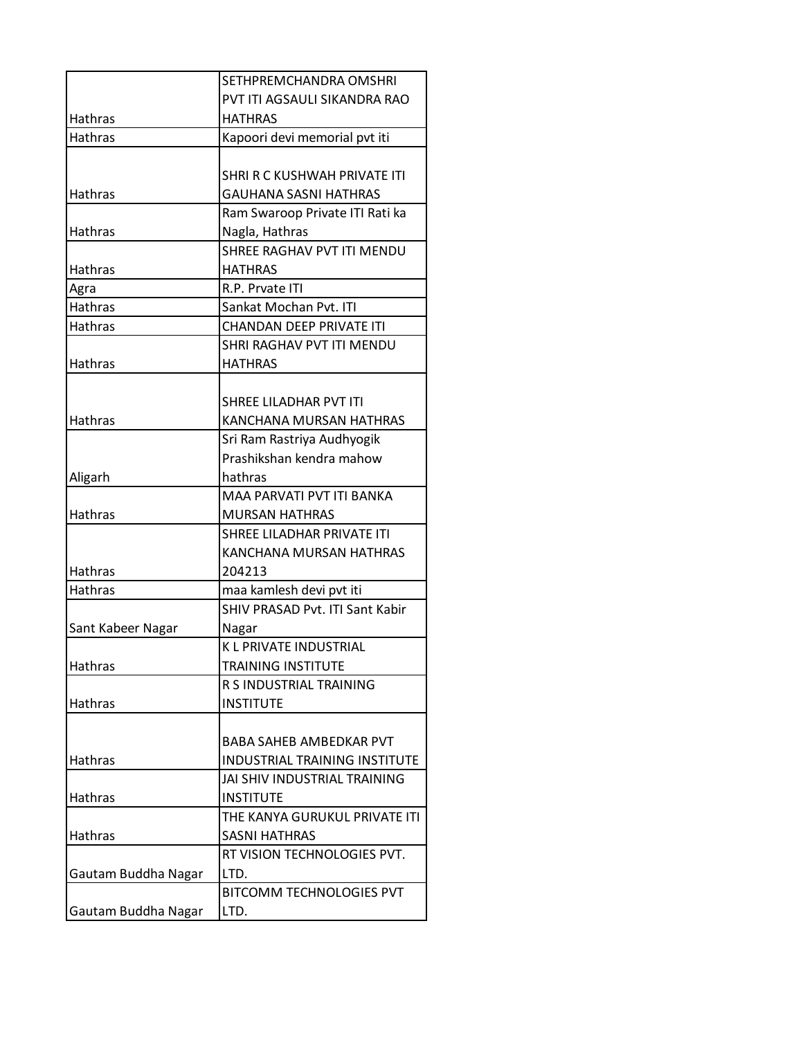|                     | SETHPREMCHANDRA OMSHRI               |
|---------------------|--------------------------------------|
|                     | PVT ITI AGSAULI SIKANDRA RAO         |
| Hathras             | HATHRAS                              |
| <b>Hathras</b>      | Kapoori devi memorial pvt iti        |
|                     |                                      |
|                     | SHRI R C KUSHWAH PRIVATE ITI         |
| <b>Hathras</b>      | <b>GAUHANA SASNI HATHRAS</b>         |
|                     | Ram Swaroop Private ITI Rati ka      |
| <b>Hathras</b>      | Nagla, Hathras                       |
|                     | SHREE RAGHAV PVT ITI MENDU           |
| Hathras             | <b>HATHRAS</b>                       |
| Agra                | R.P. Prvate ITI                      |
| <b>Hathras</b>      | Sankat Mochan Pvt. ITI               |
| <b>Hathras</b>      | <b>CHANDAN DEEP PRIVATE ITI</b>      |
|                     | SHRI RAGHAV PVT ITI MENDU            |
| <b>Hathras</b>      | <b>HATHRAS</b>                       |
|                     |                                      |
|                     | <b>SHREE LILADHAR PVT ITI</b>        |
| <b>Hathras</b>      | KANCHANA MURSAN HATHRAS              |
|                     | Sri Ram Rastriya Audhyogik           |
|                     | Prashikshan kendra mahow             |
| Aligarh             | hathras                              |
|                     | MAA PARVATI PVT ITI BANKA            |
| <b>Hathras</b>      | <b>MURSAN HATHRAS</b>                |
|                     | SHREE LILADHAR PRIVATE ITI           |
|                     | KANCHANA MURSAN HATHRAS              |
| <b>Hathras</b>      | 204213                               |
| Hathras             | maa kamlesh devi pvt iti             |
|                     | SHIV PRASAD Pvt. ITI Sant Kabir      |
| Sant Kabeer Nagar   | Nagar                                |
|                     | K L PRIVATE INDUSTRIAL               |
| Hathras             | <b>TRAINING INSTITUTE</b>            |
|                     | R S INDUSTRIAL TRAINING              |
| Hathras             | <b>INSTITUTE</b>                     |
|                     |                                      |
|                     | <b>BABA SAHEB AMBEDKAR PVT</b>       |
| Hathras             | <b>INDUSTRIAL TRAINING INSTITUTE</b> |
|                     | JAI SHIV INDUSTRIAL TRAINING         |
| <b>Hathras</b>      | <b>INSTITUTE</b>                     |
|                     | THE KANYA GURUKUL PRIVATE ITI        |
| <b>Hathras</b>      | <b>SASNI HATHRAS</b>                 |
|                     | RT VISION TECHNOLOGIES PVT.          |
| Gautam Buddha Nagar | LTD.                                 |
|                     | <b>BITCOMM TECHNOLOGIES PVT</b>      |
| Gautam Buddha Nagar | LTD.                                 |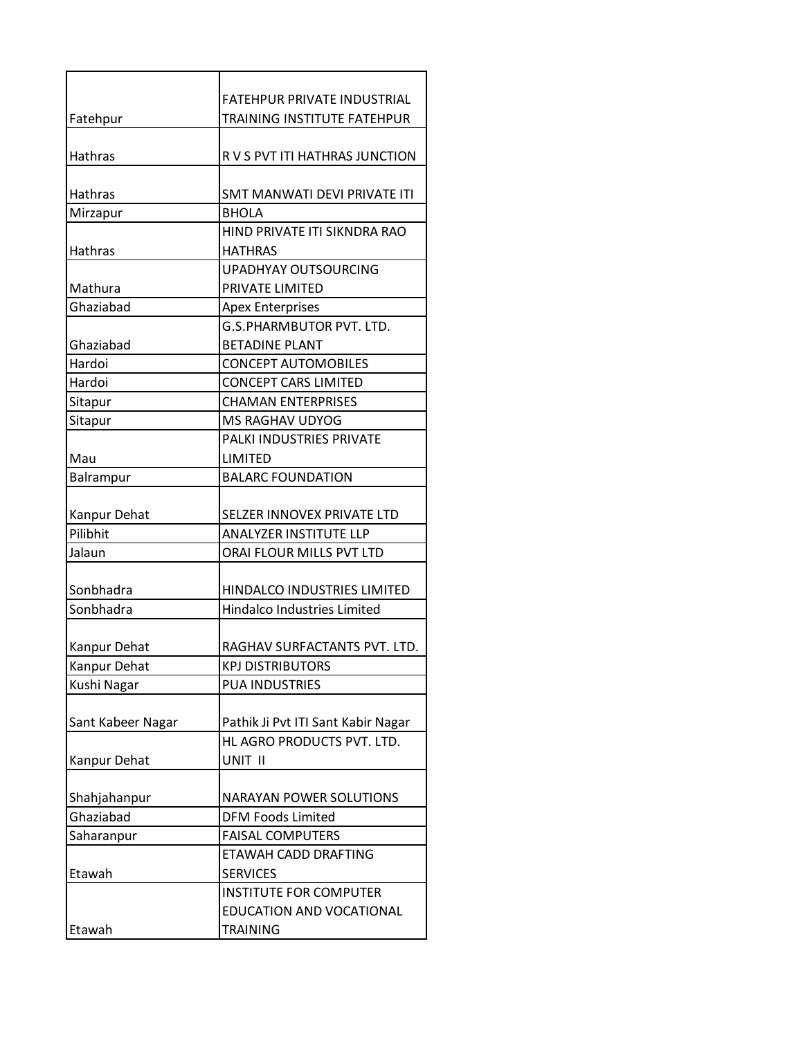|                   | <b>FATEHPUR PRIVATE INDUSTRIAL</b> |
|-------------------|------------------------------------|
| Fatehpur          | TRAINING INSTITUTE FATEHPUR        |
|                   |                                    |
| Hathras           | R V S PVT ITI HATHRAS JUNCTION     |
|                   |                                    |
| Hathras           | SMT MANWATI DEVI PRIVATE ITI       |
| Mirzapur          | <b>BHOLA</b>                       |
|                   | HIND PRIVATE ITI SIKNDRA RAO       |
| Hathras           | <b>HATHRAS</b>                     |
|                   | <b>UPADHYAY OUTSOURCING</b>        |
| Mathura           | PRIVATE LIMITED                    |
| Ghaziabad         | <b>Apex Enterprises</b>            |
|                   | <b>G.S.PHARMBUTOR PVT. LTD.</b>    |
| Ghaziabad         | <b>BETADINE PLANT</b>              |
| Hardoi            | <b>CONCEPT AUTOMOBILES</b>         |
| Hardoi            | <b>CONCEPT CARS LIMITED</b>        |
| Sitapur           | <b>CHAMAN ENTERPRISES</b>          |
| Sitapur           | MS RAGHAV UDYOG                    |
|                   | PALKI INDUSTRIES PRIVATE           |
| Mau               | LIMITED                            |
| Balrampur         | <b>BALARC FOUNDATION</b>           |
|                   |                                    |
| Kanpur Dehat      | SELZER INNOVEX PRIVATE LTD         |
| Pilibhit          | <b>ANALYZER INSTITUTE LLP</b>      |
| Jalaun            | ORAI FLOUR MILLS PVT LTD           |
|                   |                                    |
| Sonbhadra         | HINDALCO INDUSTRIES LIMITED        |
| Sonbhadra         | <b>Hindalco Industries Limited</b> |
|                   |                                    |
| Kanpur Dehat      | RAGHAV SURFACTANTS PVT. LTD.       |
| Kanpur Dehat      | <b>KPJ DISTRIBUTORS</b>            |
| Kushi Nagar       | <b>PUA INDUSTRIES</b>              |
|                   |                                    |
| Sant Kabeer Nagar | Pathik Ji Pvt ITI Sant Kabir Nagar |
|                   | HL AGRO PRODUCTS PVT. LTD.         |
| Kanpur Dehat      | UNIT II                            |
|                   |                                    |
| Shahjahanpur      | <b>NARAYAN POWER SOLUTIONS</b>     |
| Ghaziabad         | <b>DFM Foods Limited</b>           |
| Saharanpur        | <b>FAISAL COMPUTERS</b>            |
|                   | ETAWAH CADD DRAFTING               |
| Etawah            | <b>SERVICES</b>                    |
|                   | <b>INSTITUTE FOR COMPUTER</b>      |
|                   | EDUCATION AND VOCATIONAL           |
| Etawah            | <b>TRAINING</b>                    |
|                   |                                    |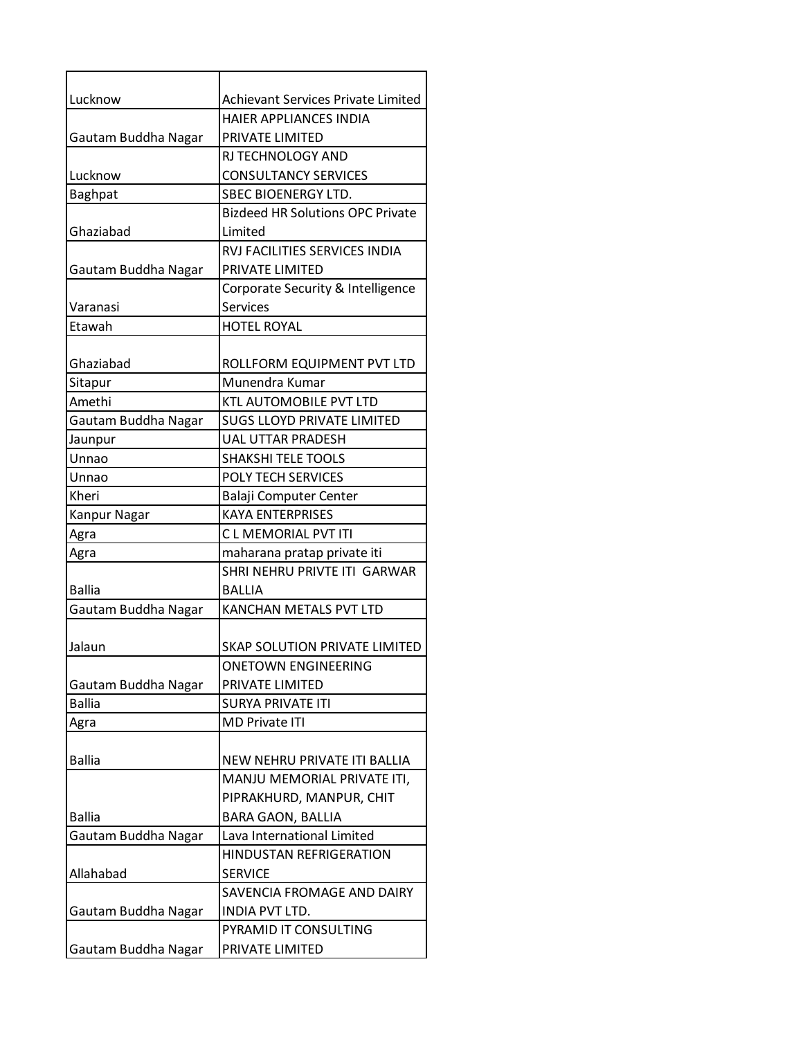| Lucknow             | Achievant Services Private Limited      |
|---------------------|-----------------------------------------|
|                     | <b>HAIER APPLIANCES INDIA</b>           |
| Gautam Buddha Nagar | PRIVATE LIMITED                         |
|                     | RJ TECHNOLOGY AND                       |
| Lucknow             | <b>CONSULTANCY SERVICES</b>             |
| Baghpat             | SBEC BIOENERGY LTD.                     |
|                     | <b>Bizdeed HR Solutions OPC Private</b> |
| Ghaziabad           | Limited                                 |
|                     | <b>RVJ FACILITIES SERVICES INDIA</b>    |
| Gautam Buddha Nagar | PRIVATE LIMITED                         |
|                     | Corporate Security & Intelligence       |
| Varanasi            | <b>Services</b>                         |
| Etawah              | <b>HOTEL ROYAL</b>                      |
|                     |                                         |
| Ghaziabad           | ROLLFORM EQUIPMENT PVT LTD              |
| Sitapur             | Munendra Kumar                          |
| Amethi              | <b>KTL AUTOMOBILE PVT LTD</b>           |
| Gautam Buddha Nagar | <b>SUGS LLOYD PRIVATE LIMITED</b>       |
| Jaunpur             | <b>UAL UTTAR PRADESH</b>                |
| Unnao               | <b>SHAKSHI TELE TOOLS</b>               |
| Unnao               | POLY TECH SERVICES                      |
| Kheri               | Balaji Computer Center                  |
| <b>Kanpur Nagar</b> | <b>KAYA ENTERPRISES</b>                 |
| Agra                | C L MEMORIAL PVT ITI                    |
| Agra                | maharana pratap private iti             |
|                     | SHRI NEHRU PRIVTE ITI GARWAR            |
| <b>Ballia</b>       | <b>BALLIA</b>                           |
| Gautam Buddha Nagar | <b>KANCHAN METALS PVT LTD</b>           |
|                     |                                         |
| Jalaun              | <b>SKAP SOLUTION PRIVATE LIMITED</b>    |
|                     | <b>ONETOWN ENGINEERING</b>              |
| Gautam Buddha Nagar | PRIVATE LIMITED                         |
| <b>Ballia</b>       | SURYA PRIVATE ITI                       |
| Agra                | <b>MD Private ITI</b>                   |
|                     |                                         |
| <b>Ballia</b>       | NEW NEHRU PRIVATE ITI BALLIA            |
|                     | MANJU MEMORIAL PRIVATE ITI,             |
|                     | PIPRAKHURD, MANPUR, CHIT                |
| <b>Ballia</b>       | <b>BARA GAON, BALLIA</b>                |
| Gautam Buddha Nagar | Lava International Limited              |
|                     | HINDUSTAN REFRIGERATION                 |
| Allahabad           | <b>SERVICE</b>                          |
|                     | SAVENCIA FROMAGE AND DAIRY              |
| Gautam Buddha Nagar | INDIA PVT LTD.                          |
|                     | PYRAMID IT CONSULTING                   |
| Gautam Buddha Nagar | PRIVATE LIMITED                         |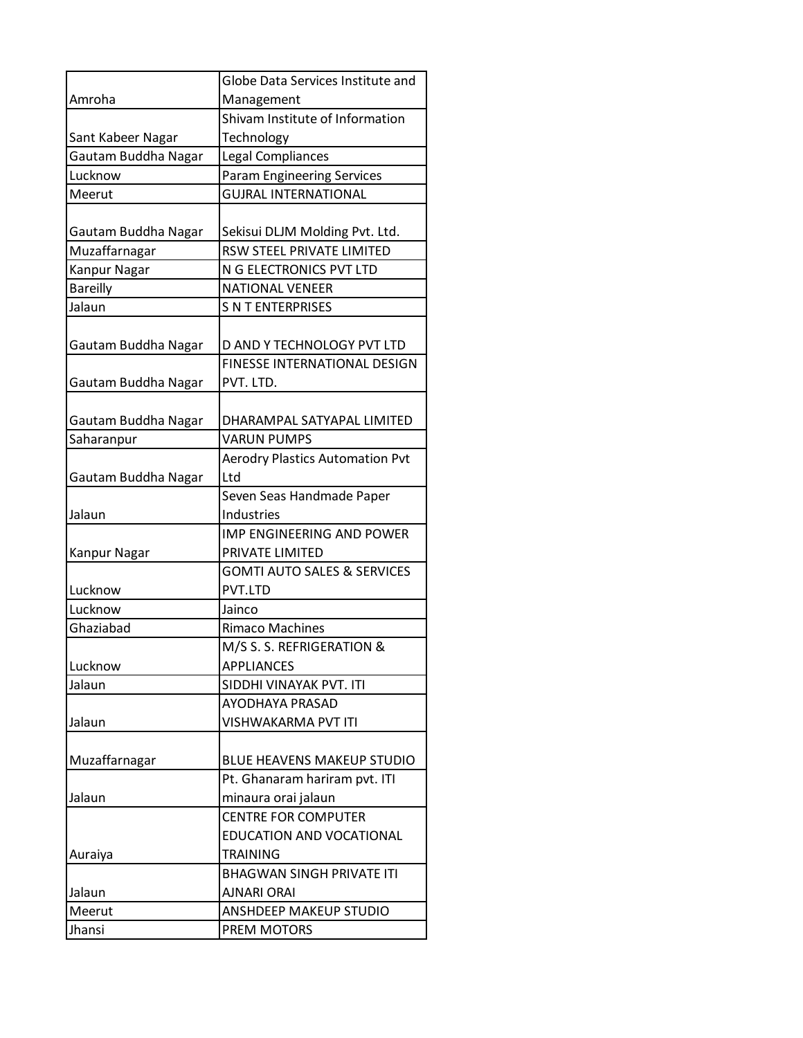|                     | Globe Data Services Institute and      |
|---------------------|----------------------------------------|
| Amroha              | Management                             |
|                     | Shivam Institute of Information        |
| Sant Kabeer Nagar   | Technology                             |
| Gautam Buddha Nagar | Legal Compliances                      |
| Lucknow             | <b>Param Engineering Services</b>      |
| Meerut              | <b>GUJRAL INTERNATIONAL</b>            |
|                     |                                        |
| Gautam Buddha Nagar | Sekisui DLJM Molding Pvt. Ltd.         |
| Muzaffarnagar       | RSW STEEL PRIVATE LIMITED              |
| <b>Kanpur Nagar</b> | N G ELECTRONICS PVT LTD                |
| <b>Bareilly</b>     | <b>NATIONAL VENEER</b>                 |
| Jalaun              | <b>S N T ENTERPRISES</b>               |
|                     |                                        |
| Gautam Buddha Nagar | D AND Y TECHNOLOGY PVT LTD             |
|                     | <b>FINESSE INTERNATIONAL DESIGN</b>    |
| Gautam Buddha Nagar | PVT. LTD.                              |
|                     |                                        |
| Gautam Buddha Nagar | DHARAMPAL SATYAPAL LIMITED             |
| Saharanpur          | <b>VARUN PUMPS</b>                     |
|                     | <b>Aerodry Plastics Automation Pvt</b> |
| Gautam Buddha Nagar | Ltd                                    |
|                     | Seven Seas Handmade Paper              |
| Jalaun              | Industries                             |
|                     | <b>IMP ENGINEERING AND POWER</b>       |
| Kanpur Nagar        | PRIVATE LIMITED                        |
|                     | <b>GOMTI AUTO SALES &amp; SERVICES</b> |
| Lucknow             | PVT.LTD                                |
| Lucknow             | Jainco                                 |
| Ghaziabad           | <b>Rimaco Machines</b>                 |
|                     | M/S S. S. REFRIGERATION &              |
| Lucknow             | <b>APPLIANCES</b>                      |
| Jalaun              | SIDDHI VINAYAK PVT. ITI                |
|                     | AYODHAYA PRASAD                        |
|                     |                                        |
| Jalaun              | VISHWAKARMA PVT ITI                    |
|                     |                                        |
| Muzaffarnagar       | <b>BLUE HEAVENS MAKEUP STUDIO</b>      |
|                     | Pt. Ghanaram hariram pvt. ITI          |
| Jalaun              | minaura orai jalaun                    |
|                     | <b>CENTRE FOR COMPUTER</b>             |
|                     | EDUCATION AND VOCATIONAL               |
| Auraiya             | <b>TRAINING</b>                        |
|                     | <b>BHAGWAN SINGH PRIVATE ITI</b>       |
| Jalaun              | <b>AJNARI ORAI</b>                     |
| Meerut              | ANSHDEEP MAKEUP STUDIO                 |
| Jhansi              | PREM MOTORS                            |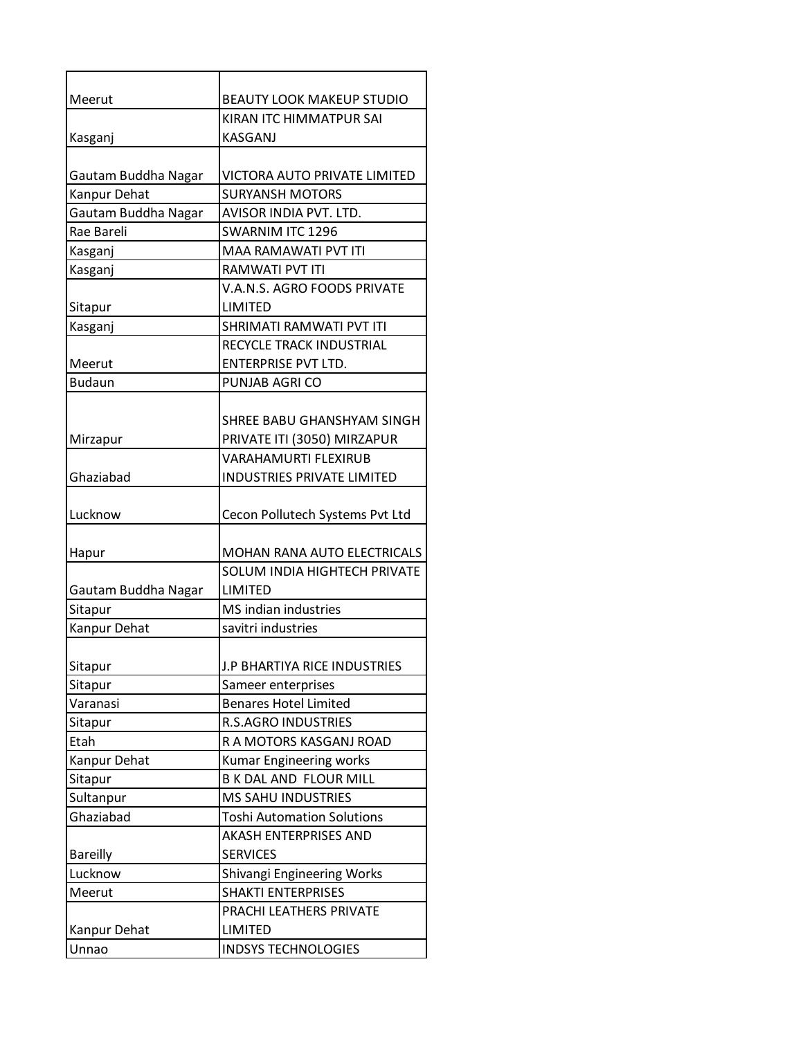| Meerut              | <b>BEAUTY LOOK MAKEUP STUDIO</b>   |
|---------------------|------------------------------------|
| Kasganj             | KIRAN ITC HIMMATPUR SAI<br>KASGANJ |
|                     |                                    |
| Gautam Buddha Nagar | VICTORA AUTO PRIVATE LIMITED       |
| Kanpur Dehat        | <b>SURYANSH MOTORS</b>             |
| Gautam Buddha Nagar | AVISOR INDIA PVT. LTD.             |
| Rae Bareli          | <b>SWARNIM ITC 1296</b>            |
| Kasganj             | MAA RAMAWATI PVT ITI               |
| Kasganj             | RAMWATI PVT ITI                    |
|                     | V.A.N.S. AGRO FOODS PRIVATE        |
| Sitapur             | LIMITED                            |
| Kasganj             | SHRIMATI RAMWATI PVT ITI           |
|                     | RECYCLE TRACK INDUSTRIAL           |
| Meerut              | <b>ENTERPRISE PVT LTD.</b>         |
| <b>Budaun</b>       | PUNJAB AGRI CO                     |
|                     |                                    |
|                     | SHREE BABU GHANSHYAM SINGH         |
| Mirzapur            | PRIVATE ITI (3050) MIRZAPUR        |
|                     | <b>VARAHAMURTI FLEXIRUB</b>        |
| Ghaziabad           | <b>INDUSTRIES PRIVATE LIMITED</b>  |
|                     |                                    |
| Lucknow             | Cecon Pollutech Systems Pvt Ltd    |
|                     |                                    |
| Hapur               | MOHAN RANA AUTO ELECTRICALS        |
|                     | SOLUM INDIA HIGHTECH PRIVATE       |
| Gautam Buddha Nagar | <b>LIMITED</b>                     |
| Sitapur             | MS indian industries               |
| Kanpur Dehat        | savitri industries                 |
| Sitapur             | J.P BHARTIYA RICE INDUSTRIES       |
| Sitapur             | Sameer enterprises                 |
| Varanasi            | <b>Benares Hotel Limited</b>       |
| Sitapur             | <b>R.S.AGRO INDUSTRIES</b>         |
| Etah                | R A MOTORS KASGANJ ROAD            |
| Kanpur Dehat        | Kumar Engineering works            |
| Sitapur             | B K DAL AND FLOUR MILL             |
| Sultanpur           | <b>MS SAHU INDUSTRIES</b>          |
| Ghaziabad           | <b>Toshi Automation Solutions</b>  |
|                     | AKASH ENTERPRISES AND              |
| <b>Bareilly</b>     | <b>SERVICES</b>                    |
| Lucknow             | Shivangi Engineering Works         |
| Meerut              | <b>SHAKTI ENTERPRISES</b>          |
|                     | PRACHI LEATHERS PRIVATE            |
| Kanpur Dehat        | LIMITED                            |
| Unnao               | <b>INDSYS TECHNOLOGIES</b>         |
|                     |                                    |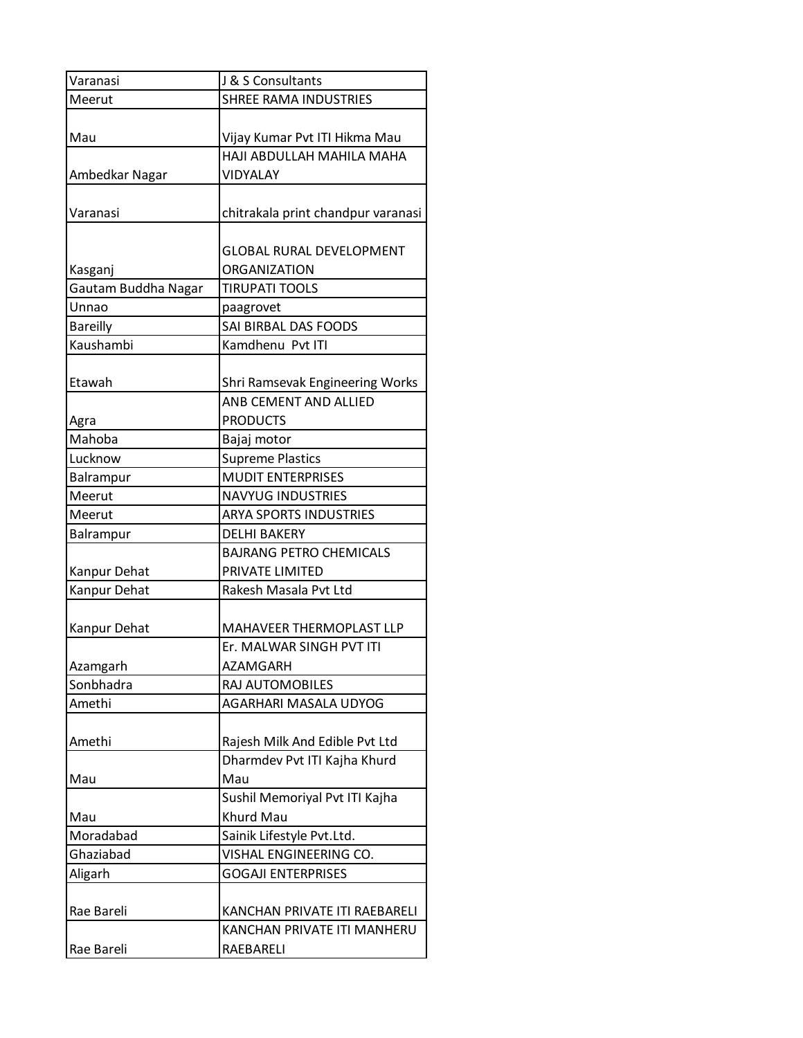| Varanasi                       | J & S Consultants                               |
|--------------------------------|-------------------------------------------------|
| Meerut                         | <b>SHREE RAMA INDUSTRIES</b>                    |
| Mau                            | Vijay Kumar Pvt ITI Hikma Mau                   |
|                                | HAJI ABDULLAH MAHILA MAHA                       |
| Ambedkar Nagar                 | VIDYALAY                                        |
| Varanasi                       | chitrakala print chandpur varanasi              |
|                                | <b>GLOBAL RURAL DEVELOPMENT</b><br>ORGANIZATION |
| Kasganj<br>Gautam Buddha Nagar | <b>TIRUPATI TOOLS</b>                           |
| Unnao                          | paagrovet                                       |
| <b>Bareilly</b>                | SAI BIRBAL DAS FOODS                            |
| Kaushambi                      | Kamdhenu Pvt ITI                                |
|                                |                                                 |
| Etawah                         | Shri Ramsevak Engineering Works                 |
|                                | ANB CEMENT AND ALLIED                           |
| Agra                           | <b>PRODUCTS</b>                                 |
| Mahoba                         | Bajaj motor                                     |
| Lucknow                        | <b>Supreme Plastics</b>                         |
| Balrampur                      | <b>MUDIT ENTERPRISES</b>                        |
| Meerut                         | <b>NAVYUG INDUSTRIES</b>                        |
| Meerut                         | <b>ARYA SPORTS INDUSTRIES</b>                   |
| Balrampur                      | <b>DELHI BAKERY</b>                             |
|                                | <b>BAJRANG PETRO CHEMICALS</b>                  |
| Kanpur Dehat                   | PRIVATE LIMITED                                 |
| Kanpur Dehat                   | Rakesh Masala Pvt Ltd                           |
| Kanpur Dehat                   | MAHAVEER THERMOPLAST LLP                        |
|                                | Er. MALWAR SINGH PVT ITI                        |
| Azamgarh                       | <b>AZAMGARH</b>                                 |
| Sonbhadra                      | RAJ AUTOMOBILES                                 |
| Amethi                         | AGARHARI MASALA UDYOG                           |
| Amethi                         | Rajesh Milk And Edible Pvt Ltd                  |
|                                | Dharmdev Pvt ITI Kajha Khurd                    |
| Mau                            | Mau                                             |
|                                | Sushil Memoriyal Pvt ITI Kajha                  |
| Mau                            | Khurd Mau                                       |
| Moradabad                      | Sainik Lifestyle Pvt.Ltd.                       |
| Ghaziabad                      | VISHAL ENGINEERING CO.                          |
| Aligarh                        | <b>GOGAJI ENTERPRISES</b>                       |
|                                |                                                 |
| Rae Bareli                     | KANCHAN PRIVATE ITI RAEBARELI                   |
|                                | KANCHAN PRIVATE ITI MANHERU                     |
| Rae Bareli                     | RAEBARELI                                       |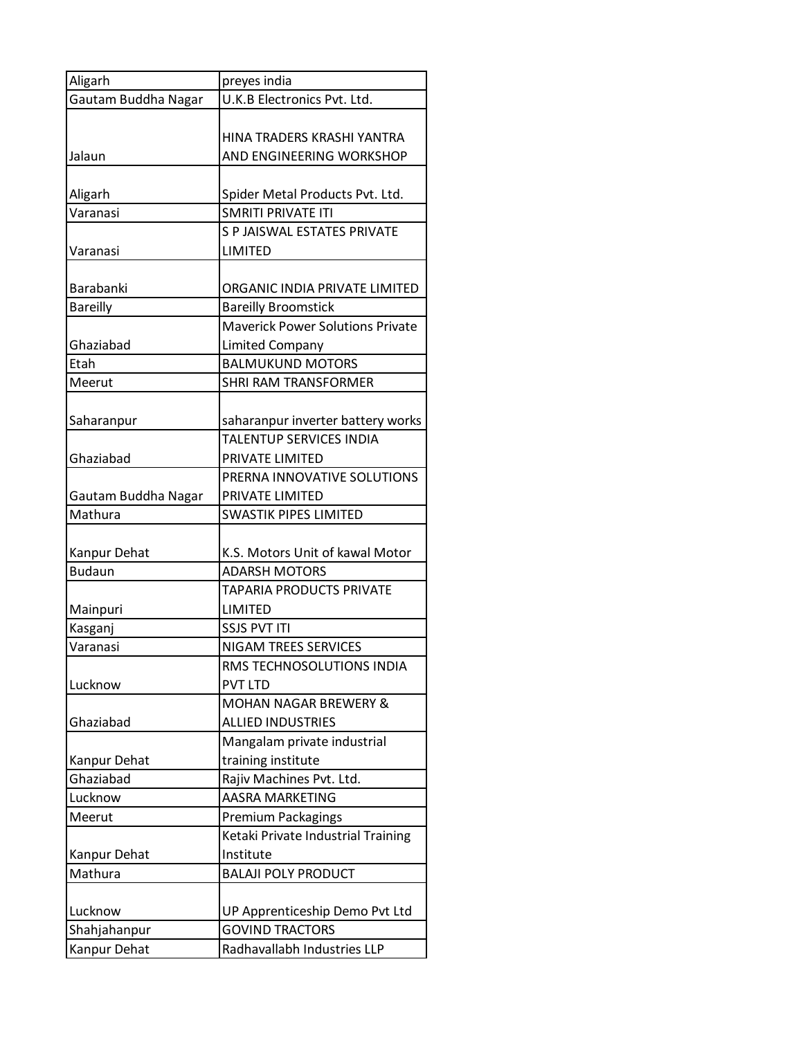| Aligarh             | preyes india                                                 |
|---------------------|--------------------------------------------------------------|
| Gautam Buddha Nagar | U.K.B Electronics Pvt. Ltd.                                  |
| Jalaun              | HINA TRADERS KRASHI YANTRA<br>AND ENGINEERING WORKSHOP       |
|                     |                                                              |
| Aligarh             | Spider Metal Products Pvt. Ltd.                              |
| Varanasi            | <b>SMRITI PRIVATE ITI</b>                                    |
|                     | S P JAISWAL ESTATES PRIVATE                                  |
| Varanasi            | <b>LIMITED</b>                                               |
| Barabanki           | ORGANIC INDIA PRIVATE LIMITED                                |
| <b>Bareilly</b>     | <b>Bareilly Broomstick</b>                                   |
|                     | <b>Maverick Power Solutions Private</b>                      |
| Ghaziabad           | <b>Limited Company</b>                                       |
| Etah                | <b>BALMUKUND MOTORS</b>                                      |
| Meerut              | <b>SHRI RAM TRANSFORMER</b>                                  |
|                     |                                                              |
| Saharanpur          | saharanpur inverter battery works<br>TALENTUP SERVICES INDIA |
| Ghaziabad           | PRIVATE LIMITED                                              |
|                     | PRERNA INNOVATIVE SOLUTIONS                                  |
| Gautam Buddha Nagar | PRIVATE LIMITED                                              |
| Mathura             | <b>SWASTIK PIPES LIMITED</b>                                 |
|                     |                                                              |
| Kanpur Dehat        | K.S. Motors Unit of kawal Motor                              |
| <b>Budaun</b>       | <b>ADARSH MOTORS</b>                                         |
|                     | <b>TAPARIA PRODUCTS PRIVATE</b>                              |
| Mainpuri            | LIMITED                                                      |
| Kasganj             | <b>SSJS PVT ITI</b>                                          |
| Varanasi            | <b>NIGAM TREES SERVICES</b>                                  |
|                     | RMS TECHNOSOLUTIONS INDIA                                    |
| Lucknow             | <b>PVT LTD</b>                                               |
|                     | <b>MOHAN NAGAR BREWERY &amp;</b>                             |
| Ghaziabad           | <b>ALLIED INDUSTRIES</b>                                     |
|                     | Mangalam private industrial                                  |
| Kanpur Dehat        | training institute                                           |
| Ghaziabad           | Rajiv Machines Pvt. Ltd.                                     |
| Lucknow             | <b>AASRA MARKETING</b>                                       |
| Meerut              | Premium Packagings                                           |
|                     | Ketaki Private Industrial Training                           |
| Kanpur Dehat        | Institute                                                    |
| Mathura             | <b>BALAJI POLY PRODUCT</b>                                   |
| Lucknow             | UP Apprenticeship Demo Pvt Ltd                               |
| Shahjahanpur        | <b>GOVIND TRACTORS</b>                                       |
| Kanpur Dehat        | Radhavallabh Industries LLP                                  |
|                     |                                                              |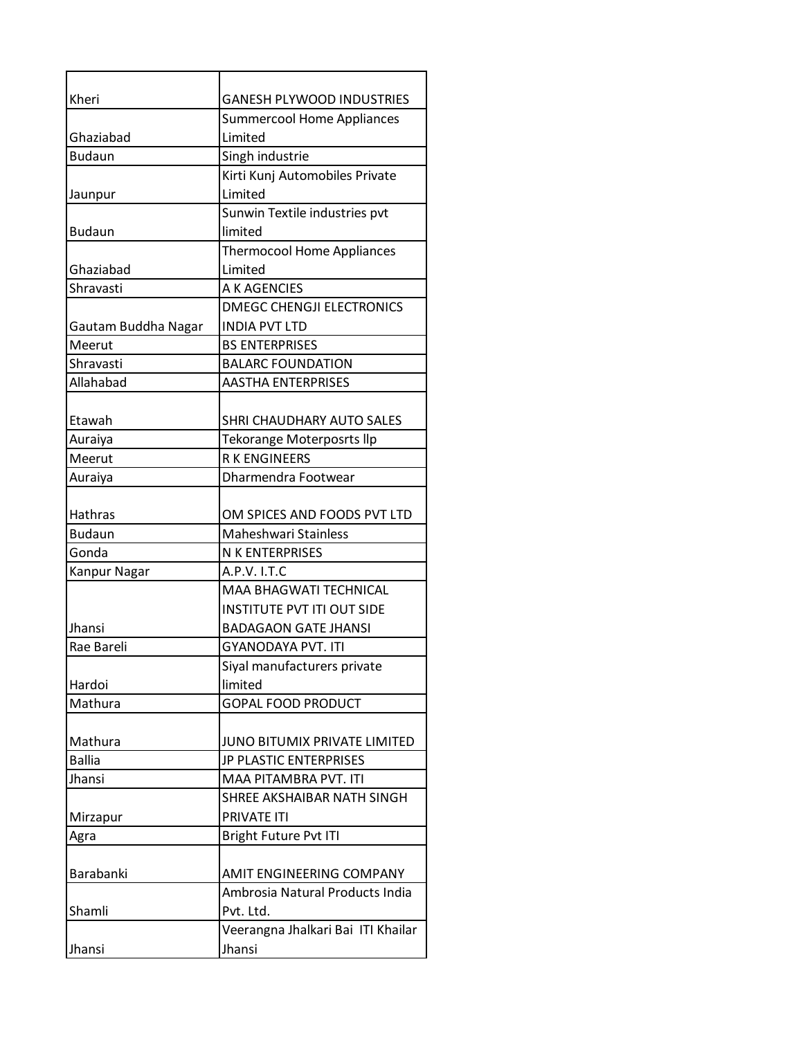| Kheri               | <b>GANESH PLYWOOD INDUSTRIES</b>   |
|---------------------|------------------------------------|
|                     | <b>Summercool Home Appliances</b>  |
| Ghaziabad           | Limited                            |
| <b>Budaun</b>       | Singh industrie                    |
|                     | Kirti Kunj Automobiles Private     |
| Jaunpur             | Limited                            |
|                     | Sunwin Textile industries pvt      |
| <b>Budaun</b>       | limited                            |
|                     | <b>Thermocool Home Appliances</b>  |
| Ghaziabad           | Limited                            |
| Shravasti           | A K AGENCIES                       |
|                     | <b>DMEGC CHENGJI ELECTRONICS</b>   |
| Gautam Buddha Nagar | <b>INDIA PVT LTD</b>               |
| Meerut              | <b>BS ENTERPRISES</b>              |
| Shravasti           | <b>BALARC FOUNDATION</b>           |
| Allahabad           | <b>AASTHA ENTERPRISES</b>          |
|                     |                                    |
| Etawah              | SHRI CHAUDHARY AUTO SALES          |
| Auraiya             | Tekorange Moterposrts llp          |
| Meerut              | <b>RKENGINEERS</b>                 |
| Auraiya             | Dharmendra Footwear                |
| Hathras             | OM SPICES AND FOODS PVT LTD        |
| <b>Budaun</b>       | Maheshwari Stainless               |
| Gonda               | N K ENTERPRISES                    |
| <b>Kanpur Nagar</b> | A.P.V. I.T.C                       |
|                     | <b>MAA BHAGWATI TECHNICAL</b>      |
|                     | <b>INSTITUTE PVT ITI OUT SIDE</b>  |
| Jhansi              | <b>BADAGAON GATE JHANSI</b>        |
| Rae Bareli          | <b>GYANODAYA PVT. ITI</b>          |
|                     | Siyal manufacturers private        |
| Hardoi              | limited                            |
| Mathura             | <b>GOPAL FOOD PRODUCT</b>          |
|                     |                                    |
| Mathura             | JUNO BITUMIX PRIVATE LIMITED       |
| <b>Ballia</b>       | JP PLASTIC ENTERPRISES             |
| Jhansi              | MAA PITAMBRA PVT. ITI              |
|                     | SHREE AKSHAIBAR NATH SINGH         |
| Mirzapur            | <b>PRIVATE ITI</b>                 |
| Agra                | Bright Future Pvt ITI              |
|                     |                                    |
| Barabanki           | AMIT ENGINEERING COMPANY           |
|                     | Ambrosia Natural Products India    |
| Shamli              | Pvt. Ltd.                          |
|                     | Veerangna Jhalkari Bai ITI Khailar |
| Jhansi              | Jhansi                             |
|                     |                                    |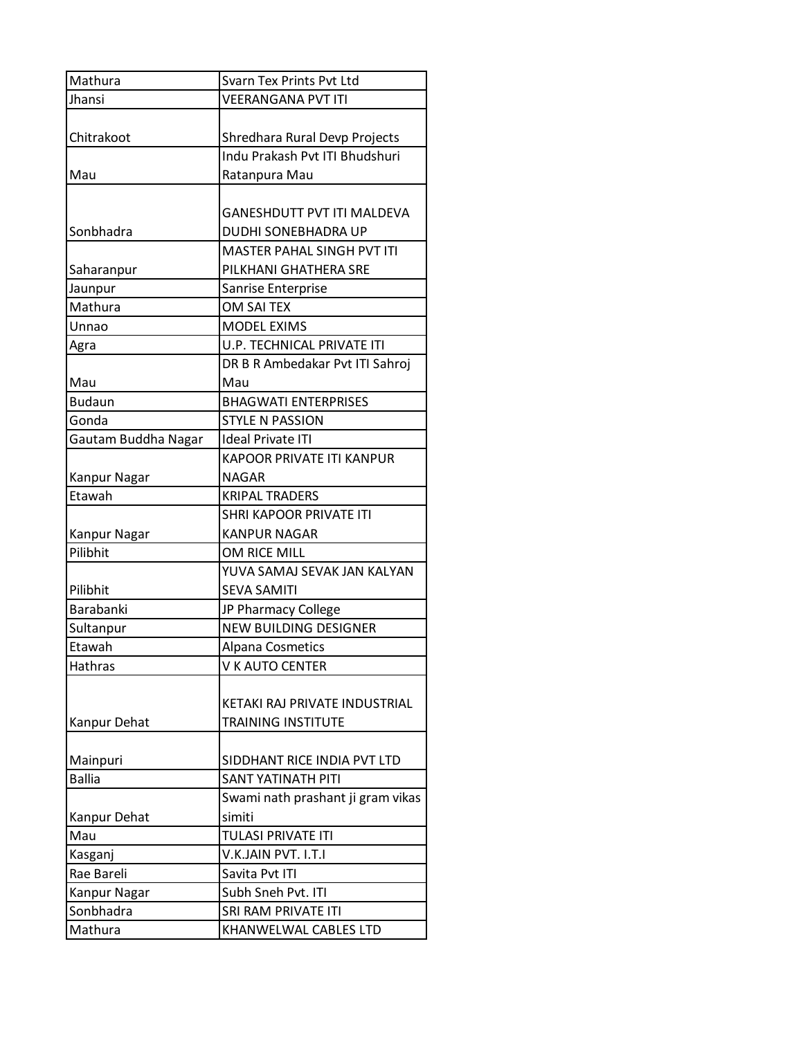| Mathura             | Svarn Tex Prints Pvt Ltd          |
|---------------------|-----------------------------------|
| Jhansi              | <b>VEERANGANA PVT ITI</b>         |
|                     |                                   |
| Chitrakoot          | Shredhara Rural Devp Projects     |
|                     | Indu Prakash Pvt ITI Bhudshuri    |
| Mau                 | Ratanpura Mau                     |
|                     |                                   |
|                     | <b>GANESHDUTT PVT ITI MALDEVA</b> |
| Sonbhadra           | DUDHI SONEBHADRA UP               |
|                     | MASTER PAHAL SINGH PVT ITI        |
| Saharanpur          | PILKHANI GHATHERA SRE             |
| Jaunpur             | Sanrise Enterprise                |
| Mathura             | OM SAI TEX                        |
| Unnao               | <b>MODEL EXIMS</b>                |
| Agra                | U.P. TECHNICAL PRIVATE ITI        |
|                     | DR B R Ambedakar Pvt ITI Sahroj   |
| Mau                 | Mau                               |
| <b>Budaun</b>       | <b>BHAGWATI ENTERPRISES</b>       |
| Gonda               | <b>STYLE N PASSION</b>            |
| Gautam Buddha Nagar | <b>Ideal Private ITI</b>          |
|                     | <b>KAPOOR PRIVATE ITI KANPUR</b>  |
| Kanpur Nagar        | <b>NAGAR</b>                      |
| Etawah              | <b>KRIPAL TRADERS</b>             |
|                     | SHRI KAPOOR PRIVATE ITI           |
| Kanpur Nagar        | <b>KANPUR NAGAR</b>               |
| Pilibhit            | OM RICE MILL                      |
|                     | YUVA SAMAJ SEVAK JAN KALYAN       |
| Pilibhit            | <b>SEVA SAMITI</b>                |
| <b>Barabanki</b>    | JP Pharmacy College               |
| Sultanpur           | <b>NEW BUILDING DESIGNER</b>      |
| Etawah              | Alpana Cosmetics                  |
| Hathras             | V K AUTO CENTER                   |
|                     |                                   |
|                     | KETAKI RAJ PRIVATE INDUSTRIAL     |
| Kanpur Dehat        | <b>TRAINING INSTITUTE</b>         |
|                     |                                   |
| Mainpuri            | SIDDHANT RICE INDIA PVT LTD       |
| <b>Ballia</b>       | SANT YATINATH PITI                |
|                     | Swami nath prashant ji gram vikas |
| Kanpur Dehat        | simiti                            |
| Mau                 | <b>TULASI PRIVATE ITI</b>         |
| Kasganj             | V.K.JAIN PVT. I.T.I               |
| Rae Bareli          | Savita Pvt ITI                    |
| Kanpur Nagar        | Subh Sneh Pvt. ITI                |
| Sonbhadra           | SRI RAM PRIVATE ITI               |
| Mathura             | KHANWELWAL CABLES LTD             |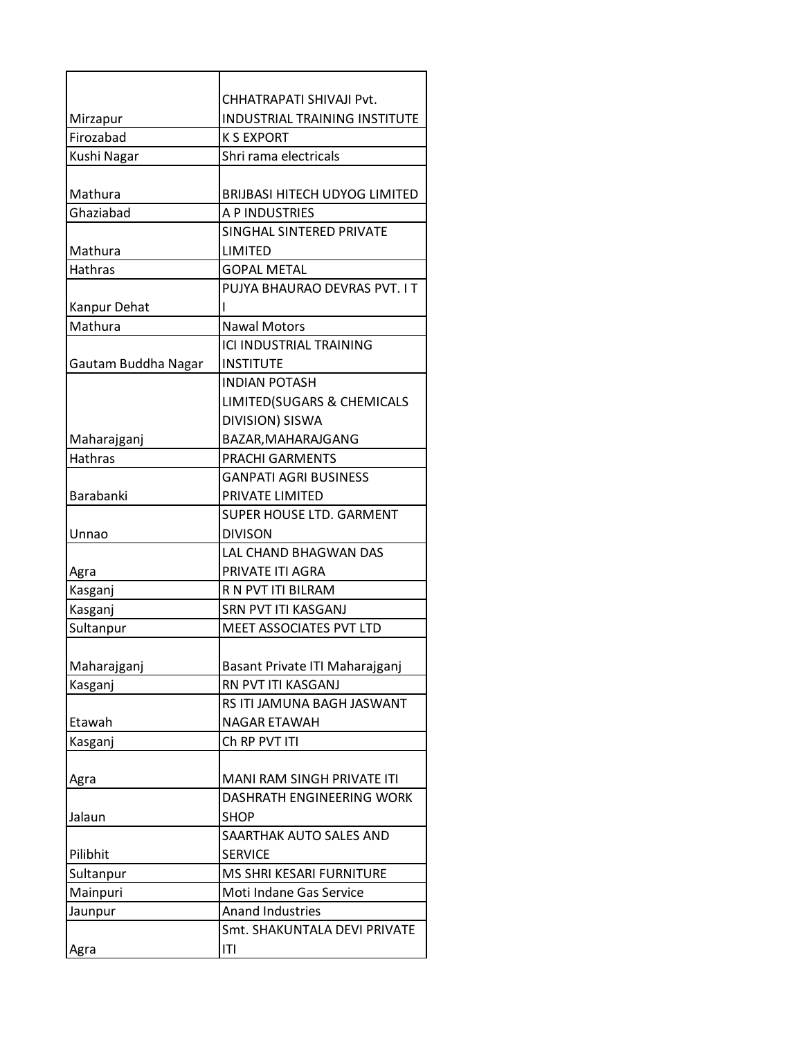|                         | CHHATRAPATI SHIVAJI Pvt.             |
|-------------------------|--------------------------------------|
| Mirzapur                | <b>INDUSTRIAL TRAINING INSTITUTE</b> |
| Firozabad               | <b>K S EXPORT</b>                    |
| Kushi Nagar             | Shri rama electricals                |
|                         |                                      |
| Mathura                 | BRIJBASI HITECH UDYOG LIMITED        |
| Ghaziabad               | A P INDUSTRIES                       |
|                         | SINGHAL SINTERED PRIVATE             |
| Mathura                 | LIMITED                              |
| <b>Hathras</b>          | <b>GOPAL METAL</b>                   |
|                         | PUJYA BHAURAO DEVRAS PVT. I T        |
| Kanpur Dehat<br>Mathura | <b>Nawal Motors</b>                  |
|                         | ICLINDUSTRIAL TRAINING               |
| Gautam Buddha Nagar     | INSTITUTE                            |
|                         | <b>INDIAN POTASH</b>                 |
|                         | LIMITED(SUGARS & CHEMICALS           |
|                         | DIVISION) SISWA                      |
| Maharajganj             | BAZAR, MAHARAJGANG                   |
| <b>Hathras</b>          | <b>PRACHI GARMENTS</b>               |
|                         | <b>GANPATI AGRI BUSINESS</b>         |
| Barabanki               | PRIVATE LIMITED                      |
|                         | <b>SUPER HOUSE LTD. GARMENT</b>      |
| Unnao                   | <b>DIVISON</b>                       |
|                         | LAL CHAND BHAGWAN DAS                |
| Agra                    | PRIVATE ITI AGRA                     |
| Kasganj                 | R N PVT ITI BILRAM                   |
| Kasganj                 | SRN PVT ITI KASGANJ                  |
| Sultanpur               | MEET ASSOCIATES PVT LTD              |
|                         |                                      |
| Maharajganj             | Basant Private ITI Maharajganj       |
| Kasganj                 | RN PVT ITI KASGANJ                   |
|                         | RS ITI JAMUNA BAGH JASWANT           |
| Etawah                  | NAGAR ETAWAH                         |
| Kasganj                 | Ch RP PVT ITI                        |
|                         |                                      |
| Agra                    | MANI RAM SINGH PRIVATE ITI           |
|                         | DASHRATH ENGINEERING WORK            |
| Jalaun                  | <b>SHOP</b>                          |
|                         | SAARTHAK AUTO SALES AND              |
| Pilibhit                | <b>SERVICE</b>                       |
| Sultanpur               | MS SHRI KESARI FURNITURE             |
| Mainpuri                | Moti Indane Gas Service              |
| Jaunpur                 | <b>Anand Industries</b>              |
|                         | Smt. SHAKUNTALA DEVI PRIVATE         |
| Agra                    | ΙTΙ                                  |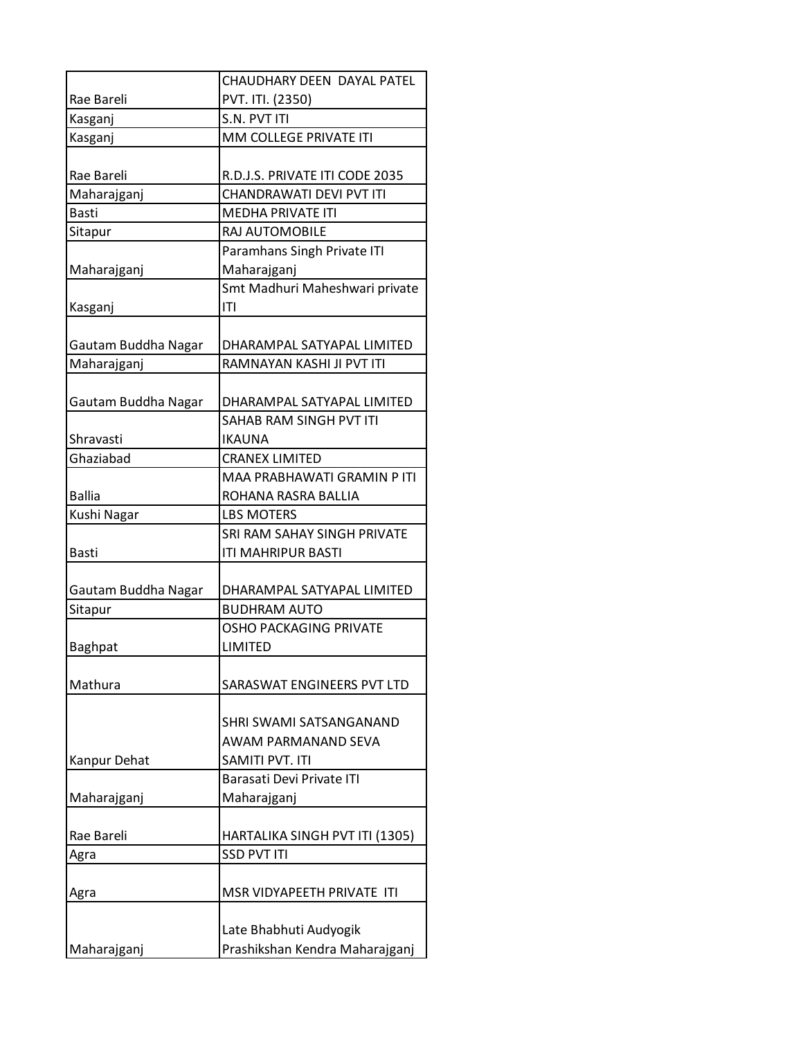|                     | CHAUDHARY DEEN DAYAL PATEL                           |
|---------------------|------------------------------------------------------|
| Rae Bareli          | PVT. ITI. (2350)                                     |
| Kasganj             | S.N. PVT ITI                                         |
| Kasganj             | MM COLLEGE PRIVATE ITI                               |
|                     |                                                      |
| Rae Bareli          | R.D.J.S. PRIVATE ITI CODE 2035                       |
| Maharajganj         | CHANDRAWATI DEVI PVT ITI                             |
| <b>Basti</b>        | <b>MEDHA PRIVATE ITI</b>                             |
| Sitapur             | RAJ AUTOMOBILE                                       |
|                     | Paramhans Singh Private ITI                          |
| Maharajganj         | Maharajganj                                          |
|                     | Smt Madhuri Maheshwari private                       |
| Kasganj             | ΙTΙ                                                  |
|                     |                                                      |
| Gautam Buddha Nagar | DHARAMPAL SATYAPAL LIMITED                           |
| Maharajganj         | RAMNAYAN KASHI JI PVT ITI                            |
|                     |                                                      |
| Gautam Buddha Nagar | DHARAMPAL SATYAPAL LIMITED                           |
|                     | SAHAB RAM SINGH PVT ITI                              |
| Shravasti           | <b>IKAUNA</b>                                        |
| Ghaziabad           | <b>CRANEX LIMITED</b>                                |
|                     | MAA PRABHAWATI GRAMIN P ITI                          |
| <b>Ballia</b>       | ROHANA RASRA BALLIA                                  |
| Kushi Nagar         | <b>LBS MOTERS</b>                                    |
|                     | SRI RAM SAHAY SINGH PRIVATE                          |
| <b>Basti</b>        | <b>ITI MAHRIPUR BASTI</b>                            |
|                     |                                                      |
| Gautam Buddha Nagar | DHARAMPAL SATYAPAL LIMITED                           |
| Sitapur             | <b>BUDHRAM AUTO</b>                                  |
|                     | OSHO PACKAGING PRIVATE                               |
| <b>Baghpat</b>      | LIMITED                                              |
|                     |                                                      |
| Mathura             | SARASWAT ENGINEERS PVT LTD                           |
|                     |                                                      |
|                     | SHRI SWAMI SATSANGANAND<br>AWAM PARMANAND SEVA       |
|                     |                                                      |
| Kanpur Dehat        | SAMITI PVT. ITI                                      |
|                     | Barasati Devi Private ITI                            |
| Maharajganj         | Maharajganj                                          |
| Rae Bareli          |                                                      |
|                     | HARTALIKA SINGH PVT ITI (1305)<br><b>SSD PVT ITI</b> |
| Agra                |                                                      |
|                     | MSR VIDYAPEETH PRIVATE ITI                           |
| Agra                |                                                      |
|                     | Late Bhabhuti Audyogik                               |
|                     | Prashikshan Kendra Maharajganj                       |
| Maharajganj         |                                                      |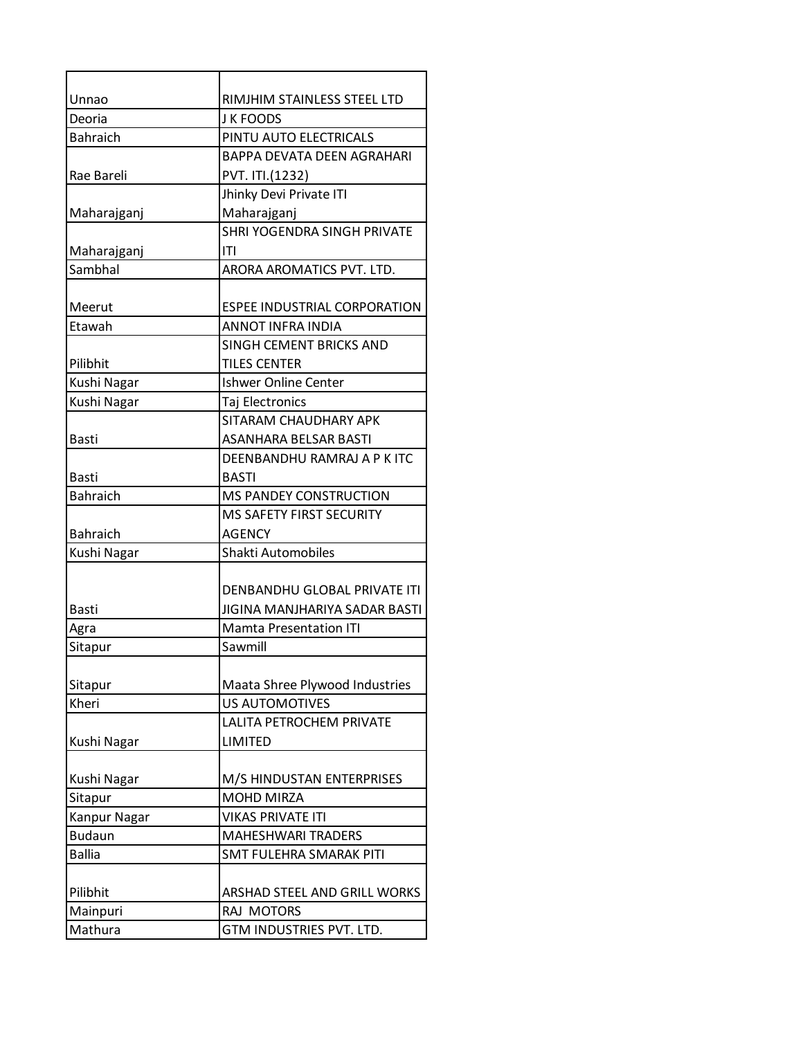| Unnao           | RIMJHIM STAINLESS STEEL LTD         |
|-----------------|-------------------------------------|
| Deoria          | <b>J K FOODS</b>                    |
| <b>Bahraich</b> | PINTU AUTO ELECTRICALS              |
|                 | <b>BAPPA DEVATA DEEN AGRAHARI</b>   |
| Rae Bareli      | PVT. ITI.(1232)                     |
|                 | Jhinky Devi Private ITI             |
| Maharajganj     | Maharajganj                         |
|                 | <b>SHRI YOGENDRA SINGH PRIVATE</b>  |
| Maharajganj     | ITI                                 |
| Sambhal         | ARORA AROMATICS PVT. LTD.           |
|                 |                                     |
| Meerut          | <b>ESPEE INDUSTRIAL CORPORATION</b> |
| Etawah          | ANNOT INFRA INDIA                   |
|                 | SINGH CEMENT BRICKS AND             |
| Pilibhit        | <b>TILES CENTER</b>                 |
| Kushi Nagar     | <b>Ishwer Online Center</b>         |
| Kushi Nagar     | Taj Electronics                     |
|                 | SITARAM CHAUDHARY APK               |
| <b>Basti</b>    | ASANHARA BELSAR BASTI               |
|                 | DEENBANDHU RAMRAJ A P K ITC         |
| <b>Basti</b>    | <b>BASTI</b>                        |
| <b>Bahraich</b> | <b>MS PANDEY CONSTRUCTION</b>       |
|                 | <b>MS SAFETY FIRST SECURITY</b>     |
| <b>Bahraich</b> | <b>AGENCY</b>                       |
| Kushi Nagar     | Shakti Automobiles                  |
|                 |                                     |
|                 | DENBANDHU GLOBAL PRIVATE ITI        |
| <b>Basti</b>    | JIGINA MANJHARIYA SADAR BASTI       |
| Agra            | <b>Mamta Presentation ITI</b>       |
| Sitapur         | Sawmill                             |
|                 |                                     |
| Sitapur         | Maata Shree Plywood Industries      |
| Kheri           | <b>US AUTOMOTIVES</b>               |
|                 | LALITA PETROCHEM PRIVATE            |
| Kushi Nagar     | <b>LIMITED</b>                      |
|                 |                                     |
| Kushi Nagar     | M/S HINDUSTAN ENTERPRISES           |
| Sitapur         | <b>MOHD MIRZA</b>                   |
| Kanpur Nagar    | <b>VIKAS PRIVATE ITI</b>            |
| <b>Budaun</b>   | <b>MAHESHWARI TRADERS</b>           |
| <b>Ballia</b>   | <b>SMT FULEHRA SMARAK PITI</b>      |
|                 |                                     |
| Pilibhit        | ARSHAD STEEL AND GRILL WORKS        |
| Mainpuri        | RAJ MOTORS                          |
| Mathura         | GTM INDUSTRIES PVT. LTD.            |
|                 |                                     |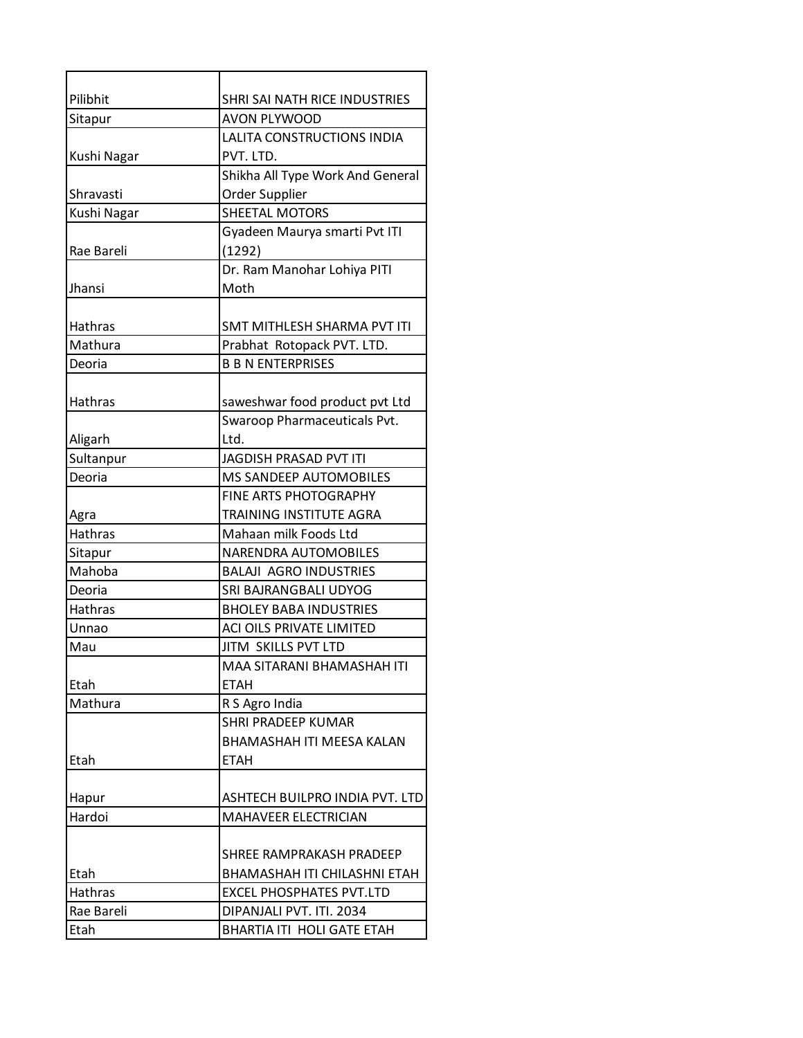| Pilibhit       | SHRI SAI NATH RICE INDUSTRIES    |
|----------------|----------------------------------|
| Sitapur        | <b>AVON PLYWOOD</b>              |
|                | LALITA CONSTRUCTIONS INDIA       |
| Kushi Nagar    | PVT. LTD.                        |
|                | Shikha All Type Work And General |
| Shravasti      | Order Supplier                   |
| Kushi Nagar    | <b>SHEETAL MOTORS</b>            |
|                | Gyadeen Maurya smarti Pvt ITI    |
| Rae Bareli     | (1292)                           |
|                | Dr. Ram Manohar Lohiya PITI      |
| Jhansi         | Moth                             |
|                |                                  |
| <b>Hathras</b> | SMT MITHLESH SHARMA PVT ITI      |
| Mathura        | Prabhat Rotopack PVT. LTD.       |
| Deoria         | <b>B B N ENTERPRISES</b>         |
|                |                                  |
| Hathras        | saweshwar food product pvt Ltd   |
|                | Swaroop Pharmaceuticals Pvt.     |
| Aligarh        | Ltd.                             |
| Sultanpur      | <b>JAGDISH PRASAD PVT ITI</b>    |
| Deoria         | MS SANDEEP AUTOMOBILES           |
|                | <b>FINE ARTS PHOTOGRAPHY</b>     |
| Agra           | TRAINING INSTITUTE AGRA          |
| <b>Hathras</b> | Mahaan milk Foods Ltd            |
| Sitapur        | NARENDRA AUTOMOBILES             |
| Mahoba         | <b>BALAJI AGRO INDUSTRIES</b>    |
| Deoria         | SRI BAJRANGBALI UDYOG            |
| <b>Hathras</b> | <b>BHOLEY BABA INDUSTRIES</b>    |
| Unnao          | ACI OILS PRIVATE LIMITED         |
| Mau            | JITM SKILLS PVT LTD              |
|                | MAA SITARANI BHAMASHAH ITI       |
| Etah           | <b>ETAH</b>                      |
| Mathura        | R S Agro India                   |
|                | <b>SHRI PRADEEP KUMAR</b>        |
|                | <b>BHAMASHAH ITI MEESA KALAN</b> |
| Etah           | <b>ETAH</b>                      |
|                |                                  |
| Hapur          | ASHTECH BUILPRO INDIA PVT. LTD   |
| Hardoi         | <b>MAHAVEER ELECTRICIAN</b>      |
|                |                                  |
|                | SHREE RAMPRAKASH PRADEEP         |
| Etah           | BHAMASHAH ITI CHILASHNI ETAH     |
| Hathras        | <b>EXCEL PHOSPHATES PVT.LTD</b>  |
| Rae Bareli     | DIPANJALI PVT. ITI. 2034         |
| Etah           | BHARTIA ITI HOLI GATE ETAH       |